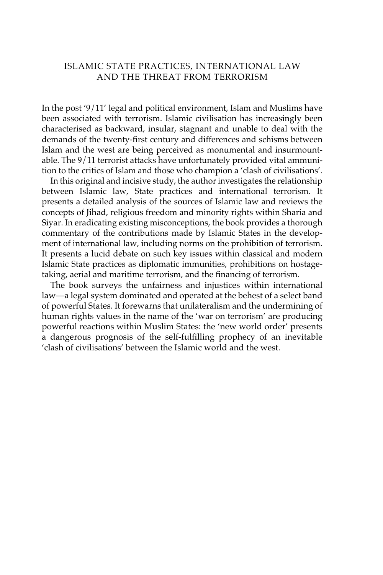#### ISLAMIC STATE PRACTICES, INTERNATIONAL LAW AND THE THREAT FROM TERRORISM

In the post '9/11' legal and political environment, Islam and Muslims have been associated with terrorism. Islamic civilisation has increasingly been characterised as backward, insular, stagnant and unable to deal with the demands of the twenty-first century and differences and schisms between Islam and the west are being perceived as monumental and insurmountable. The 9/11 terrorist attacks have unfortunately provided vital ammunition to the critics of Islam and those who champion a 'clash of civilisations'.

In this original and incisive study, the author investigates the relationship between Islamic law, State practices and international terrorism. It presents a detailed analysis of the sources of Islamic law and reviews the concepts of Jihad, religious freedom and minority rights within Sharia and Siyar. In eradicating existing misconceptions, the book provides a thorough commentary of the contributions made by Islamic States in the development of international law, including norms on the prohibition of terrorism. It presents a lucid debate on such key issues within classical and modern Islamic State practices as diplomatic immunities, prohibitions on hostagetaking, aerial and maritime terrorism, and the financing of terrorism.

The book surveys the unfairness and injustices within international law—a legal system dominated and operated at the behest of a select band of powerful States. It forewarns that unilateralism and the undermining of human rights values in the name of the 'war on terrorism' are producing powerful reactions within Muslim States: the 'new world order' presents a dangerous prognosis of the self-fulfilling prophecy of an inevitable 'clash of civilisations' between the Islamic world and the west.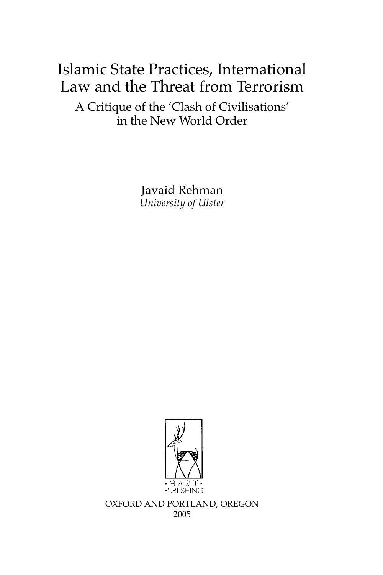### Islamic State Practices, International Law and the Threat from Terrorism

A Critique of the 'Clash of Civilisations' in the New World Order

> Javaid Rehman *University of Ulster*



OXFORD AND PORTLAND, OREGON 2005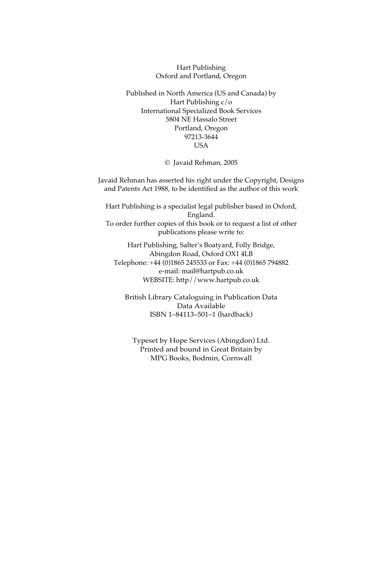#### Hart Publishing Oxford and Portland, Oregon

Published in North America (US and Canada) by Hart Publishing c/o International Specialized Book Services 5804 NE Hassalo Street Portland, Oregon 97213-3644 USA

© Javaid Rehman, 2005

Javaid Rehman has asserted his right under the Copyright, Designs and Patents Act 1988, to be identified as the author of this work

Hart Publishing is a specialist legal publisher based in Oxford, England. To order further copies of this book or to request a list of other publications please write to:

Hart Publishing, Salter's Boatyard, Folly Bridge, Abingdon Road, Oxford OX1 4LB Telephone: +44 (0)1865 245533 or Fax: +44 (0)1865 794882 e-mail: mail@hartpub.co.uk WEBSITE: http//www.hartpub.co.uk

British Library Cataloguing in Publication Data Data Available ISBN 1–84113–501–1 (hardback)

Typeset by Hope Services (Abingdon) Ltd. Printed and bound in Great Britain by MPG Books, Bodmin, Cornwall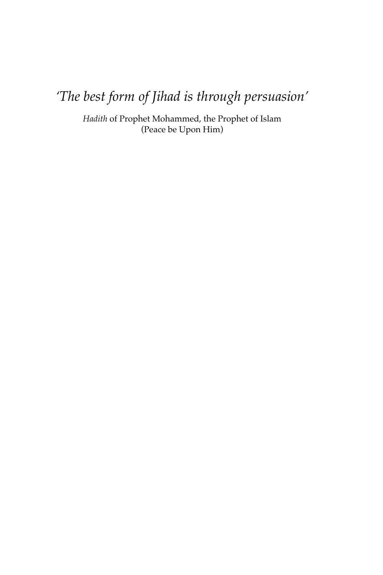### *'The best form of Jihad is through persuasion'*

*Hadith* of Prophet Mohammed, the Prophet of Islam (Peace be Upon Him)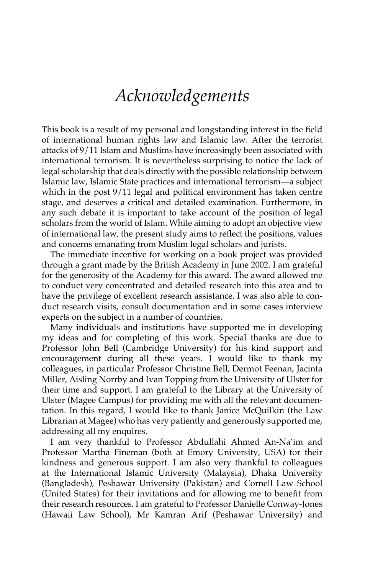### *Acknowledgements*

This book is a result of my personal and longstanding interest in the field of international human rights law and Islamic law. After the terrorist attacks of 9/11 Islam and Muslims have increasingly been associated with international terrorism. It is nevertheless surprising to notice the lack of legal scholarship that deals directly with the possible relationship between Islamic law, Islamic State practices and international terrorism—a subject which in the post  $9/11$  legal and political environment has taken centre stage, and deserves a critical and detailed examination. Furthermore, in any such debate it is important to take account of the position of legal scholars from the world of Islam. While aiming to adopt an objective view of international law, the present study aims to reflect the positions, values and concerns emanating from Muslim legal scholars and jurists.

The immediate incentive for working on a book project was provided through a grant made by the British Academy in June 2002. I am grateful for the generosity of the Academy for this award. The award allowed me to conduct very concentrated and detailed research into this area and to have the privilege of excellent research assistance. I was also able to conduct research visits, consult documentation and in some cases interview experts on the subject in a number of countries.

Many individuals and institutions have supported me in developing my ideas and for completing of this work. Special thanks are due to Professor John Bell (Cambridge University) for his kind support and encouragement during all these years. I would like to thank my colleagues, in particular Professor Christine Bell, Dermot Feenan, Jacinta Miller, Aisling Norrby and Ivan Topping from the University of Ulster for their time and support. I am grateful to the Library at the University of Ulster (Magee Campus) for providing me with all the relevant documentation. In this regard, I would like to thank Janice McQuilkin (the Law Librarian at Magee) who has very patiently and generously supported me, addressing all my enquires.

I am very thankful to Professor Abdullahi Ahmed An-Na'im and Professor Martha Fineman (both at Emory University, USA) for their kindness and generous support. I am also very thankful to colleagues at the International Islamic University (Malaysia), Dhaka University (Bangladesh), Peshawar University (Pakistan) and Cornell Law School (United States) for their invitations and for allowing me to benefit from their research resources. I am grateful to Professor Danielle Conway-Jones (Hawaii Law School), Mr Kamran Arif (Peshawar University) and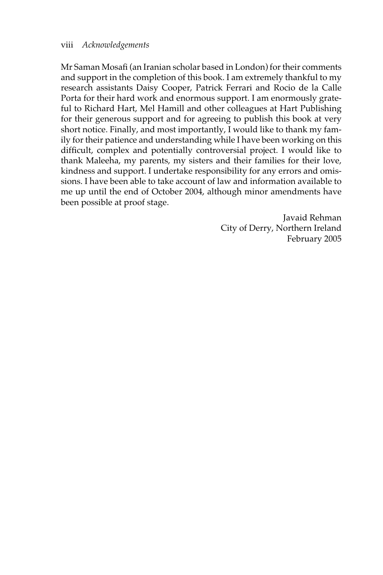Mr Saman Mosafi (an Iranian scholar based in London) for their comments and support in the completion of this book. I am extremely thankful to my research assistants Daisy Cooper, Patrick Ferrari and Rocio de la Calle Porta for their hard work and enormous support. I am enormously grateful to Richard Hart, Mel Hamill and other colleagues at Hart Publishing for their generous support and for agreeing to publish this book at very short notice. Finally, and most importantly, I would like to thank my family for their patience and understanding while I have been working on this difficult, complex and potentially controversial project. I would like to thank Maleeha, my parents, my sisters and their families for their love, kindness and support. I undertake responsibility for any errors and omissions. I have been able to take account of law and information available to me up until the end of October 2004, although minor amendments have been possible at proof stage.

> Javaid Rehman City of Derry, Northern Ireland February 2005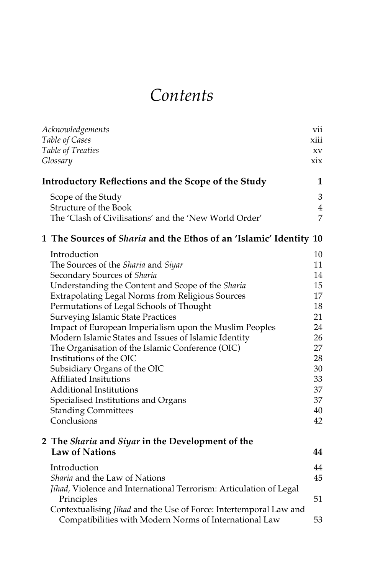## *Contents*

| Acknowledgements<br>Table of Cases<br>Table of Treaties<br>Glossary                                                                                                                                                                                                                                                                                                                                                                                                                                                                                                                                                                                                                | vii<br>xiii<br>XV<br>$x$ ix                                                                        |
|------------------------------------------------------------------------------------------------------------------------------------------------------------------------------------------------------------------------------------------------------------------------------------------------------------------------------------------------------------------------------------------------------------------------------------------------------------------------------------------------------------------------------------------------------------------------------------------------------------------------------------------------------------------------------------|----------------------------------------------------------------------------------------------------|
| Introductory Reflections and the Scope of the Study                                                                                                                                                                                                                                                                                                                                                                                                                                                                                                                                                                                                                                | 1                                                                                                  |
| Scope of the Study<br>Structure of the Book                                                                                                                                                                                                                                                                                                                                                                                                                                                                                                                                                                                                                                        | 3<br>$\overline{4}$                                                                                |
| The 'Clash of Civilisations' and the 'New World Order'                                                                                                                                                                                                                                                                                                                                                                                                                                                                                                                                                                                                                             | 7                                                                                                  |
| 1 The Sources of <i>Sharia</i> and the Ethos of an 'Islamic' Identity 10                                                                                                                                                                                                                                                                                                                                                                                                                                                                                                                                                                                                           |                                                                                                    |
| Introduction<br>The Sources of the Sharia and Siyar<br>Secondary Sources of Sharia<br>Understanding the Content and Scope of the Sharia<br><b>Extrapolating Legal Norms from Religious Sources</b><br>Permutations of Legal Schools of Thought<br><b>Surveying Islamic State Practices</b><br>Impact of European Imperialism upon the Muslim Peoples<br>Modern Islamic States and Issues of Islamic Identity<br>The Organisation of the Islamic Conference (OIC)<br>Institutions of the OIC<br>Subsidiary Organs of the OIC<br><b>Affiliated Insitutions</b><br><b>Additional Institutions</b><br>Specialised Institutions and Organs<br><b>Standing Committees</b><br>Conclusions | 10<br>11<br>14<br>15<br>17<br>18<br>21<br>24<br>26<br>27<br>28<br>30<br>33<br>37<br>37<br>40<br>42 |
| 2 The <i>Sharia</i> and <i>Siyar</i> in the Development of the<br><b>Law of Nations</b>                                                                                                                                                                                                                                                                                                                                                                                                                                                                                                                                                                                            | 44                                                                                                 |
| Introduction<br>Sharia and the Law of Nations<br>Jihad, Violence and International Terrorism: Articulation of Legal                                                                                                                                                                                                                                                                                                                                                                                                                                                                                                                                                                | 44<br>45                                                                                           |
| Principles<br>Contextualising Jihad and the Use of Force: Intertemporal Law and<br>Compatibilities with Modern Norms of International Law                                                                                                                                                                                                                                                                                                                                                                                                                                                                                                                                          | 51<br>53                                                                                           |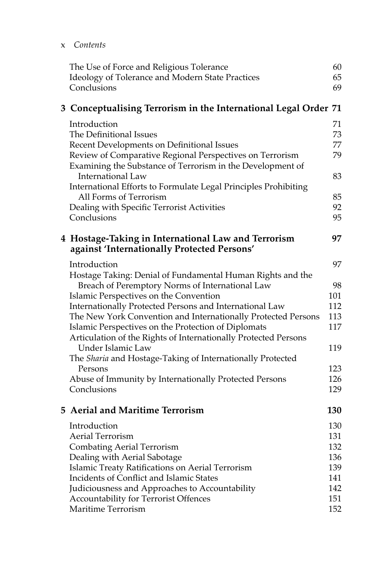x *Contents*

| The Use of Force and Religious Tolerance                                                           | 60         |
|----------------------------------------------------------------------------------------------------|------------|
| Ideology of Tolerance and Modern State Practices                                                   | 65         |
| Conclusions                                                                                        | 69         |
| 3 Conceptualising Terrorism in the International Legal Order 71                                    |            |
| Introduction                                                                                       | 71         |
| The Definitional Issues                                                                            | 73         |
| Recent Developments on Definitional Issues                                                         | 77         |
| Review of Comparative Regional Perspectives on Terrorism                                           | 79         |
| Examining the Substance of Terrorism in the Development of                                         |            |
| International Law                                                                                  | 83         |
| International Efforts to Formulate Legal Principles Prohibiting<br>All Forms of Terrorism          | 85         |
| Dealing with Specific Terrorist Activities                                                         | 92         |
| Conclusions                                                                                        | 95         |
|                                                                                                    |            |
| 4 Hostage-Taking in International Law and Terrorism<br>against 'Internationally Protected Persons' | 97         |
| Introduction                                                                                       | 97         |
| Hostage Taking: Denial of Fundamental Human Rights and the                                         |            |
| Breach of Peremptory Norms of International Law                                                    | 98         |
| Islamic Perspectives on the Convention                                                             | 101        |
| Internationally Protected Persons and International Law                                            | 112        |
| The New York Convention and Internationally Protected Persons                                      | 113        |
| Islamic Perspectives on the Protection of Diplomats                                                | 117        |
| Articulation of the Rights of Internationally Protected Persons                                    |            |
| Under Islamic Law                                                                                  | 119        |
| The Sharia and Hostage-Taking of Internationally Protected<br>Persons                              | 123        |
| Abuse of Immunity by Internationally Protected Persons                                             | 126        |
| Conclusions                                                                                        | 129        |
|                                                                                                    |            |
| 5 Aerial and Maritime Terrorism                                                                    | 130        |
| Introduction                                                                                       | 130        |
| <b>Aerial Terrorism</b>                                                                            | 131        |
| <b>Combating Aerial Terrorism</b>                                                                  | 132        |
| Dealing with Aerial Sabotage                                                                       | 136        |
| Islamic Treaty Ratifications on Aerial Terrorism                                                   | 139        |
| Incidents of Conflict and Islamic States                                                           | 141        |
| Judiciousness and Approaches to Accountability<br>Accountability for Terrorist Offences            | 142<br>151 |
| Maritime Terrorism                                                                                 | 152        |
|                                                                                                    |            |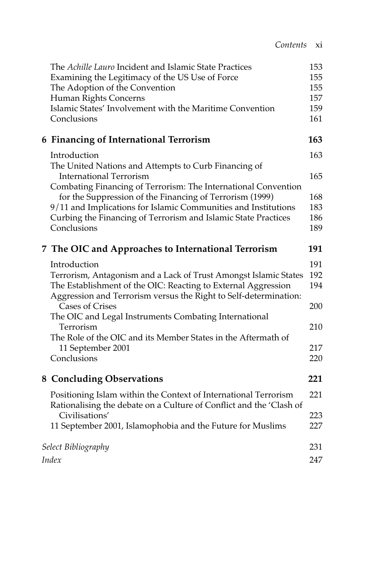| The Achille Lauro Incident and Islamic State Practices              | 153 |
|---------------------------------------------------------------------|-----|
| Examining the Legitimacy of the US Use of Force                     | 155 |
| The Adoption of the Convention                                      | 155 |
| Human Rights Concerns                                               | 157 |
| Islamic States' Involvement with the Maritime Convention            | 159 |
| Conclusions                                                         | 161 |
| 6 Financing of International Terrorism                              | 163 |
| Introduction                                                        | 163 |
| The United Nations and Attempts to Curb Financing of                |     |
| <b>International Terrorism</b>                                      | 165 |
| Combating Financing of Terrorism: The International Convention      |     |
| for the Suppression of the Financing of Terrorism (1999)            | 168 |
| 9/11 and Implications for Islamic Communities and Institutions      | 183 |
| Curbing the Financing of Terrorism and Islamic State Practices      | 186 |
| Conclusions                                                         | 189 |
| 7 The OIC and Approaches to International Terrorism                 | 191 |
| Introduction                                                        | 191 |
| Terrorism, Antagonism and a Lack of Trust Amongst Islamic States    | 192 |
| The Establishment of the OIC: Reacting to External Aggression       | 194 |
| Aggression and Terrorism versus the Right to Self-determination:    |     |
| <b>Cases of Crises</b>                                              | 200 |
| The OIC and Legal Instruments Combating International               |     |
| Terrorism                                                           | 210 |
| The Role of the OIC and its Member States in the Aftermath of       |     |
| 11 September 2001                                                   | 217 |
| Conclusions                                                         | 220 |
| 8 Concluding Observations                                           | 221 |
| Positioning Islam within the Context of International Terrorism     | 221 |
| Rationalising the debate on a Culture of Conflict and the 'Clash of |     |
| Civilisations'                                                      | 223 |
| 11 September 2001, Islamophobia and the Future for Muslims          | 227 |
|                                                                     |     |
| Select Bibliography                                                 | 231 |
| Index                                                               | 247 |
|                                                                     |     |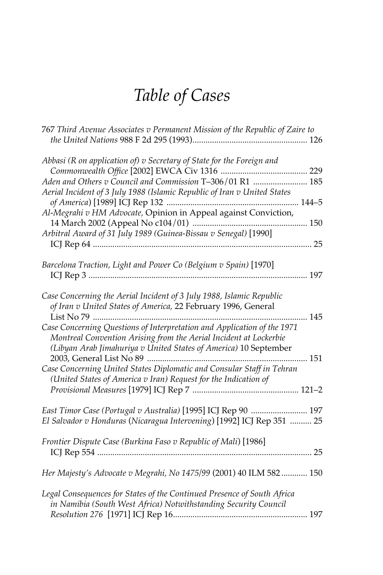## *Table of Cases*

| 767 Third Avenue Associates v Permanent Mission of the Republic of Zaire to                                                                                                                                      |  |
|------------------------------------------------------------------------------------------------------------------------------------------------------------------------------------------------------------------|--|
| Abbasi (R on application of) v Secretary of State for the Foreign and<br>Aden and Others v Council and Commission T-306/01 R1  185                                                                               |  |
| Aerial Incident of 3 July 1988 (Islamic Republic of Iran v United States                                                                                                                                         |  |
| Al-Megrahi v HM Advocate, Opinion in Appeal against Conviction,                                                                                                                                                  |  |
| Arbitral Award of 31 July 1989 (Guinea-Bissau v Senegal) [1990]                                                                                                                                                  |  |
| Barcelona Traction, Light and Power Co (Belgium v Spain) [1970]                                                                                                                                                  |  |
| Case Concerning the Aerial Incident of 3 July 1988, Islamic Republic<br>of Iran v United States of America, 22 February 1996, General                                                                            |  |
| Case Concerning Questions of Interpretation and Application of the 1971<br>Montreal Convention Arising from the Aerial Incident at Lockerbie<br>(Libyan Arab Jimahuriya v United States of America) 10 September |  |
| Case Concerning United States Diplomatic and Consular Staff in Tehran<br>(United States of America v Iran) Request for the Indication of                                                                         |  |
| East Timor Case (Portugal v Australia) [1995] ICJ Rep 90  197<br>El Salvador v Honduras (Nicaragua Intervening) [1992] ICJ Rep 351  25                                                                           |  |
| Frontier Dispute Case (Burkina Faso v Republic of Mali) [1986]                                                                                                                                                   |  |
| Her Majesty's Advocate v Megrahi, No 1475/99 (2001) 40 ILM 582  150                                                                                                                                              |  |
| Legal Consequences for States of the Continued Presence of South Africa<br>in Namibia (South West Africa) Notwithstanding Security Council                                                                       |  |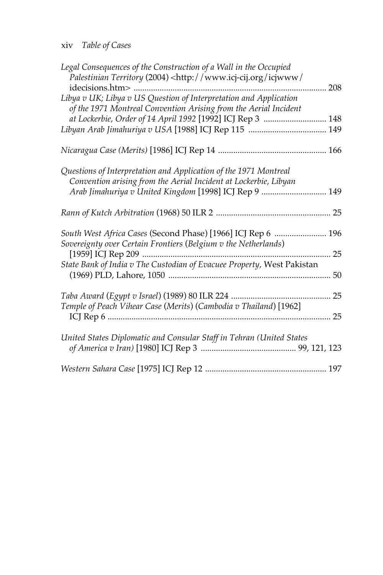| Legal Consequences of the Construction of a Wall in the Occupied<br>Palestinian Territory (2004) <http: <="" icjwww="" th="" www.icj-cij.org=""><th></th></http:> |  |
|-------------------------------------------------------------------------------------------------------------------------------------------------------------------|--|
|                                                                                                                                                                   |  |
| Libya v UK; Libya v US Question of Interpretation and Application<br>of the 1971 Montreal Convention Arising from the Aerial Incident                             |  |
| at Lockerbie, Order of 14 April 1992 [1992] ICJ Rep 3  148                                                                                                        |  |
|                                                                                                                                                                   |  |
|                                                                                                                                                                   |  |
| Questions of Interpretation and Application of the 1971 Montreal                                                                                                  |  |
| Convention arising from the Aerial Incident at Lockerbie, Libyan<br>Arab Jimahuriya v United Kingdom [1998] ICJ Rep 9  149                                        |  |
|                                                                                                                                                                   |  |
| South West Africa Cases (Second Phase) [1966] ICJ Rep 6  196<br>Sovereignty over Certain Frontiers (Belgium v the Netherlands)                                    |  |
|                                                                                                                                                                   |  |
| State Bank of India v The Custodian of Evacuee Property, West Pakistan                                                                                            |  |
|                                                                                                                                                                   |  |
|                                                                                                                                                                   |  |
| Temple of Peach Vihear Case (Merits) (Cambodia v Thailand) [1962]                                                                                                 |  |
|                                                                                                                                                                   |  |
| United States Diplomatic and Consular Staff in Tehran (United States                                                                                              |  |
|                                                                                                                                                                   |  |
|                                                                                                                                                                   |  |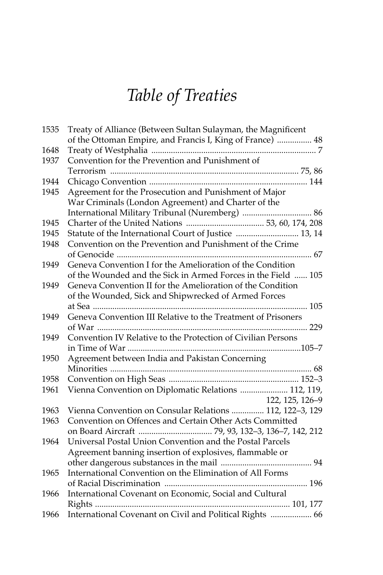# *Table of Treaties*

| 1535 | Treaty of Alliance (Between Sultan Sulayman, the Magnificent  |
|------|---------------------------------------------------------------|
|      | of the Ottoman Empire, and Francis I, King of France)  48     |
| 1648 |                                                               |
| 1937 | Convention for the Prevention and Punishment of               |
|      |                                                               |
| 1944 |                                                               |
| 1945 | Agreement for the Prosecution and Punishment of Major         |
|      | War Criminals (London Agreement) and Charter of the           |
|      | International Military Tribunal (Nuremberg)  86               |
| 1945 |                                                               |
| 1945 | Statute of the International Court of Justice  13, 14         |
| 1948 | Convention on the Prevention and Punishment of the Crime      |
|      |                                                               |
| 1949 | Geneva Convention I for the Amelioration of the Condition     |
|      | of the Wounded and the Sick in Armed Forces in the Field  105 |
| 1949 | Geneva Convention II for the Amelioration of the Condition    |
|      | of the Wounded, Sick and Shipwrecked of Armed Forces          |
|      |                                                               |
| 1949 | Geneva Convention III Relative to the Treatment of Prisoners  |
|      |                                                               |
| 1949 | Convention IV Relative to the Protection of Civilian Persons  |
|      |                                                               |
| 1950 | Agreement between India and Pakistan Concerning               |
|      |                                                               |
| 1958 |                                                               |
| 1961 | Vienna Convention on Diplomatic Relations  112, 119,          |
|      | 122, 125, 126-9                                               |
| 1963 | Vienna Convention on Consular Relations  112, 122-3, 129      |
| 1963 | Convention on Offences and Certain Other Acts Committed       |
|      |                                                               |
| 1964 | Universal Postal Union Convention and the Postal Parcels      |
|      | Agreement banning insertion of explosives, flammable or       |
|      |                                                               |
| 1965 | International Convention on the Elimination of All Forms      |
|      |                                                               |
| 1966 | International Covenant on Economic, Social and Cultural       |
|      |                                                               |
| 1966 | International Covenant on Civil and Political Rights  66      |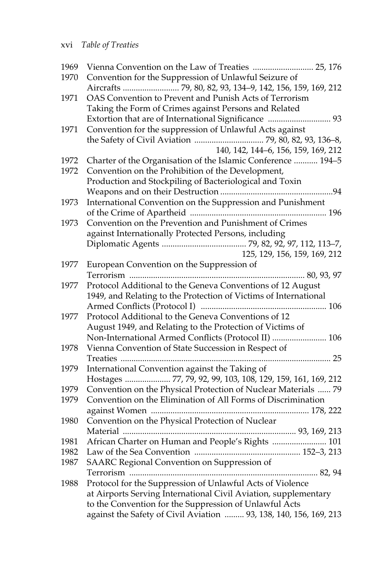#### xvi *Table of Treaties*

| 1969 |                                                                   |
|------|-------------------------------------------------------------------|
| 1970 | Convention for the Suppression of Unlawful Seizure of             |
|      |                                                                   |
| 1971 | OAS Convention to Prevent and Punish Acts of Terrorism            |
|      | Taking the Form of Crimes against Persons and Related             |
|      | Extortion that are of International Significance  93              |
| 1971 | Convention for the suppression of Unlawful Acts against           |
|      |                                                                   |
|      | 140, 142, 144-6, 156, 159, 169, 212                               |
| 1972 | Charter of the Organisation of the Islamic Conference  194-5      |
| 1972 | Convention on the Prohibition of the Development,                 |
|      | Production and Stockpiling of Bacteriological and Toxin           |
|      | 94                                                                |
| 1973 | International Convention on the Suppression and Punishment        |
|      |                                                                   |
| 1973 | Convention on the Prevention and Punishment of Crimes             |
|      | against Internationally Protected Persons, including              |
|      |                                                                   |
|      | 125, 129, 156, 159, 169, 212                                      |
| 1977 | European Convention on the Suppression of                         |
|      | Terrorism                                                         |
| 1977 | Protocol Additional to the Geneva Conventions of 12 August        |
|      | 1949, and Relating to the Protection of Victims of International  |
|      |                                                                   |
| 1977 | Protocol Additional to the Geneva Conventions of 12               |
|      | August 1949, and Relating to the Protection of Victims of         |
|      | Non-International Armed Conflicts (Protocol II)  106              |
| 1978 | Vienna Convention of State Succession in Respect of               |
|      | 25<br>Treaties                                                    |
| 1979 | International Convention against the Taking of                    |
|      | Hostages  77, 79, 92, 99, 103, 108, 129, 159, 161, 169, 212       |
| 1979 | Convention on the Physical Protection of Nuclear Materials  79    |
| 1979 | Convention on the Elimination of All Forms of Discrimination      |
|      |                                                                   |
| 1980 | Convention on the Physical Protection of Nuclear                  |
|      | Material<br>93, 169, 213                                          |
| 1981 | African Charter on Human and People's Rights  101                 |
| 1982 |                                                                   |
| 1987 | SAARC Regional Convention on Suppression of                       |
|      |                                                                   |
| 1988 | Protocol for the Suppression of Unlawful Acts of Violence         |
|      | at Airports Serving International Civil Aviation, supplementary   |
|      | to the Convention for the Suppression of Unlawful Acts            |
|      | against the Safety of Civil Aviation  93, 138, 140, 156, 169, 213 |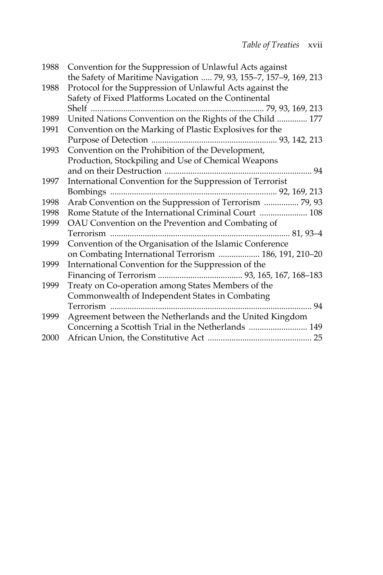| 1988 | Convention for the Suppression of Unlawful Acts against           |
|------|-------------------------------------------------------------------|
|      | the Safety of Maritime Navigation  79, 93, 155-7, 157-9, 169, 213 |
| 1988 | Protocol for the Suppression of Unlawful Acts against the         |
|      | Safety of Fixed Platforms Located on the Continental              |
|      |                                                                   |
| 1989 | United Nations Convention on the Rights of the Child  177         |
| 1991 | Convention on the Marking of Plastic Explosives for the           |
|      |                                                                   |
| 1993 | Convention on the Prohibition of the Development,                 |
|      | Production, Stockpiling and Use of Chemical Weapons               |
|      |                                                                   |
| 1997 | International Convention for the Suppression of Terrorist         |
|      |                                                                   |
| 1998 | Arab Convention on the Suppression of Terrorism  79, 93           |
| 1998 | Rome Statute of the International Criminal Court  108             |
| 1999 | OAU Convention on the Prevention and Combating of                 |
|      |                                                                   |
| 1999 | Convention of the Organisation of the Islamic Conference          |
|      | on Combating International Terrorism  186, 191, 210-20            |
| 1999 | International Convention for the Suppression of the               |
|      |                                                                   |
| 1999 | Treaty on Co-operation among States Members of the                |
|      | Commonwealth of Independent States in Combating                   |
|      |                                                                   |
| 1999 | Agreement between the Netherlands and the United Kingdom          |
|      | Concerning a Scottish Trial in the Netherlands  149               |
| 2000 |                                                                   |
|      |                                                                   |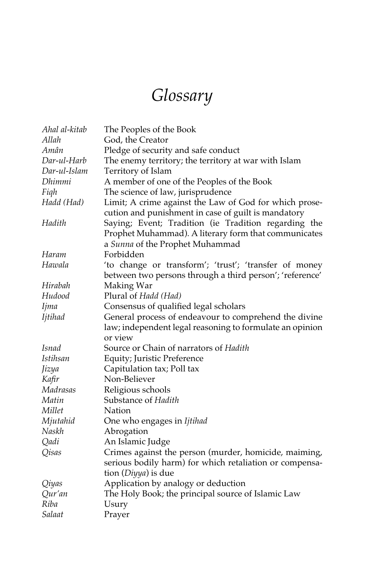# *Glossary*

| Ahal al-kitab   | The Peoples of the Book                                                                                                                         |
|-----------------|-------------------------------------------------------------------------------------------------------------------------------------------------|
| Allah           | God, the Creator                                                                                                                                |
| Amân            | Pledge of security and safe conduct                                                                                                             |
| Dar-ul-Harb     | The enemy territory; the territory at war with Islam                                                                                            |
| Dar-ul-Islam    | Territory of Islam                                                                                                                              |
| Dhimmi          | A member of one of the Peoples of the Book                                                                                                      |
| Figh            | The science of law, jurisprudence                                                                                                               |
| Hadd (Had)      | Limit; A crime against the Law of God for which prose-<br>cution and punishment in case of guilt is mandatory                                   |
| Hadith          | Saying; Event; Tradition (ie Tradition regarding the<br>Prophet Muhammad). A literary form that communicates<br>a Sunna of the Prophet Muhammad |
| Haram           | Forbidden                                                                                                                                       |
| Hawala          | 'to change or transform'; 'trust'; 'transfer of money<br>between two persons through a third person'; 'reference'                               |
| Hirabah         | Making War                                                                                                                                      |
| Hudood          | Plural of Hadd (Had)                                                                                                                            |
| Ijma            | Consensus of qualified legal scholars                                                                                                           |
| Ijtihad         | General process of endeavour to comprehend the divine<br>law; independent legal reasoning to formulate an opinion<br>or view                    |
| Isnad           | Source or Chain of narrators of Hadith                                                                                                          |
| <i>Istihsan</i> | <b>Equity; Juristic Preference</b>                                                                                                              |
| Jizya           | Capitulation tax; Poll tax                                                                                                                      |
| Kafir           | Non-Believer                                                                                                                                    |
| Madrasas        | Religious schools                                                                                                                               |
| Matin           | Substance of Hadith                                                                                                                             |
| Millet          | Nation                                                                                                                                          |
| Mjutahid        | One who engages in Ijtihad                                                                                                                      |
| Naskh           | Abrogation                                                                                                                                      |
| Qadi            | An Islamic Judge                                                                                                                                |
| Qisas           | Crimes against the person (murder, homicide, maiming,<br>serious bodily harm) for which retaliation or compensa-<br>tion (Diyya) is due         |
| Qiyas           | Application by analogy or deduction                                                                                                             |
| Qur'an          | The Holy Book; the principal source of Islamic Law                                                                                              |
| Riba            | Usury                                                                                                                                           |
| Salaat          | Prayer                                                                                                                                          |
|                 |                                                                                                                                                 |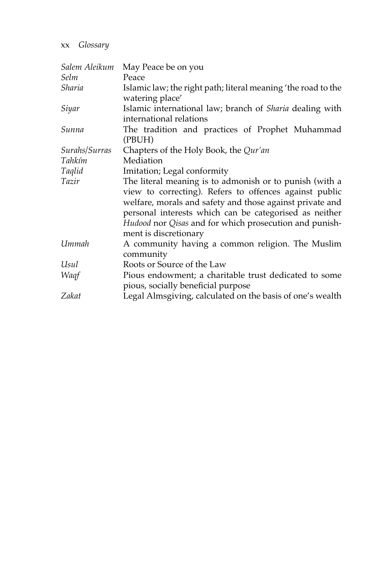xx *Glossary*

| Salem Aleikum | May Peace be on you                                                                                                                                                                                                                                                                                                        |
|---------------|----------------------------------------------------------------------------------------------------------------------------------------------------------------------------------------------------------------------------------------------------------------------------------------------------------------------------|
| Selm          | Peace                                                                                                                                                                                                                                                                                                                      |
| Sharia        | Islamic law; the right path; literal meaning 'the road to the                                                                                                                                                                                                                                                              |
|               | watering place'                                                                                                                                                                                                                                                                                                            |
| Siyar         | Islamic international law; branch of <i>Sharia</i> dealing with                                                                                                                                                                                                                                                            |
|               | international relations                                                                                                                                                                                                                                                                                                    |
| Sunna         | The tradition and practices of Prophet Muhammad                                                                                                                                                                                                                                                                            |
|               | (PBUH)                                                                                                                                                                                                                                                                                                                     |
| Surahs/Surras | Chapters of the Holy Book, the Qur'an                                                                                                                                                                                                                                                                                      |
| Tahkím        | Mediation                                                                                                                                                                                                                                                                                                                  |
| Taqlid        | Imitation; Legal conformity                                                                                                                                                                                                                                                                                                |
| Tazir         | The literal meaning is to admonish or to punish (with a<br>view to correcting). Refers to offences against public<br>welfare, morals and safety and those against private and<br>personal interests which can be categorised as neither<br>Hudood nor Qisas and for which prosecution and punish-<br>ment is discretionary |
| Ummah         | A community having a common religion. The Muslim<br>community                                                                                                                                                                                                                                                              |
| Usul          | Roots or Source of the Law                                                                                                                                                                                                                                                                                                 |
| Waqf          | Pious endowment; a charitable trust dedicated to some<br>pious, socially beneficial purpose                                                                                                                                                                                                                                |
| Zakat         | Legal Almsgiving, calculated on the basis of one's wealth                                                                                                                                                                                                                                                                  |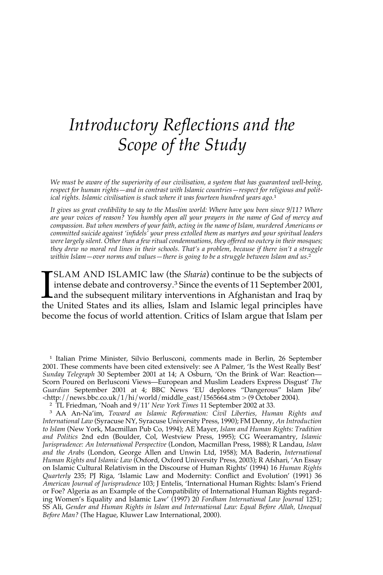## *Introductory Reflections and the Scope of the Study*

*We must be aware of the superiority of our civilisation, a system that has guaranteed well-being, respect for human rights—and in contrast with Islamic countries—respect for religious and political rights. Islamic civilisation is stuck where it was fourteen hundred years ago.*<sup>1</sup>

*It gives us great credibility to say to the Muslim world: Where have you been since 9/11? Where are your voices of reason? You humbly open all your prayers in the name of God of mercy and compassion. But when members of your faith, acting in the name of Islam, murdered Americans or committed suicide against 'infidels' your press extolled them as martyrs and your spiritual leaders were largely silent. Other than a few ritual condemnations, they offered no outcry in their mosques; they drew no moral red lines in their schools. That's a problem, because if there isn't a struggle within Islam—over norms and values—there is going to be a struggle between Islam and us*. 2

SLAM AND ISLAMIC law (the *Sharia*) continue to be the subjects of intense debate and controversy.<sup>3</sup> Since the events of 11 September 2001, and the subsequent military interventions in Afghanistan and Iraq by the United S SLAM AND ISLAMIC law (the *Sharia*) continue to be the subjects of intense debate and controversy.3 Since the events of 11 September 2001, Land the subsequent military interventions in Afghanistan and Iraq by become the focus of world attention. Critics of Islam argue that Islam per

<sup>1</sup> Italian Prime Minister, Silvio Berlusconi, comments made in Berlin, 26 September 2001. These comments have been cited extensively: see A Palmer, 'Is the West Really Best' *Sunday Telegraph* 30 September 2001 at 14; A Osburn, 'On the Brink of War: Reaction— Scorn Poured on Berlusconi Views—European and Muslim Leaders Express Disgust' *The Guardian* September 2001 at 4; BBC News 'EU deplores "Dangerous" Islam Jibe' <http://news.bbc.co.uk/1/hi/world/middle\_east/1565664.stm > (9 October 2004).

<sup>2</sup> TL Friedman, 'Noah and 9/11' *New York Times* 11 September 2002 at 33.

<sup>3</sup> AA An-Na'im, *Toward an Islamic Reformation: Civil Liberties, Human Rights and International Law* (Syracuse NY, Syracuse University Press, 1990); FM Denny, *An Introduction to Islam* (New York, Macmillan Pub Co, 1994); AE Mayer, *Islam and Human Rights: Tradition and Politics* 2nd edn (Boulder, Col, Westview Press, 1995); CG Weeramantry, *Islamic Jurisprudence: An International Perspective* (London, Macmillan Press, 1988); R Landau, *Islam and the Arabs* (London, George Allen and Unwin Ltd, 1958); MA Baderin, *International Human Rights and Islamic Law* (Oxford, Oxford University Press, 2003); R Afshari, 'An Essay on Islamic Cultural Relativism in the Discourse of Human Rights' (1994) 16 *Human Rights Quarterly* 235; PJ Riga, 'Islamic Law and Modernity: Conflict and Evolution' (1991) 36 *American Journal of Jurisprudence* 103; J Entelis, 'International Human Rights: Islam's Friend or Foe? Algeria as an Example of the Compatibility of International Human Rights regarding Women's Equality and Islamic Law' (1997) 20 *Fordham International Law Journal* 1251; SS Ali, *Gender and Human Rights in Islam and International Law: Equal Before Allah, Unequal Before Man?* (The Hague, Kluwer Law International, 2000).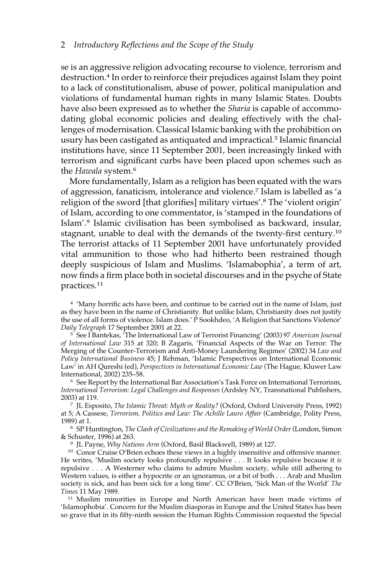se is an aggressive religion advocating recourse to violence, terrorism and destruction.<sup>4</sup> In order to reinforce their prejudices against Islam they point to a lack of constitutionalism, abuse of power, political manipulation and violations of fundamental human rights in many Islamic States. Doubts have also been expressed as to whether the *Sharia* is capable of accommodating global economic policies and dealing effectively with the challenges of modernisation. Classical Islamic banking with the prohibition on usury has been castigated as antiquated and impractical.5 Islamic financial institutions have, since 11 September 2001, been increasingly linked with terrorism and significant curbs have been placed upon schemes such as the *Hawala* system.6

More fundamentally, Islam as a religion has been equated with the wars of aggression, fanaticism, intolerance and violence.7 Islam is labelled as 'a religion of the sword [that glorifies] military virtues'.8 The 'violent origin' of Islam, according to one commentator, is 'stamped in the foundations of Islam'.9 Islamic civilisation has been symbolised as backward, insular, stagnant, unable to deal with the demands of the twenty-first century.10 The terrorist attacks of 11 September 2001 have unfortunately provided vital ammunition to those who had hitherto been restrained though deeply suspicious of Islam and Muslims. 'Islamabophia', a term of art, now finds a firm place both in societal discourses and in the psyche of State practices.11

<sup>4</sup> 'Many horrific acts have been, and continue to be carried out in the name of Islam, just as they have been in the name of Christianity. But unlike Islam, Christianity does not justify the use of all forms of violence. Islam does.' P Sookhdeo, 'A Religion that Sanctions Violence' *Daily Telegraph* 17 September 2001 at 22.

<sup>5</sup> See I Bantekas, 'The International Law of Terrorist Financing' (2003) 97 *American Journal of International Law* 315 at 320; B Zagaris, 'Financial Aspects of the War on Terror: The Merging of the Counter-Terrorism and Anti-Money Laundering Regimes' (2002) 34 *Law and Policy International Business* 45; J Rehman, 'Islamic Perspectives on International Economic Law' in AH Qureshi (ed), *Perspectives in International Economic Law* (The Hague, Kluwer Law International, 2002) 235–58.

<sup>6</sup> See Report by the International Bar Association's Task Force on International Terrorism, *International Terrorism: Legal Challenges and Responses* (Ardsley NY, Transnational Publishers, 2003) at 119.

<sup>7</sup> JL Esposito, *The Islamic Threat: Myth or Reality?* (Oxford, Oxford University Press, 1992) at 5; A Cassese, *Terrorism, Politics and Law: The Achille Lauro Affair* (Cambridge, Polity Press, 1989) at 1.

<sup>8</sup> SP Huntington, *The Clash of Civilizations and the Remaking of World Order* (London, Simon & Schuster, 1996) at 263.

<sup>9</sup> JL Payne, *Why Nations Arm* (Oxford, Basil Blackwell, 1989) at 127**.**

<sup>10</sup> Conor Cruise O'Brien echoes these views in a highly insensitive and offensive manner. He writes, 'Muslim society looks profoundly repulsive . . . It looks repulsive because it *is* repulsive . . . A Westerner who claims to admire Muslim society, while still adhering to Western values, is either a hypocrite or an ignoramus, or a bit of both . . . Arab and Muslim society is sick, and has been sick for a long time'. CC O'Brien, 'Sick Man of the World' *The Times* 11 May 1989.

<sup>11</sup> Muslim minorities in Europe and North American have been made victims of 'Islamophobia'. Concern for the Muslim diasporas in Europe and the United States has been so grave that in its fifty-ninth session the Human Rights Commission requested the Special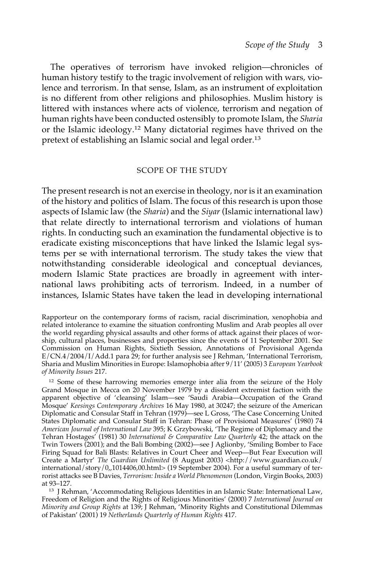The operatives of terrorism have invoked religion—chronicles of human history testify to the tragic involvement of religion with wars, violence and terrorism. In that sense, Islam, as an instrument of exploitation is no different from other religions and philosophies. Muslim history is littered with instances where acts of violence, terrorism and negation of human rights have been conducted ostensibly to promote Islam, the *Sharia* or the Islamic ideology.12 Many dictatorial regimes have thrived on the pretext of establishing an Islamic social and legal order.13

#### SCOPE OF THE STUDY

The present research is not an exercise in theology, nor is it an examination of the history and politics of Islam. The focus of this research is upon those aspects of Islamic law (the *Sharia*) and the *Siyar* (Islamic international law) that relate directly to international terrorism and violations of human rights. In conducting such an examination the fundamental objective is to eradicate existing misconceptions that have linked the Islamic legal systems per se with international terrorism. The study takes the view that notwithstanding considerable ideological and conceptual deviances, modern Islamic State practices are broadly in agreement with international laws prohibiting acts of terrorism. Indeed, in a number of instances, Islamic States have taken the lead in developing international

Rapporteur on the contemporary forms of racism, racial discrimination, xenophobia and related intolerance to examine the situation confronting Muslim and Arab peoples all over the world regarding physical assaults and other forms of attack against their places of worship, cultural places, businesses and properties since the events of 11 September 2001. See Commission on Human Rights, Sixtieth Session, Annotations of Provisional Agenda E/CN.4/2004/I/Add.1 para 29; for further analysis see J Rehman, 'International Terrorism, Sharia and Muslim Minorities in Europe: Islamophobia after 9/11' (2005) 3 *European Yearbook of Minority Issues* 217.

<sup>12</sup> Some of these harrowing memories emerge inter alia from the seizure of the Holy Grand Mosque in Mecca on 20 November 1979 by a dissident extremist faction with the apparent objective of 'cleansing' Islam—see 'Saudi Arabia—Occupation of the Grand Mosque' *Keesings Contemporary Archives* 16 May 1980, at 30247; the seizure of the American Diplomatic and Consular Staff in Tehran (1979)—see L Gross, 'The Case Concerning United States Diplomatic and Consular Staff in Tehran: Phase of Provisional Measures' (1980) 74 *American Journal of International Law* 395; K Grzybowski, 'The Regime of Diplomacy and the Tehran Hostages' (1981) 30 *International & Comparative Law Quarterly* 42; the attack on the Twin Towers (2001); and the Bali Bombing (2002)—see J Aglionby, 'Smiling Bomber to Face Firing Squad for Bali Blasts: Relatives in Court Cheer and Weep—But Fear Execution will Create a Martyr' *The Guardian Unlimited* (8 August 2003) <http://www.guardian.co.uk/ international/story/0,,1014406,00.html> (19 September 2004). For a useful summary of terrorist attacks see B Davies, *Terrorism: Inside a World Phenomenon* (London, Virgin Books, 2003) at 93–127.

<sup>&</sup>lt;sup>13</sup> J Rehman, 'Accommodating Religious Identities in an Islamic State: International Law, Freedom of Religion and the Rights of Religious Minorities' (2000) 7 *International Journal on Minority and Group Rights* at 139; J Rehman, 'Minority Rights and Constitutional Dilemmas of Pakistan' (2001) 19 *Netherlands Quarterly of Human Rights* 417.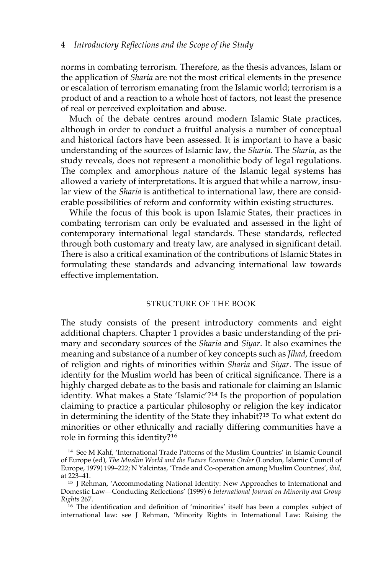#### 4 *Introductory Reflections and the Scope of the Study*

norms in combating terrorism. Therefore, as the thesis advances, Islam or the application of *Sharia* are not the most critical elements in the presence or escalation of terrorism emanating from the Islamic world; terrorism is a product of and a reaction to a whole host of factors, not least the presence of real or perceived exploitation and abuse.

Much of the debate centres around modern Islamic State practices, although in order to conduct a fruitful analysis a number of conceptual and historical factors have been assessed. It is important to have a basic understanding of the sources of Islamic law, the *Sharia*. The *Sharia*, as the study reveals, does not represent a monolithic body of legal regulations. The complex and amorphous nature of the Islamic legal systems has allowed a variety of interpretations. It is argued that while a narrow, insular view of the *Sharia* is antithetical to international law, there are considerable possibilities of reform and conformity within existing structures.

While the focus of this book is upon Islamic States, their practices in combating terrorism can only be evaluated and assessed in the light of contemporary international legal standards. These standards, reflected through both customary and treaty law, are analysed in significant detail. There is also a critical examination of the contributions of Islamic States in formulating these standards and advancing international law towards effective implementation.

#### STRUCTURE OF THE BOOK

The study consists of the present introductory comments and eight additional chapters. Chapter 1 provides a basic understanding of the primary and secondary sources of the *Sharia* and *Siyar*. It also examines the meaning and substance of a number of key concepts such as *Jihad*, freedom of religion and rights of minorities within *Sharia* and *Siyar*. The issue of identity for the Muslim world has been of critical significance. There is a highly charged debate as to the basis and rationale for claiming an Islamic identity. What makes a State 'Islamic'?14 Is the proportion of population claiming to practice a particular philosophy or religion the key indicator in determining the identity of the State they inhabit?<sup>15</sup> To what extent do minorities or other ethnically and racially differing communities have a role in forming this identity?<sup>16</sup>

<sup>14</sup> See M Kahf, 'International Trade Patterns of the Muslim Countries' in Islamic Council of Europe (ed), *The Muslim World and the Future Economic Order* (London, Islamic Council of Europe, 1979) 199–222; N Yalcintas, 'Trade and Co-operation among Muslim Countries', *ibid*, at 223–41.

<sup>&</sup>lt;sup>15</sup> J Rehman, 'Accommodating National Identity: New Approaches to International and Domestic Law—Concluding Reflections' (1999) 6 *International Journal on Minority and Group Rights* 267.

<sup>&</sup>lt;sup>16</sup> The identification and definition of 'minorities' itself has been a complex subject of international law: see J Rehman, 'Minority Rights in International Law: Raising the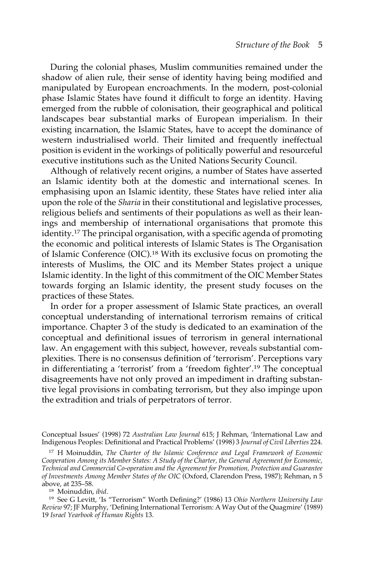During the colonial phases, Muslim communities remained under the shadow of alien rule, their sense of identity having being modified and manipulated by European encroachments. In the modern, post-colonial phase Islamic States have found it difficult to forge an identity. Having emerged from the rubble of colonisation, their geographical and political landscapes bear substantial marks of European imperialism. In their existing incarnation, the Islamic States, have to accept the dominance of western industrialised world. Their limited and frequently ineffectual position is evident in the workings of politically powerful and resourceful executive institutions such as the United Nations Security Council.

Although of relatively recent origins, a number of States have asserted an Islamic identity both at the domestic and international scenes. In emphasising upon an Islamic identity, these States have relied inter alia upon the role of the *Sharia* in their constitutional and legislative processes, religious beliefs and sentiments of their populations as well as their leanings and membership of international organisations that promote this identity.<sup>17</sup> The principal organisation, with a specific agenda of promoting the economic and political interests of Islamic States is The Organisation of Islamic Conference (OIC).18 With its exclusive focus on promoting the interests of Muslims, the OIC and its Member States project a unique Islamic identity. In the light of this commitment of the OIC Member States towards forging an Islamic identity, the present study focuses on the practices of these States.

In order for a proper assessment of Islamic State practices, an overall conceptual understanding of international terrorism remains of critical importance. Chapter 3 of the study is dedicated to an examination of the conceptual and definitional issues of terrorism in general international law. An engagement with this subject, however, reveals substantial complexities. There is no consensus definition of 'terrorism'. Perceptions vary in differentiating a 'terrorist' from a 'freedom fighter'.19 The conceptual disagreements have not only proved an impediment in drafting substantive legal provisions in combating terrorism, but they also impinge upon the extradition and trials of perpetrators of terror.

Conceptual Issues' (1998) 72 *Australian Law Journal* 615; J Rehman, 'International Law and Indigenous Peoples: Definitional and Practical Problems' (1998) 3 *Journal of Civil Liberties* 224.

<sup>17</sup> H Moinuddin, *The Charter of the Islamic Conference and Legal Framework of Economic Cooperation Among its Member States: A Study of the Charter, the General Agreement for Economic, Technical and Commercial Co-operation and the Agreement for Promotion, Protection and Guarantee of Investments Among Member States of the OIC* (Oxford, Clarendon Press, 1987); Rehman, n 5 above, at 235–58.

<sup>18</sup> Moinuddin, *ibid*.

<sup>19</sup> See G Levitt, 'Is "Terrorism" Worth Defining?' (1986) 13 *Ohio Northern University Law Review* 97; JF Murphy, 'Defining International Terrorism: A Way Out of the Quagmire' (1989) 19 *Israel Yearbook of Human Rights* 13.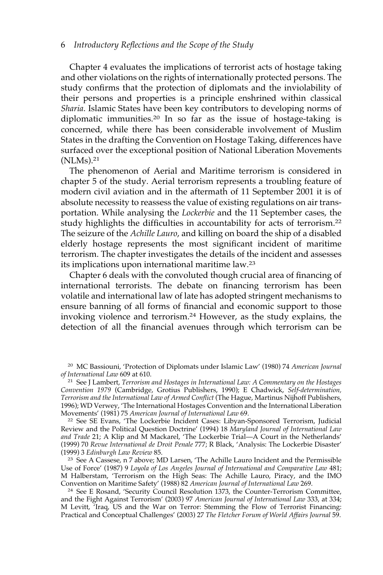#### 6 *Introductory Reflections and the Scope of the Study*

Chapter 4 evaluates the implications of terrorist acts of hostage taking and other violations on the rights of internationally protected persons. The study confirms that the protection of diplomats and the inviolability of their persons and properties is a principle enshrined within classical *Sharia*. Islamic States have been key contributors to developing norms of diplomatic immunities.20 In so far as the issue of hostage-taking is concerned, while there has been considerable involvement of Muslim States in the drafting the Convention on Hostage Taking, differences have surfaced over the exceptional position of National Liberation Movements  $(NLMs).<sup>21</sup>$ 

The phenomenon of Aerial and Maritime terrorism is considered in chapter 5 of the study. Aerial terrorism represents a troubling feature of modern civil aviation and in the aftermath of 11 September 2001 it is of absolute necessity to reassess the value of existing regulations on air transportation. While analysing the *Lockerbie* and the 11 September cases, the study highlights the difficulties in accountability for acts of terrorism.<sup>22</sup> The seizure of the *Achille Lauro*, and killing on board the ship of a disabled elderly hostage represents the most significant incident of maritime terrorism. The chapter investigates the details of the incident and assesses its implications upon international maritime law.23

Chapter 6 deals with the convoluted though crucial area of financing of international terrorists. The debate on financing terrorism has been volatile and international law of late has adopted stringent mechanisms to ensure banning of all forms of financial and economic support to those invoking violence and terrorism.24 However, as the study explains, the detection of all the financial avenues through which terrorism can be

<sup>22</sup> See SE Evans, 'The Lockerbie Incident Cases: Libyan-Sponsored Terrorism, Judicial Review and the Political Question Doctrine' (1994) 18 *Maryland Journal of International Law and Trade* 21; A Klip and M Mackarel, 'The Lockerbie Trial—A Court in the Netherlands' (1999) 70 *Revue International de Droit Penale* 777; R Black, 'Analysis: The Lockerbie Disaster' (1999) 3 *Edinburgh Law Review* 85.

<sup>23</sup> See A Cassese, n 7 above; MD Larsen, 'The Achille Lauro Incident and the Permissible Use of Force' (1987) 9 *Loyola of Los Angeles Journal of International and Comparative Law* 481; M Halberstam, 'Terrorism on the High Seas: The Achille Lauro, Piracy, and the IMO Convention on Maritime Safety' (1988) 82 *American Journal of International Law* 269.

<sup>24</sup> See E Rosand, 'Security Council Resolution 1373, the Counter-Terrorism Committee, and the Fight Against Terrorism' (2003) 97 *American Journal of International Law* 333, at 334; M Levitt, 'Iraq, US and the War on Terror: Stemming the Flow of Terrorist Financing: Practical and Conceptual Challenges' (2003) 27 *The Fletcher Forum of World Affairs Journal* 59.

<sup>20</sup> MC Bassiouni, 'Protection of Diplomats under Islamic Law' (1980) 74 *American Journal of International Law* 609 at 610.

<sup>21</sup> See J Lambert, *Terrorism and Hostages in International Law: A Commentary on the Hostages Convention 1979* (Cambridge, Grotius Publishers, 1990); E Chadwick, *Self-determination, Terrorism and the International Law of Armed Conflict* (The Hague, Martinus Nijhoff Publishers, 1996); WD Verwey, 'The International Hostages Convention and the International Liberation Movements' (1981) 75 *American Journal of International Law* 69.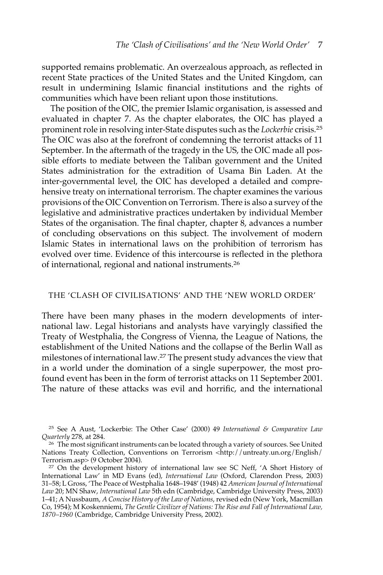supported remains problematic. An overzealous approach, as reflected in recent State practices of the United States and the United Kingdom, can result in undermining Islamic financial institutions and the rights of communities which have been reliant upon those institutions.

The position of the OIC, the premier Islamic organisation, is assessed and evaluated in chapter 7. As the chapter elaborates, the OIC has played a prominent role in resolving inter-State disputes such as the *Lockerbie* crisis.25 The OIC was also at the forefront of condemning the terrorist attacks of 11 September. In the aftermath of the tragedy in the US, the OIC made all possible efforts to mediate between the Taliban government and the United States administration for the extradition of Usama Bin Laden. At the inter-governmental level, the OIC has developed a detailed and comprehensive treaty on international terrorism. The chapter examines the various provisions of the OIC Convention on Terrorism. There is also a survey of the legislative and administrative practices undertaken by individual Member States of the organisation. The final chapter, chapter 8, advances a number of concluding observations on this subject. The involvement of modern Islamic States in international laws on the prohibition of terrorism has evolved over time. Evidence of this intercourse is reflected in the plethora of international, regional and national instruments.<sup>26</sup>

#### THE 'CLASH OF CIVILISATIONS' AND THE 'NEW WORLD ORDER'

There have been many phases in the modern developments of international law. Legal historians and analysts have varyingly classified the Treaty of Westphalia, the Congress of Vienna, the League of Nations, the establishment of the United Nations and the collapse of the Berlin Wall as milestones of international law.27 The present study advances the view that in a world under the domination of a single superpower, the most profound event has been in the form of terrorist attacks on 11 September 2001. The nature of these attacks was evil and horrific, and the international

<sup>25</sup> See A Aust, 'Lockerbie: The Other Case' (2000) 49 *International & Comparative Law Quarterly* 278, at 284.

<sup>26</sup> The most significant instruments can be located through a variety of sources. See United Nations Treaty Collection, Conventions on Terrorism <http://untreaty.un.org/English/ Terrorism.asp> (9 October 2004).

<sup>27</sup> On the development history of international law see SC Neff, 'A Short History of International Law' in MD Evans (ed), *International Law* (Oxford, Clarendon Press, 2003) 31–58; L Gross, 'The Peace of Westphalia 1648–1948' (1948) 42 *American Journal of International Law* 20; MN Shaw, *International Law* 5th edn (Cambridge, Cambridge University Press, 2003) 1–41; A Nussbaum, *A Concise History of the Law of Nations*, revised edn (New York, Macmillan Co, 1954); M Koskenniemi, *The Gentle Civilizer of Nations: The Rise and Fall of International Law, 1870–1960* (Cambridge, Cambridge University Press, 2002).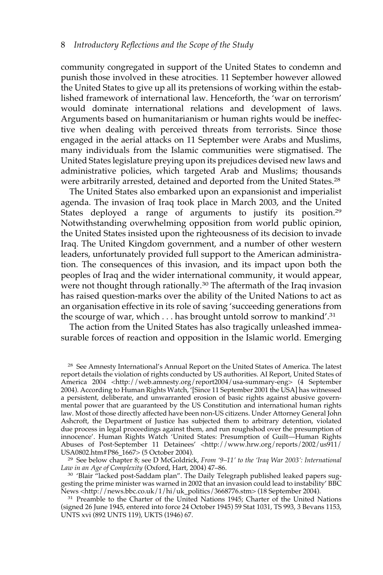community congregated in support of the United States to condemn and punish those involved in these atrocities. 11 September however allowed the United States to give up all its pretensions of working within the established framework of international law. Henceforth, the 'war on terrorism' would dominate international relations and development of laws. Arguments based on humanitarianism or human rights would be ineffective when dealing with perceived threats from terrorists. Since those engaged in the aerial attacks on 11 September were Arabs and Muslims, many individuals from the Islamic communities were stigmatised. The United States legislature preying upon its prejudices devised new laws and administrative policies, which targeted Arab and Muslims; thousands were arbitrarily arrested, detained and deported from the United States.28

The United States also embarked upon an expansionist and imperialist agenda. The invasion of Iraq took place in March 2003, and the United States deployed a range of arguments to justify its position.29 Notwithstanding overwhelming opposition from world public opinion, the United States insisted upon the righteousness of its decision to invade Iraq. The United Kingdom government, and a number of other western leaders, unfortunately provided full support to the American administration. The consequences of this invasion, and its impact upon both the peoples of Iraq and the wider international community, it would appear, were not thought through rationally.<sup>30</sup> The aftermath of the Iraq invasion has raised question-marks over the ability of the United Nations to act as an organisation effective in its role of saving 'succeeding generations from the scourge of war, which  $\ldots$  has brought untold sorrow to mankind'.<sup>31</sup>

The action from the United States has also tragically unleashed immeasurable forces of reaction and opposition in the Islamic world. Emerging

<sup>28</sup> See Amnesty International's Annual Report on the United States of America. The latest report details the violation of rights conducted by US authorities. AI Report, United States of America 2004 <http://web.amnesty.org/report2004/usa-summary-eng> (4 September 2004). According to Human Rights Watch, '[Since 11 September 2001 the USA] has witnessed a persistent, deliberate, and unwarranted erosion of basic rights against abusive governmental power that are guaranteed by the US Constitution and international human rights law. Most of those directly affected have been non-US citizens. Under Attorney General John Ashcroft, the Department of Justice has subjected them to arbitrary detention, violated due process in legal proceedings against them, and run roughshod over the presumption of innocence'. Human Rights Watch 'United States: Presumption of Guilt—Human Rights Abuses of Post-September 11 Detainees' <http://www.hrw.org/reports/2002/us911/ USA0802.htm#P86\_1667> (5 October 2004).

<sup>29</sup> See below chapter 8; see D McGoldrick, *From '9–11' to the 'Iraq War 2003': International Law in an Age of Complexity* (Oxford, Hart, 2004) 47–86.

<sup>&</sup>lt;sup>30</sup> 'Blair "lacked post-Saddam plan". The Daily Telegraph published leaked papers suggesting the prime minister was warned in 2002 that an invasion could lead to instability' BBC News <http://news.bbc.co.uk/1/hi/uk\_politics/3668776.stm> (18 September 2004).

<sup>&</sup>lt;sup>31</sup> Preamble to the Charter of the United Nations 1945; Charter of the United Nations (signed 26 June 1945, entered into force 24 October 1945) 59 Stat 1031, TS 993, 3 Bevans 1153, UNTS xvi (892 UNTS 119), UKTS (1946) 67.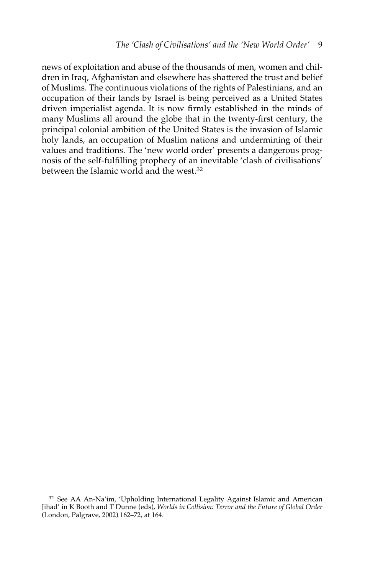news of exploitation and abuse of the thousands of men, women and children in Iraq, Afghanistan and elsewhere has shattered the trust and belief of Muslims. The continuous violations of the rights of Palestinians, and an occupation of their lands by Israel is being perceived as a United States driven imperialist agenda. It is now firmly established in the minds of many Muslims all around the globe that in the twenty-first century, the principal colonial ambition of the United States is the invasion of Islamic holy lands, an occupation of Muslim nations and undermining of their values and traditions. The 'new world order' presents a dangerous prognosis of the self-fulfilling prophecy of an inevitable 'clash of civilisations' between the Islamic world and the west  $32$ 

<sup>32</sup> See AA An-Na'im, 'Upholding International Legality Against Islamic and American Jihad' in K Booth and T Dunne (eds), *Worlds in Collision: Terror and the Future of Global Order* (London, Palgrave, 2002) 162–72, at 164.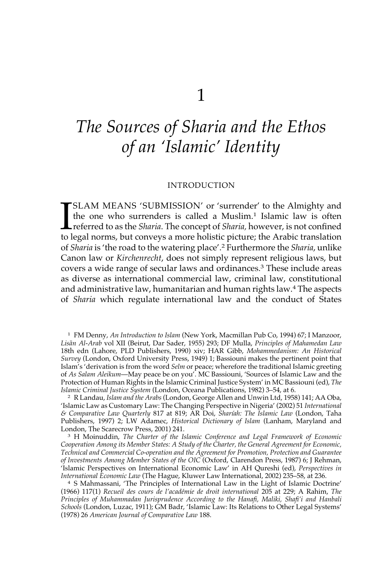## *The Sources of Sharia and the Ethos of an 'Islamic' Identity*

#### INTRODUCTION

 $\prod_{\text{tol}}$ SLAM MEANS 'SUBMISSION' or 'surrender' to the Almighty and the one who surrenders is called a Muslim.<sup>1</sup> Islamic law is often referred to as the *Sharia*. The concept of *Sharia,* however, is not confined to legal norms, but conveys a more holistic picture; the Arabic translation of *Sharia* is 'the road to the watering place'.2 Furthermore the *Sharia*, unlike Canon law or *Kirchenrecht*, does not simply represent religious laws, but covers a wide range of secular laws and ordinances.3 These include areas as diverse as international commercial law, criminal law, constitutional and administrative law, humanitarian and human rights law.4 The aspects of *Sharia* which regulate international law and the conduct of States

<sup>1</sup> FM Denny, *An Introduction to Islam* (New York, Macmillan Pub Co, 1994) 67; I Manzoor, *Lisa–n Al-Arab* vol XII (Beirut, Dar Sader, 1955) 293; DF Mulla, *Principles of Mahamedan Law* 18th edn (Lahore, PLD Publishers, 1990) xiv; HAR Gibb, *Mohammedanism: An Historical Survey* (London, Oxford University Press, 1949) 1; Bassiouni makes the pertinent point that Islam's 'derivation is from the word *Selm* or peace; wherefore the traditional Islamic greeting of *As Salam Aleikum*—May peace be on you'. MC Bassiouni, 'Sources of Islamic Law and the Protection of Human Rights in the Islamic Criminal Justice System' in MC Bassiouni (ed), *The Islamic Criminal Justice System* (London, Oceana Publications, 1982) 3–54, at 6.

<sup>2</sup> R Landau, *Islam and the Arabs* (London, George Allen and Unwin Ltd, 1958) 141; AA Oba, 'Islamic Law as Customary Law: The Changing Perspective in Nigeria' (2002) 51 *International & Comparative Law Quarterly* 817 at 819; AR Doi, *Sharíah: The Islamic Law* (London, Taha Publishers, 1997) 2; LW Adamec, *Historical Dictionary of Islam* (Lanham, Maryland and London, The Scarecrow Press, 2001) 241.

<sup>3</sup> H Moinuddin, *The Charter of the Islamic Conference and Legal Framework of Economic Cooperation Among its Member States: A Study of the Charter, the General Agreement for Economic, Technical and Commercial Co-operation and the Agreement for Promotion, Protection and Guarantee of Investments Among Member States of the OIC* (Oxford, Clarendon Press, 1987) 6; J Rehman, 'Islamic Perspectives on International Economic Law' in AH Qureshi (ed), *Perspectives in International Economic Law* (The Hague, Kluwer Law International, 2002) 235–58, at 236.

<sup>4</sup> S Mahmassani, 'The Principles of International Law in the Light of Islamic Doctrine' (1966) 117(1) *Recueil des cours de l'académie de droit international* 205 at 229; A Rahim, *The Principles of Muhammadan Jurisprudence According to the Hanafi, Maliki, Shafi'i and Hanbali Schools* (London, Luzac, 1911); GM Badr, 'Islamic Law: Its Relations to Other Legal Systems' (1978) 26 *American Journal of Comparative Law* 188.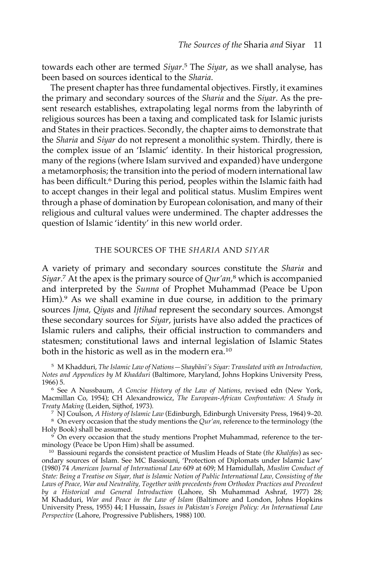towards each other are termed *Siyar*. <sup>5</sup> The *Siyar*, as we shall analyse, has been based on sources identical to the *Sharia*.

The present chapter has three fundamental objectives. Firstly, it examines the primary and secondary sources of the *Sharia* and the *Siyar*. As the present research establishes, extrapolating legal norms from the labyrinth of religious sources has been a taxing and complicated task for Islamic jurists and States in their practices. Secondly, the chapter aims to demonstrate that the *Sharia* and *Siyar* do not represent a monolithic system. Thirdly, there is the complex issue of an 'Islamic' identity. In their historical progression, many of the regions (where Islam survived and expanded) have undergone a metamorphosis; the transition into the period of modern international law has been difficult.<sup>6</sup> During this period, peoples within the Islamic faith had to accept changes in their legal and political status. Muslim Empires went through a phase of domination by European colonisation, and many of their religious and cultural values were undermined. The chapter addresses the question of Islamic 'identity' in this new world order.

#### THE SOURCES OF THE *SHARIA* AND *SIYAR*

A variety of primary and secondary sources constitute the *Sharia* and *Siyar*. <sup>7</sup> At the apex is the primary source of *Qur'an,*<sup>8</sup> which is accompanied and interpreted by the *Sunna* of Prophet Muhammad (Peace be Upon Him).<sup>9</sup> As we shall examine in due course, in addition to the primary sources *Ijma, Qiyas* and *Ijtihad* represent the secondary sources. Amongst these secondary sources for *Siyar*, jurists have also added the practices of Islamic rulers and caliphs, their official instruction to commanders and statesmen; constitutional laws and internal legislation of Islamic States both in the historic as well as in the modern era.<sup>10</sup>

<sup>5</sup> M Khadduri, *The Islamic Law of Nations* - Shaybānī's Siyar: Translated with an Introduction, *Notes and Appendices by M Khadduri* (Baltimore, Maryland, Johns Hopkins University Press, 1966) 5.

<sup>6</sup> See A Nussbaum, *A Concise History of the Law of Nations*, revised edn (New York, Macmillan Co, 1954); CH Alexandrowicz, *The European-African Confrontation: A Study in Treaty Making* (Leiden, Sijthof, 1973).

<sup>7</sup> NJ Coulson, *A History of Islamic Law* (Edinburgh, Edinburgh University Press, 1964) 9–20.

<sup>8</sup> On every occasion that the study mentions the *Qur'an*, reference to the terminology (the Holy Book) shall be assumed.

On every occasion that the study mentions Prophet Muhammad, reference to the terminology (Peace be Upon Him) shall be assumed.

<sup>10</sup> Bassiouni regards the consistent practice of Muslim Heads of State (*the Khalifas*) as secondary sources of Islam. See MC Bassiouni, 'Protection of Diplomats under Islamic Law' (1980) 74 *American Journal of International Law* 609 at 609; M Hamidullah, *Muslim Conduct of State: Being a Treatise on Siyar, that is Islamic Notion of Public International Law, Consisting of the Laws of Peace, War and Neutrality, Together with precedents from Orthodox Practices and Precedent by a Historical and General Introduction* (Lahore, Sh Muhammad Ashraf, 1977) 28; M Khadduri, *War and Peace in the Law of Islam* (Baltimore and London, Johns Hopkins University Press, 1955) 44; I Hussain, *Issues in Pakistan's Foreign Policy: An International Law Perspective* (Lahore, Progressive Publishers, 1988) 100.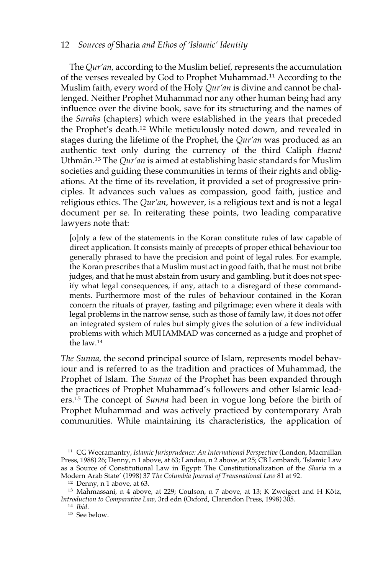#### 12 *Sources of* Sharia *and Ethos of 'Islamic' Identity*

The *Qur'an,* according to the Muslim belief, represents the accumulation of the verses revealed by God to Prophet Muhammad.11 According to the Muslim faith, every word of the Holy *Qur'an* is divine and cannot be challenged. Neither Prophet Muhammad nor any other human being had any influence over the divine book, save for its structuring and the names of the *Surahs* (chapters) which were established in the years that preceded the Prophet's death.<sup>12</sup> While meticulously noted down, and revealed in stages during the lifetime of the Prophet, the *Qur'an* was produced as an authentic text only during the currency of the third Caliph *Hazrat* Uthmān.<sup>13</sup> The *Qur'an* is aimed at establishing basic standards for Muslim societies and guiding these communities in terms of their rights and obligations. At the time of its revelation, it provided a set of progressive principles. It advances such values as compassion, good faith, justice and religious ethics. The *Qur'an*, however, is a religious text and is not a legal document per se. In reiterating these points, two leading comparative lawyers note that:

[o]nly a few of the statements in the Koran constitute rules of law capable of direct application. It consists mainly of precepts of proper ethical behaviour too generally phrased to have the precision and point of legal rules. For example, the Koran prescribes that a Muslim must act in good faith, that he must not bribe judges, and that he must abstain from usury and gambling, but it does not specify what legal consequences, if any, attach to a disregard of these commandments. Furthermore most of the rules of behaviour contained in the Koran concern the rituals of prayer, fasting and pilgrimage; even where it deals with legal problems in the narrow sense, such as those of family law, it does not offer an integrated system of rules but simply gives the solution of a few individual problems with which MUHAMMAD was concerned as a judge and prophet of the law.14

*The Sunna,* the second principal source of Islam, represents model behaviour and is referred to as the tradition and practices of Muhammad, the Prophet of Islam. The *Sunna* of the Prophet has been expanded through the practices of Prophet Muhammad's followers and other Islamic leaders.15 The concept of *Sunna* had been in vogue long before the birth of Prophet Muhammad and was actively practiced by contemporary Arab communities. While maintaining its characteristics, the application of

<sup>11</sup> CG Weeramantry, *Islamic Jurisprudence: An International Perspective* (London, Macmillan Press, 1988) 26; Denny, n 1 above, at 63; Landau, n 2 above, at 25; CB Lombardi, 'Islamic Law as a Source of Constitutional Law in Egypt: The Constitutionalization of the *Sharia* in a Modern Arab State' (1998) 37 *The Columbia Journal of Transnational Law* 81 at 92.

<sup>12</sup> Denny, n 1 above, at 63.

<sup>13</sup> Mahmassani, n 4 above, at 229; Coulson, n 7 above, at 13; K Zweigert and H Kötz, *Introduction to Comparative Law,* 3rd edn (Oxford, Clarendon Press, 1998) 305.

<sup>14</sup> *Ibid.*

<sup>15</sup> See below.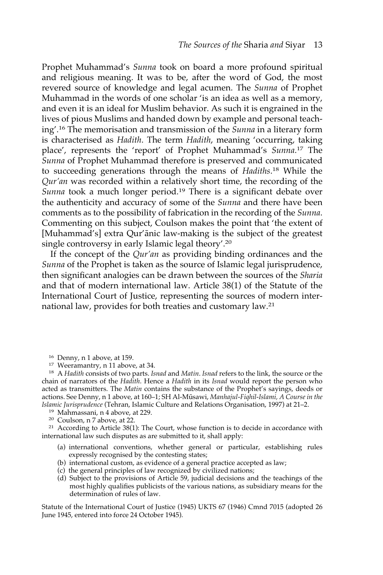Prophet Muhammad's *Sunna* took on board a more profound spiritual and religious meaning. It was to be, after the word of God, the most revered source of knowledge and legal acumen. The *Sunna* of Prophet Muhammad in the words of one scholar 'is an idea as well as a memory, and even it is an ideal for Muslim behavior. As such it is engrained in the lives of pious Muslims and handed down by example and personal teaching'.<sup>16</sup> The memorisation and transmission of the *Sunna* in a literary form is characterised as *Hadith*. The term *Hadith*, meaning 'occurring, taking place', represents the 'report' of Prophet Muhammad's *Sunna*. <sup>17</sup> The *Sunna* of Prophet Muhammad therefore is preserved and communicated to succeeding generations through the means of *Hadiths*. <sup>18</sup> While the *Qur'an* was recorded within a relatively short time, the recording of the *Sunna* took a much longer period.19 There is a significant debate over the authenticity and accuracy of some of the *Sunna* and there have been comments as to the possibility of fabrication in the recording of the *Sunna*. Commenting on this subject, Coulson makes the point that 'the extent of [Muhammad's] extra Our'anic law-making is the subject of the greatest single controversy in early Islamic legal theory'.20

If the concept of the *Qur'an* as providing binding ordinances and the *Sunna* of the Prophet is taken as the source of Islamic legal jurisprudence, then significant analogies can be drawn between the sources of the *Sharia* and that of modern international law. Article 38(1) of the Statute of the International Court of Justice, representing the sources of modern international law, provides for both treaties and customary law.21

<sup>18</sup> A *Hadith* consists of two parts. *Isnad* and *Matin*. *Isnad* refers to the link, the source or the chain of narrators of the *Hadith*. Hence a *Hadith* in its *Isnad* would report the person who acted as transmitters. The *Matin* contains the substance of the Prophet's sayings, deeds or actions. See Denny, n 1 above, at 160-1; SH Al-Mūsawi, *Manhajul-Fiqhil-Islami*, A Course in the *Islamic Jurisprudence* (Tehran, Islamic Culture and Relations Organisation, 1997) at 21–2.

- <sup>19</sup> Mahmassani, n 4 above, at 229.
- <sup>20</sup> Coulson, n 7 above, at 22.

 $^{21}$  According to Article 38(1): The Court, whose function is to decide in accordance with international law such disputes as are submitted to it, shall apply:

- (a) international conventions, whether general or particular, establishing rules expressly recognised by the contesting states;
- (b) international custom, as evidence of a general practice accepted as law;
- (c) the general principles of law recognized by civilized nations;
- (d) Subject to the provisions of Article 59, judicial decisions and the teachings of the most highly qualifies publicists of the various nations, as subsidiary means for the determination of rules of law.

Statute of the International Court of Justice (1945) UKTS 67 (1946) Cmnd 7015 (adopted 26 June 1945, entered into force 24 October 1945).

<sup>16</sup> Denny, n 1 above, at 159.

<sup>17</sup> Weeramantry, n 11 above, at 34.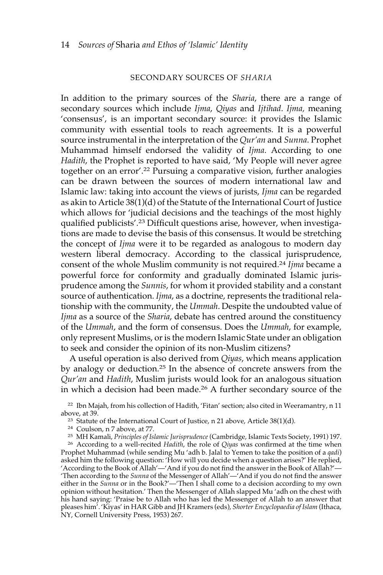#### SECONDARY SOURCES OF *SHARIA*

In addition to the primary sources of the *Sharia*, there are a range of secondary sources which include *Ijma*, *Qiyas* and *Ijtihad*. *Ijma,* meaning 'consensus', is an important secondary source: it provides the Islamic community with essential tools to reach agreements. It is a powerful source instrumental in the interpretation of the *Qur'an* and *Sunna*. Prophet Muhammad himself endorsed the validity of *Ijma*. According to one *Hadith*, the Prophet is reported to have said, 'My People will never agree together on an error'.22 Pursuing a comparative vision, further analogies can be drawn between the sources of modern international law and Islamic law: taking into account the views of jurists, *Ijma* can be regarded as akin to Article 38(1)(d) of the Statute of the International Court of Justice which allows for 'judicial decisions and the teachings of the most highly qualified publicists'.23 Difficult questions arise, however, when investigations are made to devise the basis of this consensus. It would be stretching the concept of *Ijma* were it to be regarded as analogous to modern day western liberal democracy. According to the classical jurisprudence, consent of the whole Muslim community is not required.24 *Ijma* became a powerful force for conformity and gradually dominated Islamic jurisprudence among the *Sunnis*, for whom it provided stability and a constant source of authentication. *Ijma*, as a doctrine, represents the traditional relationship with the community, the *Ummah*. Despite the undoubted value of *Ijma* as a source of the *Sharia*, debate has centred around the constituency of the *Ummah*, and the form of consensus. Does the *Ummah*, for example, only represent Muslims, or is the modern Islamic State under an obligation to seek and consider the opinion of its non-Muslim citizens?

A useful operation is also derived from *Qiyas*, which means application by analogy or deduction.25 In the absence of concrete answers from the *Qur'an* and *Hadith*, Muslim jurists would look for an analogous situation in which a decision had been made.<sup>26</sup> A further secondary source of the

<sup>22</sup> Ibn Majah, from his collection of Hadith, 'Fitan' section; also cited in Weeramantry, n 11 above, at 39.

<sup>&</sup>lt;sup>23</sup> Statute of the International Court of Justice, n 21 above, Article  $38(1)(d)$ .

<sup>24</sup> Coulson, n 7 above, at 77.

<sup>25</sup> MH Kamali, *Principles of Islamic Jurisprudence* (Cambridge, Islamic Texts Society, 1991) 197.

<sup>26</sup> According to a well-recited *Hadith*, the role of *Qiyas* was confirmed at the time when Prophet Muhammad (while sending Mu 'adh b. Jalal to Yemen to take the position of a *qadi*) asked him the following question: 'How will you decide when a question arises?' He replied, 'According to the Book of Allah'—'And if you do not find the answer in the Book of Allah?'— 'Then according to the *Sunna* of the Messenger of Allah'—'And if you do not find the answer either in the *Sunna* or in the Book?'—'Then I shall come to a decision according to my own opinion without hesitation.' Then the Messenger of Allah slapped Mu 'adh on the chest with his hand saying: 'Praise be to Allah who has led the Messenger of Allah to an answer that pleases him'. 'Kiyas' in HAR Gibb and JH Kramers (eds), *Shorter Encyclopaedia of Islam* (Ithaca, NY, Cornell University Press, 1953) 267.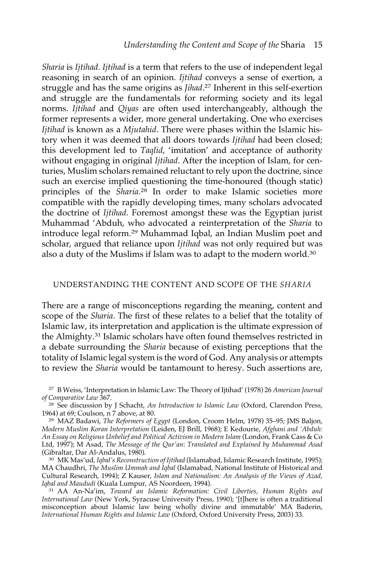*Sharia* is *Ijtihad*. *Ijtihad* is a term that refers to the use of independent legal reasoning in search of an opinion. *Ijtihad* conveys a sense of exertion, a struggle and has the same origins as *Jihad*. <sup>27</sup> Inherent in this self-exertion and struggle are the fundamentals for reforming society and its legal norms. *Ijtihad* and *Qiyas* are often used interchangeably, although the former represents a wider, more general undertaking. One who exercises *Ijtihad* is known as a *Mjutahid*. There were phases within the Islamic history when it was deemed that all doors towards *Ijtihad* had been closed; this development led to *Taqlid*, 'imitation' and acceptance of authority without engaging in original *Ijtihad*. After the inception of Islam, for centuries, Muslim scholars remained reluctant to rely upon the doctrine, since such an exercise implied questioning the time-honoured (though static) principles of the *Sharia*. <sup>28</sup> In order to make Islamic societies more compatible with the rapidly developing times, many scholars advocated the doctrine of *Ijtihad*. Foremost amongst these was the Egyptian jurist Muhammad 'Abduh, who advocated a reinterpretation of the *Sharia* to introduce legal reform.<sup>29</sup> Muhammad Iqbal, an Indian Muslim poet and scholar, argued that reliance upon *Ijtihad* was not only required but was also a duty of the Muslims if Islam was to adapt to the modern world.30

#### UNDERSTANDING THE CONTENT AND SCOPE OF THE *SHARIA*

There are a range of misconceptions regarding the meaning, content and scope of the *Sharia*. The first of these relates to a belief that the totality of Islamic law, its interpretation and application is the ultimate expression of the Almighty.<sup>31</sup> Islamic scholars have often found themselves restricted in a debate surrounding the *Sharia* because of existing perceptions that the totality of Islamic legal system is the word of God. Any analysis or attempts to review the *Sharia* would be tantamount to heresy. Such assertions are,

<sup>30</sup> MK Mas'ud, *Iqbal's Reconstruction of Ijtihad* (Islamabad, Islamic Research Institute, 1995); MA Chaudhri, *The Muslim Ummah and Iqbal* (Islamabad, National Institute of Historical and Cultural Research, 1994); Z Kauser, *Islam and Nationalism: An Analysis of the Views of Azad, Iqbal and Maududi* (Kuala Lumpur, AS Noordeen, 1994).

<sup>31</sup> AA An-Na'im, *Toward an Islamic Reformation: Civil Liberties, Human Rights and International Law* (New York, Syracuse University Press, 1990); '[t]here is often a traditional misconception about Islamic law being wholly divine and immutable' MA Baderin, *International Human Rights and Islamic Law* (Oxford, Oxford University Press, 2003) 33.

<sup>27</sup> B Weiss, 'Interpretation in Islamic Law: The Theory of Ijtihad' (1978) 26 *American Journal of Comparative Law* 367.

<sup>28</sup> See discussion by J Schacht, *An Introduction to Islamic Law* (Oxford, Clarendon Press, 1964) at 69; Coulson, n 7 above, at 80.

<sup>29</sup> MAZ Badawi, *The Reformers of Egypt* (London, Croom Helm, 1978) 35–95; JMS Baljon, *Modern Muslim Koran Interpretation* (Leiden, EJ Brill, 1968); E Kedourie, *Afghani and 'Abduh: An Essay on Religious Unbelief and Political Activism in Modern Islam* (London, Frank Cass & Co Ltd, 1997); M Asad, *The Message of the Qur'an*: *Translated and Explained by Muhammad Asad* (Gibraltar, Dar Al-Andalus, 1980).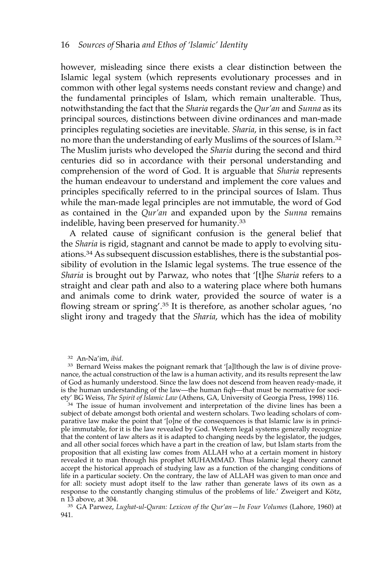however, misleading since there exists a clear distinction between the Islamic legal system (which represents evolutionary processes and in common with other legal systems needs constant review and change) and the fundamental principles of Islam, which remain unalterable. Thus, notwithstanding the fact that the *Sharia* regards the *Qur'an* and *Sunna* as its principal sources, distinctions between divine ordinances and man-made principles regulating societies are inevitable. *Sharia*, in this sense, is in fact no more than the understanding of early Muslims of the sources of Islam.32 The Muslim jurists who developed the *Sharia* during the second and third centuries did so in accordance with their personal understanding and comprehension of the word of God. It is arguable that *Sharia* represents the human endeavour to understand and implement the core values and principles specifically referred to in the principal sources of Islam. Thus while the man-made legal principles are not immutable, the word of God as contained in the *Qur'an* and expanded upon by the *Sunna* remains indelible, having been preserved for humanity.<sup>33</sup>

A related cause of significant confusion is the general belief that the *Sharia* is rigid, stagnant and cannot be made to apply to evolving situations.34 As subsequent discussion establishes, there is the substantial possibility of evolution in the Islamic legal systems. The true essence of the *Sharia* is brought out by Parwaz, who notes that '[t]he *Sharia* refers to a straight and clear path and also to a watering place where both humans and animals come to drink water, provided the source of water is a flowing stream or spring'.35 It is therefore, as another scholar agues, 'no slight irony and tragedy that the *Sharia*, which has the idea of mobility

<sup>32</sup> An-Na'im, *ibid*.

<sup>33</sup> Bernard Weiss makes the poignant remark that '[a]lthough the law is of divine provenance, the actual construction of the law is a human activity, and its results represent the law of God as humanly understood. Since the law does not descend from heaven ready-made, it is the human understanding of the law—the human fiqh—that must be normative for society' BG Weiss, *The Spirit of Islamic Law* (Athens, GA, University of Georgia Press, 1998) 116.

<sup>34</sup> The issue of human involvement and interpretation of the divine lines has been a subject of debate amongst both oriental and western scholars. Two leading scholars of comparative law make the point that '[o]ne of the consequences is that Islamic law is in principle immutable, for it is the law revealed by God. Western legal systems generally recognize that the content of law alters as it is adapted to changing needs by the legislator, the judges, and all other social forces which have a part in the creation of law, but Islam starts from the proposition that all existing law comes from ALLAH who at a certain moment in history revealed it to man through his prophet MUHAMMAD. Thus Islamic legal theory cannot accept the historical approach of studying law as a function of the changing conditions of life in a particular society. On the contrary, the law of ALLAH was given to man once and for all: society must adopt itself to the law rather than generate laws of its own as a response to the constantly changing stimulus of the problems of life.' Zweigert and Kötz, n 13 above, at 304.

<sup>35</sup> GA Parwez, *Lughat-ul-Quran: Lexicon of the Qur'an—In Four Volumes* (Lahore, 1960) at 941.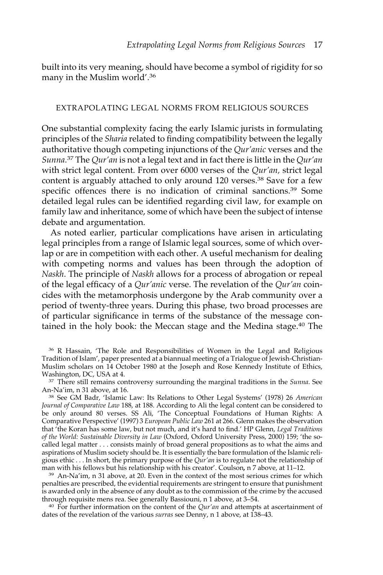built into its very meaning, should have become a symbol of rigidity for so many in the Muslim world'.36

#### EXTRAPOLATING LEGAL NORMS FROM RELIGIOUS SOURCES

One substantial complexity facing the early Islamic jurists in formulating principles of the *Sharia* related to finding compatibility between the legally authoritative though competing injunctions of the *Qur'anic* verses and the *Sunna*. <sup>37</sup> The *Qur'an* is not a legal text and in fact there is little in the *Qur'an* with strict legal content. From over 6000 verses of the *Qur'an,* strict legal content is arguably attached to only around 120 verses.<sup>38</sup> Save for a few specific offences there is no indication of criminal sanctions.39 Some detailed legal rules can be identified regarding civil law, for example on family law and inheritance, some of which have been the subject of intense debate and argumentation.

As noted earlier, particular complications have arisen in articulating legal principles from a range of Islamic legal sources, some of which overlap or are in competition with each other. A useful mechanism for dealing with competing norms and values has been through the adoption of *Naskh*. The principle of *Naskh* allows for a process of abrogation or repeal of the legal efficacy of a *Qur'anic* verse. The revelation of the *Qur'an* coincides with the metamorphosis undergone by the Arab community over a period of twenty-three years. During this phase, two broad processes are of particular significance in terms of the substance of the message contained in the holy book: the Meccan stage and the Medina stage.<sup>40</sup> The

<sup>36</sup> R Hassain, 'The Role and Responsibilities of Women in the Legal and Religious Tradition of Islam', paper presented at a biannual meeting of a Trialogue of Jewish-Christian-Muslim scholars on 14 October 1980 at the Joseph and Rose Kennedy Institute of Ethics, Washington, DC, USA at 4.

<sup>37</sup> There still remains controversy surrounding the marginal traditions in the *Sunna*. See An-Na'im, n 31 above, at 16.

<sup>38</sup> See GM Badr, 'Islamic Law: Its Relations to Other Legal Systems' (1978) 26 *American Journal of Comparative Law* 188, at 188. According to Ali the legal content can be considered to be only around 80 verses. SS Ali, 'The Conceptual Foundations of Human Rights: A Comparative Perspective' (1997) 3 *European Public Law* 261 at 266. Glenn makes the observation that 'the Koran has some law, but not much, and it's hard to find.' HP Glenn, *Legal Traditions of the World: Sustainable Diversity in Law* (Oxford, Oxford University Press, 2000) 159; 'the socalled legal matter . . . consists mainly of broad general propositions as to what the aims and aspirations of Muslim society should be. It is essentially the bare formulation of the Islamic religious ethic . . . In short, the primary purpose of the *Qur'an* is to regulate not the relationship of

<sup>39</sup> An-Na'im, n 31 above, at 20. Even in the context of the most serious crimes for which penalties are prescribed, the evidential requirements are stringent to ensure that punishment is awarded only in the absence of any doubt as to the commission of the crime by the accused through requisite mens rea. See generally Bassiouni, n 1 above, at 3–54.

<sup>40</sup> For further information on the content of the *Qur'an* and attempts at ascertainment of dates of the revelation of the various *surras* see Denny, n 1 above, at 138–43.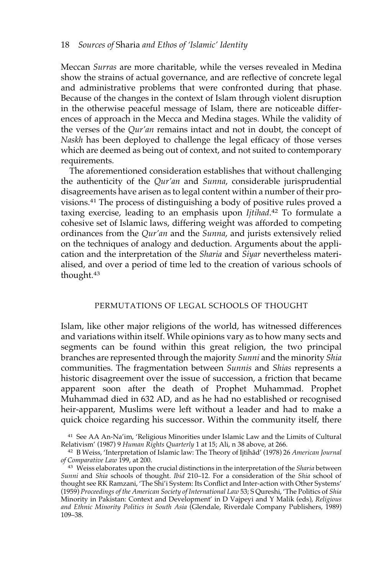Meccan *Surras* are more charitable, while the verses revealed in Medina show the strains of actual governance, and are reflective of concrete legal and administrative problems that were confronted during that phase. Because of the changes in the context of Islam through violent disruption in the otherwise peaceful message of Islam, there are noticeable differences of approach in the Mecca and Medina stages. While the validity of the verses of the *Qur'an* remains intact and not in doubt, the concept of *Naskh* has been deployed to challenge the legal efficacy of those verses which are deemed as being out of context, and not suited to contemporary requirements.

The aforementioned consideration establishes that without challenging the authenticity of the *Qur'an* and *Sunna*, considerable jurisprudential disagreements have arisen as to legal content within a number of their provisions.41 The process of distinguishing a body of positive rules proved a taxing exercise, leading to an emphasis upon *Ijtihad*. <sup>42</sup> To formulate a cohesive set of Islamic laws, differing weight was afforded to competing ordinances from the *Qur'an* and the *Sunna*, and jurists extensively relied on the techniques of analogy and deduction. Arguments about the application and the interpretation of the *Sharia* and *Siyar* nevertheless materialised, and over a period of time led to the creation of various schools of thought.<sup>43</sup>

## PERMUTATIONS OF LEGAL SCHOOLS OF THOUGHT

Islam, like other major religions of the world, has witnessed differences and variations within itself. While opinions vary as to how many sects and segments can be found within this great religion, the two principal branches are represented through the majority *Sunni* and the minority *Shia* communities. The fragmentation between *Sunnis* and *Shias* represents a historic disagreement over the issue of succession, a friction that became apparent soon after the death of Prophet Muhammad. Prophet Muhammad died in 632 AD, and as he had no established or recognised heir-apparent, Muslims were left without a leader and had to make a quick choice regarding his successor. Within the community itself, there

<sup>41</sup> See AA An-Na'im, 'Religious Minorities under Islamic Law and the Limits of Cultural Relativism' (1987) 9 *Human Rights Quarterly* 1 at 15; Ali, n 38 above, at 266.

<sup>42</sup> B Weiss, 'Interpretation of Islamic law: The Theory of Ijtihâd' (1978) 26 *American Journal of Comparative Law* 199, at 200.

<sup>43</sup> Weiss elaborates upon the crucial distinctions in the interpretation of the *Sharia* between *Sunni* and *Shia* schools of thought. *Ibid* 210–12. For a consideration of the *Shia* school of thought see RK Ramzani, 'The Shi'i System: Its Conflict and Inter-action with Other Systems' (1959) *Proceedings of the American Society of International Law* 53; S Qureshi, 'The Politics of *Shia* Minority in Pakistan: Context and Development' in D Vajpeyi and Y Malik (eds), *Religious and Ethnic Minority Politics in South Asia* (Glendale, Riverdale Company Publishers, 1989) 109–38.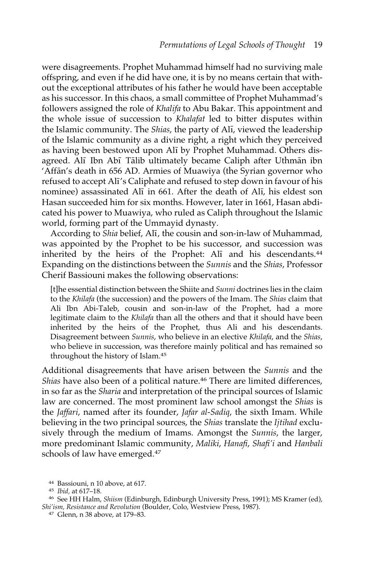were disagreements. Prophet Muhammad himself had no surviving male offspring, and even if he did have one, it is by no means certain that without the exceptional attributes of his father he would have been acceptable as his successor. In this chaos, a small committee of Prophet Muhammad's followers assigned the role of *Khalifa* to Abu Bakar. This appointment and the whole issue of succession to *Khalafat* led to bitter disputes within the Islamic community. The *Shias*, the party of Alı–, viewed the leadership of the Islamic community as a divine right, a right which they perceived as having been bestowed upon Ali by Prophet Muhammad. Others disagreed. Alī– Ibn Abī– Tālib ultimately became Caliph after Uthmān ibn 'Affan's death in 656 AD. Armies of Muawiya (the Syrian governor who refused to accept Alī's Caliphate and refused to step down in favour of his nominee) assassinated Ali in 661. After the death of Ali, his eldest son Hasan succeeded him for six months. However, later in 1661, Hasan abdicated his power to Muawiya, who ruled as Caliph throughout the Islamic world, forming part of the Ummayid dynasty.

According to *Shia* belief, Alī, the cousin and son-in-law of Muhammad, was appointed by the Prophet to be his successor, and succession was inherited by the heirs of the Prophet: Alī and his descendants.<sup>44</sup> Expanding on the distinctions between the *Sunnis* and the *Shias*, Professor Cherif Bassiouni makes the following observations:

[t]he essential distinction between the Shiite and *Sunni* doctrines lies in the claim to the *Khilafa* (the succession) and the powers of the Imam. The *Shias* claim that Ali Ibn Abi-Taleb, cousin and son-in-law of the Prophet, had a more legitimate claim to the *Khilafa* than all the others and that it should have been inherited by the heirs of the Prophet, thus Ali and his descendants. Disagreement between *Sunnis*, who believe in an elective *Khilafa*, and the *Shias*, who believe in succession, was therefore mainly political and has remained so throughout the history of Islam.45

Additional disagreements that have arisen between the *Sunnis* and the *Shias* have also been of a political nature.<sup>46</sup> There are limited differences, in so far as the *Sharia* and interpretation of the principal sources of Islamic law are concerned. The most prominent law school amongst the *Shias* is the *Jaffari*, named after its founder, *Jafar al-Sadiq*, the sixth Imam. While believing in the two principal sources, the *Shias* translate the *Ijtihad* exclusively through the medium of Imams. Amongst the *Sunnis*, the larger, more predominant Islamic community, *Maliki*, *Hanafi*, *Shafi'i* and *Hanbali* schools of law have emerged.<sup>47</sup>

<sup>44</sup> Bassiouni, n 10 above, at 617.

<sup>45</sup> *Ibid,* at 617–18.

<sup>46</sup> See HH Halm, *Shiism* (Edinburgh, Edinburgh University Press, 1991); MS Kramer (ed), *Shi'ism, Resistance and Revolution* (Boulder, Colo, Westview Press, 1987).

<sup>47</sup> Glenn, n 38 above, at 179–83.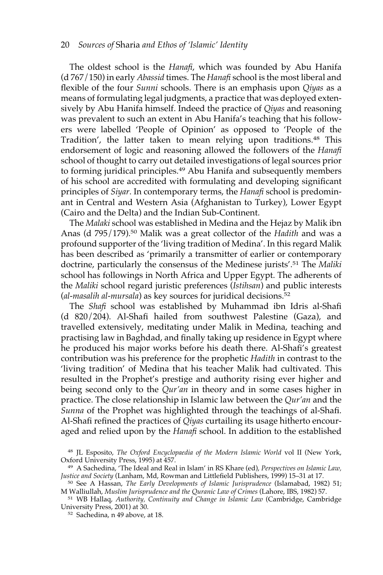#### 20 *Sources of* Sharia *and Ethos of 'Islamic' Identity*

The oldest school is the *Hanafi*, which was founded by Abu Hanifa (d 767/150) in early *Abassid* times. The *Hanafi* school is the most liberal and flexible of the four *Sunni* schools. There is an emphasis upon *Qiyas* as a means of formulating legal judgments, a practice that was deployed extensively by Abu Hanifa himself. Indeed the practice of *Qiyas* and reasoning was prevalent to such an extent in Abu Hanifa's teaching that his followers were labelled 'People of Opinion' as opposed to 'People of the Tradition', the latter taken to mean relying upon traditions.<sup>48</sup> This endorsement of logic and reasoning allowed the followers of the *Hanafi* school of thought to carry out detailed investigations of legal sources prior to forming juridical principles.<sup>49</sup> Abu Hanifa and subsequently members of his school are accredited with formulating and developing significant principles of *Siyar*. In contemporary terms, the *Hanafi* school is predominant in Central and Western Asia (Afghanistan to Turkey), Lower Egypt (Cairo and the Delta) and the Indian Sub-Continent.

The *Malaki* school was established in Medina and the Hejaz by Malik ibn Anas (d 795/179).50 Malik was a great collector of the *Hadith* and was a profound supporter of the 'living tradition of Medina'. In this regard Malik has been described as 'primarily a transmitter of earlier or contemporary doctrine, particularly the consensus of the Medinese jurists'.51 The *Maliki* school has followings in North Africa and Upper Egypt. The adherents of the *Maliki* school regard juristic preferences (*Istihsan*) and public interests (*al-masalih al-mursala*) as key sources for juridical decisions.52

The *Shafi* school was established by Muhammad ibn Idris al-Shafi (d 820/204). Al-Shafi hailed from southwest Palestine (Gaza), and travelled extensively, meditating under Malik in Medina, teaching and practising law in Baghdad, and finally taking up residence in Egypt where he produced his major works before his death there. Al-Shafi's greatest contribution was his preference for the prophetic *Hadith* in contrast to the 'living tradition' of Medina that his teacher Malik had cultivated. This resulted in the Prophet's prestige and authority rising ever higher and being second only to the *Qur'an* in theory and in some cases higher in practice. The close relationship in Islamic law between the *Qur'an* and the *Sunna* of the Prophet was highlighted through the teachings of al-Shafi. Al-Shafi refined the practices of *Qiyas* curtailing its usage hitherto encouraged and relied upon by the *Hanafi* school. In addition to the established

<sup>48</sup> JL Esposito, *The Oxford Encyclopaedia of the Modern Islamic World* vol II (New York, Oxford University Press, 1995) at 457.

<sup>49</sup> A Sachedina, 'The Ideal and Real in Islam' in RS Khare (ed), *Perspectives on Islamic Law, Justice and Society* (Lanham, Md, Rowman and Littlefield Publishers, 1999) 15–31 at 17.

<sup>50</sup> See A Hassan, *The Early Developments of Islamic Jurisprudence* (Islamabad, 1982) 51; M Walliullah, *Muslim Jurisprudence and the Quranic Law of Crimes* (Lahore, IBS, 1982) 57.

<sup>51</sup> WB Hallaq, *Authority, Continuity and Change in Islamic Law* (Cambridge, Cambridge University Press, 2001) at 30.

<sup>52</sup> Sachedina, n 49 above, at 18.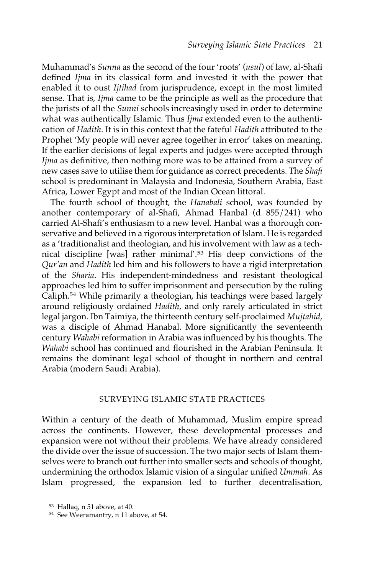Muhammad's *Sunna* as the second of the four 'roots' (*usul*) of law, al-Shafi defined *Ijma* in its classical form and invested it with the power that enabled it to oust *Ijtihad* from jurisprudence, except in the most limited sense. That is, *Ijma* came to be the principle as well as the procedure that the jurists of all the *Sunni* schools increasingly used in order to determine what was authentically Islamic. Thus *Ijma* extended even to the authentication of *Hadith*. It is in this context that the fateful *Hadith* attributed to the Prophet 'My people will never agree together in error' takes on meaning. If the earlier decisions of legal experts and judges were accepted through *Ijma* as definitive, then nothing more was to be attained from a survey of new cases save to utilise them for guidance as correct precedents. The *Shafi* school is predominant in Malaysia and Indonesia, Southern Arabia, East Africa, Lower Egypt and most of the Indian Ocean littoral.

The fourth school of thought, the *Hanabali* school, was founded by another contemporary of al-Shafi, Ahmad Hanbal (d 855/241) who carried Al-Shafi's enthusiasm to a new level. Hanbal was a thorough conservative and believed in a rigorous interpretation of Islam. He is regarded as a 'traditionalist and theologian, and his involvement with law as a technical discipline [was] rather minimal'.53 His deep convictions of the *Qur'an* and *Hadith* led him and his followers to have a rigid interpretation of the *Sharia*. His independent-mindedness and resistant theological approaches led him to suffer imprisonment and persecution by the ruling Caliph.<sup>54</sup> While primarily a theologian, his teachings were based largely around religiously ordained *Hadith*, and only rarely articulated in strict legal jargon. Ibn Taimiya, the thirteenth century self-proclaimed *Mujtahid*, was a disciple of Ahmad Hanabal. More significantly the seventeenth century *Wahabi* reformation in Arabia was influenced by his thoughts. The *Wahabi* school has continued and flourished in the Arabian Peninsula. It remains the dominant legal school of thought in northern and central Arabia (modern Saudi Arabia).

#### SURVEYING ISLAMIC STATE PRACTICES

Within a century of the death of Muhammad, Muslim empire spread across the continents. However, these developmental processes and expansion were not without their problems. We have already considered the divide over the issue of succession. The two major sects of Islam themselves were to branch out further into smaller sects and schools of thought, undermining the orthodox Islamic vision of a singular unified *Ummah*. As Islam progressed, the expansion led to further decentralisation,

<sup>53</sup> Hallaq, n 51 above, at 40.

<sup>54</sup> See Weeramantry, n 11 above, at 54.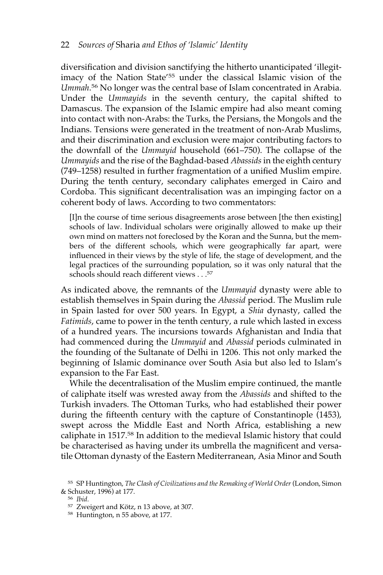diversification and division sanctifying the hitherto unanticipated 'illegitimacy of the Nation State'55 under the classical Islamic vision of the *Ummah*. <sup>56</sup> No longer was the central base of Islam concentrated in Arabia. Under the *Ummayids* in the seventh century, the capital shifted to Damascus. The expansion of the Islamic empire had also meant coming into contact with non-Arabs: the Turks, the Persians, the Mongols and the Indians. Tensions were generated in the treatment of non-Arab Muslims, and their discrimination and exclusion were major contributing factors to the downfall of the *Ummayid* household (661–750). The collapse of the *Ummayids* and the rise of the Baghdad-based *Abassids*in the eighth century (749–1258) resulted in further fragmentation of a unified Muslim empire. During the tenth century, secondary caliphates emerged in Cairo and Cordoba. This significant decentralisation was an impinging factor on a coherent body of laws. According to two commentators:

[I]n the course of time serious disagreements arose between [the then existing] schools of law. Individual scholars were originally allowed to make up their own mind on matters not foreclosed by the Koran and the Sunna, but the members of the different schools, which were geographically far apart, were influenced in their views by the style of life, the stage of development, and the legal practices of the surrounding population, so it was only natural that the schools should reach different views . . .57

As indicated above, the remnants of the *Ummayid* dynasty were able to establish themselves in Spain during the *Abassid* period. The Muslim rule in Spain lasted for over 500 years. In Egypt, a *Shia* dynasty, called the *Fatimids*, came to power in the tenth century, a rule which lasted in excess of a hundred years. The incursions towards Afghanistan and India that had commenced during the *Ummayid* and *Abassid* periods culminated in the founding of the Sultanate of Delhi in 1206. This not only marked the beginning of Islamic dominance over South Asia but also led to Islam's expansion to the Far East.

While the decentralisation of the Muslim empire continued, the mantle of caliphate itself was wrested away from the *Abassids* and shifted to the Turkish invaders. The Ottoman Turks, who had established their power during the fifteenth century with the capture of Constantinople (1453), swept across the Middle East and North Africa, establishing a new caliphate in 1517.<sup>58</sup> In addition to the medieval Islamic history that could be characterised as having under its umbrella the magnificent and versatile Ottoman dynasty of the Eastern Mediterranean, Asia Minor and South

<sup>&</sup>lt;sup>55</sup> SP Huntington, *The Clash of Civilizations and the Remaking of World Order* (London, Simon & Schuster, 1996) at 177.

<sup>56</sup> *Ibid.*

<sup>57</sup> Zweigert and Kötz, n 13 above, at 307.

<sup>58</sup> Huntington, n 55 above, at 177.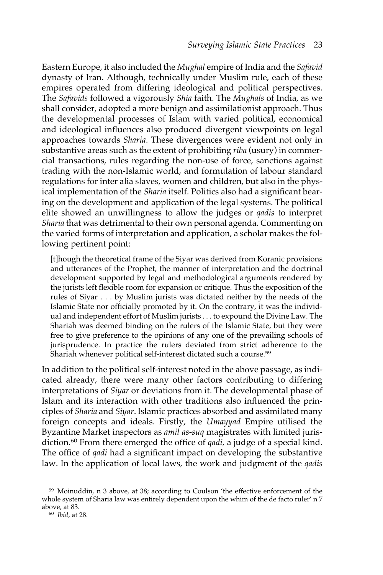Eastern Europe, it also included the *Mughal* empire of India and the *Safavid* dynasty of Iran. Although, technically under Muslim rule, each of these empires operated from differing ideological and political perspectives. The *Safavids* followed a vigorously *Shia* faith. The *Mughals* of India, as we shall consider, adopted a more benign and assimilationist approach. Thus the developmental processes of Islam with varied political, economical and ideological influences also produced divergent viewpoints on legal approaches towards *Sharia*. These divergences were evident not only in substantive areas such as the extent of prohibiting *riba* (usury) in commercial transactions, rules regarding the non-use of force, sanctions against trading with the non-Islamic world, and formulation of labour standard regulations for inter alia slaves, women and children, but also in the physical implementation of the *Sharia* itself. Politics also had a significant bearing on the development and application of the legal systems. The political elite showed an unwillingness to allow the judges or *qadis* to interpret *Sharia* that was detrimental to their own personal agenda. Commenting on the varied forms of interpretation and application, a scholar makes the following pertinent point:

[t]hough the theoretical frame of the Siyar was derived from Koranic provisions and utterances of the Prophet, the manner of interpretation and the doctrinal development supported by legal and methodological arguments rendered by the jurists left flexible room for expansion or critique. Thus the exposition of the rules of Siyar . . . by Muslim jurists was dictated neither by the needs of the Islamic State nor officially promoted by it. On the contrary, it was the individual and independent effort of Muslim jurists . . . to expound the Divine Law. The Shariah was deemed binding on the rulers of the Islamic State, but they were free to give preference to the opinions of any one of the prevailing schools of jurisprudence. In practice the rulers deviated from strict adherence to the Shariah whenever political self-interest dictated such a course.59

In addition to the political self-interest noted in the above passage, as indicated already, there were many other factors contributing to differing interpretations of *Siyar* or deviations from it. The developmental phase of Islam and its interaction with other traditions also influenced the principles of *Sharia* and *Siyar*. Islamic practices absorbed and assimilated many foreign concepts and ideals. Firstly, the *Umayyad* Empire utilised the Byzantine Market inspectors as *amil as-suq* magistrates with limited jurisdiction.60 From there emerged the office of *qadi,* a judge of a special kind. The office of *qadi* had a significant impact on developing the substantive law. In the application of local laws, the work and judgment of the *qadis*

<sup>59</sup> Moinuddin, n 3 above, at 38; according to Coulson 'the effective enforcement of the whole system of Sharia law was entirely dependent upon the whim of the de facto ruler' n 7 above, at 83.

<sup>60</sup> *Ibid*, at 28.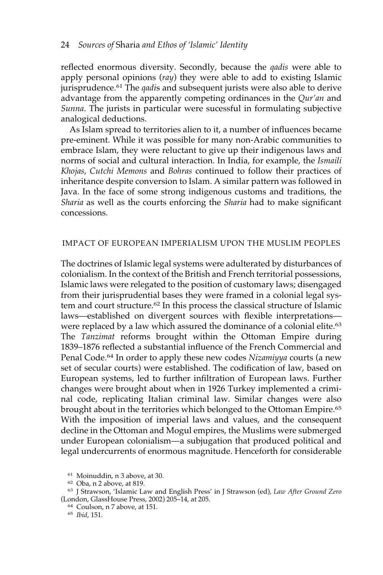reflected enormous diversity. Secondly, because the *qadis* were able to apply personal opinions (*ray*) they were able to add to existing Islamic jurisprudence.<sup>61</sup> The *qadi*s and subsequent jurists were also able to derive advantage from the apparently competing ordinances in the *Qur'an* and *Sunna*. The jurists in particular were sucessful in formulating subjective analogical deductions.

As Islam spread to territories alien to it, a number of influences became pre-eminent. While it was possible for many non-Arabic communities to embrace Islam, they were reluctant to give up their indigenous laws and norms of social and cultural interaction. In India, for example, the *Ismaili Khojas*, *Cutchi Memons* and *Bohras* continued to follow their practices of inheritance despite conversion to Islam. A similar pattern was followed in Java. In the face of some strong indigenous customs and traditions, the *Sharia* as well as the courts enforcing the *Sharia* had to make significant concessions.

### IMPACT OF EUROPEAN IMPERIALISM UPON THE MUSLIM PEOPLES

The doctrines of Islamic legal systems were adulterated by disturbances of colonialism. In the context of the British and French territorial possessions, Islamic laws were relegated to the position of customary laws; disengaged from their jurisprudential bases they were framed in a colonial legal system and court structure.62 In this process the classical structure of Islamic laws—established on divergent sources with flexible interpretations were replaced by a law which assured the dominance of a colonial elite.<sup>63</sup> The *Tanzimat* reforms brought within the Ottoman Empire during 1839–1876 reflected a substantial influence of the French Commercial and Penal Code.64 In order to apply these new codes *Nizamiyya* courts (a new set of secular courts) were established. The codification of law, based on European systems, led to further infiltration of European laws. Further changes were brought about when in 1926 Turkey implemented a criminal code, replicating Italian criminal law. Similar changes were also brought about in the territories which belonged to the Ottoman Empire.<sup>65</sup> With the imposition of imperial laws and values, and the consequent decline in the Ottoman and Mogul empires, the Muslims were submerged under European colonialism—a subjugation that produced political and legal undercurrents of enormous magnitude. Henceforth for considerable

<sup>65</sup> *Ibid*, 151.

<sup>61</sup> Moinuddin, n 3 above, at 30.

<sup>62</sup> Oba, n 2 above, at 819.

<sup>63</sup> J Strawson, 'Islamic Law and English Press' in J Strawson (ed), *Law After Ground Zero* (London, GlassHouse Press, 2002) 205–14, at 205.

<sup>64</sup> Coulson, n 7 above, at 151.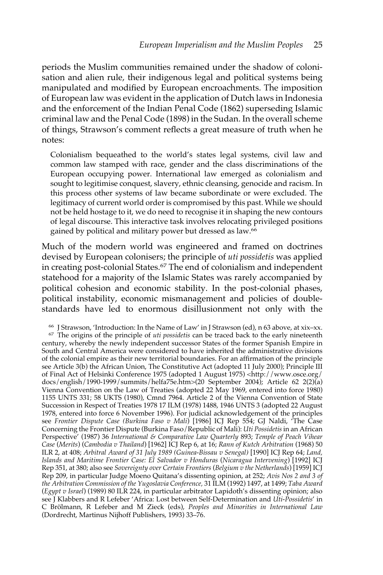periods the Muslim communities remained under the shadow of colonisation and alien rule, their indigenous legal and political systems being manipulated and modified by European encroachments. The imposition of European law was evident in the application of Dutch laws in Indonesia and the enforcement of the Indian Penal Code (1862) superseding Islamic criminal law and the Penal Code (1898) in the Sudan. In the overall scheme of things, Strawson's comment reflects a great measure of truth when he notes:

Colonialism bequeathed to the world's states legal systems, civil law and common law stamped with race, gender and the class discriminations of the European occupying power. International law emerged as colonialism and sought to legitimise conquest, slavery, ethnic cleansing, genocide and racism. In this process other systems of law became subordinate or were excluded. The legitimacy of current world order is compromised by this past. While we should not be held hostage to it, we do need to recognise it in shaping the new contours of legal discourse. This interactive task involves relocating privileged positions gained by political and military power but dressed as law.66

Much of the modern world was engineered and framed on doctrines devised by European colonisers; the principle of *uti possidetis* was applied in creating post-colonial States.<sup>67</sup> The end of colonialism and independent statehood for a majority of the Islamic States was rarely accompanied by political cohesion and economic stability. In the post-colonial phases, political instability, economic mismanagement and policies of doublestandards have led to enormous disillusionment not only with the

<sup>66</sup> J Strawson, 'Introduction: In the Name of Law' in J Strawson (ed), n 63 above, at xix–xx. <sup>67</sup> The origins of the principle of *uti possidetis* can be traced back to the early nineteenth century, whereby the newly independent successor States of the former Spanish Empire in South and Central America were considered to have inherited the administrative divisions of the colonial empire as their new territorial boundaries. For an affirmation of the principle see Article 3(b) the African Union, The Constitutive Act (adopted 11 July 2000); Principle III of Final Act of Helsinki Conference 1975 (adopted 1 August 1975) <http://www.osce.org/ docs/english/1990-1999/summits/helfa75e.htm>(20 September 2004); Article 62 2(2)(a) Vienna Convention on the Law of Treaties (adopted 22 May 1969, entered into force 1980) 1155 UNTS 331; 58 UKTS (1980), Cmnd 7964. Article 2 of the Vienna Convention of State Succession in Respect of Treaties 1978 17 ILM (1978) 1488, 1946 UNTS 3 (adopted 22 August 1978, entered into force 6 November 1996). For judicial acknowledgement of the principles see *Frontier Dispute Case (Burkina Faso v Mali*) [1986] ICJ Rep 554; GJ Naldi, 'The Case Concerning the Frontier Dispute (Burkina Faso/Republic of Mali): *Uti Possidetis*in an African Perspective' (1987) 36 *International & Comparative Law Quarterly* 893; *Temple of Peach Vihear Case* (*Merits*) (*Cambodia v Thailand*) [1962] ICJ Rep 6, at 16; *Rann of Kutch Arbitration* (1968) 50 ILR 2, at 408; *Arbitral Award of 31 July 1989 (Guinea-Bissau v Senegal)* [1990] ICJ Rep 64; *Land, Islands and Maritime Frontier Case: El Salvador v Honduras* (*Nicaragua Intervening*) [1992] ICJ Rep 351, at 380; also see *Sovereignty over Certain Frontiers* (*Belgium v the Netherlands*) [1959] ICJ Rep 209, in particular Judge Moeno Quitana's dissenting opinion, at 252; *Avis Nos 2 and 3 of the Arbitration Commission of the Yugoslavia Conference,* 31 ILM (1992) 1497, at 1499; *Taba Award* (*Egypt v Israel*) (1989) 80 ILR 224, in particular arbitrator Lapidoth's dissenting opinion; also see J Klabbers and R Lefeber 'Africa: Lost between Self-Determination and *Uti-Possidetis*' in C Brölmann, R Lefeber and M Zieck (eds), *Peoples and Minorities in International Law* (Dordrecht, Martinus Nijhoff Publishers, 1993) 33–76.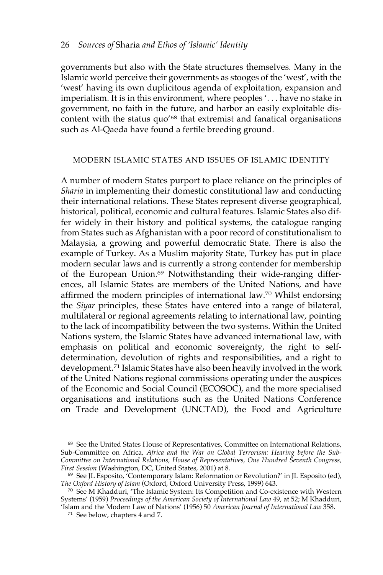governments but also with the State structures themselves. Many in the Islamic world perceive their governments as stooges of the 'west', with the 'west' having its own duplicitous agenda of exploitation, expansion and imperialism. It is in this environment, where peoples '. . . have no stake in government, no faith in the future, and harbor an easily exploitable discontent with the status quo'<sup>68</sup> that extremist and fanatical organisations such as Al-Qaeda have found a fertile breeding ground.

### MODERN ISLAMIC STATES AND ISSUES OF ISLAMIC IDENTITY

A number of modern States purport to place reliance on the principles of *Sharia* in implementing their domestic constitutional law and conducting their international relations. These States represent diverse geographical, historical, political, economic and cultural features. Islamic States also differ widely in their history and political systems, the catalogue ranging from States such as Afghanistan with a poor record of constitutionalism to Malaysia, a growing and powerful democratic State. There is also the example of Turkey. As a Muslim majority State, Turkey has put in place modern secular laws and is currently a strong contender for membership of the European Union.<sup>69</sup> Notwithstanding their wide-ranging differences, all Islamic States are members of the United Nations, and have affirmed the modern principles of international law.<sup>70</sup> Whilst endorsing the *Siyar* principles, these States have entered into a range of bilateral, multilateral or regional agreements relating to international law, pointing to the lack of incompatibility between the two systems. Within the United Nations system, the Islamic States have advanced international law, with emphasis on political and economic sovereignty, the right to selfdetermination, devolution of rights and responsibilities, and a right to development.<sup>71</sup> Islamic States have also been heavily involved in the work of the United Nations regional commissions operating under the auspices of the Economic and Social Council (ECOSOC), and the more specialised organisations and institutions such as the United Nations Conference on Trade and Development (UNCTAD), the Food and Agriculture

<sup>&</sup>lt;sup>68</sup> See the United States House of Representatives, Committee on International Relations, Sub-Committee on Africa, *Africa and the War on Global Terrorism: Hearing before the Sub-Committee on International Relations, House of Representatives, One Hundred Seventh Congress, First Session* (Washington, DC, United States, 2001) at 8.

<sup>69</sup> See JL Esposito, 'Contemporary Islam: Reformation or Revolution?' in JL Esposito (ed), *The Oxford History of Islam* (Oxford, Oxford University Press, 1999) 643.

<sup>70</sup> See M Khadduri, 'The Islamic System: Its Competition and Co-existence with Western Systems' (1959) *Proceedings of the American Society of International Law* 49, at 52; M Khadduri,

<sup>&#</sup>x27;Islam and the Modern Law of Nations' (1956) 50 *American Journal of International Law* 358.

<sup>71</sup> See below, chapters 4 and 7.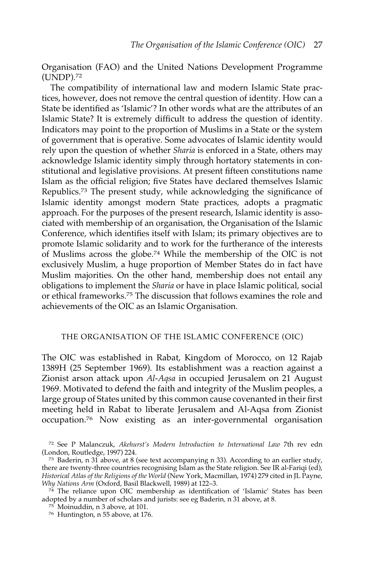Organisation (FAO) and the United Nations Development Programme (UNDP).<sup>72</sup>

The compatibility of international law and modern Islamic State practices, however, does not remove the central question of identity. How can a State be identified as 'Islamic'? In other words what are the attributes of an Islamic State? It is extremely difficult to address the question of identity. Indicators may point to the proportion of Muslims in a State or the system of government that is operative. Some advocates of Islamic identity would rely upon the question of whether *Sharia* is enforced in a State, others may acknowledge Islamic identity simply through hortatory statements in constitutional and legislative provisions. At present fifteen constitutions name Islam as the official religion; five States have declared themselves Islamic Republics.<sup>73</sup> The present study, while acknowledging the significance of Islamic identity amongst modern State practices, adopts a pragmatic approach. For the purposes of the present research, Islamic identity is associated with membership of an organisation, the Organisation of the Islamic Conference, which identifies itself with Islam; its primary objectives are to promote Islamic solidarity and to work for the furtherance of the interests of Muslims across the globe.74 While the membership of the OIC is not exclusively Muslim, a huge proportion of Member States do in fact have Muslim majorities. On the other hand, membership does not entail any obligations to implement the *Sharia* or have in place Islamic political, social or ethical frameworks.75 The discussion that follows examines the role and achievements of the OIC as an Islamic Organisation.

## THE ORGANISATION OF THE ISLAMIC CONFERENCE (OIC)

The OIC was established in Rabat, Kingdom of Morocco, on 12 Rajab 1389H (25 September 1969). Its establishment was a reaction against a Zionist arson attack upon *Al-Aqsa* in occupied Jerusalem on 21 August 1969. Motivated to defend the faith and integrity of the Muslim peoples, a large group of States united by this common cause covenanted in their first meeting held in Rabat to liberate Jerusalem and Al-Aqsa from Zionist occupation.76 Now existing as an inter-governmental organisation

<sup>72</sup> See P Malanczuk, *Akehurst's Modern Introduction to International Law* 7th rev edn (London, Routledge, 1997) 224.

 $73$  Baderin, n 31 above, at 8 (see text accompanying n 33). According to an earlier study, there are twenty-three countries recognising Islam as the State religion. See IR al-Fariqi (ed), *Historical Atlas of the Religions of the World* (New York, Macmillan, 1974) 279 cited in JL Payne, *Why Nations Arm* (Oxford, Basil Blackwell, 1989) at 122–3.

 $74$  The reliance upon OIC membership as identification of 'Islamic' States has been adopted by a number of scholars and jurists: see eg Baderin*,* n 31 above, at 8.

 $75$  Moinuddin, n 3 above, at 101.

<sup>76</sup> Huntington, n 55 above, at 176.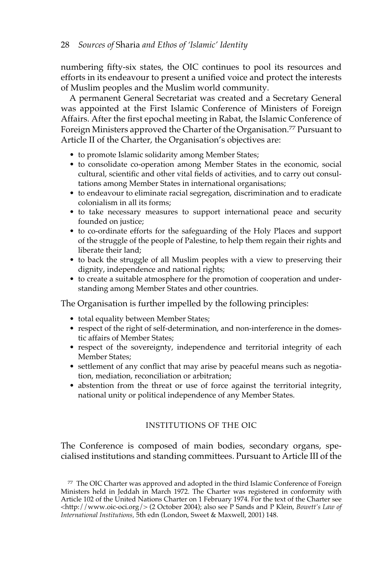numbering fifty-six states, the OIC continues to pool its resources and efforts in its endeavour to present a unified voice and protect the interests of Muslim peoples and the Muslim world community.

A permanent General Secretariat was created and a Secretary General was appointed at the First Islamic Conference of Ministers of Foreign Affairs. After the first epochal meeting in Rabat, the Islamic Conference of Foreign Ministers approved the Charter of the Organisation.<sup>77</sup> Pursuant to Article II of the Charter, the Organisation's objectives are:

- to promote Islamic solidarity among Member States;
- to consolidate co-operation among Member States in the economic, social cultural, scientific and other vital fields of activities, and to carry out consultations among Member States in international organisations;
- to endeavour to eliminate racial segregation, discrimination and to eradicate colonialism in all its forms;
- to take necessary measures to support international peace and security founded on justice;
- to co-ordinate efforts for the safeguarding of the Holy Places and support of the struggle of the people of Palestine, to help them regain their rights and liberate their land;
- to back the struggle of all Muslim peoples with a view to preserving their dignity, independence and national rights;
- to create a suitable atmosphere for the promotion of cooperation and understanding among Member States and other countries.

The Organisation is further impelled by the following principles:

- total equality between Member States;
- respect of the right of self-determination, and non-interference in the domestic affairs of Member States;
- respect of the sovereignty, independence and territorial integrity of each Member States;
- settlement of any conflict that may arise by peaceful means such as negotiation, mediation, reconciliation or arbitration;
- abstention from the threat or use of force against the territorial integrity, national unity or political independence of any Member States.

## INSTITUTIONS OF THE OIC

The Conference is composed of main bodies, secondary organs, specialised institutions and standing committees. Pursuant to Article III of the

<sup>77</sup> The OIC Charter was approved and adopted in the third Islamic Conference of Foreign Ministers held in Jeddah in March 1972. The Charter was registered in conformity with Article 102 of the United Nations Charter on 1 February 1974. For the text of the Charter see <http://www.oic-oci.org/> (2 October 2004); also see P Sands and P Klein, *Bowett's Law of International Institutions,* 5th edn (London, Sweet & Maxwell, 2001) 148.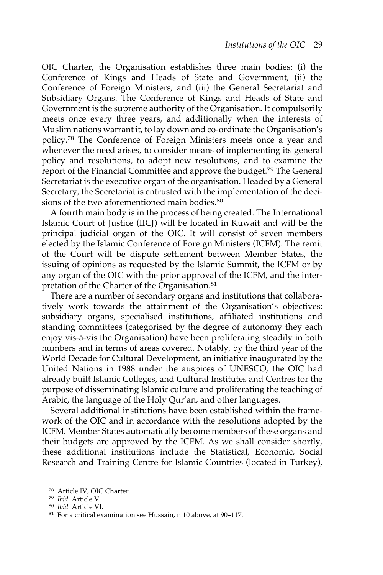OIC Charter, the Organisation establishes three main bodies: (i) the Conference of Kings and Heads of State and Government, (ii) the Conference of Foreign Ministers, and (iii) the General Secretariat and Subsidiary Organs. The Conference of Kings and Heads of State and Government is the supreme authority of the Organisation. It compulsorily meets once every three years, and additionally when the interests of Muslim nations warrant it, to lay down and co-ordinate the Organisation's policy.<sup>78</sup> The Conference of Foreign Ministers meets once a year and whenever the need arises, to consider means of implementing its general policy and resolutions, to adopt new resolutions, and to examine the report of the Financial Committee and approve the budget.79 The General Secretariat is the executive organ of the organisation. Headed by a General Secretary, the Secretariat is entrusted with the implementation of the decisions of the two aforementioned main bodies.<sup>80</sup>

A fourth main body is in the process of being created. The International Islamic Court of Justice (IICJ) will be located in Kuwait and will be the principal judicial organ of the OIC. It will consist of seven members elected by the Islamic Conference of Foreign Ministers (ICFM). The remit of the Court will be dispute settlement between Member States, the issuing of opinions as requested by the Islamic Summit, the ICFM or by any organ of the OIC with the prior approval of the ICFM, and the interpretation of the Charter of the Organisation.<sup>81</sup>

There are a number of secondary organs and institutions that collaboratively work towards the attainment of the Organisation's objectives: subsidiary organs, specialised institutions, affiliated institutions and standing committees (categorised by the degree of autonomy they each enjoy vis-à-vis the Organisation) have been proliferating steadily in both numbers and in terms of areas covered. Notably, by the third year of the World Decade for Cultural Development, an initiative inaugurated by the United Nations in 1988 under the auspices of UNESCO, the OIC had already built Islamic Colleges, and Cultural Institutes and Centres for the purpose of disseminating Islamic culture and proliferating the teaching of Arabic, the language of the Holy Qur'an, and other languages.

Several additional institutions have been established within the framework of the OIC and in accordance with the resolutions adopted by the ICFM. Member States automatically become members of these organs and their budgets are approved by the ICFM. As we shall consider shortly, these additional institutions include the Statistical, Economic, Social Research and Training Centre for Islamic Countries (located in Turkey),

<sup>78</sup> Article IV, OIC Charter.

<sup>79</sup> *Ibid.* Article V.

<sup>80</sup> *Ibid.* Article VI.

<sup>81</sup> For a critical examination see Hussain, n 10 above, at 90–117.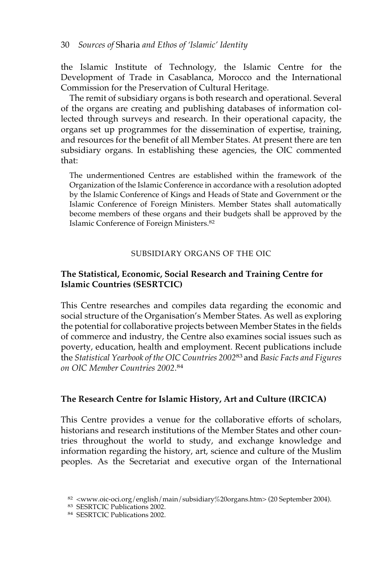the Islamic Institute of Technology, the Islamic Centre for the Development of Trade in Casablanca, Morocco and the International Commission for the Preservation of Cultural Heritage.

The remit of subsidiary organs is both research and operational. Several of the organs are creating and publishing databases of information collected through surveys and research. In their operational capacity, the organs set up programmes for the dissemination of expertise, training, and resources for the benefit of all Member States. At present there are ten subsidiary organs. In establishing these agencies, the OIC commented that:

The undermentioned Centres are established within the framework of the Organization of the Islamic Conference in accordance with a resolution adopted by the Islamic Conference of Kings and Heads of State and Government or the Islamic Conference of Foreign Ministers. Member States shall automatically become members of these organs and their budgets shall be approved by the Islamic Conference of Foreign Ministers.82

## SUBSIDIARY ORGANS OF THE OIC

## **The Statistical, Economic, Social Research and Training Centre for Islamic Countries (SESRTCIC)**

This Centre researches and compiles data regarding the economic and social structure of the Organisation's Member States. As well as exploring the potential for collaborative projects between Member States in the fields of commerce and industry, the Centre also examines social issues such as poverty, education, health and employment. Recent publications include the *Statistical Yearbook of the OIC Countries 2002*83 and *Basic Facts and Figures on OIC Member Countries 2002*. 84

## **The Research Centre for Islamic History, Art and Culture (IRCICA)**

This Centre provides a venue for the collaborative efforts of scholars, historians and research institutions of the Member States and other countries throughout the world to study, and exchange knowledge and information regarding the history, art, science and culture of the Muslim peoples. As the Secretariat and executive organ of the International

83 SESRTCIC Publications 2002.

<sup>82</sup> <www.oic-oci.org/english/main/subsidiary%20organs.htm> (20 September 2004).

<sup>84</sup> SESRTCIC Publications 2002.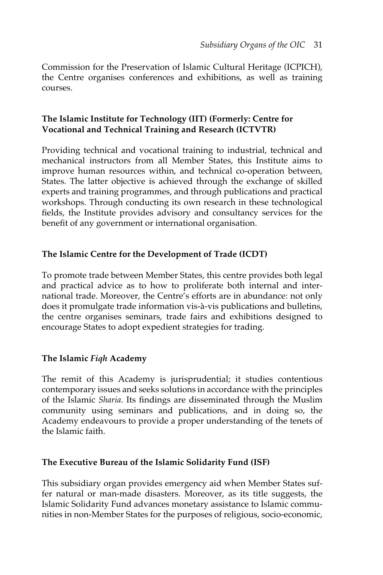Commission for the Preservation of Islamic Cultural Heritage (ICPICH), the Centre organises conferences and exhibitions, as well as training courses.

# **The Islamic Institute for Technology (IIT) (Formerly: Centre for Vocational and Technical Training and Research (ICTVTR)**

Providing technical and vocational training to industrial, technical and mechanical instructors from all Member States, this Institute aims to improve human resources within, and technical co-operation between, States. The latter objective is achieved through the exchange of skilled experts and training programmes, and through publications and practical workshops. Through conducting its own research in these technological fields, the Institute provides advisory and consultancy services for the benefit of any government or international organisation.

# **The Islamic Centre for the Development of Trade (ICDT)**

To promote trade between Member States, this centre provides both legal and practical advice as to how to proliferate both internal and international trade. Moreover, the Centre's efforts are in abundance: not only does it promulgate trade information vis-à-vis publications and bulletins, the centre organises seminars, trade fairs and exhibitions designed to encourage States to adopt expedient strategies for trading.

# **The Islamic** *Fiqh* **Academy**

The remit of this Academy is jurisprudential; it studies contentious contemporary issues and seeks solutions in accordance with the principles of the Islamic *Sharia*. Its findings are disseminated through the Muslim community using seminars and publications, and in doing so, the Academy endeavours to provide a proper understanding of the tenets of the Islamic faith.

# **The Executive Bureau of the Islamic Solidarity Fund (ISF)**

This subsidiary organ provides emergency aid when Member States suffer natural or man-made disasters. Moreover, as its title suggests, the Islamic Solidarity Fund advances monetary assistance to Islamic communities in non-Member States for the purposes of religious, socio-economic,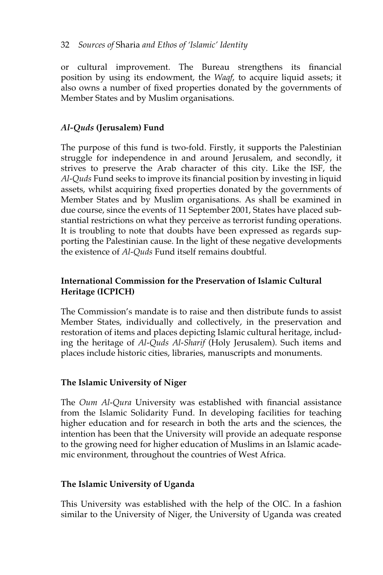## 32 *Sources of* Sharia *and Ethos of 'Islamic' Identity*

or cultural improvement. The Bureau strengthens its financial position by using its endowment, the *Waqf*, to acquire liquid assets; it also owns a number of fixed properties donated by the governments of Member States and by Muslim organisations.

# *Al-Quds* **(Jerusalem) Fund**

The purpose of this fund is two-fold. Firstly, it supports the Palestinian struggle for independence in and around Jerusalem, and secondly, it strives to preserve the Arab character of this city. Like the ISF, the *Al-Quds* Fund seeks to improve its financial position by investing in liquid assets, whilst acquiring fixed properties donated by the governments of Member States and by Muslim organisations. As shall be examined in due course, since the events of 11 September 2001, States have placed substantial restrictions on what they perceive as terrorist funding operations. It is troubling to note that doubts have been expressed as regards supporting the Palestinian cause. In the light of these negative developments the existence of *Al-Quds* Fund itself remains doubtful.

# **International Commission for the Preservation of Islamic Cultural Heritage (ICPICH)**

The Commission's mandate is to raise and then distribute funds to assist Member States, individually and collectively, in the preservation and restoration of items and places depicting Islamic cultural heritage, including the heritage of *Al-Quds Al-Sharif* (Holy Jerusalem). Such items and places include historic cities, libraries, manuscripts and monuments.

## **The Islamic University of Niger**

The *Oum Al-Qura* University was established with financial assistance from the Islamic Solidarity Fund. In developing facilities for teaching higher education and for research in both the arts and the sciences, the intention has been that the University will provide an adequate response to the growing need for higher education of Muslims in an Islamic academic environment, throughout the countries of West Africa.

# **The Islamic University of Uganda**

This University was established with the help of the OIC. In a fashion similar to the University of Niger, the University of Uganda was created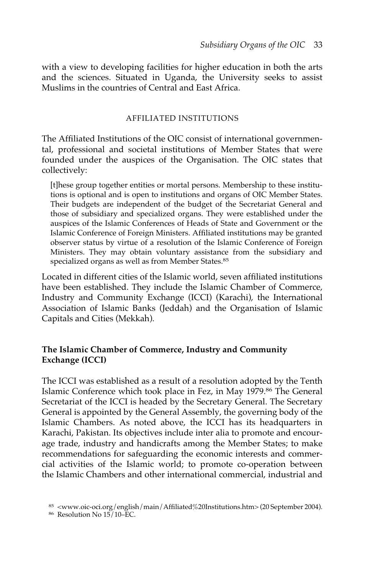with a view to developing facilities for higher education in both the arts and the sciences. Situated in Uganda, the University seeks to assist Muslims in the countries of Central and East Africa.

## AFFILIATED INSTITUTIONS

The Affiliated Institutions of the OIC consist of international governmental, professional and societal institutions of Member States that were founded under the auspices of the Organisation. The OIC states that collectively:

[t]hese group together entities or mortal persons. Membership to these institutions is optional and is open to institutions and organs of OIC Member States. Their budgets are independent of the budget of the Secretariat General and those of subsidiary and specialized organs. They were established under the auspices of the Islamic Conferences of Heads of State and Government or the Islamic Conference of Foreign Ministers. Affiliated institutions may be granted observer status by virtue of a resolution of the Islamic Conference of Foreign Ministers. They may obtain voluntary assistance from the subsidiary and specialized organs as well as from Member States.<sup>85</sup>

Located in different cities of the Islamic world, seven affiliated institutions have been established. They include the Islamic Chamber of Commerce, Industry and Community Exchange (ICCI) (Karachi), the International Association of Islamic Banks (Jeddah) and the Organisation of Islamic Capitals and Cities (Mekkah).

## **The Islamic Chamber of Commerce, Industry and Community Exchange (ICCI)**

The ICCI was established as a result of a resolution adopted by the Tenth Islamic Conference which took place in Fez, in May 1979.86 The General Secretariat of the ICCI is headed by the Secretary General. The Secretary General is appointed by the General Assembly, the governing body of the Islamic Chambers. As noted above, the ICCI has its headquarters in Karachi, Pakistan. Its objectives include inter alia to promote and encourage trade, industry and handicrafts among the Member States; to make recommendations for safeguarding the economic interests and commercial activities of the Islamic world; to promote co-operation between the Islamic Chambers and other international commercial, industrial and

<sup>85</sup> <www.oic-oci.org/english/main/Affiliated%20Institutions.htm> (20 September 2004).

<sup>86</sup> Resolution No 15/10–EC.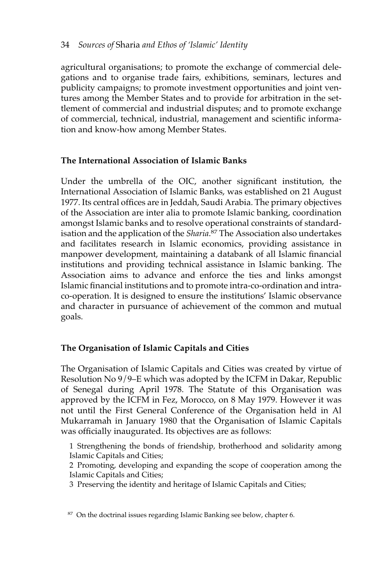agricultural organisations; to promote the exchange of commercial delegations and to organise trade fairs, exhibitions, seminars, lectures and publicity campaigns; to promote investment opportunities and joint ventures among the Member States and to provide for arbitration in the settlement of commercial and industrial disputes; and to promote exchange of commercial, technical, industrial, management and scientific information and know-how among Member States.

# **The International Association of Islamic Banks**

Under the umbrella of the OIC, another significant institution, the International Association of Islamic Banks, was established on 21 August 1977. Its central offices are in Jeddah, Saudi Arabia. The primary objectives of the Association are inter alia to promote Islamic banking, coordination amongst Islamic banks and to resolve operational constraints of standardisation and the application of the *Sharia*. <sup>87</sup> The Association also undertakes and facilitates research in Islamic economics, providing assistance in manpower development, maintaining a databank of all Islamic financial institutions and providing technical assistance in Islamic banking. The Association aims to advance and enforce the ties and links amongst Islamic financial institutions and to promote intra-co-ordination and intraco-operation. It is designed to ensure the institutions' Islamic observance and character in pursuance of achievement of the common and mutual goals.

# **The Organisation of Islamic Capitals and Cities**

The Organisation of Islamic Capitals and Cities was created by virtue of Resolution No 9/9–E which was adopted by the ICFM in Dakar, Republic of Senegal during April 1978. The Statute of this Organisation was approved by the ICFM in Fez, Morocco, on 8 May 1979. However it was not until the First General Conference of the Organisation held in Al Mukarramah in January 1980 that the Organisation of Islamic Capitals was officially inaugurated. Its objectives are as follows:

1 Strengthening the bonds of friendship, brotherhood and solidarity among Islamic Capitals and Cities;

2 Promoting, developing and expanding the scope of cooperation among the Islamic Capitals and Cities;

3 Preserving the identity and heritage of Islamic Capitals and Cities;

<sup>87</sup> On the doctrinal issues regarding Islamic Banking see below, chapter 6.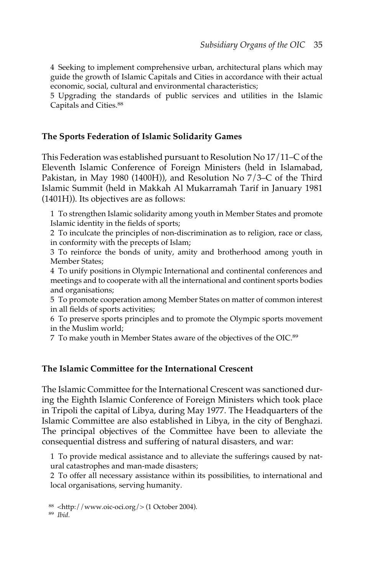4 Seeking to implement comprehensive urban, architectural plans which may guide the growth of Islamic Capitals and Cities in accordance with their actual economic, social, cultural and environmental characteristics;

5 Upgrading the standards of public services and utilities in the Islamic Capitals and Cities.88

## **The Sports Federation of Islamic Solidarity Games**

This Federation was established pursuant to Resolution No 17/11–C of the Eleventh Islamic Conference of Foreign Ministers (held in Islamabad, Pakistan, in May 1980 (1400H)), and Resolution No 7/3–C of the Third Islamic Summit (held in Makkah Al Mukarramah Tarif in January 1981 (1401H)). Its objectives are as follows:

1 To strengthen Islamic solidarity among youth in Member States and promote Islamic identity in the fields of sports;

2 To inculcate the principles of non-discrimination as to religion, race or class, in conformity with the precepts of Islam;

3 To reinforce the bonds of unity, amity and brotherhood among youth in Member States;

4 To unify positions in Olympic International and continental conferences and meetings and to cooperate with all the international and continent sports bodies and organisations;

5 To promote cooperation among Member States on matter of common interest in all fields of sports activities;

6 To preserve sports principles and to promote the Olympic sports movement in the Muslim world;

7 To make youth in Member States aware of the objectives of the OIC.89

## **The Islamic Committee for the International Crescent**

The Islamic Committee for the International Crescent was sanctioned during the Eighth Islamic Conference of Foreign Ministers which took place in Tripoli the capital of Libya, during May 1977. The Headquarters of the Islamic Committee are also established in Libya, in the city of Benghazi. The principal objectives of the Committee have been to alleviate the consequential distress and suffering of natural disasters, and war:

1 To provide medical assistance and to alleviate the sufferings caused by natural catastrophes and man-made disasters;

2 To offer all necessary assistance within its possibilities, to international and local organisations, serving humanity.

<sup>89</sup> *Ibid.*

<sup>88</sup> <http://www.oic-oci.org/> (1 October 2004).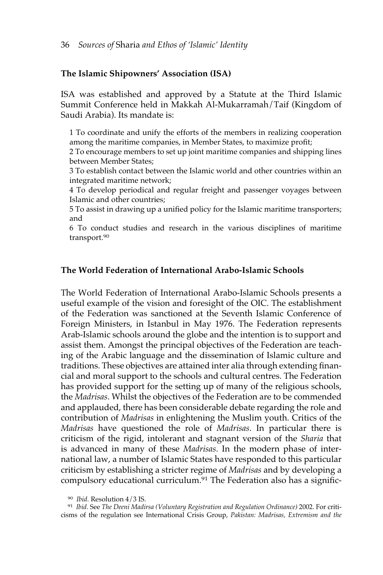## **The Islamic Shipowners' Association (ISA)**

ISA was established and approved by a Statute at the Third Islamic Summit Conference held in Makkah Al-Mukarramah/Taif (Kingdom of Saudi Arabia). Its mandate is:

1 To coordinate and unify the efforts of the members in realizing cooperation among the maritime companies, in Member States, to maximize profit;

2 To encourage members to set up joint maritime companies and shipping lines between Member States;

3 To establish contact between the Islamic world and other countries within an integrated maritime network;

4 To develop periodical and regular freight and passenger voyages between Islamic and other countries;

5 To assist in drawing up a unified policy for the Islamic maritime transporters; and

6 To conduct studies and research in the various disciplines of maritime transport.<sup>90</sup>

## **The World Federation of International Arabo-Islamic Schools**

The World Federation of International Arabo-Islamic Schools presents a useful example of the vision and foresight of the OIC. The establishment of the Federation was sanctioned at the Seventh Islamic Conference of Foreign Ministers, in Istanbul in May 1976. The Federation represents Arab-Islamic schools around the globe and the intention is to support and assist them. Amongst the principal objectives of the Federation are teaching of the Arabic language and the dissemination of Islamic culture and traditions. These objectives are attained inter alia through extending financial and moral support to the schools and cultural centres. The Federation has provided support for the setting up of many of the religious schools, the *Madrisas*. Whilst the objectives of the Federation are to be commended and applauded, there has been considerable debate regarding the role and contribution of *Madrisas* in enlightening the Muslim youth. Critics of the *Madrisas* have questioned the role of *Madrisas*. In particular there is criticism of the rigid, intolerant and stagnant version of the *Sharia* that is advanced in many of these *Madrisas*. In the modern phase of international law, a number of Islamic States have responded to this particular criticism by establishing a stricter regime of *Madrisas* and by developing a compulsory educational curriculum.<sup>91</sup> The Federation also has a signific-

<sup>90</sup> *Ibid.* Resolution 4/3 IS.

<sup>91</sup> *Ibid.* See *The Deeni Madirsa (Voluntary Registration and Regulation Ordinance)* 2002. For criticisms of the regulation see International Crisis Group, *Pakistan: Madrisas, Extremism and the*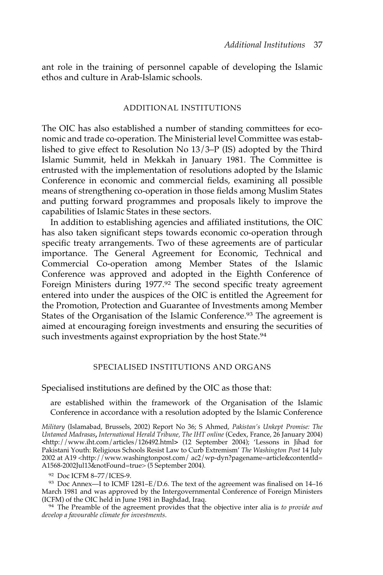ant role in the training of personnel capable of developing the Islamic ethos and culture in Arab-Islamic schools.

#### ADDITIONAL INSTITUTIONS

The OIC has also established a number of standing committees for economic and trade co-operation. The Ministerial level Committee was established to give effect to Resolution No 13/3–P (IS) adopted by the Third Islamic Summit, held in Mekkah in January 1981. The Committee is entrusted with the implementation of resolutions adopted by the Islamic Conference in economic and commercial fields, examining all possible means of strengthening co-operation in those fields among Muslim States and putting forward programmes and proposals likely to improve the capabilities of Islamic States in these sectors.

In addition to establishing agencies and affiliated institutions, the OIC has also taken significant steps towards economic co-operation through specific treaty arrangements. Two of these agreements are of particular importance. The General Agreement for Economic, Technical and Commercial Co-operation among Member States of the Islamic Conference was approved and adopted in the Eighth Conference of Foreign Ministers during 1977.<sup>92</sup> The second specific treaty agreement entered into under the auspices of the OIC is entitled the Agreement for the Promotion, Protection and Guarantee of Investments among Member States of the Organisation of the Islamic Conference.<sup>93</sup> The agreement is aimed at encouraging foreign investments and ensuring the securities of such investments against expropriation by the host State.<sup>94</sup>

### SPECIALISED INSTITUTIONS AND ORGANS

Specialised institutions are defined by the OIC as those that:

are established within the framework of the Organisation of the Islamic Conference in accordance with a resolution adopted by the Islamic Conference

<sup>92</sup> Doc ICFM 8–77/ICES-9.

<sup>93</sup> Doc Annex—I to ICMF 1281–E/D.6. The text of the agreement was finalised on 14–16 March 1981 and was approved by the Intergovernmental Conference of Foreign Ministers (ICFM) of the OIC held in June 1981 in Baghdad, Iraq.

<sup>94</sup> The Preamble of the agreement provides that the objective inter alia is *to provide and develop a favourable climate for investments*.

*Military* (Islamabad, Brussels, 2002) Report No 36; S Ahmed, *Pakistan's Unkept Promise: The Untamed Madrasas***,** *International Herald Tribune, The IHT online* (Cedex, France, 26 January 2004) **<**http://www.iht.com/articles/126492.html**>** (12 September 2004); 'Lessons in Jihad for Pakistani Youth: Religious Schools Resist Law to Curb Extremism' *The Washington Post* 14 July 2002 at A19  $\lt$ http://www.washingtonpost.com/ ac2/wp-dyn?pagename=article&contentId= A1568-2002Jul13&notFound=true> (5 September 2004).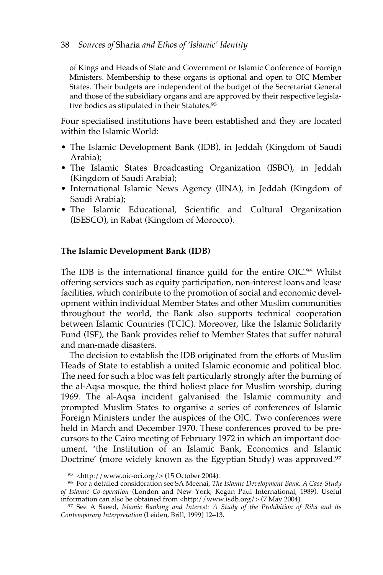of Kings and Heads of State and Government or Islamic Conference of Foreign Ministers. Membership to these organs is optional and open to OIC Member States. Their budgets are independent of the budget of the Secretariat General and those of the subsidiary organs and are approved by their respective legislative bodies as stipulated in their Statutes.95

Four specialised institutions have been established and they are located within the Islamic World:

- The Islamic Development Bank (IDB), in Jeddah (Kingdom of Saudi Arabia);
- The Islamic States Broadcasting Organization (ISBO), in Jeddah (Kingdom of Saudi Arabia);
- International Islamic News Agency (IINA), in Jeddah (Kingdom of Saudi Arabia);
- The Islamic Educational, Scientific and Cultural Organization (ISESCO), in Rabat (Kingdom of Morocco).

## **The Islamic Development Bank (IDB)**

The IDB is the international finance guild for the entire OIC.<sup>96</sup> Whilst offering services such as equity participation, non-interest loans and lease facilities, which contribute to the promotion of social and economic development within individual Member States and other Muslim communities throughout the world, the Bank also supports technical cooperation between Islamic Countries (TCIC). Moreover, like the Islamic Solidarity Fund (ISF), the Bank provides relief to Member States that suffer natural and man-made disasters.

The decision to establish the IDB originated from the efforts of Muslim Heads of State to establish a united Islamic economic and political bloc. The need for such a bloc was felt particularly strongly after the burning of the al-Aqsa mosque, the third holiest place for Muslim worship, during 1969. The al-Aqsa incident galvanised the Islamic community and prompted Muslim States to organise a series of conferences of Islamic Foreign Ministers under the auspices of the OIC. Two conferences were held in March and December 1970. These conferences proved to be precursors to the Cairo meeting of February 1972 in which an important document, 'the Institution of an Islamic Bank, Economics and Islamic Doctrine' (more widely known as the Egyptian Study) was approved.<sup>97</sup>

<sup>95</sup> <http://www.oic-oci.org/> (15 October 2004).

<sup>96</sup> For a detailed consideration see SA Meenai, *The Islamic Development Bank: A Case-Study of Islamic Co-operation* (London and New York, Kegan Paul International, 1989). Useful information can also be obtained from  $\langle$ http://www.isdb.org/ $>$  (7 May 2004).

<sup>97</sup> See A Saeed, *Islamic Banking and Interest: A Study of the Prohibition of Riba and its Contemporary Interpretation* (Leiden, Brill, 1999) 12–13.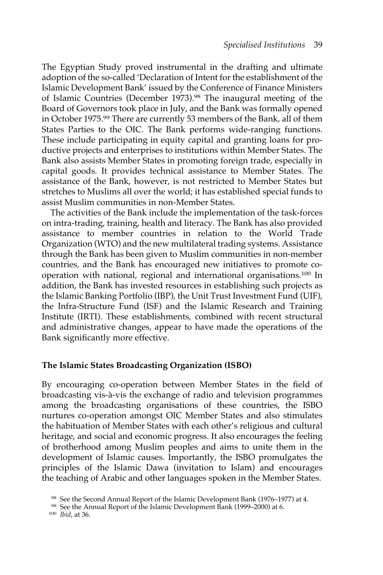The Egyptian Study proved instrumental in the drafting and ultimate adoption of the so-called 'Declaration of Intent for the establishment of the Islamic Development Bank' issued by the Conference of Finance Ministers of Islamic Countries (December 1973).98 The inaugural meeting of the Board of Governors took place in July, and the Bank was formally opened in October 1975.<sup>99</sup> There are currently 53 members of the Bank, all of them States Parties to the OIC. The Bank performs wide-ranging functions. These include participating in equity capital and granting loans for productive projects and enterprises to institutions within Member States. The Bank also assists Member States in promoting foreign trade, especially in capital goods. It provides technical assistance to Member States. The assistance of the Bank, however, is not restricted to Member States but stretches to Muslims all over the world; it has established special funds to assist Muslim communities in non-Member States.

The activities of the Bank include the implementation of the task-forces on intra-trading, training, health and literacy. The Bank has also provided assistance to member countries in relation to the World Trade Organization (WTO) and the new multilateral trading systems. Assistance through the Bank has been given to Muslim communities in non-member countries, and the Bank has encouraged new initiatives to promote cooperation with national, regional and international organisations.100 In addition, the Bank has invested resources in establishing such projects as the Islamic Banking Portfolio (IBP), the Unit Trust Investment Fund (UIF), the Infra-Structure Fund (ISF) and the Islamic Research and Training Institute (IRTI). These establishments, combined with recent structural and administrative changes, appear to have made the operations of the Bank significantly more effective.

## **The Islamic States Broadcasting Organization (ISBO)**

By encouraging co-operation between Member States in the field of broadcasting vis-à-vis the exchange of radio and television programmes among the broadcasting organisations of these countries, the ISBO nurtures co-operation amongst OIC Member States and also stimulates the habituation of Member States with each other's religious and cultural heritage, and social and economic progress. It also encourages the feeling of brotherhood among Muslim peoples and aims to unite them in the development of Islamic causes. Importantly, the ISBO promulgates the principles of the Islamic Dawa (invitation to Islam) and encourages the teaching of Arabic and other languages spoken in the Member States.

<sup>98</sup> See the Second Annual Report of the Islamic Development Bank (1976–1977) at 4.

<sup>99</sup> See the Annual Report of the Islamic Development Bank (1999–2000) at 6.

<sup>100</sup> *Ibid*, at 36.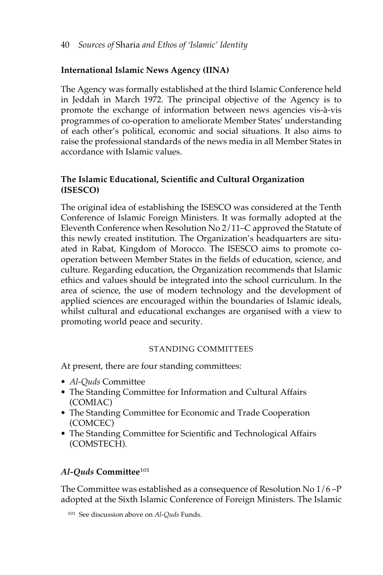# **International Islamic News Agency (IINA)**

The Agency was formally established at the third Islamic Conference held in Jeddah in March 1972. The principal objective of the Agency is to promote the exchange of information between news agencies vis-à-vis programmes of co-operation to ameliorate Member States' understanding of each other's political, economic and social situations. It also aims to raise the professional standards of the news media in all Member States in accordance with Islamic values.

# **The Islamic Educational, Scientific and Cultural Organization (ISESCO)**

The original idea of establishing the ISESCO was considered at the Tenth Conference of Islamic Foreign Ministers. It was formally adopted at the Eleventh Conference when Resolution No 2/11–C approved the Statute of this newly created institution. The Organization's headquarters are situated in Rabat, Kingdom of Morocco. The ISESCO aims to promote cooperation between Member States in the fields of education, science, and culture. Regarding education, the Organization recommends that Islamic ethics and values should be integrated into the school curriculum. In the area of science, the use of modern technology and the development of applied sciences are encouraged within the boundaries of Islamic ideals, whilst cultural and educational exchanges are organised with a view to promoting world peace and security.

## STANDING COMMITTEES

At present, there are four standing committees:

- *Al-Quds* Committee
- *•* The Standing Committee for Information and Cultural Affairs (COMIAC)
- *•* The Standing Committee for Economic and Trade Cooperation (COMCEC)
- *•* The Standing Committee for Scientific and Technological Affairs (COMSTECH).

## *Al-Quds* **Committee**<sup>101</sup>

The Committee was established as a consequence of Resolution No  $1/6 - P$ adopted at the Sixth Islamic Conference of Foreign Ministers. The Islamic

<sup>101</sup> See discussion above on *Al-Quds* Funds.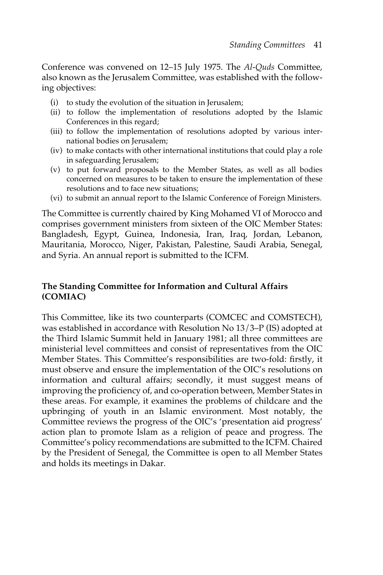Conference was convened on 12–15 July 1975. The *Al-Quds* Committee, also known as the Jerusalem Committee, was established with the following objectives:

- (i) to study the evolution of the situation in Jerusalem;
- (ii) to follow the implementation of resolutions adopted by the Islamic Conferences in this regard;
- (iii) to follow the implementation of resolutions adopted by various international bodies on Jerusalem;
- (iv) to make contacts with other international institutions that could play a role in safeguarding Jerusalem;
- (v) to put forward proposals to the Member States, as well as all bodies concerned on measures to be taken to ensure the implementation of these resolutions and to face new situations;
- (vi) to submit an annual report to the Islamic Conference of Foreign Ministers.

The Committee is currently chaired by King Mohamed VI of Morocco and comprises government ministers from sixteen of the OIC Member States: Bangladesh, Egypt, Guinea, Indonesia, Iran, Iraq, Jordan, Lebanon, Mauritania, Morocco, Niger, Pakistan, Palestine, Saudi Arabia, Senegal, and Syria. An annual report is submitted to the ICFM.

# **The Standing Committee for Information and Cultural Affairs (COMIAC)**

This Committee, like its two counterparts (COMCEC and COMSTECH), was established in accordance with Resolution No 13/3–P (IS) adopted at the Third Islamic Summit held in January 1981; all three committees are ministerial level committees and consist of representatives from the OIC Member States. This Committee's responsibilities are two-fold: firstly, it must observe and ensure the implementation of the OIC's resolutions on information and cultural affairs; secondly, it must suggest means of improving the proficiency of, and co-operation between, Member States in these areas. For example, it examines the problems of childcare and the upbringing of youth in an Islamic environment. Most notably, the Committee reviews the progress of the OIC's 'presentation aid progress' action plan to promote Islam as a religion of peace and progress. The Committee's policy recommendations are submitted to the ICFM. Chaired by the President of Senegal, the Committee is open to all Member States and holds its meetings in Dakar.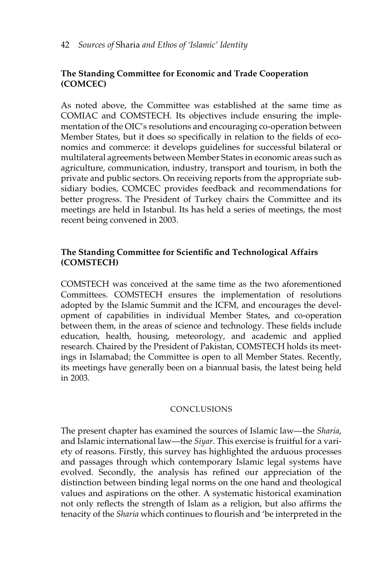## 42 *Sources of* Sharia *and Ethos of 'Islamic' Identity*

# **The Standing Committee for Economic and Trade Cooperation (COMCEC)**

As noted above, the Committee was established at the same time as COMIAC and COMSTECH. Its objectives include ensuring the implementation of the OIC's resolutions and encouraging co-operation between Member States, but it does so specifically in relation to the fields of economics and commerce: it develops guidelines for successful bilateral or multilateral agreements between Member States in economic areas such as agriculture, communication, industry, transport and tourism, in both the private and public sectors. On receiving reports from the appropriate subsidiary bodies, COMCEC provides feedback and recommendations for better progress. The President of Turkey chairs the Committee and its meetings are held in Istanbul. Its has held a series of meetings, the most recent being convened in 2003.

# **The Standing Committee for Scientific and Technological Affairs (COMSTECH)**

COMSTECH was conceived at the same time as the two aforementioned Committees. COMSTECH ensures the implementation of resolutions adopted by the Islamic Summit and the ICFM, and encourages the development of capabilities in individual Member States, and co-operation between them, in the areas of science and technology. These fields include education, health, housing, meteorology, and academic and applied research. Chaired by the President of Pakistan, COMSTECH holds its meetings in Islamabad; the Committee is open to all Member States. Recently, its meetings have generally been on a biannual basis, the latest being held in 2003.

## CONCLUSIONS

The present chapter has examined the sources of Islamic law—the *Sharia*, and Islamic international law—the *Siyar*. This exercise is fruitful for a variety of reasons. Firstly, this survey has highlighted the arduous processes and passages through which contemporary Islamic legal systems have evolved. Secondly, the analysis has refined our appreciation of the distinction between binding legal norms on the one hand and theological values and aspirations on the other. A systematic historical examination not only reflects the strength of Islam as a religion, but also affirms the tenacity of the *Sharia* which continues to flourish and 'be interpreted in the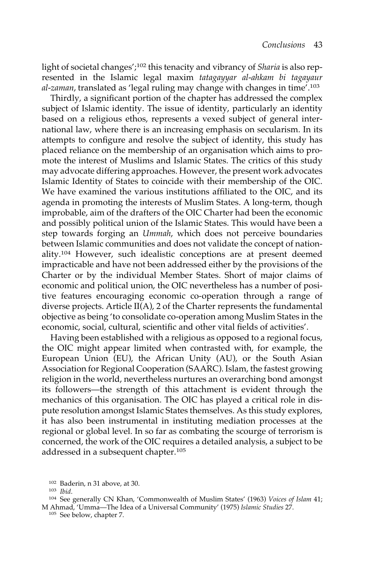light of societal changes';102 this tenacity and vibrancy of *Sharia* is also represented in the Islamic legal maxim *tatagayyar al-ahkam bi tagayaur al-zaman*, translated as 'legal ruling may change with changes in time'.103

Thirdly, a significant portion of the chapter has addressed the complex subject of Islamic identity. The issue of identity, particularly an identity based on a religious ethos, represents a vexed subject of general international law, where there is an increasing emphasis on secularism. In its attempts to configure and resolve the subject of identity, this study has placed reliance on the membership of an organisation which aims to promote the interest of Muslims and Islamic States. The critics of this study may advocate differing approaches. However, the present work advocates Islamic Identity of States to coincide with their membership of the OIC. We have examined the various institutions affiliated to the OIC, and its agenda in promoting the interests of Muslim States. A long-term, though improbable, aim of the drafters of the OIC Charter had been the economic and possibly political union of the Islamic States. This would have been a step towards forging an *Ummah*, which does not perceive boundaries between Islamic communities and does not validate the concept of nationality.<sup>104</sup> However, such idealistic conceptions are at present deemed impracticable and have not been addressed either by the provisions of the Charter or by the individual Member States. Short of major claims of economic and political union, the OIC nevertheless has a number of positive features encouraging economic co-operation through a range of diverse projects. Article II(A), 2 of the Charter represents the fundamental objective as being 'to consolidate co-operation among Muslim States in the economic, social, cultural, scientific and other vital fields of activities'.

Having been established with a religious as opposed to a regional focus, the OIC might appear limited when contrasted with, for example, the European Union (EU), the African Unity (AU), or the South Asian Association for Regional Cooperation (SAARC). Islam, the fastest growing religion in the world, nevertheless nurtures an overarching bond amongst its followers—the strength of this attachment is evident through the mechanics of this organisation. The OIC has played a critical role in dispute resolution amongst Islamic States themselves. As this study explores, it has also been instrumental in instituting mediation processes at the regional or global level. In so far as combating the scourge of terrorism is concerned, the work of the OIC requires a detailed analysis, a subject to be addressed in a subsequent chapter.105

<sup>102</sup> Baderin, n 31 above, at 30.

<sup>103</sup> *Ibid*.

<sup>104</sup> See generally CN Khan, 'Commonwealth of Muslim States' (1963) *Voices of Islam* 41; M Ahmad, 'Umma—The Idea of a Universal Community' (1975) *Islamic Studies* 27.

<sup>105</sup> See below, chapter 7.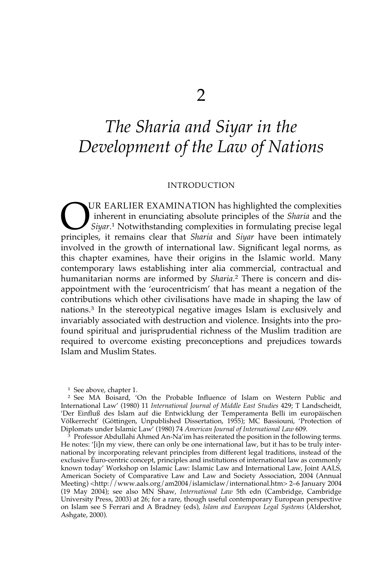# *The Sharia and Siyar in the Development of the Law of Nations*

## INTRODUCTION

**OUR EARLIER EXAMINATION** has highlighted the complexities inherent in enunciating absolute principles of the *Sharia* and the *Siyar*.<sup>1</sup> Notwithstanding complexities in formulating precise legal principles. it remains cl inherent in enunciating absolute principles of the *Sharia* and the *Siyar*. <sup>1</sup> Notwithstanding complexities in formulating precise legal principles, it remains clear that *Sharia* and *Siyar* have been intimately involved in the growth of international law. Significant legal norms, as this chapter examines, have their origins in the Islamic world. Many contemporary laws establishing inter alia commercial, contractual and humanitarian norms are informed by *Sharia*. <sup>2</sup> There is concern and disappointment with the 'eurocentricism' that has meant a negation of the contributions which other civilisations have made in shaping the law of nations.3 In the stereotypical negative images Islam is exclusively and invariably associated with destruction and violence. Insights into the profound spiritual and jurisprudential richness of the Muslim tradition are required to overcome existing preconceptions and prejudices towards Islam and Muslim States.

<sup>1</sup> See above, chapter 1.

<sup>3</sup> Professor Abdullahi Ahmed An-Na'im has reiterated the position in the following terms. He notes: '[i]n my view, there can only be one international law, but it has to be truly international by incorporating relevant principles from different legal traditions, instead of the exclusive Euro-centric concept, principles and institutions of international law as commonly known today' Workshop on Islamic Law: Islamic Law and International Law, Joint AALS, American Society of Comparative Law and Law and Society Association, 2004 (Annual Meeting) <http://www.aals.org/am2004/islamiclaw/international.htm> 2–6 January 2004 (19 May 2004); see also MN Shaw, *International Law* 5th edn (Cambridge, Cambridge University Press, 2003) at 26; for a rare, though useful contemporary European perspective on Islam see S Ferrari and A Bradney (eds), *Islam and European Legal Systems* (Aldershot, Ashgate, 2000).

<sup>2</sup> See MA Boisard, 'On the Probable Influence of Islam on Western Public and International Law' (1980) 11 *International Journal of Middle East Studies* 429; T Landscheidt, 'Der Einfluß des Islam auf die Entwicklung der Temperamenta Belli im europäischen Völkerrecht' (Göttingen, Unpublished Dissertation, 1955); MC Bassiouni, 'Protection of Diplomats under Islamic Law' (1980) 74 *American Journal of International Law* 609.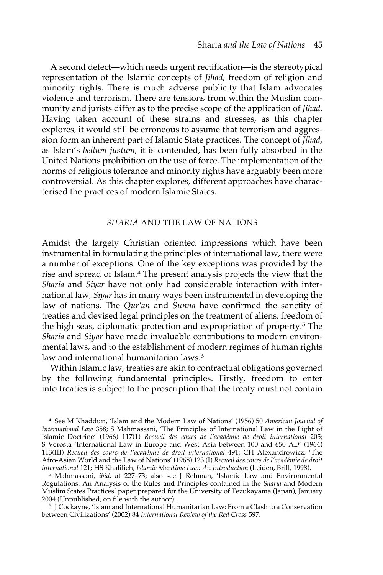A second defect—which needs urgent rectification—is the stereotypical representation of the Islamic concepts of *Jihad*, freedom of religion and minority rights. There is much adverse publicity that Islam advocates violence and terrorism. There are tensions from within the Muslim community and jurists differ as to the precise scope of the application of *Jihad*. Having taken account of these strains and stresses, as this chapter explores, it would still be erroneous to assume that terrorism and aggression form an inherent part of Islamic State practices. The concept of *Jihad*, as Islam's *bellum justum*, it is contended, has been fully absorbed in the United Nations prohibition on the use of force. The implementation of the norms of religious tolerance and minority rights have arguably been more controversial. As this chapter explores, different approaches have characterised the practices of modern Islamic States.

## *SHARIA* AND THE LAW OF NATIONS

Amidst the largely Christian oriented impressions which have been instrumental in formulating the principles of international law, there were a number of exceptions. One of the key exceptions was provided by the rise and spread of Islam.4 The present analysis projects the view that the *Sharia* and *Siyar* have not only had considerable interaction with international law, *Siyar* has in many ways been instrumental in developing the law of nations. The *Qur'an* and *Sunna* have confirmed the sanctity of treaties and devised legal principles on the treatment of aliens, freedom of the high seas, diplomatic protection and expropriation of property.5 The *Sharia* and *Siyar* have made invaluable contributions to modern environmental laws, and to the establishment of modern regimes of human rights law and international humanitarian laws.<sup>6</sup>

Within Islamic law, treaties are akin to contractual obligations governed by the following fundamental principles. Firstly, freedom to enter into treaties is subject to the proscription that the treaty must not contain

<sup>4</sup> See M Khadduri, 'Islam and the Modern Law of Nations' (1956) 50 *American Journal of International Law* 358; S Mahmassani, 'The Principles of International Law in the Light of Islamic Doctrine' (1966) 117(1) *Recueil des cours de l'académie de droit international* 205; S Verosta 'International Law in Europe and West Asia between 100 and 650 AD' (1964) 113(III) *Recueil des cours de l'académie de droit international* 491; CH Alexandrowicz, 'The Afro-Asian World and the Law of Nations' (1968) 123 (I) *Recueil des cours de l'académie de droit international* 121; HS Khalilieh, *Islamic Maritime Law: An Introduction* (Leiden, Brill, 1998).

<sup>5</sup> Mahmassani, *ibid*, at 227–73; also see J Rehman, 'Islamic Law and Environmental Regulations: An Analysis of the Rules and Principles contained in the *Sharia* and Modern Muslim States Practices' paper prepared for the University of Tezukayama (Japan), January 2004 (Unpublished, on file with the author).

<sup>6</sup> J Cockayne, 'Islam and International Humanitarian Law: From a Clash to a Conservation between Civilizations' (2002) 84 *International Review of the Red Cross* 597.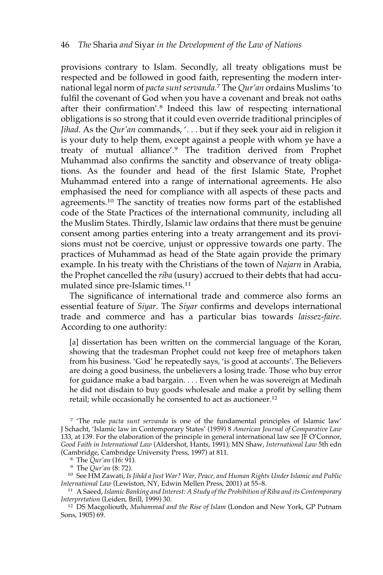provisions contrary to Islam. Secondly, all treaty obligations must be respected and be followed in good faith, representing the modern international legal norm of *pacta sunt servanda.*<sup>7</sup> The *Qur'an* ordains Muslims 'to fulfil the covenant of God when you have a covenant and break not oaths after their confirmation'.8 Indeed this law of respecting international obligations is so strong that it could even override traditional principles of *Jihad*. As the *Qur'an* commands, '. . . but if they seek your aid in religion it is your duty to help them, except against a people with whom ye have a treaty of mutual alliance'.9 The tradition derived from Prophet Muhammad also confirms the sanctity and observance of treaty obligations. As the founder and head of the first Islamic State, Prophet Muhammad entered into a range of international agreements. He also emphasised the need for compliance with all aspects of these pacts and agreements.<sup>10</sup> The sanctity of treaties now forms part of the established code of the State Practices of the international community, including all the Muslim States. Thirdly, Islamic law ordains that there must be genuine consent among parties entering into a treaty arrangement and its provisions must not be coercive, unjust or oppressive towards one party. The practices of Muhammad as head of the State again provide the primary example. In his treaty with the Christians of the town of *Najarn* in Arabia, the Prophet cancelled the *riba* (usury) accrued to their debts that had accumulated since pre-Islamic times.11

The significance of international trade and commerce also forms an essential feature of *Siyar*. The *Siyar* confirms and develops international trade and commerce and has a particular bias towards *laissez-faire.* According to one authority:

[a] dissertation has been written on the commercial language of the Koran, showing that the tradesman Prophet could not keep free of metaphors taken from his business. 'God' he repeatedly says, 'is good at accounts'. The Believers are doing a good business, the unbelievers a losing trade. Those who buy error for guidance make a bad bargain. . . . Even when he was sovereign at Medinah he did not disdain to buy goods wholesale and make a profit by selling them retail; while occasionally he consented to act as auctioneer.12

<sup>8</sup> The *Qur'an* (16: 91).

<sup>9</sup> The *Qur'an* (8: 72).

<sup>7</sup> 'The rule *pacta sunt servanda* is one of the fundamental principles of Islamic law' J Schacht, 'Islamic law in Contemporary States' (1959) 8 *American Journal of Comparative Law* 133, at 139. For the elaboration of the principle in general international law see JF O'Connor, *Good Faith in International Law* (Aldershot, Hants, 1991); MN Shaw, *International Law* 5th edn (Cambridge, Cambridge University Press, 1997) at 811.

<sup>&</sup>lt;sup>10</sup> See HM Zawati, *Is Jihād a Just War? War, Peace, and Human Rights Under Islamic and Public International Law* (Lewiston, NY, Edwin Mellen Press, 2001) at 55–8.

<sup>11</sup> A Saeed, *Islamic Banking and Interest: A Study of the Prohibition of Riba and its Contemporary Interpretation* (Leiden, Brill, 1999) 30.

<sup>&</sup>lt;sup>12</sup> DS Macgoliouth, *Muhammad and the Rise of Islam* (London and New York, GP Putnam Sons, 1905) 69.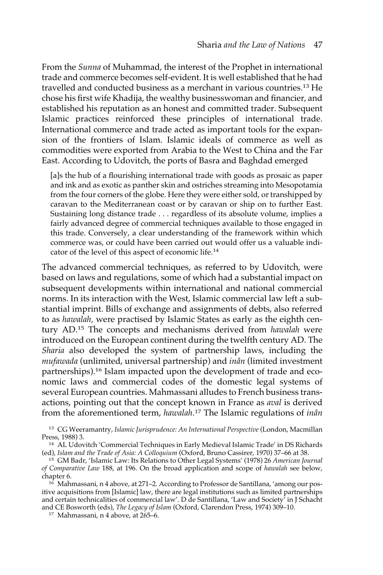From the *Sunna* of Muhammad, the interest of the Prophet in international trade and commerce becomes self-evident. It is well established that he had travelled and conducted business as a merchant in various countries.13 He chose his first wife Khadija, the wealthy businesswoman and financier, and established his reputation as an honest and committed trader. Subsequent Islamic practices reinforced these principles of international trade. International commerce and trade acted as important tools for the expansion of the frontiers of Islam. Islamic ideals of commerce as well as commodities were exported from Arabia to the West to China and the Far East. According to Udovitch, the ports of Basra and Baghdad emerged

[a]s the hub of a flourishing international trade with goods as prosaic as paper and ink and as exotic as panther skin and ostriches streaming into Mesopotamia from the four corners of the globe. Here they were either sold, or transhipped by caravan to the Mediterranean coast or by caravan or ship on to further East. Sustaining long distance trade . . . regardless of its absolute volume, implies a fairly advanced degree of commercial techniques available to those engaged in this trade. Conversely, a clear understanding of the framework within which commerce was, or could have been carried out would offer us a valuable indicator of the level of this aspect of economic life.14

The advanced commercial techniques, as referred to by Udovitch, were based on laws and regulations, some of which had a substantial impact on subsequent developments within international and national commercial norms. In its interaction with the West, Islamic commercial law left a substantial imprint. Bills of exchange and assignments of debts, also referred to as *hawalah,* were practised by Islamic States as early as the eighth century AD.15 The concepts and mechanisms derived from *hawalah* were introduced on the European continent during the twelfth century AD. The *Sharia* also developed the system of partnership laws, including the *mufawada* (unlimited, universal partnership) and *inân* (limited investment partnerships).<sup>16</sup> Islam impacted upon the development of trade and economic laws and commercial codes of the domestic legal systems of several European countries. Mahmassani alludes to French business transactions, pointing out that the concept known in France as *aval* is derived from the aforementioned term, *hawalah*. <sup>17</sup> The Islamic regulations of *inân*

<sup>13</sup> CG Weeramantry, *Islamic Jurisprudence: An International Perspective* (London, Macmillan Press, 1988) 3.

<sup>17</sup> Mahmassani, n 4 above, at 265–6.

<sup>14</sup> AL Udovitch 'Commercial Techniques in Early Medieval Islamic Trade' in DS Richards (ed), *Islam and the Trade of Asia: A Colloquium* (Oxford, Bruno Cassirer, 1970) 37–66 at 38.

<sup>15</sup> GM Badr, 'Islamic Law: Its Relations to Other Legal Systems' (1978) 26 *American Journal of Comparative Law* 188, at 196. On the broad application and scope of *hawalah* see below, chapter 6.

<sup>&</sup>lt;sup>16</sup> Mahmassani, n 4 above, at 271-2. According to Professor de Santillana, 'among our positive acquisitions from [Islamic] law, there are legal institutions such as limited partnerships and certain technicalities of commercial law'. D de Santillana, 'Law and Society' in J Schacht and CE Bosworth (eds), *The Legacy of Islam* (Oxford, Clarendon Press, 1974) 309–10.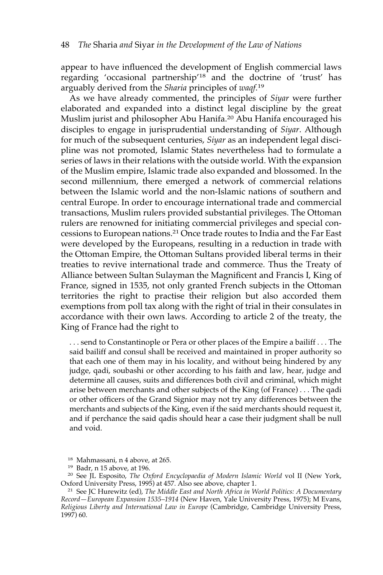appear to have influenced the development of English commercial laws regarding 'occasional partnership'18 and the doctrine of 'trust' has arguably derived from the *Sharia* principles of *waqf*. 19

As we have already commented, the principles of *Siyar* were further elaborated and expanded into a distinct legal discipline by the great Muslim jurist and philosopher Abu Hanifa.<sup>20</sup> Abu Hanifa encouraged his disciples to engage in jurisprudential understanding of *Siyar*. Although for much of the subsequent centuries, *Siyar* as an independent legal discipline was not promoted, Islamic States nevertheless had to formulate a series of laws in their relations with the outside world. With the expansion of the Muslim empire, Islamic trade also expanded and blossomed. In the second millennium, there emerged a network of commercial relations between the Islamic world and the non-Islamic nations of southern and central Europe. In order to encourage international trade and commercial transactions, Muslim rulers provided substantial privileges. The Ottoman rulers are renowned for initiating commercial privileges and special concessions to European nations.21 Once trade routes to India and the Far East were developed by the Europeans, resulting in a reduction in trade with the Ottoman Empire, the Ottoman Sultans provided liberal terms in their treaties to revive international trade and commerce. Thus the Treaty of Alliance between Sultan Sulayman the Magnificent and Francis I, King of France, signed in 1535, not only granted French subjects in the Ottoman territories the right to practise their religion but also accorded them exemptions from poll tax along with the right of trial in their consulates in accordance with their own laws. According to article 2 of the treaty, the King of France had the right to

. . . send to Constantinople or Pera or other places of the Empire a bailiff . . . The said bailiff and consul shall be received and maintained in proper authority so that each one of them may in his locality, and without being hindered by any judge, qadi, soubashi or other according to his faith and law, hear, judge and determine all causes, suits and differences both civil and criminal, which might arise between merchants and other subjects of the King (of France) . . . The qadi or other officers of the Grand Signior may not try any differences between the merchants and subjects of the King, even if the said merchants should request it, and if perchance the said qadis should hear a case their judgment shall be null and void.

<sup>18</sup> Mahmassani, n 4 above, at 265.

<sup>19</sup> Badr, n 15 above, at 196.

<sup>20</sup> See JL Esposito, *The Oxford Encyclopaedia of Modern Islamic World* vol II (New York, Oxford University Press, 1995) at 457. Also see above, chapter 1.

<sup>21</sup> See JC Hurewitz (ed), *The Middle East and North Africa in World Politics: A Documentary Record—European Expansion 1535–1914* (New Haven, Yale University Press, 1975); M Evans, *Religious Liberty and International Law in Europe* (Cambridge, Cambridge University Press, 1997) 60.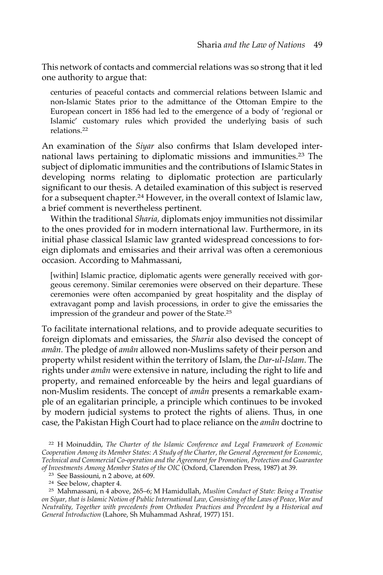This network of contacts and commercial relations was so strong that it led one authority to argue that:

centuries of peaceful contacts and commercial relations between Islamic and non-Islamic States prior to the admittance of the Ottoman Empire to the European concert in 1856 had led to the emergence of a body of 'regional or Islamic' customary rules which provided the underlying basis of such relations.<sup>22</sup>

An examination of the *Siyar* also confirms that Islam developed international laws pertaining to diplomatic missions and immunities.23 The subject of diplomatic immunities and the contributions of Islamic States in developing norms relating to diplomatic protection are particularly significant to our thesis. A detailed examination of this subject is reserved for a subsequent chapter.24 However, in the overall context of Islamic law, a brief comment is nevertheless pertinent.

Within the traditional *Sharia,* diplomats enjoy immunities not dissimilar to the ones provided for in modern international law. Furthermore, in its initial phase classical Islamic law granted widespread concessions to foreign diplomats and emissaries and their arrival was often a ceremonious occasion. According to Mahmassani,

[within] Islamic practice, diplomatic agents were generally received with gorgeous ceremony. Similar ceremonies were observed on their departure. These ceremonies were often accompanied by great hospitality and the display of extravagant pomp and lavish processions, in order to give the emissaries the impression of the grandeur and power of the State.25

To facilitate international relations, and to provide adequate securities to foreign diplomats and emissaries, the *Sharia* also devised the concept of *amân.* The pledge of *amân* allowed non-Muslims safety of their person and property whilst resident within the territory of Islam, the *Dar-ul-Islam*. The rights under *amân* were extensive in nature, including the right to life and property, and remained enforceable by the heirs and legal guardians of non-Muslim residents. The concept of *amân* presents a remarkable example of an egalitarian principle, a principle which continues to be invoked by modern judicial systems to protect the rights of aliens. Thus, in one case, the Pakistan High Court had to place reliance on the *amân* doctrine to

<sup>22</sup> H Moinuddin, *The Charter of the Islamic Conference and Legal Framework of Economic Cooperation Among its Member States: A Study of the Charter, the General Agreement for Economic, Technical and Commercial Co-operation and the Agreement for Promotion, Protection and Guarantee of Investments Among Member States of the OIC* (Oxford, Clarendon Press, 1987) at 39.

<sup>23</sup> See Bassiouni, n 2 above, at 609.

<sup>24</sup> See below, chapter 4.

<sup>25</sup> Mahmassani, n 4 above, 265–6; M Hamidullah, *Muslim Conduct of State: Being a Treatise on Siyar, that is Islamic Notion of Public International Law, Consisting of the Laws of Peace, War and Neutrality, Together with precedents from Orthodox Practices and Precedent by a Historical and General Introduction* (Lahore, Sh Muhammad Ashraf, 1977) 151.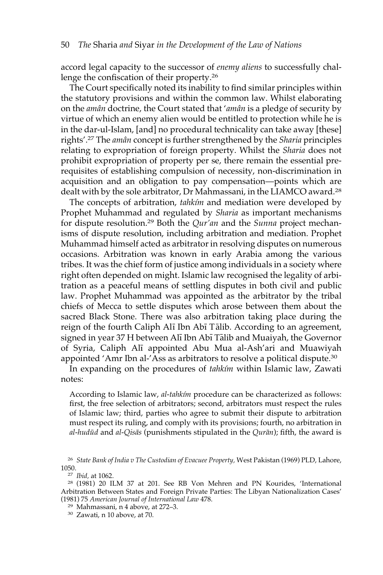accord legal capacity to the successor of *enemy aliens* to successfully challenge the confiscation of their property.<sup>26</sup>

The Court specifically noted its inability to find similar principles within the statutory provisions and within the common law. Whilst elaborating on the *amân* doctrine, the Court stated that '*amân* is a pledge of security by virtue of which an enemy alien would be entitled to protection while he is in the dar-ul-Islam, [and] no procedural technicality can take away [these] rights'.<sup>27</sup> The *amân* concept is further strengthened by the *Sharia* principles relating to expropriation of foreign property. Whilst the *Sharia* does not prohibit expropriation of property per se, there remain the essential prerequisites of establishing compulsion of necessity, non-discrimination in acquisition and an obligation to pay compensation—points which are dealt with by the sole arbitrator, Dr Mahmassani, in the LIAMCO award.28

The concepts of arbitration, *tahkím* and mediation were developed by Prophet Muhammad and regulated by *Sharia* as important mechanisms for dispute resolution.<sup>29</sup> Both the *Qur'an* and the *Sunna* project mechanisms of dispute resolution, including arbitration and mediation. Prophet Muhammad himself acted as arbitrator in resolving disputes on numerous occasions. Arbitration was known in early Arabia among the various tribes. It was the chief form of justice among individuals in a society where right often depended on might. Islamic law recognised the legality of arbitration as a peaceful means of settling disputes in both civil and public law. Prophet Muhammad was appointed as the arbitrator by the tribal chiefs of Mecca to settle disputes which arose between them about the sacred Black Stone. There was also arbitration taking place during the reign of the fourth Caliph Ali Ibn Abi Talib. According to an agreement, signed in year 37 H between Alī Ibn Abī Tālib and Muaiyah, the Governor of Syria, Caliph Alı– appointed Abu Mua al-Ash'ari and Muawiyah appointed 'Amr Ibn al-'Ass as arbitrators to resolve a political dispute.30

In expanding on the procedures of *tahkím* within Islamic law, Zawati notes:

According to Islamic law, *al-tahkím* procedure can be characterized as follows: first, the free selection of arbitrators; second, arbitrators must respect the rules of Islamic law; third, parties who agree to submit their dispute to arbitration must respect its ruling, and comply with its provisions; fourth, no arbitration in *al-hudūd* and *al-Qisās* (punishments stipulated in the *Qurān*); fifth, the award is

<sup>26</sup> *State Bank of India v The Custodian of Evacuee Property,* West Pakistan (1969) PLD, Lahore, 1050.

<sup>27</sup> *Ibid,* at 1062.

<sup>28</sup> (1981) 20 ILM 37 at 201. See RB Von Mehren and PN Kourides, 'International Arbitration Between States and Foreign Private Parties: The Libyan Nationalization Cases' (1981) 75 *American Journal of International Law* 478.

<sup>29</sup> Mahmassani, n 4 above, at 272–3.

<sup>30</sup> Zawati, n 10 above, at 70.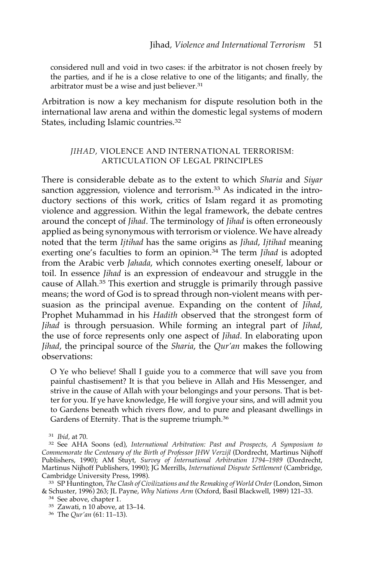considered null and void in two cases: if the arbitrator is not chosen freely by the parties, and if he is a close relative to one of the litigants; and finally, the arbitrator must be a wise and just believer.<sup>31</sup>

Arbitration is now a key mechanism for dispute resolution both in the international law arena and within the domestic legal systems of modern States, including Islamic countries.<sup>32</sup>

## *JIHAD*, VIOLENCE AND INTERNATIONAL TERRORISM: ARTICULATION OF LEGAL PRINCIPLES

There is considerable debate as to the extent to which *Sharia* and *Siyar* sanction aggression, violence and terrorism.<sup>33</sup> As indicated in the introductory sections of this work, critics of Islam regard it as promoting violence and aggression. Within the legal framework, the debate centres around the concept of *Jihad*. The terminology of *Jihad* is often erroneously applied as being synonymous with terrorism or violence. We have already noted that the term *Ijtihad* has the same origins as *Jihad*, *Ijtihad* meaning exerting one's faculties to form an opinion.<sup>34</sup> The term *Jihad* is adopted from the Arabic verb *Jahada*, which connotes exerting oneself, labour or toil. In essence *Jihad* is an expression of endeavour and struggle in the cause of Allah.35 This exertion and struggle is primarily through passive means; the word of God is to spread through non-violent means with persuasion as the principal avenue. Expanding on the content of *Jihad*, Prophet Muhammad in his *Hadith* observed that the strongest form of *Jihad* is through persuasion. While forming an integral part of *Jihad*, the use of force represents only one aspect of *Jihad*. In elaborating upon *Jihad*, the principal source of the *Sharia*, the *Qur'an* makes the following observations:

O Ye who believe! Shall I guide you to a commerce that will save you from painful chastisement? It is that you believe in Allah and His Messenger, and strive in the cause of Allah with your belongings and your persons. That is better for you. If ye have knowledge, He will forgive your sins, and will admit you to Gardens beneath which rivers flow, and to pure and pleasant dwellings in Gardens of Eternity. That is the supreme triumph.<sup>36</sup>

<sup>31</sup> *Ibid,* at 70.

<sup>32</sup> See AHA Soons (ed), *International Arbitration: Past and Prospects, A Symposium to Commemorate the Centenary of the Birth of Professor JHW Verzijl* (Dordrecht, Martinus Nijhoff Publishers, 1990); AM Stuyt, *Survey of International Arbitration 1794–1989* (Dordrecht, Martinus Nijhoff Publishers, 1990); JG Merrills, *International Dispute Settlement* (Cambridge, Cambridge University Press, 1998).

<sup>33</sup> SP Huntington, *The Clash of Civilizations and the Remaking of World Order* (London, Simon & Schuster, 1996) 263; JL Payne, *Why Nations Arm* (Oxford, Basil Blackwell, 1989) 121–33.

<sup>34</sup> See above, chapter 1.

<sup>35</sup> Zawati, n 10 above, at 13–14.

<sup>36</sup> The *Qur'an* (61: 11–13).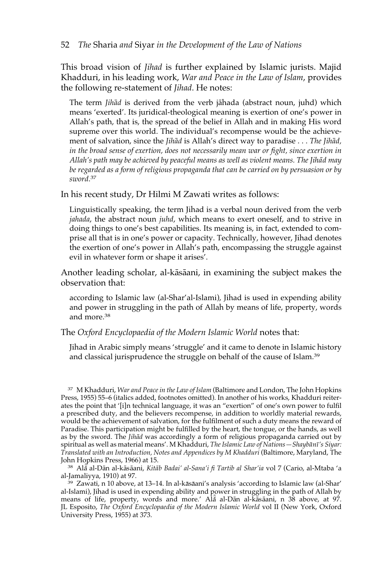#### 52 *The* Sharia *and* Siyar *in the Development of the Law of Nations*

This broad vision of *Jihad* is further explained by Islamic jurists. Majid Khadduri, in his leading work, *War and Peace in the Law of Islam*, provides the following re-statement of *Jihad*. He notes:

The term *Jihad* is derived from the verb jahada (abstract noun, juhd) which means 'exerted'. Its juridical-theological meaning is exertion of one's power in Allah's path, that is, the spread of the belief in Allah and in making His word supreme over this world. The individual's recompense would be the achievement of salvation, since the *Jihād* is Allah's direct way to paradise . . . *The Jihād*, *in the broad sense of exertion, does not necessarily mean war or fight, since exertion in Allah's path may be achieved by peaceful means as well as violent means. The Jiha*–*d may be regarded as a form of religious propaganda that can be carried on by persuasion or by sword*. 37

In his recent study, Dr Hilmi M Zawati writes as follows:

Linguistically speaking, the term Jihad is a verbal noun derived from the verb *jahada*, the abstract noun *juhd*, which means to exert oneself, and to strive in doing things to one's best capabilities. Its meaning is, in fact, extended to comprise all that is in one's power or capacity. Technically, however, Jihad denotes the exertion of one's power in Allah's path, encompassing the struggle against evil in whatever form or shape it arises'.

Another leading scholar, al-kāsāani, in examining the subject makes the observation that:

according to Islamic law (al-Shar'al-Islami), Jihad is used in expending ability and power in struggling in the path of Allah by means of life, property, words and more <sup>38</sup>

#### The *Oxford Encyclopaedia of the Modern Islamic World* notes that:

Jihad in Arabic simply means 'struggle' and it came to denote in Islamic history and classical jurisprudence the struggle on behalf of the cause of Islam.39

<sup>37</sup> M Khadduri, *War and Peace in the Law of Islam* (Baltimore and London, The John Hopkins Press, 1955) 55–6 (italics added, footnotes omitted). In another of his works, Khadduri reiterates the point that '[i]n technical language, it was an "exertion" of one's own power to fulfil a prescribed duty, and the believers recompense, in addition to worldly material rewards, would be the achievement of salvation, for the fulfilment of such a duty means the reward of Paradise. This participation might be fulfilled by the heart, the tongue, or the hands, as well as by the sword. The *Jihad* was accordingly a form of religious propaganda carried out by spiritual as well as material means'. M Khadduri, *The Islamic Law of Nations—Shaybānī's Siyar*: *Translated with an Introduction, Notes and Appendices by M Khadduri* (Baltimore, Maryland, The John Hopkins Press, 1966) at 15.

<sup>38</sup> Alã̃ al-Dān al-kāsāani*, Kitāb Badai' al-Sana'i fi Tartib al Shar'ia* vol 7 (Cario, al-Mtaba 'a al-Jamaliyya, 1910) at 97.

<sup>39</sup> Zawati, n 10 above, at 13-14. In al-kāsāani's analysis 'according to Islamic law (al-Shar' al-Islami), Jihad is used in expending ability and power in struggling in the path of Allah by means of life, property, words and more.' Ala al-Dan al-kasaani, n 38 above, at 97. JL Esposito, *The Oxford Encyclopaedia of the Modern Islamic World* vol II (New York, Oxford University Press, 1955) at 373.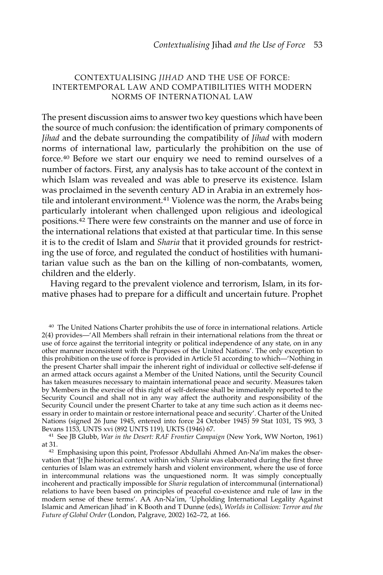## CONTEXTUALISING *JIHAD* AND THE USE OF FORCE: INTERTEMPORAL LAW AND COMPATIBILITIES WITH MODERN NORMS OF INTERNATIONAL LAW

The present discussion aims to answer two key questions which have been the source of much confusion: the identification of primary components of *Jihad* and the debate surrounding the compatibility of *Jihad* with modern norms of international law, particularly the prohibition on the use of force.<sup>40</sup> Before we start our enquiry we need to remind ourselves of a number of factors. First, any analysis has to take account of the context in which Islam was revealed and was able to preserve its existence. Islam was proclaimed in the seventh century AD in Arabia in an extremely hostile and intolerant environment.<sup>41</sup> Violence was the norm, the Arabs being particularly intolerant when challenged upon religious and ideological positions.42 There were few constraints on the manner and use of force in the international relations that existed at that particular time. In this sense it is to the credit of Islam and *Sharia* that it provided grounds for restricting the use of force, and regulated the conduct of hostilities with humanitarian value such as the ban on the killing of non-combatants, women, children and the elderly.

Having regard to the prevalent violence and terrorism, Islam, in its formative phases had to prepare for a difficult and uncertain future. Prophet

<sup>40</sup> The United Nations Charter prohibits the use of force in international relations. Article 2(4) provides—'All Members shall refrain in their international relations from the threat or use of force against the territorial integrity or political independence of any state, on in any other manner inconsistent with the Purposes of the United Nations'. The only exception to this prohibition on the use of force is provided in Article 51 according to which—'Nothing in the present Charter shall impair the inherent right of individual or collective self-defense if an armed attack occurs against a Member of the United Nations, until the Security Council has taken measures necessary to maintain international peace and security. Measures taken by Members in the exercise of this right of self-defense shall be immediately reported to the Security Council and shall not in any way affect the authority and responsibility of the Security Council under the present Charter to take at any time such action as it deems necessary in order to maintain or restore international peace and security'. Charter of the United Nations (signed 26 June 1945, entered into force 24 October 1945) 59 Stat 1031, TS 993, 3 Bevans 1153, UNTS xvi (892 UNTS 119), UKTS (1946) 67.

<sup>41</sup> See JB Glubb, *War in the Desert: RAF Frontier Campaign* (New York, WW Norton, 1961) at 31.

<sup>42</sup> Emphasising upon this point, Professor Abdullahi Ahmed An-Na'im makes the observation that '[t]he historical context within which *Sharia* was elaborated during the first three centuries of Islam was an extremely harsh and violent environment, where the use of force in intercommunal relations was the unquestioned norm. It was simply conceptually incoherent and practically impossible for *Sharia* regulation of intercommunal (international) relations to have been based on principles of peaceful co-existence and rule of law in the modern sense of these terms'. AA An-Na'im, 'Upholding International Legality Against Islamic and American Jihad' in K Booth and T Dunne (eds), *Worlds in Collision: Terror and the Future of Global Order* (London, Palgrave, 2002) 162–72, at 166.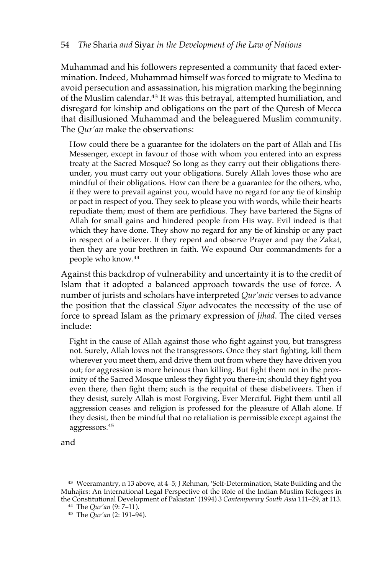Muhammad and his followers represented a community that faced extermination. Indeed, Muhammad himself was forced to migrate to Medina to avoid persecution and assassination, his migration marking the beginning of the Muslim calendar.43 It was this betrayal, attempted humiliation, and disregard for kinship and obligations on the part of the Quresh of Mecca that disillusioned Muhammad and the beleaguered Muslim community. The *Qur'an* make the observations:

How could there be a guarantee for the idolaters on the part of Allah and His Messenger, except in favour of those with whom you entered into an express treaty at the Sacred Mosque? So long as they carry out their obligations thereunder, you must carry out your obligations. Surely Allah loves those who are mindful of their obligations. How can there be a guarantee for the others, who, if they were to prevail against you, would have no regard for any tie of kinship or pact in respect of you. They seek to please you with words, while their hearts repudiate them; most of them are perfidious. They have bartered the Signs of Allah for small gains and hindered people from His way. Evil indeed is that which they have done. They show no regard for any tie of kinship or any pact in respect of a believer. If they repent and observe Prayer and pay the Zakat, then they are your brethren in faith. We expound Our commandments for a people who know.44

Against this backdrop of vulnerability and uncertainty it is to the credit of Islam that it adopted a balanced approach towards the use of force. A number of jurists and scholars have interpreted *Qur'anic* verses to advance the position that the classical *Siyar* advocates the necessity of the use of force to spread Islam as the primary expression of *Jihad*. The cited verses include:

Fight in the cause of Allah against those who fight against you, but transgress not. Surely, Allah loves not the transgressors. Once they start fighting, kill them wherever you meet them, and drive them out from where they have driven you out; for aggression is more heinous than killing. But fight them not in the proximity of the Sacred Mosque unless they fight you there-in; should they fight you even there, then fight them; such is the requital of these disbeliveers. Then if they desist, surely Allah is most Forgiving, Ever Merciful. Fight them until all aggression ceases and religion is professed for the pleasure of Allah alone. If they desist, then be mindful that no retaliation is permissible except against the aggressors.45

and

<sup>43</sup> Weeramantry, n 13 above, at 4–5; J Rehman, 'Self-Determination, State Building and the Muhajirs: An International Legal Perspective of the Role of the Indian Muslim Refugees in the Constitutional Development of Pakistan' (1994) 3 *Contemporary South Asia* 111–29, at 113.

<sup>44</sup> The *Qur'an* (9: 7–11).

<sup>45</sup> The *Qur'an* (2: 191–94).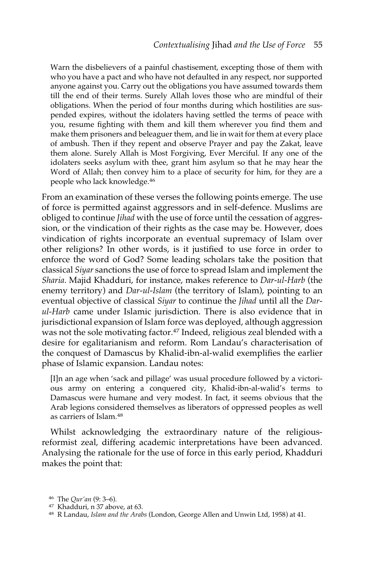Warn the disbelievers of a painful chastisement, excepting those of them with who you have a pact and who have not defaulted in any respect, nor supported anyone against you. Carry out the obligations you have assumed towards them till the end of their terms. Surely Allah loves those who are mindful of their obligations. When the period of four months during which hostilities are suspended expires, without the idolaters having settled the terms of peace with you, resume fighting with them and kill them wherever you find them and make them prisoners and beleaguer them, and lie in wait for them at every place of ambush. Then if they repent and observe Prayer and pay the Zakat, leave them alone. Surely Allah is Most Forgiving, Ever Merciful. If any one of the idolaters seeks asylum with thee, grant him asylum so that he may hear the Word of Allah; then convey him to a place of security for him, for they are a people who lack knowledge.46

From an examination of these verses the following points emerge. The use of force is permitted against aggressors and in self-defence. Muslims are obliged to continue *Jihad* with the use of force until the cessation of aggression, or the vindication of their rights as the case may be. However, does vindication of rights incorporate an eventual supremacy of Islam over other religions? In other words, is it justified to use force in order to enforce the word of God? Some leading scholars take the position that classical *Siyar* sanctions the use of force to spread Islam and implement the *Sharia*. Majid Khadduri, for instance, makes reference to *Dar-ul-Harb* (the enemy territory) and *Dar-ul-Islam* (the territory of Islam), pointing to an eventual objective of classical *Siyar* to continue the *Jihad* until all the *Darul-Harb* came under Islamic jurisdiction. There is also evidence that in jurisdictional expansion of Islam force was deployed, although aggression was not the sole motivating factor.<sup>47</sup> Indeed, religious zeal blended with a desire for egalitarianism and reform. Rom Landau's characterisation of the conquest of Damascus by Khalid-ibn-al-walid exemplifies the earlier phase of Islamic expansion. Landau notes:

[I]n an age when 'sack and pillage' was usual procedure followed by a victorious army on entering a conquered city, Khalid-ibn-al-walid's terms to Damascus were humane and very modest. In fact, it seems obvious that the Arab legions considered themselves as liberators of oppressed peoples as well as carriers of Islam.48

Whilst acknowledging the extraordinary nature of the religiousreformist zeal, differing academic interpretations have been advanced. Analysing the rationale for the use of force in this early period, Khadduri makes the point that:

<sup>46</sup> The *Qur'an* (9: 3–6).

<sup>47</sup> Khadduri, n 37 above, at 63.

<sup>48</sup> R Landau, *Islam and the Arabs* (London, George Allen and Unwin Ltd, 1958) at 41.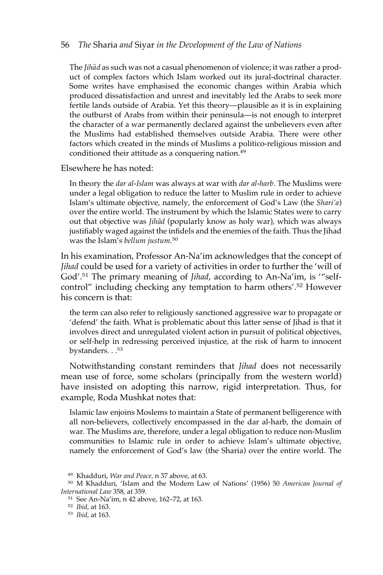#### 56 *The* Sharia *and* Siyar *in the Development of the Law of Nations*

The *Jihad* as such was not a casual phenomenon of violence; it was rather a product of complex factors which Islam worked out its jural-doctrinal character. Some writes have emphasised the economic changes within Arabia which produced dissatisfaction and unrest and inevitably led the Arabs to seek more fertile lands outside of Arabia. Yet this theory—plausible as it is in explaining the outburst of Arabs from within their peninsula—is not enough to interpret the character of a war permanently declared against the unbelievers even after the Muslims had established themselves outside Arabia. There were other factors which created in the minds of Muslims a politico-religious mission and conditioned their attitude as a conquering nation.49

Elsewhere he has noted:

In theory the *dar al-Islam* was always at war with *dar al-harb*. The Muslims were under a legal obligation to reduce the latter to Muslim rule in order to achieve Islam's ultimate objective, namely, the enforcement of God's Law (the *Shari'a*) over the entire world. The instrument by which the Islamic States were to carry out that objective was *Jihād* (popularly know as holy war), which was always justifiably waged against the infidels and the enemies of the faith. Thus the Jihad was the Islam's *bellum justum*. 50

In his examination, Professor An-Na'im acknowledges that the concept of *Jihad* could be used for a variety of activities in order to further the 'will of God'.51 The primary meaning of *Jihad*, according to An-Na'im, is '"selfcontrol" including checking any temptation to harm others'.52 However his concern is that:

the term can also refer to religiously sanctioned aggressive war to propagate or 'defend' the faith. What is problematic about this latter sense of Jihad is that it involves direct and unregulated violent action in pursuit of political objectives, or self-help in redressing perceived injustice, at the risk of harm to innocent bystanders. . . 53

Notwithstanding constant reminders that *Jihad* does not necessarily mean use of force, some scholars (principally from the western world) have insisted on adopting this narrow, rigid interpretation. Thus, for example, Roda Mushkat notes that:

Islamic law enjoins Moslems to maintain a State of permanent belligerence with all non-believers, collectively encompassed in the dar al-harb, the domain of war. The Muslims are, therefore, under a legal obligation to reduce non-Muslim communities to Islamic rule in order to achieve Islam's ultimate objective, namely the enforcement of God's law (the Sharia) over the entire world. The

<sup>52</sup> *Ibid*, at 163.

<sup>53</sup> *Ibid*, at 163.

<sup>49</sup> Khadduri, *War and Peace,* n 37 above, at 63.

<sup>50</sup> M Khadduri, 'Islam and the Modern Law of Nations' (1956) 50 *American Journal of International Law* 358, at 359.

<sup>51</sup> See An-Na'im, n 42 above, 162–72, at 163.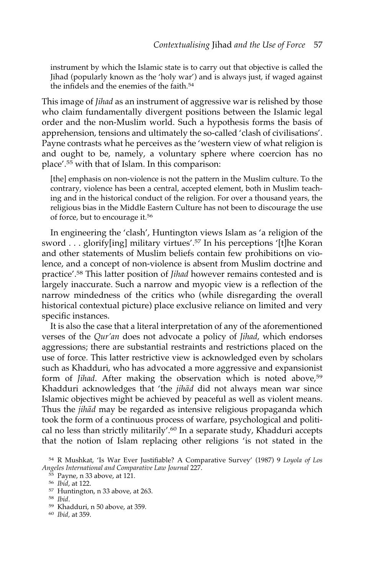instrument by which the Islamic state is to carry out that objective is called the Jihad (popularly known as the 'holy war') and is always just, if waged against the infidels and the enemies of the faith.<sup>54</sup>

This image of *Jihad* as an instrument of aggressive war is relished by those who claim fundamentally divergent positions between the Islamic legal order and the non-Muslim world. Such a hypothesis forms the basis of apprehension, tensions and ultimately the so-called 'clash of civilisations'. Payne contrasts what he perceives as the 'western view of what religion is and ought to be, namely, a voluntary sphere where coercion has no place'.55 with that of Islam. In this comparison:

[the] emphasis on non-violence is not the pattern in the Muslim culture. To the contrary, violence has been a central, accepted element, both in Muslim teaching and in the historical conduct of the religion. For over a thousand years, the religious bias in the Middle Eastern Culture has not been to discourage the use of force, but to encourage it.56

In engineering the 'clash', Huntington views Islam as 'a religion of the sword . . . glorify[ing] military virtues'.57 In his perceptions '[t]he Koran and other statements of Muslim beliefs contain few prohibitions on violence, and a concept of non-violence is absent from Muslim doctrine and practice'.58 This latter position of *Jihad* however remains contested and is largely inaccurate. Such a narrow and myopic view is a reflection of the narrow mindedness of the critics who (while disregarding the overall historical contextual picture) place exclusive reliance on limited and very specific instances.

It is also the case that a literal interpretation of any of the aforementioned verses of the *Qur'an* does not advocate a policy of *Jihad*, which endorses aggressions; there are substantial restraints and restrictions placed on the use of force. This latter restrictive view is acknowledged even by scholars such as Khadduri, who has advocated a more aggressive and expansionist form of *Jihad*. After making the observation which is noted above,<sup>59</sup> Khadduri acknowledges that 'the *jihad* did not always mean war since Islamic objectives might be achieved by peaceful as well as violent means. Thus the *jihad* may be regarded as intensive religious propaganda which took the form of a continuous process of warfare, psychological and political no less than strictly militarily'.<sup>60</sup> In a separate study, Khadduri accepts that the notion of Islam replacing other religions 'is not stated in the

<sup>54</sup> R Mushkat, 'Is War Ever Justifiable? A Comparative Survey' (1987) 9 *Loyola of Los Angeles International and Comparative Law Journal* 227.

<sup>55</sup> Payne, n 33 above, at 121.

<sup>56</sup> *Ibid*, at 122.

<sup>57</sup> Huntington, n 33 above, at 263.

<sup>58</sup> *Ibid*.

<sup>59</sup> Khadduri, n 50 above, at 359.

<sup>60</sup> *Ibid,* at 359.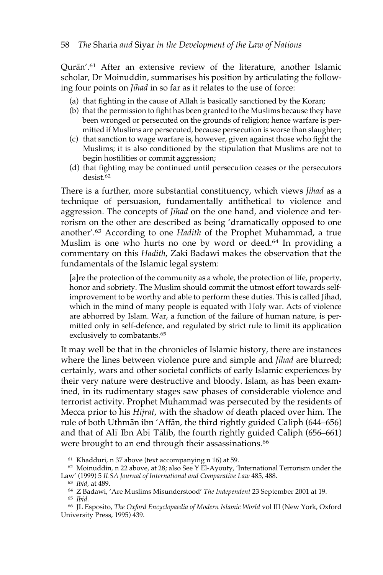Quran<sup>'.61</sup> After an extensive review of the literature, another Islamic scholar, Dr Moinuddin, summarises his position by articulating the following four points on *Jihad* in so far as it relates to the use of force:

- (a) that fighting in the cause of Allah is basically sanctioned by the Koran;
- (b) that the permission to fight has been granted to the Muslims because they have been wronged or persecuted on the grounds of religion; hence warfare is permitted if Muslims are persecuted, because persecution is worse than slaughter;
- (c) that sanction to wage warfare is, however, given against those who fight the Muslims; it is also conditioned by the stipulation that Muslims are not to begin hostilities or commit aggression;
- (d) that fighting may be continued until persecution ceases or the persecutors desist.62

There is a further, more substantial constituency, which views *Jihad* as a technique of persuasion, fundamentally antithetical to violence and aggression. The concepts of *Jihad* on the one hand, and violence and terrorism on the other are described as being 'dramatically opposed to one another'.<sup>63</sup> According to one *Hadith* of the Prophet Muhammad, a true Muslim is one who hurts no one by word or deed.<sup>64</sup> In providing a commentary on this *Hadith*, Zaki Badawi makes the observation that the fundamentals of the Islamic legal system:

[a]re the protection of the community as a whole, the protection of life, property, honor and sobriety. The Muslim should commit the utmost effort towards selfimprovement to be worthy and able to perform these duties. This is called Jihad, which in the mind of many people is equated with Holy war. Acts of violence are abhorred by Islam. War, a function of the failure of human nature, is permitted only in self-defence, and regulated by strict rule to limit its application exclusively to combatants.<sup>65</sup>

It may well be that in the chronicles of Islamic history, there are instances where the lines between violence pure and simple and *Jihad* are blurred; certainly, wars and other societal conflicts of early Islamic experiences by their very nature were destructive and bloody. Islam, as has been examined, in its rudimentary stages saw phases of considerable violence and terrorist activity. Prophet Muhammad was persecuted by the residents of Mecca prior to his *Hijrat*, with the shadow of death placed over him. The rule of both Uthmān ibn 'Affān, the third rightly guided Caliph (644–656) and that of Alī– Ibn Abī– Tālib, the fourth rightly guided Caliph (656–661) were brought to an end through their assassinations.<sup>66</sup>

<sup>61</sup> Khadduri, n 37 above (text accompanying n 16) at 59.

 $62$  Moinuddin, n 22 above, at 28; also See Y El-Ayouty, 'International Terrorism under the Law' (1999) 5 *ILSA Journal of International and Comparative Law* 485, 488.

<sup>63</sup> *Ibid,* at 489.

<sup>66</sup> JL Esposito, *The Oxford Encyclopaedia of Modern Islamic World* vol III (New York, Oxford University Press, 1995) 439.

<sup>64</sup> Z Badawi, 'Are Muslims Misunderstood' *The Independent* 23 September 2001 at 19.

<sup>65</sup> *Ibid.*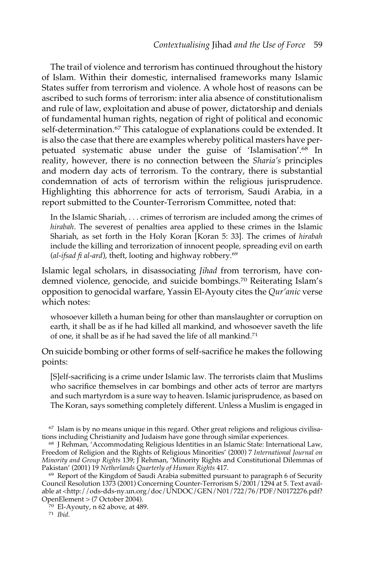The trail of violence and terrorism has continued throughout the history of Islam. Within their domestic, internalised frameworks many Islamic States suffer from terrorism and violence. A whole host of reasons can be ascribed to such forms of terrorism: inter alia absence of constitutionalism and rule of law, exploitation and abuse of power, dictatorship and denials of fundamental human rights, negation of right of political and economic self-determination.<sup>67</sup> This catalogue of explanations could be extended. It is also the case that there are examples whereby political masters have perpetuated systematic abuse under the guise of 'Islamisation'.68 In reality, however, there is no connection between the *Sharia's* principles and modern day acts of terrorism. To the contrary, there is substantial condemnation of acts of terrorism within the religious jurisprudence. Highlighting this abhorrence for acts of terrorism, Saudi Arabia, in a report submitted to the Counter-Terrorism Committee, noted that:

In the Islamic Shariah, . . . crimes of terrorism are included among the crimes of *hirabah*. The severest of penalties area applied to these crimes in the Islamic Shariah, as set forth in the Holy Koran [Koran 5: 33]. The crimes of *hirabah* include the killing and terrorization of innocent people, spreading evil on earth (*al-ifsad fi al-ard*), theft, looting and highway robbery.<sup>69</sup>

Islamic legal scholars, in disassociating *Jihad* from terrorism, have condemned violence, genocide, and suicide bombings.<sup>70</sup> Reiterating Islam's opposition to genocidal warfare, Yassin El-Ayouty cites the *Qur'anic* verse which notes:

whosoever killeth a human being for other than manslaughter or corruption on earth, it shall be as if he had killed all mankind, and whosoever saveth the life of one, it shall be as if he had saved the life of all mankind.71

On suicide bombing or other forms of self-sacrifice he makes the following points:

[S]elf-sacrificing is a crime under Islamic law. The terrorists claim that Muslims who sacrifice themselves in car bombings and other acts of terror are martyrs and such martyrdom is a sure way to heaven. Islamic jurisprudence, as based on The Koran, says something completely different. Unless a Muslim is engaged in

<sup>67</sup> Islam is by no means unique in this regard. Other great religions and religious civilisations including Christianity and Judaism have gone through similar experiences.

<sup>68</sup> J Rehman, 'Accommodating Religious Identities in an Islamic State: International Law, Freedom of Religion and the Rights of Religious Minorities' (2000) 7 *International Journal on Minority and Group Rights* 139; J Rehman, 'Minority Rights and Constitutional Dilemmas of Pakistan' (2001) 19 *Netherlands Quarterly of Human Rights* 417.

<sup>69</sup> Report of the Kingdom of Saudi Arabia submitted pursuant to paragraph 6 of Security Council Resolution 1373 (2001) Concerning Counter-Terrorism S/2001/1294 at 5. Text available at <http://ods-dds-ny.un.org/doc/UNDOC/GEN/N01/722/76/PDF/N0172276.pdf? OpenElement > (7 October 2004).

 $70$  El-Ayouty, n 62 above, at 489.

<sup>71</sup> *Ibid.*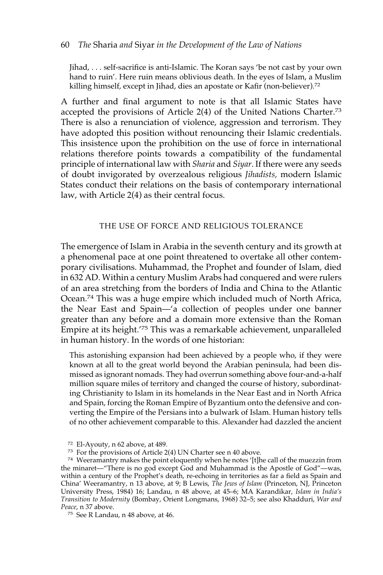#### 60 *The* Sharia *and* Siyar *in the Development of the Law of Nations*

Jihad, . . . self-sacrifice is anti-Islamic. The Koran says 'be not cast by your own hand to ruin'. Here ruin means oblivious death. In the eyes of Islam, a Muslim killing himself, except in Jihad, dies an apostate or Kafir (non-believer).72

A further and final argument to note is that all Islamic States have accepted the provisions of Article 2(4) of the United Nations Charter.<sup>73</sup> There is also a renunciation of violence, aggression and terrorism. They have adopted this position without renouncing their Islamic credentials. This insistence upon the prohibition on the use of force in international relations therefore points towards a compatibility of the fundamental principle of international law with *Sharia* and *Siyar*. If there were any seeds of doubt invigorated by overzealous religious *Jihadists,* modern Islamic States conduct their relations on the basis of contemporary international law, with Article 2(4) as their central focus.

## THE USE OF FORCE AND RELIGIOUS TOLERANCE

The emergence of Islam in Arabia in the seventh century and its growth at a phenomenal pace at one point threatened to overtake all other contemporary civilisations. Muhammad, the Prophet and founder of Islam, died in 632 AD. Within a century Muslim Arabs had conquered and were rulers of an area stretching from the borders of India and China to the Atlantic Ocean.<sup>74</sup> This was a huge empire which included much of North Africa, the Near East and Spain—'a collection of peoples under one banner greater than any before and a domain more extensive than the Roman Empire at its height.'<sup>75</sup> This was a remarkable achievement, unparalleled in human history. In the words of one historian:

This astonishing expansion had been achieved by a people who, if they were known at all to the great world beyond the Arabian peninsula, had been dismissed as ignorant nomads. They had overrun something above four-and-a-half million square miles of territory and changed the course of history, subordinating Christianity to Islam in its homelands in the Near East and in North Africa and Spain, forcing the Roman Empire of Byzantium onto the defensive and converting the Empire of the Persians into a bulwark of Islam. Human history tells of no other achievement comparable to this. Alexander had dazzled the ancient

<sup>72</sup> El-Ayouty, n 62 above, at 489*.*

<sup>73</sup> For the provisions of Article 2(4) UN Charter see n 40 above.

<sup>74</sup> Weeramantry makes the point eloquently when he notes '[t]he call of the muezzin from the minaret—"There is no god except God and Muhammad is the Apostle of God"—was, within a century of the Prophet's death, re-echoing in territories as far a field as Spain and China' Weeramantry, n 13 above, at 9; B Lewis, *The Jews of Islam* (Princeton, NJ, Princeton University Press, 1984) 16; Landau, n 48 above, at 45–6; MA Karandikar, *Islam in India's Transition to Modernity* (Bombay, Orient Longmans, 1968) 32–5; see also Khadduri, *War and Peace*, n 37 above.

<sup>75</sup> See R Landau, n 48 above, at 46.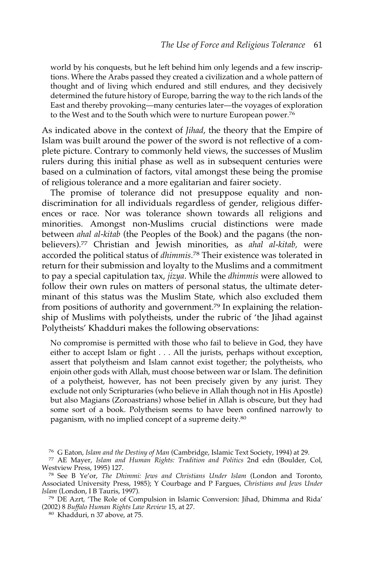world by his conquests, but he left behind him only legends and a few inscriptions. Where the Arabs passed they created a civilization and a whole pattern of thought and of living which endured and still endures, and they decisively determined the future history of Europe, barring the way to the rich lands of the East and thereby provoking—many centuries later—the voyages of exploration to the West and to the South which were to nurture European power.<sup>76</sup>

As indicated above in the context of *Jihad*, the theory that the Empire of Islam was built around the power of the sword is not reflective of a complete picture. Contrary to commonly held views, the successes of Muslim rulers during this initial phase as well as in subsequent centuries were based on a culmination of factors, vital amongst these being the promise of religious tolerance and a more egalitarian and fairer society.

The promise of tolerance did not presuppose equality and nondiscrimination for all individuals regardless of gender, religious differences or race. Nor was tolerance shown towards all religions and minorities. Amongst non-Muslims crucial distinctions were made between *ahal al-kitab* (the Peoples of the Book) and the pagans (the nonbelievers).<sup>77</sup> Christian and Jewish minorities, as *ahal al-kitab,* were accorded the political status of *dhimmis*. <sup>78</sup> Their existence was tolerated in return for their submission and loyalty to the Muslims and a commitment to pay a special capitulation tax, *jizya*. While the *dhimmis* were allowed to follow their own rules on matters of personal status, the ultimate determinant of this status was the Muslim State, which also excluded them from positions of authority and government.<sup>79</sup> In explaining the relationship of Muslims with polytheists, under the rubric of 'the Jihad against Polytheists' Khadduri makes the following observations:

No compromise is permitted with those who fail to believe in God, they have either to accept Islam or fight . . . All the jurists, perhaps without exception, assert that polytheism and Islam cannot exist together; the polytheists, who enjoin other gods with Allah, must choose between war or Islam. The definition of a polytheist, however, has not been precisely given by any jurist. They exclude not only Scripturaries (who believe in Allah though not in His Apostle) but also Magians (Zoroastrians) whose belief in Allah is obscure, but they had some sort of a book. Polytheism seems to have been confined narrowly to paganism, with no implied concept of a supreme deity.80

<sup>76</sup> G Eaton, *Islam and the Destiny of Man* (Cambridge, Islamic Text Society, 1994) at 29.

<sup>79</sup> DE Azrt, 'The Role of Compulsion in Islamic Conversion: Jihad, Dhimma and Rida' (2002) 8 *Buffalo Human Rights Law Review* 15, at 27.

<sup>80</sup> Khadduri, n 37 above, at 75.

<sup>77</sup> AE Mayer, *Islam and Human Rights: Tradition and Politics* 2nd edn (Boulder, Col, Westview Press, 1995) 127.

<sup>78</sup> See B Ye'or, *The Dhimmi: Jews and Christians Under Islam* (London and Toronto, Associated University Press, 1985); Y Courbage and P Fargues, *Christians and Jews Under Islam* (London, I B Tauris, 1997).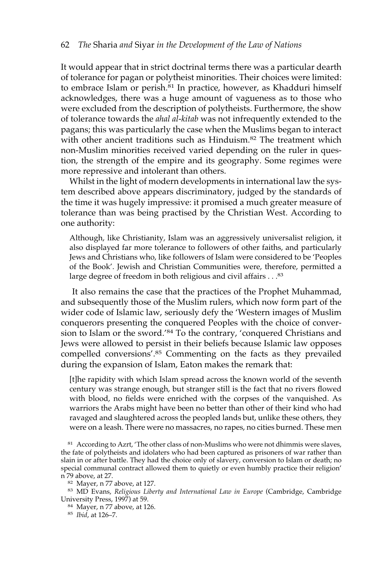It would appear that in strict doctrinal terms there was a particular dearth of tolerance for pagan or polytheist minorities. Their choices were limited: to embrace Islam or perish.<sup>81</sup> In practice, however, as Khadduri himself acknowledges, there was a huge amount of vagueness as to those who were excluded from the description of polytheists. Furthermore, the show of tolerance towards the *ahal al-kitab* was not infrequently extended to the pagans; this was particularly the case when the Muslims began to interact with other ancient traditions such as Hinduism.<sup>82</sup> The treatment which non-Muslim minorities received varied depending on the ruler in question, the strength of the empire and its geography. Some regimes were more repressive and intolerant than others.

Whilst in the light of modern developments in international law the system described above appears discriminatory, judged by the standards of the time it was hugely impressive: it promised a much greater measure of tolerance than was being practised by the Christian West. According to one authority:

Although, like Christianity, Islam was an aggressively universalist religion, it also displayed far more tolerance to followers of other faiths, and particularly Jews and Christians who, like followers of Islam were considered to be 'Peoples of the Book'. Jewish and Christian Communities were, therefore, permitted a large degree of freedom in both religious and civil affairs . . . 83

It also remains the case that the practices of the Prophet Muhammad, and subsequently those of the Muslim rulers, which now form part of the wider code of Islamic law, seriously defy the 'Western images of Muslim conquerors presenting the conquered Peoples with the choice of conversion to Islam or the sword.'84 To the contrary, 'conquered Christians and Jews were allowed to persist in their beliefs because Islamic law opposes compelled conversions'.85 Commenting on the facts as they prevailed during the expansion of Islam, Eaton makes the remark that:

[t]he rapidity with which Islam spread across the known world of the seventh century was strange enough, but stranger still is the fact that no rivers flowed with blood, no fields were enriched with the corpses of the vanquished. As warriors the Arabs might have been no better than other of their kind who had ravaged and slaughtered across the peopled lands but, unlike these others, they were on a leash. There were no massacres, no rapes, no cities burned. These men

<sup>81</sup> According to Azrt, 'The other class of non-Muslims who were not dhimmis were slaves, the fate of polytheists and idolaters who had been captured as prisoners of war rather than slain in or after battle. They had the choice only of slavery, conversion to Islam or death; no special communal contract allowed them to quietly or even humbly practice their religion' n 79 above, at 27.

<sup>83</sup> MD Evans, *Religious Liberty and International Law in Europe* (Cambridge, Cambridge University Press, 1997) at 59.

<sup>84</sup> Mayer, n 77 above, at 126.

<sup>85</sup> *Ibid*, at 126–7.

<sup>82</sup> Mayer, n 77 above, at 127.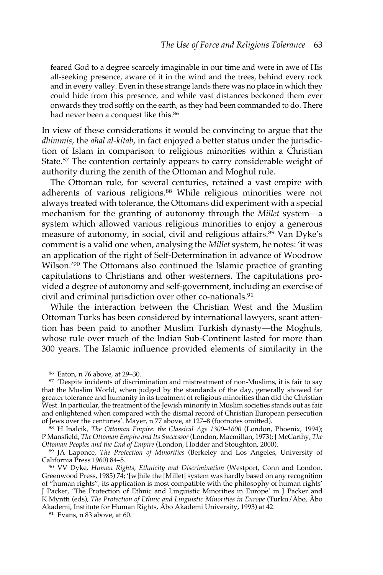feared God to a degree scarcely imaginable in our time and were in awe of His all-seeking presence, aware of it in the wind and the trees, behind every rock and in every valley. Even in these strange lands there was no place in which they could hide from this presence, and while vast distances beckoned them ever onwards they trod softly on the earth, as they had been commanded to do. There had never been a conquest like this.<sup>86</sup>

In view of these considerations it would be convincing to argue that the *dhimmis*, the *ahal al-kitab*, in fact enjoyed a better status under the jurisdiction of Islam in comparison to religious minorities within a Christian State.<sup>87</sup> The contention certainly appears to carry considerable weight of authority during the zenith of the Ottoman and Moghul rule.

The Ottoman rule, for several centuries, retained a vast empire with adherents of various religions.<sup>88</sup> While religious minorities were not always treated with tolerance, the Ottomans did experiment with a special mechanism for the granting of autonomy through the *Millet* system—a system which allowed various religious minorities to enjoy a generous measure of autonomy, in social, civil and religious affairs.89 Van Dyke's comment is a valid one when, analysing the *Millet* system, he notes: 'it was an application of the right of Self-Determination in advance of Woodrow Wilson.'90 The Ottomans also continued the Islamic practice of granting capitulations to Christians and other westerners. The capitulations provided a degree of autonomy and self-government, including an exercise of civil and criminal jurisdiction over other co-nationals.91

While the interaction between the Christian West and the Muslim Ottoman Turks has been considered by international lawyers, scant attention has been paid to another Muslim Turkish dynasty—the Moghuls, whose rule over much of the Indian Sub-Continent lasted for more than 300 years. The Islamic influence provided elements of similarity in the

<sup>88</sup> H Inalcik, *The Ottoman Empire: the Classical Age 1300–1600* (London, Phoenix, 1994); P Mansfield, *The Ottoman Empire and Its Successor*(London, Macmillan, 1973); J McCarthy, *The Ottoman Peoples and the End of Empire* (London, Hodder and Stoughton, 2000).

<sup>89</sup> JA Laponce, *The Protection of Minorities* (Berkeley and Los Angeles, University of California Press 1960) 84–5.

<sup>90</sup> VV Dyke, *Human Rights, Ethnicity and Discrimination* (Westport, Conn and London, Greenwood Press, 1985) 74; '[w]hile the [Millet] system was hardly based on any recognition of "human rights", its application is most compatible with the philosophy of human rights' J Packer, 'The Protection of Ethnic and Linguistic Minorities in Europe' in J Packer and K Myntti (eds), *The Protection of Ethnic and Linguistic Minorities in Europe* (Turku/Åbo, Åbo Akademi, Institute for Human Rights, Åbo Akademi University, 1993) at 42.

<sup>91</sup> Evans, n 83 above, at 60.

<sup>86</sup> Eaton, n 76 above, at 29–30.

<sup>&</sup>lt;sup>87</sup> 'Despite incidents of discrimination and mistreatment of non-Muslims, it is fair to say that the Muslim World, when judged by the standards of the day, generally showed far greater tolerance and humanity in its treatment of religious minorities than did the Christian West. In particular, the treatment of the Jewish minority in Muslim societies stands out as fair and enlightened when compared with the dismal record of Christian European persecution of Jews over the centuries'. Mayer, n 77 above, at 127–8 (footnotes omitted).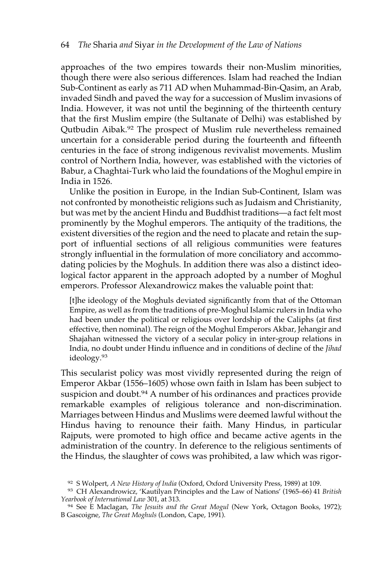approaches of the two empires towards their non-Muslim minorities, though there were also serious differences. Islam had reached the Indian Sub-Continent as early as 711 AD when Muhammad-Bin-Qasim, an Arab, invaded Sindh and paved the way for a succession of Muslim invasions of India. However, it was not until the beginning of the thirteenth century that the first Muslim empire (the Sultanate of Delhi) was established by Qutbudin Aibak.<sup>92</sup> The prospect of Muslim rule nevertheless remained uncertain for a considerable period during the fourteenth and fifteenth centuries in the face of strong indigenous revivalist movements. Muslim control of Northern India, however, was established with the victories of Babur, a Chaghtai-Turk who laid the foundations of the Moghul empire in India in 1526.

Unlike the position in Europe, in the Indian Sub-Continent, Islam was not confronted by monotheistic religions such as Judaism and Christianity, but was met by the ancient Hindu and Buddhist traditions—a fact felt most prominently by the Moghul emperors. The antiquity of the traditions, the existent diversities of the region and the need to placate and retain the support of influential sections of all religious communities were features strongly influential in the formulation of more conciliatory and accommodating policies by the Moghuls. In addition there was also a distinct ideological factor apparent in the approach adopted by a number of Moghul emperors. Professor Alexandrowicz makes the valuable point that:

[t]he ideology of the Moghuls deviated significantly from that of the Ottoman Empire, as well as from the traditions of pre-Moghul Islamic rulers in India who had been under the political or religious over lordship of the Caliphs (at first effective, then nominal). The reign of the Moghul Emperors Akbar, Jehangir and Shajahan witnessed the victory of a secular policy in inter-group relations in India, no doubt under Hindu influence and in conditions of decline of the *Jihad* ideology.<sup>93</sup>

This secularist policy was most vividly represented during the reign of Emperor Akbar (1556–1605) whose own faith in Islam has been subject to suspicion and doubt.<sup>94</sup> A number of his ordinances and practices provide remarkable examples of religious tolerance and non-discrimination. Marriages between Hindus and Muslims were deemed lawful without the Hindus having to renounce their faith. Many Hindus, in particular Rajputs, were promoted to high office and became active agents in the administration of the country. In deference to the religious sentiments of the Hindus, the slaughter of cows was prohibited, a law which was rigor-

<sup>93</sup> CH Alexandrowicz, 'Kautilyan Principles and the Law of Nations' (1965–66) 41 *British Yearbook of International Law* 301, at 313.

<sup>92</sup> S Wolpert, *A New History of India* (Oxford, Oxford University Press, 1989) at 109.

<sup>94</sup> See E Maclagan, *The Jesuits and the Great Mogul* (New York, Octagon Books, 1972); B Gascoigne, *The Great Moghuls* (London, Cape, 1991).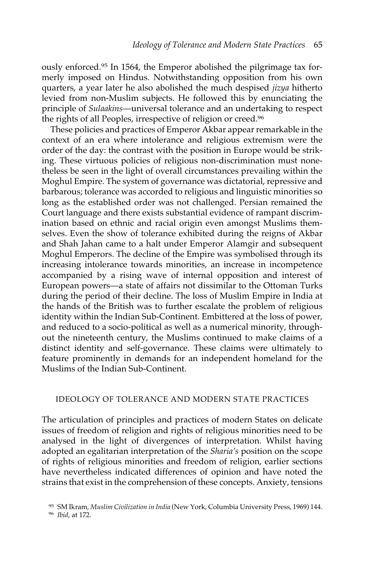ously enforced.95 In 1564, the Emperor abolished the pilgrimage tax formerly imposed on Hindus. Notwithstanding opposition from his own quarters, a year later he also abolished the much despised *jizya* hitherto levied from non-Muslim subjects. He followed this by enunciating the principle of *Sulaakins*—universal tolerance and an undertaking to respect the rights of all Peoples, irrespective of religion or creed.<sup>96</sup>

These policies and practices of Emperor Akbar appear remarkable in the context of an era where intolerance and religious extremism were the order of the day: the contrast with the position in Europe would be striking. These virtuous policies of religious non-discrimination must nonetheless be seen in the light of overall circumstances prevailing within the Moghul Empire. The system of governance was dictatorial, repressive and barbarous; tolerance was accorded to religious and linguistic minorities so long as the established order was not challenged. Persian remained the Court language and there exists substantial evidence of rampant discrimination based on ethnic and racial origin even amongst Muslims themselves. Even the show of tolerance exhibited during the reigns of Akbar and Shah Jahan came to a halt under Emperor Alamgir and subsequent Moghul Emperors. The decline of the Empire was symbolised through its increasing intolerance towards minorities, an increase in incompetence accompanied by a rising wave of internal opposition and interest of European powers—a state of affairs not dissimilar to the Ottoman Turks during the period of their decline. The loss of Muslim Empire in India at the hands of the British was to further escalate the problem of religious identity within the Indian Sub-Continent. Embittered at the loss of power, and reduced to a socio-political as well as a numerical minority, throughout the nineteenth century, the Muslims continued to make claims of a distinct identity and self-governance. These claims were ultimately to feature prominently in demands for an independent homeland for the Muslims of the Indian Sub-Continent.

## IDEOLOGY OF TOLERANCE AND MODERN STATE PRACTICES

The articulation of principles and practices of modern States on delicate issues of freedom of religion and rights of religious minorities need to be analysed in the light of divergences of interpretation. Whilst having adopted an egalitarian interpretation of the *Sharia's* position on the scope of rights of religious minorities and freedom of religion, earlier sections have nevertheless indicated differences of opinion and have noted the strains that exist in the comprehension of these concepts. Anxiety, tensions

<sup>95</sup> SM Ikram, *Muslim Civilization in India* (New York, Columbia University Press, 1969) 144.

<sup>96</sup> *Ibid*, at 172.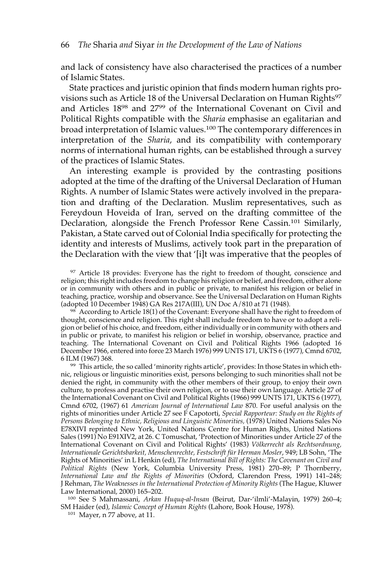and lack of consistency have also characterised the practices of a number of Islamic States.

State practices and juristic opinion that finds modern human rights provisions such as Article 18 of the Universal Declaration on Human Rights<sup>97</sup> and Articles 1898 and 27<sup>99</sup> of the International Covenant on Civil and Political Rights compatible with the *Sharia* emphasise an egalitarian and broad interpretation of Islamic values.100 The contemporary differences in interpretation of the *Sharia*, and its compatibility with contemporary norms of international human rights, can be established through a survey of the practices of Islamic States.

An interesting example is provided by the contrasting positions adopted at the time of the drafting of the Universal Declaration of Human Rights. A number of Islamic States were actively involved in the preparation and drafting of the Declaration. Muslim representatives, such as Fereydoun Hoveida of Iran, served on the drafting committee of the Declaration, alongside the French Professor Rene Cassin.101 Similarly, Pakistan, a State carved out of Colonial India specifically for protecting the identity and interests of Muslims, actively took part in the preparation of the Declaration with the view that '[i]t was imperative that the peoples of

<sup>97</sup> Article 18 provides: Everyone has the right to freedom of thought, conscience and religion; this right includes freedom to change his religion or belief, and freedom, either alone or in community with others and in public or private, to manifest his religion or belief in teaching, practice, worship and observance. See the Universal Declaration on Human Rights (adopted 10 December 1948) GA Res 217A(III), UN Doc A/810 at 71 (1948).

<sup>98</sup> According to Article 18(1) of the Covenant: Everyone shall have the right to freedom of thought, conscience and religion. This right shall include freedom to have or to adopt a religion or belief of his choice, and freedom, either individually or in community with others and in public or private, to manifest his religion or belief in worship, observance, practice and teaching. The International Covenant on Civil and Political Rights 1966 (adopted 16 December 1966, entered into force 23 March 1976) 999 UNTS 171, UKTS 6 (1977), Cmnd 6702, 6 ILM (1967) 368.

99 This article, the so called 'minority rights article', provides: In those States in which ethnic, religious or linguistic minorities exist, persons belonging to such minorities shall not be denied the right, in community with the other members of their group, to enjoy their own culture, to profess and practise their own religion, or to use their own language. Article 27 of the International Covenant on Civil and Political Rights (1966) 999 UNTS 171, UKTS 6 (1977), Cmnd 6702, (1967) 61 *American Journal of International Law* 870. For useful analysis on the rights of minorities under Article 27 see F Capotorti, *Special Rapporteur: Study on the Rights of Persons Belonging to Ethnic, Religious and Linguistic Minorities,* (1978) United Nations Sales No E78XIVI reprinted New York, United Nations Centre for Human Rights, United Nations Sales (1991) No E91XIV2, at 26. C Tomuschat, 'Protection of Minorities under Article 27 of the International Covenant on Civil and Political Rights' (1983) *Völkerrecht als Rechtsordnung, Internationale Gerichtsbarkeit, Menschenrechte, Festschrift für Herman Mosler*, 949; LB Sohn, 'The Rights of Minorities' in L Henkin (ed), *The International Bill of Rights: The Covenant on Civil and Political Rights* (New York, Columbia University Press, 1981) 270–89; P Thornberry, *International Law and the Rights of Minorities* (Oxford, Clarendon Press, 1991) 141–248; J Rehman, *The Weaknesses in the International Protection of Minority Rights* (The Hague, Kluwer Law International, 2000) 165–202.

<sup>100</sup> See S Mahmassani, *Arkan Huquq-al-Insan* (Beirut, Dar-'ilmli'-Malayin, 1979) 260–4; SM Haider (ed), *Islamic Concept of Human Rights* (Lahore, Book House, 1978).

<sup>101</sup> Mayer, n 77 above, at 11.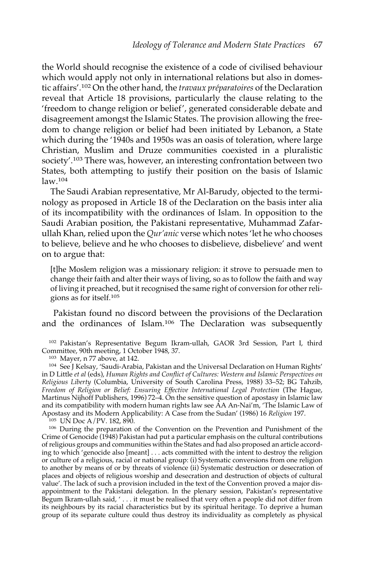the World should recognise the existence of a code of civilised behaviour which would apply not only in international relations but also in domestic affairs'.102 On the other hand, the *travaux préparatoires* of the Declaration reveal that Article 18 provisions, particularly the clause relating to the 'freedom to change religion or belief', generated considerable debate and disagreement amongst the Islamic States. The provision allowing the freedom to change religion or belief had been initiated by Lebanon, a State which during the '1940s and 1950s was an oasis of toleration, where large Christian, Muslim and Druze communities coexisted in a pluralistic society'.103 There was, however, an interesting confrontation between two States, both attempting to justify their position on the basis of Islamic law.<sup>104</sup>

The Saudi Arabian representative, Mr Al-Barudy, objected to the terminology as proposed in Article 18 of the Declaration on the basis inter alia of its incompatibility with the ordinances of Islam. In opposition to the Saudi Arabian position, the Pakistani representative, Muhammad Zafarullah Khan, relied upon the *Qur'anic* verse which notes 'let he who chooses to believe, believe and he who chooses to disbelieve, disbelieve' and went on to argue that:

[t]he Moslem religion was a missionary religion: it strove to persuade men to change their faith and alter their ways of living, so as to follow the faith and way of living it preached, but it recognised the same right of conversion for other religions as for itself.105

Pakistan found no discord between the provisions of the Declaration and the ordinances of Islam.106 The Declaration was subsequently

<sup>102</sup> Pakistan's Representative Begum Ikram-ullah, GAOR 3rd Session, Part I, third Committee, 90th meeting, 1 October 1948, 37.

<sup>103</sup> Mayer, n 77 above, at 142.

<sup>104</sup> See J Kelsay, 'Saudi-Arabia, Pakistan and the Universal Declaration on Human Rights' in D Little *et al* (eds), *Human Rights and Conflict of Cultures: Western and Islamic Perspectives on Religious Liberty* (Columbia, University of South Carolina Press, 1988) 33–52; BG Tahzib, *Freedom of Religion or Belief: Ensuring Effective International Legal Protection* (The Hague, Martinus Nijhoff Publishers, 1996) 72–4. On the sensitive question of apostasy in Islamic law and its compatibility with modern human rights law see AA An-Nai'm, 'The Islamic Law of Apostasy and its Modern Applicability: A Case from the Sudan' (1986) 16 *Religion* 197.

 $105$  UN Doc A/PV. 182, 890.

<sup>106</sup> During the preparation of the Convention on the Prevention and Punishment of the Crime of Genocide (1948) Pakistan had put a particular emphasis on the cultural contributions of religious groups and communities within the States and had also proposed an article according to which 'genocide also [meant] . . . acts committed with the intent to destroy the religion or culture of a religious, racial or national group: (i) Systematic conversions from one religion to another by means of or by threats of violence (ii) Systematic destruction or desecration of places and objects of religious worship and desecration and destruction of objects of cultural value'. The lack of such a provision included in the text of the Convention proved a major disappointment to the Pakistani delegation. In the plenary session, Pakistan's representative Begum Ikram-ullah said, ' . . . it must be realised that very often a people did not differ from its neighbours by its racial characteristics but by its spiritual heritage. To deprive a human group of its separate culture could thus destroy its individuality as completely as physical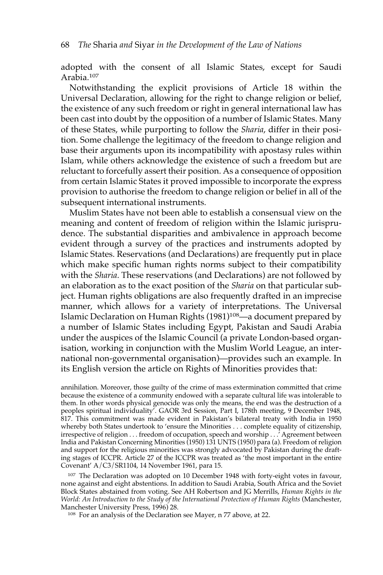adopted with the consent of all Islamic States, except for Saudi Arabia.107

Notwithstanding the explicit provisions of Article 18 within the Universal Declaration, allowing for the right to change religion or belief, the existence of any such freedom or right in general international law has been cast into doubt by the opposition of a number of Islamic States. Many of these States, while purporting to follow the *Sharia*, differ in their position. Some challenge the legitimacy of the freedom to change religion and base their arguments upon its incompatibility with apostasy rules within Islam, while others acknowledge the existence of such a freedom but are reluctant to forcefully assert their position. As a consequence of opposition from certain Islamic States it proved impossible to incorporate the express provision to authorise the freedom to change religion or belief in all of the subsequent international instruments.

Muslim States have not been able to establish a consensual view on the meaning and content of freedom of religion within the Islamic jurisprudence. The substantial disparities and ambivalence in approach become evident through a survey of the practices and instruments adopted by Islamic States. Reservations (and Declarations) are frequently put in place which make specific human rights norms subject to their compatibility with the *Sharia*. These reservations (and Declarations) are not followed by an elaboration as to the exact position of the *Sharia* on that particular subject. Human rights obligations are also frequently drafted in an imprecise manner, which allows for a variety of interpretations. The Universal Islamic Declaration on Human Rights (1981)108—a document prepared by a number of Islamic States including Egypt, Pakistan and Saudi Arabia under the auspices of the Islamic Council (a private London-based organisation, working in conjunction with the Muslim World League, an international non-governmental organisation)—provides such an example. In its English version the article on Rights of Minorities provides that:

annihilation. Moreover, those guilty of the crime of mass extermination committed that crime because the existence of a community endowed with a separate cultural life was intolerable to them. In other words physical genocide was only the means, the end was the destruction of a peoples spiritual individuality'. GAOR 3rd Session, Part I, 178th meeting, 9 December 1948, 817. This commitment was made evident in Pakistan's bilateral treaty with India in 1950 whereby both States undertook to 'ensure the Minorities . . . complete equality of citizenship, irrespective of religion . . . freedom of occupation, speech and worship . . .' Agreement between India and Pakistan Concerning Minorities (1950) 131 UNTS (1950) para (a). Freedom of religion and support for the religious minorities was strongly advocated by Pakistan during the drafting stages of ICCPR. Article 27 of the ICCPR was treated as 'the most important in the entire Covenant' A/C3/SR1104, 14 November 1961, para 15.

 $107$  The Declaration was adopted on 10 December 1948 with forty-eight votes in favour, none against and eight abstentions. In addition to Saudi Arabia, South Africa and the Soviet Block States abstained from voting. See AH Robertson and JG Merrills, *Human Rights in the World: An Introduction to the Study of the International Protection of Human Rights* (Manchester, Manchester University Press, 1996) 28.

<sup>108</sup> For an analysis of the Declaration see Mayer, n 77 above, at 22.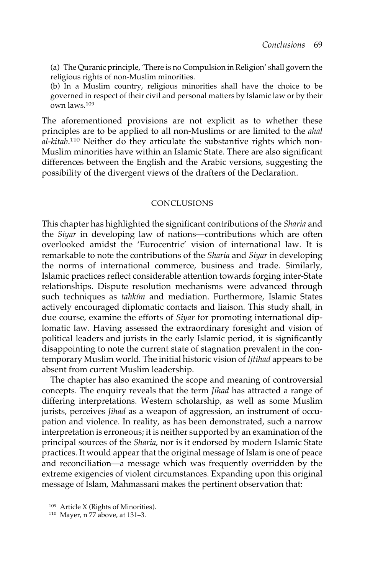(a) The Quranic principle, 'There is no Compulsion in Religion' shall govern the religious rights of non-Muslim minorities.

(b) In a Muslim country, religious minorities shall have the choice to be governed in respect of their civil and personal matters by Islamic law or by their own laws.<sup>109</sup>

The aforementioned provisions are not explicit as to whether these principles are to be applied to all non-Muslims or are limited to the *ahal al-kitab*. <sup>110</sup> Neither do they articulate the substantive rights which non-Muslim minorities have within an Islamic State. There are also significant differences between the English and the Arabic versions, suggesting the possibility of the divergent views of the drafters of the Declaration.

## CONCLUSIONS

This chapter has highlighted the significant contributions of the *Sharia* and the *Siyar* in developing law of nations—contributions which are often overlooked amidst the 'Eurocentric' vision of international law. It is remarkable to note the contributions of the *Sharia* and *Siyar* in developing the norms of international commerce, business and trade. Similarly, Islamic practices reflect considerable attention towards forging inter-State relationships. Dispute resolution mechanisms were advanced through such techniques as *tahkím* and mediation. Furthermore, Islamic States actively encouraged diplomatic contacts and liaison. This study shall, in due course, examine the efforts of *Siyar* for promoting international diplomatic law. Having assessed the extraordinary foresight and vision of political leaders and jurists in the early Islamic period, it is significantly disappointing to note the current state of stagnation prevalent in the contemporary Muslim world. The initial historic vision of *Ijtihad* appears to be absent from current Muslim leadership.

The chapter has also examined the scope and meaning of controversial concepts. The enquiry reveals that the term *Jihad* has attracted a range of differing interpretations. Western scholarship, as well as some Muslim jurists, perceives *Jihad* as a weapon of aggression, an instrument of occupation and violence. In reality, as has been demonstrated, such a narrow interpretation is erroneous; it is neither supported by an examination of the principal sources of the *Sharia*, nor is it endorsed by modern Islamic State practices. It would appear that the original message of Islam is one of peace and reconciliation—a message which was frequently overridden by the extreme exigencies of violent circumstances. Expanding upon this original message of Islam, Mahmassani makes the pertinent observation that:

<sup>109</sup> Article X (Rights of Minorities).

<sup>110</sup> Mayer, n 77 above, at 131–3.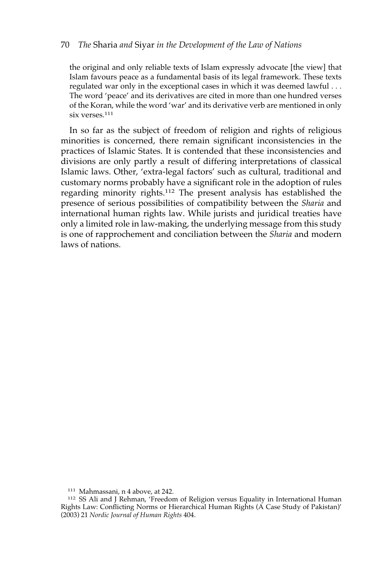#### 70 *The* Sharia *and* Siyar *in the Development of the Law of Nations*

the original and only reliable texts of Islam expressly advocate [the view] that Islam favours peace as a fundamental basis of its legal framework. These texts regulated war only in the exceptional cases in which it was deemed lawful . . . The word 'peace' and its derivatives are cited in more than one hundred verses of the Koran, while the word 'war' and its derivative verb are mentioned in only six verses.111

In so far as the subject of freedom of religion and rights of religious minorities is concerned, there remain significant inconsistencies in the practices of Islamic States. It is contended that these inconsistencies and divisions are only partly a result of differing interpretations of classical Islamic laws. Other, 'extra-legal factors' such as cultural, traditional and customary norms probably have a significant role in the adoption of rules regarding minority rights.<sup>112</sup> The present analysis has established the presence of serious possibilities of compatibility between the *Sharia* and international human rights law. While jurists and juridical treaties have only a limited role in law-making, the underlying message from this study is one of rapprochement and conciliation between the *Sharia* and modern laws of nations.

<sup>111</sup> Mahmassani, n 4 above, at 242.

<sup>112</sup> SS Ali and J Rehman, 'Freedom of Religion versus Equality in International Human Rights Law: Conflicting Norms or Hierarchical Human Rights (A Case Study of Pakistan)' (2003) 21 *Nordic Journal of Human Rights* 404.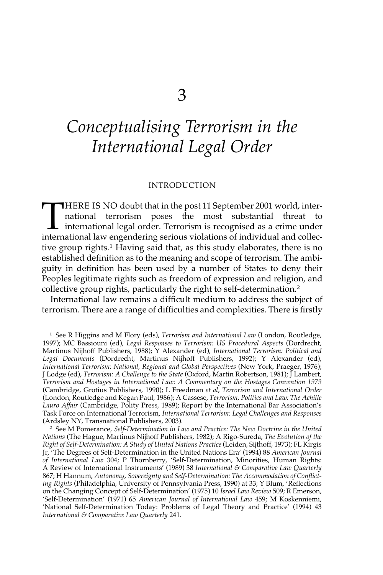# *Conceptualising Terrorism in the International Legal Order*

## INTRODUCTION

THERE IS NO doubt that in the post 11 September 2001 world, international terrorism poses the most substantial threat to international legal order. Terrorism is recognised as a crime under international law engendering ser national terrorism poses the most substantial threat to international legal order. Terrorism is recognised as a crime under international law engendering serious violations of individual and collective group rights.<sup>1</sup> Having said that, as this study elaborates, there is no established definition as to the meaning and scope of terrorism. The ambiguity in definition has been used by a number of States to deny their Peoples legitimate rights such as freedom of expression and religion, and collective group rights, particularly the right to self-determination.<sup>2</sup>

International law remains a difficult medium to address the subject of terrorism. There are a range of difficulties and complexities. There is firstly

<sup>1</sup> See R Higgins and M Flory (eds), *Terrorism and International Law* (London, Routledge, 1997); MC Bassiouni (ed), *Legal Responses to Terrorism: US Procedural Aspects* (Dordrecht, Martinus Nijhoff Publishers, 1988); Y Alexander (ed), *International Terrorism: Political and Legal Documents* (Dordrecht, Martinus Nijhoff Publishers, 1992); Y Alexander (ed), *International Terrorism: National, Regional and Global Perspectives* (New York, Praeger, 1976); J Lodge (ed), *Terrorism: A Challenge to the State* (Oxford, Martin Robertson, 1981); J Lambert, *Terrorism and Hostages in International Law: A Commentary on the Hostages Convention 1979* (Cambridge, Grotius Publishers, 1990); L Freedman *et al*, *Terrorism and International Order* (London, Routledge and Kegan Paul, 1986); A Cassese, *Terrorism, Politics and Law: The Achille Lauro Affair* (Cambridge, Polity Press, 1989); Report by the International Bar Association's Task Force on International Terrorism, *International Terrorism: Legal Challenges and Responses* (Ardsley NY, Transnational Publishers, 2003).

<sup>2</sup> See M Pomerance, *Self-Determination in Law and Practice: The New Doctrine in the United Nations* (The Hague, Martinus Nijhoff Publishers, 1982); A Rigo-Sureda, *The Evolution of the Right of Self-Determination: A Study of United Nations Practice* (Leiden, Sijthoff, 1973); FL Kirgis Jr, 'The Degrees of Self-Determination in the United Nations Era' (1994) 88 *American Journal of International Law* 304; P Thornberry, 'Self-Determination, Minorities, Human Rights: A Review of International Instruments' (1989) 38 *International & Comparative Law Quarterly* 867; H Hannum, *Autonomy, Sovereignty and Self-Determination: The Accommodation of Conflicting Rights* (Philadelphia, University of Pennsylvania Press, 1990) at 33; Y Blum, 'Reflections on the Changing Concept of Self-Determination' (1975) 10 *Israel Law Review* 509; R Emerson, 'Self-Determination' (1971) 65 *American Journal of International Law* 459; M Koskenniemi, 'National Self-Determination Today: Problems of Legal Theory and Practice' (1994) 43 *International & Comparative Law Quarterly* 241.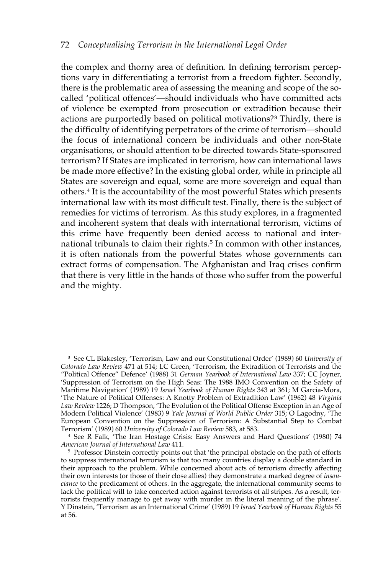the complex and thorny area of definition. In defining terrorism perceptions vary in differentiating a terrorist from a freedom fighter. Secondly, there is the problematic area of assessing the meaning and scope of the socalled 'political offences'—should individuals who have committed acts of violence be exempted from prosecution or extradition because their actions are purportedly based on political motivations?3 Thirdly, there is the difficulty of identifying perpetrators of the crime of terrorism—should the focus of international concern be individuals and other non-State organisations, or should attention to be directed towards State-sponsored terrorism? If States are implicated in terrorism, how can international laws be made more effective? In the existing global order, while in principle all States are sovereign and equal, some are more sovereign and equal than others.<sup>4</sup> It is the accountability of the most powerful States which presents international law with its most difficult test. Finally, there is the subject of remedies for victims of terrorism. As this study explores, in a fragmented and incoherent system that deals with international terrorism, victims of this crime have frequently been denied access to national and international tribunals to claim their rights.<sup>5</sup> In common with other instances, it is often nationals from the powerful States whose governments can extract forms of compensation. The Afghanistan and Iraq crises confirm that there is very little in the hands of those who suffer from the powerful and the mighty.

<sup>4</sup> See R Falk, 'The Iran Hostage Crisis: Easy Answers and Hard Questions' (1980) 74 *American Journal of International Law* 411.

<sup>3</sup> See CL Blakesley, 'Terrorism, Law and our Constitutional Order' (1989) 60 *University of Colorado Law Review* 471 at 514; LC Green, 'Terrorism, the Extradition of Terrorists and the "Political Offence" Defence' (1988) 31 *German Yearbook of International Law* 337; CC Joyner, 'Suppression of Terrorism on the High Seas: The 1988 IMO Convention on the Safety of Maritime Navigation' (1989) 19 *Israel Yearbook of Human Rights* 343 at 361; M Garcia-Mora, 'The Nature of Political Offenses: A Knotty Problem of Extradition Law' (1962) 48 *Virginia Law Review* 1226; D Thompson, 'The Evolution of the Political Offense Exception in an Age of Modern Political Violence' (1983) 9 *Yale Journal of World Public Order* 315; O Lagodny, 'The European Convention on the Suppression of Terrorism: A Substantial Step to Combat Terrorism' (1989) 60 *University of Colorado Law Review* 583, at 583.

<sup>&</sup>lt;sup>5</sup> Professor Dinstein correctly points out that 'the principal obstacle on the path of efforts to suppress international terrorism is that too many countries display a double standard in their approach to the problem. While concerned about acts of terrorism directly affecting their own interests (or those of their close allies) they demonstrate a marked degree of *insouciance* to the predicament of others. In the aggregate, the international community seems to lack the political will to take concerted action against terrorists of all stripes. As a result, terrorists frequently manage to get away with murder in the literal meaning of the phrase'. Y Dinstein, 'Terrorism as an International Crime' (1989) 19 *Israel Yearbook of Human Rights* 55 at 56.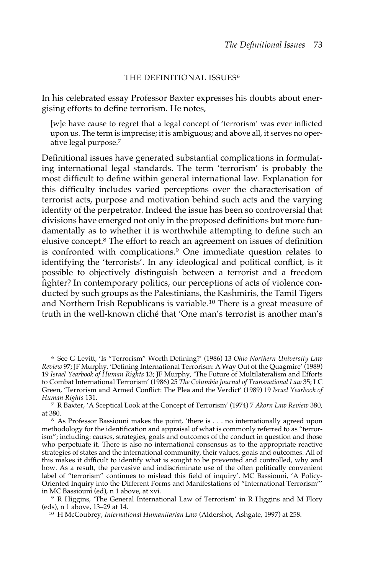## THE DEFINITIONAL ISSUES<sup>6</sup>

In his celebrated essay Professor Baxter expresses his doubts about energising efforts to define terrorism. He notes,

[w]e have cause to regret that a legal concept of 'terrorism' was ever inflicted upon us. The term is imprecise; it is ambiguous; and above all, it serves no operative legal purpose.<sup>7</sup>

Definitional issues have generated substantial complications in formulating international legal standards. The term 'terrorism' is probably the most difficult to define within general international law. Explanation for this difficulty includes varied perceptions over the characterisation of terrorist acts, purpose and motivation behind such acts and the varying identity of the perpetrator. Indeed the issue has been so controversial that divisions have emerged not only in the proposed definitions but more fundamentally as to whether it is worthwhile attempting to define such an elusive concept.8 The effort to reach an agreement on issues of definition is confronted with complications.9 One immediate question relates to identifying the 'terrorists'. In any ideological and political conflict, is it possible to objectively distinguish between a terrorist and a freedom fighter? In contemporary politics, our perceptions of acts of violence conducted by such groups as the Palestinians, the Kashmiris, the Tamil Tigers and Northern Irish Republicans is variable.10 There is a great measure of truth in the well-known cliché that 'One man's terrorist is another man's

<sup>6</sup> See G Levitt, 'Is "Terrorism" Worth Defining?' (1986) 13 *Ohio Northern University Law Review* 97; JF Murphy, 'Defining International Terrorism: A Way Out of the Quagmire' (1989) 19 *Israel Yearbook of Human Rights* 13; JF Murphy, 'The Future of Multilateralism and Efforts to Combat International Terrorism' (1986) 25 *The Columbia Journal of Transnational Law* 35; LC Green, 'Terrorism and Armed Conflict: The Plea and the Verdict' (1989) 19 *Israel Yearbook of Human Rights* 131.

<sup>7</sup> R Baxter, 'A Sceptical Look at the Concept of Terrorism' (1974) 7 *Akorn Law Review* 380, at 380.

<sup>8</sup> As Professor Bassiouni makes the point, 'there is . . . no internationally agreed upon methodology for the identification and appraisal of what is commonly referred to as "terrorism"; including: causes, strategies, goals and outcomes of the conduct in question and those who perpetuate it. There is also no international consensus as to the appropriate reactive strategies of states and the international community, their values, goals and outcomes. All of this makes it difficult to identify what is sought to be prevented and controlled, why and how. As a result, the pervasive and indiscriminate use of the often politically convenient label of "terrorism" continues to mislead this field of inquiry'. MC Bassiouni, 'A Policy-Oriented Inquiry into the Different Forms and Manifestations of "International Terrorism"' in MC Bassiouni (ed), n 1 above, at xvi.

<sup>9</sup> R Higgins, 'The General International Law of Terrorism' in R Higgins and M Flory (eds), n 1 above, 13–29 at 14.

<sup>10</sup> H McCoubrey, *International Humanitarian Law* (Aldershot, Ashgate, 1997) at 258.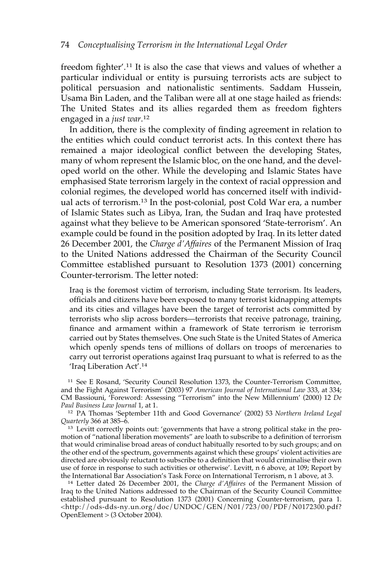freedom fighter'.11 It is also the case that views and values of whether a particular individual or entity is pursuing terrorists acts are subject to political persuasion and nationalistic sentiments. Saddam Hussein, Usama Bin Laden, and the Taliban were all at one stage hailed as friends: The United States and its allies regarded them as freedom fighters engaged in a *just war*. 12

In addition, there is the complexity of finding agreement in relation to the entities which could conduct terrorist acts. In this context there has remained a major ideological conflict between the developing States, many of whom represent the Islamic bloc, on the one hand, and the developed world on the other. While the developing and Islamic States have emphasised State terrorism largely in the context of racial oppression and colonial regimes, the developed world has concerned itself with individual acts of terrorism.13 In the post-colonial, post Cold War era, a number of Islamic States such as Libya, Iran, the Sudan and Iraq have protested against what they believe to be American sponsored 'State-terrorism'. An example could be found in the position adopted by Iraq. In its letter dated 26 December 2001, the *Charge d'Affaires* of the Permanent Mission of Iraq to the United Nations addressed the Chairman of the Security Council Committee established pursuant to Resolution 1373 (2001) concerning Counter-terrorism. The letter noted:

Iraq is the foremost victim of terrorism, including State terrorism. Its leaders, officials and citizens have been exposed to many terrorist kidnapping attempts and its cities and villages have been the target of terrorist acts committed by terrorists who slip across borders—terrorists that receive patronage, training, finance and armament within a framework of State terrorism ie terrorism carried out by States themselves. One such State is the United States of America which openly spends tens of millions of dollars on troops of mercenaries to carry out terrorist operations against Iraq pursuant to what is referred to as the 'Iraq Liberation Act'.14

<sup>11</sup> See E Rosand, 'Security Council Resolution 1373, the Counter-Terrorism Committee, and the Fight Against Terrorism' (2003) 97 *American Journal of International Law* 333, at 334; CM Bassiouni, 'Foreword: Assessing "Terrorism" into the New Millennium' (2000) 12 *De Paul Business Law Journal* 1, at 1.

<sup>12</sup> PA Thomas 'September 11th and Good Governance' (2002) 53 *Northern Ireland Legal Quarterly* 366 at 385–6.

<sup>13</sup> Levitt correctly points out: 'governments that have a strong political stake in the promotion of "national liberation movements" are loath to subscribe to a definition of terrorism that would criminalise broad areas of conduct habitually resorted to by such groups; and on the other end of the spectrum, governments against which these groups' violent activities are directed are obviously reluctant to subscribe to a definition that would criminalise their own use of force in response to such activities or otherwise'. Levitt, n 6 above, at 109; Report by the International Bar Association's Task Force on International Terrorism, n 1 above, at 3.

<sup>14</sup> Letter dated 26 December 2001, the *Charge d'Affaires* of the Permanent Mission of Iraq to the United Nations addressed to the Chairman of the Security Council Committee established pursuant to Resolution 1373 (2001) Concerning Counter-terrorism, para 1. <http://ods-dds-ny.un.org/doc/UNDOC/GEN/N01/723/00/PDF/N0172300.pdf? OpenElement > (3 October 2004).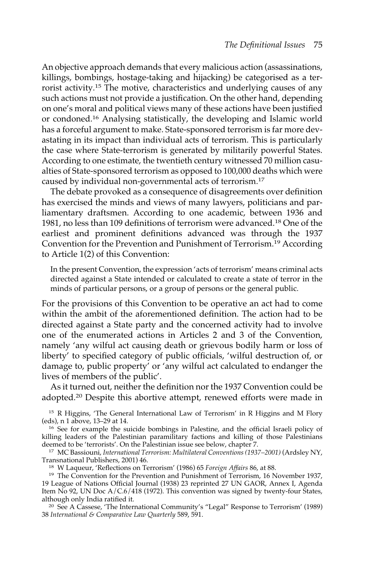An objective approach demands that every malicious action (assassinations, killings, bombings, hostage-taking and hijacking) be categorised as a terrorist activity.15 The motive, characteristics and underlying causes of any such actions must not provide a justification. On the other hand, depending on one's moral and political views many of these actions have been justified or condoned.16 Analysing statistically, the developing and Islamic world has a forceful argument to make. State-sponsored terrorism is far more devastating in its impact than individual acts of terrorism. This is particularly the case where State-terrorism is generated by militarily powerful States. According to one estimate, the twentieth century witnessed 70 million casualties of State-sponsored terrorism as opposed to 100,000 deaths which were caused by individual non-governmental acts of terrorism.17

The debate provoked as a consequence of disagreements over definition has exercised the minds and views of many lawyers, politicians and parliamentary draftsmen. According to one academic, between 1936 and 1981, no less than 109 definitions of terrorism were advanced.18 One of the earliest and prominent definitions advanced was through the 1937 Convention for the Prevention and Punishment of Terrorism.19 According to Article 1(2) of this Convention:

In the present Convention, the expression 'acts of terrorism' means criminal acts directed against a State intended or calculated to create a state of terror in the minds of particular persons, or a group of persons or the general public.

For the provisions of this Convention to be operative an act had to come within the ambit of the aforementioned definition. The action had to be directed against a State party and the concerned activity had to involve one of the enumerated actions in Articles 2 and 3 of the Convention, namely 'any wilful act causing death or grievous bodily harm or loss of liberty' to specified category of public officials, 'wilful destruction of, or damage to, public property' or 'any wilful act calculated to endanger the lives of members of the public'.

As it turned out, neither the definition nor the 1937 Convention could be adopted.20 Despite this abortive attempt, renewed efforts were made in

<sup>15</sup> R Higgins, 'The General International Law of Terrorism' in R Higgins and M Flory (eds), n 1 above, 13–29 at 14.

<sup>16</sup> See for example the suicide bombings in Palestine, and the official Israeli policy of killing leaders of the Palestinian paramilitary factions and killing of those Palestinians deemed to be 'terrorists'. On the Palestinian issue see below, chapter 7.

<sup>17</sup> MC Bassiouni, *International Terrorism: Multilateral Conventions (1937–2001)* (Ardsley NY, Transnational Publishers, 2001) 46.

<sup>18</sup> W Laqueur, 'Reflections on Terrorism' (1986) 65 *Foreign Affairs* 86, at 88.

<sup>19</sup> The Convention for the Prevention and Punishment of Terrorism, 16 November 1937, 19 League of Nations Official Journal (1938) 23 reprinted 27 UN GAOR, Annex I, Agenda Item No 92, UN Doc  $A/C.6/418$  (1972). This convention was signed by twenty-four States, although only India ratified it.

<sup>20</sup> See A Cassese, 'The International Community's "Legal" Response to Terrorism' (1989) 38 *International & Comparative Law Quarterly* 589, 591.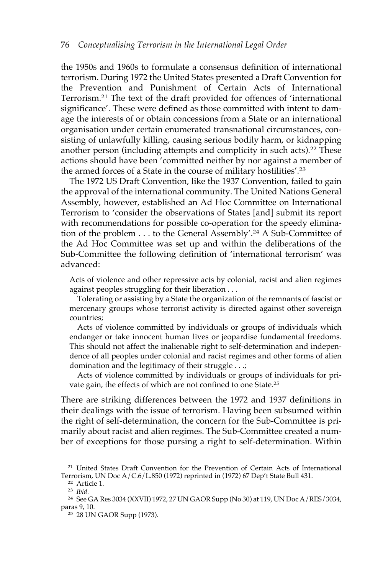the 1950s and 1960s to formulate a consensus definition of international terrorism. During 1972 the United States presented a Draft Convention for the Prevention and Punishment of Certain Acts of International Terrorism.21 The text of the draft provided for offences of 'international significance'. These were defined as those committed with intent to damage the interests of or obtain concessions from a State or an international organisation under certain enumerated transnational circumstances, consisting of unlawfully killing, causing serious bodily harm, or kidnapping another person (including attempts and complicity in such acts).<sup>22</sup> These actions should have been 'committed neither by nor against a member of the armed forces of a State in the course of military hostilities'.23

The 1972 US Draft Convention, like the 1937 Convention, failed to gain the approval of the international community. The United Nations General Assembly, however, established an Ad Hoc Committee on International Terrorism to 'consider the observations of States [and] submit its report with recommendations for possible co-operation for the speedy elimination of the problem . . . to the General Assembly'.24 A Sub-Committee of the Ad Hoc Committee was set up and within the deliberations of the Sub-Committee the following definition of 'international terrorism' was advanced:

Acts of violence and other repressive acts by colonial, racist and alien regimes against peoples struggling for their liberation . . .

Tolerating or assisting by a State the organization of the remnants of fascist or mercenary groups whose terrorist activity is directed against other sovereign countries;

Acts of violence committed by individuals or groups of individuals which endanger or take innocent human lives or jeopardise fundamental freedoms. This should not affect the inalienable right to self-determination and independence of all peoples under colonial and racist regimes and other forms of alien domination and the legitimacy of their struggle . . .;

Acts of violence committed by individuals or groups of individuals for private gain, the effects of which are not confined to one State.25

There are striking differences between the 1972 and 1937 definitions in their dealings with the issue of terrorism. Having been subsumed within the right of self-determination, the concern for the Sub-Committee is primarily about racist and alien regimes. The Sub-Committee created a number of exceptions for those pursing a right to self-determination. Within

<sup>22</sup> Article 1. <sup>23</sup> *Ibid.*

<sup>21</sup> United States Draft Convention for the Prevention of Certain Acts of International Terrorism, UN Doc A/C.6/L.850 (1972) reprinted in (1972) 67 Dep't State Bull 431.

<sup>24</sup> See GA Res 3034 (XXVII) 1972, 27 UN GAOR Supp (No 30) at 119, UN Doc A/RES/3034, paras 9, 10.

<sup>25</sup> 28 UN GAOR Supp (1973).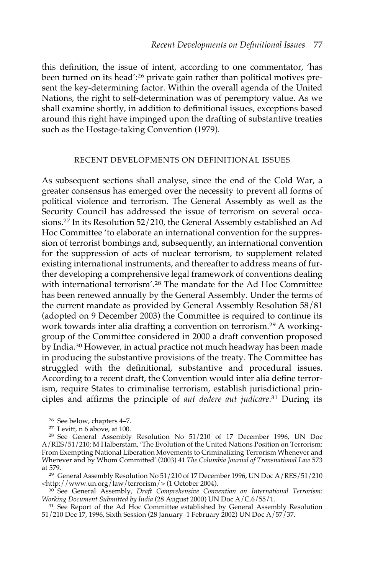this definition, the issue of intent, according to one commentator, 'has been turned on its head':<sup>26</sup> private gain rather than political motives present the key-determining factor. Within the overall agenda of the United Nations, the right to self-determination was of peremptory value. As we shall examine shortly, in addition to definitional issues, exceptions based around this right have impinged upon the drafting of substantive treaties such as the Hostage-taking Convention (1979).

## RECENT DEVELOPMENTS ON DEFINITIONAL ISSUES

As subsequent sections shall analyse, since the end of the Cold War, a greater consensus has emerged over the necessity to prevent all forms of political violence and terrorism. The General Assembly as well as the Security Council has addressed the issue of terrorism on several occasions.27 In its Resolution 52/210, the General Assembly established an Ad Hoc Committee 'to elaborate an international convention for the suppression of terrorist bombings and, subsequently, an international convention for the suppression of acts of nuclear terrorism, to supplement related existing international instruments, and thereafter to address means of further developing a comprehensive legal framework of conventions dealing with international terrorism'.<sup>28</sup> The mandate for the Ad Hoc Committee has been renewed annually by the General Assembly. Under the terms of the current mandate as provided by General Assembly Resolution 58/81 (adopted on 9 December 2003) the Committee is required to continue its work towards inter alia drafting a convention on terrorism.29 A workinggroup of the Committee considered in 2000 a draft convention proposed by India.<sup>30</sup> However, in actual practice not much headway has been made in producing the substantive provisions of the treaty. The Committee has struggled with the definitional, substantive and procedural issues. According to a recent draft, the Convention would inter alia define terrorism, require States to criminalise terrorism, establish jurisdictional principles and affirms the principle of *aut dedere aut judicare*. <sup>31</sup> During its

<sup>26</sup> See below, chapters 4–7.

<sup>27</sup> Levitt, n 6 above, at 100.

<sup>28</sup> See General Assembly Resolution No 51/210 of 17 December 1996, UN Doc A/RES/51/210; M Halberstam, 'The Evolution of the United Nations Position on Terrorism: From Exempting National Liberation Movements to Criminalizing Terrorism Whenever and Wherever and by Whom Committed' (2003) 41 *The Columbia Journal of Transnational Law* 573 at 579.

<sup>29</sup> General Assembly Resolution No 51/210 of 17 December 1996, UN Doc A/RES/51/210 <http://www.un.org/law/terrorism/> (1 October 2004).

<sup>30</sup> See General Assembly, *Draft Comprehensive Convention on International Terrorism: Working Document Submitted by India* (28 August 2000) UN Doc A/C.6/55/1.

<sup>31</sup> See Report of the Ad Hoc Committee established by General Assembly Resolution 51/210 Dec 17, 1996, Sixth Session (28 January–1 February 2002) UN Doc A/57/37.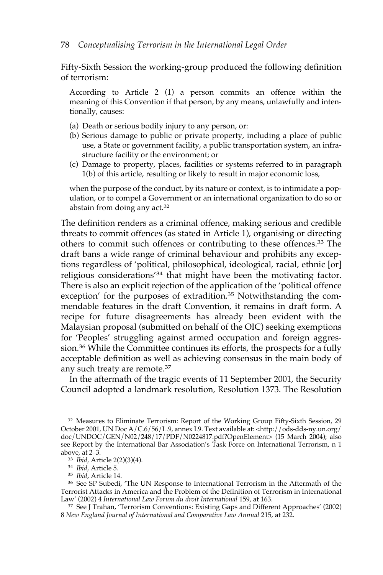Fifty-Sixth Session the working-group produced the following definition of terrorism:

According to Article 2 (1) a person commits an offence within the meaning of this Convention if that person, by any means, unlawfully and intentionally, causes:

- (a) Death or serious bodily injury to any person, or:
- (b) Serious damage to public or private property, including a place of public use, a State or government facility, a public transportation system, an infrastructure facility or the environment; or
- (c) Damage to property, places, facilities or systems referred to in paragraph 1(b) of this article, resulting or likely to result in major economic loss,

when the purpose of the conduct, by its nature or context, is to intimidate a population, or to compel a Government or an international organization to do so or abstain from doing any act.32

The definition renders as a criminal offence, making serious and credible threats to commit offences (as stated in Article 1), organising or directing others to commit such offences or contributing to these offences.33 The draft bans a wide range of criminal behaviour and prohibits any exceptions regardless of 'political, philosophical, ideological, racial, ethnic [or] religious considerations'34 that might have been the motivating factor. There is also an explicit rejection of the application of the 'political offence exception' for the purposes of extradition.<sup>35</sup> Notwithstanding the commendable features in the draft Convention, it remains in draft form. A recipe for future disagreements has already been evident with the Malaysian proposal (submitted on behalf of the OIC) seeking exemptions for 'Peoples' struggling against armed occupation and foreign aggression.36 While the Committee continues its efforts, the prospects for a fully acceptable definition as well as achieving consensus in the main body of any such treaty are remote.37

In the aftermath of the tragic events of 11 September 2001, the Security Council adopted a landmark resolution, Resolution 1373. The Resolution

<sup>36</sup> See SP Subedi, 'The UN Response to International Terrorism in the Aftermath of the Terrorist Attacks in America and the Problem of the Definition of Terrorism in International Law' (2002) 4 International Law Forum du droit International 159, at 163.

<sup>37</sup> See J Trahan, 'Terrorism Conventions: Existing Gaps and Different Approaches' (2002) 8 *New England Journal of International and Comparative Law Annual* 215, at 232.

<sup>32</sup> Measures to Eliminate Terrorism: Report of the Working Group Fifty-Sixth Session, 29 October 2001, UN Doc A/C.6/56/L.9, annex I.9. Text available at: <http://ods-dds-ny.un.org/ doc/UNDOC/GEN/N02/248/17/PDF/N0224817.pdf?OpenElement> (15 March 2004); also see Report by the International Bar Association's Task Force on International Terrorism, n 1 above, at 2–3.

<sup>33</sup> *Ibid*, Article 2(2)(3)(4).

<sup>34</sup> *Ibid*, Article 5.

<sup>35</sup> *Ibid*, Article 14.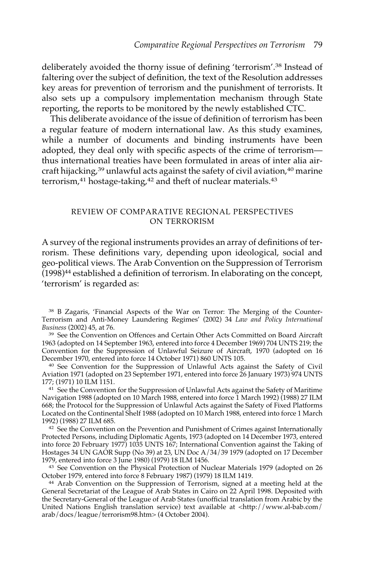deliberately avoided the thorny issue of defining 'terrorism'.38 Instead of faltering over the subject of definition, the text of the Resolution addresses key areas for prevention of terrorism and the punishment of terrorists. It also sets up a compulsory implementation mechanism through State reporting, the reports to be monitored by the newly established CTC.

This deliberate avoidance of the issue of definition of terrorism has been a regular feature of modern international law. As this study examines, while a number of documents and binding instruments have been adopted, they deal only with specific aspects of the crime of terrorism thus international treaties have been formulated in areas of inter alia aircraft hijacking,<sup>39</sup> unlawful acts against the safety of civil aviation,<sup>40</sup> marine terrorism, $41$  hostage-taking, $42$  and theft of nuclear materials. $43$ 

## REVIEW OF COMPARATIVE REGIONAL PERSPECTIVES ON TERRORISM

A survey of the regional instruments provides an array of definitions of terrorism. These definitions vary, depending upon ideological, social and geo-political views. The Arab Convention on the Suppression of Terrorism (1998)<sup>44</sup> established a definition of terrorism. In elaborating on the concept, 'terrorism' is regarded as:

<sup>38</sup> B Zagaris, 'Financial Aspects of the War on Terror: The Merging of the Counter-Terrorism and Anti-Money Laundering Regimes' (2002) 34 *Law and Policy International Business* (2002) 45, at 76.

<sup>39</sup> See the Convention on Offences and Certain Other Acts Committed on Board Aircraft 1963 (adopted on 14 September 1963, entered into force 4 December 1969) 704 UNTS 219; the Convention for the Suppression of Unlawful Seizure of Aircraft, 1970 (adopted on 16 December 1970, entered into force 14 October 1971) 860 UNTS 105.

<sup>40</sup> See Convention for the Suppression of Unlawful Acts against the Safety of Civil Aviation 1971 (adopted on 23 September 1971, entered into force 26 January 1973) 974 UNTS 177; (1971) 10 ILM 1151.

<sup>41</sup> See the Convention for the Suppression of Unlawful Acts against the Safety of Maritime Navigation 1988 (adopted on 10 March 1988, entered into force 1 March 1992) (1988) 27 ILM 668; the Protocol for the Suppression of Unlawful Acts against the Safety of Fixed Platforms Located on the Continental Shelf 1988 (adopted on 10 March 1988, entered into force 1 March 1992) (1988) 27 ILM 685.

<sup>42</sup> See the Convention on the Prevention and Punishment of Crimes against Internationally Protected Persons, including Diplomatic Agents, 1973 (adopted on 14 December 1973, entered into force 20 February 1977) 1035 UNTS 167; International Convention against the Taking of Hostages 34 UN GAOR Supp (No 39) at 23, UN Doc A/34/39 1979 (adopted on 17 December 1979, entered into force 3 June 1980) (1979) 18 ILM 1456.

<sup>43</sup> See Convention on the Physical Protection of Nuclear Materials 1979 (adopted on 26 October 1979, entered into force 8 February 1987) (1979) 18 ILM 1419.

<sup>44</sup> Arab Convention on the Suppression of Terrorism, signed at a meeting held at the General Secretariat of the League of Arab States in Cairo on 22 April 1998. Deposited with the Secretary-General of the League of Arab States (unofficial translation from Arabic by the United Nations English translation service) text available at <http://www.al-bab.com/ arab/docs/league/terrorism98.htm> (4 October 2004).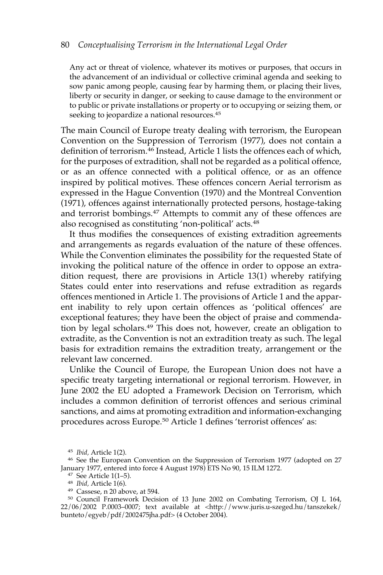#### 80 *Conceptualising Terrorism in the International Legal Order*

Any act or threat of violence, whatever its motives or purposes, that occurs in the advancement of an individual or collective criminal agenda and seeking to sow panic among people, causing fear by harming them, or placing their lives, liberty or security in danger, or seeking to cause damage to the environment or to public or private installations or property or to occupying or seizing them, or seeking to jeopardize a national resources.<sup>45</sup>

The main Council of Europe treaty dealing with terrorism, the European Convention on the Suppression of Terrorism (1977), does not contain a definition of terrorism.46 Instead, Article 1 lists the offences each of which, for the purposes of extradition, shall not be regarded as a political offence, or as an offence connected with a political offence, or as an offence inspired by political motives. These offences concern Aerial terrorism as expressed in the Hague Convention (1970) and the Montreal Convention (1971), offences against internationally protected persons, hostage-taking and terrorist bombings.47 Attempts to commit any of these offences are also recognised as constituting 'non-political' acts.<sup>48</sup>

It thus modifies the consequences of existing extradition agreements and arrangements as regards evaluation of the nature of these offences. While the Convention eliminates the possibility for the requested State of invoking the political nature of the offence in order to oppose an extradition request, there are provisions in Article 13(1) whereby ratifying States could enter into reservations and refuse extradition as regards offences mentioned in Article 1. The provisions of Article 1 and the apparent inability to rely upon certain offences as 'political offences' are exceptional features; they have been the object of praise and commendation by legal scholars.49 This does not, however, create an obligation to extradite, as the Convention is not an extradition treaty as such. The legal basis for extradition remains the extradition treaty, arrangement or the relevant law concerned.

Unlike the Council of Europe, the European Union does not have a specific treaty targeting international or regional terrorism. However, in June 2002 the EU adopted a Framework Decision on Terrorism, which includes a common definition of terrorist offences and serious criminal sanctions, and aims at promoting extradition and information-exchanging procedures across Europe.50 Article 1 defines 'terrorist offences' as:

<sup>45</sup> *Ibid,* Article 1(2).

<sup>46</sup> See the European Convention on the Suppression of Terrorism 1977 (adopted on 27 January 1977, entered into force 4 August 1978) ETS No 90, 15 ILM 1272.

<sup>47</sup> See Article 1(1–5).

<sup>48</sup> *Ibid,* Article 1(6).

<sup>49</sup> Cassese, n 20 above, at 594.

<sup>50</sup> Council Framework Decision of 13 June 2002 on Combating Terrorism, OJ L 164, 22/06/2002 P.0003–0007; text available at <http://www.juris.u-szeged.hu/tanszekek/ bunteto/egyeb/pdf/2002475jha.pdf> (4 October 2004).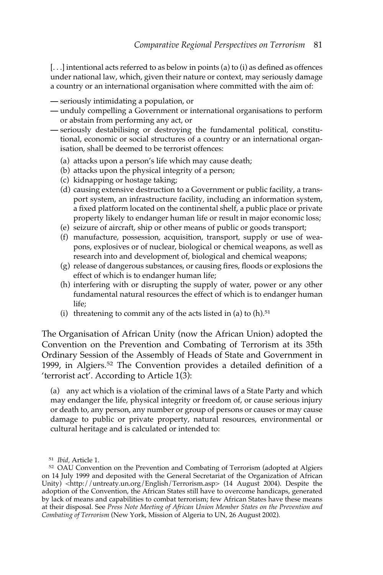[...] intentional acts referred to as below in points (a) to (i) as defined as offences under national law, which, given their nature or context, may seriously damage a country or an international organisation where committed with the aim of:

- **—** seriously intimidating a population, or
- **—** unduly compelling a Government or international organisations to perform or abstain from performing any act, or
- **—** seriously destabilising or destroying the fundamental political, constitutional, economic or social structures of a country or an international organisation, shall be deemed to be terrorist offences:
	- (a) attacks upon a person's life which may cause death;
	- (b) attacks upon the physical integrity of a person;
	- (c) kidnapping or hostage taking;
	- (d) causing extensive destruction to a Government or public facility, a transport system, an infrastructure facility, including an information system, a fixed platform located on the continental shelf, a public place or private property likely to endanger human life or result in major economic loss;
	- (e) seizure of aircraft, ship or other means of public or goods transport;
	- (f) manufacture, possession, acquisition, transport, supply or use of weapons, explosives or of nuclear, biological or chemical weapons, as well as research into and development of, biological and chemical weapons;
	- (g) release of dangerous substances, or causing fires, floods or explosions the effect of which is to endanger human life;
	- (h) interfering with or disrupting the supply of water, power or any other fundamental natural resources the effect of which is to endanger human life;
	- (i) threatening to commit any of the acts listed in (a) to  $(h)$ .<sup>51</sup>

The Organisation of African Unity (now the African Union) adopted the Convention on the Prevention and Combating of Terrorism at its 35th Ordinary Session of the Assembly of Heads of State and Government in 1999, in Algiers.<sup>52</sup> The Convention provides a detailed definition of a 'terrorist act'. According to Article 1(3):

(a) any act which is a violation of the criminal laws of a State Party and which may endanger the life, physical integrity or freedom of, or cause serious injury or death to, any person, any number or group of persons or causes or may cause damage to public or private property, natural resources, environmental or cultural heritage and is calculated or intended to:

<sup>51</sup> *Ibid,* Article 1.

<sup>52</sup> OAU Convention on the Prevention and Combating of Terrorism (adopted at Algiers on 14 July 1999 and deposited with the General Secretariat of the Organization of African Unity) <http://untreaty.un.org/English/Terrorism.asp> (14 August 2004). Despite the adoption of the Convention, the African States still have to overcome handicaps, generated by lack of means and capabilities to combat terrorism; few African States have these means at their disposal. See *Press Note Meeting of African Union Member States on the Prevention and Combating of Terrorism* (New York, Mission of Algeria to UN, 26 August 2002).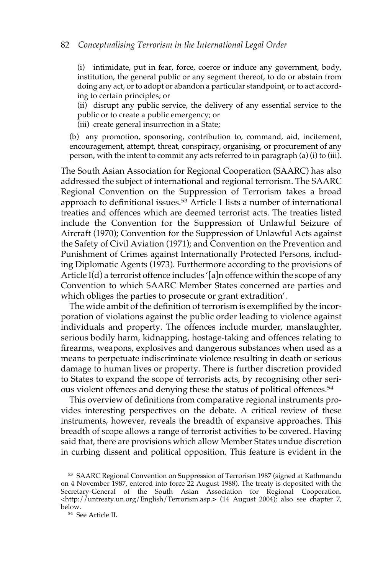(i) intimidate, put in fear, force, coerce or induce any government, body, institution, the general public or any segment thereof, to do or abstain from doing any act, or to adopt or abandon a particular standpoint, or to act according to certain principles; or

(ii) disrupt any public service, the delivery of any essential service to the public or to create a public emergency; or

(iii) create general insurrection in a State;

(b) any promotion, sponsoring, contribution to, command, aid, incitement, encouragement, attempt, threat, conspiracy, organising, or procurement of any person, with the intent to commit any acts referred to in paragraph (a) (i) to (iii).

The South Asian Association for Regional Cooperation (SAARC) has also addressed the subject of international and regional terrorism. The SAARC Regional Convention on the Suppression of Terrorism takes a broad approach to definitional issues.<sup>53</sup> Article 1 lists a number of international treaties and offences which are deemed terrorist acts. The treaties listed include the Convention for the Suppression of Unlawful Seizure of Aircraft (1970); Convention for the Suppression of Unlawful Acts against the Safety of Civil Aviation (1971); and Convention on the Prevention and Punishment of Crimes against Internationally Protected Persons, including Diplomatic Agents (1973). Furthermore according to the provisions of Article I(d) a terrorist offence includes '[a]n offence within the scope of any Convention to which SAARC Member States concerned are parties and which obliges the parties to prosecute or grant extradition'.

The wide ambit of the definition of terrorism is exemplified by the incorporation of violations against the public order leading to violence against individuals and property. The offences include murder, manslaughter, serious bodily harm, kidnapping, hostage-taking and offences relating to firearms, weapons, explosives and dangerous substances when used as a means to perpetuate indiscriminate violence resulting in death or serious damage to human lives or property. There is further discretion provided to States to expand the scope of terrorists acts, by recognising other serious violent offences and denying these the status of political offences.54

This overview of definitions from comparative regional instruments provides interesting perspectives on the debate. A critical review of these instruments, however, reveals the breadth of expansive approaches. This breadth of scope allows a range of terrorist activities to be covered. Having said that, there are provisions which allow Member States undue discretion in curbing dissent and political opposition. This feature is evident in the

<sup>54</sup> See Article II.

<sup>53</sup> SAARC Regional Convention on Suppression of Terrorism 1987 (signed at Kathmandu on 4 November 1987, entered into force 22 August 1988). The treaty is deposited with the Secretary-General of the South Asian Association for Regional Cooperation. <http://untreaty.un.org/English/Terrorism.asp.**>** (14 August 2004); also see chapter 7, below.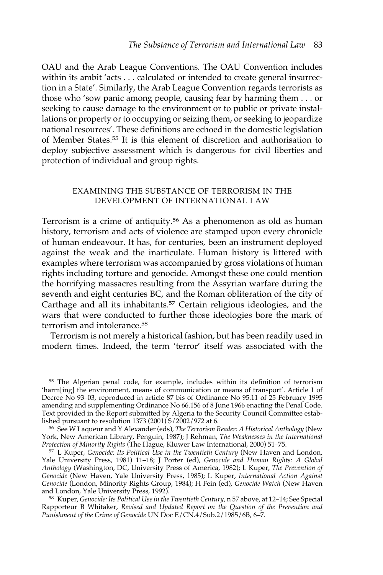OAU and the Arab League Conventions. The OAU Convention includes within its ambit 'acts . . . calculated or intended to create general insurrection in a State'. Similarly, the Arab League Convention regards terrorists as those who 'sow panic among people, causing fear by harming them . . . or seeking to cause damage to the environment or to public or private installations or property or to occupying or seizing them, or seeking to jeopardize national resources'. These definitions are echoed in the domestic legislation of Member States.55 It is this element of discretion and authorisation to deploy subjective assessment which is dangerous for civil liberties and protection of individual and group rights.

## EXAMINING THE SUBSTANCE OF TERRORISM IN THE DEVELOPMENT OF INTERNATIONAL LAW

Terrorism is a crime of antiquity.56 As a phenomenon as old as human history, terrorism and acts of violence are stamped upon every chronicle of human endeavour. It has, for centuries, been an instrument deployed against the weak and the inarticulate. Human history is littered with examples where terrorism was accompanied by gross violations of human rights including torture and genocide. Amongst these one could mention the horrifying massacres resulting from the Assyrian warfare during the seventh and eight centuries BC, and the Roman obliteration of the city of Carthage and all its inhabitants.<sup>57</sup> Certain religious ideologies, and the wars that were conducted to further those ideologies bore the mark of terrorism and intolerance.<sup>58</sup>

Terrorism is not merely a historical fashion, but has been readily used in modern times. Indeed, the term 'terror' itself was associated with the

<sup>55</sup> The Algerian penal code, for example, includes within its definition of terrorism 'harm[ing] the environment, means of communication or means of transport'. Article 1 of Decree No 93–03, reproduced in article 87 bis of Ordinance No 95.11 of 25 February 1995 amending and supplementing Ordinance No 66.156 of 8 June 1966 enacting the Penal Code. Text provided in the Report submitted by Algeria to the Security Council Committee established pursuant to resolution 1373 (2001) S/2002/972 at 6.

<sup>56</sup> See W Laqueur and Y Alexander (eds), *The Terrorism Reader: A Historical Anthology* (New York, New American Library, Penguin, 1987); J Rehman, *The Weaknesses in the International Protection of Minority Rights* (The Hague, Kluwer Law International, 2000) 51–75.

<sup>57</sup> L Kuper, *Genocide: Its Political Use in the Twentieth Century* (New Haven and London, Yale University Press, 1981) 11–18; J Porter (ed), *Genocide and Human Rights: A Global Anthology* (Washington, DC, University Press of America, 1982); L Kuper, *The Prevention of Genocide* (New Haven, Yale University Press, 1985); L Kuper, *International Action Against Genocide* (London, Minority Rights Group, 1984); H Fein (ed), *Genocide Watch* (New Haven and London, Yale University Press, 1992).

<sup>58</sup> Kuper, *Genocide: Its Political Use in the Twentieth Century*, n 57 above, at 12–14; See Special Rapporteur B Whitaker, *Revised and Updated Report on the Question of the Prevention and Punishment of the Crime of Genocide* UN Doc E/CN.4/Sub.2/1985/6B, 6–7.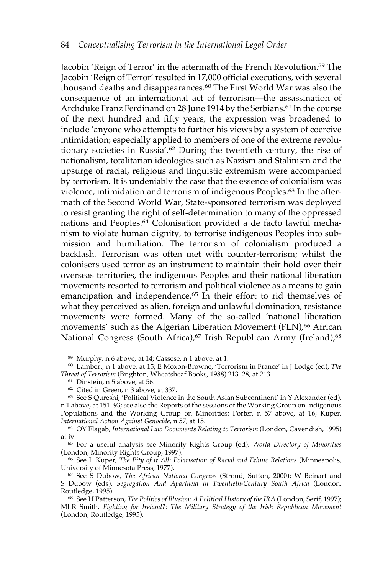Jacobin 'Reign of Terror' in the aftermath of the French Revolution.<sup>59</sup> The Jacobin 'Reign of Terror' resulted in 17,000 official executions, with several thousand deaths and disappearances.60 The First World War was also the consequence of an international act of terrorism—the assassination of Archduke Franz Ferdinand on 28 June 1914 by the Serbians.<sup>61</sup> In the course of the next hundred and fifty years, the expression was broadened to include 'anyone who attempts to further his views by a system of coercive intimidation; especially applied to members of one of the extreme revolutionary societies in Russia'.62 During the twentieth century, the rise of nationalism, totalitarian ideologies such as Nazism and Stalinism and the upsurge of racial, religious and linguistic extremism were accompanied by terrorism. It is undeniably the case that the essence of colonialism was violence, intimidation and terrorism of indigenous Peoples.63 In the aftermath of the Second World War, State-sponsored terrorism was deployed to resist granting the right of self-determination to many of the oppressed nations and Peoples.64 Colonisation provided a de facto lawful mechanism to violate human dignity, to terrorise indigenous Peoples into submission and humiliation. The terrorism of colonialism produced a backlash. Terrorism was often met with counter-terrorism; whilst the colonisers used terror as an instrument to maintain their hold over their overseas territories, the indigenous Peoples and their national liberation movements resorted to terrorism and political violence as a means to gain emancipation and independence.<sup>65</sup> In their effort to rid themselves of what they perceived as alien, foreign and unlawful domination, resistance movements were formed. Many of the so-called 'national liberation movements' such as the Algerian Liberation Movement (FLN),<sup>66</sup> African National Congress (South Africa),<sup>67</sup> Irish Republican Army (Ireland),<sup>68</sup>

<sup>59</sup> Murphy, n 6 above, at 14; Cassese, n 1 above, at 1.

<sup>60</sup> Lambert, n 1 above, at 15; E Moxon-Browne, 'Terrorism in France' in J Lodge (ed), *The Threat of Terrorism* (Brighton, Wheatsheaf Books, 1988) 213–28, at 213.

<sup>61</sup> Dinstein, n 5 above, at 56.

<sup>62</sup> Cited in Green, n 3 above, at 337.

<sup>63</sup> See S Qureshi, 'Political Violence in the South Asian Subcontinent' in Y Alexander (ed), n 1 above, at 151–93; see also the Reports of the sessions of the Working Group on Indigenous Populations and the Working Group on Minorities; Porter, n 57 above, at 16; Kuper, *International Action Against Genocide*, n 57, at 15.

<sup>64</sup> OY Elagab, *International Law Documents Relating to Terrorism* (London, Cavendish, 1995) at iv.

<sup>65</sup> For a useful analysis see Minority Rights Group (ed), *World Directory of Minorities* (London, Minority Rights Group, 1997).

<sup>66</sup> See L Kuper, *The Pity of it All: Polarisation of Racial and Ethnic Relations* (Minneapolis, University of Minnesota Press, 1977).

<sup>67</sup> See S Dubow, *The African National Congress* (Stroud, Sutton, 2000); W Beinart and S Dubow (eds), *Segregation And Apartheid in Twentieth-Century South Africa* (London, Routledge, 1995).

<sup>68</sup> See H Patterson, *The Politics of Illusion: A Political History of the IRA* (London, Serif, 1997); MLR Smith, *Fighting for Ireland?: The Military Strategy of the Irish Republican Movement* (London, Routledge, 1995).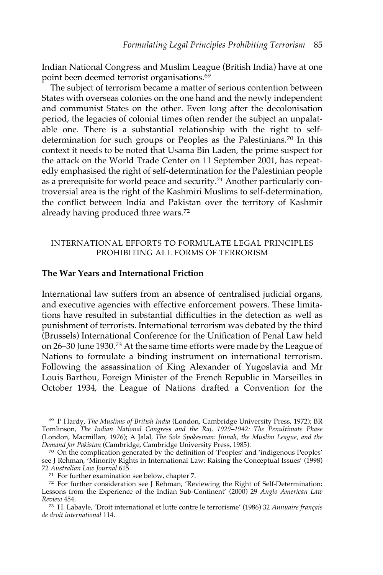Indian National Congress and Muslim League (British India) have at one point been deemed terrorist organisations.<sup>69</sup>

The subject of terrorism became a matter of serious contention between States with overseas colonies on the one hand and the newly independent and communist States on the other. Even long after the decolonisation period, the legacies of colonial times often render the subject an unpalatable one. There is a substantial relationship with the right to selfdetermination for such groups or Peoples as the Palestinians.70 In this context it needs to be noted that Usama Bin Laden, the prime suspect for the attack on the World Trade Center on 11 September 2001, has repeatedly emphasised the right of self-determination for the Palestinian people as a prerequisite for world peace and security.71 Another particularly controversial area is the right of the Kashmiri Muslims to self-determination, the conflict between India and Pakistan over the territory of Kashmir already having produced three wars.72

## INTERNATIONAL EFFORTS TO FORMULATE LEGAL PRINCIPLES PROHIBITING ALL FORMS OF TERRORISM

#### **The War Years and International Friction**

International law suffers from an absence of centralised judicial organs, and executive agencies with effective enforcement powers. These limitations have resulted in substantial difficulties in the detection as well as punishment of terrorists. International terrorism was debated by the third (Brussels) International Conference for the Unification of Penal Law held on 26–30 June 1930.<sup>73</sup> At the same time efforts were made by the League of Nations to formulate a binding instrument on international terrorism. Following the assassination of King Alexander of Yugoslavia and Mr Louis Barthou, Foreign Minister of the French Republic in Marseilles in October 1934, the League of Nations drafted a Convention for the

<sup>71</sup> For further examination see below, chapter 7.

<sup>69</sup> P Hardy, *The Muslims of British India* (London, Cambridge University Press, 1972); BR Tomlinson, *The Indian National Congress and the Raj, 1929–1942: The Penultimate Phase* (London, Macmillan, 1976); A Jalal*, The Sole Spokesman: Jinnah, the Muslim League, and the Demand for Pakistan* (Cambridge, Cambridge University Press, 1985).

<sup>70</sup> On the complication generated by the definition of 'Peoples' and 'indigenous Peoples' see J Rehman, 'Minority Rights in International Law: Raising the Conceptual Issues' (1998) 72 *Australian Law Journal* 615.

<sup>72</sup> For further consideration see J Rehman, 'Reviewing the Right of Self-Determination: Lessons from the Experience of the Indian Sub-Continent' (2000) 29 *Anglo American Law Review* 454.

<sup>73</sup> H. Labayle, 'Droit international et lutte contre le terrorisme' (1986) 32 *Annuaire français de droit international* 114.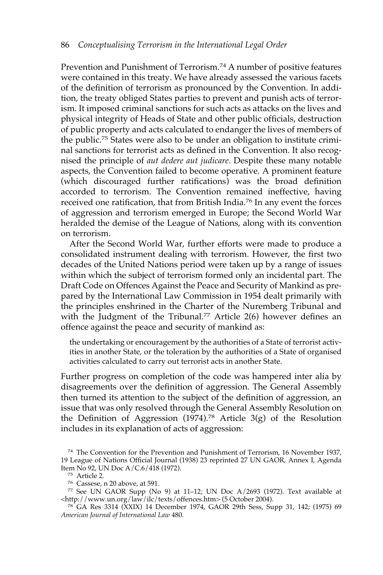Prevention and Punishment of Terrorism.74 A number of positive features were contained in this treaty. We have already assessed the various facets of the definition of terrorism as pronounced by the Convention. In addition, the treaty obliged States parties to prevent and punish acts of terrorism. It imposed criminal sanctions for such acts as attacks on the lives and physical integrity of Heads of State and other public officials, destruction of public property and acts calculated to endanger the lives of members of the public.<sup>75</sup> States were also to be under an obligation to institute criminal sanctions for terrorist acts as defined in the Convention. It also recognised the principle of *aut dedere aut judicare*. Despite these many notable aspects, the Convention failed to become operative. A prominent feature (which discouraged further ratifications) was the broad definition accorded to terrorism. The Convention remained ineffective, having received one ratification, that from British India.76 In any event the forces of aggression and terrorism emerged in Europe; the Second World War heralded the demise of the League of Nations, along with its convention on terrorism.

After the Second World War, further efforts were made to produce a consolidated instrument dealing with terrorism. However, the first two decades of the United Nations period were taken up by a range of issues within which the subject of terrorism formed only an incidental part. The Draft Code on Offences Against the Peace and Security of Mankind as prepared by the International Law Commission in 1954 dealt primarily with the principles enshrined in the Charter of the Nuremberg Tribunal and with the Judgment of the Tribunal.<sup>77</sup> Article  $2(6)$  however defines an offence against the peace and security of mankind as:

the undertaking or encouragement by the authorities of a State of terrorist activities in another State, or the toleration by the authorities of a State of organised activities calculated to carry out terrorist acts in another State.

Further progress on completion of the code was hampered inter alia by disagreements over the definition of aggression. The General Assembly then turned its attention to the subject of the definition of aggression, an issue that was only resolved through the General Assembly Resolution on the Definition of Aggression (1974).<sup>78</sup> Article 3(g) of the Resolution includes in its explanation of acts of aggression:

<sup>74</sup> The Convention for the Prevention and Punishment of Terrorism, 16 November 1937, 19 League of Nations Official Journal (1938) 23 reprinted 27 UN GAOR, Annex I, Agenda Item No 92, UN Doc A/C.6/418 (1972).

<sup>75</sup> Article 2.

<sup>76</sup> Cassese, n 20 above, at 591.

<sup>77</sup> See UN GAOR Supp (No 9) at 11–12; UN Doc A/2693 (1972). Text available at <http://www.un.org/law/ilc/texts/offences.htm> (5 October 2004).

<sup>78</sup> GA Res 3314 (XXIX) 14 December 1974, GAOR 29th Sess, Supp 31, 142; (1975) 69 *American Journal of International Law* 480.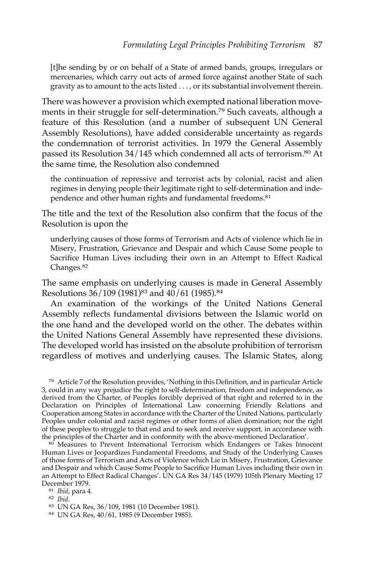[t]he sending by or on behalf of a State of armed bands, groups, irregulars or mercenaries, which carry out acts of armed force against another State of such gravity as to amount to the acts listed . . . , or its substantial involvement therein.

There was however a provision which exempted national liberation movements in their struggle for self-determination.<sup>79</sup> Such caveats, although a feature of this Resolution (and a number of subsequent UN General Assembly Resolutions), have added considerable uncertainty as regards the condemnation of terrorist activities. In 1979 the General Assembly passed its Resolution 34/145 which condemned all acts of terrorism.<sup>80</sup> At the same time, the Resolution also condemned

the continuation of repressive and terrorist acts by colonial, racist and alien regimes in denying people their legitimate right to self-determination and independence and other human rights and fundamental freedoms.81

The title and the text of the Resolution also confirm that the focus of the Resolution is upon the

underlying causes of those forms of Terrorism and Acts of violence which lie in Misery, Frustration, Grievance and Despair and which Cause Some people to Sacrifice Human Lives including their own in an Attempt to Effect Radical Changes.<sup>82</sup>

The same emphasis on underlying causes is made in General Assembly Resolutions 36/109 (1981)<sup>83</sup> and 40/61 (1985).84

An examination of the workings of the United Nations General Assembly reflects fundamental divisions between the Islamic world on the one hand and the developed world on the other. The debates within the United Nations General Assembly have represented these divisions. The developed world has insisted on the absolute prohibition of terrorism regardless of motives and underlying causes. The Islamic States, along

<sup>79</sup> Article 7 of the Resolution provides, 'Nothing in this Definition, and in particular Article 3, could in any way prejudice the right to self-determination, freedom and independence, as derived from the Charter, of Peoples forcibly deprived of that right and referred to in the Declaration on Principles of International Law concerning Friendly Relations and Cooperation among States in accordance with the Charter of the United Nations, particularly Peoples under colonial and racist regimes or other forms of alien domination; nor the right of these peoples to struggle to that end and to seek and receive support, in accordance with the principles of the Charter and in conformity with the above-mentioned Declaration'.

<sup>80</sup> Measures to Prevent International Terrorism which Endangers or Takes Innocent Human Lives or Jeopardizes Fundamental Freedoms, and Study of the Underlying Causes of those forms of Terrorism and Acts of Violence which Lie in Misery, Frustration, Grievance and Despair and which Cause Some People to Sacrifice Human Lives including their own in an Attempt to Effect Radical Changes'. UN GA Res 34/145 (1979) 105th Plenary Meeting 17 December 1979.

<sup>81</sup> *Ibid*, para 4.

<sup>82</sup> *Ibid.*

<sup>83</sup> UN GA Res, 36/109, 1981 (10 December 1981).

<sup>84</sup> UN GA Res, 40/61, 1985 (9 December 1985).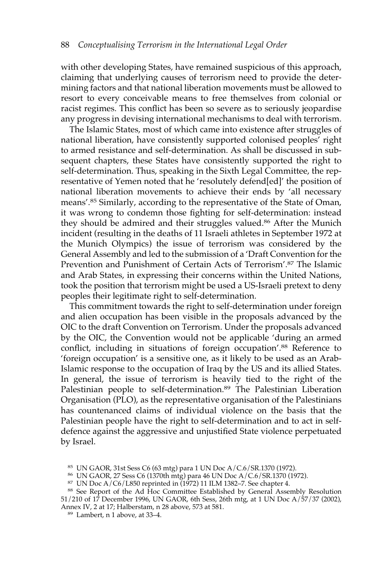with other developing States, have remained suspicious of this approach, claiming that underlying causes of terrorism need to provide the determining factors and that national liberation movements must be allowed to resort to every conceivable means to free themselves from colonial or racist regimes. This conflict has been so severe as to seriously jeopardise any progress in devising international mechanisms to deal with terrorism.

The Islamic States, most of which came into existence after struggles of national liberation, have consistently supported colonised peoples' right to armed resistance and self-determination. As shall be discussed in subsequent chapters, these States have consistently supported the right to self-determination. Thus, speaking in the Sixth Legal Committee, the representative of Yemen noted that he 'resolutely defend[ed]' the position of national liberation movements to achieve their ends by 'all necessary means'.85 Similarly, according to the representative of the State of Oman, it was wrong to condemn those fighting for self-determination: instead they should be admired and their struggles valued.<sup>86</sup> After the Munich incident (resulting in the deaths of 11 Israeli athletes in September 1972 at the Munich Olympics) the issue of terrorism was considered by the General Assembly and led to the submission of a 'Draft Convention for the Prevention and Punishment of Certain Acts of Terrorism'.87 The Islamic and Arab States, in expressing their concerns within the United Nations, took the position that terrorism might be used a US-Israeli pretext to deny peoples their legitimate right to self-determination.

This commitment towards the right to self-determination under foreign and alien occupation has been visible in the proposals advanced by the OIC to the draft Convention on Terrorism. Under the proposals advanced by the OIC, the Convention would not be applicable 'during an armed conflict, including in situations of foreign occupation'.<sup>88</sup> Reference to 'foreign occupation' is a sensitive one, as it likely to be used as an Arab-Islamic response to the occupation of Iraq by the US and its allied States. In general, the issue of terrorism is heavily tied to the right of the Palestinian people to self-determination.<sup>89</sup> The Palestinian Liberation Organisation (PLO), as the representative organisation of the Palestinians has countenanced claims of individual violence on the basis that the Palestinian people have the right to self-determination and to act in selfdefence against the aggressive and unjustified State violence perpetuated by Israel.

<sup>85</sup> UN GAOR, 31st Sess C6 (63 mtg) para 1 UN Doc A/C.6/SR.1370 (1972).

<sup>86</sup> UN GAOR, 27 Sess C6 (1370th mtg) para 46 UN Doc A/C.6/SR.1370 (1972).

<sup>&</sup>lt;sup>87</sup> UN Doc A/C6/L850 reprinted in  $(1972)$  11 ILM 1382-7. See chapter 4.

<sup>&</sup>lt;sup>88</sup> See Report of the Ad Hoc Committee Established by General Assembly Resolution 51/210 of 17 December 1996, UN GAOR, 6th Sess, 26th mtg, at 1 UN Doc A/57/37 (2002), Annex IV, 2 at 17; Halberstam, n 28 above, 573 at 581.

<sup>89</sup> Lambert, n 1 above, at 33–4.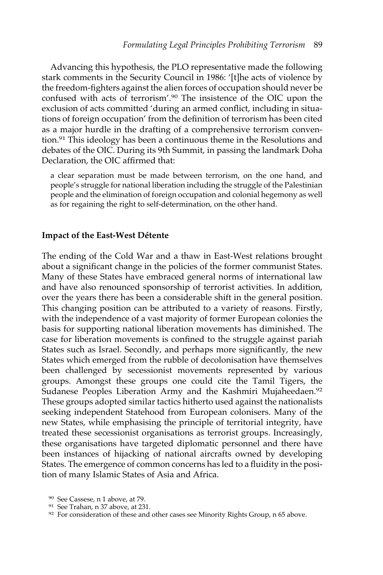Advancing this hypothesis, the PLO representative made the following stark comments in the Security Council in 1986: '[t]he acts of violence by the freedom-fighters against the alien forces of occupation should never be confused with acts of terrorism'.90 The insistence of the OIC upon the exclusion of acts committed 'during an armed conflict, including in situations of foreign occupation' from the definition of terrorism has been cited as a major hurdle in the drafting of a comprehensive terrorism convention.<sup>91</sup> This ideology has been a continuous theme in the Resolutions and debates of the OIC. During its 9th Summit, in passing the landmark Doha Declaration, the OIC affirmed that:

a clear separation must be made between terrorism, on the one hand, and people's struggle for national liberation including the struggle of the Palestinian people and the elimination of foreign occupation and colonial hegemony as well as for regaining the right to self-determination, on the other hand.

#### **Impact of the East-West Détente**

The ending of the Cold War and a thaw in East-West relations brought about a significant change in the policies of the former communist States. Many of these States have embraced general norms of international law and have also renounced sponsorship of terrorist activities. In addition, over the years there has been a considerable shift in the general position. This changing position can be attributed to a variety of reasons. Firstly, with the independence of a vast majority of former European colonies the basis for supporting national liberation movements has diminished. The case for liberation movements is confined to the struggle against pariah States such as Israel. Secondly, and perhaps more significantly, the new States which emerged from the rubble of decolonisation have themselves been challenged by secessionist movements represented by various groups. Amongst these groups one could cite the Tamil Tigers, the Sudanese Peoples Liberation Army and the Kashmiri Mujaheedaen.<sup>92</sup> These groups adopted similar tactics hitherto used against the nationalists seeking independent Statehood from European colonisers. Many of the new States, while emphasising the principle of territorial integrity, have treated these secessionist organisations as terrorist groups. Increasingly, these organisations have targeted diplomatic personnel and there have been instances of hijacking of national aircrafts owned by developing States. The emergence of common concerns has led to a fluidity in the position of many Islamic States of Asia and Africa.

<sup>90</sup> See Cassese, n 1 above, at 79.

<sup>91</sup> See Trahan, n 37 above, at 231.

<sup>&</sup>lt;sup>92</sup> For consideration of these and other cases see Minority Rights Group, n 65 above.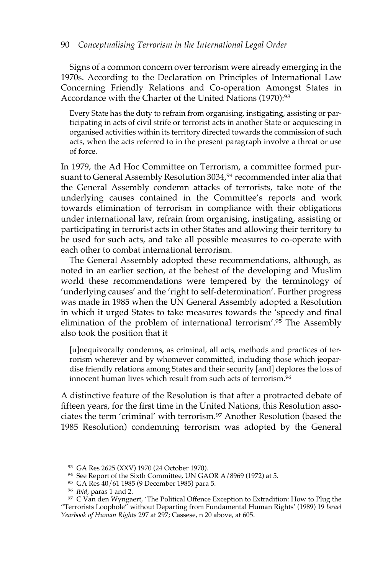## 90 *Conceptualising Terrorism in the International Legal Order*

Signs of a common concern over terrorism were already emerging in the 1970s. According to the Declaration on Principles of International Law Concerning Friendly Relations and Co-operation Amongst States in Accordance with the Charter of the United Nations (1970):<sup>93</sup>

Every State has the duty to refrain from organising, instigating, assisting or participating in acts of civil strife or terrorist acts in another State or acquiescing in organised activities within its territory directed towards the commission of such acts, when the acts referred to in the present paragraph involve a threat or use of force.

In 1979, the Ad Hoc Committee on Terrorism, a committee formed pursuant to General Assembly Resolution 3034,<sup>94</sup> recommended inter alia that the General Assembly condemn attacks of terrorists, take note of the underlying causes contained in the Committee's reports and work towards elimination of terrorism in compliance with their obligations under international law, refrain from organising, instigating, assisting or participating in terrorist acts in other States and allowing their territory to be used for such acts, and take all possible measures to co-operate with each other to combat international terrorism.

The General Assembly adopted these recommendations, although, as noted in an earlier section, at the behest of the developing and Muslim world these recommendations were tempered by the terminology of 'underlying causes' and the 'right to self-determination'. Further progress was made in 1985 when the UN General Assembly adopted a Resolution in which it urged States to take measures towards the 'speedy and final elimination of the problem of international terrorism'.95 The Assembly also took the position that it

[u]nequivocally condemns, as criminal, all acts, methods and practices of terrorism wherever and by whomever committed, including those which jeopardise friendly relations among States and their security [and] deplores the loss of innocent human lives which result from such acts of terrorism.<sup>96</sup>

A distinctive feature of the Resolution is that after a protracted debate of fifteen years, for the first time in the United Nations, this Resolution associates the term 'criminal' with terrorism.<sup>97</sup> Another Resolution (based the 1985 Resolution) condemning terrorism was adopted by the General

<sup>93</sup> GA Res 2625 (XXV) 1970 (24 October 1970).

<sup>94</sup> See Report of the Sixth Committee, UN GAOR A/8969 (1972) at 5.

<sup>95</sup> GA Res 40/61 1985 (9 December 1985) para 5.

<sup>96</sup> *Ibid*, paras 1 and 2.

<sup>&</sup>lt;sup>97</sup> C Van den Wyngaert, 'The Political Offence Exception to Extradition: How to Plug the "Terrorists Loophole" without Departing from Fundamental Human Rights' (1989) 19 *Israel Yearbook of Human Rights* 297 at 297; Cassese, n 20 above, at 605.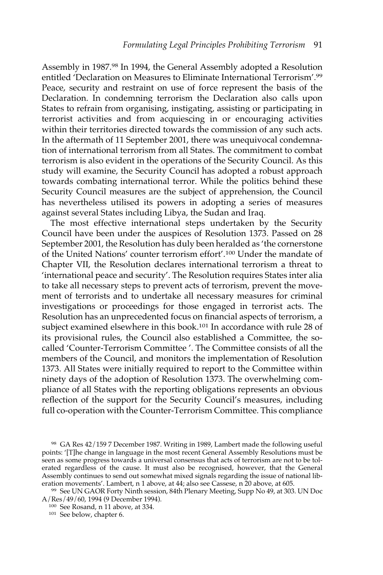Assembly in 1987.98 In 1994, the General Assembly adopted a Resolution entitled 'Declaration on Measures to Eliminate International Terrorism'.99 Peace, security and restraint on use of force represent the basis of the Declaration. In condemning terrorism the Declaration also calls upon States to refrain from organising, instigating, assisting or participating in terrorist activities and from acquiescing in or encouraging activities within their territories directed towards the commission of any such acts. In the aftermath of 11 September 2001, there was unequivocal condemnation of international terrorism from all States. The commitment to combat terrorism is also evident in the operations of the Security Council. As this study will examine, the Security Council has adopted a robust approach towards combating international terror. While the politics behind these Security Council measures are the subject of apprehension, the Council has nevertheless utilised its powers in adopting a series of measures against several States including Libya, the Sudan and Iraq.

The most effective international steps undertaken by the Security Council have been under the auspices of Resolution 1373. Passed on 28 September 2001, the Resolution has duly been heralded as 'the cornerstone of the United Nations' counter terrorism effort'.100 Under the mandate of Chapter VII, the Resolution declares international terrorism a threat to 'international peace and security'. The Resolution requires States inter alia to take all necessary steps to prevent acts of terrorism, prevent the movement of terrorists and to undertake all necessary measures for criminal investigations or proceedings for those engaged in terrorist acts. The Resolution has an unprecedented focus on financial aspects of terrorism, a subject examined elsewhere in this book.<sup>101</sup> In accordance with rule 28 of its provisional rules, the Council also established a Committee, the socalled 'Counter-Terrorism Committee '. The Committee consists of all the members of the Council, and monitors the implementation of Resolution 1373. All States were initially required to report to the Committee within ninety days of the adoption of Resolution 1373. The overwhelming compliance of all States with the reporting obligations represents an obvious reflection of the support for the Security Council's measures, including full co-operation with the Counter-Terrorism Committee. This compliance

<sup>98</sup> GA Res 42/159 7 December 1987. Writing in 1989, Lambert made the following useful points: '[T]he change in language in the most recent General Assembly Resolutions must be seen as some progress towards a universal consensus that acts of terrorism are not to be tolerated regardless of the cause. It must also be recognised, however, that the General Assembly continues to send out somewhat mixed signals regarding the issue of national liberation movements'. Lambert, n 1 above, at 44; also see Cassese, n 20 above, at 605.

<sup>99</sup> See UN GAOR Forty Ninth session, 84th Plenary Meeting, Supp No 49, at 303. UN Doc A/Res/49/60, 1994 (9 December 1994).

<sup>100</sup> See Rosand, n 11 above, at 334.

<sup>101</sup> See below, chapter 6.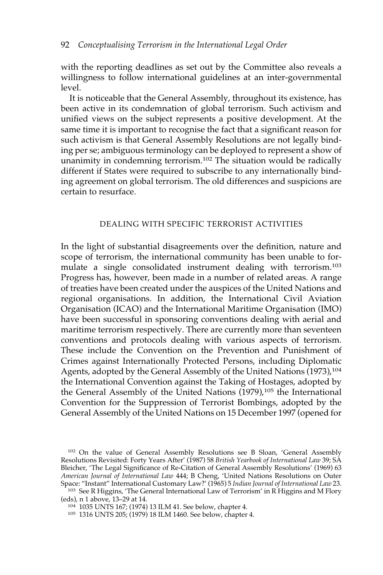with the reporting deadlines as set out by the Committee also reveals a willingness to follow international guidelines at an inter-governmental level.

It is noticeable that the General Assembly, throughout its existence, has been active in its condemnation of global terrorism. Such activism and unified views on the subject represents a positive development. At the same time it is important to recognise the fact that a significant reason for such activism is that General Assembly Resolutions are not legally binding per se; ambiguous terminology can be deployed to represent a show of unanimity in condemning terrorism.<sup>102</sup> The situation would be radically different if States were required to subscribe to any internationally binding agreement on global terrorism. The old differences and suspicions are certain to resurface.

# DEALING WITH SPECIFIC TERRORIST ACTIVITIES

In the light of substantial disagreements over the definition, nature and scope of terrorism, the international community has been unable to formulate a single consolidated instrument dealing with terrorism.103 Progress has, however, been made in a number of related areas. A range of treaties have been created under the auspices of the United Nations and regional organisations. In addition, the International Civil Aviation Organisation (ICAO) and the International Maritime Organisation (IMO) have been successful in sponsoring conventions dealing with aerial and maritime terrorism respectively. There are currently more than seventeen conventions and protocols dealing with various aspects of terrorism. These include the Convention on the Prevention and Punishment of Crimes against Internationally Protected Persons, including Diplomatic Agents, adopted by the General Assembly of the United Nations (1973),<sup>104</sup> the International Convention against the Taking of Hostages, adopted by the General Assembly of the United Nations (1979),105 the International Convention for the Suppression of Terrorist Bombings, adopted by the General Assembly of the United Nations on 15 December 1997 (opened for

<sup>102</sup> On the value of General Assembly Resolutions see B Sloan, 'General Assembly Resolutions Revisited: Forty Years After' (1987) 58 *British Yearbook of International Law* 39; SA Bleicher, 'The Legal Significance of Re-Citation of General Assembly Resolutions' (1969) 63 *American Journal of International Law* 444; B Cheng, 'United Nations Resolutions on Outer Space: "Instant" International Customary Law?' (1965) 5 *Indian Journal of International Law* 23.

<sup>&</sup>lt;sup>103</sup> See R Higgins, 'The General International Law of Terrorism' in R Higgins and M Flory (eds), n 1 above, 13–29 at 14.

<sup>104</sup> 1035 UNTS 167; (1974) 13 ILM 41. See below, chapter 4.

<sup>105</sup> 1316 UNTS 205; (1979) 18 ILM 1460. See below, chapter 4.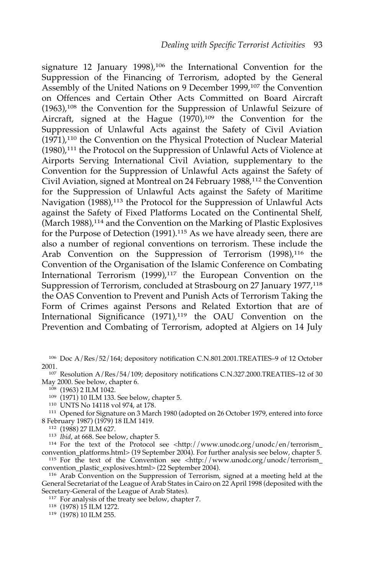signature 12 January 1998),<sup>106</sup> the International Convention for the Suppression of the Financing of Terrorism, adopted by the General Assembly of the United Nations on 9 December 1999,107 the Convention on Offences and Certain Other Acts Committed on Board Aircraft (1963),<sup>108</sup> the Convention for the Suppression of Unlawful Seizure of Aircraft, signed at the Hague  $(1970)$ ,<sup>109</sup> the Convention for the Suppression of Unlawful Acts against the Safety of Civil Aviation (1971),<sup>110</sup> the Convention on the Physical Protection of Nuclear Material  $(1980)$ ,<sup>111</sup> the Protocol on the Suppression of Unlawful Acts of Violence at Airports Serving International Civil Aviation, supplementary to the Convention for the Suppression of Unlawful Acts against the Safety of Civil Aviation, signed at Montreal on 24 February 1988,<sup>112</sup> the Convention for the Suppression of Unlawful Acts against the Safety of Maritime Navigation (1988),<sup>113</sup> the Protocol for the Suppression of Unlawful Acts against the Safety of Fixed Platforms Located on the Continental Shelf, (March 1988),<sup>114</sup> and the Convention on the Marking of Plastic Explosives for the Purpose of Detection (1991).115 As we have already seen, there are also a number of regional conventions on terrorism. These include the Arab Convention on the Suppression of Terrorism (1998),<sup>116</sup> the Convention of the Organisation of the Islamic Conference on Combating International Terrorism (1999),<sup>117</sup> the European Convention on the Suppression of Terrorism, concluded at Strasbourg on 27 January 1977,118 the OAS Convention to Prevent and Punish Acts of Terrorism Taking the Form of Crimes against Persons and Related Extortion that are of International Significance (1971),<sup>119</sup> the OAU Convention on the Prevention and Combating of Terrorism, adopted at Algiers on 14 July

<sup>106</sup> Doc A/Res/52/164; depository notification C.N.801.2001.TREATIES–9 of 12 October 2001. 107 Resolution A/Res/54/109; depository notifications C.N.327.2000.TREATIES–12 of 30

May 2000. See below, chapter 6.

 $108$  (1963) 2 ILM 1042.

<sup>109</sup> (1971) 10 ILM 133. See below, chapter 5.

<sup>110</sup> UNTS No 14118 vol 974, at 178.

<sup>111</sup> Opened for Signature on 3 March 1980 (adopted on 26 October 1979, entered into force 8 February 1987) (1979) 18 ILM 1419.

<sup>113</sup> *Ibid*, at 668. See below, chapter 5.

<sup>114</sup> For the text of the Protocol see <http://www.unodc.org/unodc/en/terrorism\_ convention\_platforms.html> (19 September 2004). For further analysis see below, chapter 5.

<sup>115</sup> For the text of the Convention see <http://www.unodc.org/unodc/terrorism\_ convention\_plastic\_explosives.html> (22 September 2004).

<sup>116</sup> Arab Convention on the Suppression of Terrorism, signed at a meeting held at the General Secretariat of the League of Arab States in Cairo on 22 April 1998 (deposited with the Secretary-General of the League of Arab States).

<sup>117</sup> For analysis of the treaty see below, chapter 7.

<sup>118</sup> (1978) 15 ILM 1272.

<sup>119</sup> (1978) 10 ILM 255.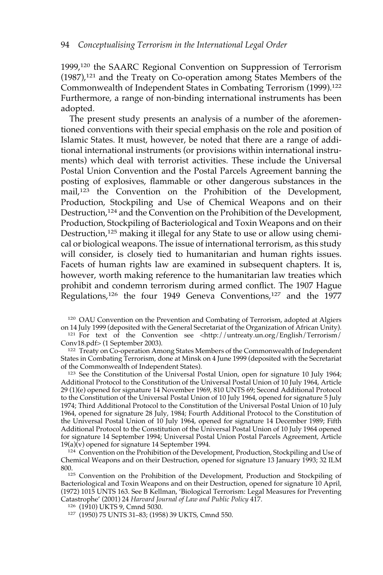1999,120 the SAARC Regional Convention on Suppression of Terrorism (1987),<sup>121</sup> and the Treaty on Co-operation among States Members of the Commonwealth of Independent States in Combating Terrorism (1999).122 Furthermore, a range of non-binding international instruments has been adopted.

The present study presents an analysis of a number of the aforementioned conventions with their special emphasis on the role and position of Islamic States. It must, however, be noted that there are a range of additional international instruments (or provisions within international instruments) which deal with terrorist activities. These include the Universal Postal Union Convention and the Postal Parcels Agreement banning the posting of explosives, flammable or other dangerous substances in the mail,<sup>123</sup> the Convention on the Prohibition of the Development, Production, Stockpiling and Use of Chemical Weapons and on their Destruction,<sup>124</sup> and the Convention on the Prohibition of the Development, Production, Stockpiling of Bacteriological and Toxin Weapons and on their Destruction,<sup>125</sup> making it illegal for any State to use or allow using chemical or biological weapons. The issue of international terrorism, as this study will consider, is closely tied to humanitarian and human rights issues. Facets of human rights law are examined in subsequent chapters. It is, however, worth making reference to the humanitarian law treaties which prohibit and condemn terrorism during armed conflict. The 1907 Hague Regulations,<sup>126</sup> the four 1949 Geneva Conventions,127 and the 1977

<sup>120</sup> OAU Convention on the Prevention and Combating of Terrorism, adopted at Algiers on 14 July 1999 (deposited with the General Secretariat of the Organization of African Unity).

<sup>121</sup> For text of the Convention see  $\langle$ http://untreaty.un.org/English/Terrorism/ Conv18.pdf> (1 September 2003).

<sup>122</sup> Treaty on Co-operation Among States Members of the Commonwealth of Independent States in Combating Terrorism, done at Minsk on 4 June 1999 (deposited with the Secretariat of the Commonwealth of Independent States).

<sup>123</sup> See the Constitution of the Universal Postal Union, open for signature 10 July 1964; Additional Protocol to the Constitution of the Universal Postal Union of 10 July 1964, Article 29 (1)(e) opened for signature 14 November 1969, 810 UNTS 69; Second Additional Protocol to the Constitution of the Universal Postal Union of 10 July 1964, opened for signature 5 July 1974; Third Additional Protocol to the Constitution of the Universal Postal Union of 10 July 1964, opened for signature 28 July, 1984; Fourth Additional Protocol to the Constitution of the Universal Postal Union of 10 July 1964, opened for signature 14 December 1989; Fifth Additional Protocol to the Constitution of the Universal Postal Union of 10 July 1964 opened for signature 14 September 1994; Universal Postal Union Postal Parcels Agreement, Article 19(a)(v) opened for signature 14 September 1994.

<sup>124</sup> Convention on the Prohibition of the Development, Production, Stockpiling and Use of Chemical Weapons and on their Destruction, opened for signature 13 January 1993; 32 ILM 800.

<sup>125</sup> Convention on the Prohibition of the Development, Production and Stockpiling of Bacteriological and Toxin Weapons and on their Destruction, opened for signature 10 April, (1972) 1015 UNTS 163. See B Kellman, 'Biological Terrorism: Legal Measures for Preventing Catastrophe' (2001) 24 *Harvard Journal of Law and Public Policy* 417.

<sup>126</sup> (1910) UKTS 9, Cmnd 5030.

<sup>127</sup> (1950) 75 UNTS 31–83; (1958) 39 UKTS, Cmnd 550.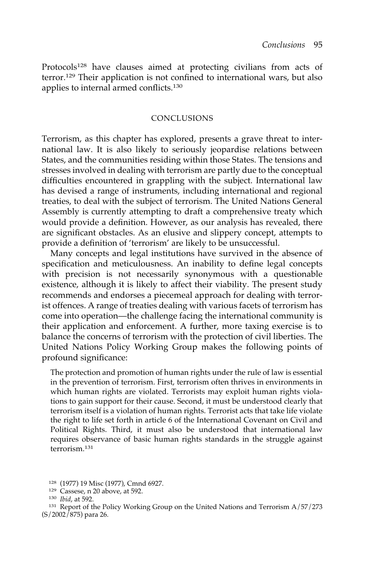Protocols<sup>128</sup> have clauses aimed at protecting civilians from acts of terror.<sup>129</sup> Their application is not confined to international wars, but also applies to internal armed conflicts.130

## CONCLUSIONS

Terrorism, as this chapter has explored, presents a grave threat to international law. It is also likely to seriously jeopardise relations between States, and the communities residing within those States. The tensions and stresses involved in dealing with terrorism are partly due to the conceptual difficulties encountered in grappling with the subject. International law has devised a range of instruments, including international and regional treaties, to deal with the subject of terrorism. The United Nations General Assembly is currently attempting to draft a comprehensive treaty which would provide a definition. However, as our analysis has revealed, there are significant obstacles. As an elusive and slippery concept, attempts to provide a definition of 'terrorism' are likely to be unsuccessful.

Many concepts and legal institutions have survived in the absence of specification and meticulousness. An inability to define legal concepts with precision is not necessarily synonymous with a questionable existence, although it is likely to affect their viability. The present study recommends and endorses a piecemeal approach for dealing with terrorist offences. A range of treaties dealing with various facets of terrorism has come into operation—the challenge facing the international community is their application and enforcement. A further, more taxing exercise is to balance the concerns of terrorism with the protection of civil liberties. The United Nations Policy Working Group makes the following points of profound significance:

The protection and promotion of human rights under the rule of law is essential in the prevention of terrorism. First, terrorism often thrives in environments in which human rights are violated. Terrorists may exploit human rights violations to gain support for their cause. Second, it must be understood clearly that terrorism itself is a violation of human rights. Terrorist acts that take life violate the right to life set forth in article 6 of the International Covenant on Civil and Political Rights. Third, it must also be understood that international law requires observance of basic human rights standards in the struggle against terrorism.<sup>131</sup>

<sup>128</sup> (1977) 19 Misc (1977), Cmnd 6927.

<sup>129</sup> Cassese, n 20 above, at 592.

<sup>130</sup> *Ibid*, at 592.

<sup>131</sup> Report of the Policy Working Group on the United Nations and Terrorism A/57/273 (S/2002/875) para 26.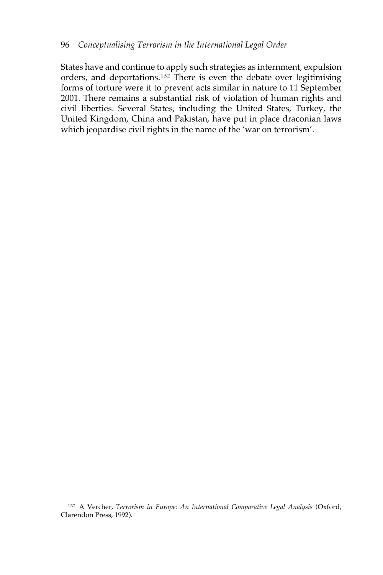States have and continue to apply such strategies as internment, expulsion orders, and deportations.132 There is even the debate over legitimising forms of torture were it to prevent acts similar in nature to 11 September 2001. There remains a substantial risk of violation of human rights and civil liberties. Several States, including the United States, Turkey, the United Kingdom, China and Pakistan, have put in place draconian laws which jeopardise civil rights in the name of the 'war on terrorism'.

<sup>132</sup> A Vercher, *Terrorism in Europe: An International Comparative Legal Analysis* (Oxford, Clarendon Press, 1992).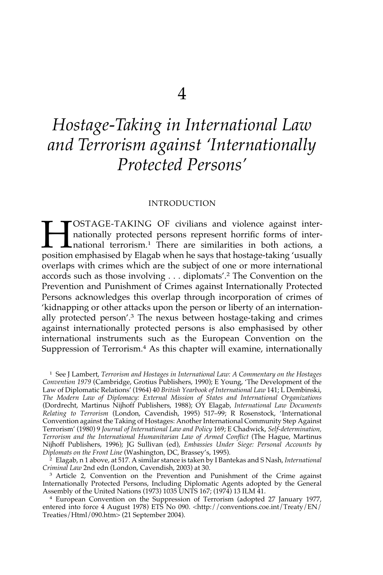# *Hostage-Taking in International Law and Terrorism against 'Internationally Protected Persons'*

## INTRODUCTION

**HOSTAGE-TAKING OF civilians and violence against inter-**<br>
nationally protected persons represent horrific forms of inter-<br>
national terrorism.<sup>1</sup> There are similarities in both actions, a<br>
position emphasised by Elagab wh nationally protected persons represent horrific forms of international terrorism.<sup>1</sup> There are similarities in both actions, a position emphasised by Elagab when he says that hostage-taking 'usually overlaps with crimes which are the subject of one or more international accords such as those involving . . . diplomats'.2 The Convention on the Prevention and Punishment of Crimes against Internationally Protected Persons acknowledges this overlap through incorporation of crimes of 'kidnapping or other attacks upon the person or liberty of an internationally protected person'.<sup>3</sup> The nexus between hostage-taking and crimes against internationally protected persons is also emphasised by other international instruments such as the European Convention on the Suppression of Terrorism.4 As this chapter will examine, internationally

<sup>1</sup> See J Lambert, *Terrorism and Hostages in International Law: A Commentary on the Hostages Convention 1979* (Cambridge, Grotius Publishers, 1990); E Young, 'The Development of the Law of Diplomatic Relations' (1964) 40 *British Yearbook of International Law* 141; L Dembinski, *The Modern Law of Diplomacy: External Mission of States and International Organizations* (Dordrecht, Martinus Nijhoff Publishers, 1988); OY Elagab, *International Law Documents Relating to Terrorism* (London, Cavendish, 1995) 517–99; R Rosenstock, 'International Convention against the Taking of Hostages: Another International Community Step Against Terrorism' (1980) 9 *Journal of International Law and Policy* 169; E Chadwick, *Self-determination, Terrorism and the International Humanitarian Law of Armed Conflict* (The Hague, Martinus Nijhoff Publishers, 1996); JG Sullivan (ed), *Embassies Under Siege: Personal Accounts by Diplomats on the Front Line* (Washington, DC, Brassey's, 1995).

<sup>2</sup> Elagab, n 1 above, at 517. A similar stance is taken by I Bantekas and S Nash, *International Criminal Law* 2nd edn (London, Cavendish, 2003) at 30.

<sup>&</sup>lt;sup>3</sup> Article 2, Convention on the Prevention and Punishment of the Crime against Internationally Protected Persons, Including Diplomatic Agents adopted by the General

<sup>&</sup>lt;sup>4</sup> European Convention on the Suppression of Terrorism (adopted 27 January 1977, entered into force 4 August 1978) ETS No 090. <http://conventions.coe.int/Treaty/EN/ Treaties/Html/090.htm> (21 September 2004).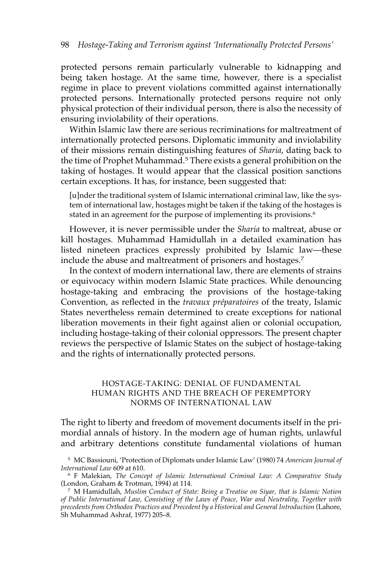protected persons remain particularly vulnerable to kidnapping and being taken hostage. At the same time, however, there is a specialist regime in place to prevent violations committed against internationally protected persons. Internationally protected persons require not only physical protection of their individual person, there is also the necessity of ensuring inviolability of their operations.

Within Islamic law there are serious recriminations for maltreatment of internationally protected persons. Diplomatic immunity and inviolability of their missions remain distinguishing features of *Sharia*, dating back to the time of Prophet Muhammad.<sup>5</sup> There exists a general prohibition on the taking of hostages. It would appear that the classical position sanctions certain exceptions. It has, for instance, been suggested that:

[u]nder the traditional system of Islamic international criminal law, like the system of international law, hostages might be taken if the taking of the hostages is stated in an agreement for the purpose of implementing its provisions.<sup>6</sup>

However, it is never permissible under the *Sharia* to maltreat, abuse or kill hostages. Muhammad Hamidullah in a detailed examination has listed nineteen practices expressly prohibited by Islamic law—these include the abuse and maltreatment of prisoners and hostages.7

In the context of modern international law, there are elements of strains or equivocacy within modern Islamic State practices. While denouncing hostage-taking and embracing the provisions of the hostage-taking Convention, as reflected in the *travaux préparatoires* of the treaty, Islamic States nevertheless remain determined to create exceptions for national liberation movements in their fight against alien or colonial occupation, including hostage-taking of their colonial oppressors. The present chapter reviews the perspective of Islamic States on the subject of hostage-taking and the rights of internationally protected persons.

# HOSTAGE-TAKING: DENIAL OF FUNDAMENTAL HUMAN RIGHTS AND THE BREACH OF PEREMPTORY NORMS OF INTERNATIONAL LAW

The right to liberty and freedom of movement documents itself in the primordial annals of history. In the modern age of human rights, unlawful and arbitrary detentions constitute fundamental violations of human

<sup>5</sup> MC Bassiouni, 'Protection of Diplomats under Islamic Law' (1980) 74 *American Journal of International Law* 609 at 610.

<sup>6</sup> F Malekian, *The Concept of Islamic International Criminal Law: A Comparative Study* (London, Graham & Trotman, 1994) at 114.

<sup>7</sup> M Hamidullah, *Muslim Conduct of State: Being a Treatise on Siyar, that is Islamic Notion of Public International Law, Consisting of the Laws of Peace, War and Neutrality, Together with precedents from Orthodox Practices and Precedent by a Historical and General Introduction* (Lahore, Sh Muhammad Ashraf, 1977) 205–8.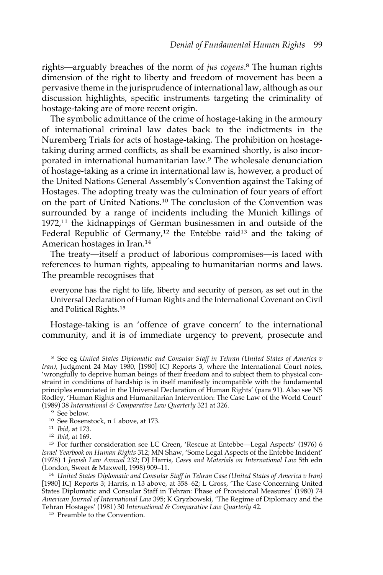rights—arguably breaches of the norm of *jus cogens*. <sup>8</sup> The human rights dimension of the right to liberty and freedom of movement has been a pervasive theme in the jurisprudence of international law, although as our discussion highlights, specific instruments targeting the criminality of hostage-taking are of more recent origin.

The symbolic admittance of the crime of hostage-taking in the armoury of international criminal law dates back to the indictments in the Nuremberg Trials for acts of hostage-taking. The prohibition on hostagetaking during armed conflicts, as shall be examined shortly, is also incorporated in international humanitarian law.9 The wholesale denunciation of hostage-taking as a crime in international law is, however, a product of the United Nations General Assembly's Convention against the Taking of Hostages. The adopting treaty was the culmination of four years of effort on the part of United Nations.10 The conclusion of the Convention was surrounded by a range of incidents including the Munich killings of 1972,<sup>11</sup> the kidnappings of German businessmen in and outside of the Federal Republic of Germany,<sup>12</sup> the Entebbe raid<sup>13</sup> and the taking of American hostages in Iran.14

The treaty—itself a product of laborious compromises—is laced with references to human rights, appealing to humanitarian norms and laws. The preamble recognises that

everyone has the right to life, liberty and security of person, as set out in the Universal Declaration of Human Rights and the International Covenant on Civil and Political Rights.15

Hostage-taking is an 'offence of grave concern' to the international community, and it is of immediate urgency to prevent, prosecute and

<sup>8</sup> See eg *United States Diplomatic and Consular Staff in Tehran (United States of America v Iran)*, Judgment 24 May 1980, [1980] ICJ Reports 3, where the International Court notes, 'wrongfully to deprive human beings of their freedom and to subject them to physical constraint in conditions of hardship is in itself manifestly incompatible with the fundamental principles enunciated in the Universal Declaration of Human Rights' (para 91). Also see NS Rodley, 'Human Rights and Humanitarian Intervention: The Case Law of the World Court' (1989) 38 *International & Comparative Law Quarterly* 321 at 326.

- <sup>11</sup> *Ibid*, at 173.
- <sup>12</sup> *Ibid*, at 169.

<sup>13</sup> For further consideration see LC Green, 'Rescue at Entebbe—Legal Aspects' (1976) 6 *Israel Yearbook on Human Rights* 312; MN Shaw, 'Some Legal Aspects of the Entebbe Incident' (1978) 1 *Jewish Law Annual* 232; DJ Harris, *Cases and Materials on International Law* 5th edn (London, Sweet & Maxwell, 1998) 909–11.

<sup>14</sup> *United States Diplomatic and Consular Staff in Tehran Case (United States of America v Iran)* [1980] ICJ Reports 3; Harris, n 13 above, at 358–62; L Gross, 'The Case Concerning United States Diplomatic and Consular Staff in Tehran: Phase of Provisional Measures' (1980) 74 *American Journal of International Law* 395; K Gryzbowski, 'The Regime of Diplomacy and the Tehran Hostages' (1981) 30 *International & Comparative Law Quarterly* 42.

<sup>15</sup> Preamble to the Convention.

<sup>9</sup> See below*.*

<sup>10</sup> See Rosenstock, n 1 above, at 173.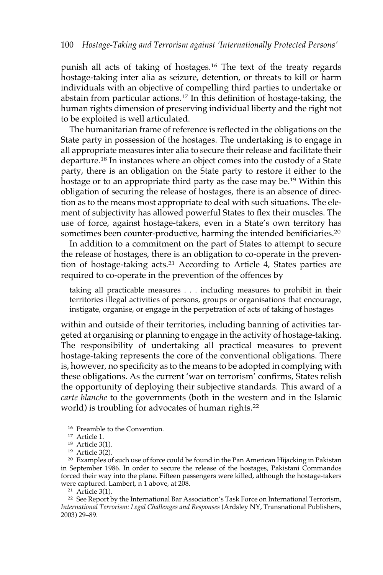punish all acts of taking of hostages.16 The text of the treaty regards hostage-taking inter alia as seizure, detention, or threats to kill or harm individuals with an objective of compelling third parties to undertake or abstain from particular actions.<sup>17</sup> In this definition of hostage-taking, the human rights dimension of preserving individual liberty and the right not to be exploited is well articulated.

The humanitarian frame of reference is reflected in the obligations on the State party in possession of the hostages. The undertaking is to engage in all appropriate measures inter alia to secure their release and facilitate their departure.<sup>18</sup> In instances where an object comes into the custody of a State party, there is an obligation on the State party to restore it either to the hostage or to an appropriate third party as the case may be.<sup>19</sup> Within this obligation of securing the release of hostages, there is an absence of direction as to the means most appropriate to deal with such situations. The element of subjectivity has allowed powerful States to flex their muscles. The use of force, against hostage-takers, even in a State's own territory has sometimes been counter-productive, harming the intended benificiaries.<sup>20</sup>

In addition to a commitment on the part of States to attempt to secure the release of hostages, there is an obligation to co-operate in the prevention of hostage-taking acts.<sup>21</sup> According to Article 4, States parties are required to co-operate in the prevention of the offences by

taking all practicable measures . . . including measures to prohibit in their territories illegal activities of persons, groups or organisations that encourage, instigate, organise, or engage in the perpetration of acts of taking of hostages

within and outside of their territories, including banning of activities targeted at organising or planning to engage in the activity of hostage-taking. The responsibility of undertaking all practical measures to prevent hostage-taking represents the core of the conventional obligations. There is, however, no specificity as to the means to be adopted in complying with these obligations. As the current 'war on terrorism' confirms, States relish the opportunity of deploying their subjective standards. This award of a *carte blanche* to the governments (both in the western and in the Islamic world) is troubling for advocates of human rights.<sup>22</sup>

- <sup>16</sup> Preamble to the Convention*.*
- <sup>17</sup> Article 1.
- <sup>18</sup> Article 3(1).
- <sup>19</sup> Article 3(2).

<sup>20</sup> Examples of such use of force could be found in the Pan American Hijacking in Pakistan in September 1986. In order to secure the release of the hostages, Pakistani Commandos forced their way into the plane. Fifteen passengers were killed, although the hostage-takers were captured. Lambert, n 1 above, at 208.

 $21$  Article 3(1).

<sup>22</sup> See Report by the International Bar Association's Task Force on International Terrorism, *International Terrorism: Legal Challenges and Responses* (Ardsley NY, Transnational Publishers, 2003) 29–89.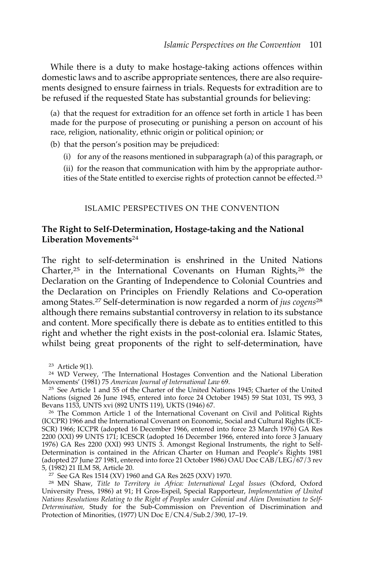While there is a duty to make hostage-taking actions offences within domestic laws and to ascribe appropriate sentences, there are also requirements designed to ensure fairness in trials. Requests for extradition are to be refused if the requested State has substantial grounds for believing:

(a) that the request for extradition for an offence set forth in article 1 has been made for the purpose of prosecuting or punishing a person on account of his race, religion, nationality, ethnic origin or political opinion; or

(b) that the person's position may be prejudiced:

(i) for any of the reasons mentioned in subparagraph (a) of this paragraph, or

(ii) for the reason that communication with him by the appropriate authorities of the State entitled to exercise rights of protection cannot be effected.<sup>23</sup>

## ISLAMIC PERSPECTIVES ON THE CONVENTION

# **The Right to Self-Determination, Hostage-taking and the National Liberation Movements**<sup>24</sup>

The right to self-determination is enshrined in the United Nations Charter,<sup>25</sup> in the International Covenants on Human Rights,<sup>26</sup> the Declaration on the Granting of Independence to Colonial Countries and the Declaration on Principles on Friendly Relations and Co-operation among States.27 Self-determination is now regarded a norm of *jus cogens*<sup>28</sup> although there remains substantial controversy in relation to its substance and content. More specifically there is debate as to entities entitled to this right and whether the right exists in the post-colonial era. Islamic States, whilst being great proponents of the right to self-determination, have

<sup>25</sup> See Article 1 and 55 of the Charter of the United Nations 1945; Charter of the United Nations (signed 26 June 1945, entered into force 24 October 1945) 59 Stat 1031, TS 993, 3 Bevans 1153, UNTS xvi (892 UNTS 119), UKTS (1946) 67.

<sup>26</sup> The Common Article 1 of the International Covenant on Civil and Political Rights (ICCPR) 1966 and the International Covenant on Economic, Social and Cultural Rights (ICE-SCR) 1966; ICCPR (adopted 16 December 1966, entered into force 23 March 1976) GA Res 2200 (XXI) 99 UNTS 171; ICESCR (adopted 16 December 1966, entered into force 3 January 1976) GA Res 2200 (XXI) 993 UNTS 3. Amongst Regional Instruments, the right to Self-Determination is contained in the African Charter on Human and People's Rights 1981 (adopted 27 June 27 1981, entered into force 21 October 1986) OAU Doc CAB/LEG/67/3 rev 5, (1982) 21 ILM 58, Article 20.

<sup>27</sup> See GA Res 1514 (XV) 1960 and GA Res 2625 (XXV) 1970.

<sup>28</sup> MN Shaw, *Title to Territory in Africa: International Legal Issues* (Oxford, Oxford University Press, 1986) at 91; H Gros-Espeil, Special Rapporteur, *Implementation of United Nations Resolutions Relating to the Right of Peoples under Colonial and Alien Domination to Self-Determination,* Study for the Sub-Commission on Prevention of Discrimination and Protection of Minorities, (1977) UN Doc E/CN.4/Sub.2/390, 17–19.

<sup>23</sup> Article 9(1).

<sup>24</sup> WD Verwey, 'The International Hostages Convention and the National Liberation Movements' (1981) 75 *American Journal of International Law* 69.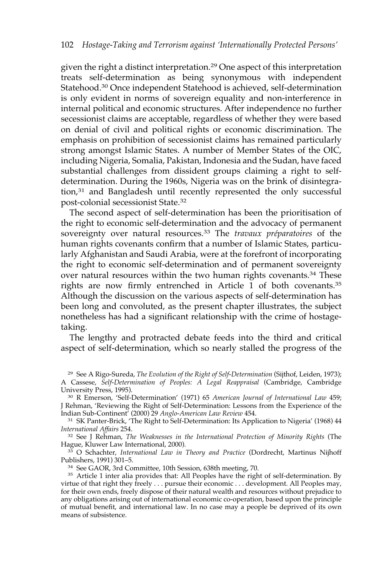given the right a distinct interpretation.<sup>29</sup> One aspect of this interpretation treats self-determination as being synonymous with independent Statehood.30 Once independent Statehood is achieved, self-determination is only evident in norms of sovereign equality and non-interference in internal political and economic structures. After independence no further secessionist claims are acceptable, regardless of whether they were based on denial of civil and political rights or economic discrimination. The emphasis on prohibition of secessionist claims has remained particularly strong amongst Islamic States. A number of Member States of the OIC, including Nigeria, Somalia, Pakistan, Indonesia and the Sudan, have faced substantial challenges from dissident groups claiming a right to selfdetermination. During the 1960s, Nigeria was on the brink of disintegration,<sup>31</sup> and Bangladesh until recently represented the only successful post-colonial secessionist State.32

The second aspect of self-determination has been the prioritisation of the right to economic self-determination and the advocacy of permanent sovereignty over natural resources.33 The *travaux préparatoires* of the human rights covenants confirm that a number of Islamic States, particularly Afghanistan and Saudi Arabia, were at the forefront of incorporating the right to economic self-determination and of permanent sovereignty over natural resources within the two human rights covenants.<sup>34</sup> These rights are now firmly entrenched in Article 1 of both covenants.35 Although the discussion on the various aspects of self-determination has been long and convoluted, as the present chapter illustrates, the subject nonetheless has had a significant relationship with the crime of hostagetaking.

The lengthy and protracted debate feeds into the third and critical aspect of self-determination, which so nearly stalled the progress of the

<sup>32</sup> See J Rehman, *The Weaknesses in the International Protection of Minority Rights* (The Hague, Kluwer Law International, 2000).

<sup>33</sup> O Schachter, *International Law in Theory and Practice* (Dordrecht, Martinus Nijhoff Publishers, 1991) 301–5.

<sup>34</sup> See GAOR, 3rd Committee, 10th Session, 638th meeting, 70.

<sup>35</sup> Article 1 inter alia provides that: All Peoples have the right of self-determination. By virtue of that right they freely . . . pursue their economic . . . development. All Peoples may, for their own ends, freely dispose of their natural wealth and resources without prejudice to any obligations arising out of international economic co-operation, based upon the principle of mutual benefit, and international law. In no case may a people be deprived of its own means of subsistence.

<sup>29</sup> See A Rigo-Sureda, *The Evolution of the Right of Self-Determination* (Sijthof, Leiden, 1973);

A Cassese, *Self-Determination of Peoples: A Legal Reappraisal* (Cambridge, Cambridge University Press, 1995).

<sup>30</sup> R Emerson, 'Self-Determination' (1971) 65 *American Journal of International Law* 459; J Rehman, 'Reviewing the Right of Self-Determination: Lessons from the Experience of the Indian Sub-Continent' (2000) 29 *Anglo-American Law Review* 454.

<sup>31</sup> SK Panter-Brick, 'The Right to Self-Determination: Its Application to Nigeria' (1968) 44 *International Affairs* 254.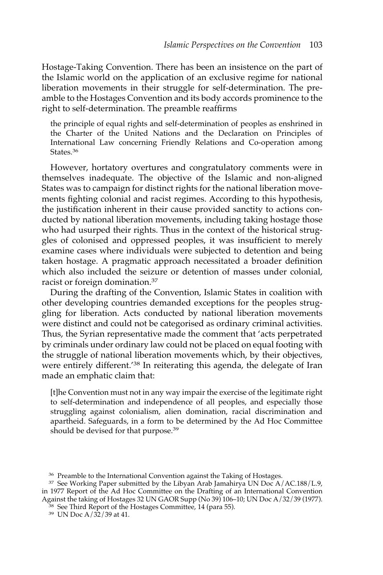Hostage-Taking Convention. There has been an insistence on the part of the Islamic world on the application of an exclusive regime for national liberation movements in their struggle for self-determination. The preamble to the Hostages Convention and its body accords prominence to the right to self-determination. The preamble reaffirms

the principle of equal rights and self-determination of peoples as enshrined in the Charter of the United Nations and the Declaration on Principles of International Law concerning Friendly Relations and Co-operation among States.<sup>36</sup>

However, hortatory overtures and congratulatory comments were in themselves inadequate. The objective of the Islamic and non-aligned States was to campaign for distinct rights for the national liberation movements fighting colonial and racist regimes. According to this hypothesis, the justification inherent in their cause provided sanctity to actions conducted by national liberation movements, including taking hostage those who had usurped their rights. Thus in the context of the historical struggles of colonised and oppressed peoples, it was insufficient to merely examine cases where individuals were subjected to detention and being taken hostage. A pragmatic approach necessitated a broader definition which also included the seizure or detention of masses under colonial, racist or foreign domination.37

During the drafting of the Convention, Islamic States in coalition with other developing countries demanded exceptions for the peoples struggling for liberation. Acts conducted by national liberation movements were distinct and could not be categorised as ordinary criminal activities. Thus, the Syrian representative made the comment that 'acts perpetrated by criminals under ordinary law could not be placed on equal footing with the struggle of national liberation movements which, by their objectives, were entirely different.'<sup>38</sup> In reiterating this agenda, the delegate of Iran made an emphatic claim that:

[t]he Convention must not in any way impair the exercise of the legitimate right to self-determination and independence of all peoples, and especially those struggling against colonialism, alien domination, racial discrimination and apartheid. Safeguards, in a form to be determined by the Ad Hoc Committee should be devised for that purpose.<sup>39</sup>

<sup>36</sup> Preamble to the International Convention against the Taking of Hostages.

<sup>&</sup>lt;sup>37</sup> See Working Paper submitted by the Libyan Arab Jamahirya UN Doc A/AC.188/L.9, in 1977 Report of the Ad Hoc Committee on the Drafting of an International Convention Against the taking of Hostages 32 UN GAOR Supp (No 39) 106–10; UN Doc A/32/39 (1977).

<sup>&</sup>lt;sup>38</sup> See Third Report of the Hostages Committee, 14 (para 55).

<sup>39</sup> UN Doc A/32/39 at 41.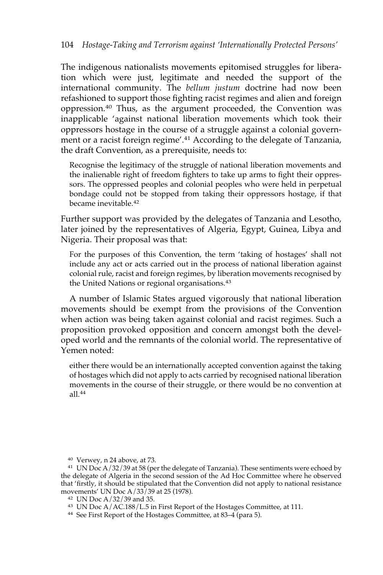The indigenous nationalists movements epitomised struggles for liberation which were just, legitimate and needed the support of the international community. The *bellum justum* doctrine had now been refashioned to support those fighting racist regimes and alien and foreign oppression.40 Thus, as the argument proceeded, the Convention was inapplicable 'against national liberation movements which took their oppressors hostage in the course of a struggle against a colonial government or a racist foreign regime'.<sup>41</sup> According to the delegate of Tanzania, the draft Convention, as a prerequisite, needs to:

Recognise the legitimacy of the struggle of national liberation movements and the inalienable right of freedom fighters to take up arms to fight their oppressors. The oppressed peoples and colonial peoples who were held in perpetual bondage could not be stopped from taking their oppressors hostage, if that became inevitable.<sup>42</sup>

Further support was provided by the delegates of Tanzania and Lesotho, later joined by the representatives of Algeria, Egypt, Guinea, Libya and Nigeria. Their proposal was that:

For the purposes of this Convention, the term 'taking of hostages' shall not include any act or acts carried out in the process of national liberation against colonial rule, racist and foreign regimes, by liberation movements recognised by the United Nations or regional organisations.<sup>43</sup>

A number of Islamic States argued vigorously that national liberation movements should be exempt from the provisions of the Convention when action was being taken against colonial and racist regimes. Such a proposition provoked opposition and concern amongst both the developed world and the remnants of the colonial world. The representative of Yemen noted:

either there would be an internationally accepted convention against the taking of hostages which did not apply to acts carried by recognised national liberation movements in the course of their struggle, or there would be no convention at all.<sup>44</sup>

<sup>40</sup> Verwey, n 24 above, at 73.

<sup>&</sup>lt;sup>41</sup> UN Doc A/32/39 at 58 (per the delegate of Tanzania). These sentiments were echoed by the delegate of Algeria in the second session of the Ad Hoc Committee where he observed that 'firstly, it should be stipulated that the Convention did not apply to national resistance movements' UN Doc A/33/39 at 25 (1978).

<sup>42</sup> UN Doc A/32/39 and 35.

<sup>&</sup>lt;sup>43</sup> UN Doc  $A/AC.188/L.5$  in First Report of the Hostages Committee, at 111.<br><sup>44</sup> See First Report of the Hostages Committee, at 83–4 (para 5).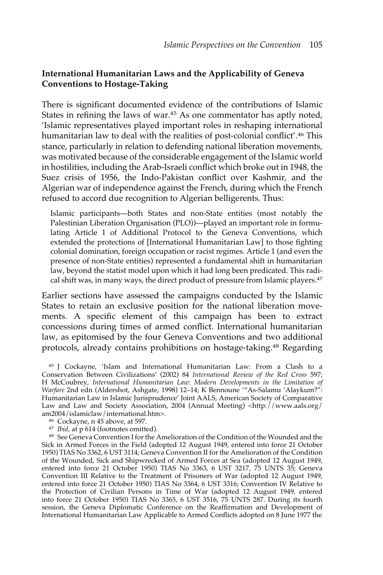# **International Humanitarian Laws and the Applicability of Geneva Conventions to Hostage-Taking**

There is significant documented evidence of the contributions of Islamic States in refining the laws of war.<sup>45</sup> As one commentator has aptly noted, 'Islamic representatives played important roles in reshaping international humanitarian law to deal with the realities of post-colonial conflict'.<sup>46</sup> This stance, particularly in relation to defending national liberation movements, was motivated because of the considerable engagement of the Islamic world in hostilities, including the Arab-Israeli conflict which broke out in 1948, the Suez crisis of 1956, the Indo-Pakistan conflict over Kashmir, and the Algerian war of independence against the French, during which the French refused to accord due recognition to Algerian belligerents. Thus:

Islamic participants—both States and non-State entities (most notably the Palestinian Liberation Organisation (PLO))—played an important role in formulating Article 1 of Additional Protocol to the Geneva Conventions, which extended the protections of [International Humanitarian Law] to those fighting colonial domination, foreign occupation or racist regimes. Article 1 (and even the presence of non-State entities) represented a fundamental shift in humanitarian law, beyond the statist model upon which it had long been predicated. This radical shift was, in many ways, the direct product of pressure from Islamic players.<sup>47</sup>

Earlier sections have assessed the campaigns conducted by the Islamic States to retain an exclusive position for the national liberation movements. A specific element of this campaign has been to extract concessions during times of armed conflict. International humanitarian law, as epitomised by the four Geneva Conventions and two additional protocols, already contains prohibitions on hostage-taking.48 Regarding

<sup>45</sup> J Cockayne, 'Islam and International Humanitarian Law: From a Clash to a Conservation Between Civilizations' (2002) 84 *International Review of the Red Cross* 597; H McCoubrey, *International Humanitarian Law: Modern Developments in the Limitation of Warfare* 2nd edn (Aldershot, Ashgate, 1998) 12–14; K Bennoune '"As-Salamu 'Alaykum?": Humanitarian Law in Islamic Jurisprudence' Joint AALS, American Society of Comparative Law and Law and Society Association, 2004 (Annual Meeting) <http://www.aals.org/ am2004/islamiclaw/international.htm>.

- <sup>46</sup> Cockayne, n 45 above, at 597.
- <sup>47</sup> *Ibid,* at p 614 (footnotes omitted).

<sup>48</sup> See Geneva Convention I for the Amelioration of the Condition of the Wounded and the Sick in Armed Forces in the Field (adopted 12 August 1949, entered into force 21 October 1950) TIAS No 3362, 6 UST 3114; Geneva Convention II for the Amelioration of the Condition of the Wounded, Sick and Shipwrecked of Armed Forces at Sea (adopted 12 August 1949, entered into force 21 October 1950) TIAS No 3363, 6 UST 3217, 75 UNTS 35; Geneva Convention III Relative to the Treatment of Prisoners of War (adopted 12 August 1949, entered into force 21 October 1950) TIAS No 3364, 6 UST 3316; Convention IV Relative to the Protection of Civilian Persons in Time of War (adopted 12 August 1949, entered into force 21 October 1950) TIAS No 3365, 6 UST 3516, 75 UNTS 287. During its fourth session, the Geneva Diplomatic Conference on the Reaffirmation and Development of International Humanitarian Law Applicable to Armed Conflicts adopted on 8 June 1977 the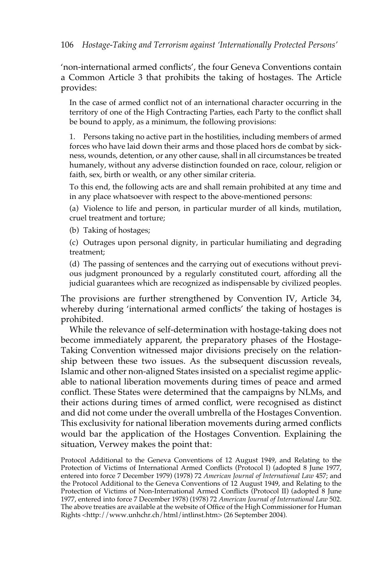'non-international armed conflicts', the four Geneva Conventions contain a Common Article 3 that prohibits the taking of hostages. The Article provides:

In the case of armed conflict not of an international character occurring in the territory of one of the High Contracting Parties, each Party to the conflict shall be bound to apply, as a minimum, the following provisions:

1. Persons taking no active part in the hostilities, including members of armed forces who have laid down their arms and those placed hors de combat by sickness, wounds, detention, or any other cause, shall in all circumstances be treated humanely, without any adverse distinction founded on race, colour, religion or faith, sex, birth or wealth, or any other similar criteria.

To this end, the following acts are and shall remain prohibited at any time and in any place whatsoever with respect to the above-mentioned persons:

(a) Violence to life and person, in particular murder of all kinds, mutilation, cruel treatment and torture;

(b) Taking of hostages;

(c) Outrages upon personal dignity, in particular humiliating and degrading treatment;

(d) The passing of sentences and the carrying out of executions without previous judgment pronounced by a regularly constituted court, affording all the judicial guarantees which are recognized as indispensable by civilized peoples.

The provisions are further strengthened by Convention IV, Article 34, whereby during 'international armed conflicts' the taking of hostages is prohibited.

While the relevance of self-determination with hostage-taking does not become immediately apparent, the preparatory phases of the Hostage-Taking Convention witnessed major divisions precisely on the relationship between these two issues. As the subsequent discussion reveals, Islamic and other non-aligned States insisted on a specialist regime applicable to national liberation movements during times of peace and armed conflict. These States were determined that the campaigns by NLMs, and their actions during times of armed conflict, were recognised as distinct and did not come under the overall umbrella of the Hostages Convention. This exclusivity for national liberation movements during armed conflicts would bar the application of the Hostages Convention. Explaining the situation, Verwey makes the point that:

Protocol Additional to the Geneva Conventions of 12 August 1949, and Relating to the Protection of Victims of International Armed Conflicts (Protocol I) (adopted 8 June 1977, entered into force 7 December 1979) (1978) 72 *American Journal of International Law* 457; and the Protocol Additional to the Geneva Conventions of 12 August 1949, and Relating to the Protection of Victims of Non-International Armed Conflicts (Protocol II) (adopted 8 June 1977, entered into force 7 December 1978) (1978) 72 *American Journal of International Law* 502. The above treaties are available at the website of Office of the High Commissioner for Human Rights <http://www.unhchr.ch/html/intlinst.htm> (26 September 2004).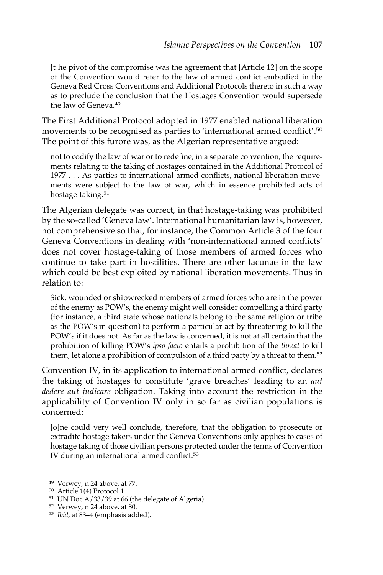[t]he pivot of the compromise was the agreement that [Article 12] on the scope of the Convention would refer to the law of armed conflict embodied in the Geneva Red Cross Conventions and Additional Protocols thereto in such a way as to preclude the conclusion that the Hostages Convention would supersede the law of Geneva.49

The First Additional Protocol adopted in 1977 enabled national liberation movements to be recognised as parties to 'international armed conflict'.50 The point of this furore was, as the Algerian representative argued:

not to codify the law of war or to redefine, in a separate convention, the requirements relating to the taking of hostages contained in the Additional Protocol of 1977 . . . As parties to international armed conflicts, national liberation movements were subject to the law of war, which in essence prohibited acts of hostage-taking.<sup>51</sup>

The Algerian delegate was correct, in that hostage-taking was prohibited by the so-called 'Geneva law'. International humanitarian law is, however, not comprehensive so that, for instance, the Common Article 3 of the four Geneva Conventions in dealing with 'non-international armed conflicts' does not cover hostage-taking of those members of armed forces who continue to take part in hostilities. There are other lacunae in the law which could be best exploited by national liberation movements. Thus in relation to:

Sick, wounded or shipwrecked members of armed forces who are in the power of the enemy as POW's, the enemy might well consider compelling a third party (for instance, a third state whose nationals belong to the same religion or tribe as the POW's in question) to perform a particular act by threatening to kill the POW's if it does not. As far as the law is concerned, it is not at all certain that the prohibition of killing POW's *ipso facto* entails a prohibition of the *threat* to kill them, let alone a prohibition of compulsion of a third party by a threat to them.<sup>52</sup>

Convention IV, in its application to international armed conflict, declares the taking of hostages to constitute 'grave breaches' leading to an *aut dedere aut judicare* obligation. Taking into account the restriction in the applicability of Convention IV only in so far as civilian populations is concerned:

[o]ne could very well conclude, therefore, that the obligation to prosecute or extradite hostage takers under the Geneva Conventions only applies to cases of hostage taking of those civilian persons protected under the terms of Convention IV during an international armed conflict.53

<sup>49</sup> Verwey, n 24 above, at 77.

<sup>50</sup> Article 1(4) Protocol 1.

<sup>51</sup> UN Doc A/33/39 at 66 (the delegate of Algeria).

<sup>52</sup> Verwey, n 24 above, at 80.

<sup>53</sup> *Ibid*, at 83–4 (emphasis added).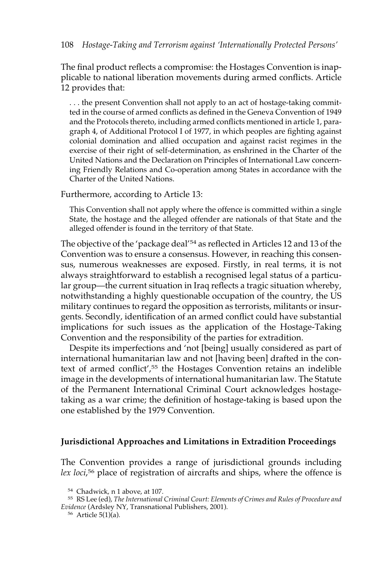The final product reflects a compromise: the Hostages Convention is inapplicable to national liberation movements during armed conflicts. Article 12 provides that:

. . . the present Convention shall not apply to an act of hostage-taking committed in the course of armed conflicts as defined in the Geneva Convention of 1949 and the Protocols thereto, including armed conflicts mentioned in article 1, paragraph 4, of Additional Protocol I of 1977, in which peoples are fighting against colonial domination and allied occupation and against racist regimes in the exercise of their right of self-determination, as enshrined in the Charter of the United Nations and the Declaration on Principles of International Law concerning Friendly Relations and Co-operation among States in accordance with the Charter of the United Nations.

Furthermore, according to Article 13:

This Convention shall not apply where the offence is committed within a single State, the hostage and the alleged offender are nationals of that State and the alleged offender is found in the territory of that State.

The objective of the 'package deal'<sup>54</sup> as reflected in Articles 12 and 13 of the Convention was to ensure a consensus. However, in reaching this consensus, numerous weaknesses are exposed. Firstly, in real terms, it is not always straightforward to establish a recognised legal status of a particular group—the current situation in Iraq reflects a tragic situation whereby, notwithstanding a highly questionable occupation of the country, the US military continues to regard the opposition as terrorists, militants or insurgents. Secondly, identification of an armed conflict could have substantial implications for such issues as the application of the Hostage-Taking Convention and the responsibility of the parties for extradition.

Despite its imperfections and 'not [being] usually considered as part of international humanitarian law and not [having been] drafted in the context of armed conflict',<sup>55</sup> the Hostages Convention retains an indelible image in the developments of international humanitarian law. The Statute of the Permanent International Criminal Court acknowledges hostagetaking as a war crime; the definition of hostage-taking is based upon the one established by the 1979 Convention.

# **Jurisdictional Approaches and Limitations in Extradition Proceedings**

The Convention provides a range of jurisdictional grounds including *lex loci*, <sup>56</sup> place of registration of aircrafts and ships, where the offence is

<sup>54</sup> Chadwick, n 1 above, at 107.

<sup>55</sup> RS Lee (ed), *The International Criminal Court: Elements of Crimes and Rules of Procedure and Evidence* (Ardsley NY, Transnational Publishers, 2001).

 $56$  Article  $5(1)(a)$ .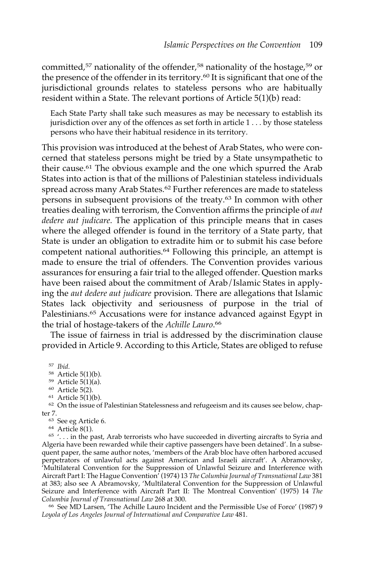committed,<sup>57</sup> nationality of the offender,<sup>58</sup> nationality of the hostage,<sup>59</sup> or the presence of the offender in its territory.<sup>60</sup> It is significant that one of the jurisdictional grounds relates to stateless persons who are habitually resident within a State. The relevant portions of Article 5(1)(b) read:

Each State Party shall take such measures as may be necessary to establish its jurisdiction over any of the offences as set forth in article 1 . . . by those stateless persons who have their habitual residence in its territory.

This provision was introduced at the behest of Arab States, who were concerned that stateless persons might be tried by a State unsympathetic to their cause.<sup>61</sup> The obvious example and the one which spurred the Arab States into action is that of the millions of Palestinian stateless individuals spread across many Arab States.<sup>62</sup> Further references are made to stateless persons in subsequent provisions of the treaty.63 In common with other treaties dealing with terrorism, the Convention affirms the principle of *aut dedere aut judicare*. The application of this principle means that in cases where the alleged offender is found in the territory of a State party, that State is under an obligation to extradite him or to submit his case before competent national authorities.<sup>64</sup> Following this principle, an attempt is made to ensure the trial of offenders. The Convention provides various assurances for ensuring a fair trial to the alleged offender. Question marks have been raised about the commitment of Arab/Islamic States in applying the *aut dedere aut judicare* provision. There are allegations that Islamic States lack objectivity and seriousness of purpose in the trial of Palestinians.<sup>65</sup> Accusations were for instance advanced against Egypt in the trial of hostage-takers of the *Achille Lauro*. 66

The issue of fairness in trial is addressed by the discrimination clause provided in Article 9. According to this Article, States are obliged to refuse

<sup>57</sup> *Ibid.*

<sup>59</sup> Article 5(1)(a).

<sup>60</sup> Article 5(2).

<sup>61</sup> Article 5(1)(b).

<sup>62</sup> On the issue of Palestinian Statelessness and refugeeism and its causes see below, chapter 7.

<sup>63</sup> See eg Article 6.

<sup>64</sup> Article 8(1).

<sup>65</sup> '. . . in the past, Arab terrorists who have succeeded in diverting aircrafts to Syria and Algeria have been rewarded while their captive passengers have been detained'. In a subsequent paper, the same author notes, 'members of the Arab bloc have often harbored accused perpetrators of unlawful acts against American and Israeli aircraft'. A Abramovsky, 'Multilateral Convention for the Suppression of Unlawful Seizure and Interference with Aircraft Part I: The Hague Convention' (1974) 13 *The Columbia Journal of Transnational Law* 381 at 383; also see A Abramovsky, 'Multilateral Convention for the Suppression of Unlawful Seizure and Interference with Aircraft Part II: The Montreal Convention' (1975) 14 *The Columbia Journal of Transnational Law* 268 at 300.

<sup>66</sup> See MD Larsen, 'The Achille Lauro Incident and the Permissible Use of Force' (1987) 9 *Loyola of Los Angeles Journal of International and Comparative Law* 481.

<sup>58</sup> Article 5(1)(b).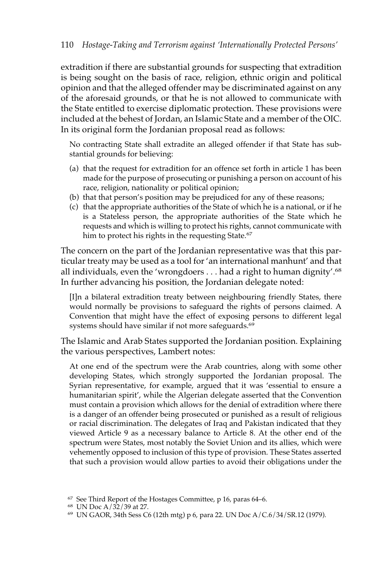extradition if there are substantial grounds for suspecting that extradition is being sought on the basis of race, religion, ethnic origin and political opinion and that the alleged offender may be discriminated against on any of the aforesaid grounds, or that he is not allowed to communicate with the State entitled to exercise diplomatic protection. These provisions were included at the behest of Jordan, an Islamic State and a member of the OIC. In its original form the Jordanian proposal read as follows:

No contracting State shall extradite an alleged offender if that State has substantial grounds for believing:

- (a) that the request for extradition for an offence set forth in article 1 has been made for the purpose of prosecuting or punishing a person on account of his race, religion, nationality or political opinion;
- (b) that that person's position may be prejudiced for any of these reasons;
- (c) that the appropriate authorities of the State of which he is a national, or if he is a Stateless person, the appropriate authorities of the State which he requests and which is willing to protect his rights, cannot communicate with him to protect his rights in the requesting State.<sup>67</sup>

The concern on the part of the Jordanian representative was that this particular treaty may be used as a tool for 'an international manhunt' and that all individuals, even the 'wrongdoers . . . had a right to human dignity'.<sup>68</sup> In further advancing his position, the Jordanian delegate noted:

[I]n a bilateral extradition treaty between neighbouring friendly States, there would normally be provisions to safeguard the rights of persons claimed. A Convention that might have the effect of exposing persons to different legal systems should have similar if not more safeguards.<sup>69</sup>

The Islamic and Arab States supported the Jordanian position. Explaining the various perspectives, Lambert notes:

At one end of the spectrum were the Arab countries, along with some other developing States, which strongly supported the Jordanian proposal. The Syrian representative, for example, argued that it was 'essential to ensure a humanitarian spirit', while the Algerian delegate asserted that the Convention must contain a provision which allows for the denial of extradition where there is a danger of an offender being prosecuted or punished as a result of religious or racial discrimination. The delegates of Iraq and Pakistan indicated that they viewed Article 9 as a necessary balance to Article 8. At the other end of the spectrum were States, most notably the Soviet Union and its allies, which were vehemently opposed to inclusion of this type of provision. These States asserted that such a provision would allow parties to avoid their obligations under the

<sup>67</sup> See Third Report of the Hostages Committee, p 16, paras 64–6.

 $68$  UN Doc A/ $32/39$  at 27.

<sup>69</sup> UN GAOR, 34th Sess C6 (12th mtg) p 6, para 22. UN Doc A/C.6/34/SR.12 (1979).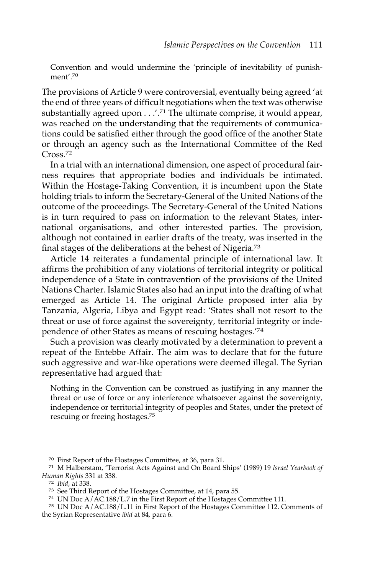Convention and would undermine the 'principle of inevitability of punishment'.70

The provisions of Article 9 were controversial, eventually being agreed 'at the end of three years of difficult negotiations when the text was otherwise substantially agreed upon  $\ldots$ .<sup>71</sup> The ultimate comprise, it would appear, was reached on the understanding that the requirements of communications could be satisfied either through the good office of the another State or through an agency such as the International Committee of the Red Cross.72

In a trial with an international dimension, one aspect of procedural fairness requires that appropriate bodies and individuals be intimated. Within the Hostage-Taking Convention, it is incumbent upon the State holding trials to inform the Secretary-General of the United Nations of the outcome of the proceedings. The Secretary-General of the United Nations is in turn required to pass on information to the relevant States, international organisations, and other interested parties. The provision, although not contained in earlier drafts of the treaty, was inserted in the final stages of the deliberations at the behest of Nigeria.73

Article 14 reiterates a fundamental principle of international law. It affirms the prohibition of any violations of territorial integrity or political independence of a State in contravention of the provisions of the United Nations Charter. Islamic States also had an input into the drafting of what emerged as Article 14. The original Article proposed inter alia by Tanzania, Algeria, Libya and Egypt read: 'States shall not resort to the threat or use of force against the sovereignty, territorial integrity or independence of other States as means of rescuing hostages.'74

Such a provision was clearly motivated by a determination to prevent a repeat of the Entebbe Affair. The aim was to declare that for the future such aggressive and war-like operations were deemed illegal. The Syrian representative had argued that:

Nothing in the Convention can be construed as justifying in any manner the threat or use of force or any interference whatsoever against the sovereignty, independence or territorial integrity of peoples and States, under the pretext of rescuing or freeing hostages.<sup>75</sup>

<sup>73</sup> See Third Report of the Hostages Committee, at 14, para 55.

<sup>70</sup> First Report of the Hostages Committee, at 36, para 31.

<sup>71</sup> M Halberstam, 'Terrorist Acts Against and On Board Ships' (1989) 19 *Israel Yearbook of Human Rights* 331 at 338.

<sup>72</sup> *Ibid*, at 338.

<sup>74</sup> UN Doc A/AC.188/L.7 in the First Report of the Hostages Committee 111.

<sup>75</sup> UN Doc A/AC.188/L.11 in First Report of the Hostages Committee 112. Comments of the Syrian Representative *ibid* at 84, para 6.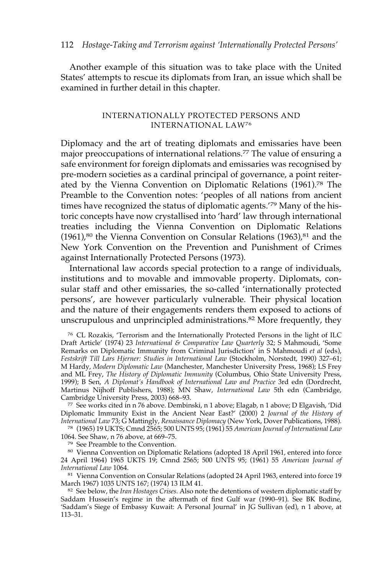## 112 *Hostage-Taking and Terrorism against 'Internationally Protected Persons'*

Another example of this situation was to take place with the United States' attempts to rescue its diplomats from Iran, an issue which shall be examined in further detail in this chapter.

#### INTERNATIONALLY PROTECTED PERSONS AND INTERNATIONAL LAW<sup>76</sup>

Diplomacy and the art of treating diplomats and emissaries have been major preoccupations of international relations.<sup>77</sup> The value of ensuring a safe environment for foreign diplomats and emissaries was recognised by pre-modern societies as a cardinal principal of governance, a point reiterated by the Vienna Convention on Diplomatic Relations (1961).78 The Preamble to the Convention notes: 'peoples of all nations from ancient times have recognized the status of diplomatic agents.'79 Many of the historic concepts have now crystallised into 'hard' law through international treaties including the Vienna Convention on Diplomatic Relations  $(1961)$ ,<sup>80</sup> the Vienna Convention on Consular Relations  $(1963)$ ,<sup>81</sup> and the New York Convention on the Prevention and Punishment of Crimes against Internationally Protected Persons (1973).

International law accords special protection to a range of individuals, institutions and to movable and immovable property. Diplomats, consular staff and other emissaries, the so-called 'internationally protected persons', are however particularly vulnerable. Their physical location and the nature of their engagements renders them exposed to actions of unscrupulous and unprincipled administrations.<sup>82</sup> More frequently, they

<sup>76</sup> CL Rozakis, 'Terrorism and the Internationally Protected Persons in the light of ILC Draft Article' (1974) 23 *International & Comparative Law Quarterly* 32; S Mahmoudi, 'Some Remarks on Diplomatic Immunity from Criminal Jurisdiction' in S Mahmoudi *et al* (eds), *Festskrift Till Lars Hjerner: Studies in International Law* (Stockholm, Norstedt, 1990) 327–61; M Hardy, *Modern Diplomatic Law* (Manchester, Manchester University Press, 1968); LS Frey and ML Frey, *The History of Diplomatic Immunity* (Columbus, Ohio State University Press, 1999); B Sen, *A Diplomat's Handbook of International Law and Practice* 3rd edn (Dordrecht, Martinus Nijhoff Publishers, 1988); MN Shaw, *International Law* 5th edn (Cambridge, Cambridge University Press, 2003) 668–93.

<sup>77</sup> See works cited in n 76 above. Dembinski, n 1 above; Elagab, n 1 above; D Elgavish, 'Did Diplomatic Immunity Exist in the Ancient Near East?' (2000) 2 *Journal of the History of International Law* 73; G Mattingly, *Renaissance Diplomacy* (New York, Dover Publications, 1988).

<sup>78</sup> (1965) 19 UKTS; Cmnd 2565; 500 UNTS 95; (1961) 55 *American Journal of International Law* 1064. See Shaw, n 76 above, at 669–75.

<sup>79</sup> See Preamble to the Convention.

80 Vienna Convention on Diplomatic Relations (adopted 18 April 1961, entered into force 24 April 1964) 1965 UKTS 19; Cmnd 2565; 500 UNTS 95; (1961) 55 *American Journal of International Law* 1064.

<sup>81</sup> Vienna Convention on Consular Relations (adopted 24 April 1963, entered into force 19 March 1967) 1035 UNTS 167; (1974) 13 ILM 41.

<sup>82</sup> See below, the *Iran Hostages Crises*. Also note the detentions of western diplomatic staff by Saddam Hussein's regime in the aftermath of first Gulf war (1990–91). See BK Bodine, 'Saddam's Siege of Embassy Kuwait: A Personal Journal' in JG Sullivan (ed), n 1 above, at 113–31.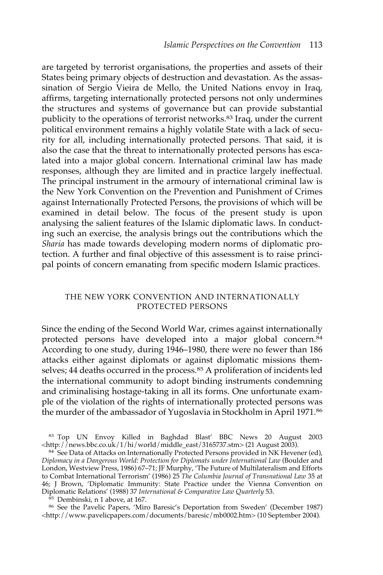are targeted by terrorist organisations, the properties and assets of their States being primary objects of destruction and devastation. As the assassination of Sergio Vieira de Mello, the United Nations envoy in Iraq, affirms, targeting internationally protected persons not only undermines the structures and systems of governance but can provide substantial publicity to the operations of terrorist networks.<sup>83</sup> Iraq, under the current political environment remains a highly volatile State with a lack of security for all, including internationally protected persons. That said, it is also the case that the threat to internationally protected persons has escalated into a major global concern. International criminal law has made responses, although they are limited and in practice largely ineffectual. The principal instrument in the armoury of international criminal law is the New York Convention on the Prevention and Punishment of Crimes against Internationally Protected Persons, the provisions of which will be examined in detail below. The focus of the present study is upon analysing the salient features of the Islamic diplomatic laws. In conducting such an exercise, the analysis brings out the contributions which the *Sharia* has made towards developing modern norms of diplomatic protection. A further and final objective of this assessment is to raise principal points of concern emanating from specific modern Islamic practices.

## THE NEW YORK CONVENTION AND INTERNATIONALLY PROTECTED PERSONS

Since the ending of the Second World War, crimes against internationally protected persons have developed into a major global concern.<sup>84</sup> According to one study, during 1946–1980, there were no fewer than 186 attacks either against diplomats or against diplomatic missions themselves; 44 deaths occurred in the process.<sup>85</sup> A proliferation of incidents led the international community to adopt binding instruments condemning and criminalising hostage-taking in all its forms. One unfortunate example of the violation of the rights of internationally protected persons was the murder of the ambassador of Yugoslavia in Stockholm in April 1971.<sup>86</sup>

<sup>83</sup> Top UN Envoy Killed in Baghdad Blast' BBC News 20 August 2003 <http://news.bbc.co.uk/1/hi/world/middle\_east/3165737.stm> (21 August 2003).

<sup>84</sup> See Data of Attacks on Internationally Protected Persons provided in NK Hevener (ed), *Diplomacy in a Dangerous World: Protection for Diplomats under International Law* (Boulder and London, Westview Press, 1986) 67–71; JF Murphy, 'The Future of Multilateralism and Efforts to Combat International Terrorism' (1986) 25 *The Columbia Journal of Transnational Law* 35 at 46; J Brown, 'Diplomatic Immunity: State Practice under the Vienna Convention on Diplomatic Relations' (1988) 37 *International & Comparative Law Quarterly* 53.

<sup>85</sup> Dembinski, n 1 above, at 167.

<sup>86</sup> See the Pavelic Papers, 'Miro Baresic's Deportation from Sweden' (December 1987) <http://www.pavelicpapers.com/documents/baresic/mb0002.htm> (10 September 2004).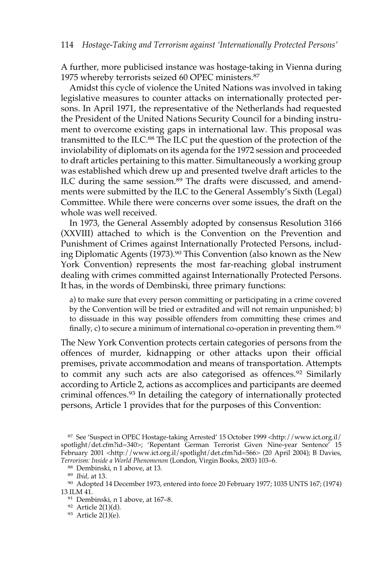A further, more publicised instance was hostage-taking in Vienna during 1975 whereby terrorists seized 60 OPEC ministers.87

Amidst this cycle of violence the United Nations was involved in taking legislative measures to counter attacks on internationally protected persons. In April 1971, the representative of the Netherlands had requested the President of the United Nations Security Council for a binding instrument to overcome existing gaps in international law. This proposal was transmitted to the ILC.88 The ILC put the question of the protection of the inviolability of diplomats on its agenda for the 1972 session and proceeded to draft articles pertaining to this matter. Simultaneously a working group was established which drew up and presented twelve draft articles to the ILC during the same session.<sup>89</sup> The drafts were discussed, and amendments were submitted by the ILC to the General Assembly's Sixth (Legal) Committee. While there were concerns over some issues, the draft on the whole was well received.

In 1973, the General Assembly adopted by consensus Resolution 3166 (XXVIII) attached to which is the Convention on the Prevention and Punishment of Crimes against Internationally Protected Persons, including Diplomatic Agents (1973).<sup>90</sup> This Convention (also known as the New York Convention) represents the most far-reaching global instrument dealing with crimes committed against Internationally Protected Persons. It has, in the words of Dembinski, three primary functions:

a) to make sure that every person committing or participating in a crime covered by the Convention will be tried or extradited and will not remain unpunished; b) to dissuade in this way possible offenders from committing these crimes and finally,  $c$ ) to secure a minimum of international co-operation in preventing them.<sup>91</sup>

The New York Convention protects certain categories of persons from the offences of murder, kidnapping or other attacks upon their official premises, private accommodation and means of transportation. Attempts to commit any such acts are also categorised as offences.<sup>92</sup> Similarly according to Article 2, actions as accomplices and participants are deemed criminal offences.93 In detailing the category of internationally protected persons, Article 1 provides that for the purposes of this Convention:

<sup>88</sup> Dembinski, n 1 above, at 13.

<sup>92</sup> Article 2(1)(d).

<sup>93</sup> Article 2(1)(e).

<sup>87</sup> See 'Suspect in OPEC Hostage-taking Arrested' 15 October 1999 <http://www.ict.org.il/ spotlight/det.cfm?id=340>; 'Repentant German Terrorist Given Nine-year Sentence' 15 February 2001 <http://www.ict.org.il/spotlight/det.cfm?id=566> (20 April 2004); B Davies, *Terrorism: Inside a World Phenomenon* (London, Virgin Books, 2003) 103–6.

<sup>89</sup> *Ibid,* at 13.

<sup>90</sup> Adopted 14 December 1973, entered into force 20 February 1977; 1035 UNTS 167; (1974) 13 ILM 41.

<sup>91</sup> Dembinski, n 1 above, at 167–8.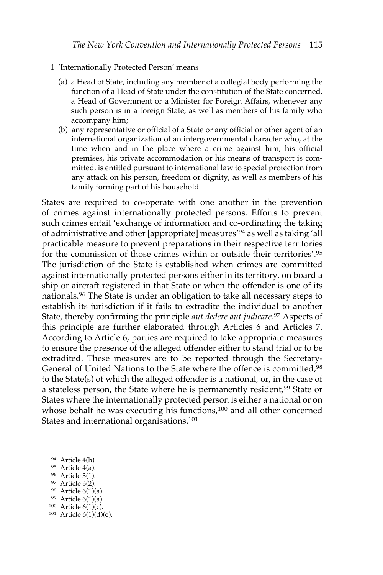- 1 'Internationally Protected Person' means
	- (a) a Head of State, including any member of a collegial body performing the function of a Head of State under the constitution of the State concerned, a Head of Government or a Minister for Foreign Affairs, whenever any such person is in a foreign State, as well as members of his family who accompany him;
	- (b) any representative or official of a State or any official or other agent of an international organization of an intergovernmental character who, at the time when and in the place where a crime against him, his official premises, his private accommodation or his means of transport is committed, is entitled pursuant to international law to special protection from any attack on his person, freedom or dignity, as well as members of his family forming part of his household.

States are required to co-operate with one another in the prevention of crimes against internationally protected persons. Efforts to prevent such crimes entail 'exchange of information and co-ordinating the taking of administrative and other [appropriate] measures'94 as well as taking 'all practicable measure to prevent preparations in their respective territories for the commission of those crimes within or outside their territories'.95 The jurisdiction of the State is established when crimes are committed against internationally protected persons either in its territory, on board a ship or aircraft registered in that State or when the offender is one of its nationals.96 The State is under an obligation to take all necessary steps to establish its jurisdiction if it fails to extradite the individual to another State, thereby confirming the principle *aut dedere aut judicare*. <sup>97</sup> Aspects of this principle are further elaborated through Articles 6 and Articles 7. According to Article 6, parties are required to take appropriate measures to ensure the presence of the alleged offender either to stand trial or to be extradited. These measures are to be reported through the Secretary-General of United Nations to the State where the offence is committed, 98 to the State(s) of which the alleged offender is a national, or, in the case of a stateless person, the State where he is permanently resident,<sup>99</sup> State or States where the internationally protected person is either a national or on whose behalf he was executing his functions,<sup>100</sup> and all other concerned States and international organisations.<sup>101</sup>

- <sup>94</sup> Article 4(b).
- <sup>95</sup> Article 4(a).
- <sup>96</sup> Article 3(1).
- <sup>97</sup> Article 3(2).
- <sup>98</sup> Article 6(1)(a).
- <sup>99</sup> Article 6(1)(a).
- <sup>100</sup> Article 6(1)(c).
- <sup>101</sup> Article 6(1)(d)(e).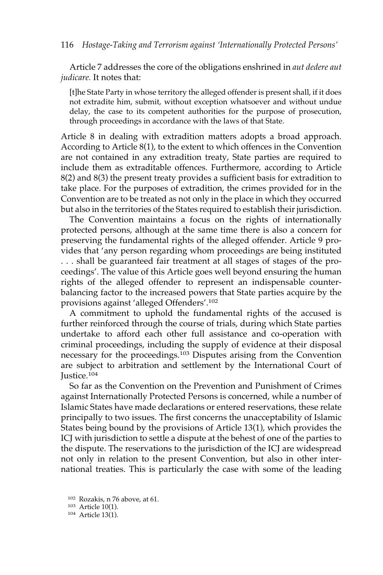Article 7 addresses the core of the obligations enshrined in *aut dedere aut judicare.* It notes that:

[t]he State Party in whose territory the alleged offender is present shall, if it does not extradite him, submit, without exception whatsoever and without undue delay, the case to its competent authorities for the purpose of prosecution, through proceedings in accordance with the laws of that State.

Article 8 in dealing with extradition matters adopts a broad approach. According to Article 8(1), to the extent to which offences in the Convention are not contained in any extradition treaty, State parties are required to include them as extraditable offences. Furthermore, according to Article 8(2) and 8(3) the present treaty provides a sufficient basis for extradition to take place. For the purposes of extradition, the crimes provided for in the Convention are to be treated as not only in the place in which they occurred but also in the territories of the States required to establish their jurisdiction.

The Convention maintains a focus on the rights of internationally protected persons, although at the same time there is also a concern for preserving the fundamental rights of the alleged offender. Article 9 provides that 'any person regarding whom proceedings are being instituted . . . shall be guaranteed fair treatment at all stages of stages of the proceedings'. The value of this Article goes well beyond ensuring the human rights of the alleged offender to represent an indispensable counterbalancing factor to the increased powers that State parties acquire by the provisions against 'alleged Offenders'.102

A commitment to uphold the fundamental rights of the accused is further reinforced through the course of trials, during which State parties undertake to afford each other full assistance and co-operation with criminal proceedings, including the supply of evidence at their disposal necessary for the proceedings.103 Disputes arising from the Convention are subject to arbitration and settlement by the International Court of Justice.<sup>104</sup>

So far as the Convention on the Prevention and Punishment of Crimes against Internationally Protected Persons is concerned, while a number of Islamic States have made declarations or entered reservations, these relate principally to two issues. The first concerns the unacceptability of Islamic States being bound by the provisions of Article 13(1), which provides the ICJ with jurisdiction to settle a dispute at the behest of one of the parties to the dispute. The reservations to the jurisdiction of the ICJ are widespread not only in relation to the present Convention, but also in other international treaties. This is particularly the case with some of the leading

<sup>102</sup> Rozakis, n 76 above, at 61.

<sup>103</sup> Article 10(1).

<sup>104</sup> Article 13(1).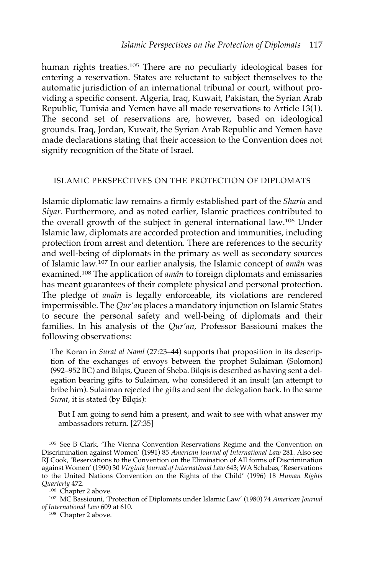human rights treaties.<sup>105</sup> There are no peculiarly ideological bases for entering a reservation. States are reluctant to subject themselves to the automatic jurisdiction of an international tribunal or court, without providing a specific consent. Algeria, Iraq, Kuwait, Pakistan, the Syrian Arab Republic, Tunisia and Yemen have all made reservations to Article 13(1). The second set of reservations are, however, based on ideological grounds. Iraq, Jordan, Kuwait, the Syrian Arab Republic and Yemen have made declarations stating that their accession to the Convention does not signify recognition of the State of Israel.

# ISLAMIC PERSPECTIVES ON THE PROTECTION OF DIPLOMATS

Islamic diplomatic law remains a firmly established part of the *Sharia* and *Siyar*. Furthermore, and as noted earlier, Islamic practices contributed to the overall growth of the subject in general international law.106 Under Islamic law, diplomats are accorded protection and immunities, including protection from arrest and detention. There are references to the security and well-being of diplomats in the primary as well as secondary sources of Islamic law.<sup>107</sup> In our earlier analysis, the Islamic concept of *amân* was examined.<sup>108</sup> The application of *amân* to foreign diplomats and emissaries has meant guarantees of their complete physical and personal protection. The pledge of *amân* is legally enforceable, its violations are rendered impermissible. The *Qur'an* places a mandatory injunction on Islamic States to secure the personal safety and well-being of diplomats and their families. In his analysis of the *Qur'an*, Professor Bassiouni makes the following observations:

The Koran in *Surat al Naml* (27:23–44) supports that proposition in its description of the exchanges of envoys between the prophet Sulaiman (Solomon) (992–952 BC) and Bilqis, Queen of Sheba. Bilqis is described as having sent a delegation bearing gifts to Sulaiman, who considered it an insult (an attempt to bribe him). Sulaiman rejected the gifts and sent the delegation back. In the same *Surat*, it is stated (by Bilqis):

But I am going to send him a present, and wait to see with what answer my ambassadors return. [27:35]

<sup>105</sup> See B Clark, 'The Vienna Convention Reservations Regime and the Convention on Discrimination against Women' (1991) 85 *American Journal of International Law* 281. Also see RJ Cook, 'Reservations to the Convention on the Elimination of All forms of Discrimination against Women' (1990) 30 *Virginia Journal of International Law* 643; WA Schabas, 'Reservations to the United Nations Convention on the Rights of the Child' (1996) 18 *Human Rights Quarterly* 472.

<sup>106</sup> Chapter 2 above.

<sup>107</sup> MC Bassiouni, 'Protection of Diplomats under Islamic Law' (1980) 74 *American Journal of International Law* 609 at 610.

<sup>108</sup> Chapter 2 above.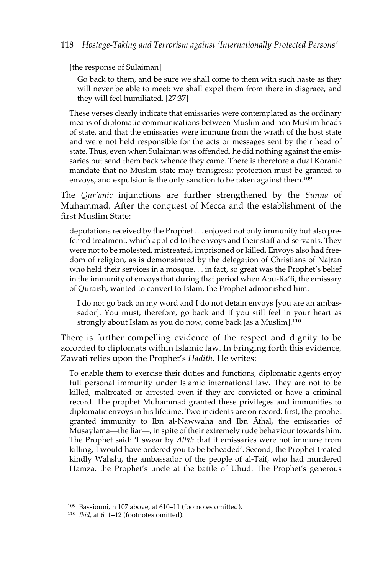# 118 *Hostage-Taking and Terrorism against 'Internationally Protected Persons'*

[the response of Sulaiman]

Go back to them, and be sure we shall come to them with such haste as they will never be able to meet: we shall expel them from there in disgrace, and they will feel humiliated. [27:37]

These verses clearly indicate that emissaries were contemplated as the ordinary means of diplomatic communications between Muslim and non Muslim heads of state, and that the emissaries were immune from the wrath of the host state and were not held responsible for the acts or messages sent by their head of state. Thus, even when Sulaiman was offended, he did nothing against the emissaries but send them back whence they came. There is therefore a dual Koranic mandate that no Muslim state may transgress: protection must be granted to envoys, and expulsion is the only sanction to be taken against them.109

The *Qur'anic* injunctions are further strengthened by the *Sunna* of Muhammad. After the conquest of Mecca and the establishment of the first Muslim State:

deputations received by the Prophet . . . enjoyed not only immunity but also preferred treatment, which applied to the envoys and their staff and servants. They were not to be molested, mistreated, imprisoned or killed. Envoys also had freedom of religion, as is demonstrated by the delegation of Christians of Najran who held their services in a mosque. . . in fact, so great was the Prophet's belief in the immunity of envoys that during that period when Abu-Ra'fi, the emissary of Quraish, wanted to convert to Islam, the Prophet admonished him:

I do not go back on my word and I do not detain envoys [you are an ambassador]. You must, therefore, go back and if you still feel in your heart as strongly about Islam as you do now, come back [as a Muslim].<sup>110</sup>

There is further compelling evidence of the respect and dignity to be accorded to diplomats within Islamic law. In bringing forth this evidence, Zawati relies upon the Prophet's *Hadith*. He writes:

To enable them to exercise their duties and functions, diplomatic agents enjoy full personal immunity under Islamic international law. They are not to be killed, maltreated or arrested even if they are convicted or have a criminal record. The prophet Muhammad granted these privileges and immunities to diplomatic envoys in his lifetime. Two incidents are on record: first, the prophet granted immunity to Ibn al-Nawwāha and Ibn Athāl, the emissaries of Musaylama—the liar—, in spite of their extremely rude behaviour towards him. The Prophet said: 'I swear by *Allāh* that if emissaries were not immune from killing, I would have ordered you to be beheaded'. Second, the Prophet treated kindly Wahshī, the ambassador of the people of al-Tāif, who had murdered Hamza, the Prophet's uncle at the battle of Uhud. The Prophet's generous

<sup>109</sup> Bassiouni, n 107 above, at 610–11 (footnotes omitted).

<sup>110</sup> *Ibid*, at 611–12 (footnotes omitted).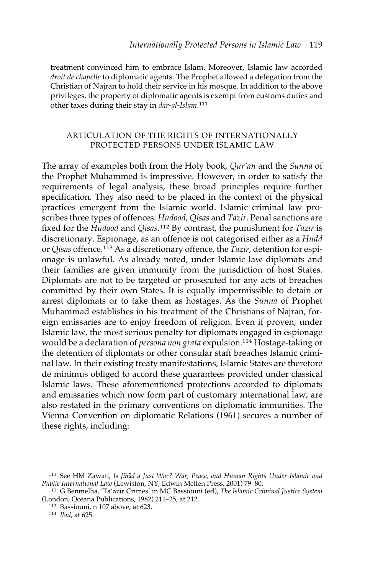treatment convinced him to embrace Islam. Moreover, Islamic law accorded *droit de chapelle* to diplomatic agents. The Prophet allowed a delegation from the Christian of Najran to hold their service in his mosque. In addition to the above privileges, the property of diplomatic agents is exempt from customs duties and other taxes during their stay in *dar-al-Islam*. 111

# ARTICULATION OF THE RIGHTS OF INTERNATIONALLY PROTECTED PERSONS UNDER ISLAMIC LAW

The array of examples both from the Holy book, *Qur'an* and the *Sunna* of the Prophet Muhammed is impressive. However, in order to satisfy the requirements of legal analysis, these broad principles require further specification. They also need to be placed in the context of the physical practices emergent from the Islamic world. Islamic criminal law proscribes three types of offences: *Hudood*, *Qisas* and *Tazir*. Penal sanctions are fixed for the *Hudood* and *Qisas*. <sup>112</sup> By contrast, the punishment for *Tazir* is discretionary. Espionage, as an offence is not categorised either as a *Hudd* or *Qisas* offence.113 As a discretionary offence, the *Tazir*, detention for espionage is unlawful. As already noted, under Islamic law diplomats and their families are given immunity from the jurisdiction of host States. Diplomats are not to be targeted or prosecuted for any acts of breaches committed by their own States. It is equally impermissible to detain or arrest diplomats or to take them as hostages. As the *Sunna* of Prophet Muhammad establishes in his treatment of the Christians of Najran, foreign emissaries are to enjoy freedom of religion. Even if proven, under Islamic law, the most serious penalty for diplomats engaged in espionage would be a declaration of *persona non grata* expulsion.<sup>114</sup> Hostage-taking or the detention of diplomats or other consular staff breaches Islamic criminal law. In their existing treaty manifestations, Islamic States are therefore de minimus obliged to accord these guarantees provided under classical Islamic laws. These aforementioned protections accorded to diplomats and emissaries which now form part of customary international law, are also restated in the primary conventions on diplomatic immunities. The Vienna Convention on diplomatic Relations (1961) secures a number of these rights, including:

<sup>&</sup>lt;sup>111</sup> See HM Zawati, Is Jihād a Just War? War, Peace, and Human Rights Under Islamic and *Public International Law* (Lewiston, NY, Edwin Mellen Press, 2001) 79–80.

<sup>112</sup> G Benmelha, 'Ta'azir Crimes' in MC Bassiouni (ed), *The Islamic Criminal Justice System* (London, Oceana Publications, 1982) 211–25, at 212.

<sup>113</sup> Bassiouni, n 107 above, at 623.

<sup>114</sup> *Ibid*, at 625.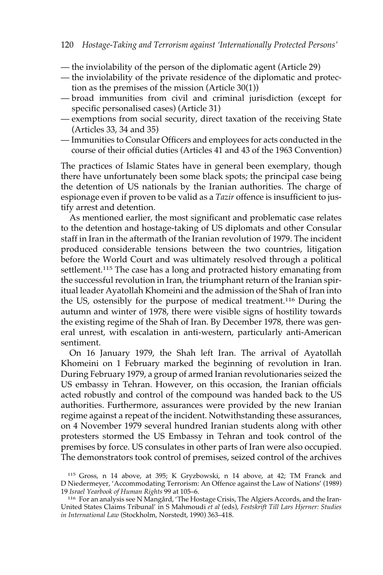- the inviolability of the person of the diplomatic agent (Article 29)
- the inviolability of the private residence of the diplomatic and protection as the premises of the mission (Article 30(1))
- broad immunities from civil and criminal jurisdiction (except for specific personalised cases) (Article 31)
- exemptions from social security, direct taxation of the receiving State (Articles 33, 34 and 35)
- Immunities to Consular Officers and employees for acts conducted in the course of their official duties (Articles 41 and 43 of the 1963 Convention)

The practices of Islamic States have in general been exemplary, though there have unfortunately been some black spots; the principal case being the detention of US nationals by the Iranian authorities. The charge of espionage even if proven to be valid as a *Tazir* offence is insufficient to justify arrest and detention.

As mentioned earlier, the most significant and problematic case relates to the detention and hostage-taking of US diplomats and other Consular staff in Iran in the aftermath of the Iranian revolution of 1979. The incident produced considerable tensions between the two countries, litigation before the World Court and was ultimately resolved through a political settlement.<sup>115</sup> The case has a long and protracted history emanating from the successful revolution in Iran, the triumphant return of the Iranian spiritual leader Ayatollah Khomeini and the admission of the Shah of Iran into the US, ostensibly for the purpose of medical treatment.116 During the autumn and winter of 1978, there were visible signs of hostility towards the existing regime of the Shah of Iran. By December 1978, there was general unrest, with escalation in anti-western, particularly anti-American sentiment.

On 16 January 1979, the Shah left Iran. The arrival of Ayatollah Khomeini on 1 February marked the beginning of revolution in Iran. During February 1979, a group of armed Iranian revolutionaries seized the US embassy in Tehran. However, on this occasion, the Iranian officials acted robustly and control of the compound was handed back to the US authorities. Furthermore, assurances were provided by the new Iranian regime against a repeat of the incident. Notwithstanding these assurances, on 4 November 1979 several hundred Iranian students along with other protesters stormed the US Embassy in Tehran and took control of the premises by force. US consulates in other parts of Iran were also occupied. The demonstrators took control of premises, seized control of the archives

<sup>115</sup> Gross, n 14 above, at 395; K Gryzbowski, n 14 above, at 42; TM Franck and D Niedermeyer, 'Accommodating Terrorism: An Offence against the Law of Nations' (1989) 19 *Israel Yearbook of Human Rights* 99 at 105–6.

<sup>116</sup> For an analysis see N Mangård, 'The Hostage Crisis, The Algiers Accords, and the Iran-United States Claims Tribunal' in S Mahmoudi *et al* (eds), *Festskrift Till Lars Hjerner: Studies in International Law* (Stockholm, Norstedt, 1990) 363–418.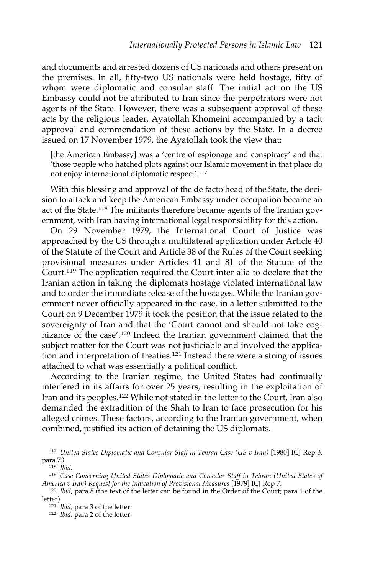and documents and arrested dozens of US nationals and others present on the premises. In all, fifty-two US nationals were held hostage, fifty of whom were diplomatic and consular staff. The initial act on the US Embassy could not be attributed to Iran since the perpetrators were not agents of the State. However, there was a subsequent approval of these acts by the religious leader, Ayatollah Khomeini accompanied by a tacit approval and commendation of these actions by the State. In a decree issued on 17 November 1979, the Ayatollah took the view that:

[the American Embassy] was a 'centre of espionage and conspiracy' and that 'those people who hatched plots against our Islamic movement in that place do not enjoy international diplomatic respect'.117

With this blessing and approval of the de facto head of the State, the decision to attack and keep the American Embassy under occupation became an act of the State.<sup>118</sup> The militants therefore became agents of the Iranian government, with Iran having international legal responsibility for this action.

On 29 November 1979, the International Court of Justice was approached by the US through a multilateral application under Article 40 of the Statute of the Court and Article 38 of the Rules of the Court seeking provisional measures under Articles 41 and 81 of the Statute of the Court.<sup>119</sup> The application required the Court inter alia to declare that the Iranian action in taking the diplomats hostage violated international law and to order the immediate release of the hostages. While the Iranian government never officially appeared in the case, in a letter submitted to the Court on 9 December 1979 it took the position that the issue related to the sovereignty of Iran and that the 'Court cannot and should not take cognizance of the case'.120 Indeed the Iranian government claimed that the subject matter for the Court was not justiciable and involved the application and interpretation of treaties.<sup>121</sup> Instead there were a string of issues attached to what was essentially a political conflict.

According to the Iranian regime, the United States had continually interfered in its affairs for over 25 years, resulting in the exploitation of Iran and its peoples.122 While not stated in the letter to the Court, Iran also demanded the extradition of the Shah to Iran to face prosecution for his alleged crimes. These factors, according to the Iranian government, when combined, justified its action of detaining the US diplomats.

<sup>118</sup> *Ibid.*

<sup>122</sup> *Ibid,* para 2 of the letter.

<sup>117</sup> *United States Diplomatic and Consular Staff in Tehran Case (US v Iran)* [1980] ICJ Rep 3, para 73.

<sup>119</sup> *Case Concerning United States Diplomatic and Consular Staff in Tehran (United States of America v Iran) Request for the Indication of Provisional Measures* [1979] ICJ Rep 7.

<sup>120</sup> *Ibid,* para 8 (the text of the letter can be found in the Order of the Court; para 1 of the letter).

<sup>121</sup> *Ibid,* para 3 of the letter.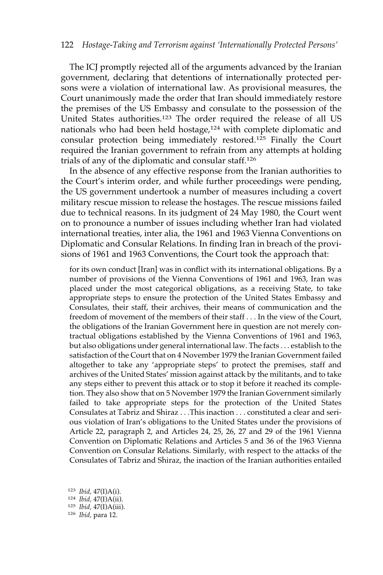The ICJ promptly rejected all of the arguments advanced by the Iranian government, declaring that detentions of internationally protected persons were a violation of international law. As provisional measures, the Court unanimously made the order that Iran should immediately restore the premises of the US Embassy and consulate to the possession of the United States authorities.123 The order required the release of all US nationals who had been held hostage,<sup>124</sup> with complete diplomatic and consular protection being immediately restored.125 Finally the Court required the Iranian government to refrain from any attempts at holding trials of any of the diplomatic and consular staff.126

In the absence of any effective response from the Iranian authorities to the Court's interim order, and while further proceedings were pending, the US government undertook a number of measures including a covert military rescue mission to release the hostages. The rescue missions failed due to technical reasons. In its judgment of 24 May 1980, the Court went on to pronounce a number of issues including whether Iran had violated international treaties, inter alia, the 1961 and 1963 Vienna Conventions on Diplomatic and Consular Relations. In finding Iran in breach of the provisions of 1961 and 1963 Conventions, the Court took the approach that:

for its own conduct [Iran] was in conflict with its international obligations. By a number of provisions of the Vienna Conventions of 1961 and 1963, Iran was placed under the most categorical obligations, as a receiving State, to take appropriate steps to ensure the protection of the United States Embassy and Consulates, their staff, their archives, their means of communication and the freedom of movement of the members of their staff . . . In the view of the Court, the obligations of the Iranian Government here in question are not merely contractual obligations established by the Vienna Conventions of 1961 and 1963, but also obligations under general international law. The facts . . . establish to the satisfaction of the Court that on 4 November 1979 the Iranian Government failed altogether to take any 'appropriate steps' to protect the premises, staff and archives of the United States' mission against attack by the militants, and to take any steps either to prevent this attack or to stop it before it reached its completion. They also show that on 5 November 1979 the Iranian Government similarly failed to take appropriate steps for the protection of the United States Consulates at Tabriz and Shiraz . . .This inaction . . . constituted a clear and serious violation of Iran's obligations to the United States under the provisions of Article 22, paragraph 2, and Articles 24, 25, 26, 27 and 29 of the 1961 Vienna Convention on Diplomatic Relations and Articles 5 and 36 of the 1963 Vienna Convention on Consular Relations. Similarly, with respect to the attacks of the Consulates of Tabriz and Shiraz, the inaction of the Iranian authorities entailed

 *Ibid,* 47(I)A(i). *Ibid,* 47(I)A(ii). *Ibid,* 47(I)A(iii). *Ibid,* para 12.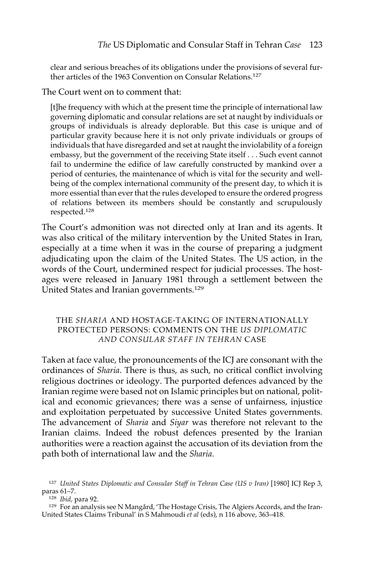clear and serious breaches of its obligations under the provisions of several further articles of the 1963 Convention on Consular Relations.<sup>127</sup>

The Court went on to comment that:

[t]he frequency with which at the present time the principle of international law governing diplomatic and consular relations are set at naught by individuals or groups of individuals is already deplorable. But this case is unique and of particular gravity because here it is not only private individuals or groups of individuals that have disregarded and set at naught the inviolability of a foreign embassy, but the government of the receiving State itself . . . Such event cannot fail to undermine the edifice of law carefully constructed by mankind over a period of centuries, the maintenance of which is vital for the security and wellbeing of the complex international community of the present day, to which it is more essential than ever that the rules developed to ensure the ordered progress of relations between its members should be constantly and scrupulously respected.<sup>128</sup>

The Court's admonition was not directed only at Iran and its agents. It was also critical of the military intervention by the United States in Iran, especially at a time when it was in the course of preparing a judgment adjudicating upon the claim of the United States. The US action, in the words of the Court, undermined respect for judicial processes. The hostages were released in January 1981 through a settlement between the United States and Iranian governments.129

# THE *SHARIA* AND HOSTAGE-TAKING OF INTERNATIONALLY PROTECTED PERSONS: COMMENTS ON THE *US DIPLOMATIC AND CONSULAR STAFF IN TEHRAN* CASE

Taken at face value, the pronouncements of the ICJ are consonant with the ordinances of *Sharia*. There is thus, as such, no critical conflict involving religious doctrines or ideology. The purported defences advanced by the Iranian regime were based not on Islamic principles but on national, political and economic grievances; there was a sense of unfairness, injustice and exploitation perpetuated by successive United States governments. The advancement of *Sharia* and *Siyar* was therefore not relevant to the Iranian claims. Indeed the robust defences presented by the Iranian authorities were a reaction against the accusation of its deviation from the path both of international law and the *Sharia*.

<sup>127</sup> *United States Diplomatic and Consular Staff in Tehran Case (US v Iran)* [1980] ICJ Rep 3, paras 61–7.

<sup>128</sup> *Ibid,* para 92.

<sup>129</sup> For an analysis see N Mangård, 'The Hostage Crisis, The Algiers Accords, and the Iran-United States Claims Tribunal' in S Mahmoudi *et al* (eds), n 116 above, 363–418.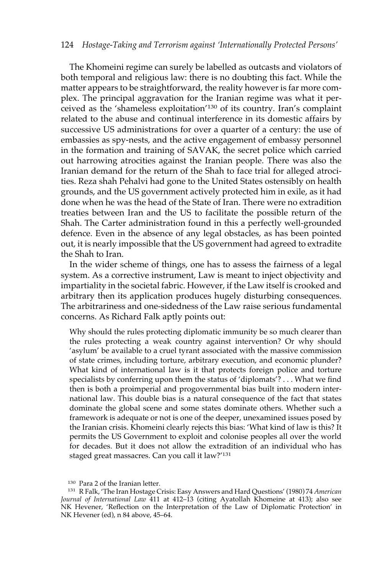## 124 *Hostage-Taking and Terrorism against 'Internationally Protected Persons'*

The Khomeini regime can surely be labelled as outcasts and violators of both temporal and religious law: there is no doubting this fact. While the matter appears to be straightforward, the reality however is far more complex. The principal aggravation for the Iranian regime was what it perceived as the 'shameless exploitation'130 of its country. Iran's complaint related to the abuse and continual interference in its domestic affairs by successive US administrations for over a quarter of a century: the use of embassies as spy-nests, and the active engagement of embassy personnel in the formation and training of SAVAK, the secret police which carried out harrowing atrocities against the Iranian people. There was also the Iranian demand for the return of the Shah to face trial for alleged atrocities. Reza shah Pehalvi had gone to the United States ostensibly on health grounds, and the US government actively protected him in exile, as it had done when he was the head of the State of Iran. There were no extradition treaties between Iran and the US to facilitate the possible return of the Shah. The Carter administration found in this a perfectly well-grounded defence. Even in the absence of any legal obstacles, as has been pointed out, it is nearly impossible that the US government had agreed to extradite the Shah to Iran.

In the wider scheme of things, one has to assess the fairness of a legal system. As a corrective instrument, Law is meant to inject objectivity and impartiality in the societal fabric. However, if the Law itself is crooked and arbitrary then its application produces hugely disturbing consequences. The arbitrariness and one-sidedness of the Law raise serious fundamental concerns. As Richard Falk aptly points out:

Why should the rules protecting diplomatic immunity be so much clearer than the rules protecting a weak country against intervention? Or why should 'asylum' be available to a cruel tyrant associated with the massive commission of state crimes, including torture, arbitrary execution, and economic plunder? What kind of international law is it that protects foreign police and torture specialists by conferring upon them the status of 'diplomats'? . . . What we find then is both a proimperial and progovernmental bias built into modern international law. This double bias is a natural consequence of the fact that states dominate the global scene and some states dominate others. Whether such a framework is adequate or not is one of the deeper, unexamined issues posed by the Iranian crisis. Khomeini clearly rejects this bias: 'What kind of law is this? It permits the US Government to exploit and colonise peoples all over the world for decades. But it does not allow the extradition of an individual who has staged great massacres. Can you call it law?'131

<sup>130</sup> Para 2 of the Iranian letter.

<sup>131</sup> R Falk, 'The Iran Hostage Crisis: Easy Answers and Hard Questions' (1980) 74 *American Journal of International Law* 411 at 412–13 (citing Ayatollah Khomeine at 413); also see NK Hevener, 'Reflection on the Interpretation of the Law of Diplomatic Protection' in NK Hevener (ed), n 84 above, 45–64.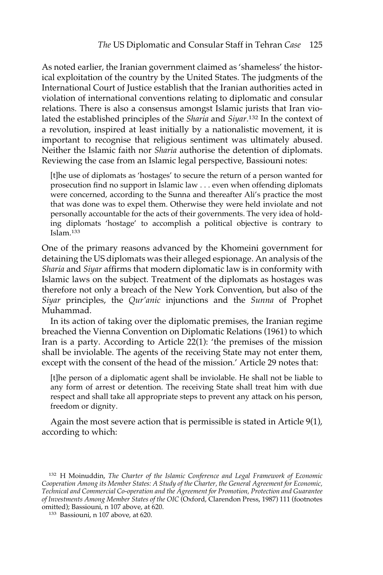As noted earlier, the Iranian government claimed as 'shameless' the historical exploitation of the country by the United States. The judgments of the International Court of Justice establish that the Iranian authorities acted in violation of international conventions relating to diplomatic and consular relations. There is also a consensus amongst Islamic jurists that Iran violated the established principles of the *Sharia* and *Siyar*. <sup>132</sup> In the context of a revolution, inspired at least initially by a nationalistic movement, it is important to recognise that religious sentiment was ultimately abused. Neither the Islamic faith nor *Sharia* authorise the detention of diplomats. Reviewing the case from an Islamic legal perspective, Bassiouni notes:

[t]he use of diplomats as 'hostages' to secure the return of a person wanted for prosecution find no support in Islamic law . . . even when offending diplomats were concerned, according to the Sunna and thereafter Ali's practice the most that was done was to expel them. Otherwise they were held inviolate and not personally accountable for the acts of their governments. The very idea of holding diplomats 'hostage' to accomplish a political objective is contrary to Islam.133

One of the primary reasons advanced by the Khomeini government for detaining the US diplomats was their alleged espionage. An analysis of the *Sharia* and *Siyar* affirms that modern diplomatic law is in conformity with Islamic laws on the subject. Treatment of the diplomats as hostages was therefore not only a breach of the New York Convention, but also of the *Siyar* principles, the *Qur'anic* injunctions and the *Sunna* of Prophet Muhammad.

In its action of taking over the diplomatic premises, the Iranian regime breached the Vienna Convention on Diplomatic Relations (1961) to which Iran is a party. According to Article 22(1): 'the premises of the mission shall be inviolable. The agents of the receiving State may not enter them, except with the consent of the head of the mission.' Article 29 notes that:

[t]he person of a diplomatic agent shall be inviolable. He shall not be liable to any form of arrest or detention. The receiving State shall treat him with due respect and shall take all appropriate steps to prevent any attack on his person, freedom or dignity.

Again the most severe action that is permissible is stated in Article 9(1), according to which:

<sup>132</sup> H Moinuddin, *The Charter of the Islamic Conference and Legal Framework of Economic Cooperation Among its Member States: A Study of the Charter, the General Agreement for Economic, Technical and Commercial Co-operation and the Agreement for Promotion, Protection and Guarantee of Investments Among Member States of the OIC* (Oxford, Clarendon Press, 1987) 111 (footnotes omitted); Bassiouni, n 107 above, at 620.

<sup>133</sup> Bassiouni, n 107 above, at 620.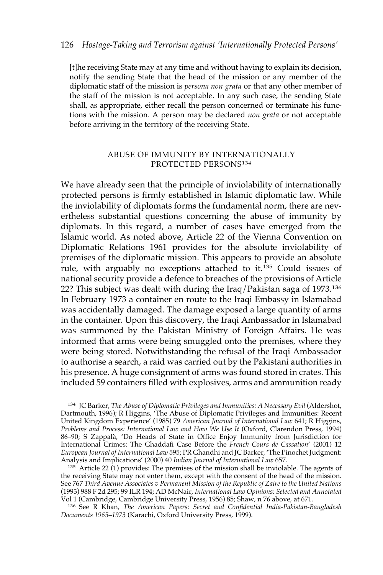[t]he receiving State may at any time and without having to explain its decision, notify the sending State that the head of the mission or any member of the diplomatic staff of the mission is *persona non grata* or that any other member of the staff of the mission is not acceptable. In any such case, the sending State shall, as appropriate, either recall the person concerned or terminate his functions with the mission. A person may be declared *non grata* or not acceptable before arriving in the territory of the receiving State.

# ABUSE OF IMMUNITY BY INTERNATIONALLY PROTECTED PERSONS<sup>134</sup>

We have already seen that the principle of inviolability of internationally protected persons is firmly established in Islamic diplomatic law. While the inviolability of diplomats forms the fundamental norm, there are nevertheless substantial questions concerning the abuse of immunity by diplomats. In this regard, a number of cases have emerged from the Islamic world. As noted above, Article 22 of the Vienna Convention on Diplomatic Relations 1961 provides for the absolute inviolability of premises of the diplomatic mission. This appears to provide an absolute rule, with arguably no exceptions attached to it.135 Could issues of national security provide a defence to breaches of the provisions of Article 22? This subject was dealt with during the Iraq/Pakistan saga of 1973.<sup>136</sup> In February 1973 a container en route to the Iraqi Embassy in Islamabad was accidentally damaged. The damage exposed a large quantity of arms in the container. Upon this discovery, the Iraqi Ambassador in Islamabad was summoned by the Pakistan Ministry of Foreign Affairs. He was informed that arms were being smuggled onto the premises, where they were being stored. Notwithstanding the refusal of the Iraqi Ambassador to authorise a search, a raid was carried out by the Pakistani authorities in his presence. A huge consignment of arms was found stored in crates. This included 59 containers filled with explosives, arms and ammunition ready

<sup>134</sup> JC Barker, *The Abuse of Diplomatic Privileges and Immunities: A Necessary Evil* (Aldershot, Dartmouth, 1996); R Higgins, 'The Abuse of Diplomatic Privileges and Immunities: Recent United Kingdom Experience' (1985) 79 *American Journal of International Law* 641; R Higgins, *Problems and Process: International Law and How We Use It* (Oxford, Clarendon Press, 1994) 86–90; S Zappalà, 'Do Heads of State in Office Enjoy Immunity from Jurisdiction for International Crimes: The Ghaddafi Case Before the *French Cours de Cassation*' (2001) 12 *European Journal of International Law* 595; PR Ghandhi and JC Barker, 'The Pinochet Judgment: Analysis and Implications' (2000) 40 *Indian Journal of International Law* 657.

 $135$  Article 22 (1) provides: The premises of the mission shall be inviolable. The agents of the receiving State may not enter them, except with the consent of the head of the mission. See 767 *Third Avenue Associates v Permanent Mission of the Republic of Zaire to the United Nations* (1993) 988 F 2d 295; 99 ILR 194; AD McNair, *International Law Opinions: Selected and Annotated* Vol 1 (Cambridge, Cambridge University Press, 1956) 85; Shaw, n 76 above, at 671.

<sup>136</sup> See R Khan, *The American Papers: Secret and Confidential India-Pakistan-Bangladesh Documents 1965–1973* (Karachi, Oxford University Press, 1999).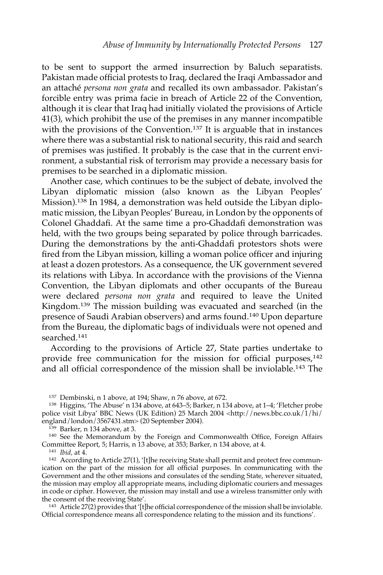to be sent to support the armed insurrection by Baluch separatists. Pakistan made official protests to Iraq, declared the Iraqi Ambassador and an attaché *persona non grata* and recalled its own ambassador. Pakistan's forcible entry was prima facie in breach of Article 22 of the Convention, although it is clear that Iraq had initially violated the provisions of Article 41(3), which prohibit the use of the premises in any manner incompatible with the provisions of the Convention.<sup>137</sup> It is arguable that in instances where there was a substantial risk to national security, this raid and search of premises was justified. It probably is the case that in the current environment, a substantial risk of terrorism may provide a necessary basis for premises to be searched in a diplomatic mission.

Another case, which continues to be the subject of debate, involved the Libyan diplomatic mission (also known as the Libyan Peoples' Mission).138 In 1984, a demonstration was held outside the Libyan diplomatic mission, the Libyan Peoples' Bureau, in London by the opponents of Colonel Ghaddafi. At the same time a pro-Ghaddafi demonstration was held, with the two groups being separated by police through barricades. During the demonstrations by the anti-Ghaddafi protestors shots were fired from the Libyan mission, killing a woman police officer and injuring at least a dozen protestors. As a consequence, the UK government severed its relations with Libya. In accordance with the provisions of the Vienna Convention, the Libyan diplomats and other occupants of the Bureau were declared *persona non grata* and required to leave the United Kingdom.139 The mission building was evacuated and searched (in the presence of Saudi Arabian observers) and arms found.140 Upon departure from the Bureau, the diplomatic bags of individuals were not opened and searched.141

According to the provisions of Article 27, State parties undertake to provide free communication for the mission for official purposes,<sup>142</sup> and all official correspondence of the mission shall be inviolable.143 The

<sup>141</sup> *Ibid,* at 4.

<sup>142</sup> According to Article 27(1), '[t]he receiving State shall permit and protect free communication on the part of the mission for all official purposes. In communicating with the Government and the other missions and consulates of the sending State, wherever situated, the mission may employ all appropriate means, including diplomatic couriers and messages in code or cipher. However, the mission may install and use a wireless transmitter only with the consent of the receiving State'.

<sup>143</sup> Article 27(2) provides that '[t]he official correspondence of the mission shall be inviolable. Official correspondence means all correspondence relating to the mission and its functions'.

<sup>137</sup> Dembinski, n 1 above, at 194; Shaw, n 76 above, at 672.

<sup>138</sup> Higgins, 'The Abuse' n 134 above, at 643–5; Barker, n 134 above, at 1–4; 'Fletcher probe police visit Libya' BBC News (UK Edition) 25 March 2004 <http://news.bbc.co.uk/1/hi/ england/london/3567431.stm> (20 September 2004).<br><sup>139</sup> Barker, n 134 above, at 3.

<sup>&</sup>lt;sup>140</sup> See the Memorandum by the Foreign and Commonwealth Office, Foreign Affairs Committee Report, 5; Harris, n 13 above, at 353; Barker, n 134 above, at 4.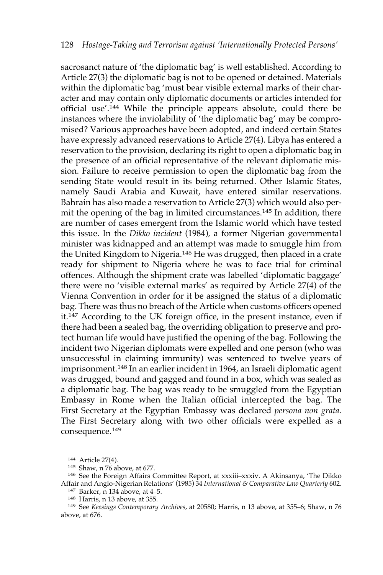sacrosanct nature of 'the diplomatic bag' is well established. According to Article 27(3) the diplomatic bag is not to be opened or detained. Materials within the diplomatic bag 'must bear visible external marks of their character and may contain only diplomatic documents or articles intended for official use'.144 While the principle appears absolute, could there be instances where the inviolability of 'the diplomatic bag' may be compromised? Various approaches have been adopted, and indeed certain States have expressly advanced reservations to Article 27(4). Libya has entered a reservation to the provision, declaring its right to open a diplomatic bag in the presence of an official representative of the relevant diplomatic mission. Failure to receive permission to open the diplomatic bag from the sending State would result in its being returned. Other Islamic States, namely Saudi Arabia and Kuwait, have entered similar reservations. Bahrain has also made a reservation to Article 27(3) which would also permit the opening of the bag in limited circumstances.145 In addition, there are number of cases emergent from the Islamic world which have tested this issue. In the *Dikko incident* (1984), a former Nigerian governmental minister was kidnapped and an attempt was made to smuggle him from the United Kingdom to Nigeria.146 He was drugged, then placed in a crate ready for shipment to Nigeria where he was to face trial for criminal offences. Although the shipment crate was labelled 'diplomatic baggage' there were no 'visible external marks' as required by Article 27(4) of the Vienna Convention in order for it be assigned the status of a diplomatic bag. There was thus no breach of the Article when customs officers opened it.<sup>147</sup> According to the UK foreign office, in the present instance, even if there had been a sealed bag, the overriding obligation to preserve and protect human life would have justified the opening of the bag. Following the incident two Nigerian diplomats were expelled and one person (who was unsuccessful in claiming immunity) was sentenced to twelve years of imprisonment.<sup>148</sup> In an earlier incident in 1964, an Israeli diplomatic agent was drugged, bound and gagged and found in a box, which was sealed as a diplomatic bag. The bag was ready to be smuggled from the Egyptian Embassy in Rome when the Italian official intercepted the bag. The First Secretary at the Egyptian Embassy was declared *persona non grata*. The First Secretary along with two other officials were expelled as a consequence.<sup>149</sup>

<sup>144</sup> Article 27(4).

<sup>145</sup> Shaw, n 76 above, at 677.

<sup>146</sup> See the Foreign Affairs Committee Report, at xxxiii–xxxiv. A Akinsanya, 'The Dikko Affair and Anglo-Nigerian Relations' (1985) 34 *International & Comparative Law Quarterly* 602. 147 Barker, n 134 above, at 4–5.

<sup>148</sup> Harris, n 13 above, at 355.

<sup>149</sup> See *Keesings Contemporary Archives*, at 20580; Harris, n 13 above, at 355–6; Shaw, n 76 above, at 676.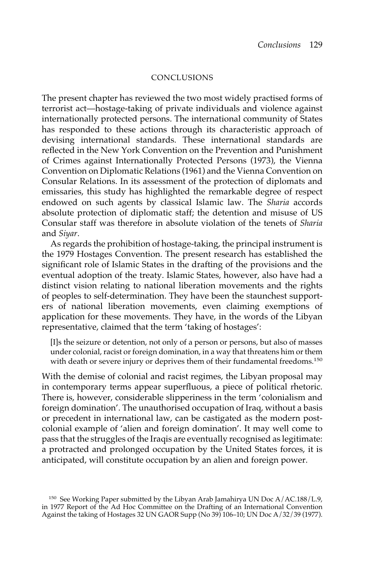## **CONCLUSIONS**

The present chapter has reviewed the two most widely practised forms of terrorist act—hostage-taking of private individuals and violence against internationally protected persons. The international community of States has responded to these actions through its characteristic approach of devising international standards. These international standards are reflected in the New York Convention on the Prevention and Punishment of Crimes against Internationally Protected Persons (1973), the Vienna Convention on Diplomatic Relations (1961) and the Vienna Convention on Consular Relations. In its assessment of the protection of diplomats and emissaries, this study has highlighted the remarkable degree of respect endowed on such agents by classical Islamic law. The *Sharia* accords absolute protection of diplomatic staff; the detention and misuse of US Consular staff was therefore in absolute violation of the tenets of *Sharia* and *Siyar*.

As regards the prohibition of hostage-taking, the principal instrument is the 1979 Hostages Convention. The present research has established the significant role of Islamic States in the drafting of the provisions and the eventual adoption of the treaty. Islamic States, however, also have had a distinct vision relating to national liberation movements and the rights of peoples to self-determination. They have been the staunchest supporters of national liberation movements, even claiming exemptions of application for these movements. They have, in the words of the Libyan representative, claimed that the term 'taking of hostages':

[I]s the seizure or detention, not only of a person or persons, but also of masses under colonial, racist or foreign domination, in a way that threatens him or them with death or severe injury or deprives them of their fundamental freedoms.<sup>150</sup>

With the demise of colonial and racist regimes, the Libyan proposal may in contemporary terms appear superfluous, a piece of political rhetoric. There is, however, considerable slipperiness in the term 'colonialism and foreign domination'. The unauthorised occupation of Iraq, without a basis or precedent in international law, can be castigated as the modern postcolonial example of 'alien and foreign domination'. It may well come to pass that the struggles of the Iraqis are eventually recognised as legitimate: a protracted and prolonged occupation by the United States forces, it is anticipated, will constitute occupation by an alien and foreign power.

<sup>150</sup> See Working Paper submitted by the Libyan Arab Jamahirya UN Doc A/AC.188/L.9, in 1977 Report of the Ad Hoc Committee on the Drafting of an International Convention Against the taking of Hostages 32 UN GAOR Supp (No 39) 106–10; UN Doc A/32/39 (1977).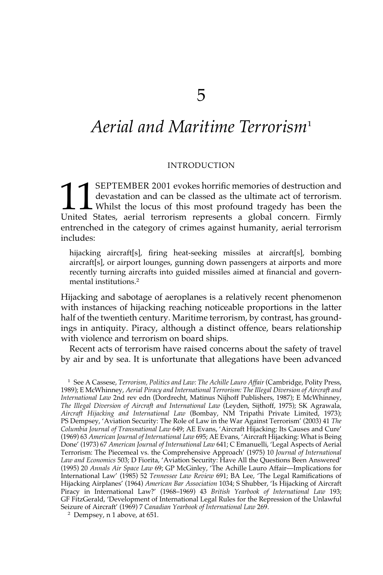# *Aerial and Maritime Terrorism*<sup>1</sup>

## INTRODUCTION

**11 SEPTEMBER 2001 evokes horrific memories of destruction and devastation and can be classed as the ultimate act of terrorism.**<br>Whilst the locus of this most profound tragedy has been the United States, aerial terrorism r devastation and can be classed as the ultimate act of terrorism. Whilst the locus of this most profound tragedy has been the United States, aerial terrorism represents a global concern. Firmly entrenched in the category of crimes against humanity, aerial terrorism includes:

hijacking aircraft[s], firing heat-seeking missiles at aircraft[s], bombing aircraft[s], or airport lounges, gunning down passengers at airports and more recently turning aircrafts into guided missiles aimed at financial and governmental institutions.<sup>2</sup>

Hijacking and sabotage of aeroplanes is a relatively recent phenomenon with instances of hijacking reaching noticeable proportions in the latter half of the twentieth century. Maritime terrorism, by contrast, has groundings in antiquity. Piracy, although a distinct offence, bears relationship with violence and terrorism on board ships.

Recent acts of terrorism have raised concerns about the safety of travel by air and by sea. It is unfortunate that allegations have been advanced

<sup>1</sup> See A Cassese, *Terrorism, Politics and Law: The Achille Lauro Affair* (Cambridge, Polity Press, 1989); E McWhinney, *Aerial Piracy and International Terrorism: The Illegal Diversion of Aircraft and International Law* 2nd rev edn (Dordrecht, Matinus Nijhoff Publishers, 1987); E McWhinney, *The Illegal Diversion of Aircraft and International Law* (Leyden, Sijthoff, 1975); SK Agrawala, *Aircraft Hijacking and International Law* (Bombay, NM Tripathi Private Limited, 1973); PS Dempsey, 'Aviation Security: The Role of Law in the War Against Terrorism' (2003) 41 *The Columbia Journal of Transnational Law* 649; AE Evans, 'Aircraft Hijacking: Its Causes and Cure' (1969) 63 *American Journal of International Law* 695; AE Evans, 'Aircraft Hijacking: What is Being Done' (1973) 67 *American Journal of International Law* 641; C Emanuelli, 'Legal Aspects of Aerial Terrorism: The Piecemeal vs. the Comprehensive Approach' (1975) 10 *Journal of International Law and Economics* 503; D Fiorita, 'Aviation Security: Have All the Questions Been Answered' (1995) 20 *Annals Air Space Law* 69; GP McGinley, 'The Achille Lauro Affair—Implications for International Law' (1985) 52 *Tennessee Law Review* 691; BA Lee, 'The Legal Ramifications of Hijacking Airplanes' (1964) *American Bar Association* 1034; S Shubber, 'Is Hijacking of Aircraft Piracy in International Law?' (1968–1969) 43 *British Yearbook of International Law* 193; GF FitzGerald, 'Development of International Legal Rules for the Repression of the Unlawful Seizure of Aircraft' (1969) 7 *Canadian Yearbook of International Law* 269.

<sup>2</sup> Dempsey, n 1 above, at 651.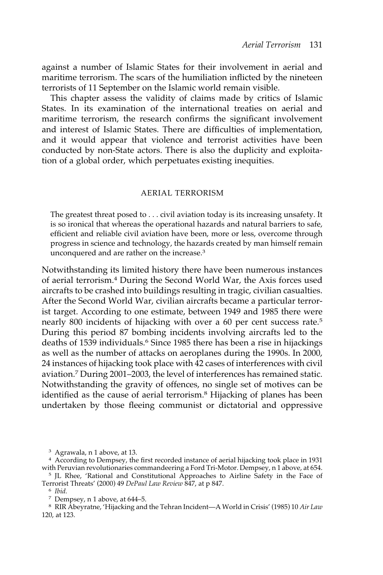against a number of Islamic States for their involvement in aerial and maritime terrorism. The scars of the humiliation inflicted by the nineteen terrorists of 11 September on the Islamic world remain visible.

This chapter assess the validity of claims made by critics of Islamic States. In its examination of the international treaties on aerial and maritime terrorism, the research confirms the significant involvement and interest of Islamic States. There are difficulties of implementation, and it would appear that violence and terrorist activities have been conducted by non-State actors. There is also the duplicity and exploitation of a global order, which perpetuates existing inequities.

#### AERIAL TERRORISM

The greatest threat posed to . . . civil aviation today is its increasing unsafety. It is so ironical that whereas the operational hazards and natural barriers to safe, efficient and reliable civil aviation have been, more or less, overcome through progress in science and technology, the hazards created by man himself remain unconquered and are rather on the increase.3

Notwithstanding its limited history there have been numerous instances of aerial terrorism.4 During the Second World War, the Axis forces used aircrafts to be crashed into buildings resulting in tragic, civilian casualties. After the Second World War, civilian aircrafts became a particular terrorist target. According to one estimate, between 1949 and 1985 there were nearly 800 incidents of hijacking with over a 60 per cent success rate.<sup>5</sup> During this period 87 bombing incidents involving aircrafts led to the deaths of 1539 individuals.<sup>6</sup> Since 1985 there has been a rise in hijackings as well as the number of attacks on aeroplanes during the 1990s. In 2000, 24 instances of hijacking took place with 42 cases of interferences with civil aviation.7 During 2001–2003, the level of interferences has remained static. Notwithstanding the gravity of offences, no single set of motives can be identified as the cause of aerial terrorism.<sup>8</sup> Hijacking of planes has been undertaken by those fleeing communist or dictatorial and oppressive

<sup>3</sup> Agrawala, n 1 above, at 13.

<sup>8</sup> RIR Abeyratne, 'Hijacking and the Tehran Incident—A World in Crisis' (1985) 10 *Air Law* 120, at 123.

<sup>4</sup> According to Dempsey, the first recorded instance of aerial hijacking took place in 1931 with Peruvian revolutionaries commandeering a Ford Tri-Motor. Dempsey, n 1 above, at 654.

<sup>5</sup> JL Rhee, 'Rational and Constitutional Approaches to Airline Safety in the Face of Terrorist Threats' (2000) 49 *DePaul Law Review* 847, at p 847.

<sup>6</sup> *Ibid.*

<sup>7</sup> Dempsey, n 1 above, at 644–5.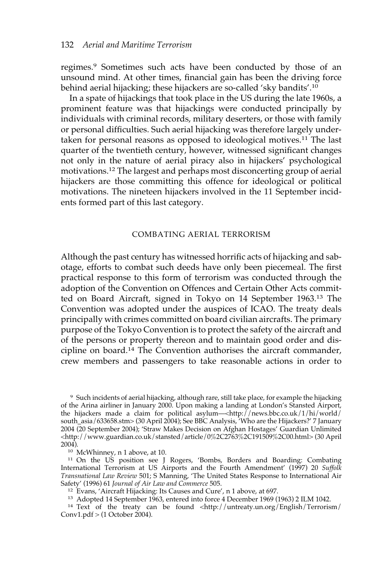regimes.<sup>9</sup> Sometimes such acts have been conducted by those of an unsound mind. At other times, financial gain has been the driving force behind aerial hijacking; these hijackers are so-called 'sky bandits'.10

In a spate of hijackings that took place in the US during the late 1960s, a prominent feature was that hijackings were conducted principally by individuals with criminal records, military deserters, or those with family or personal difficulties. Such aerial hijacking was therefore largely undertaken for personal reasons as opposed to ideological motives.11 The last quarter of the twentieth century, however, witnessed significant changes not only in the nature of aerial piracy also in hijackers' psychological motivations.12 The largest and perhaps most disconcerting group of aerial hijackers are those committing this offence for ideological or political motivations. The nineteen hijackers involved in the 11 September incidents formed part of this last category.

## COMBATING AERIAL TERRORISM

Although the past century has witnessed horrific acts of hijacking and sabotage, efforts to combat such deeds have only been piecemeal. The first practical response to this form of terrorism was conducted through the adoption of the Convention on Offences and Certain Other Acts committed on Board Aircraft, signed in Tokyo on 14 September 1963.13 The Convention was adopted under the auspices of ICAO. The treaty deals principally with crimes committed on board civilian aircrafts. The primary purpose of the Tokyo Convention is to protect the safety of the aircraft and of the persons or property thereon and to maintain good order and discipline on board.14 The Convention authorises the aircraft commander, crew members and passengers to take reasonable actions in order to

<sup>10</sup> McWhinney, n 1 above, at 10.

<sup>11</sup> On the US position see J Rogers, 'Bombs, Borders and Boarding: Combating International Terrorism at US Airports and the Fourth Amendment' (1997) 20 *Suffolk Transnational Law Review* 501; S Manning, 'The United States Response to International Air Safety' (1996) 61 *Journal of Air Law and Commerce* 505.

<sup>9</sup> Such incidents of aerial hijacking, although rare, still take place, for example the hijacking of the Arina airliner in January 2000. Upon making a landing at London's Stansted Airport, the hijackers made a claim for political asylum—<http://news.bbc.co.uk/1/hi/world/ south\_asia/633658.stm> (30 April 2004); See BBC Analysis, 'Who are the Hijackers?' 7 January 2004 (20 September 2004); 'Straw Makes Decision on Afghan Hostages' Guardian Unlimited <http://www.guardian.co.uk/stansted/article/0%2C2763%2C191509%2C00.html> (30 April 2004).

<sup>12</sup> Evans, 'Aircraft Hijacking: Its Causes and Cure', n 1 above, at 697.

<sup>13</sup> Adopted 14 September 1963, entered into force 4 December 1969 (1963) 2 ILM 1042.

<sup>14</sup> Text of the treaty can be found <http://untreaty.un.org/English/Terrorism/ Conv1.pdf  $>$  (1 October 2004).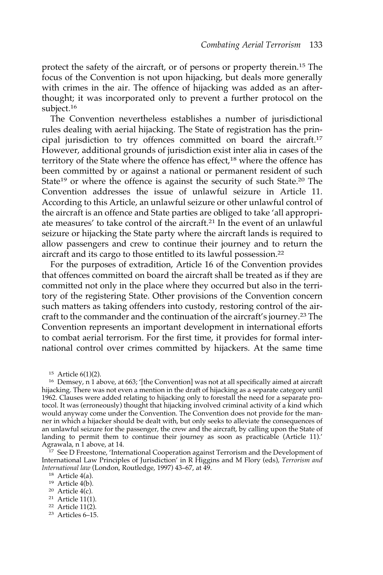protect the safety of the aircraft, or of persons or property therein.15 The focus of the Convention is not upon hijacking, but deals more generally with crimes in the air. The offence of hijacking was added as an afterthought; it was incorporated only to prevent a further protocol on the subject.16

The Convention nevertheless establishes a number of jurisdictional rules dealing with aerial hijacking. The State of registration has the principal jurisdiction to try offences committed on board the aircraft.17 However, additional grounds of jurisdiction exist inter alia in cases of the territory of the State where the offence has effect,<sup>18</sup> where the offence has been committed by or against a national or permanent resident of such State<sup>19</sup> or where the offence is against the security of such State.<sup>20</sup> The Convention addresses the issue of unlawful seizure in Article 11. According to this Article, an unlawful seizure or other unlawful control of the aircraft is an offence and State parties are obliged to take 'all appropriate measures' to take control of the aircraft.21 In the event of an unlawful seizure or hijacking the State party where the aircraft lands is required to allow passengers and crew to continue their journey and to return the aircraft and its cargo to those entitled to its lawful possession.22

For the purposes of extradition, Article 16 of the Convention provides that offences committed on board the aircraft shall be treated as if they are committed not only in the place where they occurred but also in the territory of the registering State. Other provisions of the Convention concern such matters as taking offenders into custody, restoring control of the aircraft to the commander and the continuation of the aircraft's journey.23 The Convention represents an important development in international efforts to combat aerial terrorism. For the first time, it provides for formal international control over crimes committed by hijackers. At the same time

<sup>15</sup> Article 6(1)(2).

<sup>16</sup> Demsey, n 1 above, at 663; '[the Convention] was not at all specifically aimed at aircraft hijacking. There was not even a mention in the draft of hijacking as a separate category until 1962. Clauses were added relating to hijacking only to forestall the need for a separate protocol. It was (erroneously) thought that hijacking involved criminal activity of a kind which would anyway come under the Convention. The Convention does not provide for the manner in which a hijacker should be dealt with, but only seeks to alleviate the consequences of an unlawful seizure for the passenger, the crew and the aircraft, by calling upon the State of landing to permit them to continue their journey as soon as practicable (Article 11).' Agrawala, n 1 above, at 14.

 $17$  See D Freestone, 'International Cooperation against Terrorism and the Development of International Law Principles of Jurisdiction' in R Higgins and M Flory (eds), *Terrorism and International law* (London, Routledge, 1997) 43–67, at 49.

- <sup>20</sup> Article 4(c).
- <sup>21</sup> Article 11(1).
- <sup>22</sup> Article 11(2).
- <sup>23</sup> Articles 6–15.

<sup>18</sup> Article 4(a).

<sup>19</sup> Article 4(b).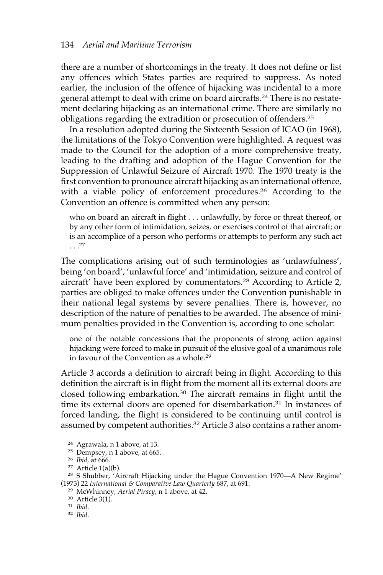there are a number of shortcomings in the treaty. It does not define or list any offences which States parties are required to suppress. As noted earlier, the inclusion of the offence of hijacking was incidental to a more general attempt to deal with crime on board aircrafts.24 There is no restatement declaring hijacking as an international crime. There are similarly no obligations regarding the extradition or prosecution of offenders.25

In a resolution adopted during the Sixteenth Session of ICAO (in 1968), the limitations of the Tokyo Convention were highlighted. A request was made to the Council for the adoption of a more comprehensive treaty, leading to the drafting and adoption of the Hague Convention for the Suppression of Unlawful Seizure of Aircraft 1970. The 1970 treaty is the first convention to pronounce aircraft hijacking as an international offence, with a viable policy of enforcement procedures.<sup>26</sup> According to the Convention an offence is committed when any person:

who on board an aircraft in flight . . . unlawfully, by force or threat thereof, or by any other form of intimidation, seizes, or exercises control of that aircraft; or is an accomplice of a person who performs or attempts to perform any such act . . .<sup>27</sup>

The complications arising out of such terminologies as 'unlawfulness', being 'on board', 'unlawful force' and 'intimidation, seizure and control of aircraft' have been explored by commentators.<sup>28</sup> According to Article 2, parties are obliged to make offences under the Convention punishable in their national legal systems by severe penalties. There is, however, no description of the nature of penalties to be awarded. The absence of minimum penalties provided in the Convention is, according to one scholar:

one of the notable concessions that the proponents of strong action against hijacking were forced to make in pursuit of the elusive goal of a unanimous role in favour of the Convention as a whole.29

Article 3 accords a definition to aircraft being in flight. According to this definition the aircraft is in flight from the moment all its external doors are closed following embarkation.30 The aircraft remains in flight until the time its external doors are opened for disembarkation.<sup>31</sup> In instances of forced landing, the flight is considered to be continuing until control is assumed by competent authorities.32 Article 3 also contains a rather anom-

 $27$  Article 1(a)(b).

<sup>24</sup> Agrawala, n 1 above, at 13.

<sup>25</sup> Dempsey, n 1 above, at 665.

<sup>26</sup> *Ibid*, at 666.

<sup>28</sup> S Shubber, 'Aircraft Hijacking under the Hague Convention 1970—A New Regime' (1973) 22 *International & Comparative Law Quarterly* 687, at 691.

<sup>29</sup> McWhinney, *Aerial Piracy*, n 1 above, at 42.

<sup>30</sup> Article 3(1).

<sup>31</sup> *Ibid.*

<sup>32</sup> *Ibid.*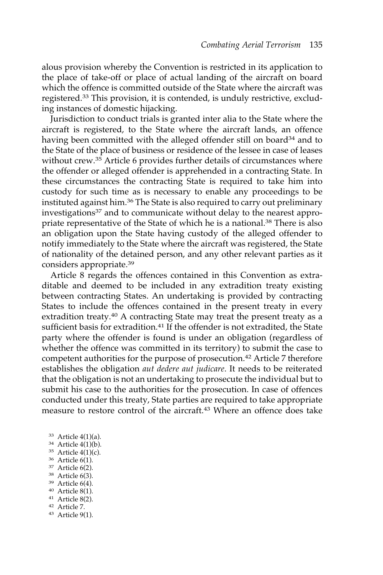alous provision whereby the Convention is restricted in its application to the place of take-off or place of actual landing of the aircraft on board which the offence is committed outside of the State where the aircraft was registered.<sup>33</sup> This provision, it is contended, is unduly restrictive, excluding instances of domestic hijacking.

Jurisdiction to conduct trials is granted inter alia to the State where the aircraft is registered, to the State where the aircraft lands, an offence having been committed with the alleged offender still on board<sup>34</sup> and to the State of the place of business or residence of the lessee in case of leases without crew.<sup>35</sup> Article 6 provides further details of circumstances where the offender or alleged offender is apprehended in a contracting State. In these circumstances the contracting State is required to take him into custody for such time as is necessary to enable any proceedings to be instituted against him.<sup>36</sup> The State is also required to carry out preliminary investigations<sup>37</sup> and to communicate without delay to the nearest appropriate representative of the State of which he is a national.<sup>38</sup> There is also an obligation upon the State having custody of the alleged offender to notify immediately to the State where the aircraft was registered, the State of nationality of the detained person, and any other relevant parties as it considers appropriate.39

Article 8 regards the offences contained in this Convention as extraditable and deemed to be included in any extradition treaty existing between contracting States. An undertaking is provided by contracting States to include the offences contained in the present treaty in every extradition treaty.<sup>40</sup> A contracting State may treat the present treaty as a sufficient basis for extradition.<sup>41</sup> If the offender is not extradited, the State party where the offender is found is under an obligation (regardless of whether the offence was committed in its territory) to submit the case to competent authorities for the purpose of prosecution.<sup>42</sup> Article 7 therefore establishes the obligation *aut dedere aut judicare*. It needs to be reiterated that the obligation is not an undertaking to prosecute the individual but to submit his case to the authorities for the prosecution. In case of offences conducted under this treaty, State parties are required to take appropriate measure to restore control of the aircraft.<sup>43</sup> Where an offence does take

- <sup>33</sup> Article 4(1)(a).
- <sup>34</sup> Article 4(1)(b).
- <sup>35</sup> Article 4(1)(c). <sup>36</sup> Article 6(1).
- <sup>37</sup> Article 6(2).
- <sup>38</sup> Article 6(3).
- <sup>39</sup> Article 6(4).
- <sup>40</sup> Article 8(1).
- <sup>41</sup> Article 8(2).
- <sup>42</sup> Article 7.
- <sup>43</sup> Article 9(1).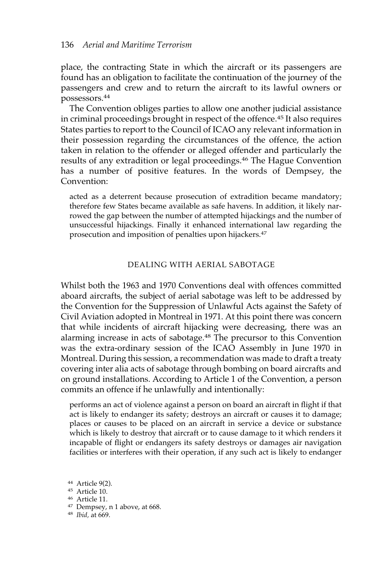## 136 *Aerial and Maritime Terrorism*

place, the contracting State in which the aircraft or its passengers are found has an obligation to facilitate the continuation of the journey of the passengers and crew and to return the aircraft to its lawful owners or possessors.44

The Convention obliges parties to allow one another judicial assistance in criminal proceedings brought in respect of the offence.<sup>45</sup> It also requires States parties to report to the Council of ICAO any relevant information in their possession regarding the circumstances of the offence, the action taken in relation to the offender or alleged offender and particularly the results of any extradition or legal proceedings.<sup>46</sup> The Hague Convention has a number of positive features. In the words of Dempsey, the Convention:

acted as a deterrent because prosecution of extradition became mandatory; therefore few States became available as safe havens. In addition, it likely narrowed the gap between the number of attempted hijackings and the number of unsuccessful hijackings. Finally it enhanced international law regarding the prosecution and imposition of penalties upon hijackers.47

# DEALING WITH AERIAL SABOTAGE

Whilst both the 1963 and 1970 Conventions deal with offences committed aboard aircrafts, the subject of aerial sabotage was left to be addressed by the Convention for the Suppression of Unlawful Acts against the Safety of Civil Aviation adopted in Montreal in 1971. At this point there was concern that while incidents of aircraft hijacking were decreasing, there was an alarming increase in acts of sabotage.48 The precursor to this Convention was the extra-ordinary session of the ICAO Assembly in June 1970 in Montreal. During this session, a recommendation was made to draft a treaty covering inter alia acts of sabotage through bombing on board aircrafts and on ground installations. According to Article 1 of the Convention, a person commits an offence if he unlawfully and intentionally:

performs an act of violence against a person on board an aircraft in flight if that act is likely to endanger its safety; destroys an aircraft or causes it to damage; places or causes to be placed on an aircraft in service a device or substance which is likely to destroy that aircraft or to cause damage to it which renders it incapable of flight or endangers its safety destroys or damages air navigation facilities or interferes with their operation, if any such act is likely to endanger

<sup>47</sup> Dempsey, n 1 above, at 668.

<sup>44</sup> Article 9(2).

<sup>45</sup> Article 10.

<sup>46</sup> Article 11.

<sup>48</sup> *Ibid,* at 669.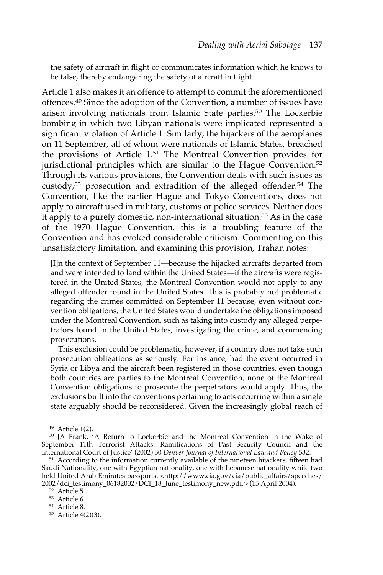the safety of aircraft in flight or communicates information which he knows to be false, thereby endangering the safety of aircraft in flight.

Article 1 also makes it an offence to attempt to commit the aforementioned offences.<sup>49</sup> Since the adoption of the Convention, a number of issues have arisen involving nationals from Islamic State parties.50 The Lockerbie bombing in which two Libyan nationals were implicated represented a significant violation of Article 1. Similarly, the hijackers of the aeroplanes on 11 September, all of whom were nationals of Islamic States, breached the provisions of Article 1.51 The Montreal Convention provides for jurisdictional principles which are similar to the Hague Convention.<sup>52</sup> Through its various provisions, the Convention deals with such issues as custody,<sup>53</sup> prosecution and extradition of the alleged offender.<sup>54</sup> The Convention, like the earlier Hague and Tokyo Conventions, does not apply to aircraft used in military, customs or police services. Neither does it apply to a purely domestic, non-international situation.55 As in the case of the 1970 Hague Convention, this is a troubling feature of the Convention and has evoked considerable criticism. Commenting on this unsatisfactory limitation, and examining this provision, Trahan notes:

[I]n the context of September 11—because the hijacked aircrafts departed from and were intended to land within the United States—if the aircrafts were registered in the United States, the Montreal Convention would not apply to any alleged offender found in the United States. This is probably not problematic regarding the crimes committed on September 11 because, even without convention obligations, the United States would undertake the obligations imposed under the Montreal Convention, such as taking into custody any alleged perpetrators found in the United States, investigating the crime, and commencing prosecutions.

This exclusion could be problematic, however, if a country does not take such prosecution obligations as seriously. For instance, had the event occurred in Syria or Libya and the aircraft been registered in those countries, even though both countries are parties to the Montreal Convention, none of the Montreal Convention obligations to prosecute the perpetrators would apply. Thus, the exclusions built into the conventions pertaining to acts occurring within a single state arguably should be reconsidered. Given the increasingly global reach of

<sup>49</sup> Article 1(2).

<sup>50</sup> JA Frank, 'A Return to Lockerbie and the Montreal Convention in the Wake of September 11th Terrorist Attacks: Ramifications of Past Security Council and the International Court of Justice' (2002) 30 Denver Journal of International Law and Policy 532.

<sup>&</sup>lt;sup>51</sup> According to the information currently available of the nineteen hijackers, fifteen had Saudi Nationality, one with Egyptian nationality, one with Lebanese nationality while two held United Arab Emirates passports. <http://www.cia.gov/cia/public\_affairs/speeches/ 2002/dci\_testimony\_06182002/DCI\_18\_June\_testimony\_new.pdf.> (15 April 2004).

<sup>52</sup> Article 5.

<sup>53</sup> Article 6.

<sup>54</sup> Article 8.

<sup>55</sup> Article 4(2)(3).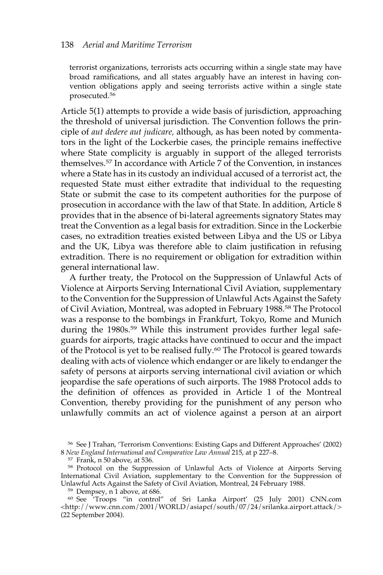## 138 *Aerial and Maritime Terrorism*

terrorist organizations, terrorists acts occurring within a single state may have broad ramifications, and all states arguably have an interest in having convention obligations apply and seeing terrorists active within a single state prosecuted.56

Article 5(1) attempts to provide a wide basis of jurisdiction, approaching the threshold of universal jurisdiction. The Convention follows the principle of *aut dedere aut judicare,* although, as has been noted by commentators in the light of the Lockerbie cases, the principle remains ineffective where State complicity is arguably in support of the alleged terrorists themselves.<sup>57</sup> In accordance with Article 7 of the Convention, in instances where a State has in its custody an individual accused of a terrorist act, the requested State must either extradite that individual to the requesting State or submit the case to its competent authorities for the purpose of prosecution in accordance with the law of that State. In addition, Article 8 provides that in the absence of bi-lateral agreements signatory States may treat the Convention as a legal basis for extradition. Since in the Lockerbie cases, no extradition treaties existed between Libya and the US or Libya and the UK, Libya was therefore able to claim justification in refusing extradition. There is no requirement or obligation for extradition within general international law.

A further treaty, the Protocol on the Suppression of Unlawful Acts of Violence at Airports Serving International Civil Aviation, supplementary to the Convention for the Suppression of Unlawful Acts Against the Safety of Civil Aviation, Montreal, was adopted in February 1988.58 The Protocol was a response to the bombings in Frankfurt, Tokyo, Rome and Munich during the 1980s.<sup>59</sup> While this instrument provides further legal safeguards for airports, tragic attacks have continued to occur and the impact of the Protocol is yet to be realised fully.60 The Protocol is geared towards dealing with acts of violence which endanger or are likely to endanger the safety of persons at airports serving international civil aviation or which jeopardise the safe operations of such airports. The 1988 Protocol adds to the definition of offences as provided in Article 1 of the Montreal Convention, thereby providing for the punishment of any person who unlawfully commits an act of violence against a person at an airport

<sup>58</sup> Protocol on the Suppression of Unlawful Acts of Violence at Airports Serving International Civil Aviation, supplementary to the Convention for the Suppression of Unlawful Acts Against the Safety of Civil Aviation, Montreal, 24 February 1988.

<sup>59</sup> Dempsey, n 1 above, at 686.

<sup>60</sup> See 'Troops "in control" of Sri Lanka Airport' (25 July 2001) CNN.com <http://www.cnn.com/2001/WORLD/asiapcf/south/07/24/srilanka.airport.attack/> (22 September 2004).

<sup>56</sup> See J Trahan, 'Terrorism Conventions: Existing Gaps and Different Approaches' (2002) 8 *New England International and Comparative Law Annual* 215, at p 227–8.

<sup>57</sup> Frank, n 50 above, at 536.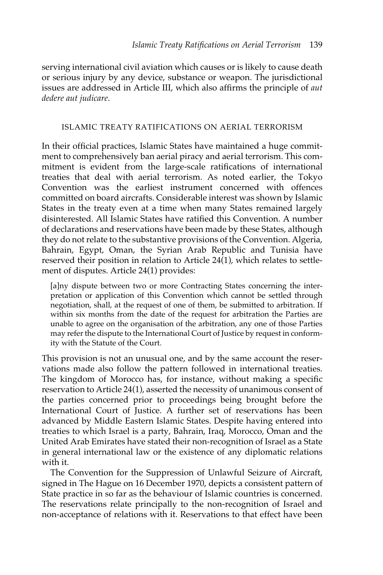serving international civil aviation which causes or is likely to cause death or serious injury by any device, substance or weapon. The jurisdictional issues are addressed in Article III, which also affirms the principle of *aut dedere aut judicare*.

## ISLAMIC TREATY RATIFICATIONS ON AERIAL TERRORISM

In their official practices, Islamic States have maintained a huge commitment to comprehensively ban aerial piracy and aerial terrorism. This commitment is evident from the large-scale ratifications of international treaties that deal with aerial terrorism. As noted earlier, the Tokyo Convention was the earliest instrument concerned with offences committed on board aircrafts. Considerable interest was shown by Islamic States in the treaty even at a time when many States remained largely disinterested. All Islamic States have ratified this Convention. A number of declarations and reservations have been made by these States, although they do not relate to the substantive provisions of the Convention. Algeria, Bahrain, Egypt, Oman, the Syrian Arab Republic and Tunisia have reserved their position in relation to Article 24(1), which relates to settlement of disputes. Article 24(1) provides:

[a]ny dispute between two or more Contracting States concerning the interpretation or application of this Convention which cannot be settled through negotiation, shall, at the request of one of them, be submitted to arbitration. If within six months from the date of the request for arbitration the Parties are unable to agree on the organisation of the arbitration, any one of those Parties may refer the dispute to the International Court of Justice by request in conformity with the Statute of the Court.

This provision is not an unusual one, and by the same account the reservations made also follow the pattern followed in international treaties. The kingdom of Morocco has, for instance, without making a specific reservation to Article 24(1), asserted the necessity of unanimous consent of the parties concerned prior to proceedings being brought before the International Court of Justice. A further set of reservations has been advanced by Middle Eastern Islamic States. Despite having entered into treaties to which Israel is a party, Bahrain, Iraq, Morocco, Oman and the United Arab Emirates have stated their non-recognition of Israel as a State in general international law or the existence of any diplomatic relations with it.

The Convention for the Suppression of Unlawful Seizure of Aircraft, signed in The Hague on 16 December 1970, depicts a consistent pattern of State practice in so far as the behaviour of Islamic countries is concerned. The reservations relate principally to the non-recognition of Israel and non-acceptance of relations with it. Reservations to that effect have been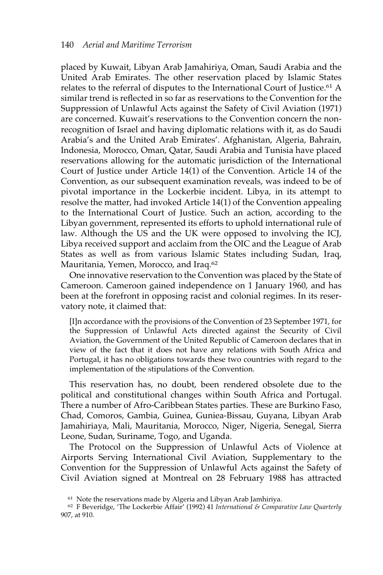placed by Kuwait, Libyan Arab Jamahiriya, Oman, Saudi Arabia and the United Arab Emirates. The other reservation placed by Islamic States relates to the referral of disputes to the International Court of Justice.<sup>61</sup> A similar trend is reflected in so far as reservations to the Convention for the Suppression of Unlawful Acts against the Safety of Civil Aviation (1971) are concerned. Kuwait's reservations to the Convention concern the nonrecognition of Israel and having diplomatic relations with it, as do Saudi Arabia's and the United Arab Emirates'. Afghanistan, Algeria, Bahrain, Indonesia, Morocco, Oman, Qatar, Saudi Arabia and Tunisia have placed reservations allowing for the automatic jurisdiction of the International Court of Justice under Article 14(1) of the Convention. Article 14 of the Convention, as our subsequent examination reveals, was indeed to be of pivotal importance in the Lockerbie incident. Libya, in its attempt to resolve the matter, had invoked Article 14(1) of the Convention appealing to the International Court of Justice. Such an action, according to the Libyan government, represented its efforts to uphold international rule of law. Although the US and the UK were opposed to involving the ICJ, Libya received support and acclaim from the OIC and the League of Arab States as well as from various Islamic States including Sudan, Iraq, Mauritania, Yemen, Morocco, and Iraq.62

One innovative reservation to the Convention was placed by the State of Cameroon. Cameroon gained independence on 1 January 1960, and has been at the forefront in opposing racist and colonial regimes. In its reservatory note, it claimed that:

[I]n accordance with the provisions of the Convention of 23 September 1971, for the Suppression of Unlawful Acts directed against the Security of Civil Aviation, the Government of the United Republic of Cameroon declares that in view of the fact that it does not have any relations with South Africa and Portugal, it has no obligations towards these two countries with regard to the implementation of the stipulations of the Convention.

This reservation has, no doubt, been rendered obsolete due to the political and constitutional changes within South Africa and Portugal. There a number of Afro-Caribbean States parties. These are Burkino Faso, Chad, Comoros, Gambia, Guinea, Guniea-Bissau, Guyana, Libyan Arab Jamahiriaya, Mali, Mauritania, Morocco, Niger, Nigeria, Senegal, Sierra Leone, Sudan, Suriname, Togo, and Uganda.

The Protocol on the Suppression of Unlawful Acts of Violence at Airports Serving International Civil Aviation, Supplementary to the Convention for the Suppression of Unlawful Acts against the Safety of Civil Aviation signed at Montreal on 28 February 1988 has attracted

<sup>61</sup> Note the reservations made by Algeria and Libyan Arab Jamhiriya.

<sup>62</sup> F Beveridge, 'The Lockerbie Affair' (1992) 41 *International & Comparative Law Quarterly* 907, at 910.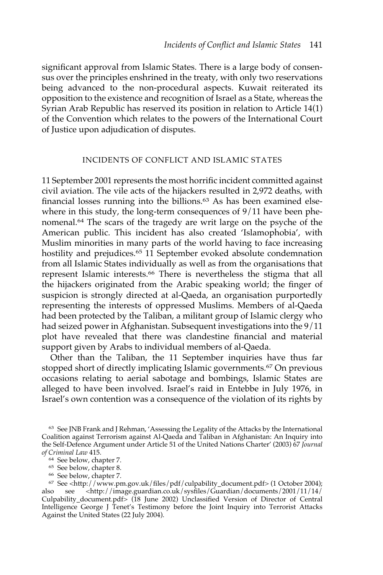significant approval from Islamic States. There is a large body of consensus over the principles enshrined in the treaty, with only two reservations being advanced to the non-procedural aspects. Kuwait reiterated its opposition to the existence and recognition of Israel as a State, whereas the Syrian Arab Republic has reserved its position in relation to Article 14(1) of the Convention which relates to the powers of the International Court of Justice upon adjudication of disputes.

# INCIDENTS OF CONFLICT AND ISLAMIC STATES

11 September 2001 represents the most horrific incident committed against civil aviation. The vile acts of the hijackers resulted in 2,972 deaths, with financial losses running into the billions.63 As has been examined elsewhere in this study, the long-term consequences of 9/11 have been phenomenal.64 The scars of the tragedy are writ large on the psyche of the American public. This incident has also created 'Islamophobia', with Muslim minorities in many parts of the world having to face increasing hostility and prejudices.<sup>65</sup> 11 September evoked absolute condemnation from all Islamic States individually as well as from the organisations that represent Islamic interests.<sup>66</sup> There is nevertheless the stigma that all the hijackers originated from the Arabic speaking world; the finger of suspicion is strongly directed at al-Qaeda, an organisation purportedly representing the interests of oppressed Muslims. Members of al-Qaeda had been protected by the Taliban, a militant group of Islamic clergy who had seized power in Afghanistan. Subsequent investigations into the 9/11 plot have revealed that there was clandestine financial and material support given by Arabs to individual members of al-Qaeda.

Other than the Taliban, the 11 September inquiries have thus far stopped short of directly implicating Islamic governments.<sup>67</sup> On previous occasions relating to aerial sabotage and bombings, Islamic States are alleged to have been involved. Israel's raid in Entebbe in July 1976, in Israel's own contention was a consequence of the violation of its rights by

<sup>63</sup> See JNB Frank and J Rehman, 'Assessing the Legality of the Attacks by the International Coalition against Terrorism against Al-Qaeda and Taliban in Afghanistan: An Inquiry into the Self-Defence Argument under Article 51 of the United Nations Charter' (2003) 67 *Journal of Criminal Law* 415.

<sup>64</sup> See below, chapter 7.

<sup>65</sup> See below, chapter 8.

<sup>66</sup> See below, chapter 7.

<sup>67</sup> See <http://www.pm.gov.uk/files/pdf/culpability\_document.pdf> (1 October 2004); also see <http://image.guardian.co.uk/sysfiles/Guardian/documents/2001/11/14/ Culpability\_document.pdf> (18 June 2002) Unclassified Version of Director of Central Intelligence George J Tenet's Testimony before the Joint Inquiry into Terrorist Attacks Against the United States (22 July 2004).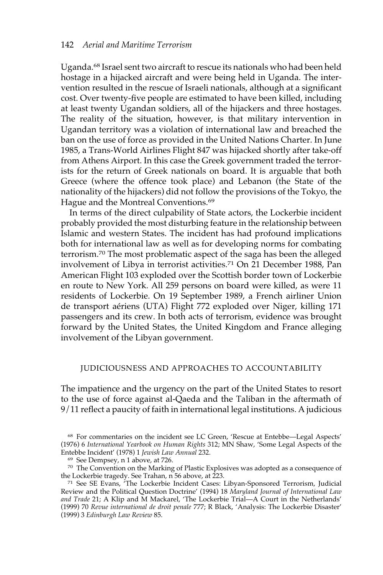Uganda.68 Israel sent two aircraft to rescue its nationals who had been held hostage in a hijacked aircraft and were being held in Uganda. The intervention resulted in the rescue of Israeli nationals, although at a significant cost. Over twenty-five people are estimated to have been killed, including at least twenty Ugandan soldiers, all of the hijackers and three hostages. The reality of the situation, however, is that military intervention in Ugandan territory was a violation of international law and breached the ban on the use of force as provided in the United Nations Charter. In June 1985, a Trans-World Airlines Flight 847 was hijacked shortly after take-off from Athens Airport. In this case the Greek government traded the terrorists for the return of Greek nationals on board. It is arguable that both Greece (where the offence took place) and Lebanon (the State of the nationality of the hijackers) did not follow the provisions of the Tokyo, the Hague and the Montreal Conventions.69

In terms of the direct culpability of State actors, the Lockerbie incident probably provided the most disturbing feature in the relationship between Islamic and western States. The incident has had profound implications both for international law as well as for developing norms for combating terrorism.<sup>70</sup> The most problematic aspect of the saga has been the alleged involvement of Libya in terrorist activities.<sup>71</sup> On 21 December 1988, Pan American Flight 103 exploded over the Scottish border town of Lockerbie en route to New York. All 259 persons on board were killed, as were 11 residents of Lockerbie. On 19 September 1989, a French airliner Union de transport aériens (UTA) Flight 772 exploded over Niger, killing 171 passengers and its crew. In both acts of terrorism, evidence was brought forward by the United States, the United Kingdom and France alleging involvement of the Libyan government.

# JUDICIOUSNESS AND APPROACHES TO ACCOUNTABILITY

The impatience and the urgency on the part of the United States to resort to the use of force against al-Qaeda and the Taliban in the aftermath of 9/11 reflect a paucity of faith in international legal institutions. A judicious

<sup>68</sup> For commentaries on the incident see LC Green, 'Rescue at Entebbe—Legal Aspects' (1976) 6 *International Yearbook on Human Rights* 312; MN Shaw, 'Some Legal Aspects of the Entebbe Incident' (1978) 1 *Jewish Law Annual* 232.

<sup>69</sup> See Dempsey, n 1 above, at 726.

<sup>70</sup> The Convention on the Marking of Plastic Explosives was adopted as a consequence of the Lockerbie tragedy. See Trahan, n 56 above, at 223.

<sup>71</sup> See SE Evans, 'The Lockerbie Incident Cases: Libyan-Sponsored Terrorism, Judicial Review and the Political Question Doctrine' (1994) 18 *Maryland Journal of International Law and Trade* 21; A Klip and M Mackarel, 'The Lockerbie Trial—A Court in the Netherlands' (1999) 70 *Revue international de droit penale* 777; R Black, 'Analysis: The Lockerbie Disaster' (1999) 3 *Edinburgh Law Review* 85.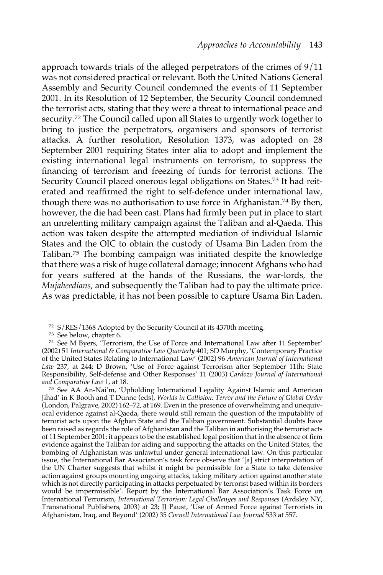approach towards trials of the alleged perpetrators of the crimes of 9/11 was not considered practical or relevant. Both the United Nations General Assembly and Security Council condemned the events of 11 September 2001. In its Resolution of 12 September, the Security Council condemned the terrorist acts, stating that they were a threat to international peace and security.<sup>72</sup> The Council called upon all States to urgently work together to bring to justice the perpetrators, organisers and sponsors of terrorist attacks. A further resolution, Resolution 1373, was adopted on 28 September 2001 requiring States inter alia to adopt and implement the existing international legal instruments on terrorism, to suppress the financing of terrorism and freezing of funds for terrorist actions. The Security Council placed onerous legal obligations on States.73 It had reiterated and reaffirmed the right to self-defence under international law, though there was no authorisation to use force in Afghanistan.74 By then, however, the die had been cast. Plans had firmly been put in place to start an unrelenting military campaign against the Taliban and al-Qaeda. This action was taken despite the attempted mediation of individual Islamic States and the OIC to obtain the custody of Usama Bin Laden from the Taliban.75 The bombing campaign was initiated despite the knowledge that there was a risk of huge collateral damage; innocent Afghans who had for years suffered at the hands of the Russians, the war-lords, the *Mujaheedians*, and subsequently the Taliban had to pay the ultimate price. As was predictable, it has not been possible to capture Usama Bin Laden.

<sup>72</sup> S/RES/1368 Adopted by the Security Council at its 4370th meeting.

<sup>73</sup> See below, chapter 6.

<sup>74</sup> See M Byers, 'Terrorism, the Use of Force and International Law after 11 September' (2002) 51 *International & Comparative Law Quarterly* 401; SD Murphy, 'Contemporary Practice of the United States Relating to International Law' (2002) 96 *American Journal of International Law* 237, at 244; D Brown, 'Use of Force against Terrorism after September 11th: State Responsibility, Self-defense and Other Responses' 11 (2003) *Cardozo Journal of International and Comparative Law* 1, at 18.

<sup>75</sup> See AA An-Nai'm, 'Upholding International Legality Against Islamic and American Jihad' in K Booth and T Dunne (eds), *Worlds in Collision: Terror and the Future of Global Order* (London, Palgrave, 2002) 162–72, at 169. Even in the presence of overwhelming and unequivocal evidence against al-Qaeda, there would still remain the question of the imputablity of terrorist acts upon the Afghan State and the Taliban government. Substantial doubts have been raised as regards the role of Afghanistan and the Taliban in authorising the terrorist acts of 11 September 2001; it appears to be the established legal position that in the absence of firm evidence against the Taliban for aiding and supporting the attacks on the United States, the bombing of Afghanistan was unlawful under general international law. On this particular issue, the International Bar Association's task force observe that '[a] strict interpretation of the UN Charter suggests that whilst it might be permissible for a State to take defensive action against groups mounting ongoing attacks, taking military action against another state which is not directly participating in attacks perpetuated by terrorist based within its borders would be impermissible'. Report by the International Bar Association's Task Force on International Terrorism, *International Terrorism: Legal Challenges and Responses* (Ardsley NY, Transnational Publishers, 2003) at 23; JJ Paust, 'Use of Armed Force against Terrorists in Afghanistan, Iraq, and Beyond' (2002) 35 *Cornell International Law Journal* 533 at 557.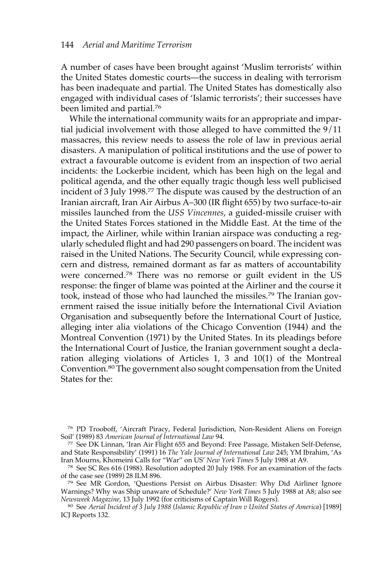A number of cases have been brought against 'Muslim terrorists' within the United States domestic courts—the success in dealing with terrorism has been inadequate and partial. The United States has domestically also engaged with individual cases of 'Islamic terrorists'; their successes have been limited and partial.76

While the international community waits for an appropriate and impartial judicial involvement with those alleged to have committed the 9/11 massacres, this review needs to assess the role of law in previous aerial disasters. A manipulation of political institutions and the use of power to extract a favourable outcome is evident from an inspection of two aerial incidents: the Lockerbie incident, which has been high on the legal and political agenda, and the other equally tragic though less well publicised incident of 3 July 1998.77 The dispute was caused by the destruction of an Iranian aircraft, Iran Air Airbus A–300 (IR flight 655) by two surface-to-air missiles launched from the *USS Vincennes*, a guided-missile cruiser with the United States Forces stationed in the Middle East. At the time of the impact, the Airliner, while within Iranian airspace was conducting a regularly scheduled flight and had 290 passengers on board. The incident was raised in the United Nations. The Security Council, while expressing concern and distress, remained dormant as far as matters of accountability were concerned.78 There was no remorse or guilt evident in the US response: the finger of blame was pointed at the Airliner and the course it took, instead of those who had launched the missiles.79 The Iranian government raised the issue initially before the International Civil Aviation Organisation and subsequently before the International Court of Justice, alleging inter alia violations of the Chicago Convention (1944) and the Montreal Convention (1971) by the United States. In its pleadings before the International Court of Justice, the Iranian government sought a declaration alleging violations of Articles 1, 3 and 10(1) of the Montreal Convention.80 The government also sought compensation from the United States for the:

<sup>76</sup> PD Trooboff, 'Aircraft Piracy, Federal Jurisdiction, Non-Resident Aliens on Foreign Soil' (1989) 83 *American Journal of International Law* 94.

<sup>77</sup> See DK Linnan, 'Iran Air Flight 655 and Beyond: Free Passage, Mistaken Self-Defense, and State Responsibility' (1991) 16 *The Yale Journal of International Law* 245; YM Ibrahim, 'As Iran Mourns, Khomeini Calls for "War" on US' *New York Times* 5 July 1988 at A9.

<sup>78</sup> See SC Res 616 (1988). Resolution adopted 20 July 1988. For an examination of the facts of the case see (1989) 28 ILM 896.

<sup>79</sup> See MR Gordon, 'Questions Persist on Airbus Disaster: Why Did Airliner Ignore Warnings? Why was Ship unaware of Schedule?' *New York Times* 5 July 1988 at A8; also see *Newsweek Magazine*, 13 July 1992 (for criticisms of Captain Will Rogers).

<sup>80</sup> See *Aerial Incident of 3 July 1988* (*Islamic Republic of Iran v United States of America*) [1989] ICJ Reports 132.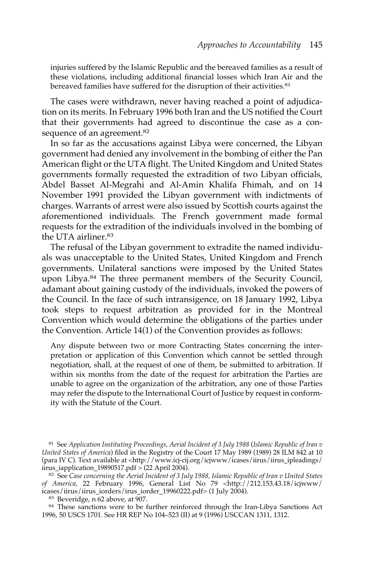injuries suffered by the Islamic Republic and the bereaved families as a result of these violations, including additional financial losses which Iran Air and the bereaved families have suffered for the disruption of their activities.<sup>81</sup>

The cases were withdrawn, never having reached a point of adjudication on its merits. In February 1996 both Iran and the US notified the Court that their governments had agreed to discontinue the case as a consequence of an agreement.<sup>82</sup>

In so far as the accusations against Libya were concerned, the Libyan government had denied any involvement in the bombing of either the Pan American flight or the UTA flight. The United Kingdom and United States governments formally requested the extradition of two Libyan officials, Abdel Basset Al-Megrahi and Al-Amin Khalifa Fhimah, and on 14 November 1991 provided the Libyan government with indictments of charges. Warrants of arrest were also issued by Scottish courts against the aforementioned individuals. The French government made formal requests for the extradition of the individuals involved in the bombing of the UTA airliner.<sup>83</sup>

The refusal of the Libyan government to extradite the named individuals was unacceptable to the United States, United Kingdom and French governments. Unilateral sanctions were imposed by the United States upon Libya.84 The three permanent members of the Security Council, adamant about gaining custody of the individuals, invoked the powers of the Council. In the face of such intransigence, on 18 January 1992, Libya took steps to request arbitration as provided for in the Montreal Convention which would determine the obligations of the parties under the Convention. Article 14(1) of the Convention provides as follows:

Any dispute between two or more Contracting States concerning the interpretation or application of this Convention which cannot be settled through negotiation, shall, at the request of one of them, be submitted to arbitration. If within six months from the date of the request for arbitration the Parties are unable to agree on the organization of the arbitration, any one of those Parties may refer the dispute to the International Court of Justice by request in conformity with the Statute of the Court.

<sup>81</sup> See *Application Instituting Proceedings, Aerial Incident of 3 July 1988* (*Islamic Republic of Iran v United States of America*) filed in the Registry of the Court 17 May 1989 (1989) 28 ILM 842 at 10 (para IV C). Text available at <http://www.icj-cij.org/icjwww/icases/iirus/iirus\_ipleadings/ iirus\_iapplication\_19890517.pdf > (22 April 2004).

<sup>82</sup> See *Case concerning the Aerial Incident of 3 July 1988, Islamic Republic of Iran v United States of America,* 22 February 1996, General List No 79 <http://212.153.43.18/icjwww/ icases/iirus/iirus\_iorders/irus\_iorder\_19960222.pdf> (1 July 2004).

<sup>83</sup> Beveridge, n 62 above, at 907.

<sup>84</sup> These sanctions were to be further reinforced through the Iran-Libya Sanctions Act 1996, 50 USCS 1701. See HR REP No 104–523 (II) at 9 (1996) USCCAN 1311, 1312.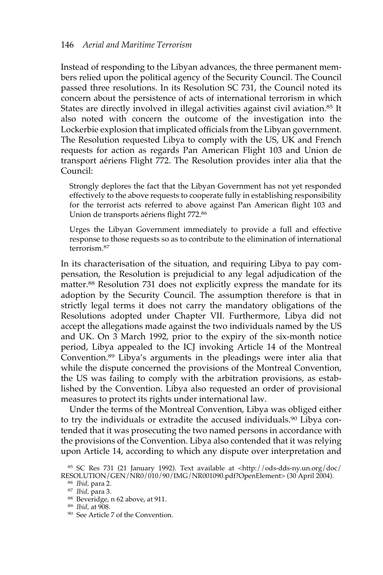Instead of responding to the Libyan advances, the three permanent members relied upon the political agency of the Security Council. The Council passed three resolutions. In its Resolution SC 731, the Council noted its concern about the persistence of acts of international terrorism in which States are directly involved in illegal activities against civil aviation.<sup>85</sup> It also noted with concern the outcome of the investigation into the Lockerbie explosion that implicated officials from the Libyan government. The Resolution requested Libya to comply with the US, UK and French requests for action as regards Pan American Flight 103 and Union de transport aériens Flight 772. The Resolution provides inter alia that the Council:

Strongly deplores the fact that the Libyan Government has not yet responded effectively to the above requests to cooperate fully in establishing responsibility for the terrorist acts referred to above against Pan American flight 103 and Union de transports aériens flight 772.86

Urges the Libyan Government immediately to provide a full and effective response to those requests so as to contribute to the elimination of international terrorism.<sup>87</sup>

In its characterisation of the situation, and requiring Libya to pay compensation, the Resolution is prejudicial to any legal adjudication of the matter.<sup>88</sup> Resolution 731 does not explicitly express the mandate for its adoption by the Security Council. The assumption therefore is that in strictly legal terms it does not carry the mandatory obligations of the Resolutions adopted under Chapter VII. Furthermore, Libya did not accept the allegations made against the two individuals named by the US and UK. On 3 March 1992, prior to the expiry of the six-month notice period, Libya appealed to the ICJ invoking Article 14 of the Montreal Convention.89 Libya's arguments in the pleadings were inter alia that while the dispute concerned the provisions of the Montreal Convention, the US was failing to comply with the arbitration provisions, as established by the Convention. Libya also requested an order of provisional measures to protect its rights under international law.

Under the terms of the Montreal Convention, Libya was obliged either to try the individuals or extradite the accused individuals.<sup>90</sup> Libya contended that it was prosecuting the two named persons in accordance with the provisions of the Convention. Libya also contended that it was relying upon Article 14, according to which any dispute over interpretation and

<sup>85</sup> SC Res 731 (21 January 1992). Text available at <http://ods-dds-ny.un.org/doc/ RESOLUTION/GEN/NR0/010/90/IMG/NR001090.pdf?OpenElement> (30 April 2004).

<sup>86</sup> *Ibid,* para 2.

<sup>87</sup> *Ibid,* para 3.

<sup>88</sup> Beveridge, n 62 above, at 911.

<sup>89</sup> *Ibid,* at 908.

<sup>90</sup> See Article 7 of the Convention.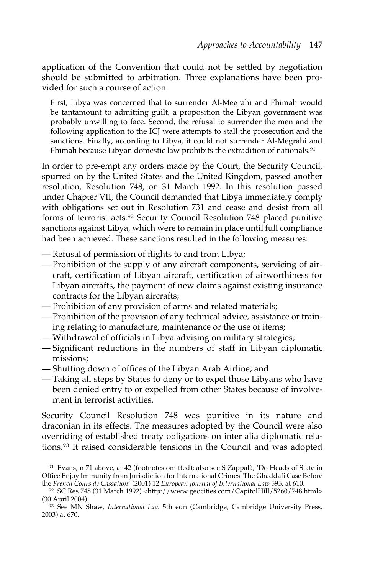application of the Convention that could not be settled by negotiation should be submitted to arbitration. Three explanations have been provided for such a course of action:

First, Libya was concerned that to surrender Al-Megrahi and Fhimah would be tantamount to admitting guilt, a proposition the Libyan government was probably unwilling to face. Second, the refusal to surrender the men and the following application to the ICJ were attempts to stall the prosecution and the sanctions. Finally, according to Libya, it could not surrender Al-Megrahi and Fhimah because Libyan domestic law prohibits the extradition of nationals.<sup>91</sup>

In order to pre-empt any orders made by the Court, the Security Council, spurred on by the United States and the United Kingdom, passed another resolution, Resolution 748, on 31 March 1992. In this resolution passed under Chapter VII, the Council demanded that Libya immediately comply with obligations set out in Resolution 731 and cease and desist from all forms of terrorist acts.92 Security Council Resolution 748 placed punitive sanctions against Libya, which were to remain in place until full compliance had been achieved. These sanctions resulted in the following measures:

- Refusal of permission of flights to and from Libya;
- Prohibition of the supply of any aircraft components, servicing of aircraft, certification of Libyan aircraft, certification of airworthiness for Libyan aircrafts, the payment of new claims against existing insurance contracts for the Libyan aircrafts;
- Prohibition of any provision of arms and related materials;
- Prohibition of the provision of any technical advice, assistance or training relating to manufacture, maintenance or the use of items;
- Withdrawal of officials in Libya advising on military strategies;
- Significant reductions in the numbers of staff in Libyan diplomatic missions;
- Shutting down of offices of the Libyan Arab Airline; and
- Taking all steps by States to deny or to expel those Libyans who have been denied entry to or expelled from other States because of involvement in terrorist activities.

Security Council Resolution 748 was punitive in its nature and draconian in its effects. The measures adopted by the Council were also overriding of established treaty obligations on inter alia diplomatic relations.<sup>93</sup> It raised considerable tensions in the Council and was adopted

<sup>91</sup> Evans, n 71 above, at 42 (footnotes omitted); also see S Zappalà, 'Do Heads of State in Office Enjoy Immunity from Jurisdiction for International Crimes: The Ghaddafi Case Before the *French Cours de Cassation*' (2001) 12 *European Journal of International Law* 595, at 610.

<sup>92</sup> SC Res 748 (31 March 1992) <http://www.geocities.com/CapitolHill/5260/748.html> (30 April 2004).

<sup>93</sup> See MN Shaw, *International Law* 5th edn (Cambridge, Cambridge University Press, 2003) at 670.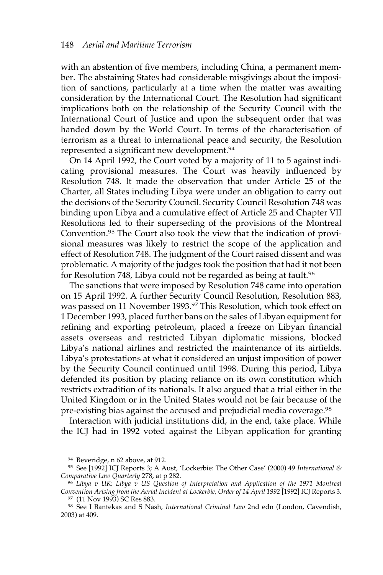with an abstention of five members, including China, a permanent member. The abstaining States had considerable misgivings about the imposition of sanctions, particularly at a time when the matter was awaiting consideration by the International Court. The Resolution had significant implications both on the relationship of the Security Council with the International Court of Justice and upon the subsequent order that was handed down by the World Court. In terms of the characterisation of terrorism as a threat to international peace and security, the Resolution represented a significant new development.94

On 14 April 1992, the Court voted by a majority of 11 to 5 against indicating provisional measures. The Court was heavily influenced by Resolution 748. It made the observation that under Article 25 of the Charter, all States including Libya were under an obligation to carry out the decisions of the Security Council. Security Council Resolution 748 was binding upon Libya and a cumulative effect of Article 25 and Chapter VII Resolutions led to their superseding of the provisions of the Montreal Convention.95 The Court also took the view that the indication of provisional measures was likely to restrict the scope of the application and effect of Resolution 748. The judgment of the Court raised dissent and was problematic. A majority of the judges took the position that had it not been for Resolution 748, Libya could not be regarded as being at fault.<sup>96</sup>

The sanctions that were imposed by Resolution 748 came into operation on 15 April 1992. A further Security Council Resolution, Resolution 883, was passed on 11 November 1993.97 This Resolution, which took effect on 1 December 1993, placed further bans on the sales of Libyan equipment for refining and exporting petroleum, placed a freeze on Libyan financial assets overseas and restricted Libyan diplomatic missions, blocked Libya's national airlines and restricted the maintenance of its airfields. Libya's protestations at what it considered an unjust imposition of power by the Security Council continued until 1998. During this period, Libya defended its position by placing reliance on its own constitution which restricts extradition of its nationals. It also argued that a trial either in the United Kingdom or in the United States would not be fair because of the pre-existing bias against the accused and prejudicial media coverage.<sup>98</sup>

Interaction with judicial institutions did, in the end, take place. While the ICJ had in 1992 voted against the Libyan application for granting

<sup>94</sup> Beveridge, n 62 above, at 912.

<sup>95</sup> See [1992] ICJ Reports 3; A Aust, 'Lockerbie: The Other Case' (2000) 49 *International & Comparative Law Quarterly* 278, at p 282.

<sup>96</sup> *Libya v UK; Libya v US Question of Interpretation and Application of the 1971 Montreal Convention Arising from the Aerial Incident at Lockerbie, Order of 14 April 1992* [1992] ICJ Reports 3. 97 (11 Nov 1993) SC Res 883.

<sup>98</sup> See I Bantekas and S Nash, *International Criminal Law* 2nd edn (London, Cavendish, 2003) at 409.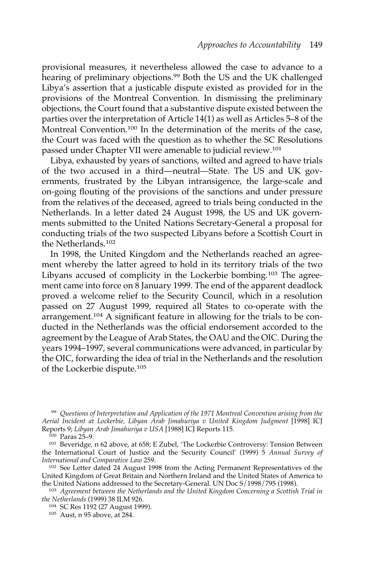provisional measures, it nevertheless allowed the case to advance to a hearing of preliminary objections.<sup>99</sup> Both the US and the UK challenged Libya's assertion that a justicable dispute existed as provided for in the provisions of the Montreal Convention. In dismissing the preliminary objections, the Court found that a substantive dispute existed between the parties over the interpretation of Article 14(1) as well as Articles 5–8 of the Montreal Convention.<sup>100</sup> In the determination of the merits of the case, the Court was faced with the question as to whether the SC Resolutions passed under Chapter VII were amenable to judicial review.101

Libya, exhausted by years of sanctions, wilted and agreed to have trials of the two accused in a third—neutral—State. The US and UK governments, frustrated by the Libyan intransigence, the large-scale and on-going flouting of the provisions of the sanctions and under pressure from the relatives of the deceased, agreed to trials being conducted in the Netherlands. In a letter dated 24 August 1998, the US and UK governments submitted to the United Nations Secretary-General a proposal for conducting trials of the two suspected Libyans before a Scottish Court in the Netherlands<sup>102</sup>

In 1998, the United Kingdom and the Netherlands reached an agreement whereby the latter agreed to hold in its territory trials of the two Libyans accused of complicity in the Lockerbie bombing.103 The agreement came into force on 8 January 1999. The end of the apparent deadlock proved a welcome relief to the Security Council, which in a resolution passed on 27 August 1999, required all States to co-operate with the arrangement.<sup>104</sup> A significant feature in allowing for the trials to be conducted in the Netherlands was the official endorsement accorded to the agreement by the League of Arab States, the OAU and the OIC. During the years 1994–1997, several communications were advanced, in particular by the OIC, forwarding the idea of trial in the Netherlands and the resolution of the Lockerbie dispute.<sup>105</sup>

<sup>99</sup> *Questions of Interpretation and Application of the 1971 Montreal Convention arising from the Aerial Incident at Lockerbie, Libyan Arab Jimahuriya v United Kingdom Judgment* [1998] ICJ Reports 9; *Libyan Arab Jimahuriya v USA* [1988] ICJ Reports 115.

<sup>100</sup> Paras 25–9.

<sup>101</sup> Beveridge, n 62 above, at 658; E Zubel, 'The Lockerbie Controversy: Tension Between the International Court of Justice and the Security Council' (1999) 5 *Annual Survey of International and Comparative Law* 259.

<sup>102</sup> See Letter dated 24 August 1998 from the Acting Permanent Representatives of the United Kingdom of Great Britain and Northern Ireland and the United States of America to the United Nations addressed to the Secretary-General. UN Doc S/1998/795 (1998).

<sup>103</sup> *Agreement between the Netherlands and the United Kingdom Concerning a Scottish Trial in the Netherlands* (1999) 38 ILM 926.

<sup>104</sup> SC Res 1192 (27 August 1999).

<sup>105</sup> Aust, n 95 above, at 284.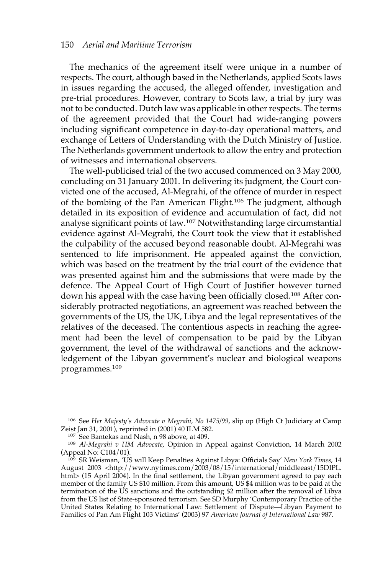The mechanics of the agreement itself were unique in a number of respects. The court, although based in the Netherlands, applied Scots laws in issues regarding the accused, the alleged offender, investigation and pre-trial procedures. However, contrary to Scots law, a trial by jury was not to be conducted. Dutch law was applicable in other respects. The terms of the agreement provided that the Court had wide-ranging powers including significant competence in day-to-day operational matters, and exchange of Letters of Understanding with the Dutch Ministry of Justice. The Netherlands government undertook to allow the entry and protection of witnesses and international observers.

The well-publicised trial of the two accused commenced on 3 May 2000, concluding on 31 January 2001. In delivering its judgment, the Court convicted one of the accused, Al-Megrahi, of the offence of murder in respect of the bombing of the Pan American Flight.106 The judgment, although detailed in its exposition of evidence and accumulation of fact, did not analyse significant points of law.107 Notwithstanding large circumstantial evidence against Al-Megrahi, the Court took the view that it established the culpability of the accused beyond reasonable doubt. Al-Megrahi was sentenced to life imprisonment. He appealed against the conviction, which was based on the treatment by the trial court of the evidence that was presented against him and the submissions that were made by the defence. The Appeal Court of High Court of Justifier however turned down his appeal with the case having been officially closed.108 After considerably protracted negotiations, an agreement was reached between the governments of the US, the UK, Libya and the legal representatives of the relatives of the deceased. The contentious aspects in reaching the agreement had been the level of compensation to be paid by the Libyan government, the level of the withdrawal of sanctions and the acknowledgement of the Libyan government's nuclear and biological weapons programmes.109

<sup>107</sup> See Bantekas and Nash, n 98 above, at 409.

<sup>106</sup> See *Her Majesty's Advocate v Megrahi, No 1475/99*, slip op (High Ct Judiciary at Camp Zeist Jan 31, 2001), reprinted in (2001) 40 ILM 582.

<sup>108</sup> *Al-Megrahi v HM Advocate*, Opinion in Appeal against Conviction, 14 March 2002 (Appeal No: C104/01).

<sup>109</sup> SR Weisman, 'US will Keep Penalties Against Libya: Officials Say' *New York Times*, 14 August 2003 <http://www.nytimes.com/2003/08/15/international/middleeast/15DIPL. html> (15 April 2004). In the final settlement, the Libyan government agreed to pay each member of the family US \$10 million. From this amount, US \$4 million was to be paid at the termination of the US sanctions and the outstanding \$2 million after the removal of Libya from the US list of State-sponsored terrorism. See SD Murphy 'Contemporary Practice of the United States Relating to International Law: Settlement of Dispute—Libyan Payment to Families of Pan Am Flight 103 Victims' (2003) 97 *American Journal of International Law* 987.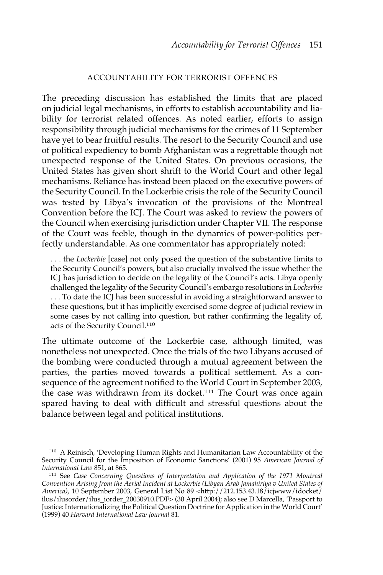# ACCOUNTABILITY FOR TERRORIST OFFENCES

The preceding discussion has established the limits that are placed on judicial legal mechanisms, in efforts to establish accountability and liability for terrorist related offences. As noted earlier, efforts to assign responsibility through judicial mechanisms for the crimes of 11 September have yet to bear fruitful results. The resort to the Security Council and use of political expediency to bomb Afghanistan was a regrettable though not unexpected response of the United States. On previous occasions, the United States has given short shrift to the World Court and other legal mechanisms. Reliance has instead been placed on the executive powers of the Security Council. In the Lockerbie crisis the role of the Security Council was tested by Libya's invocation of the provisions of the Montreal Convention before the ICJ. The Court was asked to review the powers of the Council when exercising jurisdiction under Chapter VII. The response of the Court was feeble, though in the dynamics of power-politics perfectly understandable. As one commentator has appropriately noted:

. . . the *Lockerbie* [case] not only posed the question of the substantive limits to the Security Council's powers, but also crucially involved the issue whether the ICJ has jurisdiction to decide on the legality of the Council's acts. Libya openly challenged the legality of the Security Council's embargo resolutions in *Lockerbie* . . . To date the ICJ has been successful in avoiding a straightforward answer to these questions, but it has implicitly exercised some degree of judicial review in some cases by not calling into question, but rather confirming the legality of, acts of the Security Council.110

The ultimate outcome of the Lockerbie case, although limited, was nonetheless not unexpected. Once the trials of the two Libyans accused of the bombing were conducted through a mutual agreement between the parties, the parties moved towards a political settlement. As a consequence of the agreement notified to the World Court in September 2003, the case was withdrawn from its docket.<sup>111</sup> The Court was once again spared having to deal with difficult and stressful questions about the balance between legal and political institutions.

<sup>110</sup> A Reinisch, 'Developing Human Rights and Humanitarian Law Accountability of the Security Council for the Imposition of Economic Sanctions' (2001) 95 *American Journal of International Law* 851, at 865.

<sup>111</sup> See *Case Concerning Questions of Interpretation and Application of the 1971 Montreal Convention Arising from the Aerial Incident at Lockerbie (Libyan Arab Jamahiriya v United States of America)*, 10 September 2003, General List No 89 <http://212.153.43.18/icjwww/idocket/ ilus/ilusorder/ilus\_iorder\_20030910.PDF> (30 April 2004); also see D Marcella, 'Passport to Justice: Internationalizing the Political Question Doctrine for Application in the World Court' (1999) 40 *Harvard International Law Journal* 81.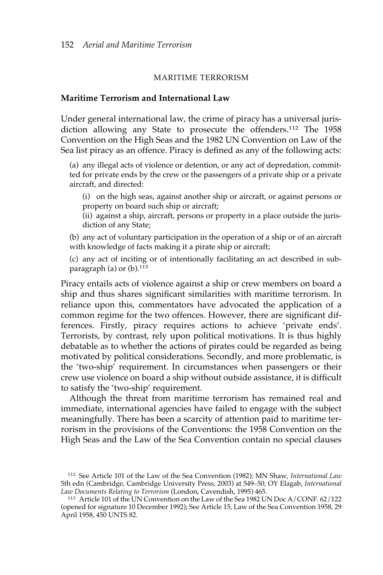## MARITIME TERRORISM

## **Maritime Terrorism and International Law**

Under general international law, the crime of piracy has a universal jurisdiction allowing any State to prosecute the offenders.112 The 1958 Convention on the High Seas and the 1982 UN Convention on Law of the Sea list piracy as an offence. Piracy is defined as any of the following acts:

(a) any illegal acts of violence or detention, or any act of depredation, committed for private ends by the crew or the passengers of a private ship or a private aircraft, and directed:

- (i) on the high seas, against another ship or aircraft, or against persons or property on board such ship or aircraft;
- (ii) against a ship, aircraft, persons or property in a place outside the jurisdiction of any State;

(b) any act of voluntary participation in the operation of a ship or of an aircraft with knowledge of facts making it a pirate ship or aircraft;

(c) any act of inciting or of intentionally facilitating an act described in subparagraph (a) or  $(b)$ .<sup>113</sup>

Piracy entails acts of violence against a ship or crew members on board a ship and thus shares significant similarities with maritime terrorism. In reliance upon this, commentators have advocated the application of a common regime for the two offences. However, there are significant differences. Firstly, piracy requires actions to achieve 'private ends'. Terrorists, by contrast, rely upon political motivations. It is thus highly debatable as to whether the actions of pirates could be regarded as being motivated by political considerations. Secondly, and more problematic, is the 'two-ship' requirement. In circumstances when passengers or their crew use violence on board a ship without outside assistance, it is difficult to satisfy the 'two-ship' requirement.

Although the threat from maritime terrorism has remained real and immediate, international agencies have failed to engage with the subject meaningfully. There has been a scarcity of attention paid to maritime terrorism in the provisions of the Conventions: the 1958 Convention on the High Seas and the Law of the Sea Convention contain no special clauses

<sup>112</sup> See Article 101 of the Law of the Sea Convention (1982); MN Shaw, *International Law* 5th edn (Cambridge, Cambridge University Press, 2003) at 549–50; OY Elagab, *International Law Documents Relating to Terrorism* (London, Cavendish, 1995) 465.

<sup>113</sup> Article 101 of the UN Convention on the Law of the Sea 1982 UN Doc A/CONF. 62/122 (opened for signature 10 December 1992); See Article 15, Law of the Sea Convention 1958, 29 April 1958, 450 UNTS 82.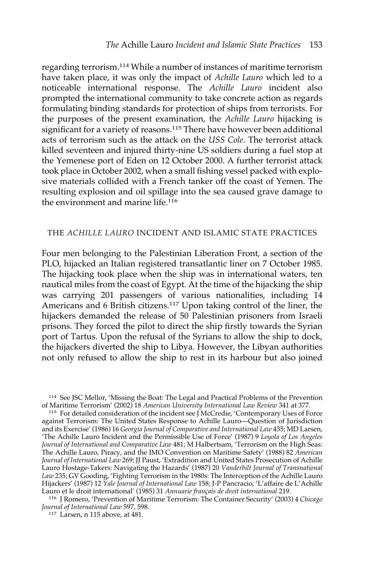regarding terrorism.<sup>114</sup> While a number of instances of maritime terrorism have taken place, it was only the impact of *Achille Lauro* which led to a noticeable international response. The *Achille Lauro* incident also prompted the international community to take concrete action as regards formulating binding standards for protection of ships from terrorists. For the purposes of the present examination, the *Achille Lauro* hijacking is significant for a variety of reasons.<sup>115</sup> There have however been additional acts of terrorism such as the attack on the *USS Cole*. The terrorist attack killed seventeen and injured thirty-nine US soldiers during a fuel stop at the Yemenese port of Eden on 12 October 2000. A further terrorist attack took place in October 2002, when a small fishing vessel packed with explosive materials collided with a French tanker off the coast of Yemen. The resulting explosion and oil spillage into the sea caused grave damage to the environment and marine life.<sup>116</sup>

# THE *ACHILLE LAURO* INCIDENT AND ISLAMIC STATE PRACTICES

Four men belonging to the Palestinian Liberation Front, a section of the PLO, hijacked an Italian registered transatlantic liner on 7 October 1985. The hijacking took place when the ship was in international waters, ten nautical miles from the coast of Egypt. At the time of the hijacking the ship was carrying 201 passengers of various nationalities, including 14 Americans and 6 British citizens.117 Upon taking control of the liner, the hijackers demanded the release of 50 Palestinian prisoners from Israeli prisons. They forced the pilot to direct the ship firstly towards the Syrian port of Tartus. Upon the refusal of the Syrians to allow the ship to dock, the hijackers diverted the ship to Libya. However, the Libyan authorities not only refused to allow the ship to rest in its harbour but also joined

<sup>114</sup> See JSC Mellor, 'Missing the Boat: The Legal and Practical Problems of the Prevention of Maritime Terrorism' (2002) 18 *American University International Law Review* 341 at 377.

<sup>115</sup> For detailed consideration of the incident see J McCredie, 'Contemporary Uses of Force against Terrorism: The United States Response to Achille Lauro—Question of Jurisdiction and its Exercise' (1986) 16 *Georgia Journal of Comparative and International Law* 435; MD Larsen, 'The Achille Lauro Incident and the Permissible Use of Force' (1987) 9 *Loyola of Los Angeles Journal of International and Comparative Law* 481; M Halbertsam, 'Terrorism on the High Seas: The Achille Lauro, Piracy, and the IMO Convention on Maritime Safety' (1988) 82 *American* Journal of International Law 269; JJ Paust, 'Extradition and United States Prosecution of Achille Lauro Hostage-Takers: Navigating the Hazards' (1987) 20 *Vanderbilt Journal of Transnational Law* 235; GV Gooding, 'Fighting Terrorism in the 1980s: The Interception of the Achille Lauro Hijackers' (1987) 12 *Yale Journal of International Law* 158; J-P Pancracio, 'L'affaire de L'Achille Lauro et le droit international' (1985) 31 *Annuarie français de droit international* 219.

<sup>116</sup> J Romero, 'Prevention of Maritime Terrorism: The Container Security' (2003) 4 *Chicago Journal of International Law* 597, 598.

<sup>117</sup> Larsen, n 115 above, at 481.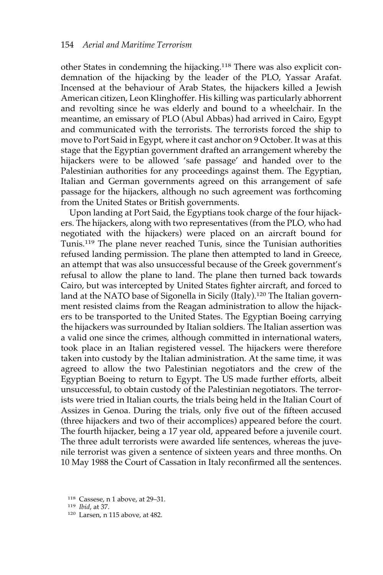other States in condemning the hijacking.118 There was also explicit condemnation of the hijacking by the leader of the PLO, Yassar Arafat. Incensed at the behaviour of Arab States, the hijackers killed a Jewish American citizen, Leon Klinghoffer. His killing was particularly abhorrent and revolting since he was elderly and bound to a wheelchair. In the meantime, an emissary of PLO (Abul Abbas) had arrived in Cairo, Egypt and communicated with the terrorists. The terrorists forced the ship to move to Port Said in Egypt, where it cast anchor on 9 October. It was at this stage that the Egyptian government drafted an arrangement whereby the hijackers were to be allowed 'safe passage' and handed over to the Palestinian authorities for any proceedings against them. The Egyptian, Italian and German governments agreed on this arrangement of safe passage for the hijackers, although no such agreement was forthcoming from the United States or British governments.

Upon landing at Port Said, the Egyptians took charge of the four hijackers. The hijackers, along with two representatives (from the PLO, who had negotiated with the hijackers) were placed on an aircraft bound for Tunis.119 The plane never reached Tunis, since the Tunisian authorities refused landing permission. The plane then attempted to land in Greece, an attempt that was also unsuccessful because of the Greek government's refusal to allow the plane to land. The plane then turned back towards Cairo, but was intercepted by United States fighter aircraft, and forced to land at the NATO base of Sigonella in Sicily (Italy).<sup>120</sup> The Italian government resisted claims from the Reagan administration to allow the hijackers to be transported to the United States. The Egyptian Boeing carrying the hijackers was surrounded by Italian soldiers. The Italian assertion was a valid one since the crimes, although committed in international waters, took place in an Italian registered vessel. The hijackers were therefore taken into custody by the Italian administration. At the same time, it was agreed to allow the two Palestinian negotiators and the crew of the Egyptian Boeing to return to Egypt. The US made further efforts, albeit unsuccessful, to obtain custody of the Palestinian negotiators. The terrorists were tried in Italian courts, the trials being held in the Italian Court of Assizes in Genoa. During the trials, only five out of the fifteen accused (three hijackers and two of their accomplices) appeared before the court. The fourth hijacker, being a 17 year old, appeared before a juvenile court. The three adult terrorists were awarded life sentences, whereas the juvenile terrorist was given a sentence of sixteen years and three months. On 10 May 1988 the Court of Cassation in Italy reconfirmed all the sentences.

<sup>118</sup> Cassese, n 1 above, at 29–31.

<sup>119</sup> *Ibid*, at 37.

<sup>120</sup> Larsen, n 115 above, at 482.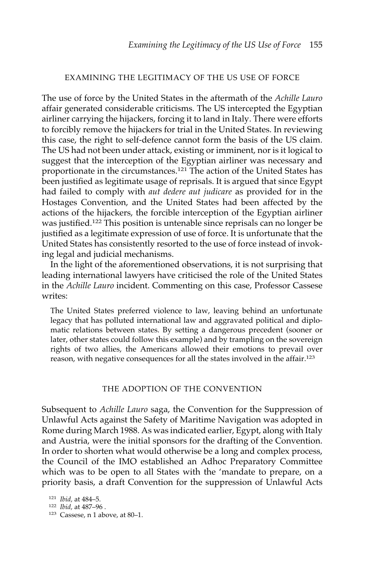# EXAMINING THE LEGITIMACY OF THE US USE OF FORCE

The use of force by the United States in the aftermath of the *Achille Lauro* affair generated considerable criticisms. The US intercepted the Egyptian airliner carrying the hijackers, forcing it to land in Italy. There were efforts to forcibly remove the hijackers for trial in the United States. In reviewing this case, the right to self-defence cannot form the basis of the US claim. The US had not been under attack, existing or imminent, nor is it logical to suggest that the interception of the Egyptian airliner was necessary and proportionate in the circumstances.121 The action of the United States has been justified as legitimate usage of reprisals. It is argued that since Egypt had failed to comply with *aut dedere aut judicare* as provided for in the Hostages Convention, and the United States had been affected by the actions of the hijackers, the forcible interception of the Egyptian airliner was justified.122 This position is untenable since reprisals can no longer be justified as a legitimate expression of use of force. It is unfortunate that the United States has consistently resorted to the use of force instead of invoking legal and judicial mechanisms.

In the light of the aforementioned observations, it is not surprising that leading international lawyers have criticised the role of the United States in the *Achille Lauro* incident. Commenting on this case, Professor Cassese writes:

The United States preferred violence to law, leaving behind an unfortunate legacy that has polluted international law and aggravated political and diplomatic relations between states. By setting a dangerous precedent (sooner or later, other states could follow this example) and by trampling on the sovereign rights of two allies, the Americans allowed their emotions to prevail over reason, with negative consequences for all the states involved in the affair.<sup>123</sup>

#### THE ADOPTION OF THE CONVENTION

Subsequent to *Achille Lauro* saga, the Convention for the Suppression of Unlawful Acts against the Safety of Maritime Navigation was adopted in Rome during March 1988. As was indicated earlier, Egypt, along with Italy and Austria, were the initial sponsors for the drafting of the Convention. In order to shorten what would otherwise be a long and complex process, the Council of the IMO established an Adhoc Preparatory Committee which was to be open to all States with the 'mandate to prepare, on a priority basis, a draft Convention for the suppression of Unlawful Acts

<sup>123</sup> Cassese, n 1 above, at 80–1.

<sup>121</sup> *Ibid,* at 484–5.

<sup>122</sup> *Ibid,* at 487–96 .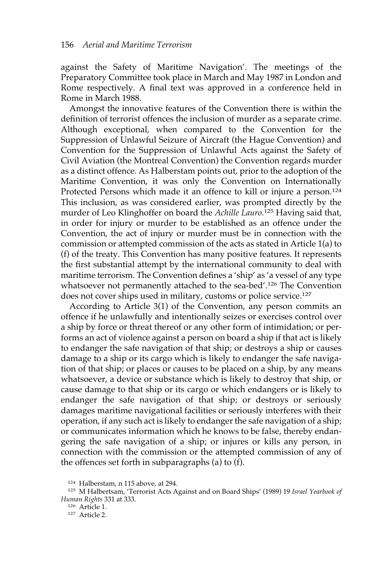against the Safety of Maritime Navigation'. The meetings of the Preparatory Committee took place in March and May 1987 in London and Rome respectively. A final text was approved in a conference held in Rome in March 1988.

Amongst the innovative features of the Convention there is within the definition of terrorist offences the inclusion of murder as a separate crime. Although exceptional, when compared to the Convention for the Suppression of Unlawful Seizure of Aircraft (the Hague Convention) and Convention for the Suppression of Unlawful Acts against the Safety of Civil Aviation (the Montreal Convention) the Convention regards murder as a distinct offence. As Halberstam points out, prior to the adoption of the Maritime Convention, it was only the Convention on Internationally Protected Persons which made it an offence to kill or injure a person.<sup>124</sup> This inclusion, as was considered earlier, was prompted directly by the murder of Leo Klinghoffer on board the *Achille Lauro*. <sup>125</sup> Having said that, in order for injury or murder to be established as an offence under the Convention, the act of injury or murder must be in connection with the commission or attempted commission of the acts as stated in Article 1(a) to (f) of the treaty. This Convention has many positive features. It represents the first substantial attempt by the international community to deal with maritime terrorism. The Convention defines a 'ship' as 'a vessel of any type whatsoever not permanently attached to the sea-bed'.<sup>126</sup> The Convention does not cover ships used in military, customs or police service.<sup>127</sup>

According to Article 3(1) of the Convention, any person commits an offence if he unlawfully and intentionally seizes or exercises control over a ship by force or threat thereof or any other form of intimidation; or performs an act of violence against a person on board a ship if that act is likely to endanger the safe navigation of that ship; or destroys a ship or causes damage to a ship or its cargo which is likely to endanger the safe navigation of that ship; or places or causes to be placed on a ship, by any means whatsoever, a device or substance which is likely to destroy that ship, or cause damage to that ship or its cargo or which endangers or is likely to endanger the safe navigation of that ship; or destroys or seriously damages maritime navigational facilities or seriously interferes with their operation, if any such act is likely to endanger the safe navigation of a ship; or communicates information which he knows to be false, thereby endangering the safe navigation of a ship; or injures or kills any person, in connection with the commission or the attempted commission of any of the offences set forth in subparagraphs (a) to  $(\bar{f})$ .

<sup>124</sup> Halberstam, n 115 above, at 294.

<sup>125</sup> M Halbertsam, 'Terrorist Acts Against and on Board Ships' (1989) 19 *Israel Yearbook of Human Rights* 331 at 333.

<sup>126</sup> Article 1.

<sup>127</sup> Article 2.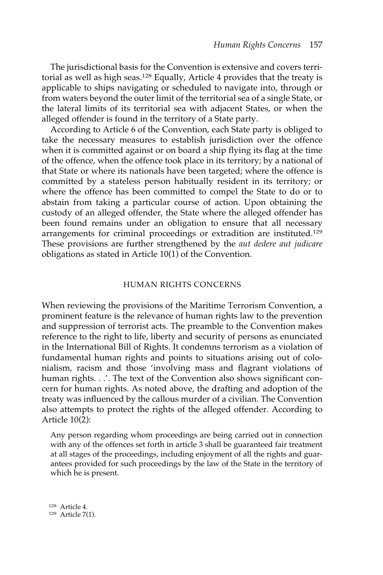The jurisdictional basis for the Convention is extensive and covers territorial as well as high seas.<sup>128</sup> Equally, Article 4 provides that the treaty is applicable to ships navigating or scheduled to navigate into, through or from waters beyond the outer limit of the territorial sea of a single State, or the lateral limits of its territorial sea with adjacent States, or when the alleged offender is found in the territory of a State party.

According to Article 6 of the Convention, each State party is obliged to take the necessary measures to establish jurisdiction over the offence when it is committed against or on board a ship flying its flag at the time of the offence, when the offence took place in its territory; by a national of that State or where its nationals have been targeted; where the offence is committed by a stateless person habitually resident in its territory; or where the offence has been committed to compel the State to do or to abstain from taking a particular course of action. Upon obtaining the custody of an alleged offender, the State where the alleged offender has been found remains under an obligation to ensure that all necessary arrangements for criminal proceedings or extradition are instituted.129 These provisions are further strengthened by the *aut dedere aut judicare* obligations as stated in Article 10(1) of the Convention.

# HUMAN RIGHTS CONCERNS

When reviewing the provisions of the Maritime Terrorism Convention, a prominent feature is the relevance of human rights law to the prevention and suppression of terrorist acts. The preamble to the Convention makes reference to the right to life, liberty and security of persons as enunciated in the International Bill of Rights. It condemns terrorism as a violation of fundamental human rights and points to situations arising out of colonialism, racism and those 'involving mass and flagrant violations of human rights. . .'. The text of the Convention also shows significant concern for human rights. As noted above, the drafting and adoption of the treaty was influenced by the callous murder of a civilian. The Convention also attempts to protect the rights of the alleged offender. According to Article 10(2):

Any person regarding whom proceedings are being carried out in connection with any of the offences set forth in article 3 shall be guaranteed fair treatment at all stages of the proceedings, including enjoyment of all the rights and guarantees provided for such proceedings by the law of the State in the territory of which he is present.

<sup>128</sup> Article 4. <sup>129</sup> Article 7(1).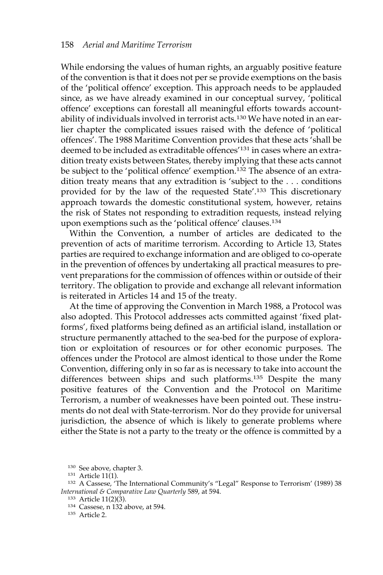While endorsing the values of human rights, an arguably positive feature of the convention is that it does not per se provide exemptions on the basis of the 'political offence' exception. This approach needs to be applauded since, as we have already examined in our conceptual survey, 'political offence' exceptions can forestall all meaningful efforts towards accountability of individuals involved in terrorist acts.<sup>130</sup> We have noted in an earlier chapter the complicated issues raised with the defence of 'political offences'. The 1988 Maritime Convention provides that these acts 'shall be deemed to be included as extraditable offences'131 in cases where an extradition treaty exists between States, thereby implying that these acts cannot be subject to the 'political offence' exemption.<sup>132</sup> The absence of an extradition treaty means that any extradition is 'subject to the . . . conditions provided for by the law of the requested State'.133 This discretionary approach towards the domestic constitutional system, however, retains the risk of States not responding to extradition requests, instead relying upon exemptions such as the 'political offence' clauses.134

Within the Convention, a number of articles are dedicated to the prevention of acts of maritime terrorism. According to Article 13, States parties are required to exchange information and are obliged to co-operate in the prevention of offences by undertaking all practical measures to prevent preparations for the commission of offences within or outside of their territory. The obligation to provide and exchange all relevant information is reiterated in Articles 14 and 15 of the treaty.

At the time of approving the Convention in March 1988, a Protocol was also adopted. This Protocol addresses acts committed against 'fixed platforms', fixed platforms being defined as an artificial island, installation or structure permanently attached to the sea-bed for the purpose of exploration or exploitation of resources or for other economic purposes. The offences under the Protocol are almost identical to those under the Rome Convention, differing only in so far as is necessary to take into account the differences between ships and such platforms.<sup>135</sup> Despite the many positive features of the Convention and the Protocol on Maritime Terrorism, a number of weaknesses have been pointed out. These instruments do not deal with State-terrorism. Nor do they provide for universal jurisdiction, the absence of which is likely to generate problems where either the State is not a party to the treaty or the offence is committed by a

<sup>130</sup> See above, chapter 3.

<sup>134</sup> Cassese, n 132 above, at 594.

<sup>135</sup> Article 2.

<sup>131</sup> Article 11(1).

<sup>132</sup> A Cassese, 'The International Community's "Legal" Response to Terrorism' (1989) 38 *International & Comparative Law Quarterly* 589, at 594.

<sup>133</sup> Article 11(2)(3).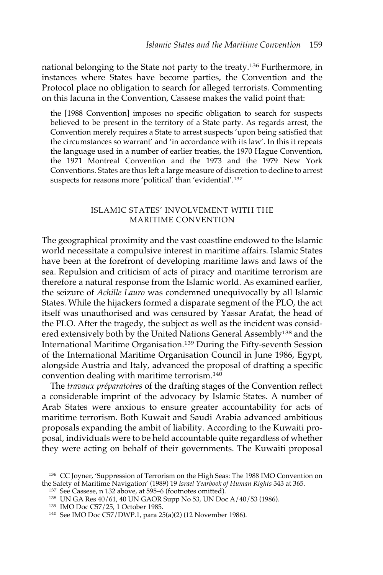national belonging to the State not party to the treaty.<sup>136</sup> Furthermore, in instances where States have become parties, the Convention and the Protocol place no obligation to search for alleged terrorists. Commenting on this lacuna in the Convention, Cassese makes the valid point that:

the [1988 Convention] imposes no specific obligation to search for suspects believed to be present in the territory of a State party. As regards arrest, the Convention merely requires a State to arrest suspects 'upon being satisfied that the circumstances so warrant' and 'in accordance with its law'. In this it repeats the language used in a number of earlier treaties, the 1970 Hague Convention, the 1971 Montreal Convention and the 1973 and the 1979 New York Conventions. States are thus left a large measure of discretion to decline to arrest suspects for reasons more 'political' than 'evidential'.137

# ISLAMIC STATES' INVOLVEMENT WITH THE MARITIME CONVENTION

The geographical proximity and the vast coastline endowed to the Islamic world necessitate a compulsive interest in maritime affairs. Islamic States have been at the forefront of developing maritime laws and laws of the sea. Repulsion and criticism of acts of piracy and maritime terrorism are therefore a natural response from the Islamic world. As examined earlier, the seizure of *Achille Lauro* was condemned unequivocally by all Islamic States. While the hijackers formed a disparate segment of the PLO, the act itself was unauthorised and was censured by Yassar Arafat, the head of the PLO. After the tragedy, the subject as well as the incident was considered extensively both by the United Nations General Assembly<sup>138</sup> and the International Maritime Organisation.<sup>139</sup> During the Fifty-seventh Session of the International Maritime Organisation Council in June 1986, Egypt, alongside Austria and Italy, advanced the proposal of drafting a specific convention dealing with maritime terrorism.140

The *travaux préparatoires* of the drafting stages of the Convention reflect a considerable imprint of the advocacy by Islamic States. A number of Arab States were anxious to ensure greater accountability for acts of maritime terrorism. Both Kuwait and Saudi Arabia advanced ambitious proposals expanding the ambit of liability. According to the Kuwaiti proposal, individuals were to be held accountable quite regardless of whether they were acting on behalf of their governments. The Kuwaiti proposal

<sup>136</sup> CC Joyner, 'Suppression of Terrorism on the High Seas: The 1988 IMO Convention on the Safety of Maritime Navigation' (1989) 19 *Israel Yearbook of Human Rights* 343 at 365.

<sup>137</sup> See Cassese, n 132 above, at 595–6 (footnotes omitted).

<sup>138</sup> UN GA Res 40/61, 40 UN GAOR Supp No 53, UN Doc A/40/53 (1986).

<sup>139</sup> IMO Doc C57/25, 1 October 1985.

<sup>140</sup> See IMO Doc C57/DWP.1, para 25(a)(2) (12 November 1986).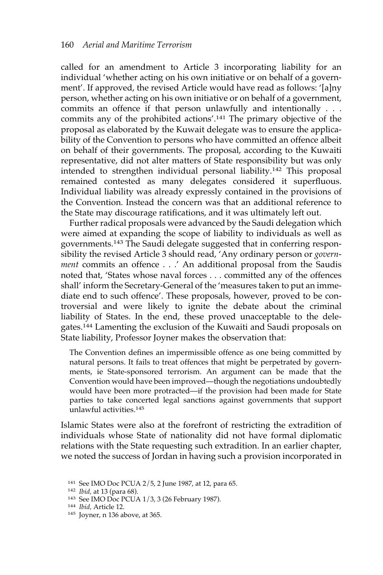called for an amendment to Article 3 incorporating liability for an individual 'whether acting on his own initiative or on behalf of a government'. If approved, the revised Article would have read as follows: '[a]ny person, whether acting on his own initiative or on behalf of a government, commits an offence if that person unlawfully and intentionally . . . commits any of the prohibited actions'.141 The primary objective of the proposal as elaborated by the Kuwait delegate was to ensure the applicability of the Convention to persons who have committed an offence albeit on behalf of their governments. The proposal, according to the Kuwaiti representative, did not alter matters of State responsibility but was only intended to strengthen individual personal liability.<sup>142</sup> This proposal remained contested as many delegates considered it superfluous. Individual liability was already expressly contained in the provisions of the Convention. Instead the concern was that an additional reference to the State may discourage ratifications, and it was ultimately left out.

Further radical proposals were advanced by the Saudi delegation which were aimed at expanding the scope of liability to individuals as well as governments.<sup>143</sup> The Saudi delegate suggested that in conferring responsibility the revised Article 3 should read, 'Any ordinary person or *government* commits an offence . . .' An additional proposal from the Saudis noted that, 'States whose naval forces . . . committed any of the offences shall' inform the Secretary-General of the 'measures taken to put an immediate end to such offence'. These proposals, however, proved to be controversial and were likely to ignite the debate about the criminal liability of States. In the end, these proved unacceptable to the delegates.<sup>144</sup> Lamenting the exclusion of the Kuwaiti and Saudi proposals on State liability, Professor Joyner makes the observation that:

The Convention defines an impermissible offence as one being committed by natural persons. It fails to treat offences that might be perpetrated by governments, ie State-sponsored terrorism. An argument can be made that the Convention would have been improved—though the negotiations undoubtedly would have been more protracted—if the provision had been made for State parties to take concerted legal sanctions against governments that support unlawful activities.<sup>145</sup>

Islamic States were also at the forefront of restricting the extradition of individuals whose State of nationality did not have formal diplomatic relations with the State requesting such extradition. In an earlier chapter, we noted the success of Jordan in having such a provision incorporated in

<sup>141</sup> See IMO Doc PCUA 2/5, 2 June 1987, at 12, para 65.

<sup>142</sup> *Ibid,* at 13 (para 68).

<sup>143</sup> See IMO Doc PCUA 1/3, 3 (26 February 1987).

<sup>144</sup> *Ibid,* Article 12.

<sup>145</sup> Joyner, n 136 above, at 365.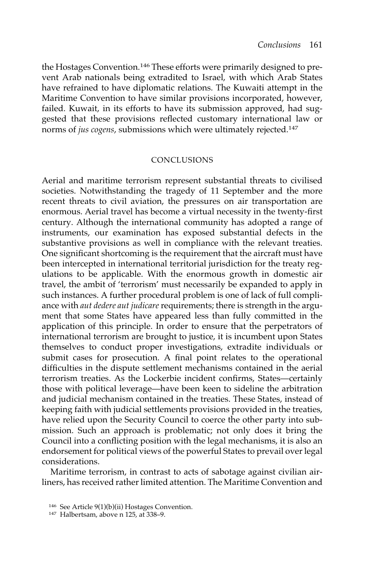the Hostages Convention.146 These efforts were primarily designed to prevent Arab nationals being extradited to Israel, with which Arab States have refrained to have diplomatic relations. The Kuwaiti attempt in the Maritime Convention to have similar provisions incorporated, however, failed. Kuwait, in its efforts to have its submission approved, had suggested that these provisions reflected customary international law or norms of *jus cogens*, submissions which were ultimately rejected.147

#### CONCLUSIONS

Aerial and maritime terrorism represent substantial threats to civilised societies. Notwithstanding the tragedy of 11 September and the more recent threats to civil aviation, the pressures on air transportation are enormous. Aerial travel has become a virtual necessity in the twenty-first century. Although the international community has adopted a range of instruments, our examination has exposed substantial defects in the substantive provisions as well in compliance with the relevant treaties. One significant shortcoming is the requirement that the aircraft must have been intercepted in international territorial jurisdiction for the treaty regulations to be applicable. With the enormous growth in domestic air travel, the ambit of 'terrorism' must necessarily be expanded to apply in such instances. A further procedural problem is one of lack of full compliance with *aut dedere aut judicare* requirements; there is strength in the argument that some States have appeared less than fully committed in the application of this principle. In order to ensure that the perpetrators of international terrorism are brought to justice, it is incumbent upon States themselves to conduct proper investigations, extradite individuals or submit cases for prosecution. A final point relates to the operational difficulties in the dispute settlement mechanisms contained in the aerial terrorism treaties. As the Lockerbie incident confirms, States—certainly those with political leverage—have been keen to sideline the arbitration and judicial mechanism contained in the treaties. These States, instead of keeping faith with judicial settlements provisions provided in the treaties, have relied upon the Security Council to coerce the other party into submission. Such an approach is problematic; not only does it bring the Council into a conflicting position with the legal mechanisms, it is also an endorsement for political views of the powerful States to prevail over legal considerations.

Maritime terrorism, in contrast to acts of sabotage against civilian airliners, has received rather limited attention. The Maritime Convention and

<sup>146</sup> See Article 9(1)(b)(ii) Hostages Convention.

<sup>147</sup> Halbertsam, above n 125, at 338–9.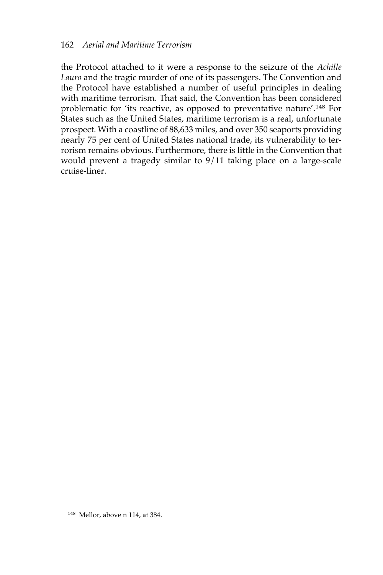the Protocol attached to it were a response to the seizure of the *Achille Lauro* and the tragic murder of one of its passengers. The Convention and the Protocol have established a number of useful principles in dealing with maritime terrorism. That said, the Convention has been considered problematic for 'its reactive, as opposed to preventative nature'.148 For States such as the United States, maritime terrorism is a real, unfortunate prospect. With a coastline of 88,633 miles, and over 350 seaports providing nearly 75 per cent of United States national trade, its vulnerability to terrorism remains obvious. Furthermore, there is little in the Convention that would prevent a tragedy similar to 9/11 taking place on a large-scale cruise-liner.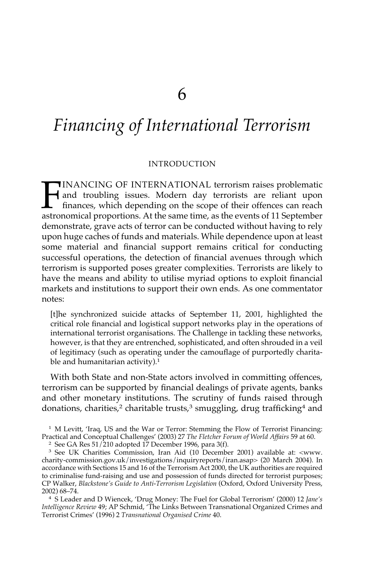# *Financing of International Terrorism*

## INTRODUCTION

INANCING OF INTERNATIONAL terrorism raises problematic<br>and troubling issues. Modern day terrorists are reliant upon<br>finances, which depending on the scope of their offences can reach<br>astronomical proportions. At the same t and troubling issues. Modern day terrorists are reliant upon finances, which depending on the scope of their offences can reach astronomical proportions. At the same time, as the events of 11 September demonstrate, grave acts of terror can be conducted without having to rely upon huge caches of funds and materials. While dependence upon at least some material and financial support remains critical for conducting successful operations, the detection of financial avenues through which terrorism is supported poses greater complexities. Terrorists are likely to have the means and ability to utilise myriad options to exploit financial markets and institutions to support their own ends. As one commentator notes:

[t]he synchronized suicide attacks of September 11, 2001, highlighted the critical role financial and logistical support networks play in the operations of international terrorist organisations. The Challenge in tackling these networks, however, is that they are entrenched, sophisticated, and often shrouded in a veil of legitimacy (such as operating under the camouflage of purportedly charitable and humanitarian activity).<sup>1</sup>

With both State and non-State actors involved in committing offences, terrorism can be supported by financial dealings of private agents, banks and other monetary institutions. The scrutiny of funds raised through donations, charities,<sup>2</sup> charitable trusts,<sup>3</sup> smuggling, drug trafficking<sup>4</sup> and

<sup>1</sup> M Levitt, 'Iraq, US and the War or Terror: Stemming the Flow of Terrorist Financing: Practical and Conceptual Challenges' (2003) 27 *The Fletcher Forum of World Affairs* 59 at 60.

<sup>2</sup> See GA Res 51/210 adopted 17 December 1996, para 3(f).

<sup>3</sup> See UK Charities Commission, Iran Aid (10 December 2001) available at: <www. charity-commission.gov.uk/investigations/inquiryreports/iran.asap> (20 March 2004). In accordance with Sections 15 and 16 of the Terrorism Act 2000, the UK authorities are required to criminalise fund-raising and use and possession of funds directed for terrorist purposes; CP Walker, *Blackstone's Guide to Anti-Terrorism Legislation* (Oxford, Oxford University Press, 2002) 68–74.

<sup>4</sup> S Leader and D Wiencek, 'Drug Money: The Fuel for Global Terrorism' (2000) 12 *Jane's Intelligence Review* 49; AP Schmid, 'The Links Between Transnational Organized Crimes and Terrorist Crimes' (1996) 2 *Transnational Organised Crime* 40.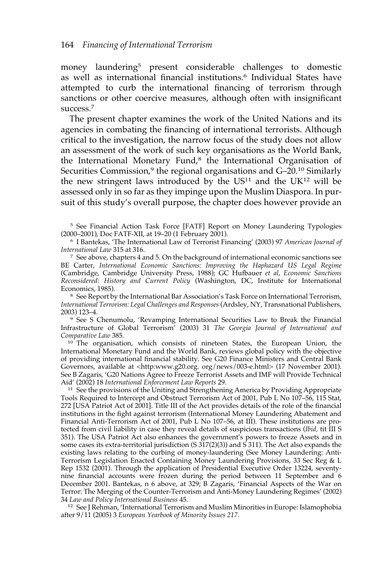money laundering<sup>5</sup> present considerable challenges to domestic as well as international financial institutions.6 Individual States have attempted to curb the international financing of terrorism through sanctions or other coercive measures, although often with insignificant success.7

The present chapter examines the work of the United Nations and its agencies in combating the financing of international terrorists. Although critical to the investigation, the narrow focus of the study does not allow an assessment of the work of such key organisations as the World Bank, the International Monetary Fund,<sup>8</sup> the International Organisation of Securities Commission, $9$  the regional organisations and  $G-20.10$  Similarly the new stringent laws introduced by the  $US<sup>11</sup>$  and the  $UK<sup>12</sup>$  will be assessed only in so far as they impinge upon the Muslim Diaspora. In pursuit of this study's overall purpose, the chapter does however provide an

<sup>5</sup> See Financial Action Task Force [FATF] Report on Money Laundering Typologies (2000–2001), Doc FATF-XII, at 19–20 (1 February 2001).

<sup>6</sup> I Bantekas, 'The International Law of Terrorist Financing' (2003) 97 *American Journal of International Law* 315 at 316.

 $7$  See above, chapters 4 and 5. On the background of international economic sanctions see BE Carter, *International Economic Sanctions: Improving the Haphazard US Legal Regime* (Cambridge, Cambridge University Press, 1988); GC Hufbauer *et al*, *Economic Sanctions Reconsidered: History and Current Policy* (Washington, DC, Institute for International Economics, 1985).

<sup>8</sup> See Report by the International Bar Association's Task Force on International Terrorism, *International Terrorism: Legal Challenges and Responses* (Ardsley, NY, Transnational Publishers, 2003) 123–4.

<sup>9</sup> See S Chenumolu, 'Revamping International Securities Law to Break the Financial Infrastructure of Global Terrorism' (2003) 31 *The Georgia Journal of International and Comparative Law* 385.

<sup>10</sup> The organisation, which consists of nineteen States, the European Union, the International Monetary Fund and the World Bank, reviews global policy with the objective of providing international financial stability. See G20 Finance Ministers and Central Bank Governors, available at <http:www.g20.org. org/news/003-e.html> (17 November 2001). See B Zagaris, 'G20 Nations Agree to Freeze Terrorist Assets and IMF will Provide Technical Aid' (2002) 18 *International Enforcement Law Reports* 29.

<sup>11</sup> See the provisions of the Uniting and Strengthening America by Providing Appropriate Tools Required to Intercept and Obstruct Terrorism Act of 2001, Pub L No 107–56, 115 Stat, 272 [USA Patriot Act of 2001]. Title III of the Act provides details of the role of the financial institutions in the fight against terrorism (International Money Laundering Abatement and Financial Anti-Terrorism Act of 2001, Pub L No 107–56, at III). These institutions are protected from civil liability in case they reveal details of suspicious transactions (*Ibid,* tit III S 351). The USA Patriot Act also enhances the government's powers to freeze Assets and in some cases its extra-territorial jurisdiction  $(S \, 317(2)(3))$  and  $\overline{S} \, 311)$ . The Act also expands the existing laws relating to the curbing of money-laundering (See Money Laundering: Anti-Terrorism Legislation Enacted Containing Money Laundering Provisions, 33 Sec Reg & L Rep 1532 (2001). Through the application of Presidential Executive Order 13224, seventynine financial accounts were frozen during the period between 11 September and 6 December 2001. Bantekas, n 6 above, at 329; B Zagaris, 'Financial Aspects of the War on Terror: The Merging of the Counter-Terrorism and Anti-Money Laundering Regimes' (2002) 34 *Law and Policy International Business* 45.

<sup>12</sup> See J Rehman, 'International Terrorism and Muslim Minorities in Europe: Islamophobia after 9/11 (2005) 3 *European Yearbook of Minority Issues 217*.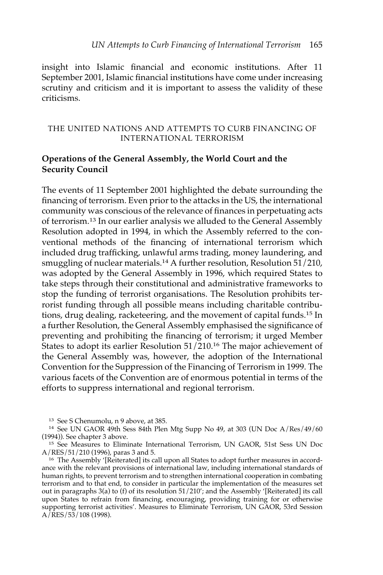insight into Islamic financial and economic institutions. After 11 September 2001, Islamic financial institutions have come under increasing scrutiny and criticism and it is important to assess the validity of these criticisms.

## THE UNITED NATIONS AND ATTEMPTS TO CURB FINANCING OF INTERNATIONAL TERRORISM

## **Operations of the General Assembly, the World Court and the Security Council**

The events of 11 September 2001 highlighted the debate surrounding the financing of terrorism. Even prior to the attacks in the US, the international community was conscious of the relevance of finances in perpetuating acts of terrorism.<sup>13</sup> In our earlier analysis we alluded to the General Assembly Resolution adopted in 1994, in which the Assembly referred to the conventional methods of the financing of international terrorism which included drug trafficking, unlawful arms trading, money laundering, and smuggling of nuclear materials.<sup>14</sup> A further resolution, Resolution 51/210, was adopted by the General Assembly in 1996, which required States to take steps through their constitutional and administrative frameworks to stop the funding of terrorist organisations. The Resolution prohibits terrorist funding through all possible means including charitable contributions, drug dealing, racketeering, and the movement of capital funds.15 In a further Resolution, the General Assembly emphasised the significance of preventing and prohibiting the financing of terrorism; it urged Member States to adopt its earlier Resolution 51/210.16 The major achievement of the General Assembly was, however, the adoption of the International Convention for the Suppression of the Financing of Terrorism in 1999. The various facets of the Convention are of enormous potential in terms of the efforts to suppress international and regional terrorism.

<sup>13</sup> See S Chenumolu, n 9 above, at 385.

<sup>14</sup> See UN GAOR 49th Sess 84th Plen Mtg Supp No 49, at 303 (UN Doc A/Res/49/60 (1994)). See chapter 3 above.

<sup>15</sup> See Measures to Eliminate International Terrorism, UN GAOR, 51st Sess UN Doc A/RES/51/210 (1996), paras 3 and 5.

<sup>16</sup> The Assembly '[Reiterated] its call upon all States to adopt further measures in accordance with the relevant provisions of international law, including international standards of human rights, to prevent terrorism and to strengthen international cooperation in combating terrorism and to that end, to consider in particular the implementation of the measures set out in paragraphs 3(a) to (f) of its resolution 51/210'; and the Assembly '[Reiterated] its call upon States to refrain from financing, encouraging, providing training for or otherwise supporting terrorist activities'. Measures to Eliminate Terrorism, UN GAOR, 53rd Session  $A/RES/53/108$  (1998).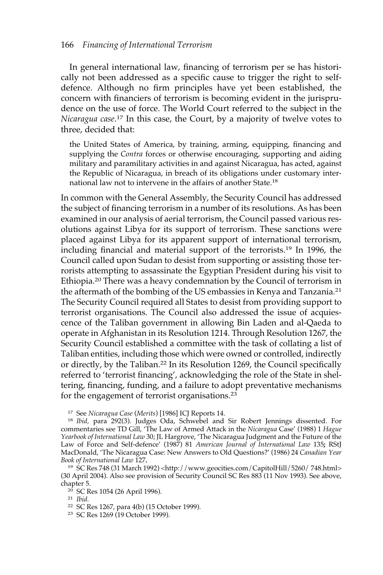#### 166 *Financing of International Terrorism*

In general international law, financing of terrorism per se has historically not been addressed as a specific cause to trigger the right to selfdefence. Although no firm principles have yet been established, the concern with financiers of terrorism is becoming evident in the jurisprudence on the use of force. The World Court referred to the subject in the *Nicaragua case*. <sup>17</sup> In this case, the Court, by a majority of twelve votes to three, decided that:

the United States of America, by training, arming, equipping, financing and supplying the *Contra* forces or otherwise encouraging, supporting and aiding military and paramilitary activities in and against Nicaragua, has acted, against the Republic of Nicaragua, in breach of its obligations under customary international law not to intervene in the affairs of another State.18

In common with the General Assembly, the Security Council has addressed the subject of financing terrorism in a number of its resolutions. As has been examined in our analysis of aerial terrorism, the Council passed various resolutions against Libya for its support of terrorism. These sanctions were placed against Libya for its apparent support of international terrorism, including financial and material support of the terrorists.19 In 1996, the Council called upon Sudan to desist from supporting or assisting those terrorists attempting to assassinate the Egyptian President during his visit to Ethiopia.<sup>20</sup> There was a heavy condemnation by the Council of terrorism in the aftermath of the bombing of the US embassies in Kenya and Tanzania.21 The Security Council required all States to desist from providing support to terrorist organisations. The Council also addressed the issue of acquiescence of the Taliban government in allowing Bin Laden and al-Qaeda to operate in Afghanistan in its Resolution 1214. Through Resolution 1267, the Security Council established a committee with the task of collating a list of Taliban entities, including those which were owned or controlled, indirectly or directly, by the Taliban.<sup>22</sup> In its Resolution 1269, the Council specifically referred to 'terrorist financing', acknowledging the role of the State in sheltering, financing, funding, and a failure to adopt preventative mechanisms for the engagement of terrorist organisations.<sup>23</sup>

<sup>17</sup> See *Nicaragua Case* (*Merits*) [1986] ICJ Reports 14.

<sup>&</sup>lt;sup>18</sup> *Ibid*, para 292(3). Judges Oda, Schwebel and Sir Robert Jennings dissented. For commentaries see TD Gill, 'The Law of Armed Attack in the *Nicaragua* Case' (1988) 1 *Hague Yearbook of International Law* 30; JL Hargrove, 'The Nicaragua Judgment and the Future of the Law of Force and Self-defence' (1987) 81 *American Journal of International Law* 135**;** RStJ MacDonald, 'The Nicaragua Case: New Answers to Old Questions?' (1986) 24 *Canadian Year Book of International Law* 127**.**

<sup>&</sup>lt;sup>19</sup> SC Res 748 (31 March 1992) <http://www.geocities.com/CapitolHill/5260/748.html> (30 April 2004). Also see provision of Security Council SC Res 883 (11 Nov 1993). See above, chapter 5.

 $20$  SC Res 1054 (26 April 1996).

<sup>21</sup> *Ibid.*

<sup>22</sup> SC Res 1267, para 4(b) (15 October 1999).

<sup>23</sup> SC Res 1269 (19 October 1999).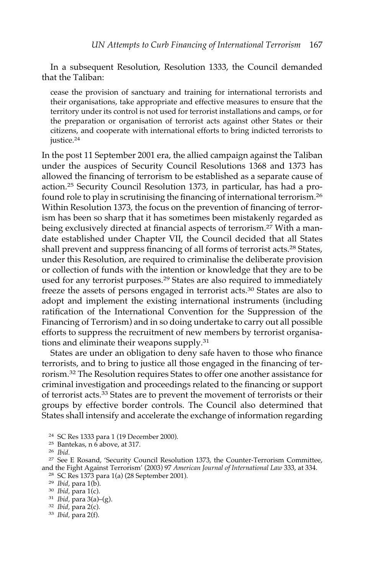In a subsequent Resolution, Resolution 1333, the Council demanded that the Taliban:

cease the provision of sanctuary and training for international terrorists and their organisations, take appropriate and effective measures to ensure that the territory under its control is not used for terrorist installations and camps, or for the preparation or organisation of terrorist acts against other States or their citizens, and cooperate with international efforts to bring indicted terrorists to justice.<sup>24</sup>

In the post 11 September 2001 era, the allied campaign against the Taliban under the auspices of Security Council Resolutions 1368 and 1373 has allowed the financing of terrorism to be established as a separate cause of action.25 Security Council Resolution 1373, in particular, has had a profound role to play in scrutinising the financing of international terrorism.26 Within Resolution 1373, the focus on the prevention of financing of terrorism has been so sharp that it has sometimes been mistakenly regarded as being exclusively directed at financial aspects of terrorism.<sup>27</sup> With a mandate established under Chapter VII, the Council decided that all States shall prevent and suppress financing of all forms of terrorist acts.28 States, under this Resolution, are required to criminalise the deliberate provision or collection of funds with the intention or knowledge that they are to be used for any terrorist purposes.<sup>29</sup> States are also required to immediately freeze the assets of persons engaged in terrorist acts.30 States are also to adopt and implement the existing international instruments (including ratification of the International Convention for the Suppression of the Financing of Terrorism) and in so doing undertake to carry out all possible efforts to suppress the recruitment of new members by terrorist organisations and eliminate their weapons supply.31

States are under an obligation to deny safe haven to those who finance terrorists, and to bring to justice all those engaged in the financing of terrorism.32 The Resolution requires States to offer one another assistance for criminal investigation and proceedings related to the financing or support of terrorist acts.33 States are to prevent the movement of terrorists or their groups by effective border controls. The Council also determined that States shall intensify and accelerate the exchange of information regarding

<sup>28</sup> SC Res 1373 para 1(a) (28 September 2001).

- <sup>30</sup> *Ibid,* para 1(c).
- <sup>31</sup> *Ibid,* para 3(a)–(g).
- <sup>32</sup> *Ibid,* para 2(c).
- <sup>33</sup> *Ibid,* para 2(f).

<sup>24</sup> SC Res 1333 para 1 (19 December 2000).

<sup>&</sup>lt;sup>25</sup> Bantekas, n  $6$  above, at 317.

<sup>26</sup> *Ibid.*

<sup>27</sup> See E Rosand, 'Security Council Resolution 1373, the Counter-Terrorism Committee, and the Fight Against Terrorism' (2003) 97 *American Journal of International Law* 333, at 334.

<sup>29</sup> *Ibid,* para 1(b).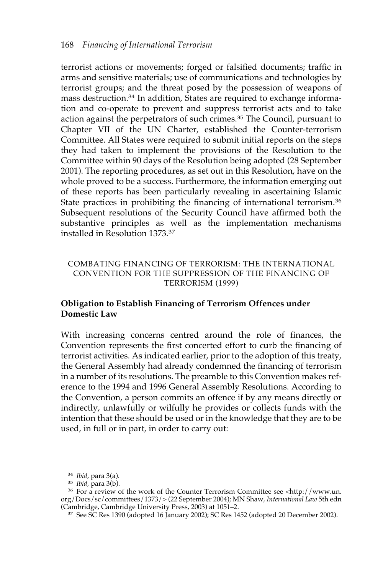terrorist actions or movements; forged or falsified documents; traffic in arms and sensitive materials; use of communications and technologies by terrorist groups; and the threat posed by the possession of weapons of mass destruction.34 In addition, States are required to exchange information and co-operate to prevent and suppress terrorist acts and to take action against the perpetrators of such crimes.35 The Council, pursuant to Chapter VII of the UN Charter, established the Counter-terrorism Committee. All States were required to submit initial reports on the steps they had taken to implement the provisions of the Resolution to the Committee within 90 days of the Resolution being adopted (28 September 2001). The reporting procedures, as set out in this Resolution, have on the whole proved to be a success. Furthermore, the information emerging out of these reports has been particularly revealing in ascertaining Islamic State practices in prohibiting the financing of international terrorism.<sup>36</sup> Subsequent resolutions of the Security Council have affirmed both the substantive principles as well as the implementation mechanisms installed in Resolution 1373.37

## COMBATING FINANCING OF TERRORISM: THE INTERNATIONAL CONVENTION FOR THE SUPPRESSION OF THE FINANCING OF TERRORISM (1999)

# **Obligation to Establish Financing of Terrorism Offences under Domestic Law**

With increasing concerns centred around the role of finances, the Convention represents the first concerted effort to curb the financing of terrorist activities. As indicated earlier, prior to the adoption of this treaty, the General Assembly had already condemned the financing of terrorism in a number of its resolutions. The preamble to this Convention makes reference to the 1994 and 1996 General Assembly Resolutions. According to the Convention, a person commits an offence if by any means directly or indirectly, unlawfully or wilfully he provides or collects funds with the intention that these should be used or in the knowledge that they are to be used, in full or in part, in order to carry out:

<sup>34</sup> *Ibid,* para 3(a).

<sup>35</sup> *Ibid,* para 3(b).

<sup>36</sup> For a review of the work of the Counter Terrorism Committee see <http://www.un. org/Docs/sc/committees/1373/> (22 September 2004); MN Shaw, *International Law* 5th edn (Cambridge, Cambridge University Press, 2003) at 1051–2.

<sup>37</sup> See SC Res 1390 (adopted 16 January 2002); SC Res 1452 (adopted 20 December 2002).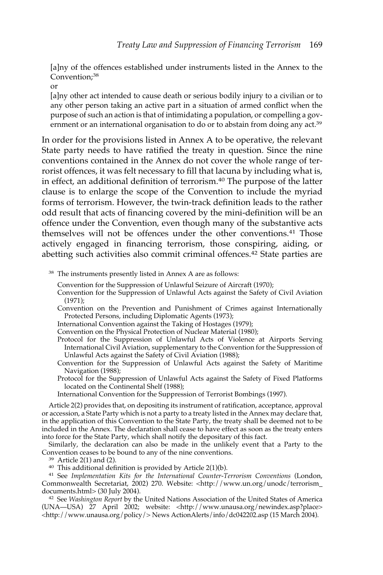[a]ny of the offences established under instruments listed in the Annex to the Convention;<sup>38</sup>

or

[a]ny other act intended to cause death or serious bodily injury to a civilian or to any other person taking an active part in a situation of armed conflict when the purpose of such an action is that of intimidating a population, or compelling a government or an international organisation to do or to abstain from doing any act.<sup>39</sup>

In order for the provisions listed in Annex A to be operative, the relevant State party needs to have ratified the treaty in question. Since the nine conventions contained in the Annex do not cover the whole range of terrorist offences, it was felt necessary to fill that lacuna by including what is, in effect, an additional definition of terrorism.40 The purpose of the latter clause is to enlarge the scope of the Convention to include the myriad forms of terrorism. However, the twin-track definition leads to the rather odd result that acts of financing covered by the mini-definition will be an offence under the Convention, even though many of the substantive acts themselves will not be offences under the other conventions.41 Those actively engaged in financing terrorism, those conspiring, aiding, or abetting such activities also commit criminal offences.<sup>42</sup> State parties are

<sup>38</sup> The instruments presently listed in Annex A are as follows:

Convention for the Suppression of Unlawful Seizure of Aircraft (1970);

Convention for the Suppression of Unlawful Acts against the Safety of Civil Aviation (1971);

Convention on the Prevention and Punishment of Crimes against Internationally Protected Persons, including Diplomatic Agents (1973);

International Convention against the Taking of Hostages (1979);

Convention on the Physical Protection of Nuclear Material (1980);

- Protocol for the Suppression of Unlawful Acts of Violence at Airports Serving International Civil Aviation, supplementary to the Convention for the Suppression of Unlawful Acts against the Safety of Civil Aviation (1988);
- Convention for the Suppression of Unlawful Acts against the Safety of Maritime Navigation (1988);
- Protocol for the Suppression of Unlawful Acts against the Safety of Fixed Platforms located on the Continental Shelf (1988);

International Convention for the Suppression of Terrorist Bombings (1997).

Article 2(2) provides that, on depositing its instrument of ratification, acceptance, approval or accession, a State Party which is not a party to a treaty listed in the Annex may declare that, in the application of this Convention to the State Party, the treaty shall be deemed not to be included in the Annex. The declaration shall cease to have effect as soon as the treaty enters into force for the State Party, which shall notify the depositary of this fact.

Similarly, the declaration can also be made in the unlikely event that a Party to the Convention ceases to be bound to any of the nine conventions.<br><sup>39</sup> Article 2(1) and (2).

 $30$  This additional definition is provided by Article 2(1)(b).

<sup>41</sup> See *Implementation Kits for the International Counter-Terrorism Conventions* (London, Commonwealth Secretariat, 2002) 270. Website: <http://www.un.org/unodc/terrorism\_ documents.html> (30 July 2004).

<sup>42</sup> See *Washington Report* by the United Nations Association of the United States of America (UNA—USA) 27 April 2002; website: <http://www.unausa.org/newindex.asp?place> <http://www.unausa.org/policy/> News ActionAlerts/info/dc042202.asp (15 March 2004).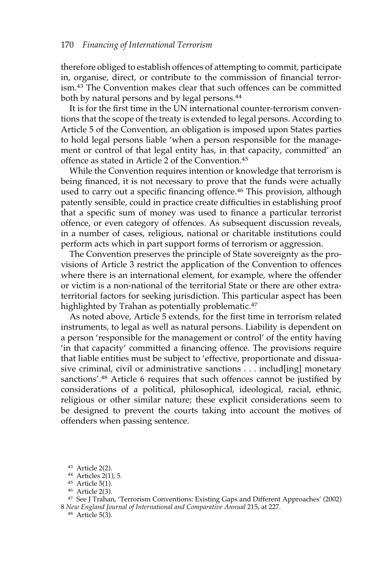#### 170 *Financing of International Terrorism*

therefore obliged to establish offences of attempting to commit, participate in, organise, direct, or contribute to the commission of financial terrorism.43 The Convention makes clear that such offences can be committed both by natural persons and by legal persons.<sup>44</sup>

It is for the first time in the UN international counter-terrorism conventions that the scope of the treaty is extended to legal persons. According to Article 5 of the Convention, an obligation is imposed upon States parties to hold legal persons liable 'when a person responsible for the management or control of that legal entity has, in that capacity, committed' an offence as stated in Article 2 of the Convention.45

While the Convention requires intention or knowledge that terrorism is being financed, it is not necessary to prove that the funds were actually used to carry out a specific financing offence.<sup>46</sup> This provision, although patently sensible, could in practice create difficulties in establishing proof that a specific sum of money was used to finance a particular terrorist offence, or even category of offences. As subsequent discussion reveals, in a number of cases, religious, national or charitable institutions could perform acts which in part support forms of terrorism or aggression.

The Convention preserves the principle of State sovereignty as the provisions of Article 3 restrict the application of the Convention to offences where there is an international element, for example, where the offender or victim is a non-national of the territorial State or there are other extraterritorial factors for seeking jurisdiction. This particular aspect has been highlighted by Trahan as potentially problematic.<sup>47</sup>

As noted above, Article 5 extends, for the first time in terrorism related instruments, to legal as well as natural persons. Liability is dependent on a person 'responsible for the management or control' of the entity having 'in that capacity' committed a financing offence. The provisions require that liable entities must be subject to 'effective, proportionate and dissuasive criminal, civil or administrative sanctions . . . includ[ing] monetary sanctions'.<sup>48</sup> Article 6 requires that such offences cannot be justified by considerations of a political, philosophical, ideological, racial, ethnic, religious or other similar nature; these explicit considerations seem to be designed to prevent the courts taking into account the motives of offenders when passing sentence.

<sup>47</sup> See J Trahan, 'Terrorism Conventions: Existing Gaps and Different Approaches' (2002) 8 *New England Journal of International and Comparative Annual* 215, at 227.

<sup>43</sup> Article 2(2).

<sup>44</sup> Articles 2(1), 5.

<sup>45</sup> Article 5(1).

<sup>46</sup> Article 2(3).

<sup>48</sup> Article 5(3).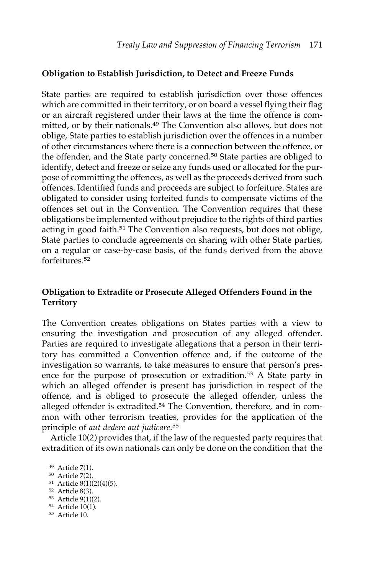#### **Obligation to Establish Jurisdiction, to Detect and Freeze Funds**

State parties are required to establish jurisdiction over those offences which are committed in their territory, or on board a vessel flying their flag or an aircraft registered under their laws at the time the offence is committed, or by their nationals.<sup>49</sup> The Convention also allows, but does not oblige, State parties to establish jurisdiction over the offences in a number of other circumstances where there is a connection between the offence, or the offender, and the State party concerned.50 State parties are obliged to identify, detect and freeze or seize any funds used or allocated for the purpose of committing the offences, as well as the proceeds derived from such offences. Identified funds and proceeds are subject to forfeiture. States are obligated to consider using forfeited funds to compensate victims of the offences set out in the Convention. The Convention requires that these obligations be implemented without prejudice to the rights of third parties acting in good faith.<sup>51</sup> The Convention also requests, but does not oblige, State parties to conclude agreements on sharing with other State parties, on a regular or case-by-case basis, of the funds derived from the above forfeitures.52

# **Obligation to Extradite or Prosecute Alleged Offenders Found in the Territory**

The Convention creates obligations on States parties with a view to ensuring the investigation and prosecution of any alleged offender. Parties are required to investigate allegations that a person in their territory has committed a Convention offence and, if the outcome of the investigation so warrants, to take measures to ensure that person's presence for the purpose of prosecution or extradition.<sup>53</sup> A State party in which an alleged offender is present has jurisdiction in respect of the offence, and is obliged to prosecute the alleged offender, unless the alleged offender is extradited.<sup>54</sup> The Convention, therefore, and in common with other terrorism treaties, provides for the application of the principle of *aut dedere aut judicare*. 55

Article 10(2) provides that, if the law of the requested party requires that extradition of its own nationals can only be done on the condition that the

<sup>49</sup> Article 7(1). <sup>50</sup> Article 7(2). <sup>51</sup> Article 8(1)(2)(4)(5). <sup>52</sup> Article 8(3). <sup>53</sup> Article 9(1)(2). <sup>54</sup> Article 10(1). <sup>55</sup> Article 10.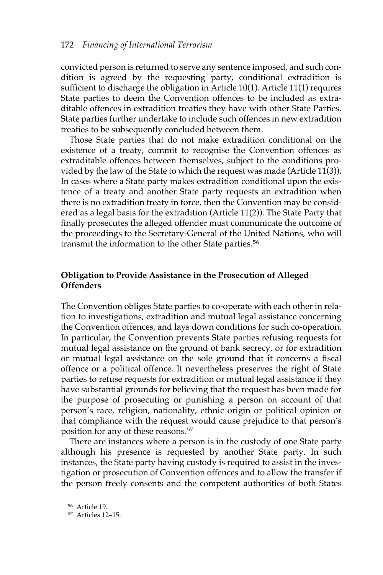#### 172 *Financing of International Terrorism*

convicted person is returned to serve any sentence imposed, and such condition is agreed by the requesting party, conditional extradition is sufficient to discharge the obligation in Article 10(1). Article 11(1) requires State parties to deem the Convention offences to be included as extraditable offences in extradition treaties they have with other State Parties. State parties further undertake to include such offences in new extradition treaties to be subsequently concluded between them.

Those State parties that do not make extradition conditional on the existence of a treaty, commit to recognise the Convention offences as extraditable offences between themselves, subject to the conditions provided by the law of the State to which the request was made (Article 11(3)). In cases where a State party makes extradition conditional upon the existence of a treaty and another State party requests an extradition when there is no extradition treaty in force, then the Convention may be considered as a legal basis for the extradition (Article 11(2)). The State Party that finally prosecutes the alleged offender must communicate the outcome of the proceedings to the Secretary-General of the United Nations, who will transmit the information to the other State parties.<sup>56</sup>

# **Obligation to Provide Assistance in the Prosecution of Alleged Offenders**

The Convention obliges State parties to co-operate with each other in relation to investigations, extradition and mutual legal assistance concerning the Convention offences, and lays down conditions for such co-operation. In particular, the Convention prevents State parties refusing requests for mutual legal assistance on the ground of bank secrecy, or for extradition or mutual legal assistance on the sole ground that it concerns a fiscal offence or a political offence. It nevertheless preserves the right of State parties to refuse requests for extradition or mutual legal assistance if they have substantial grounds for believing that the request has been made for the purpose of prosecuting or punishing a person on account of that person's race, religion, nationality, ethnic origin or political opinion or that compliance with the request would cause prejudice to that person's position for any of these reasons.57

There are instances where a person is in the custody of one State party although his presence is requested by another State party. In such instances, the State party having custody is required to assist in the investigation or prosecution of Convention offences and to allow the transfer if the person freely consents and the competent authorities of both States

<sup>56</sup> Article 19.

<sup>57</sup> Articles 12–15.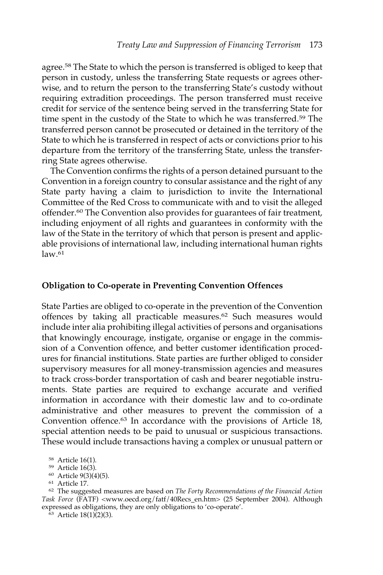agree.<sup>58</sup> The State to which the person is transferred is obliged to keep that person in custody, unless the transferring State requests or agrees otherwise, and to return the person to the transferring State's custody without requiring extradition proceedings. The person transferred must receive credit for service of the sentence being served in the transferring State for time spent in the custody of the State to which he was transferred.59 The transferred person cannot be prosecuted or detained in the territory of the State to which he is transferred in respect of acts or convictions prior to his departure from the territory of the transferring State, unless the transferring State agrees otherwise.

The Convention confirms the rights of a person detained pursuant to the Convention in a foreign country to consular assistance and the right of any State party having a claim to jurisdiction to invite the International Committee of the Red Cross to communicate with and to visit the alleged offender.60 The Convention also provides for guarantees of fair treatment, including enjoyment of all rights and guarantees in conformity with the law of the State in the territory of which that person is present and applicable provisions of international law, including international human rights  $law<sup>61</sup>$ 

## **Obligation to Co-operate in Preventing Convention Offences**

State Parties are obliged to co-operate in the prevention of the Convention offences by taking all practicable measures.62 Such measures would include inter alia prohibiting illegal activities of persons and organisations that knowingly encourage, instigate, organise or engage in the commission of a Convention offence, and better customer identification procedures for financial institutions. State parties are further obliged to consider supervisory measures for all money-transmission agencies and measures to track cross-border transportation of cash and bearer negotiable instruments. State parties are required to exchange accurate and verified information in accordance with their domestic law and to co-ordinate administrative and other measures to prevent the commission of a Convention offence.<sup>63</sup> In accordance with the provisions of Article 18, special attention needs to be paid to unusual or suspicious transactions. These would include transactions having a complex or unusual pattern or

 $63$  Article 18(1)(2)(3).

<sup>58</sup> Article 16(1).

<sup>59</sup> Article 16(3).

<sup>60</sup> Article 9(3)(4)(5).

<sup>61</sup> Article 17.

<sup>62</sup> The suggested measures are based on *The Forty Recommendations of the Financial Action Task Force* (FATF) <www.oecd.org/fatf/40Recs\_en.htm> (25 September 2004). Although expressed as obligations, they are only obligations to 'co-operate'.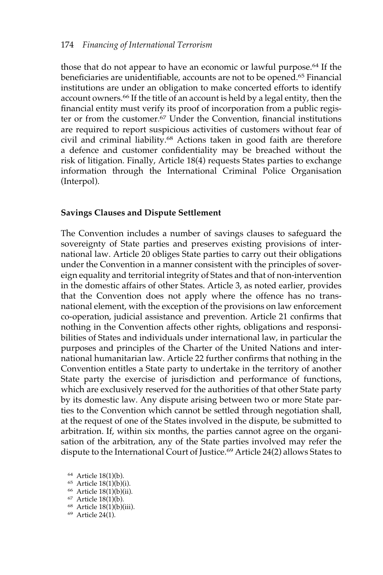those that do not appear to have an economic or lawful purpose.<sup>64</sup> If the beneficiaries are unidentifiable, accounts are not to be opened.<sup>65</sup> Financial institutions are under an obligation to make concerted efforts to identify account owners.66 If the title of an account is held by a legal entity, then the financial entity must verify its proof of incorporation from a public register or from the customer.67 Under the Convention, financial institutions are required to report suspicious activities of customers without fear of civil and criminal liability.<sup>68</sup> Actions taken in good faith are therefore a defence and customer confidentiality may be breached without the risk of litigation. Finally, Article 18(4) requests States parties to exchange information through the International Criminal Police Organisation (Interpol).

# **Savings Clauses and Dispute Settlement**

The Convention includes a number of savings clauses to safeguard the sovereignty of State parties and preserves existing provisions of international law. Article 20 obliges State parties to carry out their obligations under the Convention in a manner consistent with the principles of sovereign equality and territorial integrity of States and that of non-intervention in the domestic affairs of other States. Article 3, as noted earlier, provides that the Convention does not apply where the offence has no transnational element, with the exception of the provisions on law enforcement co-operation, judicial assistance and prevention. Article 21 confirms that nothing in the Convention affects other rights, obligations and responsibilities of States and individuals under international law, in particular the purposes and principles of the Charter of the United Nations and international humanitarian law. Article 22 further confirms that nothing in the Convention entitles a State party to undertake in the territory of another State party the exercise of jurisdiction and performance of functions, which are exclusively reserved for the authorities of that other State party by its domestic law. Any dispute arising between two or more State parties to the Convention which cannot be settled through negotiation shall, at the request of one of the States involved in the dispute, be submitted to arbitration. If, within six months, the parties cannot agree on the organisation of the arbitration, any of the State parties involved may refer the dispute to the International Court of Justice.<sup>69</sup> Article 24(2) allows States to

<sup>64</sup> Article 18(1)(b).

- <sup>65</sup> Article 18(1)(b)(i).
- <sup>66</sup> Article 18(1)(b)(ii). <sup>67</sup> Article 18(1)(b).
- <sup>68</sup> Article 18(1)(b)(iii).
- <sup>69</sup> Article 24(1).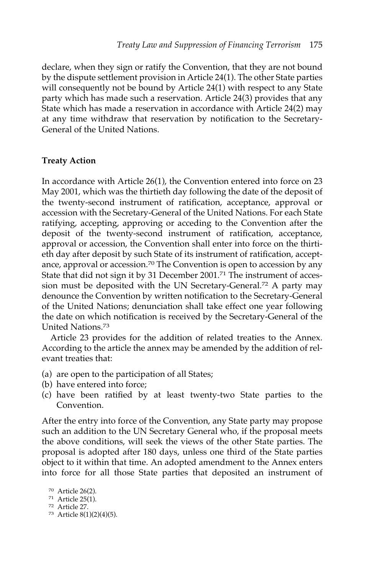declare, when they sign or ratify the Convention, that they are not bound by the dispute settlement provision in Article 24(1). The other State parties will consequently not be bound by Article 24(1) with respect to any State party which has made such a reservation. Article 24(3) provides that any State which has made a reservation in accordance with Article 24(2) may at any time withdraw that reservation by notification to the Secretary-General of the United Nations.

# **Treaty Action**

In accordance with Article 26(1), the Convention entered into force on 23 May 2001, which was the thirtieth day following the date of the deposit of the twenty-second instrument of ratification, acceptance, approval or accession with the Secretary-General of the United Nations. For each State ratifying, accepting, approving or acceding to the Convention after the deposit of the twenty-second instrument of ratification, acceptance, approval or accession, the Convention shall enter into force on the thirtieth day after deposit by such State of its instrument of ratification, acceptance, approval or accession.<sup>70</sup> The Convention is open to accession by any State that did not sign it by 31 December 2001.<sup>71</sup> The instrument of accession must be deposited with the UN Secretary-General.<sup>72</sup> A party may denounce the Convention by written notification to the Secretary-General of the United Nations; denunciation shall take effect one year following the date on which notification is received by the Secretary-General of the United Nations.73

Article 23 provides for the addition of related treaties to the Annex. According to the article the annex may be amended by the addition of relevant treaties that:

- (a) are open to the participation of all States;
- (b) have entered into force;
- (c) have been ratified by at least twenty-two State parties to the Convention.

After the entry into force of the Convention, any State party may propose such an addition to the UN Secretary General who, if the proposal meets the above conditions, will seek the views of the other State parties. The proposal is adopted after 180 days, unless one third of the State parties object to it within that time. An adopted amendment to the Annex enters into force for all those State parties that deposited an instrument of

- <sup>71</sup> Article 25(1).
- <sup>72</sup> Article 27.
- <sup>73</sup> Article 8(1)(2)(4)(5).

<sup>70</sup> Article 26(2).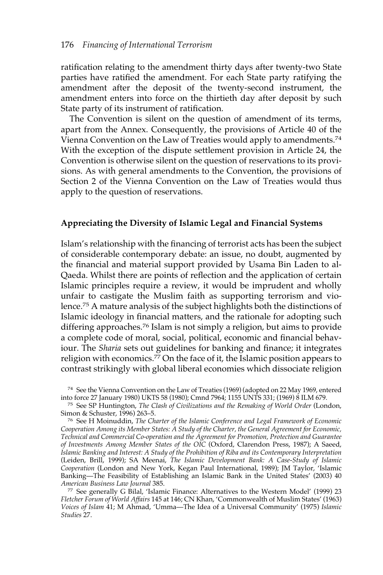ratification relating to the amendment thirty days after twenty-two State parties have ratified the amendment. For each State party ratifying the amendment after the deposit of the twenty-second instrument, the amendment enters into force on the thirtieth day after deposit by such State party of its instrument of ratification.

The Convention is silent on the question of amendment of its terms, apart from the Annex. Consequently, the provisions of Article 40 of the Vienna Convention on the Law of Treaties would apply to amendments.74 With the exception of the dispute settlement provision in Article 24, the Convention is otherwise silent on the question of reservations to its provisions. As with general amendments to the Convention, the provisions of Section 2 of the Vienna Convention on the Law of Treaties would thus apply to the question of reservations.

## **Appreciating the Diversity of Islamic Legal and Financial Systems**

Islam's relationship with the financing of terrorist acts has been the subject of considerable contemporary debate: an issue, no doubt, augmented by the financial and material support provided by Usama Bin Laden to al-Qaeda. Whilst there are points of reflection and the application of certain Islamic principles require a review, it would be imprudent and wholly unfair to castigate the Muslim faith as supporting terrorism and violence.75 A mature analysis of the subject highlights both the distinctions of Islamic ideology in financial matters, and the rationale for adopting such differing approaches.<sup>76</sup> Islam is not simply a religion, but aims to provide a complete code of moral, social, political, economic and financial behaviour. The *Sharia* sets out guidelines for banking and finance; it integrates religion with economics.77 On the face of it, the Islamic position appears to contrast strikingly with global liberal economies which dissociate religion

<sup>74</sup> See the Vienna Convention on the Law of Treaties (1969) (adopted on 22 May 1969, entered into force 27 January 1980) UKTS 58 (1980); Cmnd 7964; 1155 UNTS 331; (1969) 8 ILM 679.

<sup>76</sup> See H Moinuddin, *The Charter of the Islamic Conference and Legal Framework of Economic Cooperation Among its Member States: A Study of the Charter, the General Agreement for Economic, Technical and Commercial Co-operation and the Agreement for Promotion, Protection and Guarantee of Investments Among Member States of the OIC* (Oxford, Clarendon Press, 1987); A Saeed, *Islamic Banking and Interest: A Study of the Prohibition of Riba and its Contemporary Interpretation* (Leiden, Brill, 1999); SA Meenai, *The Islamic Development Bank: A Case-Study of Islamic Cooperation* (London and New York, Kegan Paul International, 1989); JM Taylor, 'Islamic Banking—The Feasibility of Establishing an Islamic Bank in the United States' (2003) 40 *American Business Law Journal* 385.

<sup>77</sup> See generally G Bilal, 'Islamic Finance: Alternatives to the Western Model' (1999) 23 *Fletcher Forum of World Affairs* 145 at 146; CN Khan, 'Commonwealth of Muslim States' (1963) *Voices of Islam* 41; M Ahmad, 'Umma—The Idea of a Universal Community' (1975) *Islamic Studies* 27.

<sup>&</sup>lt;sup>75</sup> See SP Huntington, *The Clash of Civilizations and the Remaking of World Order* (London, Simon & Schuster, 1996) 263–5.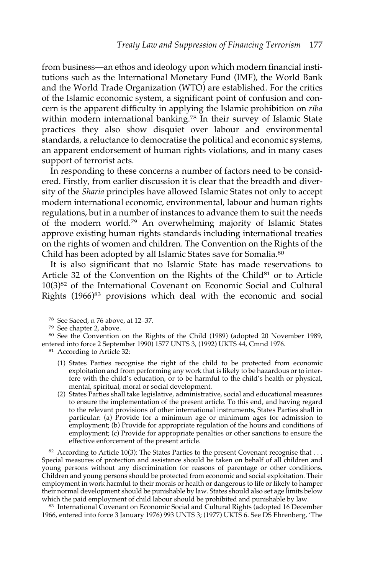from business—an ethos and ideology upon which modern financial institutions such as the International Monetary Fund (IMF), the World Bank and the World Trade Organization (WTO) are established. For the critics of the Islamic economic system, a significant point of confusion and concern is the apparent difficulty in applying the Islamic prohibition on *riba* within modern international banking.<sup>78</sup> In their survey of Islamic State practices they also show disquiet over labour and environmental standards, a reluctance to democratise the political and economic systems, an apparent endorsement of human rights violations, and in many cases support of terrorist acts.

In responding to these concerns a number of factors need to be considered. Firstly, from earlier discussion it is clear that the breadth and diversity of the *Sharia* principles have allowed Islamic States not only to accept modern international economic, environmental, labour and human rights regulations, but in a number of instances to advance them to suit the needs of the modern world.79 An overwhelming majority of Islamic States approve existing human rights standards including international treaties on the rights of women and children. The Convention on the Rights of the Child has been adopted by all Islamic States save for Somalia.80

It is also significant that no Islamic State has made reservations to Article 32 of the Convention on the Rights of the Child<sup>81</sup> or to Article 10(3)82 of the International Covenant on Economic Social and Cultural Rights (1966)<sup>83</sup> provisions which deal with the economic and social

<sup>80</sup> See the Convention on the Rights of the Child (1989) (adopted 20 November 1989, entered into force 2 September 1990) 1577 UNTS 3, (1992) UKTS 44, Cmnd 1976.

- (1) States Parties recognise the right of the child to be protected from economic exploitation and from performing any work that is likely to be hazardous or to interfere with the child's education, or to be harmful to the child's health or physical, mental, spiritual, moral or social development.
- (2) States Parties shall take legislative, administrative, social and educational measures to ensure the implementation of the present article. To this end, and having regard to the relevant provisions of other international instruments, States Parties shall in particular: (a) Provide for a minimum age or minimum ages for admission to employment; (b) Provide for appropriate regulation of the hours and conditions of employment; (c) Provide for appropriate penalties or other sanctions to ensure the effective enforcement of the present article.

<sup>82</sup> According to Article 10(3): The States Parties to the present Covenant recognise that . . . Special measures of protection and assistance should be taken on behalf of all children and young persons without any discrimination for reasons of parentage or other conditions. Children and young persons should be protected from economic and social exploitation. Their employment in work harmful to their morals or health or dangerous to life or likely to hamper their normal development should be punishable by law. States should also set age limits below which the paid employment of child labour should be prohibited and punishable by law.

83 International Covenant on Economic Social and Cultural Rights (adopted 16 December 1966, entered into force 3 January 1976) 993 UNTS 3; (1977) UKTS 6. See DS Ehrenberg, 'The

<sup>78</sup> See Saeed, n 76 above, at 12–37.

<sup>79</sup> See chapter 2, above.

<sup>81</sup> According to Article 32: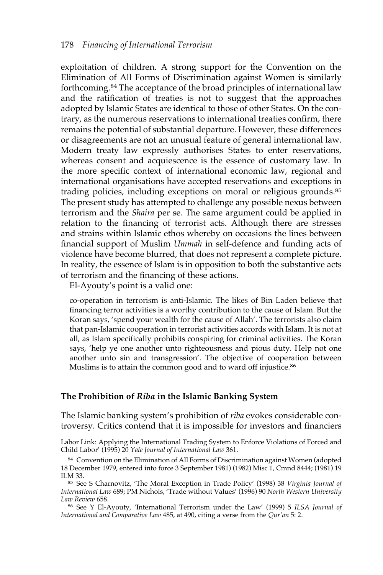exploitation of children. A strong support for the Convention on the Elimination of All Forms of Discrimination against Women is similarly forthcoming.<sup>84</sup> The acceptance of the broad principles of international law and the ratification of treaties is not to suggest that the approaches adopted by Islamic States are identical to those of other States. On the contrary, as the numerous reservations to international treaties confirm, there remains the potential of substantial departure. However, these differences or disagreements are not an unusual feature of general international law. Modern treaty law expressly authorises States to enter reservations, whereas consent and acquiescence is the essence of customary law. In the more specific context of international economic law, regional and international organisations have accepted reservations and exceptions in trading policies, including exceptions on moral or religious grounds.<sup>85</sup> The present study has attempted to challenge any possible nexus between terrorism and the *Shaira* per se. The same argument could be applied in relation to the financing of terrorist acts. Although there are stresses and strains within Islamic ethos whereby on occasions the lines between financial support of Muslim *Ummah* in self-defence and funding acts of violence have become blurred, that does not represent a complete picture. In reality, the essence of Islam is in opposition to both the substantive acts of terrorism and the financing of these actions.

El-Ayouty's point is a valid one:

co-operation in terrorism is anti-Islamic. The likes of Bin Laden believe that financing terror activities is a worthy contribution to the cause of Islam. But the Koran says, 'spend your wealth for the cause of Allah'. The terrorists also claim that pan-Islamic cooperation in terrorist activities accords with Islam. It is not at all, as Islam specifically prohibits conspiring for criminal activities. The Koran says, 'help ye one another unto righteousness and pious duty. Help not one another unto sin and transgression'. The objective of cooperation between Muslims is to attain the common good and to ward off injustice.<sup>86</sup>

## **The Prohibition of** *Riba* **in the Islamic Banking System**

The Islamic banking system's prohibition of *riba* evokes considerable controversy. Critics contend that it is impossible for investors and financiers

Labor Link: Applying the International Trading System to Enforce Violations of Forced and Child Labor' (1995) 20 *Yale Journal of International Law* 361.

<sup>84</sup> Convention on the Elimination of All Forms of Discrimination against Women (adopted 18 December 1979, entered into force 3 September 1981) (1982) Misc 1, Cmnd 8444; (1981) 19 ILM 33.

<sup>85</sup> See S Charnovitz, 'The Moral Exception in Trade Policy' (1998) 38 *Virginia Journal of International Law* 689; PM Nichols, 'Trade without Values' (1996) 90 *North Western University Law Review* 658.

<sup>86</sup> See Y El-Ayouty, 'International Terrorism under the Law' (1999) 5 *ILSA Journal of International and Comparative Law* 485, at 490, citing a verse from the *Qur'an* 5: 2.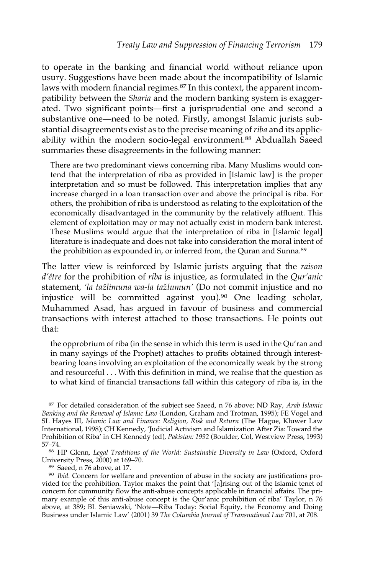to operate in the banking and financial world without reliance upon usury. Suggestions have been made about the incompatibility of Islamic laws with modern financial regimes.<sup>87</sup> In this context, the apparent incompatibility between the *Sharia* and the modern banking system is exaggerated. Two significant points—first a jurisprudential one and second a substantive one—need to be noted. Firstly, amongst Islamic jurists substantial disagreements exist as to the precise meaning of *riba* and its applicability within the modern socio-legal environment.<sup>88</sup> Abduallah Saeed summaries these disagreements in the following manner:

There are two predominant views concerning riba. Many Muslims would contend that the interpretation of riba as provided in [Islamic law] is the proper interpretation and so must be followed. This interpretation implies that any increase charged in a loan transaction over and above the principal is riba. For others, the prohibition of riba is understood as relating to the exploitation of the economically disadvantaged in the community by the relatively affluent. This element of exploitation may or may not actually exist in modern bank interest. These Muslims would argue that the interpretation of riba in [Islamic legal] literature is inadequate and does not take into consideration the moral intent of the prohibition as expounded in, or inferred from, the Quran and Sunna.<sup>89</sup>

The latter view is reinforced by Islamic jurists arguing that the *raison d'être* for the prohibition of *riba* is injustice, as formulated in the *Qur'anic* statement, 'la tažlimuna wa-la tažlumun' (Do not commit injustice and no injustice will be committed against you).90 One leading scholar, Muhammed Asad, has argued in favour of business and commercial transactions with interest attached to those transactions. He points out that:

the opprobrium of riba (in the sense in which this term is used in the Qu'ran and in many sayings of the Prophet) attaches to profits obtained through interestbearing loans involving an exploitation of the economically weak by the strong and resourceful . . . With this definition in mind, we realise that the question as to what kind of financial transactions fall within this category of riba is, in the

<sup>87</sup> For detailed consideration of the subject see Saeed, n 76 above; ND Ray, *Arab Islamic Banking and the Renewal of Islamic Law* (London, Graham and Trotman, 1995); FE Vogel and SL Hayes III, *Islamic Law and Finance: Religion, Risk and Return* (The Hague, Kluwer Law International, 1998); CH Kennedy, 'Judicial Activism and Islamization After Zia: Toward the Prohibition of Riba' in CH Kennedy (ed), *Pakistan: 1992* (Boulder, Col, Westview Press, 1993) 57–74.

<sup>88</sup> HP Glenn, *Legal Traditions of the World: Sustainable Diversity in Law* (Oxford, Oxford University Press, 2000) at 169–70.

<sup>89</sup> Saeed, n 76 above, at 17.

<sup>90</sup> *Ibid.* Concern for welfare and prevention of abuse in the society are justifications provided for the prohibition. Taylor makes the point that '[a]rising out of the Islamic tenet of concern for community flow the anti-abuse concepts applicable in financial affairs. The primary example of this anti-abuse concept is the Qur'anic prohibition of riba' Taylor,  $n$  76 above, at 389; BL Seniawski, 'Note—Riba Today: Social Equity, the Economy and Doing Business under Islamic Law' (2001) 39 *The Columbia Journal of Transnational Law* 701, at 708.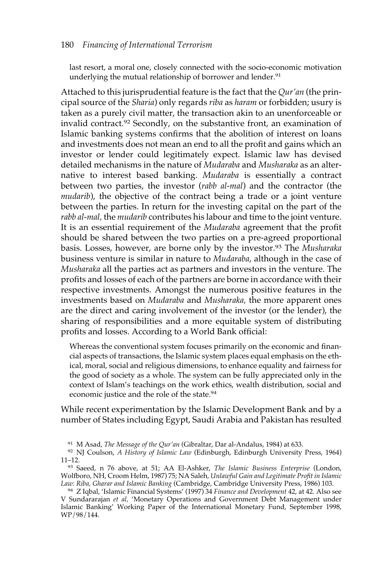#### 180 *Financing of International Terrorism*

last resort, a moral one, closely connected with the socio-economic motivation underlying the mutual relationship of borrower and lender.<sup>91</sup>

Attached to this jurisprudential feature is the fact that the *Qur'an* (the principal source of the *Sharia*) only regards *riba* as *haram* or forbidden; usury is taken as a purely civil matter, the transaction akin to an unenforceable or invalid contract.92 Secondly, on the substantive front, an examination of Islamic banking systems confirms that the abolition of interest on loans and investments does not mean an end to all the profit and gains which an investor or lender could legitimately expect. Islamic law has devised detailed mechanisms in the nature of *Mudaraba* and *Musharaka* as an alternative to interest based banking. *Mudaraba* is essentially a contract between two parties, the investor (*rabb al-mal*) and the contractor (the *mudarib*), the objective of the contract being a trade or a joint venture between the parties. In return for the investing capital on the part of the *rabb al-mal,* the *mudarib* contributes his labour and time to the joint venture. It is an essential requirement of the *Mudaraba* agreement that the profit should be shared between the two parties on a pre-agreed proportional basis. Losses, however, are borne only by the investor.93 The *Musharaka* business venture is similar in nature to *Mudaraba*, although in the case of *Musharaka* all the parties act as partners and investors in the venture. The profits and losses of each of the partners are borne in accordance with their respective investments. Amongst the numerous positive features in the investments based on *Mudaraba* and *Musharaka,* the more apparent ones are the direct and caring involvement of the investor (or the lender), the sharing of responsibilities and a more equitable system of distributing profits and losses. According to a World Bank official:

Whereas the conventional system focuses primarily on the economic and financial aspects of transactions, the Islamic system places equal emphasis on the ethical, moral, social and religious dimensions, to enhance equality and fairness for the good of society as a whole. The system can be fully appreciated only in the context of Islam's teachings on the work ethics, wealth distribution, social and economic justice and the role of the state.94

While recent experimentation by the Islamic Development Bank and by a number of States including Egypt, Saudi Arabia and Pakistan has resulted

<sup>91</sup> M Asad, *The Message of the Qur'an* (Gibraltar, Dar al-Andalus, 1984) at 633.

<sup>92</sup> NJ Coulson, *A History of Islamic Law* (Edinburgh, Edinburgh University Press, 1964) 11–12.

<sup>93</sup> Saeed, n 76 above, at 51; AA El-Ashker, *The Islamic Business Enterprise* (London, Wolfboro, NH, Croom Helm, 1987) 75; NA Saleh, *Unlawful Gain and Legitimate Profit in Islamic Law: Riba, Gharar and Islamic Banking* (Cambridge, Cambridge University Press, 1986) 103.

<sup>94</sup> Z Iqbal, 'Islamic Financial Systems' (1997) 34 *Finance and Development* 42, at 42. Also see V Sundararajan *et al,* 'Monetary Operations and Government Debt Management under Islamic Banking' Working Paper of the International Monetary Fund, September 1998, WP/98/144.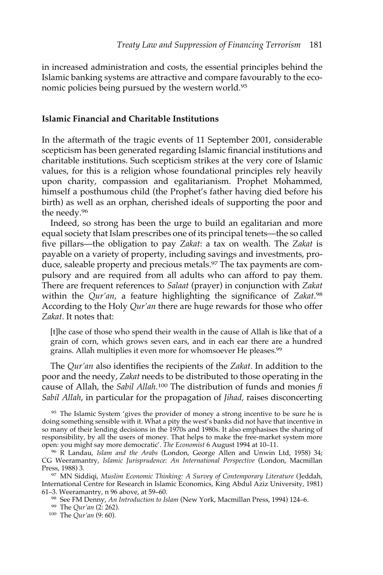in increased administration and costs, the essential principles behind the Islamic banking systems are attractive and compare favourably to the economic policies being pursued by the western world.95

#### **Islamic Financial and Charitable Institutions**

In the aftermath of the tragic events of 11 September 2001, considerable scepticism has been generated regarding Islamic financial institutions and charitable institutions. Such scepticism strikes at the very core of Islamic values, for this is a religion whose foundational principles rely heavily upon charity, compassion and egalitarianism. Prophet Mohammed, himself a posthumous child (the Prophet's father having died before his birth) as well as an orphan, cherished ideals of supporting the poor and the needy.<sup>96</sup>

Indeed, so strong has been the urge to build an egalitarian and more equal society that Islam prescribes one of its principal tenets—the so called five pillars—the obligation to pay *Zakat*: a tax on wealth. The *Zakat* is payable on a variety of property, including savings and investments, produce, saleable property and precious metals.<sup>97</sup> The tax payments are compulsory and are required from all adults who can afford to pay them. There are frequent references to *Salaat* (prayer) in conjunction with *Zakat* within the *Qur'an*, a feature highlighting the significance of *Zakat*. 98 According to the Holy *Qur'an* there are huge rewards for those who offer *Zakat*. It notes that:

[t]he case of those who spend their wealth in the cause of Allah is like that of a grain of corn, which grows seven ears, and in each ear there are a hundred grains. Allah multiplies it even more for whomsoever He pleases.<sup>99</sup>

The *Qur'an* also identifies the recipients of the *Zakat*. In addition to the poor and the needy, *Zakat* needs to be distributed to those operating in the cause of Allah, the *Sabil Allah*. <sup>100</sup> The distribution of funds and monies *fi Sabil Allah*, in particular for the propagation of *Jihad,* raises disconcerting

<sup>95</sup> The Islamic System 'gives the provider of money a strong incentive to be sure he is doing something sensible with it. What a pity the west's banks did not have that incentive in so many of their lending decisions in the 1970s and 1980s. It also emphasises the sharing of responsibility, by all the users of money. That helps to make the free-market system more open: you might say more democratic'. *The Economist* 6 August 1994 at 10–11.

<sup>97</sup> MN Siddiqi, *Muslim Economic Thinking: A Survey of Contemporary Literature* (Jeddah, International Centre for Research in Islamic Economics, King Abdul Aziz University, 1981) 61–3. Weeramantry, n 96 above, at 59–60.

<sup>98</sup> See FM Denny, *An Introduction to Islam* (New York, Macmillan Press, 1994) 124–6.

<sup>99</sup> The *Qur'an* (2: 262).

<sup>100</sup> The *Qur'an* (9: 60).

<sup>96</sup> R Landau, *Islam and the Arabs* (London, George Allen and Unwin Ltd, 1958) 34; CG Weeramantry, *Islamic Jurisprudence: An International Perspective* (London, Macmillan Press, 1988) 3.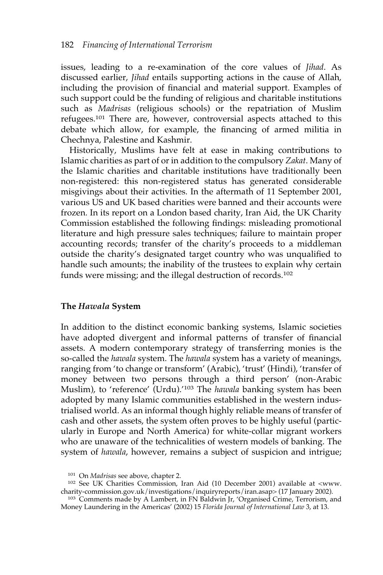issues, leading to a re-examination of the core values of *Jihad*. As discussed earlier, *Jihad* entails supporting actions in the cause of Allah, including the provision of financial and material support. Examples of such support could be the funding of religious and charitable institutions such as *Madrisas* (religious schools) or the repatriation of Muslim refugees.101 There are, however, controversial aspects attached to this debate which allow, for example, the financing of armed militia in Chechnya, Palestine and Kashmir.

Historically, Muslims have felt at ease in making contributions to Islamic charities as part of or in addition to the compulsory *Zakat*. Many of the Islamic charities and charitable institutions have traditionally been non-registered: this non-registered status has generated considerable misgivings about their activities. In the aftermath of 11 September 2001, various US and UK based charities were banned and their accounts were frozen. In its report on a London based charity, Iran Aid, the UK Charity Commission established the following findings: misleading promotional literature and high pressure sales techniques; failure to maintain proper accounting records; transfer of the charity's proceeds to a middleman outside the charity's designated target country who was unqualified to handle such amounts; the inability of the trustees to explain why certain funds were missing; and the illegal destruction of records.<sup>102</sup>

#### **The** *Hawala* **System**

In addition to the distinct economic banking systems, Islamic societies have adopted divergent and informal patterns of transfer of financial assets. A modern contemporary strategy of transferring monies is the so-called the *hawala* system. The *hawala* system has a variety of meanings, ranging from 'to change or transform' (Arabic), 'trust' (Hindi), 'transfer of money between two persons through a third person' (non-Arabic Muslim), to 'reference' (Urdu).'103 The *hawala* banking system has been adopted by many Islamic communities established in the western industrialised world. As an informal though highly reliable means of transfer of cash and other assets, the system often proves to be highly useful (particularly in Europe and North America) for white-collar migrant workers who are unaware of the technicalities of western models of banking. The system of *hawala*, however, remains a subject of suspicion and intrigue;

<sup>101</sup> On *Madrisas* see above, chapter 2.

<sup>102</sup> See UK Charities Commission, Iran Aid (10 December 2001) available at <www. charity-commission.gov.uk/investigations/inquiryreports/iran.asap> (17 January 2002).

<sup>103</sup> Comments made by A Lambert, in FN Baldwin Jr, 'Organised Crime, Terrorism, and Money Laundering in the Americas' (2002) 15 *Florida Journal of International Law* 3, at 13.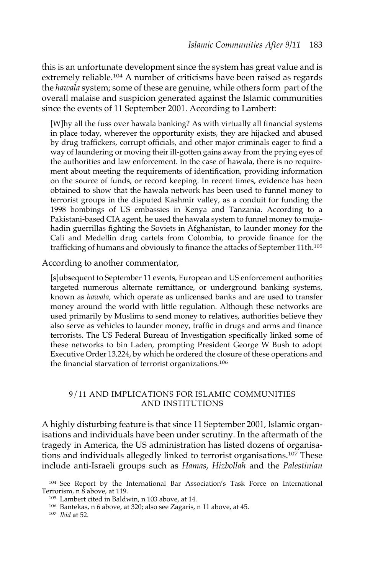this is an unfortunate development since the system has great value and is extremely reliable.<sup>104</sup> A number of criticisms have been raised as regards the *hawala* system; some of these are genuine, while others form part of the overall malaise and suspicion generated against the Islamic communities since the events of 11 September 2001. According to Lambert:

[W]hy all the fuss over hawala banking? As with virtually all financial systems in place today, wherever the opportunity exists, they are hijacked and abused by drug traffickers, corrupt officials, and other major criminals eager to find a way of laundering or moving their ill-gotten gains away from the prying eyes of the authorities and law enforcement. In the case of hawala, there is no requirement about meeting the requirements of identification, providing information on the source of funds, or record keeping. In recent times, evidence has been obtained to show that the hawala network has been used to funnel money to terrorist groups in the disputed Kashmir valley, as a conduit for funding the 1998 bombings of US embassies in Kenya and Tanzania. According to a Pakistani-based CIA agent, he used the hawala system to funnel money to mujahadin guerrillas fighting the Soviets in Afghanistan, to launder money for the Cali and Medellin drug cartels from Colombia, to provide finance for the trafficking of humans and obviously to finance the attacks of September 11th.105

According to another commentator,

[s]ubsequent to September 11 events, European and US enforcement authorities targeted numerous alternate remittance, or underground banking systems, known as *hawala*, which operate as unlicensed banks and are used to transfer money around the world with little regulation. Although these networks are used primarily by Muslims to send money to relatives, authorities believe they also serve as vehicles to launder money, traffic in drugs and arms and finance terrorists. The US Federal Bureau of Investigation specifically linked some of these networks to bin Laden, prompting President George W Bush to adopt Executive Order 13,224, by which he ordered the closure of these operations and the financial starvation of terrorist organizations.<sup>106</sup>

## 9/11 AND IMPLICATIONS FOR ISLAMIC COMMUNITIES AND INSTITUTIONS

A highly disturbing feature is that since 11 September 2001, Islamic organisations and individuals have been under scrutiny. In the aftermath of the tragedy in America, the US administration has listed dozens of organisations and individuals allegedly linked to terrorist organisations.107 These include anti-Israeli groups such as *Hamas*, *Hizbollah* and the *Palestinian*

<sup>104</sup> See Report by the International Bar Association's Task Force on International Terrorism, n  $\hat{8}$  above, at 119.

<sup>105</sup> Lambert cited in Baldwin, n 103 above, at 14.

<sup>106</sup> Bantekas, n 6 above, at 320; also see Zagaris, n 11 above, at 45.

<sup>107</sup> *Ibid* at 52.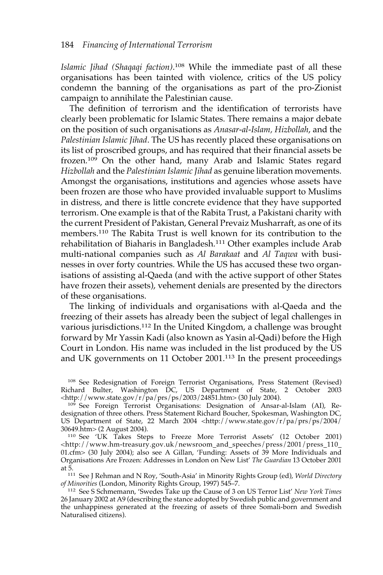#### 184 *Financing of International Terrorism*

*Islamic Jihad (Shaqaqi faction)*. <sup>108</sup> While the immediate past of all these organisations has been tainted with violence, critics of the US policy condemn the banning of the organisations as part of the pro-Zionist campaign to annihilate the Palestinian cause.

The definition of terrorism and the identification of terrorists have clearly been problematic for Islamic States. There remains a major debate on the position of such organisations as *Anasar-al-Islam, Hizbollah*, and the *Palestinian Islamic Jihad*. The US has recently placed these organisations on its list of proscribed groups, and has required that their financial assets be frozen.<sup>109</sup> On the other hand, many Arab and Islamic States regard *Hizbollah* and the *Palestinian Islamic Jihad* as genuine liberation movements. Amongst the organisations, institutions and agencies whose assets have been frozen are those who have provided invaluable support to Muslims in distress, and there is little concrete evidence that they have supported terrorism. One example is that of the Rabita Trust, a Pakistani charity with the current President of Pakistan, General Prevaiz Musharraft, as one of its members.<sup>110</sup> The Rabita Trust is well known for its contribution to the rehabilitation of Biaharis in Bangladesh.111 Other examples include Arab multi-national companies such as *Al Barakaat* and *Al Taqwa* with businesses in over forty countries. While the US has accused these two organisations of assisting al-Qaeda (and with the active support of other States have frozen their assets), vehement denials are presented by the directors of these organisations.

The linking of individuals and organisations with al-Qaeda and the freezing of their assets has already been the subject of legal challenges in various jurisdictions.112 In the United Kingdom, a challenge was brought forward by Mr Yassin Kadi (also known as Yasin al-Qadi) before the High Court in London. His name was included in the list produced by the US and UK governments on 11 October 2001.113 In the present proceedings

<sup>108</sup> See Redesignation of Foreign Terrorist Organisations, Press Statement (Revised) Richard Bulter, Washington DC, US Department of State, 2 October 2003 <http://www.state.gov/r/pa/prs/ps/2003/24851.htm> (30 July 2004).

109 See Foreign Terrorist Organisations: Designation of Ansar-al-Islam (AI), Redesignation of three others. Press Statement Richard Boucher, Spokesman, Washington DC, US Department of State, 22 March 2004 <http://www.state.gov/r/pa/prs/ps/2004/ 30649.htm> (2 August 2004).

<sup>110</sup> See 'UK Takes Steps to Freeze More Terrorist Assets' (12 October 2001) <http://www.hm-treasury.gov.uk/newsroom\_and\_speeches/press/2001/press\_110\_ 01.cfm> (30 July 2004); also see A Gillan, 'Funding: Assets of 39 More Individuals and Organisations Are Frozen: Addresses in London on New List' *The Guardian* 13 October 2001 at 5.

<sup>111</sup> See J Rehman and N Roy, 'South-Asia' in Minority Rights Group (ed), *World Directory of Minorities* (London, Minority Rights Group, 1997) 545–7.

<sup>112</sup> See S Schmemann, 'Swedes Take up the Cause of 3 on US Terror List' *New York Times* 26 January 2002 at A9 (describing the stance adopted by Swedish public and government and the unhappiness generated at the freezing of assets of three Somali-born and Swedish Naturalised citizens).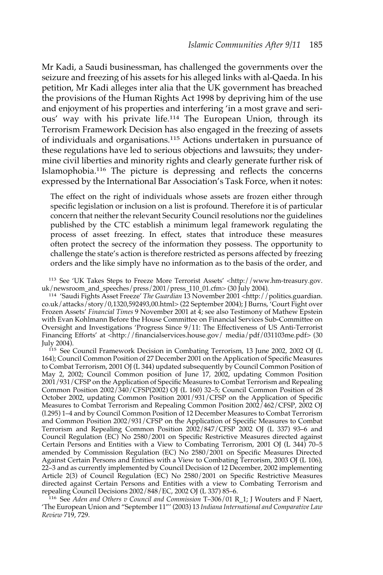Mr Kadi, a Saudi businessman, has challenged the governments over the seizure and freezing of his assets for his alleged links with al-Qaeda. In his petition, Mr Kadi alleges inter alia that the UK government has breached the provisions of the Human Rights Act 1998 by depriving him of the use and enjoyment of his properties and interfering 'in a most grave and serious' way with his private life.114 The European Union, through its Terrorism Framework Decision has also engaged in the freezing of assets of individuals and organisations.115 Actions undertaken in pursuance of these regulations have led to serious objections and lawsuits; they undermine civil liberties and minority rights and clearly generate further risk of Islamophobia.116 The picture is depressing and reflects the concerns expressed by the International Bar Association's Task Force, when it notes:

The effect on the right of individuals whose assets are frozen either through specific legislation or inclusion on a list is profound. Therefore it is of particular concern that neither the relevant Security Council resolutions nor the guidelines published by the CTC establish a minimum legal framework regulating the process of asset freezing. In effect, states that introduce these measures often protect the secrecy of the information they possess. The opportunity to challenge the state's action is therefore restricted as persons affected by freezing orders and the like simply have no information as to the basis of the order, and

<sup>113</sup> See 'UK Takes Steps to Freeze More Terrorist Assets' <http://www.hm-treasury.gov. uk/newsroom\_and\_speeches/press/2001/press\_110\_01.cfm> (30 July 2004).

<sup>114</sup> 'Saudi Fights Asset Freeze' *The Guardian* 13 November 2001 <http://politics.guardian. co.uk/attacks/story/0,1320,592493,00.html> (22 September 2004); J Burns, 'Court Fight over Frozen Assets' *Financial Times* 9 November 2001 at 4; see also Testimony of Mathew Epstein with Evan Kohlmann Before the House Committee on Financial Services Sub-Committee on Oversight and Investigations 'Progress Since 9/11: The Effectiveness of US Anti-Terrorist Financing Efforts' at <http://financialservices.house.gov/ media/pdf/031103me.pdf> (30 July 2004).

<sup>115</sup> See Council Framework Decision in Combating Terrorism, 13 June 2002, 2002 OJ (L 164); Council Common Position of 27 December 2001 on the Application of Specific Measures to Combat Terrorism, 2001 OJ (L 344) updated subsequently by Council Common Position of May 2, 2002; Council Common position of June 17, 2002, updating Common Position 2001/931/CFSP on the Application of Specific Measures to Combat Terrorism and Repealing Common Position 2002/340/CFSP(2002) OJ (L 160) 32–5; Council Common Position of 28 October 2002, updating Common Position 2001/931/CFSP on the Application of Specific Measures to Combat Terrorism and Repealing Common Position 2002/462/CFSP, 2002 OJ (l.295) 1–4 and by Council Common Position of 12 December Measures to Combat Terrorism and Common Position 2002/931/CFSP on the Application of Specific Measures to Combat Terrorism and Repealing Common Position 2002/847/CFSP 2002 OJ (L 337) 93–6 and Council Regulation (EC) No 2580/2001 on Specific Restrictive Measures directed against Certain Persons and Entities with a View to Combating Terrorism, 2001 OJ (L 344) 70–5 amended by Commission Regulation (EC) No 2580/2001 on Specific Measures Directed Against Certain Persons and Entities with a View to Combating Terrorism, 2003 OJ (L 106), 22–3 and as currently implemented by Council Decision of 12 December, 2002 implementing Article 2(3) of Council Regulation (EC) No 2580/2001 on Specific Restrictive Measures directed against Certain Persons and Entities with a view to Combating Terrorism and repealing Council Decisions 2002/848/EC, 2002 OJ (L 337) 85–6.

<sup>116</sup> See *Aden and Others v Council and Commission* T–306/01 R\_1; J Wouters and F Naert, 'The European Union and "September 11"' (2003) 13 *Indiana International and Comparative Law Review* 719, 729.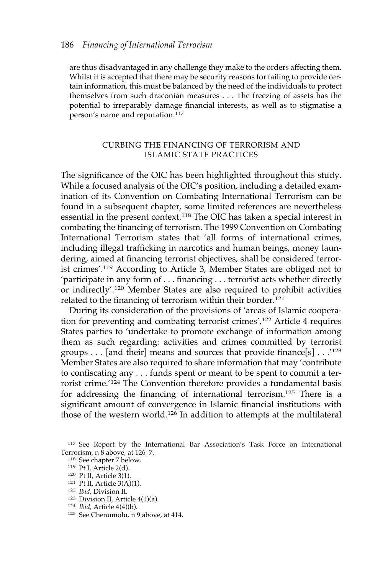are thus disadvantaged in any challenge they make to the orders affecting them. Whilst it is accepted that there may be security reasons for failing to provide certain information, this must be balanced by the need of the individuals to protect themselves from such draconian measures . . . The freezing of assets has the potential to irreparably damage financial interests, as well as to stigmatise a person's name and reputation.<sup>117</sup>

## CURBING THE FINANCING OF TERRORISM AND ISLAMIC STATE PRACTICES

The significance of the OIC has been highlighted throughout this study. While a focused analysis of the OIC's position, including a detailed examination of its Convention on Combating International Terrorism can be found in a subsequent chapter, some limited references are nevertheless essential in the present context.<sup>118</sup> The OIC has taken a special interest in combating the financing of terrorism. The 1999 Convention on Combating International Terrorism states that 'all forms of international crimes, including illegal trafficking in narcotics and human beings, money laundering, aimed at financing terrorist objectives, shall be considered terrorist crimes'.119 According to Article 3, Member States are obliged not to 'participate in any form of . . . financing . . . terrorist acts whether directly or indirectly'.<sup>120</sup> Member States are also required to prohibit activities related to the financing of terrorism within their border.<sup>121</sup>

During its consideration of the provisions of 'areas of Islamic cooperation for preventing and combating terrorist crimes',<sup>122</sup> Article 4 requires States parties to 'undertake to promote exchange of information among them as such regarding: activities and crimes committed by terrorist groups . . . [and their] means and sources that provide finance[s] . . .'123 Member States are also required to share information that may 'contribute to confiscating any . . . funds spent or meant to be spent to commit a terrorist crime.'124 The Convention therefore provides a fundamental basis for addressing the financing of international terrorism.<sup>125</sup> There is a significant amount of convergence in Islamic financial institutions with those of the western world.<sup>126</sup> In addition to attempts at the multilateral

<sup>117</sup> See Report by the International Bar Association's Task Force on International Terrorism,  $n \times 8$  above, at 126–7.

<sup>118</sup> See chapter 7 below.

<sup>119</sup> Pt I, Article 2(d).

<sup>120</sup> Pt II, Article 3(1).

<sup>121</sup> Pt II, Article 3(A)(1).

<sup>122</sup> *Ibid,* Division II.

<sup>&</sup>lt;sup>123</sup> Division II, Article  $4(1)(a)$ .

<sup>124</sup> *Ibid,* Article 4(4)(b).

<sup>125</sup> See Chenumolu, n 9 above, at 414.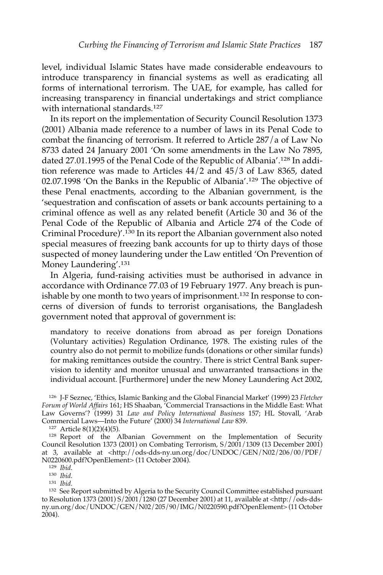level, individual Islamic States have made considerable endeavours to introduce transparency in financial systems as well as eradicating all forms of international terrorism. The UAE, for example, has called for increasing transparency in financial undertakings and strict compliance with international standards.<sup>127</sup>

In its report on the implementation of Security Council Resolution 1373 (2001) Albania made reference to a number of laws in its Penal Code to combat the financing of terrorism. It referred to Article 287/a of Law No 8733 dated 24 January 2001 'On some amendments in the Law No 7895, dated 27.01.1995 of the Penal Code of the Republic of Albania'.<sup>128</sup> In addition reference was made to Articles 44/2 and 45/3 of Law 8365, dated 02.07.1998 'On the Banks in the Republic of Albania'.129 The objective of these Penal enactments, according to the Albanian government, is the 'sequestration and confiscation of assets or bank accounts pertaining to a criminal offence as well as any related benefit (Article 30 and 36 of the Penal Code of the Republic of Albania and Article 274 of the Code of Criminal Procedure)'.<sup>130</sup> In its report the Albanian government also noted special measures of freezing bank accounts for up to thirty days of those suspected of money laundering under the Law entitled 'On Prevention of Money Laundering'.131

In Algeria, fund-raising activities must be authorised in advance in accordance with Ordinance 77.03 of 19 February 1977. Any breach is punishable by one month to two years of imprisonment.<sup>132</sup> In response to concerns of diversion of funds to terrorist organisations, the Bangladesh government noted that approval of government is:

mandatory to receive donations from abroad as per foreign Donations (Voluntary activities) Regulation Ordinance, 1978. The existing rules of the country also do not permit to mobilize funds (donations or other similar funds) for making remittances outside the country. There is strict Central Bank supervision to identity and monitor unusual and unwarranted transactions in the individual account. [Furthermore] under the new Money Laundering Act 2002,

<sup>126</sup> J-F Seznec, 'Ethics, Islamic Banking and the Global Financial Market' (1999) 23 *Fletcher Forum of World Affairs* 161; HS Shaaban, 'Commercial Transactions in the Middle East: What Law Governs'? (1999) 31 *Law and Policy International Business* 157; HL Stovall, 'Arab Commercial Laws—Into the Future' (2000) 34 *International Law* 839.

<sup>127</sup> Article 8(1)(2)(4)(5).

<sup>128</sup> Report of the Albanian Government on the Implementation of Security Council Resolution 1373 (2001) on Combating Terrorism, S/2001/1309 (13 December 2001) at 3, available at <http://ods-dds-ny.un.org/doc/UNDOC/GEN/N02/206/00/PDF/ N0220600.pdf?OpenElement> (11 October 2004).

<sup>129</sup> *Ibid.*

<sup>130</sup> *Ibid.*

<sup>131</sup> *Ibid.*

132 See Report submitted by Algeria to the Security Council Committee established pursuant to Resolution 1373 (2001) S/2001/1280 (27 December 2001) at 11, available at <http://ods-ddsny.un.org/doc/UNDOC/GEN/N02/205/90/IMG/N0220590.pdf?OpenElement> (11 October 2004).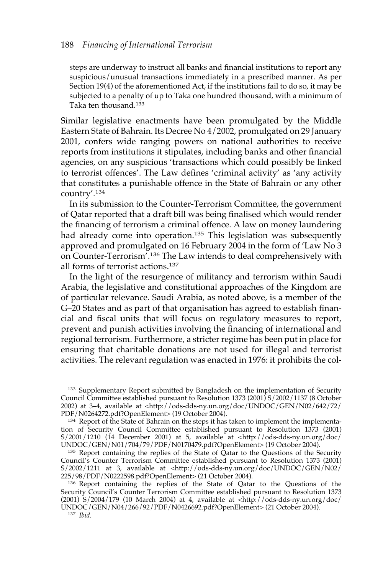steps are underway to instruct all banks and financial institutions to report any suspicious/unusual transactions immediately in a prescribed manner. As per Section 19(4) of the aforementioned Act, if the institutions fail to do so, it may be subjected to a penalty of up to Taka one hundred thousand, with a minimum of Taka ten thousand.133

Similar legislative enactments have been promulgated by the Middle Eastern State of Bahrain. Its Decree No 4/2002, promulgated on 29 January 2001, confers wide ranging powers on national authorities to receive reports from institutions it stipulates, including banks and other financial agencies, on any suspicious 'transactions which could possibly be linked to terrorist offences'. The Law defines 'criminal activity' as 'any activity that constitutes a punishable offence in the State of Bahrain or any other country'.<sup>134</sup>

In its submission to the Counter-Terrorism Committee, the government of Qatar reported that a draft bill was being finalised which would render the financing of terrorism a criminal offence. A law on money laundering had already come into operation.<sup>135</sup> This legislation was subsequently approved and promulgated on 16 February 2004 in the form of 'Law No 3 on Counter-Terrorism'.136 The Law intends to deal comprehensively with all forms of terrorist actions.137

In the light of the resurgence of militancy and terrorism within Saudi Arabia, the legislative and constitutional approaches of the Kingdom are of particular relevance. Saudi Arabia, as noted above, is a member of the G–20 States and as part of that organisation has agreed to establish financial and fiscal units that will focus on regulatory measures to report, prevent and punish activities involving the financing of international and regional terrorism. Furthermore, a stricter regime has been put in place for ensuring that charitable donations are not used for illegal and terrorist activities. The relevant regulation was enacted in 1976: it prohibits the col-

133 Supplementary Report submitted by Bangladesh on the implementation of Security Council Committee established pursuant to Resolution 1373 (2001) S/2002/1137 (8 October 2002) at 3–4, available at <http://ods-dds-ny.un.org/doc/UNDOC/GEN/N02/642/72/ PDF/N0264272.pdf?OpenElement> (19 October 2004).

<sup>134</sup> Report of the State of Bahrain on the steps it has taken to implement the implementation of Security Council Committee established pursuant to Resolution 1373 (2001) S/2001/1210 (14 December 2001) at 5, available at <http://ods-dds-ny.un.org/doc/ UNDOC/GEN/N01/704/79/PDF/N0170479.pdf?OpenElement> (19 October 2004).

<sup>135</sup> Report containing the replies of the State of Qatar to the Questions of the Security Council's Counter Terrorism Committee established pursuant to Resolution 1373 (2001) S/2002/1211 at 3, available at <http://ods-dds-ny.un.org/doc/UNDOC/GEN/N02/ 225/98/PDF/N0222598.pdf?OpenElement> (21 October 2004).

<sup>136</sup> Report containing the replies of the State of Qatar to the Questions of the Security Council's Counter Terrorism Committee established pursuant to Resolution 1373 (2001) S/2004/179 (10 March 2004) at 4, available at <http://ods-dds-ny.un.org/doc/ UNDOC/GEN/N04/266/92/PDF/N0426692.pdf?OpenElement> (21 October 2004).

<sup>137</sup> *Ibid.*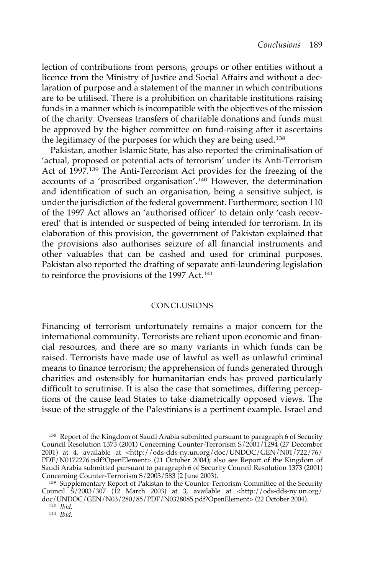lection of contributions from persons, groups or other entities without a licence from the Ministry of Justice and Social Affairs and without a declaration of purpose and a statement of the manner in which contributions are to be utilised. There is a prohibition on charitable institutions raising funds in a manner which is incompatible with the objectives of the mission of the charity. Overseas transfers of charitable donations and funds must be approved by the higher committee on fund-raising after it ascertains the legitimacy of the purposes for which they are being used.138

Pakistan, another Islamic State, has also reported the criminalisation of 'actual, proposed or potential acts of terrorism' under its Anti-Terrorism Act of 1997.139 The Anti-Terrorism Act provides for the freezing of the accounts of a 'proscribed organisation'.<sup>140</sup> However, the determination and identification of such an organisation, being a sensitive subject, is under the jurisdiction of the federal government. Furthermore, section 110 of the 1997 Act allows an 'authorised officer' to detain only 'cash recovered' that is intended or suspected of being intended for terrorism. In its elaboration of this provision, the government of Pakistan explained that the provisions also authorises seizure of all financial instruments and other valuables that can be cashed and used for criminal purposes. Pakistan also reported the drafting of separate anti-laundering legislation to reinforce the provisions of the 1997 Act.<sup>141</sup>

#### CONCLUSIONS

Financing of terrorism unfortunately remains a major concern for the international community. Terrorists are reliant upon economic and financial resources, and there are so many variants in which funds can be raised. Terrorists have made use of lawful as well as unlawful criminal means to finance terrorism; the apprehension of funds generated through charities and ostensibly for humanitarian ends has proved particularly difficult to scrutinise. It is also the case that sometimes, differing perceptions of the cause lead States to take diametrically opposed views. The issue of the struggle of the Palestinians is a pertinent example. Israel and

<sup>&</sup>lt;sup>138</sup> Report of the Kingdom of Saudi Arabia submitted pursuant to paragraph 6 of Security Council Resolution 1373 (2001) Concerning Counter-Terrorism S/2001/1294 (27 December 2001) at 4, available at <http://ods-dds-ny.un.org/doc/UNDOC/GEN/N01/722/76/ PDF/N0172276.pdf?OpenElement> (21 October 2004); also see Report of the Kingdom of Saudi Arabia submitted pursuant to paragraph 6 of Security Council Resolution 1373 (2001) Concerning Counter-Terrorism S/2003/583 (2 June 2003).

<sup>&</sup>lt;sup>139</sup> Supplementary Report of Pakistan to the Counter-Terrorism Committee of the Security Council  $\frac{1}{5}/2003/307$  (12 March 2003) at 3, available at <http://ods-dds-ny.un.org/ doc/UNDOC/GEN/N03/280/85/PDF/N0328085.pdf?OpenElement> (22 October 2004).

<sup>140</sup> *Ibid.*

<sup>141</sup> *Ibid.*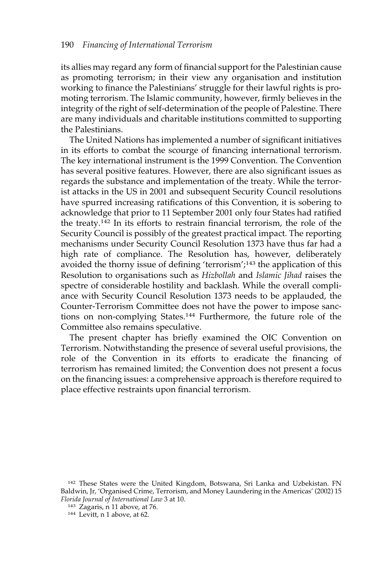its allies may regard any form of financial support for the Palestinian cause as promoting terrorism; in their view any organisation and institution working to finance the Palestinians' struggle for their lawful rights is promoting terrorism. The Islamic community, however, firmly believes in the integrity of the right of self-determination of the people of Palestine. There are many individuals and charitable institutions committed to supporting the Palestinians.

The United Nations has implemented a number of significant initiatives in its efforts to combat the scourge of financing international terrorism. The key international instrument is the 1999 Convention. The Convention has several positive features. However, there are also significant issues as regards the substance and implementation of the treaty. While the terrorist attacks in the US in 2001 and subsequent Security Council resolutions have spurred increasing ratifications of this Convention, it is sobering to acknowledge that prior to 11 September 2001 only four States had ratified the treaty.<sup>142</sup> In its efforts to restrain financial terrorism, the role of the Security Council is possibly of the greatest practical impact. The reporting mechanisms under Security Council Resolution 1373 have thus far had a high rate of compliance. The Resolution has, however, deliberately avoided the thorny issue of defining 'terrorism';143 the application of this Resolution to organisations such as *Hizbollah* and *Islamic Jihad* raises the spectre of considerable hostility and backlash. While the overall compliance with Security Council Resolution 1373 needs to be applauded, the Counter-Terrorism Committee does not have the power to impose sanctions on non-complying States.144 Furthermore, the future role of the Committee also remains speculative.

The present chapter has briefly examined the OIC Convention on Terrorism. Notwithstanding the presence of several useful provisions, the role of the Convention in its efforts to eradicate the financing of terrorism has remained limited; the Convention does not present a focus on the financing issues: a comprehensive approach is therefore required to place effective restraints upon financial terrorism.

<sup>142</sup> These States were the United Kingdom, Botswana, Sri Lanka and Uzbekistan. FN Baldwin, Jr, 'Organised Crime, Terrorism, and Money Laundering in the Americas' (2002) 15 *Florida Journal of International Law* 3 at 10.

<sup>143</sup> Zagaris, n 11 above, at 76.

<sup>144</sup> Levitt, n 1 above, at 62.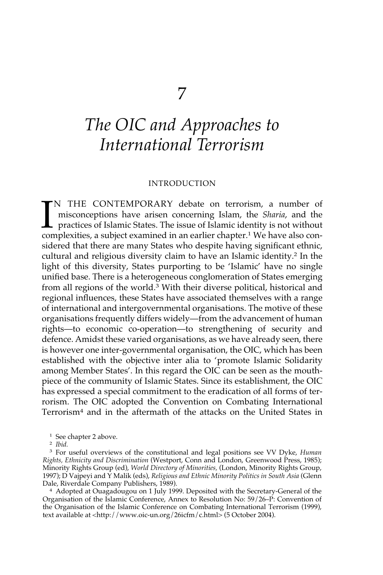# *The OIC and Approaches to International Terrorism*

#### INTRODUCTION

 $\prod_{\rm con}$ N THE CONTEMPORARY debate on terrorism, a number of misconceptions have arisen concerning Islam, the *Sharia*, and the practices of Islamic States. The issue of Islamic identity is not without complexities, a subject examined in an earlier chapter.<sup>1</sup> We have also considered that there are many States who despite having significant ethnic, cultural and religious diversity claim to have an Islamic identity.2 In the light of this diversity, States purporting to be 'Islamic' have no single unified base. There is a heterogeneous conglomeration of States emerging from all regions of the world.3 With their diverse political, historical and regional influences, these States have associated themselves with a range of international and intergovernmental organisations. The motive of these organisations frequently differs widely—from the advancement of human rights—to economic co-operation—to strengthening of security and defence. Amidst these varied organisations, as we have already seen, there is however one inter-governmental organisation, the OIC, which has been established with the objective inter alia to 'promote Islamic Solidarity among Member States'. In this regard the OIC can be seen as the mouthpiece of the community of Islamic States. Since its establishment, the OIC has expressed a special commitment to the eradication of all forms of terrorism. The OIC adopted the Convention on Combating International Terrorism4 and in the aftermath of the attacks on the United States in

<sup>1</sup> See chapter 2 above.

<sup>3</sup> For useful overviews of the constitutional and legal positions see VV Dyke, *Human Rights, Ethnicity and Discrimination* (Westport, Conn and London, Greenwood Press, 1985); Minority Rights Group (ed), *World Directory of Minorities,* (London, Minority Rights Group, 1997); D Vajpeyi and Y Malik (eds), *Religious and Ethnic Minority Politics in South Asia* (Glenn Dale, Riverdale Company Publishers, 1989).

<sup>4</sup> Adopted at Ouagadougou on 1 July 1999. Deposited with the Secretary-General of the Organisation of the Islamic Conference, Annex to Resolution No: 59/26–P: Convention of the Organisation of the Islamic Conference on Combating International Terrorism (1999), text available at <http://www.oic-un.org/26icfm/c.html> (5 October 2004).

<sup>2</sup> *Ibid.*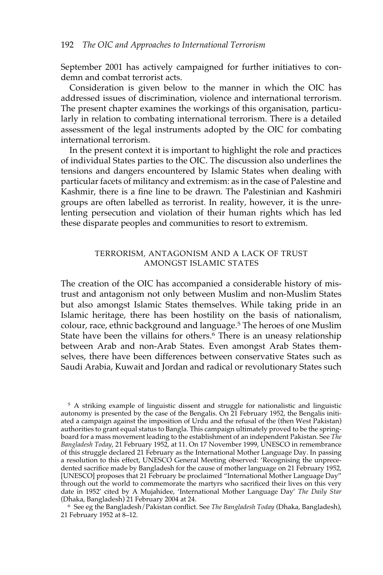September 2001 has actively campaigned for further initiatives to condemn and combat terrorist acts.

Consideration is given below to the manner in which the OIC has addressed issues of discrimination, violence and international terrorism. The present chapter examines the workings of this organisation, particularly in relation to combating international terrorism. There is a detailed assessment of the legal instruments adopted by the OIC for combating international terrorism.

In the present context it is important to highlight the role and practices of individual States parties to the OIC. The discussion also underlines the tensions and dangers encountered by Islamic States when dealing with particular facets of militancy and extremism: as in the case of Palestine and Kashmir, there is a fine line to be drawn. The Palestinian and Kashmiri groups are often labelled as terrorist. In reality, however, it is the unrelenting persecution and violation of their human rights which has led these disparate peoples and communities to resort to extremism.

## TERRORISM, ANTAGONISM AND A LACK OF TRUST AMONGST ISLAMIC STATES

The creation of the OIC has accompanied a considerable history of mistrust and antagonism not only between Muslim and non-Muslim States but also amongst Islamic States themselves. While taking pride in an Islamic heritage, there has been hostility on the basis of nationalism, colour, race, ethnic background and language.5 The heroes of one Muslim State have been the villains for others.<sup>6</sup> There is an uneasy relationship between Arab and non-Arab States. Even amongst Arab States themselves, there have been differences between conservative States such as Saudi Arabia, Kuwait and Jordan and radical or revolutionary States such

<sup>5</sup> A striking example of linguistic dissent and struggle for nationalistic and linguistic autonomy is presented by the case of the Bengalis. On 21 February 1952, the Bengalis initiated a campaign against the imposition of Urdu and the refusal of the (then West Pakistan) authorities to grant equal status to Bangla. This campaign ultimately proved to be the springboard for a mass movement leading to the establishment of an independent Pakistan. See *The Bangladesh Today*, 21 February 1952, at 11. On 17 November 1999, UNESCO in remembrance of this struggle declared 21 February as the International Mother Language Day. In passing a resolution to this effect, UNESCO General Meeting observed: 'Recognising the unprecedented sacrifice made by Bangladesh for the cause of mother language on 21 February 1952, [UNESCO] proposes that 21 February be proclaimed "International Mother Language Day" through out the world to commemorate the martyrs who sacrificed their lives on this very date in 1952' cited by A Mujahidee, 'International Mother Language Day' *The Daily Star* (Dhaka, Bangladesh) 21 February 2004 at 24.

<sup>6</sup> See eg the Bangladesh/Pakistan conflict. See *The Bangladesh Today* (Dhaka, Bangladesh), 21 February 1952 at 8–12.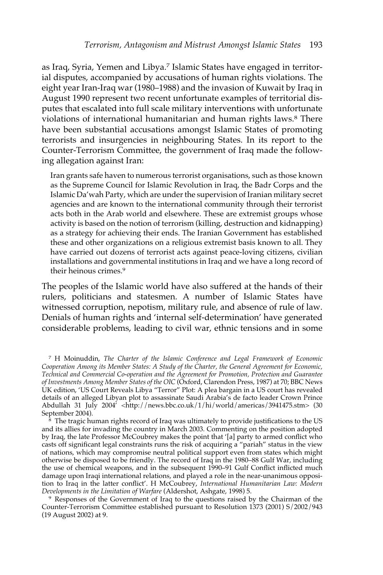as Iraq, Syria, Yemen and Libya.<sup>7</sup> Islamic States have engaged in territorial disputes, accompanied by accusations of human rights violations. The eight year Iran-Iraq war (1980–1988) and the invasion of Kuwait by Iraq in August 1990 represent two recent unfortunate examples of territorial disputes that escalated into full scale military interventions with unfortunate violations of international humanitarian and human rights laws.<sup>8</sup> There have been substantial accusations amongst Islamic States of promoting terrorists and insurgencies in neighbouring States. In its report to the Counter-Terrorism Committee, the government of Iraq made the following allegation against Iran:

Iran grants safe haven to numerous terrorist organisations, such as those known as the Supreme Council for Islamic Revolution in Iraq, the Badr Corps and the Islamic Da'wah Party, which are under the supervision of Iranian military secret agencies and are known to the international community through their terrorist acts both in the Arab world and elsewhere. These are extremist groups whose activity is based on the notion of terrorism (killing, destruction and kidnapping) as a strategy for achieving their ends. The Iranian Government has established these and other organizations on a religious extremist basis known to all. They have carried out dozens of terrorist acts against peace-loving citizens, civilian installations and governmental institutions in Iraq and we have a long record of their heinous crimes.<sup>9</sup>

The peoples of the Islamic world have also suffered at the hands of their rulers, politicians and statesmen. A number of Islamic States have witnessed corruption, nepotism, military rule, and absence of rule of law. Denials of human rights and 'internal self-determination' have generated considerable problems, leading to civil war, ethnic tensions and in some

 $8$  The tragic human rights record of Iraq was ultimately to provide justifications to the US and its allies for invading the country in March 2003. Commenting on the position adopted by Iraq, the late Professor McCoubrey makes the point that '[a] party to armed conflict who casts off significant legal constraints runs the risk of acquiring a "pariah" status in the view of nations, which may compromise neutral political support even from states which might otherwise be disposed to be friendly. The record of Iraq in the 1980–88 Gulf War, including the use of chemical weapons, and in the subsequent 1990–91 Gulf Conflict inflicted much damage upon Iraqi international relations, and played a role in the near-unanimous opposition to Iraq in the latter conflict'. H McCoubrey, *International Humanitarian Law: Modern Developments in the Limitation of Warfare* (Aldershot, Ashgate, 1998) 5.

<sup>9</sup> Responses of the Government of Iraq to the questions raised by the Chairman of the Counter-Terrorism Committee established pursuant to Resolution 1373 (2001) S/2002/943 (19 August 2002) at 9.

<sup>7</sup> H Moinuddin, *The Charter of the Islamic Conference and Legal Framework of Economic Cooperation Among its Member States: A Study of the Charter, the General Agreement for Economic, Technical and Commercial Co-operation and the Agreement for Promotion, Protection and Guarantee of Investments Among Member States of the OIC* (Oxford, Clarendon Press, 1987) at 70; BBC News UK edition, 'US Court Reveals Libya "Terror" Plot: A plea bargain in a US court has revealed details of an alleged Libyan plot to assassinate Saudi Arabia's de facto leader Crown Prince Abdullah 31 July 2004' <http://news.bbc.co.uk/1/hi/world/americas/3941475.stm> (30 September 2004).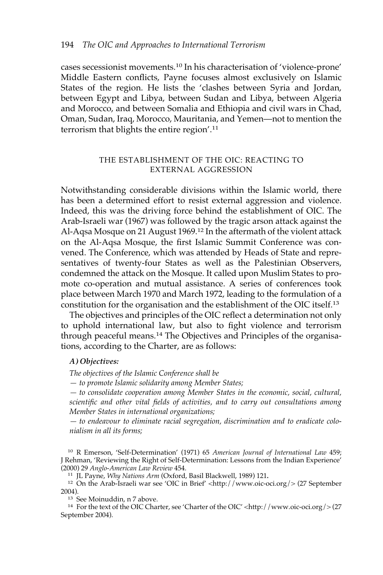cases secessionist movements.10 In his characterisation of 'violence-prone' Middle Eastern conflicts, Payne focuses almost exclusively on Islamic States of the region. He lists the 'clashes between Syria and Jordan, between Egypt and Libya, between Sudan and Libya, between Algeria and Morocco, and between Somalia and Ethiopia and civil wars in Chad, Oman, Sudan, Iraq, Morocco, Mauritania, and Yemen—not to mention the terrorism that blights the entire region'.<sup>11</sup>

## THE ESTABLISHMENT OF THE OIC: REACTING TO EXTERNAL AGGRESSION

Notwithstanding considerable divisions within the Islamic world, there has been a determined effort to resist external aggression and violence. Indeed, this was the driving force behind the establishment of OIC. The Arab-Israeli war (1967) was followed by the tragic arson attack against the Al-Aqsa Mosque on 21 August 1969.12 In the aftermath of the violent attack on the Al-Aqsa Mosque, the first Islamic Summit Conference was convened. The Conference, which was attended by Heads of State and representatives of twenty-four States as well as the Palestinian Observers, condemned the attack on the Mosque. It called upon Muslim States to promote co-operation and mutual assistance. A series of conferences took place between March 1970 and March 1972, leading to the formulation of a constitution for the organisation and the establishment of the OIC itself.13

The objectives and principles of the OIC reflect a determination not only to uphold international law, but also to fight violence and terrorism through peaceful means.<sup>14</sup> The Objectives and Principles of the organisations, according to the Charter, are as follows:

#### *A) Objectives:*

*The objectives of the Islamic Conference shall be*

*— to promote Islamic solidarity among Member States;* 

*— to consolidate cooperation among Member States in the economic, social, cultural, scientific and other vital fields of activities, and to carry out consultations among Member States in international organizations;* 

*— to endeavour to eliminate racial segregation, discrimination and to eradicate colonialism in all its forms;* 

<sup>10</sup> R Emerson, 'Self-Determination' (1971) 65 *American Journal of International Law* 459; J Rehman, 'Reviewing the Right of Self-Determination: Lessons from the Indian Experience' (2000) 29 *Anglo-American Law Review* 454.

<sup>11</sup> JL Payne, *Why Nations Arm* (Oxford, Basil Blackwell, 1989) 121**.**

<sup>12</sup> On the Arab-Israeli war see 'OIC in Brief' <http://www.oic-oci.org/> (27 September 2004).

<sup>13</sup> See Moinuddin, n 7 above.

<sup>14</sup> For the text of the OIC Charter, see 'Charter of the OIC' <http://www.oic-oci.org/>(27 September 2004).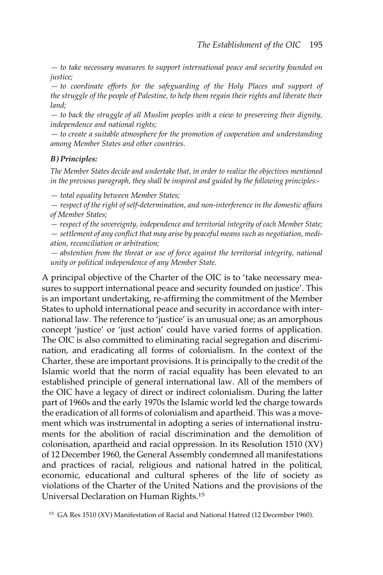*— to take necessary measures to support international peace and security founded on justice;* 

*— to coordinate efforts for the safeguarding of the Holy Places and support of the struggle of the people of Palestine, to help them regain their rights and liberate their land;* 

*— to back the struggle of all Muslim peoples with a view to preserving their dignity, independence and national rights;* 

*— to create a suitable atmosphere for the promotion of cooperation and understanding among Member States and other countries.*

## *B) Principles:*

*The Member States decide and undertake that, in order to realize the objectives mentioned in the previous paragraph, they shall be inspired and guided by the following principles:-* 

*— total equality between Member States;* 

*— respect of the right of self-determination, and non-interference in the domestic affairs of Member States;* 

*— respect of the sovereignty, independence and territorial integrity of each Member State; — settlement of any conflict that may arise by peaceful means such as negotiation, mediation, reconciliation or arbitration;* 

*— abstention from the threat or use of force against the territorial integrity, national unity or political independence of any Member State.*

A principal objective of the Charter of the OIC is to 'take necessary measures to support international peace and security founded on justice'. This is an important undertaking, re-affirming the commitment of the Member States to uphold international peace and security in accordance with international law. The reference to 'justice' is an unusual one; as an amorphous concept 'justice' or 'just action' could have varied forms of application. The OIC is also committed to eliminating racial segregation and discrimination, and eradicating all forms of colonialism. In the context of the Charter, these are important provisions. It is principally to the credit of the Islamic world that the norm of racial equality has been elevated to an established principle of general international law. All of the members of the OIC have a legacy of direct or indirect colonialism. During the latter part of 1960s and the early 1970s the Islamic world led the charge towards the eradication of all forms of colonialism and apartheid. This was a movement which was instrumental in adopting a series of international instruments for the abolition of racial discrimination and the demolition of colonisation, apartheid and racial oppression. In its Resolution 1510 (XV) of 12 December 1960, the General Assembly condemned all manifestations and practices of racial, religious and national hatred in the political, economic, educational and cultural spheres of the life of society as violations of the Charter of the United Nations and the provisions of the Universal Declaration on Human Rights.15

<sup>15</sup> GA Res 1510 (XV) Manifestation of Racial and National Hatred (12 December 1960).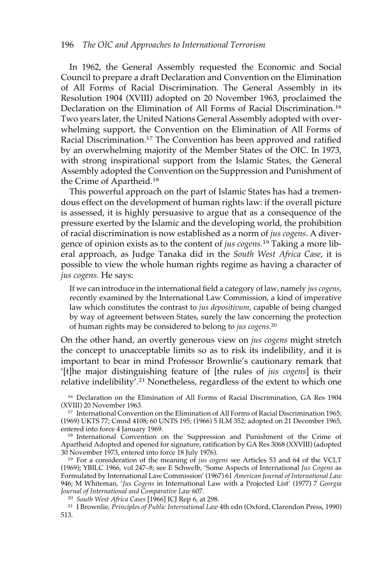In 1962, the General Assembly requested the Economic and Social Council to prepare a draft Declaration and Convention on the Elimination of All Forms of Racial Discrimination. The General Assembly in its Resolution 1904 (XVIII) adopted on 20 November 1963, proclaimed the Declaration on the Elimination of All Forms of Racial Discrimination.16 Two years later, the United Nations General Assembly adopted with overwhelming support, the Convention on the Elimination of All Forms of Racial Discrimination.<sup>17</sup> The Convention has been approved and ratified by an overwhelming majority of the Member States of the OIC. In 1973, with strong inspirational support from the Islamic States, the General Assembly adopted the Convention on the Suppression and Punishment of the Crime of Apartheid.18

This powerful approach on the part of Islamic States has had a tremendous effect on the development of human rights law: if the overall picture is assessed, it is highly persuasive to argue that as a consequence of the pressure exerted by the Islamic and the developing world, the prohibition of racial discrimination is now established as a norm of *jus cogens*. A divergence of opinion exists as to the content of *jus cogens.*<sup>19</sup> Taking a more liberal approach, as Judge Tanaka did in the *South West Africa Case*, it is possible to view the whole human rights regime as having a character of *jus cogens.* He says:

If we can introduce in the international field a category of law, namely *jus cogens*, recently examined by the International Law Commission, a kind of imperative law which constitutes the contrast to *jus depositivum*, capable of being changed by way of agreement between States, surely the law concerning the protection of human rights may be considered to belong to *jus cogens*. 20

On the other hand, an overtly generous view on *jus cogens* might stretch the concept to unacceptable limits so as to risk its indelibility, and it is important to bear in mind Professor Brownlie's cautionary remark that '[t]he major distinguishing feature of [the rules of *jus cogens*] is their relative indelibility'.<sup>21</sup> Nonetheless, regardless of the extent to which one

<sup>16</sup> Declaration on the Elimination of All Forms of Racial Discrimination, GA Res 1904 (XVIII) 20 November 1963.

<sup>17</sup> International Convention on the Elimination of All Forms of Racial Discrimination 1965; (1969) UKTS 77; Cmnd 4108; 60 UNTS 195; (1966) 5 ILM 352; adopted on 21 December 1965, entered into force 4 January 1969.

<sup>18</sup> International Convention on the Suppression and Punishment of the Crime of Apartheid Adopted and opened for signature, ratification by GA Res 3068 (XXVIII) (adopted 30 November 1973, entered into force 18 July 1976).

<sup>19</sup> For a consideration of the meaning of *jus cogens* see Articles 53 and 64 of the VCLT (1969); YBILC 1966, vol 247–8; see E Schwelb, 'Some Aspects of International *Jus Cogens* as Formulated by International Law Commission' (1967) 61 *American Journal of International Law* 946; M Whiteman, '*Jus Cogens* in International Law with a Projected List' (1977) 7 *Georgia Journal of International and Comparative Law* 607.

<sup>20</sup> *South West Africa Cases* [1966] ICJ Rep 6, at 298.

<sup>21</sup> I Brownlie, *Principles of Public International Law* 4th edn (Oxford, Clarendon Press, 1990) 513.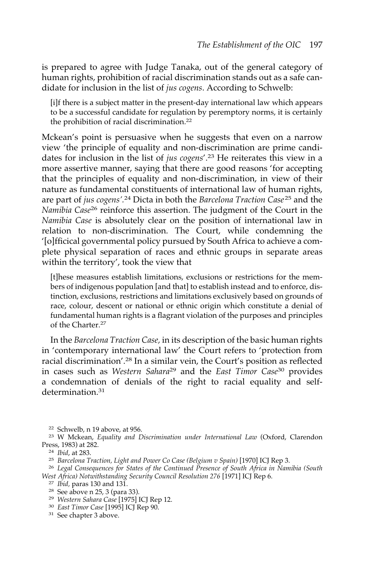is prepared to agree with Judge Tanaka, out of the general category of human rights, prohibition of racial discrimination stands out as a safe candidate for inclusion in the list of *jus cogens*. According to Schwelb:

[i]f there is a subject matter in the present-day international law which appears to be a successful candidate for regulation by peremptory norms, it is certainly the prohibition of racial discrimination.<sup>22</sup>

Mckean's point is persuasive when he suggests that even on a narrow view 'the principle of equality and non-discrimination are prime candidates for inclusion in the list of *jus cogens*'.23 He reiterates this view in a more assertive manner, saying that there are good reasons 'for accepting that the principles of equality and non-discrimination, in view of their nature as fundamental constituents of international law of human rights, are part of *jus cogens'.*<sup>24</sup> Dicta in both the *Barcelona Traction Case* <sup>25</sup> and the *Namibia Case*<sup>26</sup> reinforce this assertion. The judgment of the Court in the *Namibia Case* is absolutely clear on the position of international law in relation to non-discrimination. The Court, while condemning the '[o]fficical governmental policy pursued by South Africa to achieve a complete physical separation of races and ethnic groups in separate areas within the territory', took the view that

[t]hese measures establish limitations, exclusions or restrictions for the members of indigenous population [and that] to establish instead and to enforce, distinction, exclusions, restrictions and limitations exclusively based on grounds of race, colour, descent or national or ethnic origin which constitute a denial of fundamental human rights is a flagrant violation of the purposes and principles of the Charter.<sup>27</sup>

In the *Barcelona Traction Case,* in its description of the basic human rights in 'contemporary international law' the Court refers to 'protection from racial discrimination'.28 In a similar vein, the Court's position as reflected in cases such as *Western Sahara*<sup>29</sup> and the *East Timor Case*<sup>30</sup> provides a condemnation of denials of the right to racial equality and selfdetermination.<sup>31</sup>

<sup>22</sup> Schwelb, n 19 above, at 956.

<sup>23</sup> W Mckean, *Equality and Discrimination under International Law* (Oxford, Clarendon Press, 1983) at 282.

<sup>25</sup> *Barcelona Traction, Light and Power Co Case (Belgium v Spain)* [1970] ICJ Rep 3.

<sup>26</sup> *Legal Consequences for States of the Continued Presence of South Africa in Namibia (South West Africa) Notwithstanding Security Council Resolution 276* [1971] ICJ Rep 6.

- <sup>27</sup> *Ibid,* paras 130 and 131.
- <sup>28</sup> See above n 25, 3 (para 33).
- <sup>29</sup> *Western Sahara Case* [1975] ICJ Rep 12.
- <sup>30</sup> *East Timor Case* [1995] ICJ Rep 90.
- <sup>31</sup> See chapter 3 above.

<sup>24</sup> *Ibid*, at 283.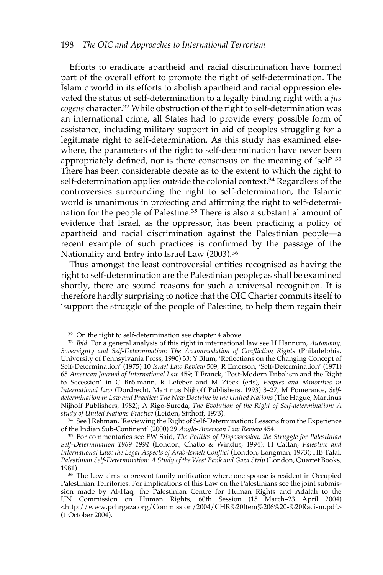#### 198 *The OIC and Approaches to International Terrorism*

Efforts to eradicate apartheid and racial discrimination have formed part of the overall effort to promote the right of self-determination. The Islamic world in its efforts to abolish apartheid and racial oppression elevated the status of self-determination to a legally binding right with a *jus cogens* character.32 While obstruction of the right to self-determination was an international crime, all States had to provide every possible form of assistance, including military support in aid of peoples struggling for a legitimate right to self-determination. As this study has examined elsewhere, the parameters of the right to self-determination have never been appropriately defined, nor is there consensus on the meaning of 'self'.33 There has been considerable debate as to the extent to which the right to self-determination applies outside the colonial context.<sup>34</sup> Regardless of the controversies surrounding the right to self-determination, the Islamic world is unanimous in projecting and affirming the right to self-determination for the people of Palestine.<sup>35</sup> There is also a substantial amount of evidence that Israel, as the oppressor, has been practicing a policy of apartheid and racial discrimination against the Palestinian people—a recent example of such practices is confirmed by the passage of the Nationality and Entry into Israel Law (2003).36

Thus amongst the least controversial entities recognised as having the right to self-determination are the Palestinian people; as shall be examined shortly, there are sound reasons for such a universal recognition. It is therefore hardly surprising to notice that the OIC Charter commits itself to 'support the struggle of the people of Palestine, to help them regain their

<sup>34</sup> See J Rehman, 'Reviewing the Right of Self-Determination: Lessons from the Experience of the Indian Sub-Continent' (2000) 29 *Anglo-American Law Review* 454.

<sup>35</sup> For commentaries see EW Said, *The Politics of Dispossession: the Struggle for Palestinian Self-Determination 1969–1994* (London, Chatto & Windus, 1994); H Cattan, *Palestine and International Law: the Legal Aspects of Arab-Israeli Conflict* (London, Longman, 1973); HB Talal, *Palestinian Self-Determination: A Study of the West Bank and Gaza Strip* (London, Quartet Books, 1981).

<sup>32</sup> On the right to self-determination see chapter 4 above.

<sup>33</sup> *Ibid.* For a general analysis of this right in international law see H Hannum, *Autonomy, Sovereignty and Self-Determination: The Accommodation of Conflicting Rights* (Philadelphia, University of Pennsylvania Press, 1990) 33; Y Blum, 'Reflections on the Changing Concept of Self-Determination' (1975) 10 *Israel Law Review* 509; R Emerson, 'Self-Determination' (1971) 65 *American Journal of International Law* 459; T Franck, 'Post-Modern Tribalism and the Right to Secession' in C Brölmann, R Lefeber and M Zieck (eds), *Peoples and Minorities in International Law* (Dordrecht, Martinus Nijhoff Publishers, 1993) 3–27; M Pomerance, *Selfdetermination in Law and Practice: The New Doctrine in the United Nations* (The Hague, Martinus Nijhoff Publishers, 1982); A Rigo-Sureda, *The Evolution of the Right of Self-determination: A study of United Nations Practice* (Leiden, Sijthoff, 1973).

<sup>36</sup> The Law aims to prevent family unification where one spouse is resident in Occupied Palestinian Territories. For implications of this Law on the Palestinians see the joint submission made by Al-Haq, the Palestinian Centre for Human Rights and Adalah to the UN Commission on Human Rights, 60th Session (15 March–23 April 2004) <http://www.pchrgaza.org/Commission/2004/CHR%20Item%206%20-%20Racism.pdf> (1 October 2004).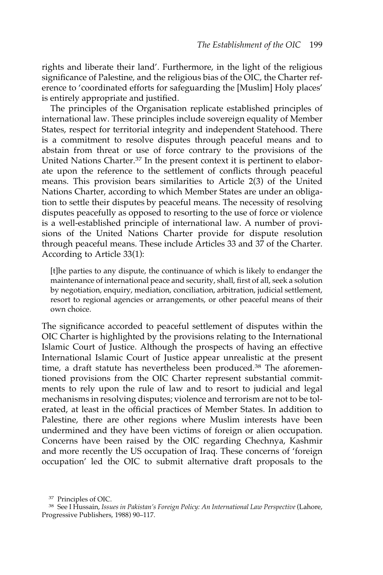rights and liberate their land'. Furthermore, in the light of the religious significance of Palestine, and the religious bias of the OIC, the Charter reference to 'coordinated efforts for safeguarding the [Muslim] Holy places' is entirely appropriate and justified.

The principles of the Organisation replicate established principles of international law. These principles include sovereign equality of Member States, respect for territorial integrity and independent Statehood. There is a commitment to resolve disputes through peaceful means and to abstain from threat or use of force contrary to the provisions of the United Nations Charter.<sup>37</sup> In the present context it is pertinent to elaborate upon the reference to the settlement of conflicts through peaceful means. This provision bears similarities to Article 2(3) of the United Nations Charter, according to which Member States are under an obligation to settle their disputes by peaceful means. The necessity of resolving disputes peacefully as opposed to resorting to the use of force or violence is a well-established principle of international law. A number of provisions of the United Nations Charter provide for dispute resolution through peaceful means. These include Articles 33 and 37 of the Charter. According to Article 33(1):

[t]he parties to any dispute, the continuance of which is likely to endanger the maintenance of international peace and security, shall, first of all, seek a solution by negotiation, enquiry, mediation, conciliation, arbitration, judicial settlement, resort to regional agencies or arrangements, or other peaceful means of their own choice.

The significance accorded to peaceful settlement of disputes within the OIC Charter is highlighted by the provisions relating to the International Islamic Court of Justice. Although the prospects of having an effective International Islamic Court of Justice appear unrealistic at the present time, a draft statute has nevertheless been produced.<sup>38</sup> The aforementioned provisions from the OIC Charter represent substantial commitments to rely upon the rule of law and to resort to judicial and legal mechanisms in resolving disputes; violence and terrorism are not to be tolerated, at least in the official practices of Member States. In addition to Palestine, there are other regions where Muslim interests have been undermined and they have been victims of foreign or alien occupation. Concerns have been raised by the OIC regarding Chechnya, Kashmir and more recently the US occupation of Iraq. These concerns of 'foreign occupation' led the OIC to submit alternative draft proposals to the

<sup>37</sup> Principles of OIC.

<sup>38</sup> See I Hussain, *Issues in Pakistan's Foreign Policy: An International Law Perspective* (Lahore, Progressive Publishers, 1988) 90–117.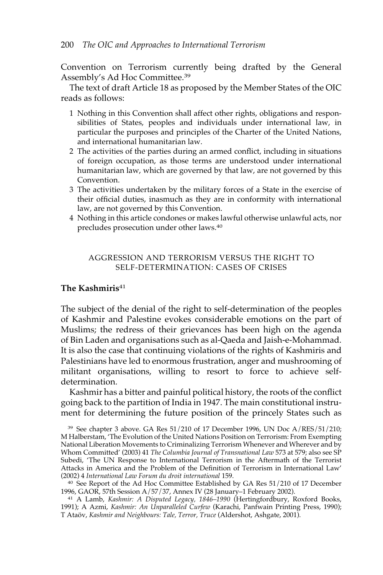Convention on Terrorism currently being drafted by the General Assembly's Ad Hoc Committee.39

The text of draft Article 18 as proposed by the Member States of the OIC reads as follows:

- 1 Nothing in this Convention shall affect other rights, obligations and responsibilities of States, peoples and individuals under international law, in particular the purposes and principles of the Charter of the United Nations, and international humanitarian law.
- 2 The activities of the parties during an armed conflict, including in situations of foreign occupation, as those terms are understood under international humanitarian law, which are governed by that law, are not governed by this Convention.
- 3 The activities undertaken by the military forces of a State in the exercise of their official duties, inasmuch as they are in conformity with international law, are not governed by this Convention.
- 4 Nothing in this article condones or makes lawful otherwise unlawful acts, nor precludes prosecution under other laws.40

# AGGRESSION AND TERRORISM VERSUS THE RIGHT TO SELF-DETERMINATION: CASES OF CRISES

# **The Kashmiris**<sup>41</sup>

The subject of the denial of the right to self-determination of the peoples of Kashmir and Palestine evokes considerable emotions on the part of Muslims; the redress of their grievances has been high on the agenda of Bin Laden and organisations such as al-Qaeda and Jaish-e-Mohammad. It is also the case that continuing violations of the rights of Kashmiris and Palestinians have led to enormous frustration, anger and mushrooming of militant organisations, willing to resort to force to achieve selfdetermination.

Kashmir has a bitter and painful political history, the roots of the conflict going back to the partition of India in 1947. The main constitutional instrument for determining the future position of the princely States such as

<sup>39</sup> See chapter 3 above. GA Res 51/210 of 17 December 1996, UN Doc A/RES/51/210; M Halberstam, 'The Evolution of the United Nations Position on Terrorism: From Exempting National Liberation Movements to Criminalizing Terrorism Whenever and Wherever and by Whom Committed' (2003) 41 *The Columbia Journal of Transnational Law* 573 at 579; also see SP Subedi, 'The UN Response to International Terrorism in the Aftermath of the Terrorist Attacks in America and the Problem of the Definition of Terrorism in International Law' (2002) 4 *International Law Forum du droit international* 159.

<sup>40</sup> See Report of the Ad Hoc Committee Established by GA Res 51/210 of 17 December 1996, GAOR, 57th Session A/57/37, Annex IV (28 January–1 February 2002).

<sup>41</sup> A Lamb, *Kashmir: A Disputed Legacy, 1846–1990* (Hertingfordbury, Roxford Books, 1991); A Azmi, *Kashmir: An Unparalleled Curfew* (Karachi, Panfwain Printing Press, 1990); T Ataöv, *Kashmir and Neighbours: Tale, Terror, Truce* (Aldershot, Ashgate, 2001).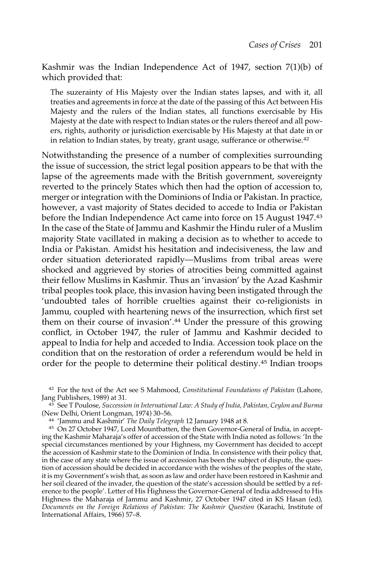Kashmir was the Indian Independence Act of 1947, section 7(1)(b) of which provided that:

The suzerainty of His Majesty over the Indian states lapses, and with it, all treaties and agreements in force at the date of the passing of this Act between His Majesty and the rulers of the Indian states, all functions exercisable by His Majesty at the date with respect to Indian states or the rulers thereof and all powers, rights, authority or jurisdiction exercisable by His Majesty at that date in or in relation to Indian states, by treaty, grant usage, sufferance or otherwise.<sup>42</sup>

Notwithstanding the presence of a number of complexities surrounding the issue of succession, the strict legal position appears to be that with the lapse of the agreements made with the British government, sovereignty reverted to the princely States which then had the option of accession to, merger or integration with the Dominions of India or Pakistan. In practice, however, a vast majority of States decided to accede to India or Pakistan before the Indian Independence Act came into force on 15 August 1947.43 In the case of the State of Jammu and Kashmir the Hindu ruler of a Muslim majority State vacillated in making a decision as to whether to accede to India or Pakistan. Amidst his hesitation and indecisiveness, the law and order situation deteriorated rapidly—Muslims from tribal areas were shocked and aggrieved by stories of atrocities being committed against their fellow Muslims in Kashmir. Thus an 'invasion' by the Azad Kashmir tribal peoples took place, this invasion having been instigated through the 'undoubted tales of horrible cruelties against their co-religionists in Jammu, coupled with heartening news of the insurrection, which first set them on their course of invasion'.44 Under the pressure of this growing conflict, in October 1947, the ruler of Jammu and Kashmir decided to appeal to India for help and acceded to India. Accession took place on the condition that on the restoration of order a referendum would be held in order for the people to determine their political destiny.<sup>45</sup> Indian troops

<sup>42</sup> For the text of the Act see S Mahmood, *Constitutional Foundations of Pakistan* (Lahore, Jang Publishers, 1989) at 31.

<sup>43</sup> See T Poulose, *Succession in International Law: A Study of India, Pakistan, Ceylon and Burma* (New Delhi, Orient Longman, 1974) 30–56.

<sup>44</sup> 'Jammu and Kashmir' *The Daily Telegraph* 12 January 1948 at 8.

<sup>45</sup> On 27 October 1947, Lord Mountbatten, the then Governor-General of India, in accepting the Kashmir Maharaja's offer of accession of the State with India noted as follows: 'In the special circumstances mentioned by your Highness, my Government has decided to accept the accession of Kashmir state to the Dominion of India. In consistence with their policy that, in the case of any state where the issue of accession has been the subject of dispute, the question of accession should be decided in accordance with the wishes of the peoples of the state, it is my Government's wish that, as soon as law and order have been restored in Kashmir and her soil cleared of the invader, the question of the state's accession should be settled by a reference to the people'. Letter of His Highness the Governor-General of India addressed to His Highness the Maharaja of Jammu and Kashmir, 27 October 1947 cited in KS Hasan (ed), *Documents on the Foreign Relations of Pakistan: The Kashmir Question* (Karachi, Institute of International Affairs, 1966) 57–8.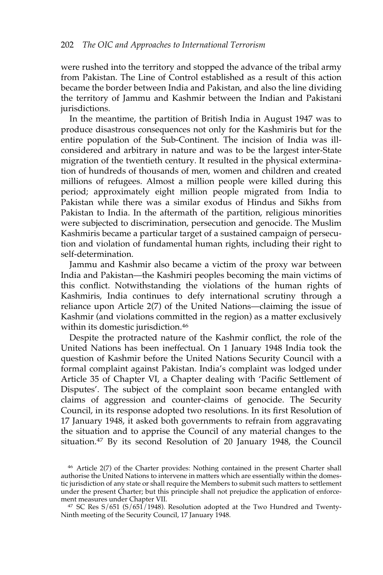were rushed into the territory and stopped the advance of the tribal army from Pakistan. The Line of Control established as a result of this action became the border between India and Pakistan, and also the line dividing the territory of Jammu and Kashmir between the Indian and Pakistani jurisdictions.

In the meantime, the partition of British India in August 1947 was to produce disastrous consequences not only for the Kashmiris but for the entire population of the Sub-Continent. The incision of India was illconsidered and arbitrary in nature and was to be the largest inter-State migration of the twentieth century. It resulted in the physical extermination of hundreds of thousands of men, women and children and created millions of refugees. Almost a million people were killed during this period; approximately eight million people migrated from India to Pakistan while there was a similar exodus of Hindus and Sikhs from Pakistan to India. In the aftermath of the partition, religious minorities were subjected to discrimination, persecution and genocide. The Muslim Kashmiris became a particular target of a sustained campaign of persecution and violation of fundamental human rights, including their right to self-determination.

Jammu and Kashmir also became a victim of the proxy war between India and Pakistan—the Kashmiri peoples becoming the main victims of this conflict. Notwithstanding the violations of the human rights of Kashmiris, India continues to defy international scrutiny through a reliance upon Article 2(7) of the United Nations—claiming the issue of Kashmir (and violations committed in the region) as a matter exclusively within its domestic jurisdiction.<sup>46</sup>

Despite the protracted nature of the Kashmir conflict, the role of the United Nations has been ineffectual. On 1 January 1948 India took the question of Kashmir before the United Nations Security Council with a formal complaint against Pakistan. India's complaint was lodged under Article 35 of Chapter VI, a Chapter dealing with 'Pacific Settlement of Disputes'. The subject of the complaint soon became entangled with claims of aggression and counter-claims of genocide. The Security Council, in its response adopted two resolutions. In its first Resolution of 17 January 1948, it asked both governments to refrain from aggravating the situation and to apprise the Council of any material changes to the situation.<sup>47</sup> By its second Resolution of 20 January 1948, the Council

<sup>46</sup> Article 2(7) of the Charter provides: Nothing contained in the present Charter shall authorise the United Nations to intervene in matters which are essentially within the domestic jurisdiction of any state or shall require the Members to submit such matters to settlement under the present Charter; but this principle shall not prejudice the application of enforcement measures under Chapter VII.

<sup>47</sup> SC Res S/651 (S/651/1948). Resolution adopted at the Two Hundred and Twenty-Ninth meeting of the Security Council, 17 January 1948.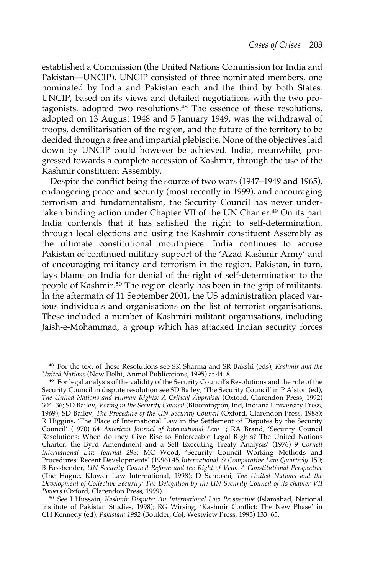established a Commission (the United Nations Commission for India and Pakistan—UNCIP). UNCIP consisted of three nominated members, one nominated by India and Pakistan each and the third by both States. UNCIP, based on its views and detailed negotiations with the two protagonists, adopted two resolutions.48 The essence of these resolutions, adopted on 13 August 1948 and 5 January 1949, was the withdrawal of troops, demilitarisation of the region, and the future of the territory to be decided through a free and impartial plebiscite. None of the objectives laid down by UNCIP could however be achieved. India, meanwhile, progressed towards a complete accession of Kashmir, through the use of the Kashmir constituent Assembly.

Despite the conflict being the source of two wars (1947–1949 and 1965), endangering peace and security (most recently in 1999), and encouraging terrorism and fundamentalism, the Security Council has never undertaken binding action under Chapter VII of the UN Charter.<sup>49</sup> On its part India contends that it has satisfied the right to self-determination, through local elections and using the Kashmir constituent Assembly as the ultimate constitutional mouthpiece. India continues to accuse Pakistan of continued military support of the 'Azad Kashmir Army' and of encouraging militancy and terrorism in the region. Pakistan, in turn, lays blame on India for denial of the right of self-determination to the people of Kashmir.50 The region clearly has been in the grip of militants. In the aftermath of 11 September 2001, the US administration placed various individuals and organisations on the list of terrorist organisations. These included a number of Kashmiri militant organisations, including Jaish-e-Mohammad, a group which has attacked Indian security forces

<sup>48</sup> For the text of these Resolutions see SK Sharma and SR Bakshi (eds), *Kashmir and the United Nations* (New Delhi, Anmol Publications, 1995) at 44–8.

<sup>49</sup> For legal analysis of the validity of the Security Council's Resolutions and the role of the Security Council in dispute resolution see SD Bailey, 'The Security Council' in P Alston (ed), *The United Nations and Human Rights: A Critical Appraisal* (Oxford, Clarendon Press, 1992) 304–36; SD Bailey, *Voting in the Security Council* (Bloomington, Ind, Indiana University Press, 1969); SD Bailey, *The Procedure of the UN Security Council* (Oxford, Clarendon Press, 1988); R Higgins, 'The Place of International Law in the Settlement of Disputes by the Security Council' (1970) 64 *American Journal of International Law* 1; RA Brand, 'Security Council Resolutions: When do they Give Rise to Enforceable Legal Rights? The United Nations Charter, the Byrd Amendment and a Self Executing Treaty Analysis' (1976) 9 *Cornell International Law Journal* 298; MC Wood, 'Security Council Working Methods and Procedures: Recent Developments' (1996) 45 *International & Comparative Law Quarterly* 150; B Fassbender, *UN Security Council Reform and the Right of Veto: A Constitutional Perspective* (The Hague, Kluwer Law International, 1998); D Sarooshi, *The United Nations and the Development of Collective Security: The Delegation by the UN Security Council of its chapter VII Powers* (Oxford, Clarendon Press, 1999).

<sup>50</sup> See I Hussain, *Kashmir Dispute: An International Law Perspective* (Islamabad, National Institute of Pakistan Studies, 1998); RG Wirsing, 'Kashmir Conflict: The New Phase' in CH Kennedy (ed), *Pakistan: 1992* (Boulder, Col, Westview Press, 1993) 133–65.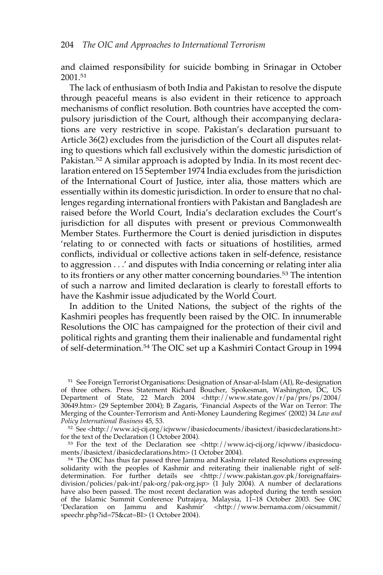and claimed responsibility for suicide bombing in Srinagar in October 2001.51

The lack of enthusiasm of both India and Pakistan to resolve the dispute through peaceful means is also evident in their reticence to approach mechanisms of conflict resolution. Both countries have accepted the compulsory jurisdiction of the Court, although their accompanying declarations are very restrictive in scope. Pakistan's declaration pursuant to Article 36(2) excludes from the jurisdiction of the Court all disputes relating to questions which fall exclusively within the domestic jurisdiction of Pakistan*.* <sup>52</sup> A similar approach is adopted by India. In its most recent declaration entered on 15 September 1974 India excludes from the jurisdiction of the International Court of Justice, inter alia, those matters which are essentially within its domestic jurisdiction. In order to ensure that no challenges regarding international frontiers with Pakistan and Bangladesh are raised before the World Court, India's declaration excludes the Court's jurisdiction for all disputes with present or previous Commonwealth Member States. Furthermore the Court is denied jurisdiction in disputes 'relating to or connected with facts or situations of hostilities, armed conflicts, individual or collective actions taken in self-defence, resistance to aggression . . .' and disputes with India concerning or relating inter alia to its frontiers or any other matter concerning boundaries.53 The intention of such a narrow and limited declaration is clearly to forestall efforts to have the Kashmir issue adjudicated by the World Court.

In addition to the United Nations, the subject of the rights of the Kashmiri peoples has frequently been raised by the OIC. In innumerable Resolutions the OIC has campaigned for the protection of their civil and political rights and granting them their inalienable and fundamental right of self-determination.<sup>54</sup> The OIC set up a Kashmiri Contact Group in 1994

<sup>51</sup> See Foreign Terrorist Organisations: Designation of Ansar-al-Islam (AI), Re-designation of three others. Press Statement Richard Boucher, Spokesman, Washington, DC, US Department of State, 22 March 2004 <http://www.state.gov/r/pa/prs/ps/2004/ 30649.htm> (29 September 2004); B Zagaris, 'Financial Aspects of the War on Terror: The Merging of the Counter-Terrorism and Anti-Money Laundering Regimes' (2002) 34 *Law and Policy International Business* 45, 53.

<sup>52</sup> See <http://www.icj-cij.org/icjwww/ibasicdocuments/ibasictext/ibasicdeclarations.ht> for the text of the Declaration (1 October 2004).

 $53$  For the text of the Declaration see <http://www.icj-cij.org/icjwww/ibasicdocuments/ibasictext/ibasicdeclarations.htm> (1 October 2004).

<sup>54</sup> The OIC has thus far passed three Jammu and Kashmir related Resolutions expressing solidarity with the peoples of Kashmir and reiterating their inalienable right of selfdetermination. For further details see <http://www.pakistan.gov.pk/foreignaffairsdivision/policies/pak-int/pak-org/pak-org.jsp> (1 July 2004). A number of declarations have also been passed. The most recent declaration was adopted during the tenth session of the Islamic Summit Conference Putrajaya, Malaysia, 11–18 October 2003. See OIC 'Declaration on Jammu and Kashmir' <http://www.bernama.com/oicsummit/ speechr.php?id=75&cat=BI> (1 October 2004).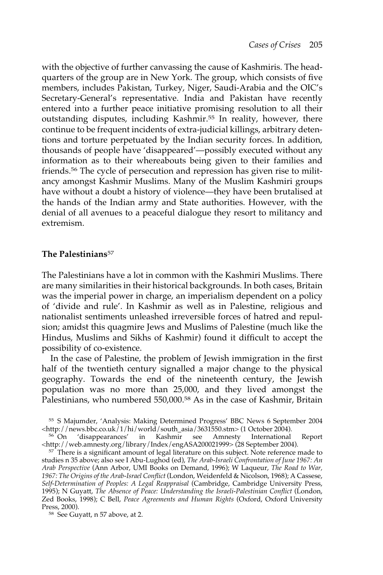with the objective of further canvassing the cause of Kashmiris. The headquarters of the group are in New York. The group, which consists of five members, includes Pakistan, Turkey, Niger, Saudi-Arabia and the OIC's Secretary-General's representative. India and Pakistan have recently entered into a further peace initiative promising resolution to all their outstanding disputes, including Kashmir.55 In reality, however, there continue to be frequent incidents of extra-judicial killings, arbitrary detentions and torture perpetuated by the Indian security forces. In addition, thousands of people have 'disappeared'—possibly executed without any information as to their whereabouts being given to their families and friends.56 The cycle of persecution and repression has given rise to militancy amongst Kashmir Muslims. Many of the Muslim Kashmiri groups have without a doubt a history of violence—they have been brutalised at the hands of the Indian army and State authorities. However, with the denial of all avenues to a peaceful dialogue they resort to militancy and extremism.

### **The Palestinians**<sup>57</sup>

The Palestinians have a lot in common with the Kashmiri Muslims. There are many similarities in their historical backgrounds. In both cases, Britain was the imperial power in charge, an imperialism dependent on a policy of 'divide and rule'. In Kashmir as well as in Palestine, religious and nationalist sentiments unleashed irreversible forces of hatred and repulsion; amidst this quagmire Jews and Muslims of Palestine (much like the Hindus, Muslims and Sikhs of Kashmir) found it difficult to accept the possibility of co-existence.

In the case of Palestine, the problem of Jewish immigration in the first half of the twentieth century signalled a major change to the physical geography. Towards the end of the nineteenth century, the Jewish population was no more than 25,000, and they lived amongst the Palestinians, who numbered 550,000.58 As in the case of Kashmir, Britain

<sup>55</sup> S Majumder, 'Analysis: Making Determined Progress' BBC News 6 September 2004  $\langle$ http://news.bbc.co.uk/1/hi/world/south\_asia/3631550.stm> (1 October 2004).

<sup>56</sup> On 'disappearances' in Kashmir see Amnesty International Report <http://web.amnesty.org/library/Index/engASA200021999> (28 September 2004).

 $57$  There is a significant amount of legal literature on this subject. Note reference made to studies n 35 above; also see I Abu-Lughod (ed), *The Arab-Israeli Confrontation of June 1967: An Arab Perspective* (Ann Arbor, UMI Books on Demand, 1996); W Laqueur, *The Road to War, 1967: The Origins of the Arab-Israel Conflict* (London, Weidenfeld & Nicolson, 1968); A Cassese, *Self-Determination of Peoples: A Legal Reappraisal* (Cambridge, Cambridge University Press, 1995); N Guyatt, *The Absence of Peace: Understanding the Israeli-Palestinian Conflict* (London, Zed Books, 1998); C Bell, *Peace Agreements and Human Rights* (Oxford, Oxford University Press, 2000).

<sup>58</sup> See Guyatt, n 57 above, at 2.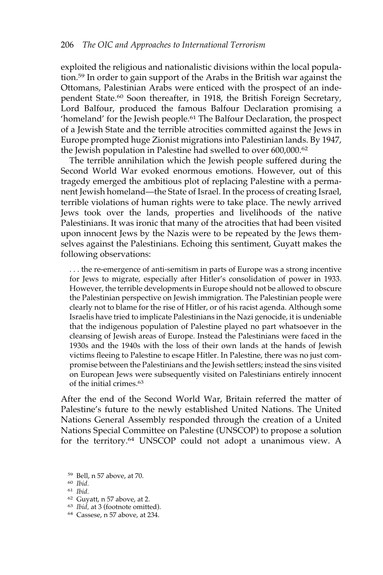exploited the religious and nationalistic divisions within the local population.<sup>59</sup> In order to gain support of the Arabs in the British war against the Ottomans, Palestinian Arabs were enticed with the prospect of an independent State.<sup>60</sup> Soon thereafter, in 1918, the British Foreign Secretary, Lord Balfour, produced the famous Balfour Declaration promising a 'homeland' for the Jewish people.61 The Balfour Declaration, the prospect of a Jewish State and the terrible atrocities committed against the Jews in Europe prompted huge Zionist migrations into Palestinian lands. By 1947, the Jewish population in Palestine had swelled to over 600,000.62

The terrible annihilation which the Jewish people suffered during the Second World War evoked enormous emotions. However, out of this tragedy emerged the ambitious plot of replacing Palestine with a permanent Jewish homeland—the State of Israel. In the process of creating Israel, terrible violations of human rights were to take place. The newly arrived Jews took over the lands, properties and livelihoods of the native Palestinians. It was ironic that many of the atrocities that had been visited upon innocent Jews by the Nazis were to be repeated by the Jews themselves against the Palestinians. Echoing this sentiment, Guyatt makes the following observations:

. . . the re-emergence of anti-semitism in parts of Europe was a strong incentive for Jews to migrate, especially after Hitler's consolidation of power in 1933. However, the terrible developments in Europe should not be allowed to obscure the Palestinian perspective on Jewish immigration. The Palestinian people were clearly not to blame for the rise of Hitler, or of his racist agenda. Although some Israelis have tried to implicate Palestinians in the Nazi genocide, it is undeniable that the indigenous population of Palestine played no part whatsoever in the cleansing of Jewish areas of Europe. Instead the Palestinians were faced in the 1930s and the 1940s with the loss of their own lands at the hands of Jewish victims fleeing to Palestine to escape Hitler. In Palestine, there was no just compromise between the Palestinians and the Jewish settlers; instead the sins visited on European Jews were subsequently visited on Palestinians entirely innocent of the initial crimes.<sup>63</sup>

After the end of the Second World War, Britain referred the matter of Palestine's future to the newly established United Nations. The United Nations General Assembly responded through the creation of a United Nations Special Committee on Palestine (UNSCOP) to propose a solution for the territory.<sup>64</sup> UNSCOP could not adopt a unanimous view. A

- <sup>60</sup> *Ibid.*
- <sup>61</sup> *Ibid.*
- <sup>62</sup> Guyatt, n 57 above, at 2.
- <sup>63</sup> *Ibid,* at 3 (footnote omitted).
- <sup>64</sup> Cassese, n 57 above, at 234.

<sup>59</sup> Bell, n 57 above, at 70.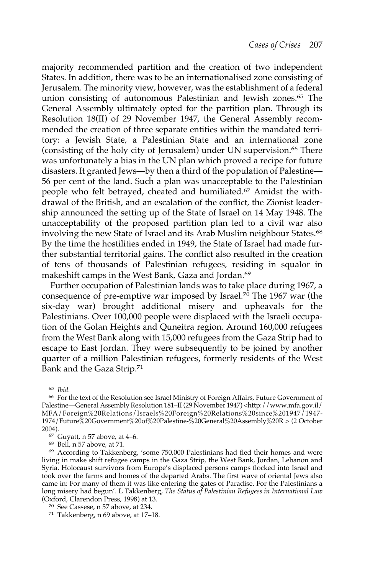majority recommended partition and the creation of two independent States. In addition, there was to be an internationalised zone consisting of Jerusalem. The minority view, however, was the establishment of a federal union consisting of autonomous Palestinian and Jewish zones.<sup>65</sup> The General Assembly ultimately opted for the partition plan. Through its Resolution 18(II) of 29 November 1947, the General Assembly recommended the creation of three separate entities within the mandated territory: a Jewish State, a Palestinian State and an international zone (consisting of the holy city of Jerusalem) under UN supervision.<sup>66</sup> There was unfortunately a bias in the UN plan which proved a recipe for future disasters. It granted Jews—by then a third of the population of Palestine— 56 per cent of the land. Such a plan was unacceptable to the Palestinian people who felt betrayed, cheated and humiliated.<sup>67</sup> Amidst the withdrawal of the British, and an escalation of the conflict, the Zionist leadership announced the setting up of the State of Israel on 14 May 1948. The unacceptability of the proposed partition plan led to a civil war also involving the new State of Israel and its Arab Muslim neighbour States.<sup>68</sup> By the time the hostilities ended in 1949, the State of Israel had made further substantial territorial gains. The conflict also resulted in the creation of tens of thousands of Palestinian refugees, residing in squalor in makeshift camps in the West Bank, Gaza and Jordan.69

Further occupation of Palestinian lands was to take place during 1967, a consequence of pre-emptive war imposed by Israel.<sup>70</sup> The 1967 war (the six-day war) brought additional misery and upheavals for the Palestinians. Over 100,000 people were displaced with the Israeli occupation of the Golan Heights and Quneitra region. Around 160,000 refugees from the West Bank along with 15,000 refugees from the Gaza Strip had to escape to East Jordan. They were subsequently to be joined by another quarter of a million Palestinian refugees, formerly residents of the West Bank and the Gaza Strip.<sup>71</sup>

<sup>65</sup> *Ibid.*

<sup>69</sup> According to Takkenberg, 'some 750,000 Palestinians had fled their homes and were living in make shift refugee camps in the Gaza Strip, the West Bank, Jordan, Lebanon and Syria. Holocaust survivors from Europe's displaced persons camps flocked into Israel and took over the farms and homes of the departed Arabs. The first wave of oriental Jews also came in: For many of them it was like entering the gates of Paradise. For the Palestinians a long misery had begun'. L Takkenberg, *The Status of Palestinian Refugees in International Law* (Oxford, Clarendon Press, 1998) at 13.

<sup>71</sup> Takkenberg, n 69 above, at 17–18.

<sup>66</sup> For the text of the Resolution see Israel Ministry of Foreign Affairs, Future Government of Palestine—General Assembly Resolution 181–II (29 November 1947) <http://www.mfa.gov.il/ MFA/Foreign%20Relations/Israels%20Foreign%20Relations%20since%201947/1947- 1974/Future%20Government%20of%20Palestine-%20General%20Assembly%20R > (2 October 2004).

 $67$  Guyatt, n 57 above, at 4-6.

<sup>68</sup> Bell, n 57 above, at 71.

<sup>70</sup> See Cassese, n 57 above, at 234.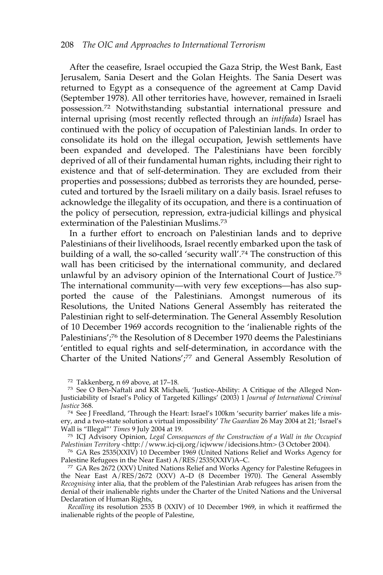After the ceasefire, Israel occupied the Gaza Strip, the West Bank, East Jerusalem, Sania Desert and the Golan Heights. The Sania Desert was returned to Egypt as a consequence of the agreement at Camp David (September 1978). All other territories have, however, remained in Israeli possession.72 Notwithstanding substantial international pressure and internal uprising (most recently reflected through an *intifada*) Israel has continued with the policy of occupation of Palestinian lands. In order to consolidate its hold on the illegal occupation, Jewish settlements have been expanded and developed. The Palestinians have been forcibly deprived of all of their fundamental human rights, including their right to existence and that of self-determination. They are excluded from their properties and possessions; dubbed as terrorists they are hounded, persecuted and tortured by the Israeli military on a daily basis. Israel refuses to acknowledge the illegality of its occupation, and there is a continuation of the policy of persecution, repression, extra-judicial killings and physical extermination of the Palestinian Muslims.73

In a further effort to encroach on Palestinian lands and to deprive Palestinians of their livelihoods, Israel recently embarked upon the task of building of a wall, the so-called 'security wall'.74 The construction of this wall has been criticised by the international community, and declared unlawful by an advisory opinion of the International Court of Justice.75 The international community—with very few exceptions—has also supported the cause of the Palestinians. Amongst numerous of its Resolutions, the United Nations General Assembly has reiterated the Palestinian right to self-determination. The General Assembly Resolution of 10 December 1969 accords recognition to the 'inalienable rights of the Palestinians';<sup>76</sup> the Resolution of 8 December 1970 deems the Palestinians 'entitled to equal rights and self-determination, in accordance with the Charter of the United Nations';77 and General Assembly Resolution of

<sup>72</sup> Takkenberg, n 69 above, at 17–18*.*

<sup>75</sup> ICJ Advisory Opinion, *Legal Consequences of the Construction of a Wall in the Occupied Palestinian Territory* <http://www.icj-cij.org/icjwww/idecisions.htm> (3 October 2004).

<sup>76</sup> GA Res 2535(XXIV) 10 December 1969 (United Nations Relief and Works Agency for Palestine Refugees in the Near East) A/RES/2535(XXIV)A–C.

<sup>77</sup> GA Res 2672 (XXV) United Nations Relief and Works Agency for Palestine Refugees in the Near East A/RES/2672 (XXV) A–D (8 December 1970). The General Assembly *Recognising* inter alia, that the problem of the Palestinian Arab refugees has arisen from the denial of their inalienable rights under the Charter of the United Nations and the Universal Declaration of Human Rights,

*Recalling* its resolution 2535 B (XXIV) of 10 December 1969, in which it reaffirmed the inalienable rights of the people of Palestine,

<sup>73</sup> See O Ben-Naftali and KR Michaeli, 'Justice-Ability: A Critique of the Alleged Non-Justiciability of Israel's Policy of Targeted Killings' (2003) 1 *Journal of International Criminal Justice* 368.

<sup>74</sup> See J Freedland, 'Through the Heart: Israel's 100km 'security barrier' makes life a misery, and a two-state solution a virtual impossibility' *The Guardian* 26 May 2004 at 21; 'Israel's Wall is "Illegal"' *Times* 9 July 2004 at 19.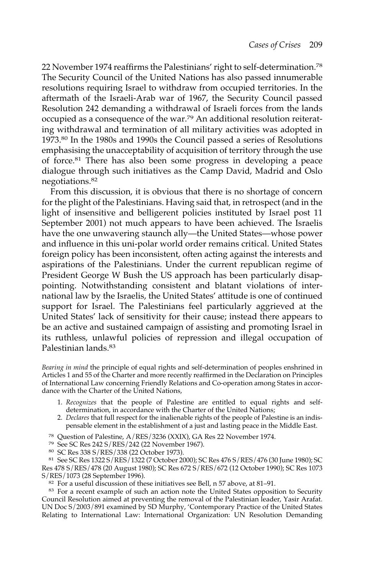22 November 1974 reaffirms the Palestinians' right to self-determination.78 The Security Council of the United Nations has also passed innumerable resolutions requiring Israel to withdraw from occupied territories. In the aftermath of the Israeli-Arab war of 1967, the Security Council passed Resolution 242 demanding a withdrawal of Israeli forces from the lands occupied as a consequence of the war.79 An additional resolution reiterating withdrawal and termination of all military activities was adopted in 1973.80 In the 1980s and 1990s the Council passed a series of Resolutions emphasising the unacceptability of acquisition of territory through the use of force.81 There has also been some progress in developing a peace dialogue through such initiatives as the Camp David, Madrid and Oslo negotiations.<sup>82</sup>

From this discussion, it is obvious that there is no shortage of concern for the plight of the Palestinians. Having said that, in retrospect (and in the light of insensitive and belligerent policies instituted by Israel post 11 September 2001) not much appears to have been achieved. The Israelis have the one unwavering staunch ally—the United States—whose power and influence in this uni-polar world order remains critical. United States foreign policy has been inconsistent, often acting against the interests and aspirations of the Palestinians. Under the current republican regime of President George W Bush the US approach has been particularly disappointing. Notwithstanding consistent and blatant violations of international law by the Israelis, the United States' attitude is one of continued support for Israel. The Palestinians feel particularly aggrieved at the United States' lack of sensitivity for their cause; instead there appears to be an active and sustained campaign of assisting and promoting Israel in its ruthless, unlawful policies of repression and illegal occupation of Palestinian lands.83

*Bearing in mind* the principle of equal rights and self-determination of peoples enshrined in Articles 1 and 55 of the Charter and more recently reaffirmed in the Declaration on Principles of International Law concerning Friendly Relations and Co-operation among States in accordance with the Charter of the United Nations,

- 1. *Recognizes* that the people of Palestine are entitled to equal rights and selfdetermination, in accordance with the Charter of the United Nations;
- 2. *Declares* that full respect for the inalienable rights of the people of Palestine is an indispensable element in the establishment of a just and lasting peace in the Middle East.
- <sup>78</sup> Question of Palestine, A/RES/3236 (XXIX), GA Res 22 November 1974.
- <sup>79</sup> See SC Res 242 S/RES/242 (22 November 1967).
- <sup>80</sup> SC Res 338 S/RES/338 (22 October 1973).

<sup>81</sup> See SC Res 1322 S/RES/1322 (7 October 2000); SC Res 476 S/RES/476 (30 June 1980); SC Res 478 S/RES/478 (20 August 1980); SC Res 672 S/RES/672 (12 October 1990); SC Res 1073 S/RES/1073 (28 September 1996).

<sup>82</sup> For a useful discussion of these initiatives see Bell, n 57 above, at 81–91.

83 For a recent example of such an action note the United States opposition to Security Council Resolution aimed at preventing the removal of the Palestinian leader, Yasir Arafat. UN Doc S/2003/891 examined by SD Murphy, 'Contemporary Practice of the United States Relating to International Law: International Organization: UN Resolution Demanding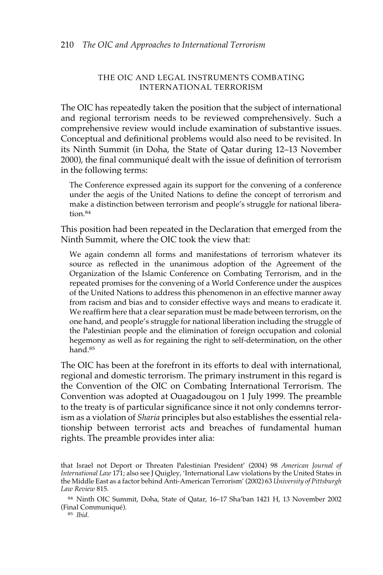# THE OIC AND LEGAL INSTRUMENTS COMBATING INTERNATIONAL TERRORISM

The OIC has repeatedly taken the position that the subject of international and regional terrorism needs to be reviewed comprehensively. Such a comprehensive review would include examination of substantive issues. Conceptual and definitional problems would also need to be revisited. In its Ninth Summit (in Doha, the State of Qatar during 12–13 November 2000), the final communiqué dealt with the issue of definition of terrorism in the following terms:

The Conference expressed again its support for the convening of a conference under the aegis of the United Nations to define the concept of terrorism and make a distinction between terrorism and people's struggle for national liberation.<sup>84</sup>

This position had been repeated in the Declaration that emerged from the Ninth Summit, where the OIC took the view that:

We again condemn all forms and manifestations of terrorism whatever its source as reflected in the unanimous adoption of the Agreement of the Organization of the Islamic Conference on Combating Terrorism, and in the repeated promises for the convening of a World Conference under the auspices of the United Nations to address this phenomenon in an effective manner away from racism and bias and to consider effective ways and means to eradicate it. We reaffirm here that a clear separation must be made between terrorism, on the one hand, and people's struggle for national liberation including the struggle of the Palestinian people and the elimination of foreign occupation and colonial hegemony as well as for regaining the right to self-determination, on the other hand.<sup>85</sup>

The OIC has been at the forefront in its efforts to deal with international, regional and domestic terrorism. The primary instrument in this regard is the Convention of the OIC on Combating International Terrorism. The Convention was adopted at Ouagadougou on 1 July 1999. The preamble to the treaty is of particular significance since it not only condemns terrorism as a violation of *Sharia* principles but also establishes the essential relationship between terrorist acts and breaches of fundamental human rights. The preamble provides inter alia:

<sup>84</sup> Ninth OIC Summit, Doha, State of Qatar, 16–17 Sha'ban 1421 H, 13 November 2002 (Final Communiqué).

<sup>85</sup> *Ibid.*

that Israel not Deport or Threaten Palestinian President' (2004) 98 *American Journal of International Law* 171; also see J Quigley, 'International Law violations by the United States in the Middle East as a factor behind Anti-American Terrorism' (2002) 63 *University of Pittsburgh Law Review* 815.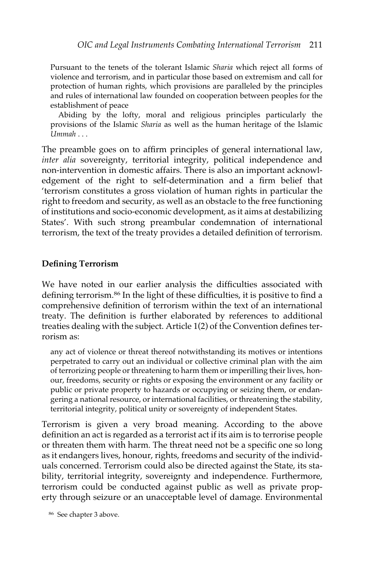Pursuant to the tenets of the tolerant Islamic *Sharia* which reject all forms of violence and terrorism, and in particular those based on extremism and call for protection of human rights, which provisions are paralleled by the principles and rules of international law founded on cooperation between peoples for the establishment of peace

Abiding by the lofty, moral and religious principles particularly the provisions of the Islamic *Sharia* as well as the human heritage of the Islamic *Ummah* . . .

The preamble goes on to affirm principles of general international law, *inter alia* sovereignty, territorial integrity, political independence and non-intervention in domestic affairs. There is also an important acknowledgement of the right to self-determination and a firm belief that 'terrorism constitutes a gross violation of human rights in particular the right to freedom and security, as well as an obstacle to the free functioning of institutions and socio-economic development, as it aims at destabilizing States'. With such strong preambular condemnation of international terrorism, the text of the treaty provides a detailed definition of terrorism.

# **Defining Terrorism**

We have noted in our earlier analysis the difficulties associated with defining terrorism.<sup>86</sup> In the light of these difficulties, it is positive to find a comprehensive definition of terrorism within the text of an international treaty. The definition is further elaborated by references to additional treaties dealing with the subject. Article 1(2) of the Convention defines terrorism as:

any act of violence or threat thereof notwithstanding its motives or intentions perpetrated to carry out an individual or collective criminal plan with the aim of terrorizing people or threatening to harm them or imperilling their lives, honour, freedoms, security or rights or exposing the environment or any facility or public or private property to hazards or occupying or seizing them, or endangering a national resource, or international facilities, or threatening the stability, territorial integrity, political unity or sovereignty of independent States.

Terrorism is given a very broad meaning. According to the above definition an act is regarded as a terrorist act if its aim is to terrorise people or threaten them with harm. The threat need not be a specific one so long as it endangers lives, honour, rights, freedoms and security of the individuals concerned. Terrorism could also be directed against the State, its stability, territorial integrity, sovereignty and independence. Furthermore, terrorism could be conducted against public as well as private property through seizure or an unacceptable level of damage. Environmental

<sup>86</sup> See chapter 3 above.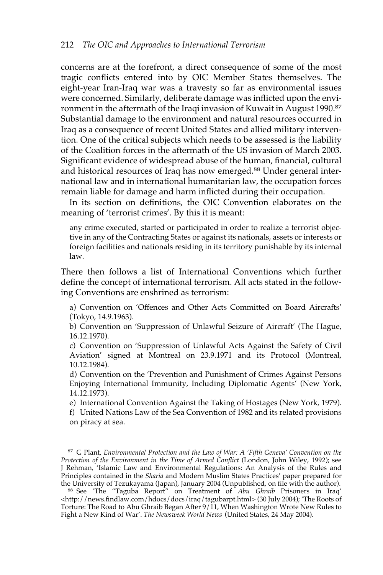concerns are at the forefront, a direct consequence of some of the most tragic conflicts entered into by OIC Member States themselves. The eight-year Iran-Iraq war was a travesty so far as environmental issues were concerned. Similarly, deliberate damage was inflicted upon the environment in the aftermath of the Iraqi invasion of Kuwait in August 1990.<sup>87</sup> Substantial damage to the environment and natural resources occurred in Iraq as a consequence of recent United States and allied military intervention. One of the critical subjects which needs to be assessed is the liability of the Coalition forces in the aftermath of the US invasion of March 2003. Significant evidence of widespread abuse of the human, financial, cultural and historical resources of Iraq has now emerged.<sup>88</sup> Under general international law and in international humanitarian law, the occupation forces remain liable for damage and harm inflicted during their occupation.

In its section on definitions, the OIC Convention elaborates on the meaning of 'terrorist crimes'. By this it is meant:

any crime executed, started or participated in order to realize a terrorist objective in any of the Contracting States or against its nationals, assets or interests or foreign facilities and nationals residing in its territory punishable by its internal law.

There then follows a list of International Conventions which further define the concept of international terrorism. All acts stated in the following Conventions are enshrined as terrorism:

a) Convention on 'Offences and Other Acts Committed on Board Aircrafts' (Tokyo, 14.9.1963).

b) Convention on 'Suppression of Unlawful Seizure of Aircraft' (The Hague, 16.12.1970).

c) Convention on 'Suppression of Unlawful Acts Against the Safety of Civil Aviation' signed at Montreal on 23.9.1971 and its Protocol (Montreal, 10.12.1984).

d) Convention on the 'Prevention and Punishment of Crimes Against Persons Enjoying International Immunity, Including Diplomatic Agents' (New York, 14.12.1973).

e) International Convention Against the Taking of Hostages (New York, 1979).

f) United Nations Law of the Sea Convention of 1982 and its related provisions on piracy at sea.

<sup>87</sup> G Plant, *Environmental Protection and the Law of War: A 'Fifth Geneva' Convention on the Protection of the Environment in the Time of Armed Conflict* (London, John Wiley, 1992); see J Rehman, 'Islamic Law and Environmental Regulations: An Analysis of the Rules and Principles contained in the *Sharia* and Modern Muslim States Practices' paper prepared for the University of Tezukayama (Japan), January 2004 (Unpublished, on file with the author).

<sup>88</sup> See 'The "Taguba Report" on Treatment of *Abu Ghraib* Prisoners in Iraq' <http://news.findlaw.com/hdocs/docs/iraq/tagubarpt.html> (30 July 2004); 'The Roots of Torture: The Road to Abu Ghraib Began After 9/11, When Washington Wrote New Rules to Fight a New Kind of War'. *The Newsweek World News* (United States, 24 May 2004).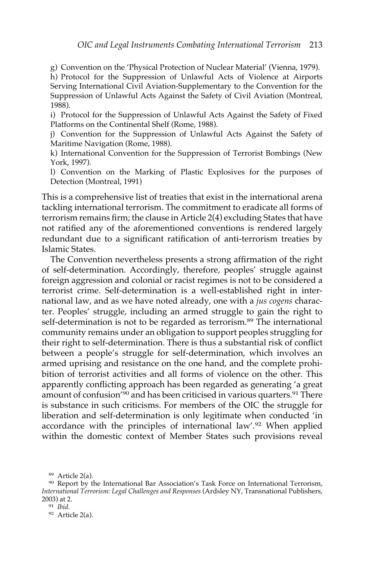g) Convention on the 'Physical Protection of Nuclear Material' (Vienna, 1979).

h) Protocol for the Suppression of Unlawful Acts of Violence at Airports Serving International Civil Aviation-Supplementary to the Convention for the Suppression of Unlawful Acts Against the Safety of Civil Aviation (Montreal, 1988).

i) Protocol for the Suppression of Unlawful Acts Against the Safety of Fixed Platforms on the Continental Shelf (Rome, 1988).

j) Convention for the Suppression of Unlawful Acts Against the Safety of Maritime Navigation (Rome, 1988).

k) International Convention for the Suppression of Terrorist Bombings (New York, 1997).

l) Convention on the Marking of Plastic Explosives for the purposes of Detection (Montreal, 1991)

This is a comprehensive list of treaties that exist in the international arena tackling international terrorism. The commitment to eradicate all forms of terrorism remains firm; the clause in Article 2(4) excluding States that have not ratified any of the aforementioned conventions is rendered largely redundant due to a significant ratification of anti-terrorism treaties by Islamic States.

The Convention nevertheless presents a strong affirmation of the right of self-determination. Accordingly, therefore, peoples' struggle against foreign aggression and colonial or racist regimes is not to be considered a terrorist crime. Self-determination is a well-established right in international law, and as we have noted already, one with a *jus cogens* character. Peoples' struggle, including an armed struggle to gain the right to self-determination is not to be regarded as terrorism.<sup>89</sup> The international community remains under an obligation to support peoples struggling for their right to self-determination. There is thus a substantial risk of conflict between a people's struggle for self-determination, which involves an armed uprising and resistance on the one hand, and the complete prohibition of terrorist activities and all forms of violence on the other. This apparently conflicting approach has been regarded as generating 'a great amount of confusion<sup>'90</sup> and has been criticised in various quarters.<sup>91</sup> There is substance in such criticisms. For members of the OIC the struggle for liberation and self-determination is only legitimate when conducted 'in accordance with the principles of international law'.92 When applied within the domestic context of Member States such provisions reveal

<sup>89</sup> Article 2(a).

<sup>90</sup> Report by the International Bar Association's Task Force on International Terrorism, *International Terrorism: Legal Challenges and Responses* (Ardsley NY, Transnational Publishers, 2003) at 2.

<sup>91</sup> *Ibid.*

<sup>92</sup> Article 2(a).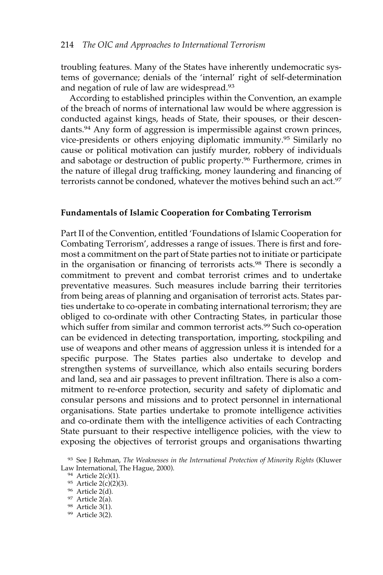troubling features. Many of the States have inherently undemocratic systems of governance; denials of the 'internal' right of self-determination and negation of rule of law are widespread.93

According to established principles within the Convention, an example of the breach of norms of international law would be where aggression is conducted against kings, heads of State, their spouses, or their descendants.94 Any form of aggression is impermissible against crown princes, vice-presidents or others enjoying diplomatic immunity.95 Similarly no cause or political motivation can justify murder, robbery of individuals and sabotage or destruction of public property.<sup>96</sup> Furthermore, crimes in the nature of illegal drug trafficking, money laundering and financing of terrorists cannot be condoned, whatever the motives behind such an act.<sup>97</sup>

#### **Fundamentals of Islamic Cooperation for Combating Terrorism**

Part II of the Convention, entitled 'Foundations of Islamic Cooperation for Combating Terrorism', addresses a range of issues. There is first and foremost a commitment on the part of State parties not to initiate or participate in the organisation or financing of terrorists acts.98 There is secondly a commitment to prevent and combat terrorist crimes and to undertake preventative measures. Such measures include barring their territories from being areas of planning and organisation of terrorist acts. States parties undertake to co-operate in combating international terrorism; they are obliged to co-ordinate with other Contracting States, in particular those which suffer from similar and common terrorist acts.<sup>99</sup> Such co-operation can be evidenced in detecting transportation, importing, stockpiling and use of weapons and other means of aggression unless it is intended for a specific purpose. The States parties also undertake to develop and strengthen systems of surveillance, which also entails securing borders and land, sea and air passages to prevent infiltration. There is also a commitment to re-enforce protection, security and safety of diplomatic and consular persons and missions and to protect personnel in international organisations. State parties undertake to promote intelligence activities and co-ordinate them with the intelligence activities of each Contracting State pursuant to their respective intelligence policies, with the view to exposing the objectives of terrorist groups and organisations thwarting

<sup>93</sup> See J Rehman, *The Weaknesses in the International Protection of Minority Rights* (Kluwer Law International, The Hague, 2000).

 $94$  Article 2(c)(1).

<sup>95</sup> Article 2(c)(2)(3).

<sup>96</sup> Article 2(d).

<sup>97</sup> Article 2(a).

<sup>98</sup> Article 3(1).

<sup>99</sup> Article 3(2).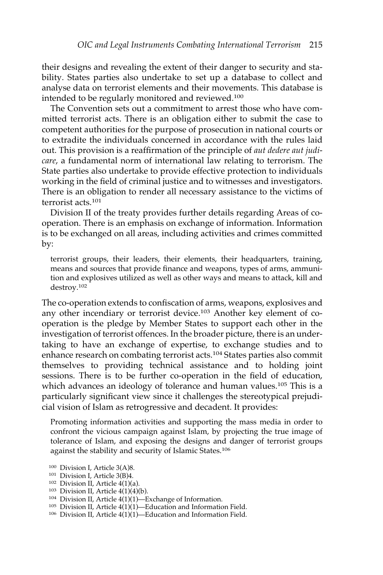their designs and revealing the extent of their danger to security and stability. States parties also undertake to set up a database to collect and analyse data on terrorist elements and their movements. This database is intended to be regularly monitored and reviewed.100

The Convention sets out a commitment to arrest those who have committed terrorist acts. There is an obligation either to submit the case to competent authorities for the purpose of prosecution in national courts or to extradite the individuals concerned in accordance with the rules laid out. This provision is a reaffirmation of the principle of *aut dedere aut judicare*, a fundamental norm of international law relating to terrorism. The State parties also undertake to provide effective protection to individuals working in the field of criminal justice and to witnesses and investigators. There is an obligation to render all necessary assistance to the victims of terrorist acts 101

Division II of the treaty provides further details regarding Areas of cooperation. There is an emphasis on exchange of information. Information is to be exchanged on all areas, including activities and crimes committed by:

terrorist groups, their leaders, their elements, their headquarters, training, means and sources that provide finance and weapons, types of arms, ammunition and explosives utilized as well as other ways and means to attack, kill and destroy.102

The co-operation extends to confiscation of arms, weapons, explosives and any other incendiary or terrorist device.103 Another key element of cooperation is the pledge by Member States to support each other in the investigation of terrorist offences. In the broader picture, there is an undertaking to have an exchange of expertise, to exchange studies and to enhance research on combating terrorist acts.104 States parties also commit themselves to providing technical assistance and to holding joint sessions. There is to be further co-operation in the field of education, which advances an ideology of tolerance and human values.<sup>105</sup> This is a particularly significant view since it challenges the stereotypical prejudicial vision of Islam as retrogressive and decadent. It provides:

Promoting information activities and supporting the mass media in order to confront the vicious campaign against Islam, by projecting the true image of tolerance of Islam, and exposing the designs and danger of terrorist groups against the stability and security of Islamic States.106

- <sup>101</sup> Division I, Article 3(B)4.
- <sup>102</sup> Division II, Article 4(1)(a).
- $103$  Division II, Article  $4(1)(4)(b)$ .

- <sup>105</sup> Division II, Article 4(1)(1)—Education and Information Field.
- <sup>106</sup> Division II, Article 4(1)(1)—Education and Information Field*.*

<sup>100</sup> Division I, Article 3(A)8.

<sup>104</sup> Division II, Article 4(1)(1)—Exchange of Information.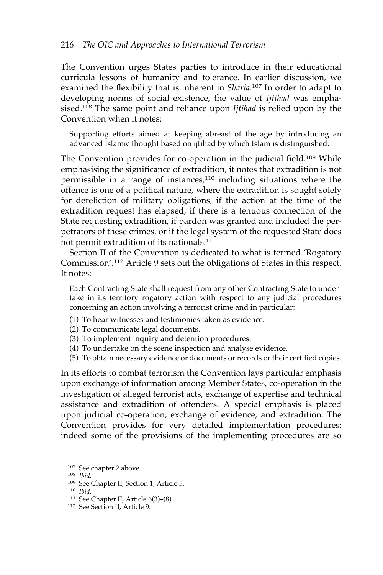The Convention urges States parties to introduce in their educational curricula lessons of humanity and tolerance. In earlier discussion, we examined the flexibility that is inherent in *Sharia*. <sup>107</sup> In order to adapt to developing norms of social existence, the value of *Ijtihad* was emphasised.108 The same point and reliance upon *Ijtihad* is relied upon by the Convention when it notes:

Supporting efforts aimed at keeping abreast of the age by introducing an advanced Islamic thought based on ijtihad by which Islam is distinguished.

The Convention provides for co-operation in the judicial field.<sup>109</sup> While emphasising the significance of extradition, it notes that extradition is not permissible in a range of instances,<sup>110</sup> including situations where the offence is one of a political nature, where the extradition is sought solely for dereliction of military obligations, if the action at the time of the extradition request has elapsed, if there is a tenuous connection of the State requesting extradition, if pardon was granted and included the perpetrators of these crimes, or if the legal system of the requested State does not permit extradition of its nationals.111

Section II of the Convention is dedicated to what is termed 'Rogatory Commission'.112 Article 9 sets out the obligations of States in this respect. It notes:

Each Contracting State shall request from any other Contracting State to undertake in its territory rogatory action with respect to any judicial procedures concerning an action involving a terrorist crime and in particular:

- (1) To hear witnesses and testimonies taken as evidence.
- (2) To communicate legal documents.
- (3) To implement inquiry and detention procedures.
- (4) To undertake on the scene inspection and analyse evidence.
- (5) To obtain necessary evidence or documents or records or their certified copies.

In its efforts to combat terrorism the Convention lays particular emphasis upon exchange of information among Member States, co-operation in the investigation of alleged terrorist acts, exchange of expertise and technical assistance and extradition of offenders. A special emphasis is placed upon judicial co-operation, exchange of evidence, and extradition. The Convention provides for very detailed implementation procedures; indeed some of the provisions of the implementing procedures are so

<sup>107</sup> See chapter 2 above.

<sup>108</sup> *Ibid.*

<sup>109</sup> See Chapter II, Section 1, Article 5.

<sup>110</sup> *Ibid.*

<sup>111</sup> See Chapter II, Article 6(3)–(8).

<sup>112</sup> See Section II, Article 9.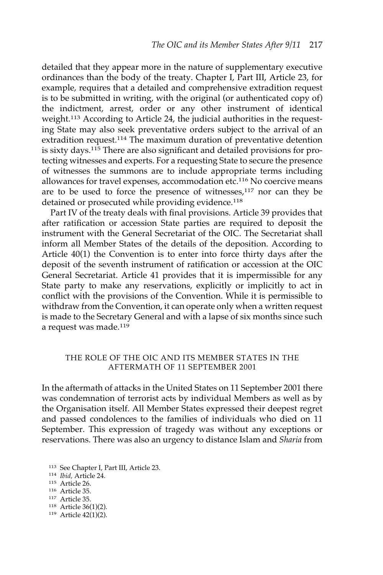detailed that they appear more in the nature of supplementary executive ordinances than the body of the treaty. Chapter I, Part III, Article 23, for example, requires that a detailed and comprehensive extradition request is to be submitted in writing, with the original (or authenticated copy of) the indictment, arrest, order or any other instrument of identical weight.<sup>113</sup> According to Article 24, the judicial authorities in the requesting State may also seek preventative orders subject to the arrival of an extradition request.<sup>114</sup> The maximum duration of preventative detention is sixty days.115 There are also significant and detailed provisions for protecting witnesses and experts. For a requesting State to secure the presence of witnesses the summons are to include appropriate terms including allowances for travel expenses, accommodation etc.116 No coercive means are to be used to force the presence of witnesses,<sup>117</sup> nor can they be detained or prosecuted while providing evidence.<sup>118</sup>

Part IV of the treaty deals with final provisions. Article 39 provides that after ratification or accession State parties are required to deposit the instrument with the General Secretariat of the OIC. The Secretariat shall inform all Member States of the details of the deposition. According to Article 40(1) the Convention is to enter into force thirty days after the deposit of the seventh instrument of ratification or accession at the OIC General Secretariat. Article 41 provides that it is impermissible for any State party to make any reservations, explicitly or implicitly to act in conflict with the provisions of the Convention. While it is permissible to withdraw from the Convention, it can operate only when a written request is made to the Secretary General and with a lapse of six months since such a request was made.<sup>119</sup>

# THE ROLE OF THE OIC AND ITS MEMBER STATES IN THE AFTERMATH OF 11 SEPTEMBER 2001

In the aftermath of attacks in the United States on 11 September 2001 there was condemnation of terrorist acts by individual Members as well as by the Organisation itself. All Member States expressed their deepest regret and passed condolences to the families of individuals who died on 11 September. This expression of tragedy was without any exceptions or reservations. There was also an urgency to distance Islam and *Sharia* from

- <sup>113</sup> See Chapter I, Part III, Article 23.
- <sup>114</sup> *Ibid,* Article 24.
- <sup>115</sup> Article 26.
- <sup>116</sup> Article 35.
- <sup>117</sup> Article 35.
- <sup>118</sup> Article 36(1)(2).
- <sup>119</sup> Article 42(1)(2).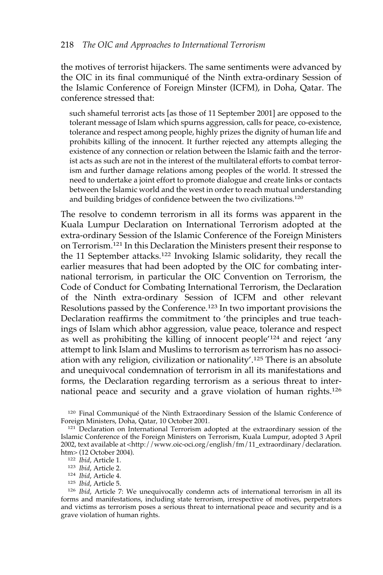the motives of terrorist hijackers. The same sentiments were advanced by the OIC in its final communiqué of the Ninth extra-ordinary Session of the Islamic Conference of Foreign Minster (ICFM), in Doha, Qatar. The conference stressed that:

such shameful terrorist acts [as those of 11 September 2001] are opposed to the tolerant message of Islam which spurns aggression, calls for peace, co-existence, tolerance and respect among people, highly prizes the dignity of human life and prohibits killing of the innocent. It further rejected any attempts alleging the existence of any connection or relation between the Islamic faith and the terrorist acts as such are not in the interest of the multilateral efforts to combat terrorism and further damage relations among peoples of the world. It stressed the need to undertake a joint effort to promote dialogue and create links or contacts between the Islamic world and the west in order to reach mutual understanding and building bridges of confidence between the two civilizations.120

The resolve to condemn terrorism in all its forms was apparent in the Kuala Lumpur Declaration on International Terrorism adopted at the extra-ordinary Session of the Islamic Conference of the Foreign Ministers on Terrorism.121 In this Declaration the Ministers present their response to the 11 September attacks.122 Invoking Islamic solidarity, they recall the earlier measures that had been adopted by the OIC for combating international terrorism, in particular the OIC Convention on Terrorism, the Code of Conduct for Combating International Terrorism, the Declaration of the Ninth extra-ordinary Session of ICFM and other relevant Resolutions passed by the Conference.123 In two important provisions the Declaration reaffirms the commitment to 'the principles and true teachings of Islam which abhor aggression, value peace, tolerance and respect as well as prohibiting the killing of innocent people'<sup>124</sup> and reject 'any attempt to link Islam and Muslims to terrorism as terrorism has no association with any religion, civilization or nationality'.125 There is an absolute and unequivocal condemnation of terrorism in all its manifestations and forms, the Declaration regarding terrorism as a serious threat to international peace and security and a grave violation of human rights.126

<sup>120</sup> Final Communiqué of the Ninth Extraordinary Session of the Islamic Conference of Foreign Ministers, Doha, Qatar, 10 October 2001.

<sup>&</sup>lt;sup>121</sup> Declaration on International Terrorism adopted at the extraordinary session of the Islamic Conference of the Foreign Ministers on Terrorism, Kuala Lumpur, adopted 3 April 2002, text available at <http://www.oic-oci.org/english/fm/11\_extraordinary/declaration. htm> (12 October 2004).

<sup>122</sup> *Ibid*, Article 1.

<sup>123</sup> *Ibid*, Article 2.

<sup>124</sup> *Ibid*, Article 4.

<sup>125</sup> *Ibid*, Article 5.

<sup>126</sup> *Ibid*, Article 7: We unequivocally condemn acts of international terrorism in all its forms and manifestations, including state terrorism, irrespective of motives, perpetrators and victims as terrorism poses a serious threat to international peace and security and is a grave violation of human rights.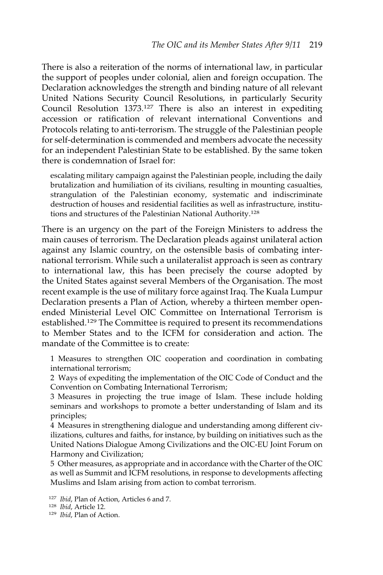There is also a reiteration of the norms of international law, in particular the support of peoples under colonial, alien and foreign occupation. The Declaration acknowledges the strength and binding nature of all relevant United Nations Security Council Resolutions, in particularly Security Council Resolution 1373.127 There is also an interest in expediting accession or ratification of relevant international Conventions and Protocols relating to anti-terrorism. The struggle of the Palestinian people for self-determination is commended and members advocate the necessity for an independent Palestinian State to be established. By the same token there is condemnation of Israel for:

escalating military campaign against the Palestinian people, including the daily brutalization and humiliation of its civilians, resulting in mounting casualties, strangulation of the Palestinian economy, systematic and indiscriminate destruction of houses and residential facilities as well as infrastructure, institutions and structures of the Palestinian National Authority.128

There is an urgency on the part of the Foreign Ministers to address the main causes of terrorism. The Declaration pleads against unilateral action against any Islamic country, on the ostensible basis of combating international terrorism. While such a unilateralist approach is seen as contrary to international law, this has been precisely the course adopted by the United States against several Members of the Organisation. The most recent example is the use of military force against Iraq. The Kuala Lumpur Declaration presents a Plan of Action, whereby a thirteen member openended Ministerial Level OIC Committee on International Terrorism is established.<sup>129</sup> The Committee is required to present its recommendations to Member States and to the ICFM for consideration and action. The mandate of the Committee is to create:

1 Measures to strengthen OIC cooperation and coordination in combating international terrorism;

2 Ways of expediting the implementation of the OIC Code of Conduct and the Convention on Combating International Terrorism;

3 Measures in projecting the true image of Islam. These include holding seminars and workshops to promote a better understanding of Islam and its principles;

4 Measures in strengthening dialogue and understanding among different civilizations, cultures and faiths, for instance, by building on initiatives such as the United Nations Dialogue Among Civilizations and the OIC-EU Joint Forum on Harmony and Civilization;

5 Other measures, as appropriate and in accordance with the Charter of the OIC as well as Summit and ICFM resolutions, in response to developments affecting Muslims and Islam arising from action to combat terrorism.

<sup>127</sup> *Ibid*, Plan of Action, Articles 6 and 7.

<sup>128</sup> *Ibid*, Article 12.

<sup>129</sup> *Ibid*, Plan of Action.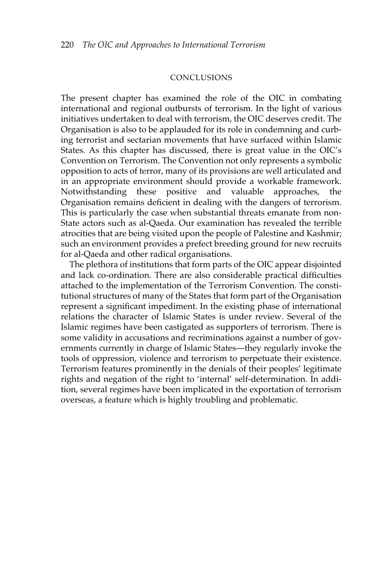#### CONCLUSIONS

The present chapter has examined the role of the OIC in combating international and regional outbursts of terrorism. In the light of various initiatives undertaken to deal with terrorism, the OIC deserves credit. The Organisation is also to be applauded for its role in condemning and curbing terrorist and sectarian movements that have surfaced within Islamic States. As this chapter has discussed, there is great value in the OIC's Convention on Terrorism. The Convention not only represents a symbolic opposition to acts of terror, many of its provisions are well articulated and in an appropriate environment should provide a workable framework. Notwithstanding these positive and valuable approaches, the Organisation remains deficient in dealing with the dangers of terrorism. This is particularly the case when substantial threats emanate from non-State actors such as al-Qaeda. Our examination has revealed the terrible atrocities that are being visited upon the people of Palestine and Kashmir; such an environment provides a prefect breeding ground for new recruits for al-Qaeda and other radical organisations.

The plethora of institutions that form parts of the OIC appear disjointed and lack co-ordination. There are also considerable practical difficulties attached to the implementation of the Terrorism Convention. The constitutional structures of many of the States that form part of the Organisation represent a significant impediment. In the existing phase of international relations the character of Islamic States is under review. Several of the Islamic regimes have been castigated as supporters of terrorism. There is some validity in accusations and recriminations against a number of governments currently in charge of Islamic States—they regularly invoke the tools of oppression, violence and terrorism to perpetuate their existence. Terrorism features prominently in the denials of their peoples' legitimate rights and negation of the right to 'internal' self-determination. In addition, several regimes have been implicated in the exportation of terrorism overseas, a feature which is highly troubling and problematic.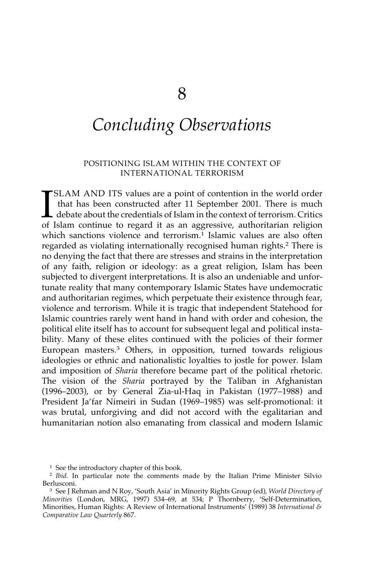# *Concluding Observations*

#### POSITIONING ISLAM WITHIN THE CONTEXT OF INTERNATIONAL TERRORISM

SLAM AND ITS values are a point of contention in the world order that has been constructed after 11 September 2001. There is much debate about the credentials of Islam in the context of terrorism. Critics of Islam continue SLAM AND ITS values are a point of contention in the world order that has been constructed after 11 September 2001. There is much  $\mathsf L$  debate about the credentials of Islam in the context of terrorism. Critics which sanctions violence and terrorism.<sup>1</sup> Islamic values are also often regarded as violating internationally recognised human rights.<sup>2</sup> There is no denying the fact that there are stresses and strains in the interpretation of any faith, religion or ideology: as a great religion, Islam has been subjected to divergent interpretations. It is also an undeniable and unfortunate reality that many contemporary Islamic States have undemocratic and authoritarian regimes, which perpetuate their existence through fear, violence and terrorism. While it is tragic that independent Statehood for Islamic countries rarely went hand in hand with order and cohesion, the political elite itself has to account for subsequent legal and political instability. Many of these elites continued with the policies of their former European masters.3 Others, in opposition, turned towards religious ideologies or ethnic and nationalistic loyalties to jostle for power. Islam and imposition of *Sharia* therefore became part of the political rhetoric. The vision of the *Sharia* portrayed by the Taliban in Afghanistan (1996–2003), or by General Zia-ul-Haq in Pakistan (1977–1988) and President Ja'far Nimeiri in Sudan (1969–1985) was self-promotional: it was brutal, unforgiving and did not accord with the egalitarian and humanitarian notion also emanating from classical and modern Islamic

<sup>&</sup>lt;sup>1</sup> See the introductory chapter of this book.

<sup>&</sup>lt;sup>2</sup> *Ibid.* In particular note the comments made by the Italian Prime Minister Silvio Berlusconi.

<sup>3</sup> See J Rehman and N Roy, 'South Asia' in Minority Rights Group (ed), *World Directory of Minorities* (London, MRG, 1997) 534–69, at 534; P Thornberry, 'Self-Determination, Minorities, Human Rights: A Review of International Instruments' (1989) 38 *International & Comparative Law Quarterly* 867.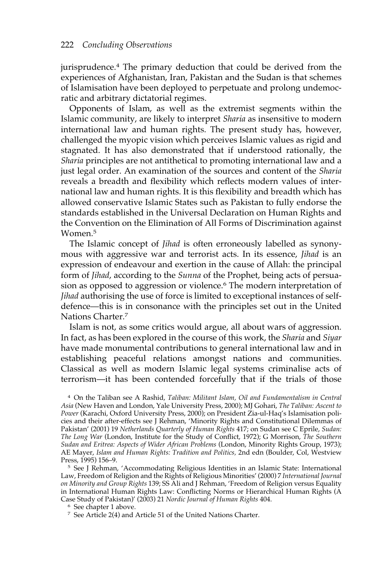jurisprudence.<sup>4</sup> The primary deduction that could be derived from the experiences of Afghanistan, Iran, Pakistan and the Sudan is that schemes of Islamisation have been deployed to perpetuate and prolong undemocratic and arbitrary dictatorial regimes.

Opponents of Islam, as well as the extremist segments within the Islamic community, are likely to interpret *Sharia* as insensitive to modern international law and human rights. The present study has, however, challenged the myopic vision which perceives Islamic values as rigid and stagnated. It has also demonstrated that if understood rationally, the *Sharia* principles are not antithetical to promoting international law and a just legal order. An examination of the sources and content of the *Sharia* reveals a breadth and flexibility which reflects modern values of international law and human rights. It is this flexibility and breadth which has allowed conservative Islamic States such as Pakistan to fully endorse the standards established in the Universal Declaration on Human Rights and the Convention on the Elimination of All Forms of Discrimination against Women.5

The Islamic concept of *Jihad* is often erroneously labelled as synonymous with aggressive war and terrorist acts. In its essence, *Jihad* is an expression of endeavour and exertion in the cause of Allah: the principal form of *Jihad*, according to the *Sunna* of the Prophet, being acts of persuasion as opposed to aggression or violence.6 The modern interpretation of *Jihad* authorising the use of force is limited to exceptional instances of selfdefence—this is in consonance with the principles set out in the United Nations Charter.<sup>7</sup>

Islam is not, as some critics would argue, all about wars of aggression. In fact, as has been explored in the course of this work, the *Sharia* and *Siyar* have made monumental contributions to general international law and in establishing peaceful relations amongst nations and communities. Classical as well as modern Islamic legal systems criminalise acts of terrorism—it has been contended forcefully that if the trials of those

<sup>4</sup> On the Taliban see A Rashid, *Taliban: Militant Islam, Oil and Fundamentalism in Central Asia* (New Haven and London, Yale University Press, 2000); MJ Gohari, *The Taliban: Ascent to Power* (Karachi, Oxford University Press, 2000); on President Zia-ul-Haq's Islamisation policies and their after-effects see J Rehman, 'Minority Rights and Constitutional Dilemmas of Pakistan' (2001) 19 *Netherlands Quarterly of Human Rights* 417; on Sudan see C Eprile, *Sudan: The Long War* (London, Institute for the Study of Conflict, 1972); G Morrison, *The Southern Sudan and Eritrea: Aspects of Wider African Problems* (London, Minority Rights Group, 1973); AE Mayer, *Islam and Human Rights: Tradition and Politics,* 2nd edn (Boulder, Col, Westview Press, 1995) 156–9.

<sup>5</sup> See J Rehman, 'Accommodating Religious Identities in an Islamic State: International Law, Freedom of Religion and the Rights of Religious Minorities' (2000) 7 *International Journal on Minority and Group Rights* 139; SS Ali and J Rehman, 'Freedom of Religion versus Equality in International Human Rights Law: Conflicting Norms or Hierarchical Human Rights (A Case Study of Pakistan)' (2003) 21 *Nordic Journal of Human Rights* 404.

<sup>6</sup> See chapter 1 above.

<sup>7</sup> See Article 2(4) and Article 51 of the United Nations Charter.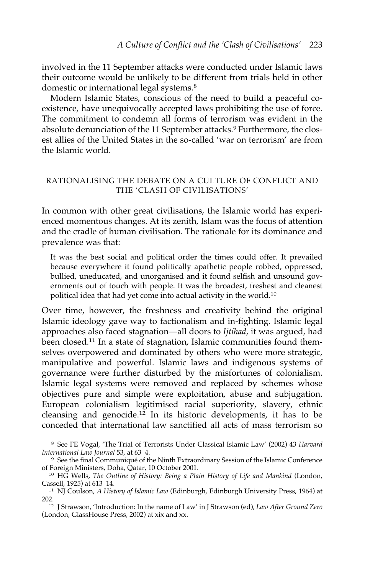involved in the 11 September attacks were conducted under Islamic laws their outcome would be unlikely to be different from trials held in other domestic or international legal systems.<sup>8</sup>

Modern Islamic States, conscious of the need to build a peaceful coexistence, have unequivocally accepted laws prohibiting the use of force. The commitment to condemn all forms of terrorism was evident in the absolute denunciation of the 11 September attacks.9 Furthermore, the closest allies of the United States in the so-called 'war on terrorism' are from the Islamic world.

## RATIONALISING THE DEBATE ON A CULTURE OF CONFLICT AND THE 'CLASH OF CIVILISATIONS'

In common with other great civilisations, the Islamic world has experienced momentous changes. At its zenith, Islam was the focus of attention and the cradle of human civilisation. The rationale for its dominance and prevalence was that:

It was the best social and political order the times could offer. It prevailed because everywhere it found politically apathetic people robbed, oppressed, bullied, uneducated, and unorganised and it found selfish and unsound governments out of touch with people. It was the broadest, freshest and cleanest political idea that had yet come into actual activity in the world.10

Over time, however, the freshness and creativity behind the original Islamic ideology gave way to factionalism and in-fighting. Islamic legal approaches also faced stagnation—all doors to *Ijtihad*, it was argued, had been closed.11 In a state of stagnation, Islamic communities found themselves overpowered and dominated by others who were more strategic, manipulative and powerful. Islamic laws and indigenous systems of governance were further disturbed by the misfortunes of colonialism. Islamic legal systems were removed and replaced by schemes whose objectives pure and simple were exploitation, abuse and subjugation. European colonialism legitimised racial superiority, slavery, ethnic cleansing and genocide.12 In its historic developments, it has to be conceded that international law sanctified all acts of mass terrorism so

<sup>8</sup> See FE Vogal, 'The Trial of Terrorists Under Classical Islamic Law' (2002) 43 *Harvard International Law Journal* 53, at 63–4.

<sup>9</sup> See the final Communiqué of the Ninth Extraordinary Session of the Islamic Conference

<sup>&</sup>lt;sup>10</sup> HG Wells, The Outline of History: Being a Plain History of Life and Mankind (London, Cassell, 1925) at 613–14.

<sup>11</sup> NJ Coulson, *A History of Islamic Law* (Edinburgh, Edinburgh University Press, 1964) at 202.

<sup>12</sup> J Strawson, 'Introduction: In the name of Law' in J Strawson (ed), *Law After Ground Zero* (London, GlassHouse Press, 2002) at xix and xx.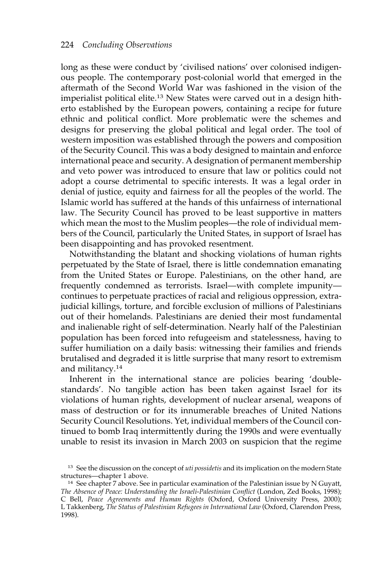long as these were conduct by 'civilised nations' over colonised indigenous people. The contemporary post-colonial world that emerged in the aftermath of the Second World War was fashioned in the vision of the imperialist political elite.<sup>13</sup> New States were carved out in a design hitherto established by the European powers, containing a recipe for future ethnic and political conflict. More problematic were the schemes and designs for preserving the global political and legal order. The tool of western imposition was established through the powers and composition of the Security Council. This was a body designed to maintain and enforce international peace and security. A designation of permanent membership and veto power was introduced to ensure that law or politics could not adopt a course detrimental to specific interests. It was a legal order in denial of justice, equity and fairness for all the peoples of the world. The Islamic world has suffered at the hands of this unfairness of international law. The Security Council has proved to be least supportive in matters which mean the most to the Muslim peoples—the role of individual members of the Council, particularly the United States, in support of Israel has been disappointing and has provoked resentment.

Notwithstanding the blatant and shocking violations of human rights perpetuated by the State of Israel, there is little condemnation emanating from the United States or Europe. Palestinians, on the other hand, are frequently condemned as terrorists. Israel—with complete impunity continues to perpetuate practices of racial and religious oppression, extrajudicial killings, torture, and forcible exclusion of millions of Palestinians out of their homelands. Palestinians are denied their most fundamental and inalienable right of self-determination. Nearly half of the Palestinian population has been forced into refugeeism and statelessness, having to suffer humiliation on a daily basis: witnessing their families and friends brutalised and degraded it is little surprise that many resort to extremism and militancy.14

Inherent in the international stance are policies bearing 'doublestandards'. No tangible action has been taken against Israel for its violations of human rights, development of nuclear arsenal, weapons of mass of destruction or for its innumerable breaches of United Nations Security Council Resolutions. Yet, individual members of the Council continued to bomb Iraq intermittently during the 1990s and were eventually unable to resist its invasion in March 2003 on suspicion that the regime

<sup>13</sup> See the discussion on the concept of *uti possidetis* and its implication on the modern State structures—chapter 1 above.

<sup>&</sup>lt;sup>14</sup> See chapter 7 above. See in particular examination of the Palestinian issue by N Guyatt, *The Absence of Peace: Understanding the Israeli-Palestinian Conflict* (London, Zed Books, 1998); C Bell, *Peace Agreements and Human Rights* (Oxford, Oxford University Press, 2000); L Takkenberg, *The Status of Palestinian Refugees in International Law* (Oxford, Clarendon Press, 1998).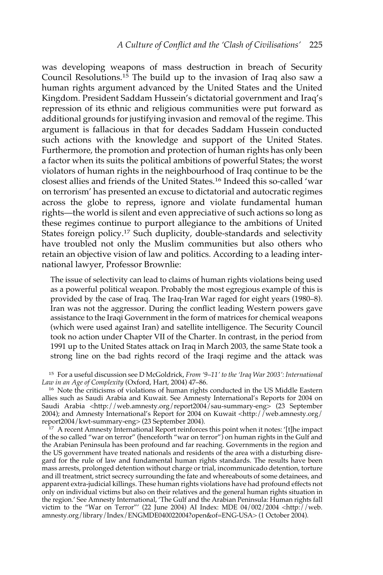was developing weapons of mass destruction in breach of Security Council Resolutions.15 The build up to the invasion of Iraq also saw a human rights argument advanced by the United States and the United Kingdom. President Saddam Hussein's dictatorial government and Iraq's repression of its ethnic and religious communities were put forward as additional grounds for justifying invasion and removal of the regime. This argument is fallacious in that for decades Saddam Hussein conducted such actions with the knowledge and support of the United States. Furthermore, the promotion and protection of human rights has only been a factor when its suits the political ambitions of powerful States; the worst violators of human rights in the neighbourhood of Iraq continue to be the closest allies and friends of the United States.16 Indeed this so-called 'war on terrorism' has presented an excuse to dictatorial and autocratic regimes across the globe to repress, ignore and violate fundamental human rights—the world is silent and even appreciative of such actions so long as these regimes continue to purport allegiance to the ambitions of United States foreign policy.17 Such duplicity, double-standards and selectivity have troubled not only the Muslim communities but also others who retain an objective vision of law and politics. According to a leading international lawyer, Professor Brownlie:

The issue of selectivity can lead to claims of human rights violations being used as a powerful political weapon. Probably the most egregious example of this is provided by the case of Iraq. The Iraq-Iran War raged for eight years (1980–8). Iran was not the aggressor. During the conflict leading Western powers gave assistance to the Iraqi Government in the form of matrices for chemical weapons (which were used against Iran) and satellite intelligence. The Security Council took no action under Chapter VII of the Charter. In contrast, in the period from 1991 up to the United States attack on Iraq in March 2003, the same State took a strong line on the bad rights record of the Iraqi regime and the attack was

<sup>15</sup> For a useful discussion see D McGoldrick, *From '9–11' to the 'Iraq War 2003': International Law in an Age of Complexity* (Oxford, Hart, 2004) 47–86.

<sup>16</sup> Note the criticisms of violations of human rights conducted in the US Middle Eastern allies such as Saudi Arabia and Kuwait. See Amnesty International's Reports for 2004 on Saudi Arabia <http://web.amnesty.org/report2004/sau-summary-eng> (23 September 2004); and Amnesty International's Report for 2004 on Kuwait <http://web.amnesty.org/ report2004/kwt-summary-eng> (23 September 2004).

<sup>17</sup> A recent Amnesty International Report reinforces this point when it notes: '[t]he impact of the so called "war on terror" (henceforth "war on terror") on human rights in the Gulf and the Arabian Peninsula has been profound and far reaching. Governments in the region and the US government have treated nationals and residents of the area with a disturbing disregard for the rule of law and fundamental human rights standards. The results have been mass arrests, prolonged detention without charge or trial, incommunicado detention, torture and ill treatment, strict secrecy surrounding the fate and whereabouts of some detainees, and apparent extra-judicial killings. These human rights violations have had profound effects not only on individual victims but also on their relatives and the general human rights situation in the region.' See Amnesty International, 'The Gulf and the Arabian Peninsula: Human rights fall victim to the "War on Terror"' (22 June 2004) AI Index: MDE 04/002/2004 <http://web. amnesty.org/library/Index/ENGMDE040022004?open&of=ENG-USA> (1 October 2004).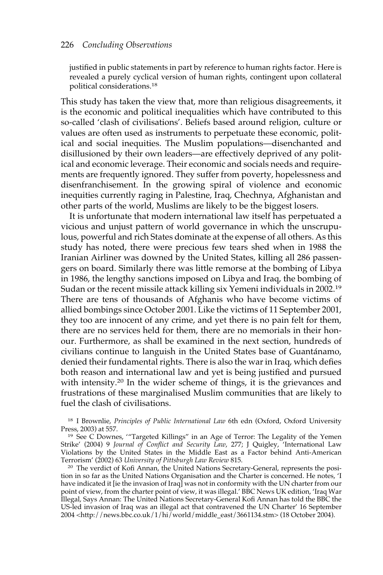justified in public statements in part by reference to human rights factor. Here is revealed a purely cyclical version of human rights, contingent upon collateral political considerations.18

This study has taken the view that, more than religious disagreements, it is the economic and political inequalities which have contributed to this so-called 'clash of civilisations'. Beliefs based around religion, culture or values are often used as instruments to perpetuate these economic, political and social inequities. The Muslim populations—disenchanted and disillusioned by their own leaders—are effectively deprived of any political and economic leverage. Their economic and socials needs and requirements are frequently ignored. They suffer from poverty, hopelessness and disenfranchisement. In the growing spiral of violence and economic inequities currently raging in Palestine, Iraq, Chechnya, Afghanistan and other parts of the world, Muslims are likely to be the biggest losers.

It is unfortunate that modern international law itself has perpetuated a vicious and unjust pattern of world governance in which the unscrupulous, powerful and rich States dominate at the expense of all others. As this study has noted, there were precious few tears shed when in 1988 the Iranian Airliner was downed by the United States, killing all 286 passengers on board. Similarly there was little remorse at the bombing of Libya in 1986, the lengthy sanctions imposed on Libya and Iraq, the bombing of Sudan or the recent missile attack killing six Yemeni individuals in 2002.19 There are tens of thousands of Afghanis who have become victims of allied bombings since October 2001. Like the victims of 11 September 2001, they too are innocent of any crime, and yet there is no pain felt for them, there are no services held for them, there are no memorials in their honour. Furthermore, as shall be examined in the next section, hundreds of civilians continue to languish in the United States base of Guantánamo, denied their fundamental rights. There is also the war in Iraq, which defies both reason and international law and yet is being justified and pursued with intensity.<sup>20</sup> In the wider scheme of things, it is the grievances and frustrations of these marginalised Muslim communities that are likely to fuel the clash of civilisations.

<sup>18</sup> I Brownlie, *Principles of Public International Law* 6th edn (Oxford, Oxford University Press, 2003) at 557.

<sup>19</sup> See C Downes, '"Targeted Killings" in an Age of Terror: The Legality of the Yemen Strike' (2004) 9 *Journal of Conflict and Security Law*, 277; J Quigley, 'International Law Violations by the United States in the Middle East as a Factor behind Anti-American Terrorism' (2002) 63 *University of Pittsburgh Law Review* 815.

<sup>20</sup> The verdict of Kofi Annan, the United Nations Secretary-General, represents the position in so far as the United Nations Organisation and the Charter is concerned. He notes, 'I have indicated it [ie the invasion of Iraq] was not in conformity with the UN charter from our point of view, from the charter point of view, it was illegal.' BBC News UK edition, 'Iraq War Illegal, Says Annan: The United Nations Secretary-General Kofi Annan has told the BBC the US-led invasion of Iraq was an illegal act that contravened the UN Charter' 16 September 2004 <http://news.bbc.co.uk/1/hi/world/middle\_east/3661134.stm> (18 October 2004).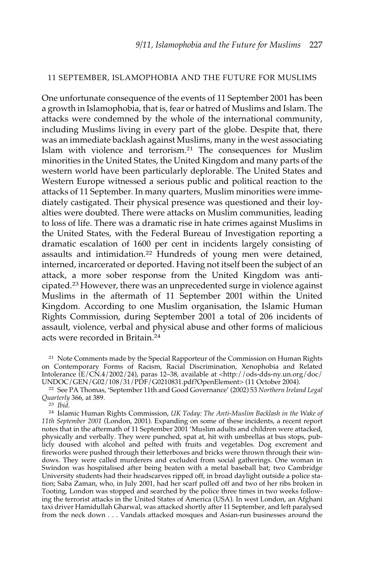#### 11 SEPTEMBER, ISLAMOPHOBIA AND THE FUTURE FOR MUSLIMS

One unfortunate consequence of the events of 11 September 2001 has been a growth in Islamophobia, that is, fear or hatred of Muslims and Islam. The attacks were condemned by the whole of the international community, including Muslims living in every part of the globe. Despite that, there was an immediate backlash against Muslims, many in the west associating Islam with violence and terrorism.21 The consequences for Muslim minorities in the United States, the United Kingdom and many parts of the western world have been particularly deplorable. The United States and Western Europe witnessed a serious public and political reaction to the attacks of 11 September. In many quarters, Muslim minorities were immediately castigated. Their physical presence was questioned and their loyalties were doubted. There were attacks on Muslim communities, leading to loss of life. There was a dramatic rise in hate crimes against Muslims in the United States, with the Federal Bureau of Investigation reporting a dramatic escalation of 1600 per cent in incidents largely consisting of assaults and intimidation.22 Hundreds of young men were detained, interned, incarcerated or deported. Having not itself been the subject of an attack, a more sober response from the United Kingdom was anticipated.23 However, there was an unprecedented surge in violence against Muslims in the aftermath of 11 September 2001 within the United Kingdom. According to one Muslim organisation, the Islamic Human Rights Commission, during September 2001 a total of 206 incidents of assault, violence, verbal and physical abuse and other forms of malicious acts were recorded in Britain.<sup>24</sup>

<sup>23</sup> *Ibid.*

<sup>&</sup>lt;sup>21</sup> Note Comments made by the Special Rapporteur of the Commission on Human Rights on Contemporary Forms of Racism, Racial Discrimination, Xenophobia and Related Intolerance (E/CN.4/2002/24), paras 12–38, available at <http://ods-dds-ny.un.org/doc/ UNDOC/GEN/G02/108/31/PDF/G0210831.pdf?OpenElement> (11 October 2004).

<sup>22</sup> See PA Thomas, 'September 11th and Good Governance' (2002) 53 *Northern Ireland Legal Quarterly* 366, at 389.

<sup>24</sup> Islamic Human Rights Commission, *UK Today: The Anti-Muslim Backlash in the Wake of 11th September 2001* (London, 2001). Expanding on some of these incidents, a recent report notes that in the aftermath of 11 September 2001 'Muslim adults and children were attacked, physically and verbally. They were punched, spat at, hit with umbrellas at bus stops, publicly doused with alcohol and pelted with fruits and vegetables. Dog excrement and fireworks were pushed through their letterboxes and bricks were thrown through their windows. They were called murderers and excluded from social gatherings. One woman in Swindon was hospitalised after being beaten with a metal baseball bat; two Cambridge University students had their headscarves ripped off, in broad daylight outside a police station; Saba Zaman, who, in July 2001, had her scarf pulled off and two of her ribs broken in Tooting, London was stopped and searched by the police three times in two weeks following the terrorist attacks in the United States of America (USA). In west London, an Afghani taxi driver Hamidullah Gharwal, was attacked shortly after 11 September, and left paralysed from the neck down . . . Vandals attacked mosques and Asian-run businesses around the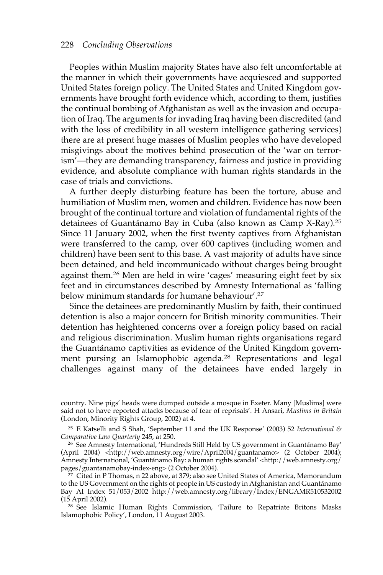Peoples within Muslim majority States have also felt uncomfortable at the manner in which their governments have acquiesced and supported United States foreign policy. The United States and United Kingdom governments have brought forth evidence which, according to them, justifies the continual bombing of Afghanistan as well as the invasion and occupation of Iraq. The arguments for invading Iraq having been discredited (and with the loss of credibility in all western intelligence gathering services) there are at present huge masses of Muslim peoples who have developed misgivings about the motives behind prosecution of the 'war on terrorism'—they are demanding transparency, fairness and justice in providing evidence, and absolute compliance with human rights standards in the case of trials and convictions.

A further deeply disturbing feature has been the torture, abuse and humiliation of Muslim men, women and children. Evidence has now been brought of the continual torture and violation of fundamental rights of the detainees of Guantánamo Bay in Cuba (also known as Camp X-Ray).<sup>25</sup> Since 11 January 2002, when the first twenty captives from Afghanistan were transferred to the camp, over 600 captives (including women and children) have been sent to this base. A vast majority of adults have since been detained, and held incommunicado without charges being brought against them.26 Men are held in wire 'cages' measuring eight feet by six feet and in circumstances described by Amnesty International as 'falling below minimum standards for humane behaviour'.27

Since the detainees are predominantly Muslim by faith, their continued detention is also a major concern for British minority communities. Their detention has heightened concerns over a foreign policy based on racial and religious discrimination. Muslim human rights organisations regard the Guantánamo captivities as evidence of the United Kingdom government pursing an Islamophobic agenda.<sup>28</sup> Representations and legal challenges against many of the detainees have ended largely in

country. Nine pigs' heads were dumped outside a mosque in Exeter. Many [Muslims] were said not to have reported attacks because of fear of reprisals'. H Ansari, *Muslims in Britain* (London, Minority Rights Group, 2002) at 4.

<sup>25</sup> E Katselli and S Shah, 'September 11 and the UK Response' (2003) 52 *International & Comparative Law Quarterly* 245, at 250.

<sup>&</sup>lt;sup>26</sup> See Amnesty International, 'Hundreds Still Held by US government in Guantánamo Bay' (April 2004) <http://web.amnesty.org/wire/April2004/guantanamo> (2 October 2004); Amnesty International, 'Guantánamo Bay: a human rights scandal' <http://web.amnesty.org/ pages/guantanamobay-index-eng> (2 October 2004).

 $^{27}$  Cited in P Thomas, n 22 above, at 379; also see United States of America, Memorandum to the US Government on the rights of people in US custody in Afghanistan and Guantánamo Bay AI Index 51/053/2002 http://web.amnesty.org/library/Index/ENGAMR510532002 (15 April 2002).

<sup>&</sup>lt;sup>28</sup> See Islamic Human Rights Commission, 'Failure to Repatriate Britons Masks Islamophobic Policy', London, 11 August 2003.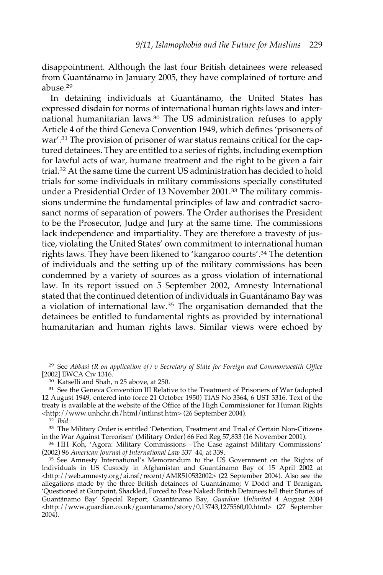disappointment. Although the last four British detainees were released from Guantánamo in January 2005, they have complained of torture and abuse.<sup>29</sup>

In detaining individuals at Guantánamo, the United States has expressed disdain for norms of international human rights laws and international humanitarian laws.30 The US administration refuses to apply Article 4 of the third Geneva Convention 1949, which defines 'prisoners of war'.31 The provision of prisoner of war status remains critical for the captured detainees. They are entitled to a series of rights, including exemption for lawful acts of war, humane treatment and the right to be given a fair trial.<sup>32</sup> At the same time the current US administration has decided to hold trials for some individuals in military commissions specially constituted under a Presidential Order of 13 November 2001.33 The military commissions undermine the fundamental principles of law and contradict sacrosanct norms of separation of powers. The Order authorises the President to be the Prosecutor, Judge and Jury at the same time. The commissions lack independence and impartiality. They are therefore a travesty of justice, violating the United States' own commitment to international human rights laws. They have been likened to 'kangaroo courts'.34 The detention of individuals and the setting up of the military commissions has been condemned by a variety of sources as a gross violation of international law. In its report issued on 5 September 2002, Amnesty International stated that the continued detention of individuals in Guantánamo Bay was a violation of international law.35 The organisation demanded that the detainees be entitled to fundamental rights as provided by international humanitarian and human rights laws. Similar views were echoed by

<sup>29</sup> See *Abbasi (R on application of ) v Secretary of State for Foreign and Commonwealth Office* [2002] EWCA Civ 1316.

<sup>30</sup> Katselli and Shah, n 25 above, at 250.

<sup>31</sup> See the Geneva Convention III Relative to the Treatment of Prisoners of War (adopted 12 August 1949, entered into force 21 October 1950) TIAS No 3364, 6 UST 3316. Text of the treaty is available at the website of the Office of the High Commissioner for Human Rights <http://www.unhchr.ch/html/intlinst.htm> (26 September 2004).

<sup>32</sup> *Ibid.*

<sup>33</sup> The Military Order is entitled 'Detention, Treatment and Trial of Certain Non-Citizens in the War Against Terrorism' (Military Order) 66 Fed Reg 57,833 (16 November 2001).

<sup>34</sup> HH Koh, 'Agora: Military Commissions—The Case against Military Commissions' (2002) 96 *American Journal of International Law* 337–44, at 339.

<sup>35</sup> See Amnesty International's Memorandum to the US Government on the Rights of Individuals in US Custody in Afghanistan and Guantánamo Bay of 15 April 2002 at <http://web.amnesty.org/ai.nsf/recent/AMR510532002> (22 September 2004). Also see the allegations made by the three British detainees of Guantánamo; V Dodd and T Branigan, 'Questioned at Gunpoint, Shackled, Forced to Pose Naked: British Detainees tell their Stories of Guantánamo Bay' Special Report, Guantánamo Bay, *Guardian Unlimited* 4 August 2004 <http://www.guardian.co.uk/guantanamo/story/0,13743,1275560,00.html> (27 September 2004).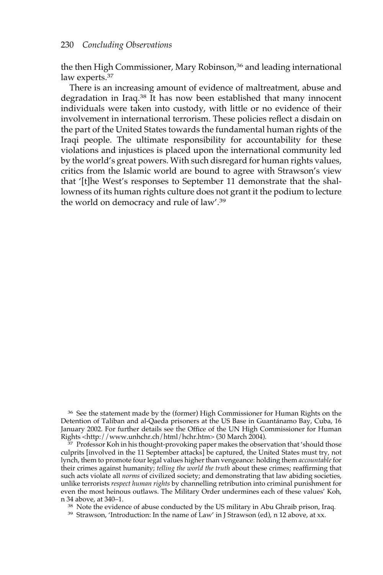the then High Commissioner, Mary Robinson,<sup>36</sup> and leading international law experts.<sup>37</sup>

There is an increasing amount of evidence of maltreatment, abuse and degradation in Iraq.<sup>38</sup> It has now been established that many innocent individuals were taken into custody, with little or no evidence of their involvement in international terrorism. These policies reflect a disdain on the part of the United States towards the fundamental human rights of the Iraqi people. The ultimate responsibility for accountability for these violations and injustices is placed upon the international community led by the world's great powers. With such disregard for human rights values, critics from the Islamic world are bound to agree with Strawson's view that '[t]he West's responses to September 11 demonstrate that the shallowness of its human rights culture does not grant it the podium to lecture the world on democracy and rule of law'.39

<sup>36</sup> See the statement made by the (former) High Commissioner for Human Rights on the Detention of Taliban and al-Qaeda prisoners at the US Base in Guantánamo Bay, Cuba, 16 January 2002. For further details see the Office of the UN High Commissioner for Human Rights <http://www.unhchr.ch/html/hchr.htm> (30 March 2004).

<sup>37</sup> Professor Koh in his thought-provoking paper makes the observation that 'should those culprits [involved in the 11 September attacks] be captured, the United States must try, not lynch, them to promote four legal values higher than vengeance: holding them *accountable*for their crimes against humanity; *telling the world the truth* about these crimes; reaffirming that such acts violate all *norms* of civilized society; and demonstrating that law abiding societies, unlike terrorists *respect human rights* by channelling retribution into criminal punishment for even the most heinous outlaws. The Military Order undermines each of these values' Koh, n 34 above, at 340–1.

<sup>38</sup> Note the evidence of abuse conducted by the US military in Abu Ghraib prison, Iraq.

<sup>39</sup> Strawson, 'Introduction: In the name of Law' in J Strawson (ed), n 12 above, at xx.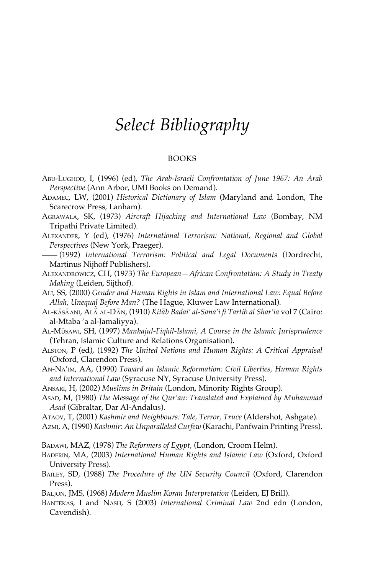# *Select Bibliography*

#### BOOKS

- ABU-LUGHOD, I, (1996) (ed), *The Arab-Israeli Confrontation of June 1967: An Arab Perspective* (Ann Arbor, UMI Books on Demand).
- ADAMEC, LW, (2001) *Historical Dictionary of Islam* (Maryland and London, The Scarecrow Press, Lanham).
- AGRAWALA, SK, (1973) *Aircraft Hijacking and International Law* (Bombay, NM Tripathi Private Limited).
- ALEXANDER, Y (ed), (1976) *International Terrorism: National, Regional and Global Perspectives* (New York, Praeger).
- —— (1992) *International Terrorism: Political and Legal Documents* (Dordrecht, Martinus Nijhoff Publishers).
- ALEXANDROWICZ, CH, (1973) *The European—African Confrontation: A Study in Treaty Making* (Leiden, Sijthof).
- ALI, SS, (2000) *Gender and Human Rights in Islam and International Law: Equal Before Allah, Unequal Before Man?* (The Hague, Kluwer Law International).
- AL-KĀSĀANI, ALĀ AL-DĀN, (1910) *Kitāb Badai' al-Sana'i fi Tartib al Shar'ia* vol 7 (Cairo: al-Mtaba 'a al-Jamaliyya).
- AL-M<del>Usawi, SH, (1997) Manhajul-Fiqhil-Islami</del>, A Course in the Islamic Jurisprudence (Tehran, Islamic Culture and Relations Organisation).
- ALSTON, P (ed), (1992) *The United Nations and Human Rights: A Critical Appraisal* (Oxford, Clarendon Press).
- AN-NA'IM, AA, (1990) *Toward an Islamic Reformation: Civil Liberties, Human Rights and International Law* (Syracuse NY, Syracuse University Press).
- ANSARI, H, (2002) *Muslims in Britain* (London, Minority Rights Group).
- ASAD, M, (1980) *The Message of the Qur'an*: *Translated and Explained by Muhammad Asad* (Gibraltar, Dar Al-Andalus).
- ATAÖV, T, (2001) *Kashmir and Neighbours: Tale, Terror, Truce* (Aldershot, Ashgate).
- AZMI, A, (1990) *Kashmir: An Unparalleled Curfew* (Karachi, Panfwain Printing Press).
- BADAWI, MAZ, (1978) *The Reformers of Egypt*, (London, Croom Helm).
- BADERIN, MA, (2003) *International Human Rights and Islamic Law* (Oxford, Oxford University Press).
- BAILEY, SD, (1988) *The Procedure of the UN Security Council* (Oxford, Clarendon Press).
- BALJON, JMS, (1968) *Modern Muslim Koran Interpretation* (Leiden, EJ Brill).
- BANTEKAS, I and NASH, S (2003) *International Criminal Law* 2nd edn (London, Cavendish).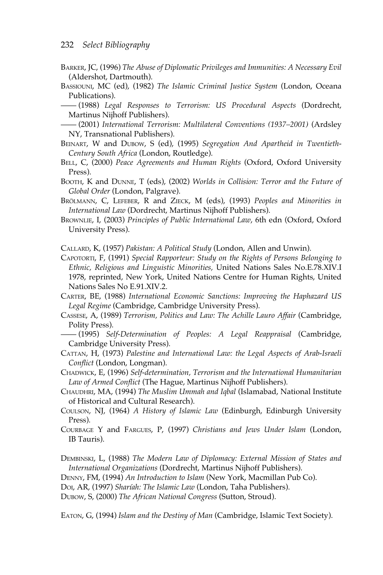- BARKER, JC, (1996) *The Abuse of Diplomatic Privileges and Immunities: A Necessary Evil* (Aldershot, Dartmouth).
- BASSIOUNI, MC (ed), (1982) *The Islamic Criminal Justice System* (London, Oceana Publications).

—— (1988) *Legal Responses to Terrorism: US Procedural Aspects* (Dordrecht, Martinus Nijhoff Publishers).

—— (2001) *International Terrorism: Multilateral Conventions (1937–2001)* (Ardsley NY, Transnational Publishers).

BEINART, W and DUBOW, S (ed), (1995) *Segregation And Apartheid in Twentieth-Century South Africa* (London, Routledge).

BELL, C, (2000) *Peace Agreements and Human Rights* (Oxford, Oxford University Press).

- BOOTH, K and DUNNE, T (eds), (2002) *Worlds in Collision: Terror and the Future of Global Order* (London, Palgrave).
- BRÖLMANN, C, LEFEBER, R and ZIECK, M (eds), (1993) *Peoples and Minorities in International Law* (Dordrecht, Martinus Nijhoff Publishers).
- BROWNLIE, I, (2003) *Principles of Public International Law*, 6th edn (Oxford, Oxford University Press).

CALLARD, K, (1957) *Pakistan: A Political Study* (London, Allen and Unwin).

- CAPOTORTI, F, (1991) *Special Rapporteur: Study on the Rights of Persons Belonging to Ethnic, Religious and Linguistic Minorities,* United Nations Sales No.E.78.XIV.I 1978, reprinted, New York, United Nations Centre for Human Rights, United Nations Sales No E.91.XIV.2.
- CARTER, BE, (1988) *International Economic Sanctions: Improving the Haphazard US Legal Regime* (Cambridge, Cambridge University Press).
- CASSESE, A, (1989) *Terrorism, Politics and Law: The Achille Lauro Affair* (Cambridge, Polity Press).
- —— (1995) *Self-Determination of Peoples: A Legal Reappraisal* (Cambridge, Cambridge University Press).
- CATTAN, H, (1973) *Palestine and International Law: the Legal Aspects of Arab-Israeli Conflict* (London, Longman).

CHADWICK, E, (1996) *Self-determination, Terrorism and the International Humanitarian Law of Armed Conflict* (The Hague, Martinus Nijhoff Publishers).

CHAUDHRI, MA, (1994) *The Muslim Ummah and Iqbal* (Islamabad, National Institute of Historical and Cultural Research).

- COULSON, NJ, (1964) *A History of Islamic Law* (Edinburgh, Edinburgh University Press).
- COURBAGE Y and FARGUES, P, (1997) *Christians and Jews Under Islam* (London, IB Tauris).

DEMBINSKI, L, (1988) *The Modern Law of Diplomacy: External Mission of States and International Organizations* (Dordrecht, Martinus Nijhoff Publishers).

DENNY, FM, (1994) *An Introduction to Islam* (New York, Macmillan Pub Co).

DOI, AR, (1997) *Sharíah: The Islamic Law* (London, Taha Publishers).

DUBOW, S, (2000) *The African National Congress* (Sutton, Stroud).

EATON, G, (1994) *Islam and the Destiny of Man* (Cambridge, Islamic Text Society).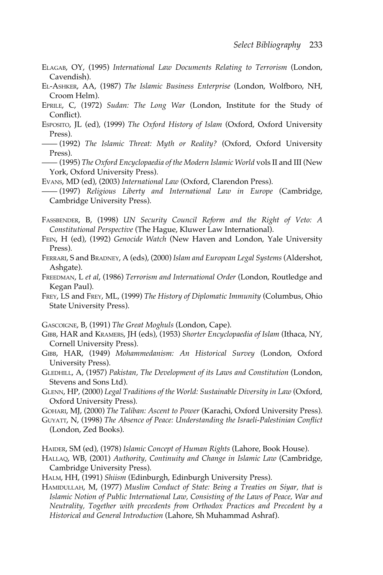- ELAGAB, OY, (1995) *International Law Documents Relating to Terrorism* (London, Cavendish).
- EL-ASHKER, AA, (1987) *The Islamic Business Enterprise* (London, Wolfboro, NH, Croom Helm).
- EPRILE, C, (1972) *Sudan: The Long War* (London, Institute for the Study of Conflict).
- ESPOSITO, JL (ed), (1999) *The Oxford History of Islam* (Oxford, Oxford University Press).
- —— (1992) *The Islamic Threat: Myth or Reality?* (Oxford, Oxford University Press).

—— (1995) *The Oxford Encyclopaedia of the Modern Islamic World* vols II and III (New York, Oxford University Press).

EVANS, MD (ed), (2003) *International Law* (Oxford, Clarendon Press).

—— (1997) *Religious Liberty and International Law in Europe* (Cambridge, Cambridge University Press).

- FASSBENDER, B, (1998) *UN Security Council Reform and the Right of Veto: A Constitutional Perspective* (The Hague, Kluwer Law International).
- FEIN, H (ed), (1992) *Genocide Watch* (New Haven and London, Yale University Press).
- FERRARI, S and BRADNEY, A (eds), (2000) *Islam and European Legal Systems* (Aldershot, Ashgate).
- FREEDMAN, L *et al*, (1986) *Terrorism and International Order* (London, Routledge and Kegan Paul).
- FREY, LS and FREY, ML, (1999) *The History of Diplomatic Immunity* (Columbus, Ohio State University Press).

GASCOIGNE, B, (1991) *The Great Moghuls* (London, Cape).

- GIBB, HAR and KRAMERS, JH (eds), (1953) *Shorter Encyclopaedia of Islam* (Ithaca, NY, Cornell University Press).
- GIBB, HAR, (1949) *Mohammedanism: An Historical Survey* (London, Oxford University Press).
- GLEDHILL, A, (1957) *Pakistan, The Development of its Laws and Constitution* (London, Stevens and Sons Ltd).
- GLENN, HP, (2000) *Legal Traditions of the World: Sustainable Diversity in Law* (Oxford, Oxford University Press).
- GOHARI, MJ, (2000) *The Taliban: Ascent to Power* (Karachi, Oxford University Press).
- GUYATT, N, (1998) *The Absence of Peace: Understanding the Israeli-Palestinian Conflict* (London, Zed Books).

HAIDER, SM (ed), (1978) *Islamic Concept of Human Rights* (Lahore, Book House).

HALLAQ, WB, (2001) *Authority, Continuity and Change in Islamic Law* (Cambridge, Cambridge University Press).

- HALM, HH, (1991) *Shiism* (Edinburgh, Edinburgh University Press).
- HAMIDULLAH, M, (1977) *Muslim Conduct of State: Being a Treaties on Siyar, that is Islamic Notion of Public International Law, Consisting of the Laws of Peace, War and Neutrality, Together with precedents from Orthodox Practices and Precedent by a Historical and General Introduction* (Lahore, Sh Muhammad Ashraf).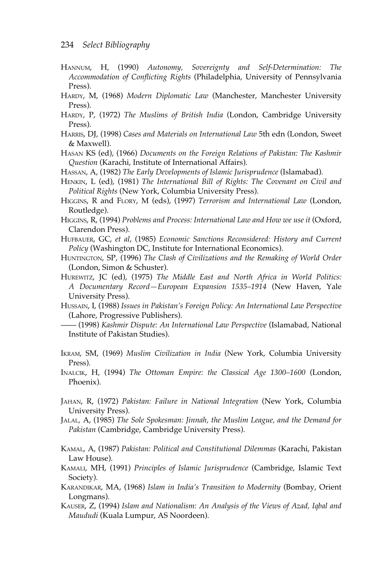- HANNUM, H, (1990) *Autonomy, Sovereignty and Self-Determination: The Accommodation of Conflicting Rights* (Philadelphia, University of Pennsylvania Press).
- HARDY, M, (1968) *Modern Diplomatic Law* (Manchester, Manchester University Press).
- HARDY, P, (1972) *The Muslims of British India* (London, Cambridge University Press).
- HARRIS, DJ, (1998) *Cases and Materials on International Law* 5th edn (London, Sweet & Maxwell).
- HASAN KS (ed), (1966) *Documents on the Foreign Relations of Pakistan: The Kashmir Question* (Karachi, Institute of International Affairs).
- HASSAN, A, (1982) *The Early Developments of Islamic Jurisprudence* (Islamabad).
- HENKIN, L (ed), (1981) *The International Bill of Rights: The Covenant on Civil and Political Rights* (New York, Columbia University Press).
- HIGGINS, R and FLORY, M (eds), (1997) *Terrorism and International Law* (London, Routledge).
- HIGGINS, R, (1994) *Problems and Process: International Law and How we use it* (Oxford, Clarendon Press).
- HUFBAUER, GC, *et al*, (1985) *Economic Sanctions Reconsidered: History and Current Policy* (Washington DC, Institute for International Economics).
- HUNTINGTON, SP, (1996) *The Clash of Civilizations and the Remaking of World Order* (London, Simon & Schuster).
- HUREWITZ, JC (ed), (1975) *The Middle East and North Africa in World Politics: A Documentary Record—European Expansion 1535–1914* (New Haven, Yale University Press).
- HUSSAIN, I, (1988) *Issues in Pakistan's Foreign Policy: An International Law Perspective* (Lahore, Progressive Publishers).
- —— (1998) *Kashmir Dispute: An International Law Perspective* (Islamabad, National Institute of Pakistan Studies).
- IKRAM, SM, (1969) *Muslim Civilization in India* (New York, Columbia University Press).
- INALCIK, H, (1994) *The Ottoman Empire: the Classical Age 1300–1600* (London, Phoenix).
- JAHAN, R, (1972) *Pakistan: Failure in National Integration* (New York, Columbia University Press).
- JALAL*,* A, (1985) *The Sole Spokesman: Jinnah, the Muslim League, and the Demand for Pakistan* (Cambridge, Cambridge University Press).
- KAMAL, A, (1987) *Pakistan: Political and Constitutional Dilemmas* (Karachi, Pakistan Law House).
- KAMALI, MH, (1991) *Principles of Islamic Jurisprudence* (Cambridge, Islamic Text Society).
- KARANDIKAR, MA, (1968) *Islam in India's Transition to Modernity* (Bombay, Orient Longmans).
- KAUSER, Z, (1994) *Islam and Nationalism: An Analysis of the Views of Azad, Iqbal and Maududi* (Kuala Lumpur, AS Noordeen).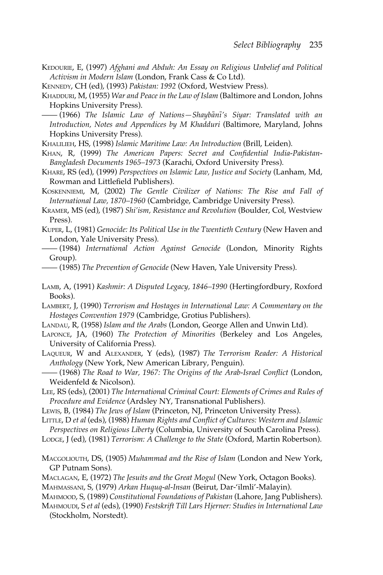- KEDOURIE, E, (1997) *Afghani and Abduh: An Essay on Religious Unbelief and Political Activism in Modern Islam* (London, Frank Cass & Co Ltd).
- KENNEDY, CH (ed), (1993) *Pakistan: 1992* (Oxford, Westview Press).
- KHADDURI, M, (1955) *War and Peace in the Law of Islam* (Baltimore and London, Johns Hopkins University Press).
	- —— (1966) *The Islamic Law of Nations—Shayba*–*nı*–*'s Siyar: Translated with an Introduction, Notes and Appendices by M Khadduri* (Baltimore, Maryland, Johns Hopkins University Press).
- KHALILIEH, HS, (1998) *Islamic Maritime Law: An Introduction* (Brill, Leiden).
- KHAN, R, (1999) *The American Papers: Secret and Confidential India-Pakistan-Bangladesh Documents 1965–1973* (Karachi, Oxford University Press).
- KHARE, RS (ed), (1999) *Perspectives on Islamic Law, Justice and Society* (Lanham, Md, Rowman and Littlefield Publishers).
- KOSKENNIEMI, M, (2002) *The Gentle Civilizer of Nations: The Rise and Fall of International Law, 1870–1960* (Cambridge, Cambridge University Press).
- KRAMER, MS (ed), (1987) *Shi'ism, Resistance and Revolution* (Boulder, Col, Westview Press).
- KUPER, L, (1981) *Genocide: Its Political Use in the Twentieth Century* (New Haven and London, Yale University Press).
- —— (1984) *International Action Against Genocide* (London, Minority Rights Group).

- LAMB, A, (1991) *Kashmir: A Disputed Legacy, 1846–1990* (Hertingfordbury, Roxford Books).
- LAMBERT, J, (1990) *Terrorism and Hostages in International Law: A Commentary on the Hostages Convention 1979* (Cambridge, Grotius Publishers).
- LANDAU, R, (1958) *Islam and the Arabs* (London, George Allen and Unwin Ltd).
- LAPONCE, JA, (1960) *The Protection of Minorities* (Berkeley and Los Angeles, University of California Press).
- LAQUEUR, W and ALEXANDER, Y (eds), (1987) *The Terrorism Reader: A Historical Anthology* (New York, New American Library, Penguin).

—— (1968) *The Road to War, 1967: The Origins of the Arab-Israel Conflict* (London, Weidenfeld & Nicolson).

- LEE, RS (eds), (2001) *The International Criminal Court: Elements of Crimes and Rules of Procedure and Evidence* (Ardsley NY, Transnational Publishers).
- LEWIS, B, (1984) *The Jews of Islam* (Princeton, NJ, Princeton University Press).

LITTLE, D *et al* (eds), (1988) *Human Rights and Conflict of Cultures: Western and Islamic Perspectives on Religious Liberty* (Columbia, University of South Carolina Press).

- LODGE, J (ed), (1981) *Terrorism: A Challenge to the State* (Oxford, Martin Robertson).
- MACGOLIOUTH, DS, (1905) *Muhammad and the Rise of Islam* (London and New York, GP Putnam Sons).
- MACLAGAN, E, (1972) *The Jesuits and the Great Mogul* (New York, Octagon Books). MAHMASSANI, S, (1979) *Arkan Huquq-al-Insan* (Beirut, Dar-'ilmli'-Malayin).
- MAHMOOD, S, (1989) *Constitutional Foundations of Pakistan* (Lahore, Jang Publishers).
- MAHMOUDI, S *et al* (eds), (1990) *Festskrift Till Lars Hjerner: Studies in International Law* (Stockholm, Norstedt).

<sup>—— (1985)</sup> *The Prevention of Genocide* (New Haven, Yale University Press).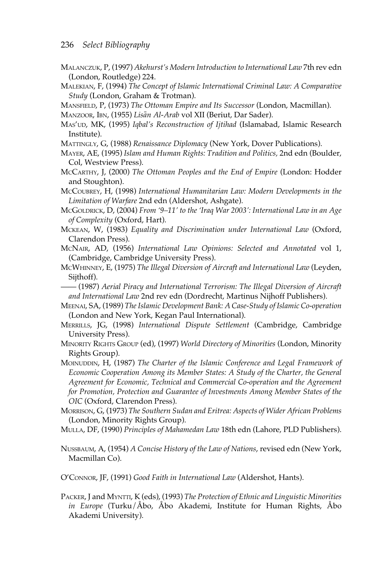- MALANCZUK, P, (1997) *Akehurst's Modern Introduction to International Law* 7th rev edn (London, Routledge) 224.
- MALEKIAN, F, (1994) *The Concept of Islamic International Criminal Law: A Comparative Study* (London, Graham & Trotman).
- MANSFIELD, P, (1973) *The Ottoman Empire and Its Successor* (London, Macmillan).
- MANZOOR, IBN, (1955) Lisān Al-Arab vol XII (Beriut, Dar Sader).
- MAS'UD, MK, (1995) *Iqbal's Reconstruction of Ijtihad* (Islamabad, Islamic Research Institute).
- MATTINGLY, G, (1988) *Renaissance Diplomacy* (New York, Dover Publications).
- MAYER, AE, (1995) *Islam and Human Rights: Tradition and Politics,* 2nd edn (Boulder, Col, Westview Press).
- MCCARTHY, J, (2000) *The Ottoman Peoples and the End of Empire* (London: Hodder and Stoughton).
- MCCOUBREY, H, (1998) *International Humanitarian Law: Modern Developments in the Limitation of Warfare* 2nd edn (Aldershot, Ashgate).
- MCGOLDRICK, D, (2004) *From '9–11' to the 'Iraq War 2003': International Law in an Age of Complexity* (Oxford, Hart).
- MCKEAN, W, (1983) *Equality and Discrimination under International Law* (Oxford, Clarendon Press).
- MCNAIR, AD, (1956) *International Law Opinions: Selected and Annotated* vol 1, (Cambridge, Cambridge University Press).
- MCWHINNEY, E, (1975) *The Illegal Diversion of Aircraft and International Law* (Leyden, Sijthoff).
- —— (1987) *Aerial Piracy and International Terrorism: The Illegal Diversion of Aircraft and International Law* 2nd rev edn (Dordrecht, Martinus Nijhoff Publishers).
- MEENAI, SA, (1989) *The Islamic Development Bank: A Case-Study of Islamic Co-operation* (London and New York, Kegan Paul International).
- MERRILLS, JG, (1998) *International Dispute Settlement* (Cambridge, Cambridge University Press).
- MINORITY RIGHTS GROUP (ed), (1997) *World Directory of Minorities* (London, Minority Rights Group).
- MOINUDDIN, H, (1987) *The Charter of the Islamic Conference and Legal Framework of Economic Cooperation Among its Member States: A Study of the Charter, the General Agreement for Economic, Technical and Commercial Co-operation and the Agreement for Promotion, Protection and Guarantee of Investments Among Member States of the OIC* (Oxford, Clarendon Press).
- MORRISON, G, (1973) *The Southern Sudan and Eritrea: Aspects of Wider African Problems* (London, Minority Rights Group).
- MULLA, DF, (1990) *Principles of Mahamedan Law* 18th edn (Lahore, PLD Publishers).
- NUSSBAUM, A, (1954) *A Concise History of the Law of Nations*, revised edn (New York, Macmillan Co).
- O'CONNOR, JF, (1991) *Good Faith in International Law* (Aldershot, Hants).
- PACKER, J and MYNTTI, K (eds), (1993) *The Protection of Ethnic and Linguistic Minorities in Europe* (Turku/Åbo, Åbo Akademi, Institute for Human Rights, Åbo Akademi University).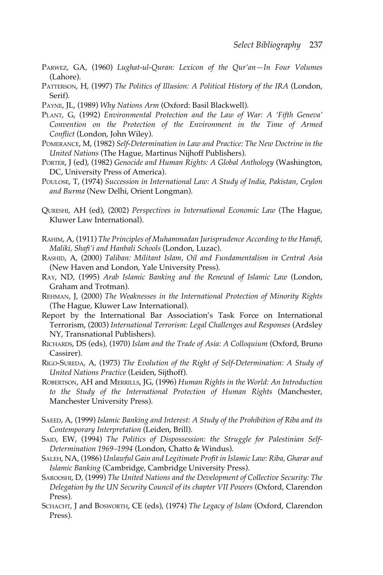- PARWEZ, GA, (1960) *Lughat-ul-Quran: Lexicon of the Qur'an—In Four Volumes* (Lahore).
- PATTERSON, H, (1997) *The Politics of Illusion: A Political History of the IRA* (London, Serif).
- PAYNE, JL, (1989) *Why Nations Arm* (Oxford: Basil Blackwell).
- PLANT, G, (1992) *Environmental Protection and the Law of War: A 'Fifth Geneva' Convention on the Protection of the Environment in the Time of Armed Conflict* (London, John Wiley).
- POMERANCE, M, (1982) *Self-Determination in Law and Practice: The New Doctrine in the United Nations* (The Hague, Martinus Nijhoff Publishers).
- PORTER, J (ed), (1982) *Genocide and Human Rights: A Global Anthology* (Washington, DC, University Press of America).
- POULOSE, T, (1974) *Succession in International Law: A Study of India, Pakistan, Ceylon and Burma* (New Delhi, Orient Longman).
- QURESHI, AH (ed), (2002) *Perspectives in International Economic Law* (The Hague, Kluwer Law International).
- RAHIM, A, (1911) *The Principles of Muhammadan Jurisprudence According to the Hanafi, Maliki, Shafi'i and Hanbali Schools* (London, Luzac).
- RASHID, A, (2000) *Taliban: Militant Islam, Oil and Fundamentalism in Central Asia* (New Haven and London, Yale University Press).
- RAY, ND, (1995) *Arab Islamic Banking and the Renewal of Islamic Law* (London, Graham and Trotman).
- REHMAN, J, (2000) *The Weaknesses in the International Protection of Minority Rights* (The Hague, Kluwer Law International).
- Report by the International Bar Association's Task Force on International Terrorism, (2003) *International Terrorism: Legal Challenges and Responses* (Ardsley NY, Transnational Publishers).
- RICHARDS, DS (eds), (1970) *Islam and the Trade of Asia: A Colloquium* (Oxford, Bruno Cassirer).
- RIGO-SUREDA, A, (1973) *The Evolution of the Right of Self-Determination: A Study of United Nations Practice* (Leiden, Sijthoff).
- ROBERTSON, AH and MERRILLS, JG, (1996) *Human Rights in the World: An Introduction to the Study of the International Protection of Human Rights* (Manchester, Manchester University Press).
- SAEED, A, (1999) *Islamic Banking and Interest: A Study of the Prohibition of Riba and its Contemporary Interpretation* (Leiden, Brill).
- SAID, EW, (1994) *The Politics of Dispossession: the Struggle for Palestinian Self-Determination 1969–1994* (London, Chatto & Windus).
- SALEH, NA, (1986) *Unlawful Gain and Legitimate Profit in Islamic Law: Riba, Gharar and Islamic Banking* (Cambridge, Cambridge University Press).
- SAROOSHI, D, (1999) *The United Nations and the Development of Collective Security: The Delegation by the UN Security Council of its chapter VII Powers* (Oxford, Clarendon Press).
- SCHACHT, J and BOSWORTH, CE (eds), (1974) *The Legacy of Islam* (Oxford, Clarendon Press).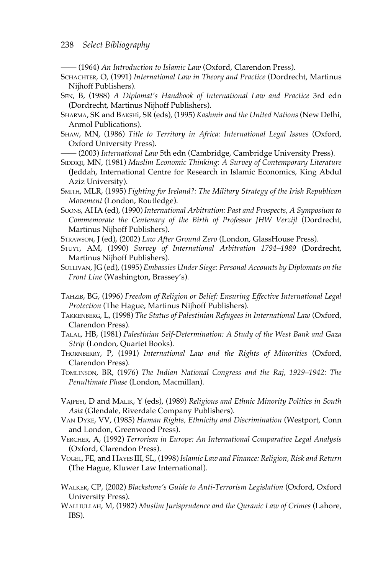—— (1964) *An Introduction to Islamic Law* (Oxford, Clarendon Press).

- SCHACHTER, O, (1991) *International Law in Theory and Practice* (Dordrecht, Martinus Nijhoff Publishers).
- SEN, B, (1988) *A Diplomat's Handbook of International Law and Practice* 3rd edn (Dordrecht, Martinus Nijhoff Publishers).
- SHARMA, SK and BAKSHi, SR (eds), (1995) *Kashmir and the United Nations* (New Delhi, Anmol Publications).
- SHAW, MN, (1986) *Title to Territory in Africa: International Legal Issues* (Oxford, Oxford University Press).
- —— (2003) *International Law* 5th edn (Cambridge, Cambridge University Press).
- SIDDIQI, MN, (1981) *Muslim Economic Thinking: A Survey of Contemporary Literature* (Jeddah, International Centre for Research in Islamic Economics, King Abdul Aziz University).
- SMITH, MLR, (1995) *Fighting for Ireland?: The Military Strategy of the Irish Republican Movement* (London, Routledge).
- SOONS, AHA (ed), (1990) *International Arbitration: Past and Prospects, A Symposium to Commemorate the Centenary of the Birth of Professor JHW Verzijl* (Dordrecht, Martinus Nijhoff Publishers).
- STRAWSON, J (ed), (2002) *Law After Ground Zero* (London, GlassHouse Press).
- STUYT, AM, (1990) *Survey of International Arbitration 1794–1989* (Dordrecht, Martinus Nijhoff Publishers).
- SULLIVAN, JG (ed), (1995) *Embassies Under Siege: Personal Accounts by Diplomats on the Front Line* (Washington, Brassey's).
- TAHZIB, BG, (1996) *Freedom of Religion or Belief: Ensuring Effective International Legal Protection* (The Hague, Martinus Nijhoff Publishers).
- TAKKENBERG, L, (1998) *The Status of Palestinian Refugees in International Law* (Oxford, Clarendon Press).
- TALAL, HB, (1981) *Palestinian Self-Determination: A Study of the West Bank and Gaza Strip* (London, Quartet Books).
- THORNBERRY, P, (1991) *International Law and the Rights of Minorities* (Oxford, Clarendon Press).
- TOMLINSON, BR, (1976) *The Indian National Congress and the Raj, 1929–1942: The Penultimate Phase* (London, Macmillan).
- VAJPEYI, D and MALIK, Y (eds), (1989) *Religious and Ethnic Minority Politics in South Asia* (Glendale, Riverdale Company Publishers).
- VAN DYKE, VV, (1985) *Human Rights, Ethnicity and Discrimination* (Westport, Conn and London, Greenwood Press).
- VERCHER, A, (1992) *Terrorism in Europe: An International Comparative Legal Analysis* (Oxford, Clarendon Press).
- VOGEL, FE, and HAYES III, SL, (1998) *Islamic Law and Finance: Religion, Risk and Return* (The Hague, Kluwer Law International).
- WALKER, CP, (2002) *Blackstone's Guide to Anti-Terrorism Legislation* (Oxford, Oxford University Press).
- WALLIULLAH, M, (1982) *Muslim Jurisprudence and the Quranic Law of Crimes* (Lahore, IBS).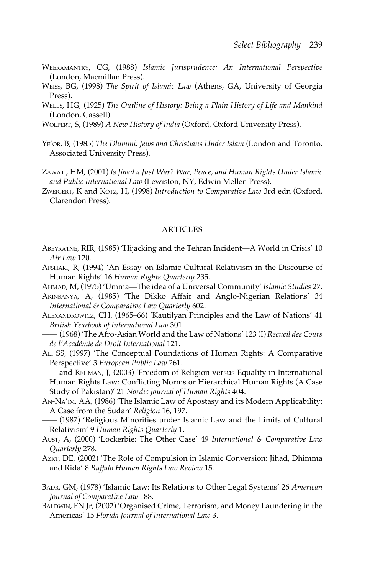- WEERAMANTRY, CG, (1988) *Islamic Jurisprudence: An International Perspective* (London, Macmillan Press).
- WEISS, BG, (1998) *The Spirit of Islamic Law* (Athens, GA, University of Georgia Press).
- WELLS, HG, (1925) *The Outline of History: Being a Plain History of Life and Mankind* (London, Cassell).
- WOLPERT, S, (1989) *A New History of India* (Oxford, Oxford University Press).
- YE'OR, B, (1985) *The Dhimmi: Jews and Christians Under Islam* (London and Toronto, Associated University Press).
- ZAWATI, HM, (2001) *Is Jiha*–*d a Just War? War, Peace, and Human Rights Under Islamic and Public International Law* (Lewiston, NY, Edwin Mellen Press).
- ZWEIGERT, K and KÖTZ, H, (1998) *Introduction to Comparative Law* 3rd edn (Oxford, Clarendon Press).

## ARTICLES

- ABEYRATNE, RIR, (1985) 'Hijacking and the Tehran Incident—A World in Crisis' 10 *Air Law* 120.
- AFSHARI, R, (1994) 'An Essay on Islamic Cultural Relativism in the Discourse of Human Rights' 16 *Human Rights Quarterly* 235.

AHMAD, M, (1975) 'Umma—The idea of a Universal Community' *Islamic Studies* 27.

AKINSANYA, A, (1985) 'The Dikko Affair and Anglo-Nigerian Relations' 34 *International & Comparative Law Quarterly* 602.

ALEXANDROWICZ, CH, (1965–66) 'Kautilyan Principles and the Law of Nations' 41 *British Yearbook of International Law* 301.

—— (1968) 'The Afro-Asian World and the Law of Nations' 123 (I) *Recueil des Cours de l'Académie de Droit International* 121.

ALI SS, (1997) 'The Conceptual Foundations of Human Rights: A Comparative Perspective' 3 *European Public Law* 261.

—— and REHMAN, J, (2003) 'Freedom of Religion versus Equality in International Human Rights Law: Conflicting Norms or Hierarchical Human Rights (A Case Study of Pakistan)' 21 *Nordic Journal of Human Rights* 404.

- AN-NA'IM, AA, (1986) 'The Islamic Law of Apostasy and its Modern Applicability: A Case from the Sudan' *Religion* 16, 197.
- —— (1987) 'Religious Minorities under Islamic Law and the Limits of Cultural Relativism' 9 *Human Rights Quarterly* 1.
- AUST, A, (2000) 'Lockerbie: The Other Case' 49 *International & Comparative Law Quarterly* 278.
- AZRT, DE, (2002) 'The Role of Compulsion in Islamic Conversion: Jihad, Dhimma and Rida' 8 *Buffalo Human Rights Law Review* 15.
- BADR, GM, (1978) 'Islamic Law: Its Relations to Other Legal Systems' 26 *American Journal of Comparative Law* 188.
- BALDWIN, FN Jr, (2002) 'Organised Crime, Terrorism, and Money Laundering in the Americas' 15 *Florida Journal of International Law* 3.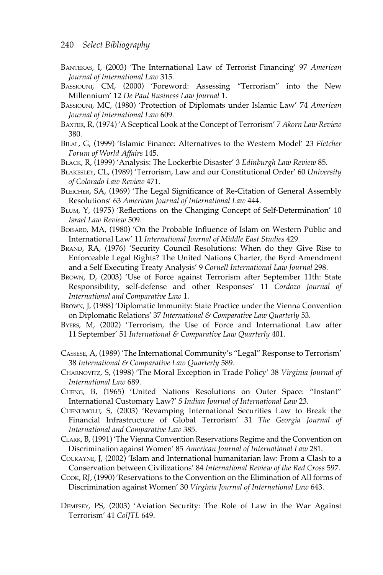- BANTEKAS, I, (2003) 'The International Law of Terrorist Financing' 97 *American Journal of International Law* 315.
- BASSIOUNI, CM, (2000) 'Foreword: Assessing "Terrorism" into the New Millennium' 12 *De Paul Business Law Journal* 1.
- BASSIOUNI, MC, (1980) 'Protection of Diplomats under Islamic Law' 74 *American Journal of International Law* 609.
- BAXTER, R, (1974) 'A Sceptical Look at the Concept of Terrorism' 7 *Akorn Law Review* 380.
- BILAL, G, (1999) 'Islamic Finance: Alternatives to the Western Model' 23 *Fletcher Forum of World Affairs* 145.
- BLACK, R, (1999) 'Analysis: The Lockerbie Disaster' 3 *Edinburgh Law Review* 85.
- BLAKESLEY, CL, (1989) 'Terrorism, Law and our Constitutional Order' 60 *University of Colorado Law Review* 471.
- BLEICHER, SA, (1969) 'The Legal Significance of Re-Citation of General Assembly Resolutions' 63 *American Journal of International Law* 444.
- BLUM, Y, (1975) 'Reflections on the Changing Concept of Self-Determination' 10 *Israel Law Review* 509.
- BOISARD, MA, (1980) 'On the Probable Influence of Islam on Western Public and International Law' 11 *International Journal of Middle East Studies* 429.
- BRAND, RA, (1976) 'Security Council Resolutions: When do they Give Rise to Enforceable Legal Rights? The United Nations Charter, the Byrd Amendment and a Self Executing Treaty Analysis' 9 *Cornell International Law Journal* 298.
- BROWN, D, (2003) 'Use of Force against Terrorism after September 11th: State Responsibility, self-defense and other Responses' 11 *Cordozo Journal of International and Comparative Law* 1.
- BROWN, J, (1988) 'Diplomatic Immunity: State Practice under the Vienna Convention on Diplomatic Relations' 37 *International & Comparative Law Quarterly* 53.
- BYERS, M, (2002) 'Terrorism, the Use of Force and International Law after 11 September' 51 *International & Comparative Law Quarterly* 401.
- CASSESE, A, (1989) 'The International Community's "Legal" Response to Terrorism' 38 *International & Comparative Law Quarterly* 589.
- CHARNOVITZ, S, (1998) 'The Moral Exception in Trade Policy' 38 *Virginia Journal of International Law* 689.
- CHENG, B, (1965) 'United Nations Resolutions on Outer Space: "Instant" International Customary Law?' *5 Indian Journal of International Law* 23.
- CHENUMOLU, S, (2003) 'Revamping International Securities Law to Break the Financial Infrastructure of Global Terrorism' 31 *The Georgia Journal of International and Comparative Law* 385.
- CLARK, B, (1991) 'The Vienna Convention Reservations Regime and the Convention on Discrimination against Women' 85 *American Journal of International Law* 281.
- COCKAYNE, J, (2002) 'Islam and International humanitarian law: From a Clash to a Conservation between Civilizations' 84 *International Review of the Red Cross* 597.
- COOK, RJ, (1990) 'Reservations to the Convention on the Elimination of All forms of Discrimination against Women' 30 *Virginia Journal of International Law* 643.
- DEMPSEY, PS, (2003) 'Aviation Security: The Role of Law in the War Against Terrorism' 41 *ColJTL* 649.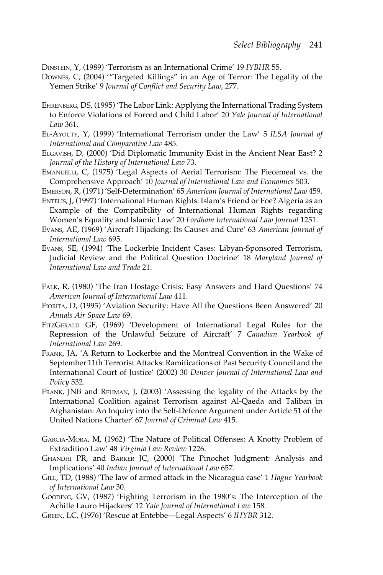DINSTEIN, Y, (1989) 'Terrorism as an International Crime' 19 *IYBHR* 55.

- DOWNES, C, (2004) '"Targeted Killings" in an Age of Terror: The Legality of the Yemen Strike' 9 *Journal of Conflict and Security Law*, 277.
- EHRENBERG, DS, (1995) 'The Labor Link: Applying the International Trading System to Enforce Violations of Forced and Child Labor' 20 *Yale Journal of International Law* 361.
- EL-AYOUTY, Y, (1999) 'International Terrorism under the Law' 5 *ILSA Journal of International and Comparative Law* 485.
- ELGAVISH, D, (2000) 'Did Diplomatic Immunity Exist in the Ancient Near East? 2 *Journal of the History of International Law* 73.
- EMANUELLI, C, (1975) 'Legal Aspects of Aerial Terrorism: The Piecemeal vs. the Comprehensive Approach' 10 *Journal of International Law and Economics* 503.
- EMERSON, R, (1971) 'Self-Determination' 65 *American Journal of International Law* 459.
- ENTELIS, J, (1997) 'International Human Rights: Islam's Friend or Foe? Algeria as an Example of the Compatibility of International Human Rights regarding Women's Equality and Islamic Law' 20 *Fordham International Law Journal* 1251.
- EVANS, AE, (1969) 'Aircraft Hijacking: Its Causes and Cure' 63 *American Journal of International Law* 695.
- EVANS, SE, (1994) 'The Lockerbie Incident Cases: Libyan-Sponsored Terrorism, Judicial Review and the Political Question Doctrine' 18 *Maryland Journal of International Law and Trade* 21.
- FALK, R, (1980) 'The Iran Hostage Crisis: Easy Answers and Hard Questions' 74 *American Journal of International Law* 411.
- FIORITA, D, (1995) 'Aviation Security: Have All the Questions Been Answered' 20 *Annals Air Space Law* 69.
- FITZGERALD GF, (1969) 'Development of International Legal Rules for the Repression of the Unlawful Seizure of Aircraft' 7 *Canadian Yearbook of International Law* 269.
- FRANK, JA, 'A Return to Lockerbie and the Montreal Convention in the Wake of September 11th Terrorist Attacks: Ramifications of Past Security Council and the International Court of Justice' (2002) 30 *Denver Journal of International Law and Policy* 532.
- FRANK, JNB and REHMAN, J, (2003) 'Assessing the legality of the Attacks by the International Coalition against Terrorism against Al-Qaeda and Taliban in Afghanistan: An Inquiry into the Self-Defence Argument under Article 51 of the United Nations Charter' 67 *Journal of Criminal Law* 415.
- GARCIA-MORA, M, (1962) 'The Nature of Political Offenses: A Knotty Problem of Extradition Law' 48 *Virginia Law Review* 1226.
- GHANDHI PR, and BARKER JC, (2000) 'The Pinochet Judgment: Analysis and Implications' 40 *Indian Journal of International Law* 657.
- GILL, TD, (1988) 'The law of armed attack in the Nicaragua case' 1 *Hague Yearbook of International Law* 30.
- GOODING, GV, (1987) 'Fighting Terrorism in the 1980's: The Interception of the Achille Lauro Hijackers' 12 *Yale Journal of International Law* 158.
- GREEN, LC, (1976) 'Rescue at Entebbe—Legal Aspects' 6 *IHYBR* 312.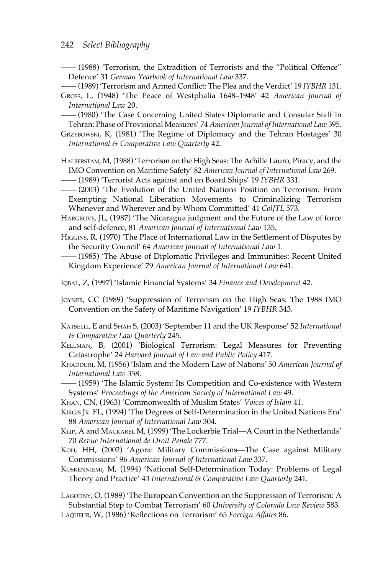—— (1988) 'Terrorism, the Extradition of Terrorists and the "Political Offence" Defence' 31 *German Yearbook of International Law* 337.

—— (1989) 'Terrorism and Armed Conflict: The Plea and the Verdict' 19 *IYBHR* 131.

GROSS, L, (1948) 'The Peace of Westphalia 1648–1948' 42 *American Journal of International Law* 20.

—— (1980) 'The Case Concerning United States Diplomatic and Consular Staff in Tehran: Phase of Provisional Measures' 74 *American Journal of International Law* 395.

GRZYBOWSKI, K, (1981) 'The Regime of Diplomacy and the Tehran Hostages' 30 *International & Comparative Law Quarterly* 42.

HALBERSTAM, M, (1988) 'Terrorism on the High Seas: The Achille Lauro, Piracy, and the IMO Convention on Maritime Safety' 82 *American Journal of International Law* 269.

—— (1989) 'Terrorist Acts against and on Board Ships' 19 *IYBHR* 331.

—— (2003) 'The Evolution of the United Nations Position on Terrorism: From Exempting National Liberation Movements to Criminalizing Terrorism Whenever and Wherever and by Whom Committed' 41 *ColJTL* 573.

HARGROVE, JL, (1987) 'The Nicaragua judgment and the Future of the Law of force and self-defence, 81 *American Journal of International Law* 135**.**

HIGGINS, R, (1970) 'The Place of International Law in the Settlement of Disputes by the Security Council' 64 *American Journal of International Law* 1.

—— (1985) 'The Abuse of Diplomatic Privileges and Immunities: Recent United Kingdom Experience' 79 *American Journal of International Law* 641.

- IQBAL, Z, (1997) 'Islamic Financial Systems' 34 *Finance and Development* 42.
- JOYNER, CC (1989) 'Suppression of Terrorism on the High Seas: The 1988 IMO Convention on the Safety of Maritime Navigation' 19 *IYBHR* 343.
- KATSELLI, E and SHAH S, (2003) 'September 11 and the UK Response' 52 *International & Comparative Law Quarterly* 245.
- KELLMAN, B, (2001) 'Biological Terrorism: Legal Measures for Preventing Catastrophe' 24 *Harvard Journal of Law and Public Policy* 417.
- KHADDURI, M, (1956) 'Islam and the Modern Law of Nations' 50 *American Journal of International Law* 358.
- —— (1959) 'The Islamic System: Its Competition and Co-existence with Western Systems' *Proceedings of the American Society of International Law* 49.

KHAN, CN, (1963) 'Commonwealth of Muslim States' *Voices of Islam* 41.

KIRGIS JR. FL, (1994) 'The Degrees of Self-Determination in the United Nations Era' 88 *American Journal of International Law* 304.

KLIP, A and MACKAREL M, (1999) 'The Lockerbie Trial—A Court in the Netherlands' 70 *Revue International de Droit Penale* 777.

KOH, HH, (2002) 'Agora: Military Commissions—The Case against Military Commissions' 96 *American Journal of International Law* 337.

KOSKENNIEMI, M, (1994) 'National Self-Determination Today: Problems of Legal Theory and Practice' 43 *International & Comparative Law Quarterly* 241.

LAGODNY, O, (1989) 'The European Convention on the Suppression of Terrorism: A Substantial Step to Combat Terrorism' 60 *University of Colorado Law Review* 583. LAQUEUR, W, (1986) 'Reflections on Terrorism' 65 *Foreign Affairs* 86.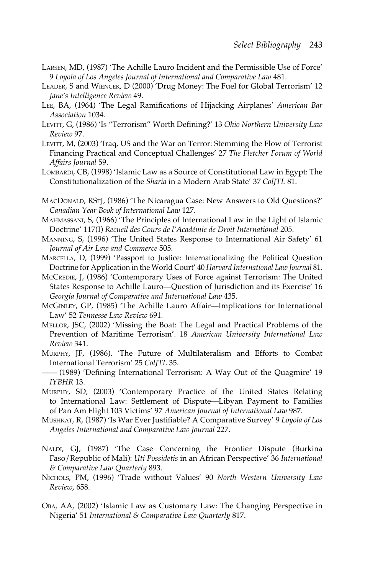- LARSEN, MD, (1987) 'The Achille Lauro Incident and the Permissible Use of Force' 9 *Loyola of Los Angeles Journal of International and Comparative Law* 481.
- LEADER, S and WIENCEK, D (2000) 'Drug Money: The Fuel for Global Terrorism' 12 *Jane's Intelligence Review* 49.
- LEE, BA, (1964) 'The Legal Ramifications of Hijacking Airplanes' *American Bar Association* 1034.
- LEVITT, G, (1986) 'Is "Terrorism" Worth Defining?' 13 *Ohio Northern University Law Review* 97.
- LEVITT, M, (2003) 'Iraq, US and the War on Terror: Stemming the Flow of Terrorist Financing Practical and Conceptual Challenges' 27 *The Fletcher Forum of World Affairs Journal* 59.
- LOMBARDI, CB, (1998) 'Islamic Law as a Source of Constitutional Law in Egypt: The Constitutionalization of the *Sharia* in a Modern Arab State' 37 *ColJTL* 81.
- MACDONALD, RSTJ, (1986) 'The Nicaragua Case: New Answers to Old Questions?' *Canadian Year Book of International Law* 127.
- MAHMASSANI, S, (1966) 'The Principles of International Law in the Light of Islamic Doctrine' 117(I) *Recueil des Cours de l'Académie de Droit International* 205.
- MANNING, S, (1996) 'The United States Response to International Air Safety' 61 *Journal of Air Law and Commerce* 505.
- MARCELLA, D, (1999) 'Passport to Justice: Internationalizing the Political Question Doctrine for Application in the World Court' 40 *Harvard International Law Journal* 81.
- MCCREDIE, J, (1986) 'Contemporary Uses of Force against Terrorism: The United States Response to Achille Lauro—Question of Jurisdiction and its Exercise' 16 *Georgia Journal of Comparative and International Law* 435.
- MCGINLEY, GP, (1985) 'The Achille Lauro Affair—Implications for International Law' 52 *Tennesse Law Review* 691.
- MELLOR, JSC, (2002) 'Missing the Boat: The Legal and Practical Problems of the Prevention of Maritime Terrorism'. 18 *American University International Law Review* 341.
- MURPHY, JF, (1986). 'The Future of Multilateralism and Efforts to Combat International Terrorism' 25 *ColJTL* 35.
- —— (1989) 'Defining International Terrorism: A Way Out of the Quagmire' 19 *IYBHR* 13.
- MURPHY, SD, (2003) 'Contemporary Practice of the United States Relating to International Law: Settlement of Dispute—Libyan Payment to Families of Pan Am Flight 103 Victims' 97 *American Journal of International Law* 987.
- MUSHKAT, R, (1987) 'Is War Ever Justifiable? A Comparative Survey' 9 *Loyola of Los Angeles International and Comparative Law Journal* 227.
- NALDI, GJ, (1987) 'The Case Concerning the Frontier Dispute (Burkina Faso/Republic of Mali): *Uti Possidetis* in an African Perspective' 36 *International & Comparative Law Quarterly* 893.
- NICHOLS, PM, (1996) 'Trade without Values' 90 *North Western University Law Review*, 658.
- OBA, AA, (2002) 'Islamic Law as Customary Law: The Changing Perspective in Nigeria' 51 *International & Comparative Law Quarterly* 817.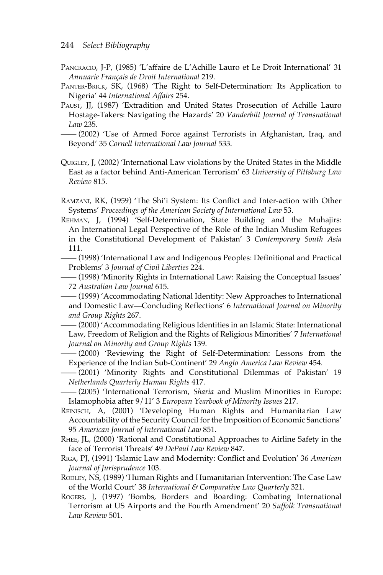- PANCRACIO, J-P, (1985) 'L'affaire de L'Achille Lauro et Le Droit International' 31 *Annuarie Français de Droit International* 219.
- PANTER-BRICK, SK, (1968) 'The Right to Self-Determination: Its Application to Nigeria' 44 *International Affairs* 254.
- PAUST, JJ, (1987) 'Extradition and United States Prosecution of Achille Lauro Hostage-Takers: Navigating the Hazards' 20 *Vanderbilt Journal of Transnational Law* 235.
- —— (2002) 'Use of Armed Force against Terrorists in Afghanistan, Iraq, and Beyond' 35 *Cornell International Law Journal* 533.
- QUIGLEY, J, (2002) 'International Law violations by the United States in the Middle East as a factor behind Anti-American Terrorism' 63 *University of Pittsburg Law Review* 815.
- RAMZANI, RK, (1959) 'The Shi'i System: Its Conflict and Inter-action with Other Systems' *Proceedings of the American Society of International Law* 53.
- REHMAN, J, (1994) 'Self-Determination, State Building and the Muhajirs: An International Legal Perspective of the Role of the Indian Muslim Refugees in the Constitutional Development of Pakistan' 3 *Contemporary South Asia* 111.
- —— (1998) 'International Law and Indigenous Peoples: Definitional and Practical Problems' 3 *Journal of Civil Liberties* 224.
- —— (1998) 'Minority Rights in International Law: Raising the Conceptual Issues' 72 *Australian Law Journal* 615.
- —— (1999) 'Accommodating National Identity: New Approaches to International and Domestic Law—Concluding Reflections' 6 *International Journal on Minority and Group Rights* 267.
- —— (2000) 'Accommodating Religious Identities in an Islamic State: International Law, Freedom of Religion and the Rights of Religious Minorities' 7 *International Journal on Minority and Group Rights* 139.
	- —— (2000) 'Reviewing the Right of Self-Determination: Lessons from the Experience of the Indian Sub-Continent' 29 *Anglo America Law Review* 454.
- —— (2001) 'Minority Rights and Constitutional Dilemmas of Pakistan' 19 *Netherlands Quarterly Human Rights* 417.
	- —— (2005) 'International Terrorism, *Sharia* and Muslim Minorities in Europe: Islamophobia after 9/11' 3 *European Yearbook of Minority Issues* 217.
- REINISCH, A, (2001) 'Developing Human Rights and Humanitarian Law Accountability of the Security Council for the Imposition of Economic Sanctions' 95 *American Journal of International Law* 851.
- RHEE, JL, (2000) 'Rational and Constitutional Approaches to Airline Safety in the face of Terrorist Threats' 49 *DePaul Law Review* 847.
- RIGA, PJ, (1991) 'Islamic Law and Modernity: Conflict and Evolution' 36 *American Journal of Jurisprudence* 103.
- RODLEY, NS, (1989) 'Human Rights and Humanitarian Intervention: The Case Law of the World Court' 38 *International & Comparative Law Quarterly* 321.
- ROGERS, J, (1997) 'Bombs, Borders and Boarding: Combating International Terrorism at US Airports and the Fourth Amendment' 20 *Suffolk Transnational Law Review* 501.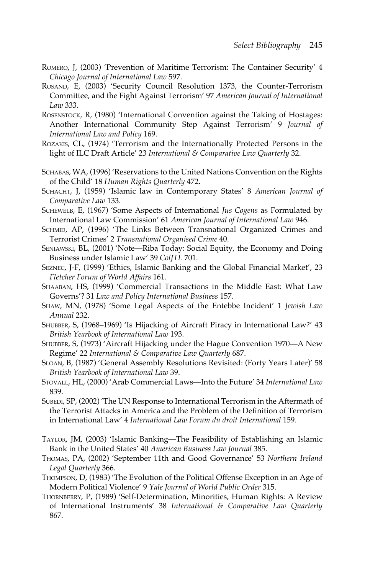- ROMERO, J, (2003) 'Prevention of Maritime Terrorism: The Container Security' 4 *Chicago Journal of International Law* 597.
- ROSAND, E, (2003) 'Security Council Resolution 1373, the Counter-Terrorism Committee, and the Fight Against Terrorism' 97 *American Journal of International Law* 333.
- ROSENSTOCK, R, (1980) 'International Convention against the Taking of Hostages: Another International Community Step Against Terrorism' 9 *Journal of International Law and Policy* 169.
- ROZAKIS, CL, (1974) 'Terrorism and the Internationally Protected Persons in the light of ILC Draft Article' 23 *International & Comparative Law Quarterly* 32.
- SCHABAS, WA, (1996) 'Reservations to the United Nations Convention on the Rights of the Child' 18 *Human Rights Quarterly* 472.
- SCHACHT, J, (1959) 'Islamic law in Contemporary States' 8 *American Journal of Comparative Law* 133.
- SCHEWELB, E, (1967) 'Some Aspects of International *Jus Cogens* as Formulated by International Law Commission' 61 *American Journal of International Law* 946.
- SCHMID, AP, (1996) 'The Links Between Transnational Organized Crimes and Terrorist Crimes' 2 *Transnational Organised Crime* 40.
- SENIAWSKI, BL, (2001) 'Note—Riba Today: Social Equity, the Economy and Doing Business under Islamic Law' 39 *ColJTL* 701.
- SEZNEC, J-F, (1999) 'Ethics, Islamic Banking and the Global Financial Market', 23 *Fletcher Forum of World Affairs* 161.
- SHAABAN, HS, (1999) 'Commercial Transactions in the Middle East: What Law Governs'? 31 *Law and Policy International Business* 157.
- SHAW, MN, (1978) 'Some Legal Aspects of the Entebbe Incident' 1 *Jewish Law Annual* 232.
- SHUBBER, S, (1968–1969) 'Is Hijacking of Aircraft Piracy in International Law?' 43 *British Yearbook of International Law* 193.
- SHUBBER, S, (1973) 'Aircraft Hijacking under the Hague Convention 1970—A New Regime' 22 *International & Comparative Law Quarterly* 687.
- SLOAN, B, (1987) 'General Assembly Resolutions Revisited: (Forty Years Later)' 58 *British Yearbook of International Law* 39.
- STOVALL, HL, (2000) 'Arab Commercial Laws—Into the Future' 34 *International Law* 839.
- SUBEDI, SP, (2002) 'The UN Response to International Terrorism in the Aftermath of the Terrorist Attacks in America and the Problem of the Definition of Terrorism in International Law' 4 *International Law Forum du droit International* 159.
- TAYLOR, JM, (2003) 'Islamic Banking—The Feasibility of Establishing an Islamic Bank in the United States' 40 *American Business Law Journal* 385.
- THOMAS, PA, (2002) 'September 11th and Good Governance' 53 *Northern Ireland Legal Quarterly* 366.
- THOMPSON, D, (1983) 'The Evolution of the Political Offense Exception in an Age of Modern Political Violence' 9 *Yale Journal of World Public Order* 315.
- THORNBERRY, P, (1989) 'Self-Determination, Minorities, Human Rights: A Review of International Instruments' 38 *International & Comparative Law Quarterly* 867.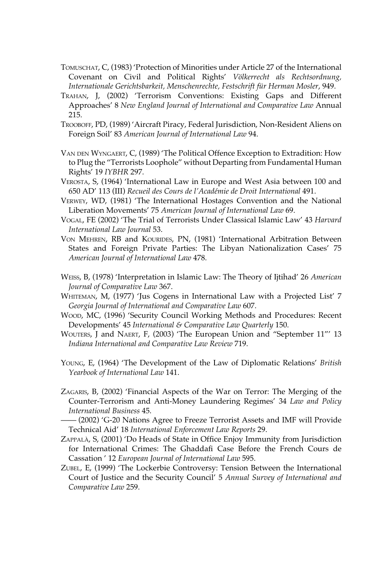- TOMUSCHAT, C, (1983) 'Protection of Minorities under Article 27 of the International Covenant on Civil and Political Rights' *Völkerrecht als Rechtsordnung, Internationale Gerichtsbarkeit, Menschenrechte, Festschrift für Herman Mosler*, 949.
- TRAHAN, J, (2002) 'Terrorism Conventions: Existing Gaps and Different Approaches' 8 *New England Journal of International and Comparative Law* Annual 215.
- TROOBOFF, PD, (1989) 'Aircraft Piracy, Federal Jurisdiction, Non-Resident Aliens on Foreign Soil' 83 *American Journal of International Law* 94.
- VAN DEN WYNGAERT, C, (1989) 'The Political Offence Exception to Extradition: How to Plug the "Terrorists Loophole" without Departing from Fundamental Human Rights' 19 *IYBHR* 297.
- VEROSTA, S, (1964) 'International Law in Europe and West Asia between 100 and 650 AD' 113 (III) *Recueil des Cours de l'Académie de Droit International* 491.
- VERWEY, WD, (1981) 'The International Hostages Convention and the National Liberation Movements' 75 *American Journal of International Law* 69.
- VOGAL, FE (2002) 'The Trial of Terrorists Under Classical Islamic Law' 43 *Harvard International Law Journal* 53.
- VON MEHREN, RB and KOURIDES, PN, (1981) 'International Arbitration Between States and Foreign Private Parties: The Libyan Nationalization Cases' 75 *American Journal of International Law* 478.
- WEISS, B, (1978) 'Interpretation in Islamic Law: The Theory of Ijtihad' 26 *American Journal of Comparative Law* 367.
- WHITEMAN, M, (1977) 'Jus Cogens in International Law with a Projected List' 7 *Georgia Journal of International and Comparative Law* 607.
- WOOD, MC, (1996) 'Security Council Working Methods and Procedures: Recent Developments' 45 *International & Comparative Law Quarterly* 150.
- WOUTERS, J and NAERT, F, (2003) 'The European Union and "September 11"' 13 *Indiana International and Comparative Law Review* 719.
- YOUNG, E, (1964) 'The Development of the Law of Diplomatic Relations' *British Yearbook of International Law* 141.
- ZAGARIS, B, (2002) 'Financial Aspects of the War on Terror: The Merging of the Counter-Terrorism and Anti-Money Laundering Regimes' 34 *Law and Policy International Business* 45.
- —— (2002) 'G-20 Nations Agree to Freeze Terrorist Assets and IMF will Provide Technical Aid' 18 *International Enforcement Law Reports* 29.
- ZAPPALÀ, S, (2001) 'Do Heads of State in Office Enjoy Immunity from Jurisdiction for International Crimes: The Ghaddafi Case Before the French Cours de Cassation ' 12 *European Journal of International Law* 595.
- ZUBEL, E, (1999) 'The Lockerbie Controversy: Tension Between the International Court of Justice and the Security Council' 5 *Annual Survey of International and Comparative Law* 259.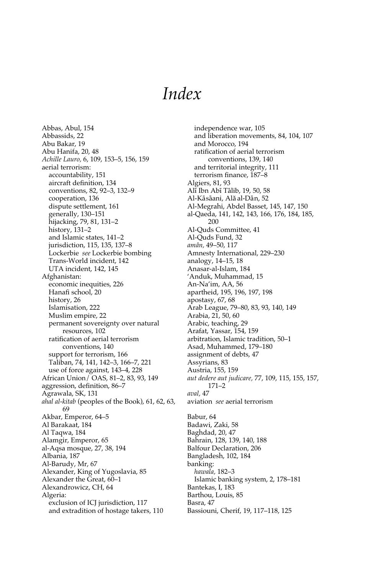## *Index*

Abbas, Abul, 154 Abbassids, 22 Abu Bakar, 19 Abu Hanifa, 20, 48 *Achille Lauro,* 6, 109, 153–5, 156, 159 aerial terrorism: accountability, 151 aircraft definition, 134 conventions, 82, 92–3, 132–9 cooperation, 136 dispute settlement, 161 generally, 130–151 hijacking, 79, 81, 131–2 history, 131–2 and Islamic states, 141–2 jurisdiction, 115, 135, 137–8 Lockerbie *see* Lockerbie bombing Trans-World incident, 142 UTA incident, 142, 145 Afghanistan: economic inequities, 226 Hanafi school, 20 history, 26 Islamisation, 222 Muslim empire, 22 permanent sovereignty over natural resources, 102 ratification of aerial terrorism conventions, 140 support for terrorism, 166 Taliban, 74, 141, 142–3, 166–7, 221 use of force against, 143–4, 228 African Union/ OAS, 81–2, 83, 93, 149 aggression, definition, 86–7 Agrawala, SK, 131 *ahal al-kitab* (peoples of the Book), 61, 62, 63, 69 Akbar, Emperor, 64–5 Al Barakaat, 184 Al Taqwa, 184 Alamgir, Emperor, 65 al-Aqsa mosque, 27, 38, 194 Albania, 187 Al-Barudy, Mr, 67 Alexander, King of Yugoslavia, 85 Alexander the Great, 60–1 Alexandrowicz, CH, 64 Algeria: exclusion of ICJ jurisdiction, 117 and extradition of hostage takers, 110

independence war, 105 and liberation movements, 84, 104, 107 and Morocco, 194 ratification of aerial terrorism conventions, 139, 140 and territorial integrity, 111 terrorism finance, 187–8 Algiers, 81, 93 Alī Ibn Abī Tālib, 19, 50, 58 Al-Kāsāani, Ală al-Dān, 52 Al-Megrahi, Abdel Basset, 145, 147, 150 al-Qaeda, 141, 142, 143, 166, 176, 184, 185, 200 Al-Quds Committee, 41 Al-Quds Fund, 32 *amân,* 49–50, 117 Amnesty International, 229–230 analogy, 14–15, 18 Anasar-al-Islam, 184 'Anduk, Muhammad, 15 An-Na'im, AA, 56 apartheid, 195, 196, 197, 198 apostasy, 67, 68 Arab League, 79–80, 83, 93, 140, 149 Arabia, 21, 50, 60 Arabic, teaching, 29 Arafat, Yassar, 154, 159 arbitration, Islamic tradition, 50–1 Asad, Muhammed, 179–180 assignment of debts, 47 Assyrians, 83 Austria, 155, 159 *aut dedere aut judicare,* 77, 109, 115, 155, 157, 171–2 *aval,* 47 aviation *see* aerial terrorism Babur, 64 Badawi, Zaki, 58 Baghdad, 20, 47 Bahrain, 128, 139, 140, 188 Balfour Declaration, 206 Bangladesh, 102, 184 banking: *hawala,* 182–3 Islamic banking system, 2, 178–181 Bantekas, I, 183 Barthou, Louis, 85 Basra, 47 Bassiouni, Cherif, 19, 117–118, 125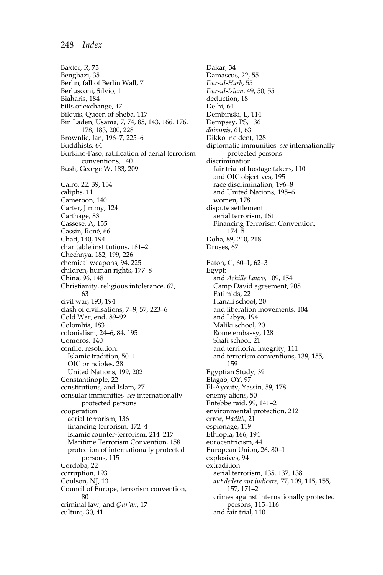Baxter, R, 73 Benghazi, 35 Berlin, fall of Berlin Wall, 7 Berlusconi, Silvio, 1 Biaharis, 184 bills of exchange, 47 Bilquis, Queen of Sheba, 117 Bin Laden, Usama, 7, 74, 85, 143, 166, 176, 178, 183, 200, 228 Brownlie, Ian, 196–7, 225–6 Buddhists, 64 Burkino-Faso, ratification of aerial terrorism conventions, 140 Bush, George W, 183, 209 Cairo, 22, 39, 154 caliphs, 11 Cameroon, 140 Carter, Jimmy, 124 Carthage, 83 Cassese, A, 155 Cassin, René, 66 Chad, 140, 194 charitable institutions, 181–2 Chechnya, 182, 199, 226 chemical weapons, 94, 225 children, human rights, 177–8 China, 96, 148 Christianity, religious intolerance, 62, 63 civil war, 193, 194 clash of civilisations, 7–9, 57, 223–6 Cold War, end, 89–92 Colombia, 183 colonialism, 24–6, 84, 195 Comoros, 140 conflict resolution: Islamic tradition, 50–1 OIC principles, 28 United Nations, 199, 202 Constantinople, 22 constitutions, and Islam, 27 consular immunities *see* internationally protected persons cooperation: aerial terrorism, 136 financing terrorism, 172–4 Islamic counter-terrorism, 214–217 Maritime Terrorism Convention, 158 protection of internationally protected persons, 115 Cordoba, 22 corruption, 193 Coulson, NJ, 13 Council of Europe, terrorism convention, 80 criminal law, and *Qur'an,* 17 culture, 30, 41

Dakar, 34 Damascus, 22, 55 *Dar-ul-Harb,* 55 *Dar-ul-Islam,* 49, 50, 55 deduction, 18 Delhi, 64 Dembinski, L, 114 Dempsey, PS, 136 *dhimmis,* 61, 63 Dikko incident, 128 diplomatic immunities *see* internationally protected persons discrimination: fair trial of hostage takers, 110 and OIC objectives, 195 race discrimination, 196–8 and United Nations, 195–6 women, 178 dispute settlement: aerial terrorism, 161 Financing Terrorism Convention, 174–5 Doha, 89, 210, 218 Druses, 67 Eaton, G, 60–1, 62–3 Egypt: and *Achille Lauro,* 109, 154 Camp David agreement, 208 Fatimids, 22 Hanafi school, 20 and liberation movements, 104 and Libya, 194 Maliki school, 20 Rome embassy, 128 Shafi school, 21 and territorial integrity, 111 and terrorism conventions, 139, 155, 159 Egyptian Study, 39 Elagab, OY, 97 El-Ayouty, Yassin, 59, 178 enemy aliens, 50 Entebbe raid, 99, 141–2 environmental protection, 212 error, *Hadith*, 21 espionage, 119 Ethiopia, 166, 194 eurocentricism, 44 European Union, 26, 80–1 explosives, 94 extradition: aerial terrorism, 135, 137, 138 *aut dedere aut judicare,* 77, 109, 115, 155, 157, 171–2 crimes against internationally protected persons, 115–116 and fair trial, 110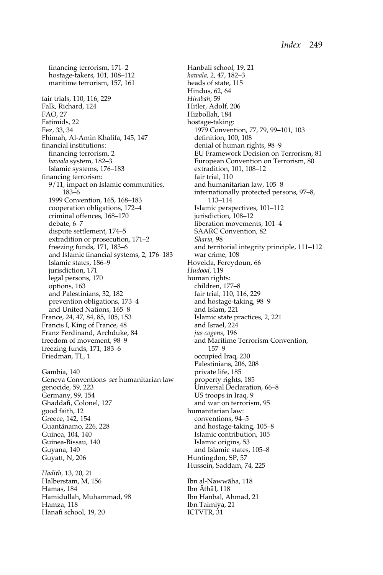financing terrorism, 171–2 hostage-takers, 101, 108–112 maritime terrorism, 157, 161 fair trials, 110, 116, 229 Falk, Richard, 124 FAO, 27 Fatimids, 22 Fez, 33, 34 Fhimah, Al-Amin Khalifa, 145, 147 financial institutions: financing terrorism, 2 *hawala* system, 182–3 Islamic systems, 176–183 financing terrorism: 9/11, impact on Islamic communities, 183–6 1999 Convention, 165, 168–183 cooperation obligations, 172–4 criminal offences, 168–170 debate, 6–7 dispute settlement, 174–5 extradition or prosecution, 171–2 freezing funds, 171, 183–6 and Islamic financial systems, 2, 176–183 Islamic states, 186–9 jurisdiction, 171 legal persons, 170 options, 163 and Palestinians, 32, 182 prevention obligations, 173–4 and United Nations, 165–8 France, 24, 47, 84, 85, 105, 153 Francis I, King of France, 48 Franz Ferdinand, Archduke, 84 freedom of movement, 98–9 freezing funds, 171, 183–6 Friedman, TL, 1 Gambia, 140 Geneva Conventions *see* humanitarian law genocide, 59, 223 Germany, 99, 154 Ghaddafi, Colonel, 127 good faith, 12 Greece, 142, 154 Guantánamo, 226, 228 Guinea, 104, 140

Guinea-Bissau, 140 Guyana, 140 Guyatt, N, 206 *Hadith,* 13, 20, 21 Halberstam, M, 156 Hamas, 184

Hamza, 118 Hanafi school, 19, 20

Hamidullah, Muhammad, 98

EU Framework Decision on Terrorism, 81 European Convention on Terrorism, 80 extradition, 101, 108–12 fair trial, 110 and humanitarian law, 105–8 internationally protected persons, 97–8, 113–114 Islamic perspectives, 101–112 jurisdiction, 108–12 liberation movements, 101–4 SAARC Convention, 82 *Sharia,* 98 and territorial integrity principle, 111–112 war crime, 108 Hoveida, Fereydoun, 66 *Hudood,* 119 human rights: children, 177–8 fair trial, 110, 116, 229 and hostage-taking, 98–9 and Islam, 221 Islamic state practices, 2, 221 and Israel, 224 *jus cogens,* 196 and Maritime Terrorism Convention, 157–9 occupied Iraq, 230 Palestinians, 206, 208 private life, 185 property rights, 185 Universal Declaration, 66–8 US troops in Iraq, 9 and war on terrorism, 95 humanitarian law: conventions, 94–5 and hostage-taking, 105–8 Islamic contribution, 105 Islamic origins, 53 and Islamic states, 105–8 Huntingdon, SP, 57 Hussein, Saddam, 74, 225 Ibn al-Nawwãha, 118 Ibn Athal, 118

Hanbali school, 19, 21 *hawala,* 2, 47, 182–3 heads of state, 115 Hindus, 62, 64 *Hirabah,* 59 Hitler, Adolf, 206 Hizbollah, 184 hostage-taking:

> definition, 100, 108 denial of human rights, 98–9

1979 Convention, 77, 79, 99–101, 103

Ibn Hanbal, Ahmad, 21 Ibn Taimiya, 21 ICTVTR, 31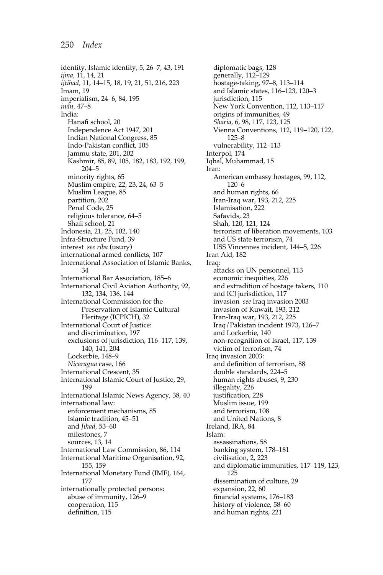identity, Islamic identity, 5, 26–7, 43, 191 *ijma,* 11, 14, 21 *ijtihad,* 11, 14–15, 18, 19, 21, 51, 216, 223 Imam, 19 imperialism, 24–6, 84, 195 *inân,* 47–8 India: Hanafi school, 20 Independence Act 1947, 201 Indian National Congress, 85 Indo-Pakistan conflict, 105 Jammu state, 201, 202 Kashmir, 85, 89, 105, 182, 183, 192, 199, 204–5 minority rights, 65 Muslim empire, 22, 23, 24, 63–5 Muslim League, 85 partition, 202 Penal Code, 25 religious tolerance, 64–5 Shafi school, 21 Indonesia, 21, 25, 102, 140 Infra-Structure Fund, 39 interest *see riba* (usury) international armed conflicts, 107 International Association of Islamic Banks, 34 International Bar Association, 185–6 International Civil Aviation Authority, 92, 132, 134, 136, 144 International Commission for the Preservation of Islamic Cultural Heritage (ICPICH), 32 International Court of Justice: and discrimination, 197 exclusions of jurisdiction, 116–117, 139, 140, 141, 204 Lockerbie, 148–9 *Nicaragua* case, 166 International Crescent, 35 International Islamic Court of Justice, 29, 199 International Islamic News Agency, 38, 40 international law: enforcement mechanisms, 85 Islamic tradition, 45–51 and *Jihad,* 53–60 milestones, 7 sources, 13, 14 International Law Commission, 86, 114 International Maritime Organisation, 92, 155, 159 International Monetary Fund (IMF), 164, 177 internationally protected persons: abuse of immunity, 126–9 cooperation, 115 definition, 115

diplomatic bags, 128 generally, 112–129 hostage-taking, 97–8, 113–114 and Islamic states, 116–123, 120–3 jurisdiction, 115 New York Convention, 112, 113–117 origins of immunities, 49 *Sharia,* 6, 98, 117, 123, 125 Vienna Conventions, 112, 119–120, 122, 125–8 vulnerability, 112–113 Interpol, 174 Iqbal, Muhammad, 15 Iran: American embassy hostages, 99, 112, 120–6 and human rights, 66 Iran-Iraq war, 193, 212, 225 Islamisation, 222 Safavids, 23 Shah, 120, 121, 124 terrorism of liberation movements, 103 and US state terrorism, 74 USS Vincennes incident, 144–5, 226 Iran Aid, 182 Iraq: attacks on UN personnel, 113 economic inequities, 226 and extradition of hostage takers, 110 and ICJ jurisdiction, 117 invasion *see* Iraq invasion 2003 invasion of Kuwait, 193, 212 Iran-Iraq war, 193, 212, 225 Iraq/Pakistan incident 1973, 126–7 and Lockerbie, 140 non-recognition of Israel, 117, 139 victim of terrorism, 74 Iraq invasion 2003: and definition of terrorism, 88 double standards, 224–5 human rights abuses, 9, 230 illegality, 226 justification, 228 Muslim issue, 199 and terrorism, 108 and United Nations, 8 Ireland, IRA, 84 Islam: assassinations, 58 banking system, 178–181 civilisation, 2, 223 and diplomatic immunities, 117–119, 123, 125 dissemination of culture, 29 expansion, 22, 60 financial systems, 176–183 history of violence, 58–60 and human rights, 221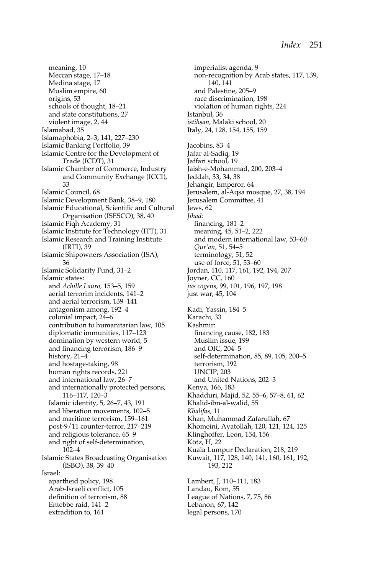meaning, 10 Meccan stage, 17–18 Medina stage, 17 Muslim empire, 60 origins, 53 schools of thought, 18–21 and state constitutions, 27 violent image, 2, 44 Islamabad, 35 Islamaphobia, 2–3, 141, 227–230 Islamic Banking Portfolio, 39 Islamic Centre for the Development of Trade (ICDT), 31 Islamic Chamber of Commerce, Industry and Community Exchange (ICCI), 33 Islamic Council, 68 Islamic Development Bank, 38–9, 180 Islamic Educational, Scientific and Cultural Organisation (ISESCO), 38, 40 Islamic Fiqh Academy, 31 Islamic Institute for Technology (ITT), 31 Islamic Research and Training Institute (IRTI), 39 Islamic Shipowners Association (ISA), 36 Islamic Solidarity Fund, 31–2 Islamic states: and *Achille Lauro,* 153–5, 159 aerial terrorim incidents, 141–2 and aerial terrorism, 139–141 antagonism among, 192–4 colonial impact, 24–6 contribution to humanitarian law, 105 diplomatic immunities, 117–123 domination by western world, 5 and financing terrorism, 186–9 history, 21–4 and hostage-taking, 98 human rights records, 221 and international law, 26–7 and internationally protected persons, 116–117, 120–3 Islamic identity, 5, 26–7, 43, 191 and liberation movements, 102–5 and maritime terrorism, 159–161 post-9/11 counter-terror, 217–219 and religious tolerance, 65–9 and right of self-determination, 102–4 Islamic States Broadcasting Organisation (ISBO), 38, 39–40 Israel: apartheid policy, 198 Arab-Israeli conflict, 105 definition of terrorism, 88 Entebbe raid, 141–2 extradition to, 161

imperialist agenda, 9 non-recognition by Arab states, 117, 139, 140, 141 and Palestine, 205–9 race discrimination, 198 violation of human rights, 224 Istanbul, 36 *istihsan,* Malaki school, 20 Italy, 24, 128, 154, 155, 159 Jacobins, 83–4 Jafar al-Sadiq, 19 Jaffari school, 19 Jaish-e-Mohammad, 200, 203–4 Jeddah, 33, 34, 38 Jehangir, Emperor, 64 Jerusalem, al-Aqsa mosque, 27, 38, 194 Jerusalem Committee, 41 Jews, 62 *Jihad:* financing, 181–2 meaning, 45, 51–2, 222 and modern international law, 53–60 *Qur'an,* 51, 54–5 terminology, 51, 52 use of force, 51, 53–60 Jordan, 110, 117, 161, 192, 194, 207 Joyner, CC, 160 *jus cogens,* 99, 101, 196, 197, 198 just war, 45, 104 Kadi, Yassin, 184–5 Karachi, 33 Kashmir: financing cause, 182, 183 Muslim issue, 199 and OIC, 204–5 self-determination, 85, 89, 105, 200–5 terrorism, 192 UNCIP, 203 and United Nations, 202–3 Kenya, 166, 183 Khadduri, Majid, 52, 55–6, 57–8, 61, 62 Khalid-ibn-al-walid, 55 *Khalifas,* 11 Khan, Muhammad Zafarullah, 67 Khomeini, Ayatollah, 120, 121, 124, 125 Klinghoffer, Leon, 154, 156 Kötz, H, 22 Kuala Lumpur Declaration, 218, 219 Kuwait, 117, 128, 140, 141, 160, 161, 192, 193, 212 Lambert, J, 110–111, 183 Landau, Rom, 55 League of Nations, 7, 75, 86 Lebanon, 67, 142 legal persons, 170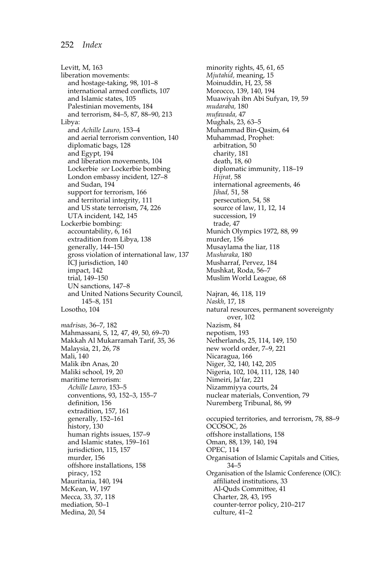Levitt, M, 163 liberation movements: and hostage-taking, 98, 101–8 international armed conflicts, 107 and Islamic states, 105 Palestinian movements, 184 and terrorism, 84–5, 87, 88–90, 213 Libya: and *Achille Lauro,* 153–4 and aerial terrorism convention, 140 diplomatic bags, 128 and Egypt, 194 and liberation movements, 104 Lockerbie *see* Lockerbie bombing London embassy incident, 127–8 and Sudan, 194 support for terrorism, 166 and territorial integrity, 111 and US state terrorism, 74, 226 UTA incident, 142, 145 Lockerbie bombing: accountability, 6, 161 extradition from Libya, 138 generally, 144–150 gross violation of international law, 137 ICJ jurisdiction, 140 impact, 142 trial, 149–150 UN sanctions, 147–8 and United Nations Security Council, 145–8, 151 Losotho, 104 *madrisas,* 36–7, 182 Mahmassani, S, 12, 47, 49, 50, 69–70 Makkah Al Mukarramah Tarif, 35, 36 Malaysia, 21, 26, 78 Mali, 140 Malik ibn Anas, 20 Maliki school, 19, 20 maritime terrorism: *Achille Lauro,* 153–5 conventions, 93, 152–3, 155–7 definition, 156 extradition, 157, 161 generally, 152–161 history, 130 human rights issues, 157–9 and Islamic states, 159–161 jurisdiction, 115, 157 murder, 156 offshore installations, 158 piracy, 152 Mauritania, 140, 194 McKean, W, 197 Mecca, 33, 37, 118 mediation, 50–1 Medina, 20, 54

minority rights, 45, 61, 65 *Mjutahid,* meaning, 15 Moinuddin, H, 23, 58 Morocco, 139, 140, 194 Muawiyah ibn Abi Sufyan, 19, 59 *mudaraba,* 180 *mufawada,* 47 Mughals, 23, 63–5 Muhammad Bin-Qasim, 64 Muhammad, Prophet: arbitration, 50 charity, 181 death, 18, 60 diplomatic immunity, 118–19 *Hijrat,* 58 international agreements, 46 *Jihad,* 51, 58 persecution, 54, 58 source of law, 11, 12, 14 succession, 19 trade, 47 Munich Olympics 1972, 88, 99 murder, 156 Musaylama the liar, 118 *Musharaka,* 180 Musharraf, Pervez, 184 Mushkat, Roda, 56–7 Muslim World League, 68 Najran, 46, 118, 119 *Naskh,* 17, 18 natural resources, permanent sovereignty over, 102 Nazism, 84 nepotism, 193 Netherlands, 25, 114, 149, 150 new world order, 7–9, 221 Nicaragua, 166 Niger, 32, 140, 142, 205 Nigeria, 102, 104, 111, 128, 140 Nimeiri, Ja'far, 221 Nizammiyya courts, 24 nuclear materials, Convention, 79 Nuremberg Tribunal, 86, 99 occupied territories, and terrorism, 78, 88–9 OCOSOC, 26 offshore installations, 158 Oman, 88, 139, 140, 194 OPEC, 114 Organisation of Islamic Capitals and Cities, 34–5 Organisation of the Islamic Conference (OIC): affiliated institutions, 33 Al-Quds Committee, 41 Charter, 28, 43, 195 counter-terror policy, 210–217 culture, 41–2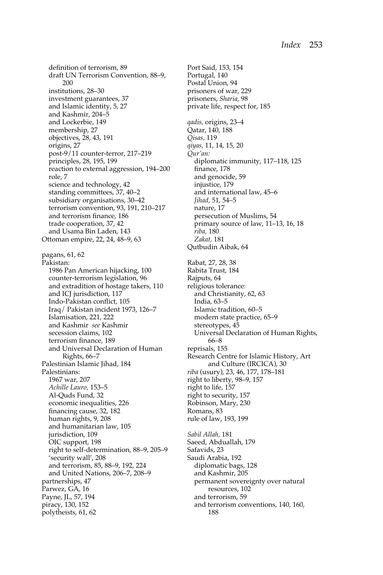definition of terrorism, 89 draft UN Terrorism Convention, 88–9, 200 institutions, 28–30 investment guarantees, 37 and Islamic identity, 5, 27 and Kashmir, 204–5 and Lockerbie, 149 membership, 27 objectives, 28, 43, 191 origins, 27 post-9/11 counter-terror, 217–219 principles, 28, 195, 199 reaction to external aggression, 194–200 role, 7 science and technology, 42 standing committees, 37, 40–2 subsidiary organisations, 30–42 terrorism convention, 93, 191, 210–217 and terrorism finance, 186 trade cooperation, 37, 42 and Usama Bin Laden, 143 Ottoman empire, 22, 24, 48–9, 63 pagans, 61, 62 Pakistan: 1986 Pan American hijacking, 100 counter-terrorism legislation, 96 and extradition of hostage takers, 110 and ICJ jurisdiction, 117 Indo-Pakistan conflict, 105 Iraq/ Pakistan incident 1973, 126–7 Islamisation, 221, 222 and Kashmir *see* Kashmir secession claims, 102 terrorism finance, 189 and Universal Declaration of Human Rights, 66–7 Palestinian Islamic Jihad, 184 Palestinians: 1967 war, 207 *Achille Lauro,* 153–5 Al-Quds Fund, 32 economic inequalities, 226 financing cause, 32, 182 human rights, 9, 208 and humanitarian law, 105 jurisdiction, 109 OIC support, 198 right to self-determination, 88–9, 205–9 'security wall', 208 and terrorism, 85, 88–9, 192, 224 and United Nations, 206–7, 208–9 partnerships, 47 Parwez, GA, 16 Payne, JL, 57, 194 piracy, 130, 152 polytheists, 61, 62

Port Said, 153, 154 Portugal, 140 Postal Union, 94 prisoners of war, 229 prisoners, *Sharia,* 98 private life, respect for, 185 *qadis,* origins, 23–4 Qatar, 140, 188 *Qisas,* 119 *qiyas,* 11, 14, 15, 20 *Qur'an:* diplomatic immunity, 117–118, 125 finance, 178 and genocide, 59 injustice, 179 and international law, 45–6 *Jihad,* 51, 54–5 nature, 17 persecution of Muslims, 54 primary source of law, 11–13, 16, 18 *riba,* 180 *Zakat,* 181 Qutbudin Aibak, 64 Rabat, 27, 28, 38 Rabita Trust, 184 Rajputs, 64 religious tolerance: and Christianity, 62, 63 India, 63–5 Islamic tradition, 60–5 modern state practice, 65–9 stereotypes, 45 Universal Declaration of Human Rights, 66–8 reprisals, 155 Research Centre for Islamic History, Art and Culture (IRCICA), 30 *riba* (usury), 23, 46, 177, 178–181 right to liberty, 98–9, 157 right to life, 157 right to security, 157 Robinson, Mary, 230 Romans, 83 rule of law, 193, 199 *Sabil Allah,* 181 Saeed, Abduallah, 179 Safavids, 23 Saudi Arabia, 192 diplomatic bags, 128 and Kashmir, 205 permanent sovereignty over natural resources, 102 and terrorism, 59 and terrorism conventions, 140, 160, 188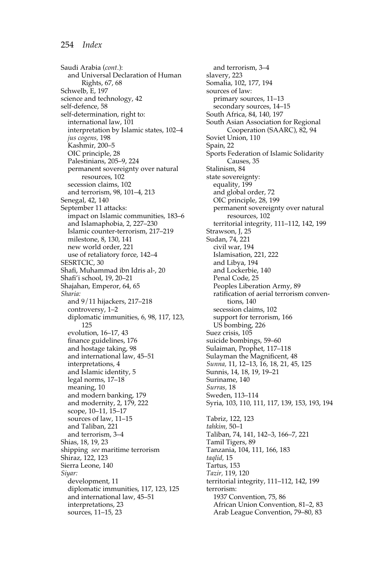Saudi Arabia (*cont*.): and Universal Declaration of Human Rights, 67, 68 Schwelb, E, 197 science and technology, 42 self-defence, 58 self-determination, right to: international law, 101 interpretation by Islamic states, 102–4 *jus cogens,* 198 Kashmir, 200–5 OIC principle, 28 Palestinians, 205–9, 224 permanent sovereignty over natural resources, 102 secession claims, 102 and terrorism, 98, 101–4, 213 Senegal, 42, 140 September 11 attacks: impact on Islamic communities, 183–6 and Islamaphobia, 2, 227–230 Islamic counter-terrorism, 217–219 milestone, 8, 130, 141 new world order, 221 use of retaliatory force, 142–4 SESRTCIC, 30 Shafi, Muhammad ibn Idris al-, 20 Shafi'i school, 19, 20–21 Shajahan, Emperor, 64, 65 *Sharia:* and 9/11 hijackers, 217–218 controversy, 1–2 diplomatic immunities, 6, 98, 117, 123, 125 evolution, 16–17, 43 finance guidelines, 176 and hostage taking, 98 and international law, 45–51 interpretations, 4 and Islamic identity, 5 legal norms, 17–18 meaning, 10 and modern banking, 179 and modernity, 2, 179, 222 scope, 10–11, 15–17 sources of law, 11–15 and Taliban, 221 and terrorism, 3–4 Shias, 18, 19, 23 shipping *see* maritime terrorism Shiraz, 122, 123 Sierra Leone, 140 *Siyar:* development, 11 diplomatic immunities, 117, 123, 125 and international law, 45–51 interpretations, 23 sources, 11–15, 23

and terrorism, 3–4 slavery, 223 Somalia, 102, 177, 194 sources of law: primary sources, 11–13 secondary sources, 14–15 South Africa, 84, 140, 197 South Asian Association for Regional Cooperation (SAARC), 82, 94 Soviet Union, 110 Spain, 22 Sports Federation of Islamic Solidarity Causes, 35 Stalinism, 84 state sovereignty: equality, 199 and global order, 72 OIC principle, 28, 199 permanent sovereignty over natural resources, 102 territorial integrity, 111–112, 142, 199 Strawson, J, 25 Sudan, 74, 221 civil war, 194 Islamisation, 221, 222 and Libya, 194 and Lockerbie, 140 Penal Code, 25 Peoples Liberation Army, 89 ratification of aerial terrorism conventions, 140 secession claims, 102 support for terrorism, 166 US bombing, 226 Suez crisis, 105 suicide bombings, 59–60 Sulaiman, Prophet, 117–118 Sulayman the Magnificent, 48 *Sunna,* 11, 12–13, 16, 18, 21, 45, 125 Sunnis, 14, 18, 19, 19–21 Suriname, 140 *Surras,* 18 Sweden, 113–114 Syria, 103, 110, 111, 117, 139, 153, 193, 194 Tabriz, 122, 123 *tahkim,* 50–1 Taliban, 74, 141, 142–3, 166–7, 221 Tamil Tigers, 89 Tanzania, 104, 111, 166, 183 *taqlid,* 15 Tartus, 153 *Tazir,* 119, 120 territorial integrity, 111–112, 142, 199 terrorism: 1937 Convention, 75, 86 African Union Convention, 81–2, 83 Arab League Convention, 79–80, 83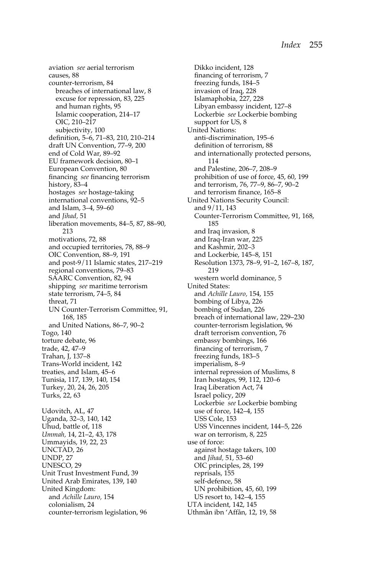aviation *see* aerial terrorism causes, 88 counter-terrorism, 84 breaches of international law, 8 excuse for repression, 83, 225 and human rights, 95 Islamic cooperation, 214–17 OIC, 210–217 subjectivity, 100 definition, 5–6, 71–83, 210, 210–214 draft UN Convention, 77–9, 200 end of Cold War, 89–92 EU framework decision, 80–1 European Convention, 80 financing *see* financing terrorism history, 83–4 hostages *see* hostage-taking international conventions, 92–5 and Islam, 3–4, 59–60 and *Jihad,* 51 liberation movements, 84–5, 87, 88–90, 213 motivations, 72, 88 and occupied territories, 78, 88–9 OIC Convention, 88–9, 191 and post-9/11 Islamic states, 217–219 regional conventions, 79–83 SAARC Convention, 82, 94 shipping *see* maritime terrorism state terrorism, 74–5, 84 threat, 71 UN Counter-Terrorism Committee, 91, 168, 185 and United Nations, 86–7, 90–2 Togo, 140 torture debate, 96 trade, 42, 47–9 Trahan, J, 137–8 Trans-World incident, 142 treaties, and Islam, 45–6 Tunisia, 117, 139, 140, 154 Turkey, 20, 24, 26, 205 Turks, 22, 63 Udovitch, AL, 47 Uganda, 32–3, 140, 142 Uhud, battle of, 118 *Ummah,* 14, 21–2, 43, 178 Ummayids, 19, 22, 23 UNCTAD, 26 UNDP, 27 UNESCO, 29 Unit Trust Investment Fund, 39 United Arab Emirates, 139, 140 United Kingdom: and *Achille Lauro,* 154 colonialism, 24 counter-terrorism legislation, 96

Dikko incident, 128 financing of terrorism, 7 freezing funds, 184–5 invasion of Iraq, 228 Islamaphobia, 227, 228 Libyan embassy incident, 127–8 Lockerbie *see* Lockerbie bombing support for US, 8 United Nations: anti-discrimination, 195–6 definition of terrorism, 88 and internationally protected persons, 114 and Palestine, 206–7, 208–9 prohibition of use of force, 45, 60, 199 and terrorism, 76, 77–9, 86–7, 90–2 and terrorism finance, 165–8 United Nations Security Council: and 9/11, 143 Counter-Terrorism Committee, 91, 168, 185 and Iraq invasion, 8 and Iraq-Iran war, 225 and Kashmir, 202–3 and Lockerbie, 145–8, 151 Resolution 1373, 78–9, 91–2, 167–8, 187, 219 western world dominance, 5 United States: and *Achille Lauro,* 154, 155 bombing of Libya, 226 bombing of Sudan, 226 breach of international law, 229–230 counter-terrorism legislation, 96 draft terrorism convention, 76 embassy bombings, 166 financing of terrorism, 7 freezing funds, 183–5 imperialism, 8–9 internal repression of Muslims, 8 Iran hostages, 99, 112, 120–6 Iraq Liberation Act, 74 Israel policy, 209 Lockerbie *see* Lockerbie bombing use of force, 142–4, 155 USS Cole, 153 USS Vincennes incident, 144–5, 226 war on terrorism, 8, 225 use of force: against hostage takers, 100 and *Jihad,* 51, 53–60 OIC principles, 28, 199 reprisals, 155 self-defence, 58 UN prohibition, 45, 60, 199 US resort to, 142–4, 155 UTA incident, 142, 145 Uthmān ibn 'Affān, 12, 19, 58